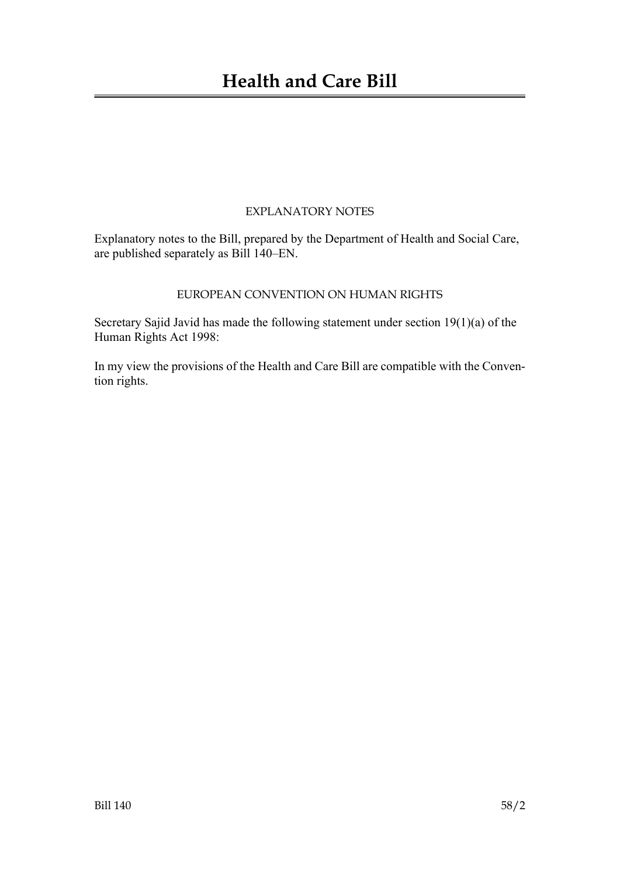## EXPLANATORY NOTES

Explanatory notes to the Bill, prepared by the Department of Health and Social Care, are published separately as Bill 140–EN.

## EUROPEAN CONVENTION ON HUMAN RIGHTS

Secretary Sajid Javid has made the following statement under section 19(1)(a) of the Human Rights Act 1998:

In my view the provisions of the Health and Care Bill are compatible with the Convention rights.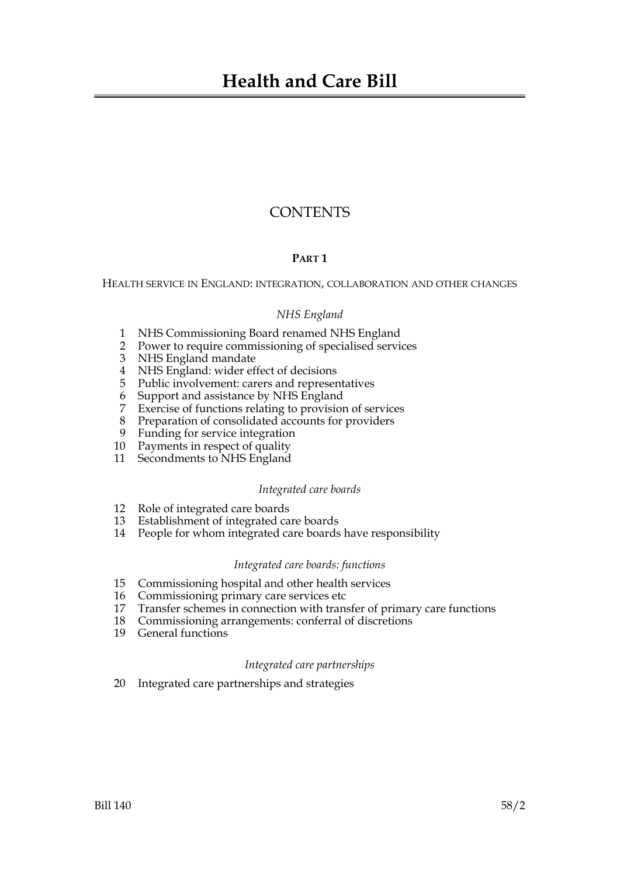# **CONTENTS**

## **PART 1**

HEALTH SERVICE IN ENGLAND: INTEGRATION, COLLABORATION AND OTHER CHANGES

## *NHS England*

- 1 NHS Commissioning Board renamed NHS England
- 2 Power to require commissioning of specialised services
- 3 NHS England mandate
- 4 NHS England: wider effect of decisions
- 5 Public involvement: carers and representatives
- 6 Support and assistance by NHS England
- 7 Exercise of functions relating to provision of services
- 8 Preparation of consolidated accounts for providers
- 9 Funding for service integration
- 10 Payments in respect of quality
- 11 Secondments to NHS England

## *Integrated care boards*

- 12 Role of integrated care boards
- 13 Establishment of integrated care boards
- 14 People for whom integrated care boards have responsibility

## *Integrated care boards: functions*

- 15 Commissioning hospital and other health services
- 16 Commissioning primary care services etc
- 17 Transfer schemes in connection with transfer of primary care functions
- 18 Commissioning arrangements: conferral of discretions
- 19 General functions

## *Integrated care partnerships*

20 Integrated care partnerships and strategies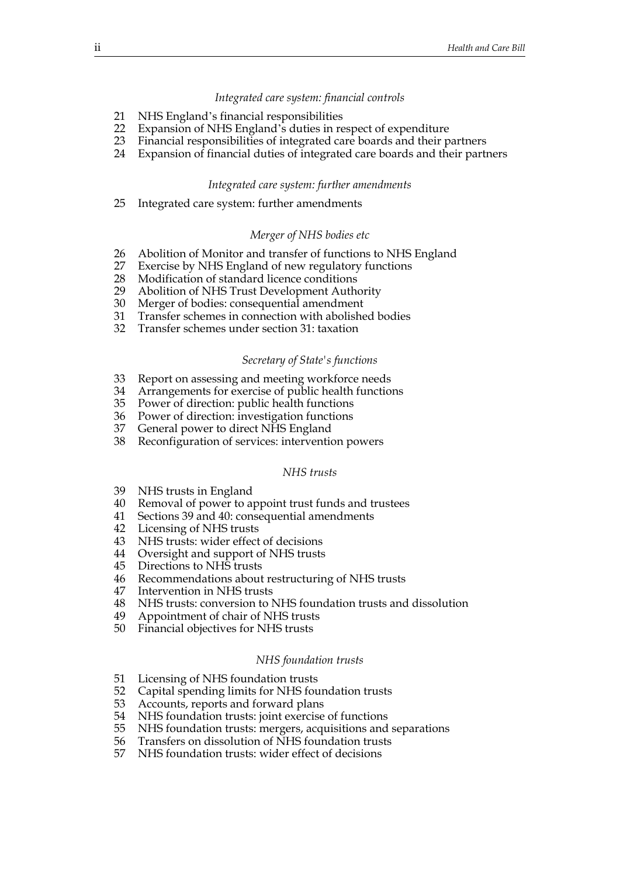#### *Integrated care system: financial controls*

- 21 NHS England's financial responsibilities
- 22 Expansion of NHS England's duties in respect of expenditure
- 23 Financial responsibilities of integrated care boards and their partners
- 24 Expansion of financial duties of integrated care boards and their partners

#### *Integrated care system: further amendments*

25 Integrated care system: further amendments

#### *Merger of NHS bodies etc*

- 26 Abolition of Monitor and transfer of functions to NHS England
- 27 Exercise by NHS England of new regulatory functions
- 28 Modification of standard licence conditions
- 29 Abolition of NHS Trust Development Authority
- 30 Merger of bodies: consequential amendment
- 31 Transfer schemes in connection with abolished bodies
- 32 Transfer schemes under section 31: taxation

#### *Secretary of State's functions*

- 33 Report on assessing and meeting workforce needs
- 34 Arrangements for exercise of public health functions
- 35 Power of direction: public health functions
- 36 Power of direction: investigation functions
- 37 General power to direct NHS England
- 38 Reconfiguration of services: intervention powers

#### *NHS trusts*

- 39 NHS trusts in England
- 40 Removal of power to appoint trust funds and trustees
- 41 Sections 39 and 40: consequential amendments
- 42 Licensing of NHS trusts
- 43 NHS trusts: wider effect of decisions
- 44 Oversight and support of NHS trusts<br>45 Directions to NHS trusts
- Directions to NHS trusts
- 46 Recommendations about restructuring of NHS trusts
- 47 Intervention in NHS trusts
- 48 NHS trusts: conversion to NHS foundation trusts and dissolution
- 49 Appointment of chair of NHS trusts
- 50 Financial objectives for NHS trusts

#### *NHS foundation trusts*

- 51 Licensing of NHS foundation trusts
- 52 Capital spending limits for NHS foundation trusts
- 53 Accounts, reports and forward plans
- 54 NHS foundation trusts: joint exercise of functions
- 55 NHS foundation trusts: mergers, acquisitions and separations
- 56 Transfers on dissolution of NHS foundation trusts
- 57 NHS foundation trusts: wider effect of decisions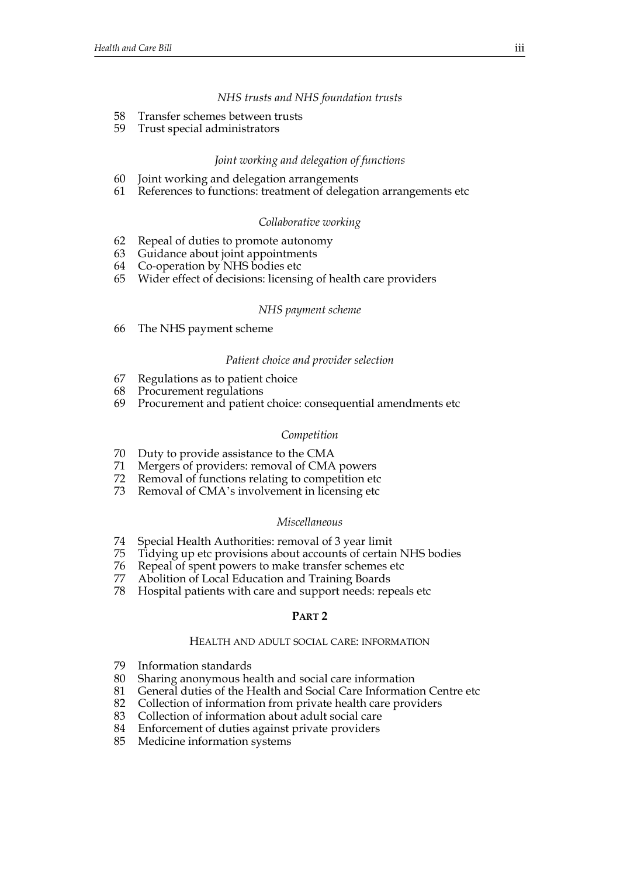## *NHS trusts and NHS foundation trusts*

- 58 Transfer schemes between trusts
- 59 Trust special administrators

## *Joint working and delegation of functions*

- 60 Joint working and delegation arrangements
- 61 References to functions: treatment of delegation arrangements etc

## *Collaborative working*

- 62 Repeal of duties to promote autonomy
- 63 Guidance about joint appointments
- 64 Co-operation by NHS bodies etc
- 65 Wider effect of decisions: licensing of health care providers

#### *NHS payment scheme*

66 The NHS payment scheme

#### *Patient choice and provider selection*

- 67 Regulations as to patient choice
- 68 Procurement regulations
- 69 Procurement and patient choice: consequential amendments etc

#### *Competition*

- 70 Duty to provide assistance to the CMA
- 71 Mergers of providers: removal of CMA powers
- 72 Removal of functions relating to competition etc
- 73 Removal of CMA's involvement in licensing etc

#### *Miscellaneous*

- 74 Special Health Authorities: removal of 3 year limit
- 75 Tidying up etc provisions about accounts of certain NHS bodies
- 76 Repeal of spent powers to make transfer schemes etc
- 77 Abolition of Local Education and Training Boards
- 78 Hospital patients with care and support needs: repeals etc

#### **PART 2**

#### HEALTH AND ADULT SOCIAL CARE: INFORMATION

- 79 Information standards
- 80 Sharing anonymous health and social care information
- 81 General duties of the Health and Social Care Information Centre etc
- 82 Collection of information from private health care providers
- 83 Collection of information about adult social care
- 84 Enforcement of duties against private providers
- 85 Medicine information systems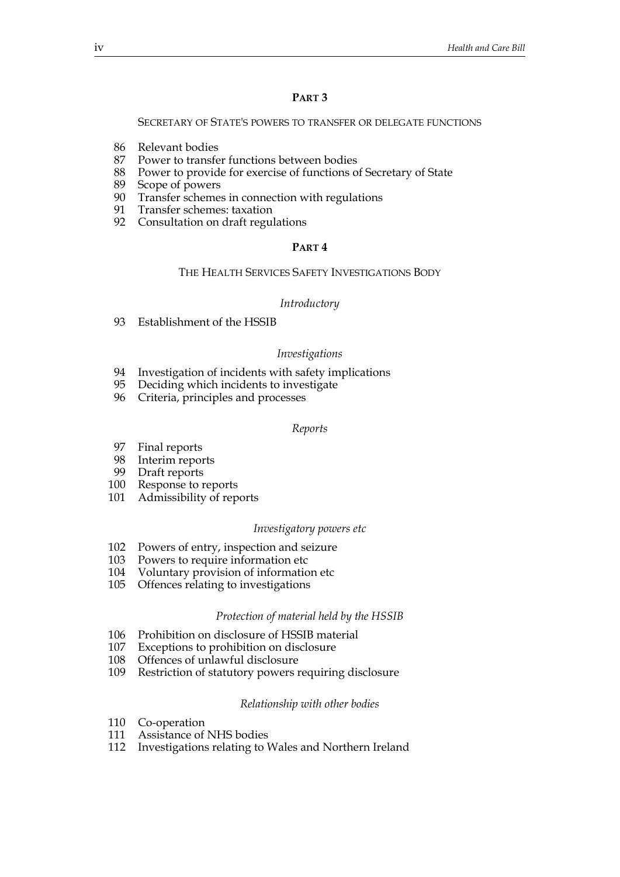## **PART 3**

#### SECRETARY OF STATE'S POWERS TO TRANSFER OR DELEGATE FUNCTIONS

- 86 Relevant bodies
- 87 Power to transfer functions between bodies
- 88 Power to provide for exercise of functions of Secretary of State
- 89 Scope of powers
- 90 Transfer schemes in connection with regulations
- 91 Transfer schemes: taxation
- 92 Consultation on draft regulations

#### **PART 4**

#### THE HEALTH SERVICES SAFETY INVESTIGATIONS BODY

#### *Introductory*

93 Establishment of the HSSIB

#### *Investigations*

- 94 Investigation of incidents with safety implications
- 95 Deciding which incidents to investigate
- 96 Criteria, principles and processes

#### *Reports*

- 97 Final reports
- 98 Interim reports<br>99 Draft reports
- Draft reports
- 100 Response to reports
- 101 Admissibility of reports

#### *Investigatory powers etc*

- 102 Powers of entry, inspection and seizure
- 103 Powers to require information etc
- 104 Voluntary provision of information etc
- 105 Offences relating to investigations

#### *Protection of material held by the HSSIB*

- 106 Prohibition on disclosure of HSSIB material
- 107 Exceptions to prohibition on disclosure
- 108 Offences of unlawful disclosure
- 109 Restriction of statutory powers requiring disclosure

#### *Relationship with other bodies*

- 110 Co-operation
- 111 Assistance of NHS bodies
- 112 Investigations relating to Wales and Northern Ireland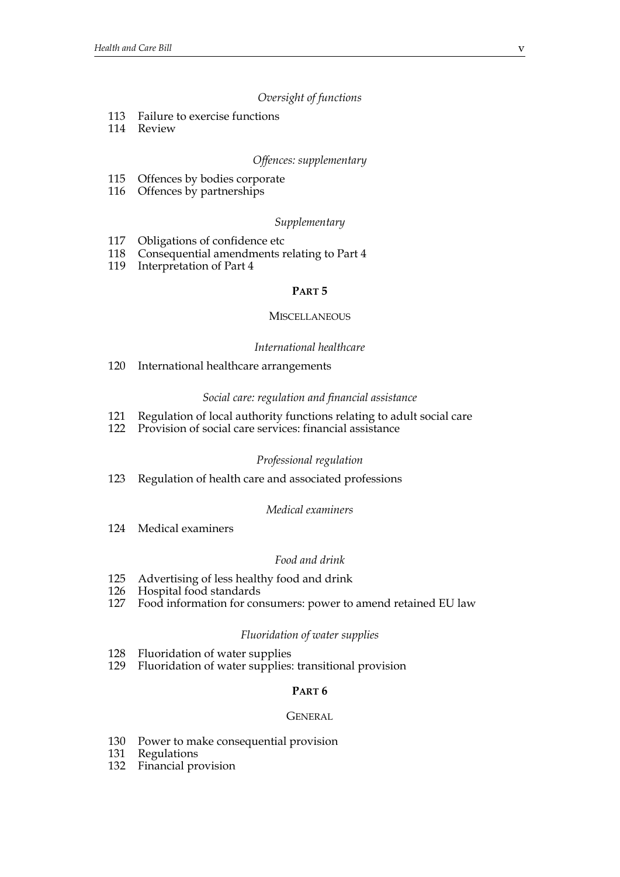## *Oversight of functions*

- 113 Failure to exercise functions
- 114 Review

## *Offences: supplementary*

- 115 Offences by bodies corporate
- 116 Offences by partnerships

## *Supplementary*

- 117 Obligations of confidence etc
- 118 Consequential amendments relating to Part 4
- 119 Interpretation of Part 4

## **PART 5**

#### **MISCELLANEOUS**

## *International healthcare*

120 International healthcare arrangements

## *Social care: regulation and financial assistance*

- 121 Regulation of local authority functions relating to adult social care
- 122 Provision of social care services: financial assistance

## *Professional regulation*

123 Regulation of health care and associated professions

## *Medical examiners*

124 Medical examiners

## *Food and drink*

- 125 Advertising of less healthy food and drink<br>126 Hospital food standards
- Hospital food standards
- 127 Food information for consumers: power to amend retained EU law

## *Fluoridation of water supplies*

- 128 Fluoridation of water supplies
- 129 Fluoridation of water supplies: transitional provision

## **PART 6**

#### **GENERAL**

- 130 Power to make consequential provision
- 131 Regulations
- 132 Financial provision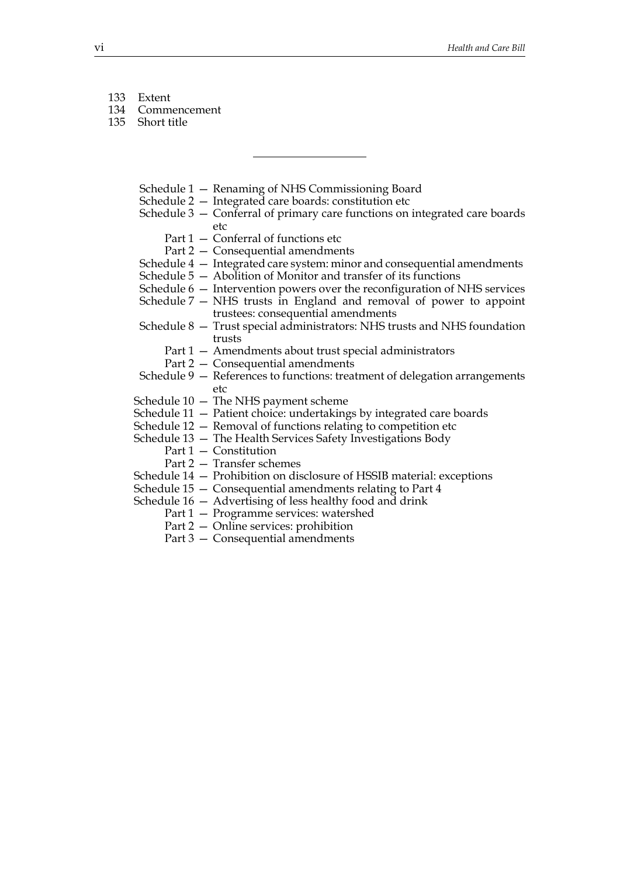- 133 Extent
- 134 Commencement
- 135 Short title
	- Schedule 1 Renaming of NHS Commissioning Board
	- Schedule 2 Integrated care boards: constitution etc
	- Schedule 3 Conferral of primary care functions on integrated care boards etc
		- Part 1 Conferral of functions etc
		- Part 2 Consequential amendments
	- Schedule 4 Integrated care system: minor and consequential amendments
	- Schedule 5 Abolition of Monitor and transfer of its functions
	- Schedule 6 Intervention powers over the reconfiguration of NHS services
	- Schedule 7 NHS trusts in England and removal of power to appoint trustees: consequential amendments
	- Schedule 8 Trust special administrators: NHS trusts and NHS foundation trusts
		- Part 1 Amendments about trust special administrators
		- Part 2 Consequential amendments
	- Schedule 9 References to functions: treatment of delegation arrangements etc
	- Schedule 10 The NHS payment scheme
	- Schedule 11 Patient choice: undertakings by integrated care boards
	- Schedule 12 Removal of functions relating to competition etc
	- Schedule 13 The Health Services Safety Investigations Body
		- Part 1 Constitution
			- Part 2 Transfer schemes
	- Schedule 14 Prohibition on disclosure of HSSIB material: exceptions
	- Schedule 15 Consequential amendments relating to Part 4

Schedule 16 — Advertising of less healthy food and drink

- Part 1 Programme services: watershed
- Part 2 Online services: prohibition
- Part 3 Consequential amendments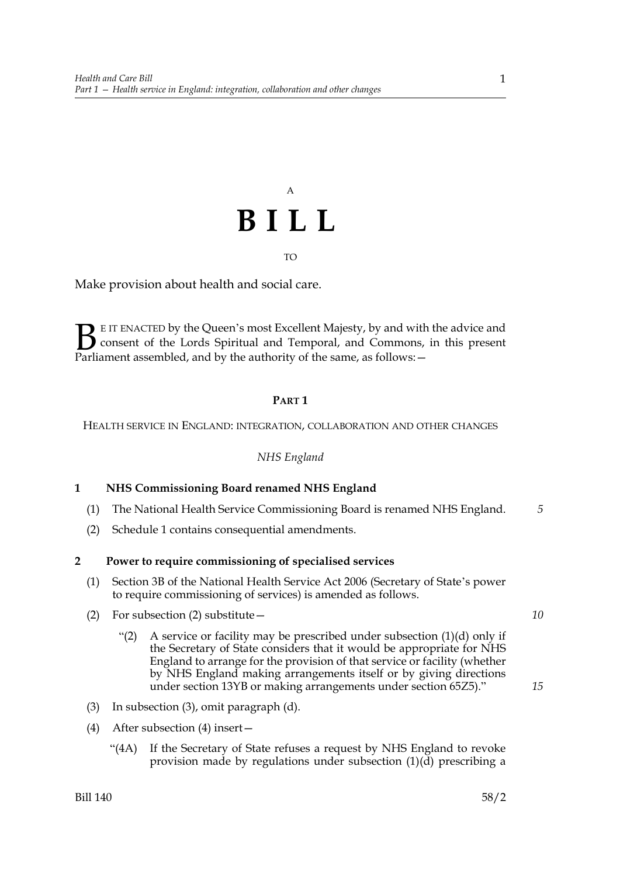# A **BILL**

#### TO

Make provision about health and social care.

E IT ENACTED by the Queen's most Excellent Majesty, by and with the advice and consent of the Lords Spiritual and Temporal, and Commons, in this present **B** EIT ENACTED by the Queen's most Excellent Majesty, by and with consent of the Lords Spiritual and Temporal, and Commons, Parliament assembled, and by the authority of the same, as follows:  $-$ 

## **PART 1**

HEALTH SERVICE IN ENGLAND: INTEGRATION, COLLABORATION AND OTHER CHANGES

*NHS England*

## **1 NHS Commissioning Board renamed NHS England**

- (1) The National Health Service Commissioning Board is renamed NHS England. *5*
- (2) Schedule 1 contains consequential amendments.

#### **2 Power to require commissioning of specialised services**

- (1) Section 3B of the National Health Service Act 2006 (Secretary of State's power to require commissioning of services) is amended as follows.
- (2) For subsection (2) substitute—
	- "(2) A service or facility may be prescribed under subsection  $(1)(d)$  only if the Secretary of State considers that it would be appropriate for NHS England to arrange for the provision of that service or facility (whether by NHS England making arrangements itself or by giving directions under section 13YB or making arrangements under section 65Z5)."
- (3) In subsection (3), omit paragraph (d).
- (4) After subsection (4) insert—
	- "(4A) If the Secretary of State refuses a request by NHS England to revoke provision made by regulations under subsection (1)(d) prescribing a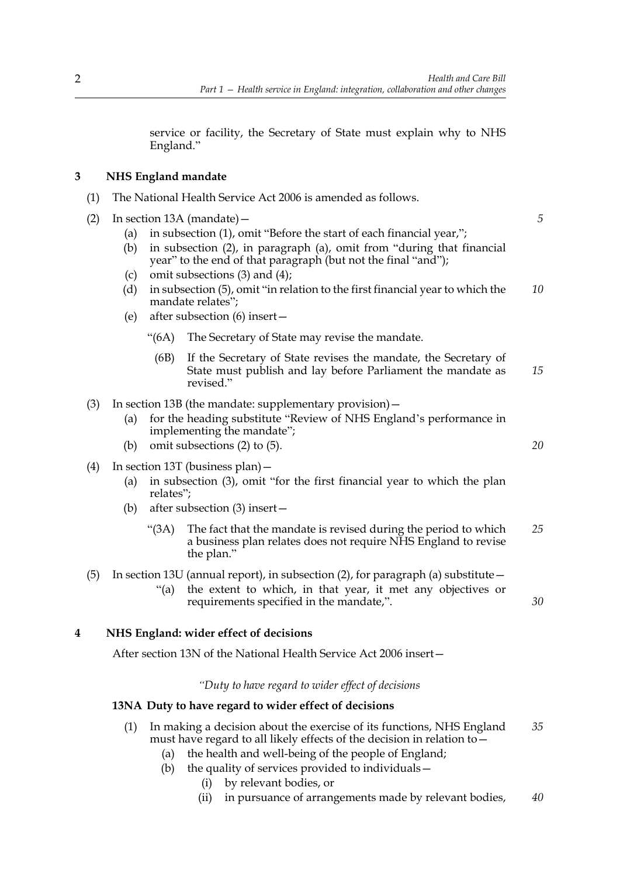*5*

*20*

*30*

service or facility, the Secretary of State must explain why to NHS England."

## **3 NHS England mandate**

- (1) The National Health Service Act 2006 is amended as follows.
- (2) In section 13A (mandate)—
	- (a) in subsection (1), omit "Before the start of each financial year,";
	- (b) in subsection (2), in paragraph (a), omit from "during that financial year" to the end of that paragraph (but not the final "and");
	- (c) omit subsections (3) and (4);
	- (d) in subsection (5), omit "in relation to the first financial year to which the mandate relates"; *10*
	- (e) after subsection (6) insert—
		- "(6A) The Secretary of State may revise the mandate.
			- (6B) If the Secretary of State revises the mandate, the Secretary of State must publish and lay before Parliament the mandate as revised." *15*
- (3) In section 13B (the mandate: supplementary provision)—
	- (a) for the heading substitute "Review of NHS England's performance in implementing the mandate";
	- (b) omit subsections (2) to (5).
- (4) In section 13T (business plan)—
	- (a) in subsection (3), omit "for the first financial year to which the plan relates";
	- (b) after subsection (3) insert—
		- "(3A) The fact that the mandate is revised during the period to which a business plan relates does not require NHS England to revise the plan." *25*
- (5) In section 13U (annual report), in subsection (2), for paragraph (a) substitute  $-$ "(a) the extent to which, in that year, it met any objectives or requirements specified in the mandate,".

## **4 NHS England: wider effect of decisions**

After section 13N of the National Health Service Act 2006 insert—

*"Duty to have regard to wider effect of decisions*

## **13NA Duty to have regard to wider effect of decisions**

- (1) In making a decision about the exercise of its functions, NHS England must have regard to all likely effects of the decision in relation to— *35*
	- (a) the health and well-being of the people of England;
	- (b) the quality of services provided to individuals—
		- (i) by relevant bodies, or
		- (ii) in pursuance of arrangements made by relevant bodies, *40*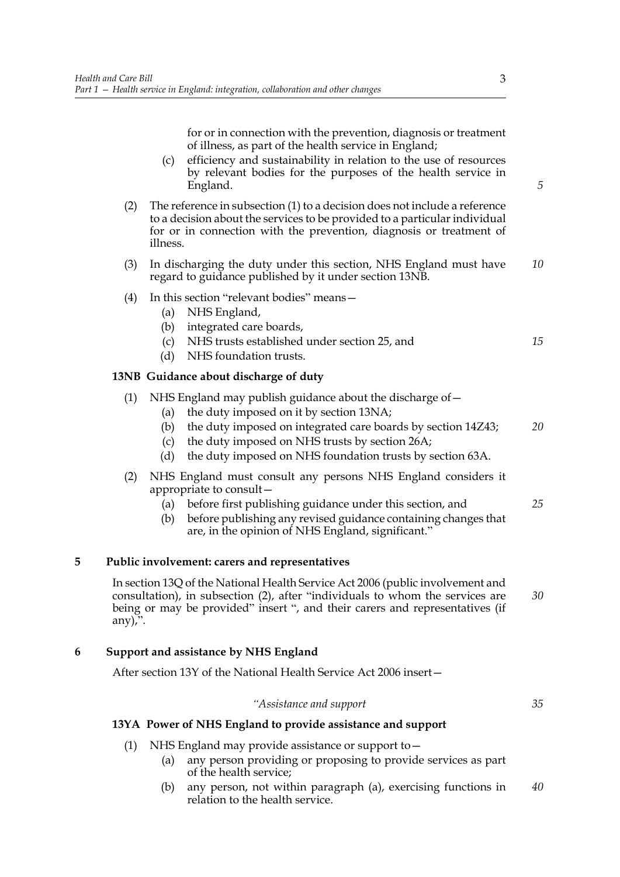for or in connection with the prevention, diagnosis or treatment of illness, as part of the health service in England;

- (c) efficiency and sustainability in relation to the use of resources by relevant bodies for the purposes of the health service in England.
- (2) The reference in subsection (1) to a decision does not include a reference to a decision about the services to be provided to a particular individual for or in connection with the prevention, diagnosis or treatment of illness.
- (3) In discharging the duty under this section, NHS England must have regard to guidance published by it under section 13NB. *10*
- (4) In this section "relevant bodies" means—
	- (a) NHS England,
	- (b) integrated care boards,
	- (c) NHS trusts established under section 25, and
	- (d) NHS foundation trusts.

#### **13NB Guidance about discharge of duty**

- (1) NHS England may publish guidance about the discharge of—
	- (a) the duty imposed on it by section 13NA;
	- (b) the duty imposed on integrated care boards by section 14Z43; *20*
	- (c) the duty imposed on NHS trusts by section 26A;
	- (d) the duty imposed on NHS foundation trusts by section 63A.
- (2) NHS England must consult any persons NHS England considers it appropriate to consult—
	- (a) before first publishing guidance under this section, and
	- (b) before publishing any revised guidance containing changes that are, in the opinion of NHS England, significant."

#### **5 Public involvement: carers and representatives**

In section 13Q of the National Health Service Act 2006 (public involvement and consultation), in subsection (2), after "individuals to whom the services are being or may be provided" insert ", and their carers and representatives (if any $)$ . *30*

## **6 Support and assistance by NHS England**

After section 13Y of the National Health Service Act 2006 insert—

#### *"Assistance and support*

*35*

#### **13YA Power of NHS England to provide assistance and support**

- (1) NHS England may provide assistance or support to—
	- (a) any person providing or proposing to provide services as part of the health service;
	- (b) any person, not within paragraph (a), exercising functions in relation to the health service. *40*

*5*

*15*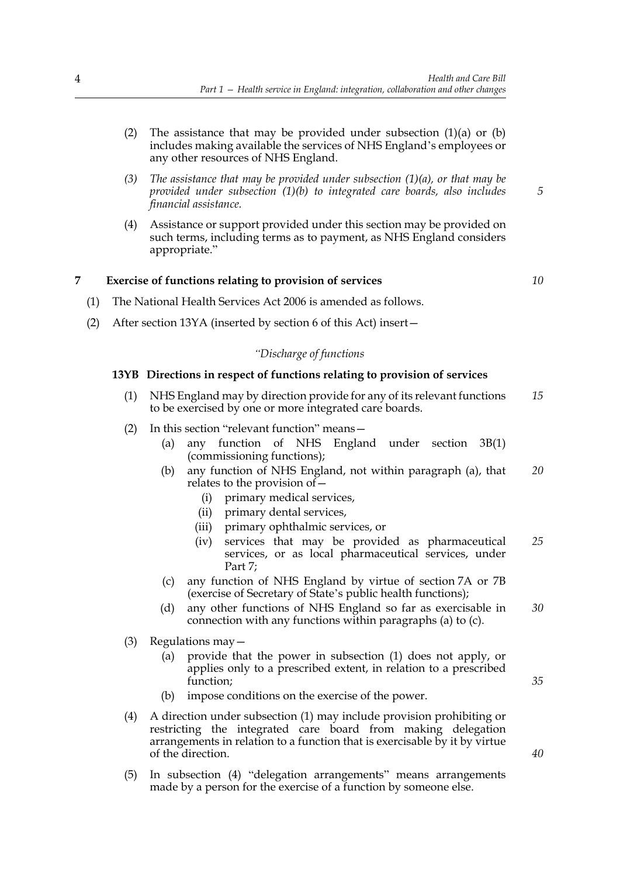- (2) The assistance that may be provided under subsection  $(1)(a)$  or  $(b)$ includes making available the services of NHS England's employees or any other resources of NHS England.
- *(3) The assistance that may be provided under subsection (1)(a), or that may be provided under subsection (1)(b) to integrated care boards, also includes financial assistance.*
- (4) Assistance or support provided under this section may be provided on such terms, including terms as to payment, as NHS England considers appropriate."

## **7 Exercise of functions relating to provision of services**

*10*

*5*

- (1) The National Health Services Act 2006 is amended as follows.
- (2) After section 13YA (inserted by section 6 of this Act) insert—

## *"Discharge of functions*

## **13YB Directions in respect of functions relating to provision of services**

- (1) NHS England may by direction provide for any of its relevant functions to be exercised by one or more integrated care boards. *15*
- (2) In this section "relevant function" means—
	- (a) any function of NHS England under section 3B(1) (commissioning functions);
	- (b) any function of NHS England, not within paragraph (a), that relates to the provision of— *20*
		- (i) primary medical services,
		- (ii) primary dental services,
		- (iii) primary ophthalmic services, or
		- (iv) services that may be provided as pharmaceutical services, or as local pharmaceutical services, under Part 7; *25*
	- (c) any function of NHS England by virtue of section 7A or 7B (exercise of Secretary of State's public health functions);
	- (d) any other functions of NHS England so far as exercisable in connection with any functions within paragraphs (a) to (c). *30*
- (3) Regulations may—
	- (a) provide that the power in subsection (1) does not apply, or applies only to a prescribed extent, in relation to a prescribed function;
	- (b) impose conditions on the exercise of the power.
- (4) A direction under subsection (1) may include provision prohibiting or restricting the integrated care board from making delegation arrangements in relation to a function that is exercisable by it by virtue of the direction.
- (5) In subsection (4) "delegation arrangements" means arrangements made by a person for the exercise of a function by someone else.

*40*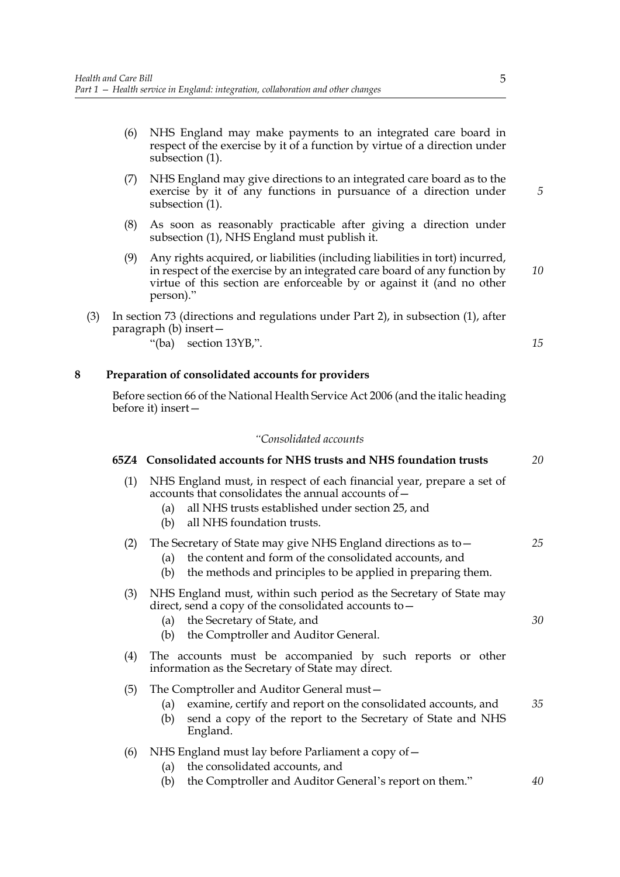- (6) NHS England may make payments to an integrated care board in respect of the exercise by it of a function by virtue of a direction under subsection (1).
- (7) NHS England may give directions to an integrated care board as to the exercise by it of any functions in pursuance of a direction under subsection (1).
- (8) As soon as reasonably practicable after giving a direction under subsection (1), NHS England must publish it.
- (9) Any rights acquired, or liabilities (including liabilities in tort) incurred, in respect of the exercise by an integrated care board of any function by virtue of this section are enforceable by or against it (and no other person)." *10*
- (3) In section 73 (directions and regulations under Part 2), in subsection (1), after paragraph (b) insert—
	- "(ba) section 13YB,".

## **8 Preparation of consolidated accounts for providers**

Before section 66 of the National Health Service Act 2006 (and the italic heading before it) insert—

## *"Consolidated accounts*

|     | 65Z4 Consolidated accounts for NHS trusts and NHS foundation trusts                                                                                                                                                          | 20 |
|-----|------------------------------------------------------------------------------------------------------------------------------------------------------------------------------------------------------------------------------|----|
| (1) | NHS England must, in respect of each financial year, prepare a set of<br>accounts that consolidates the annual accounts of -<br>all NHS trusts established under section 25, and<br>(a)<br>all NHS foundation trusts.<br>(b) |    |
| (2) | The Secretary of State may give NHS England directions as to -<br>the content and form of the consolidated accounts, and<br>(a)<br>the methods and principles to be applied in preparing them.<br>(b)                        | 25 |
| (3) | NHS England must, within such period as the Secretary of State may<br>direct, send a copy of the consolidated accounts to -<br>the Secretary of State, and<br>(a)<br>the Comptroller and Auditor General.<br>(b)             | 30 |
| (4) | The accounts must be accompanied by such reports or other<br>information as the Secretary of State may direct.                                                                                                               |    |
| (5) | The Comptroller and Auditor General must-<br>examine, certify and report on the consolidated accounts, and<br>(a)<br>send a copy of the report to the Secretary of State and NHS<br>(b)<br>England.                          | 35 |
| (6) | NHS England must lay before Parliament a copy of -<br>the consolidated accounts, and<br>(a)<br>the Comptroller and Auditor General's report on them."<br>(b)                                                                 | 40 |

*15*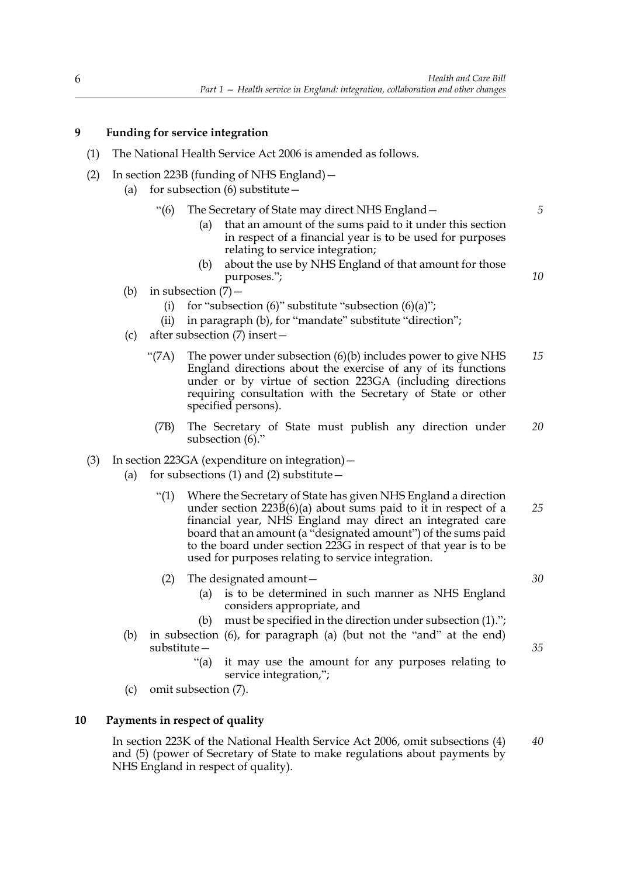## **9 Funding for service integration**

- (1) The National Health Service Act 2006 is amended as follows.
- (2) In section 223B (funding of NHS England)—
	- (a) for subsection  $(6)$  substitute  $-$ 
		- "(6) The Secretary of State may direct NHS England—
			- (a) that an amount of the sums paid to it under this section in respect of a financial year is to be used for purposes relating to service integration;
			- (b) about the use by NHS England of that amount for those purposes.";
	- (b) in subsection  $(7)$ 
		- (i) for "subsection  $(6)$ " substitute "subsection  $(6)(a)$ ";
		- (ii) in paragraph (b), for "mandate" substitute "direction";
	- (c) after subsection (7) insert—
		- "(7A) The power under subsection (6)(b) includes power to give NHS England directions about the exercise of any of its functions under or by virtue of section 223GA (including directions requiring consultation with the Secretary of State or other specified persons). *15*
			- (7B) The Secretary of State must publish any direction under subsection (6)." *20*
- (3) In section 223GA (expenditure on integration)—
	- (a) for subsections (1) and (2) substitute  $-$ 
		- "(1) Where the Secretary of State has given NHS England a direction under section 223B(6)(a) about sums paid to it in respect of a financial year, NHS England may direct an integrated care board that an amount (a "designated amount") of the sums paid to the board under section 223G in respect of that year is to be used for purposes relating to service integration. *25*
		- (2) The designated amount—
			- (a) is to be determined in such manner as NHS England considers appropriate, and
			- (b) must be specified in the direction under subsection (1).";
	- (b) in subsection (6), for paragraph (a) (but not the "and" at the end) substitute—
		- "(a) it may use the amount for any purposes relating to service integration,";
	- (c) omit subsection (7).

#### **10 Payments in respect of quality**

In section 223K of the National Health Service Act 2006, omit subsections (4) and (5) (power of Secretary of State to make regulations about payments by NHS England in respect of quality). *40*

*35*

*30*

*5*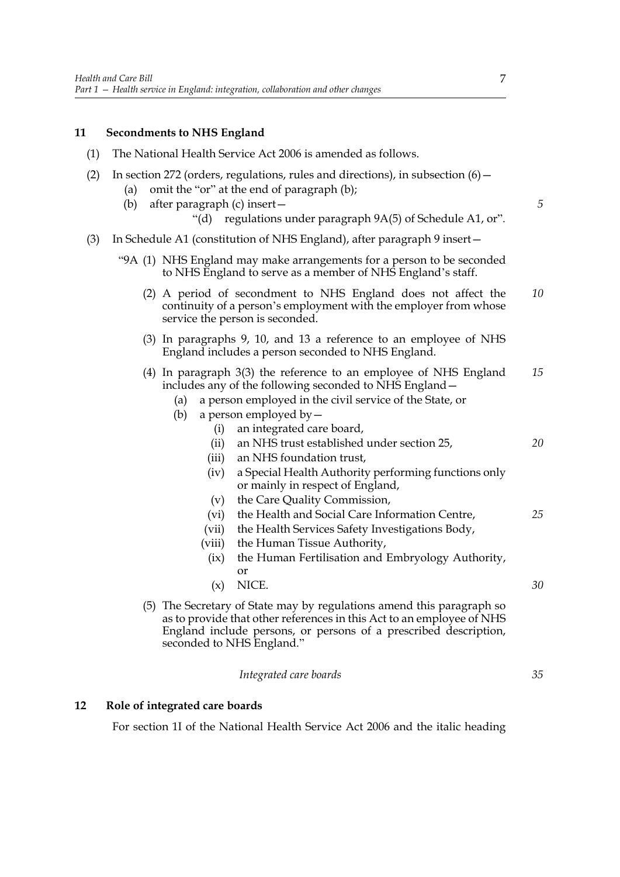## **11 Secondments to NHS England**

- (1) The National Health Service Act 2006 is amended as follows.
- (2) In section 272 (orders, regulations, rules and directions), in subsection  $(6)$  -
	- (a) omit the "or" at the end of paragraph (b);
	- (b) after paragraph (c) insert—
		- "(d) regulations under paragraph 9A(5) of Schedule A1, or".
- (3) In Schedule A1 (constitution of NHS England), after paragraph 9 insert—
	- "9A (1) NHS England may make arrangements for a person to be seconded to NHS England to serve as a member of NHS England's staff.
		- (2) A period of secondment to NHS England does not affect the continuity of a person's employment with the employer from whose service the person is seconded. *10*
		- (3) In paragraphs 9, 10, and 13 a reference to an employee of NHS England includes a person seconded to NHS England.
		- (4) In paragraph 3(3) the reference to an employee of NHS England includes any of the following seconded to NHS England— *15*
			- (a) a person employed in the civil service of the State, or
			- (b) a person employed by  $-$ 
				- (i) an integrated care board, (ii) an NHS trust established under section 25,
				- (iii) an NHS foundation trust,
				- (iv) a Special Health Authority performing functions only or mainly in respect of England,
				- (v) the Care Quality Commission,
				- (vi) the Health and Social Care Information Centre, *25*
				- (vii) the Health Services Safety Investigations Body,
				- (viii) the Human Tissue Authority,
				- (ix) the Human Fertilisation and Embryology Authority, or
				- (x) NICE. *30*
		- (5) The Secretary of State may by regulations amend this paragraph so as to provide that other references in this Act to an employee of NHS England include persons, or persons of a prescribed description, seconded to NHS England."

*Integrated care boards*

## **12 Role of integrated care boards**

For section 1I of the National Health Service Act 2006 and the italic heading

*5*

*20*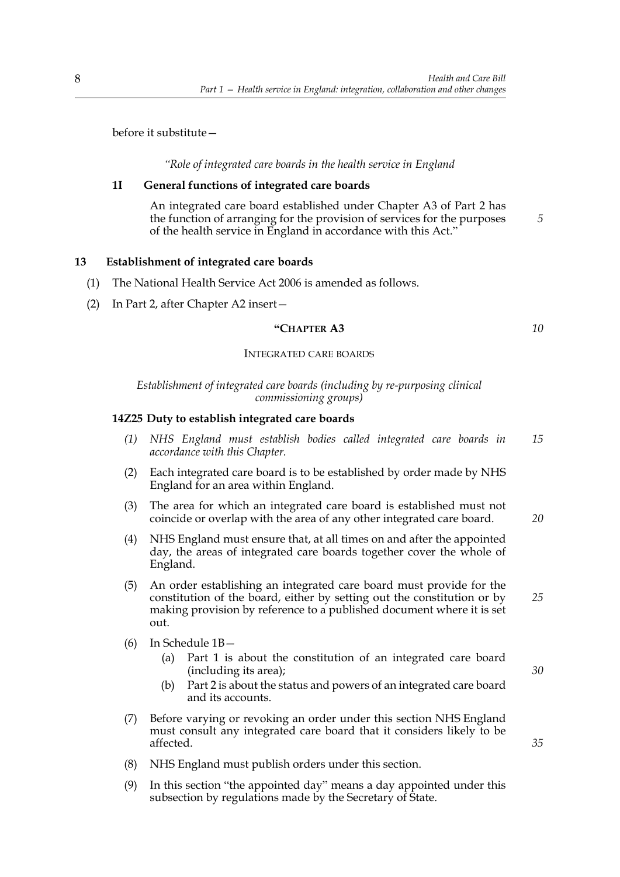before it substitute—

*"Role of integrated care boards in the health service in England*

## **1I General functions of integrated care boards**

An integrated care board established under Chapter A3 of Part 2 has the function of arranging for the provision of services for the purposes of the health service in England in accordance with this Act."

## **13 Establishment of integrated care boards**

- (1) The National Health Service Act 2006 is amended as follows.
- (2) In Part 2, after Chapter A2 insert—

#### **"CHAPTER A3**

#### INTEGRATED CARE BOARDS

*Establishment of integrated care boards (including by re-purposing clinical commissioning groups)*

## **14Z25 Duty to establish integrated care boards**

- *(1) NHS England must establish bodies called integrated care boards in accordance with this Chapter. 15*
- (2) Each integrated care board is to be established by order made by NHS England for an area within England.
- (3) The area for which an integrated care board is established must not coincide or overlap with the area of any other integrated care board.
- (4) NHS England must ensure that, at all times on and after the appointed day, the areas of integrated care boards together cover the whole of England.
- (5) An order establishing an integrated care board must provide for the constitution of the board, either by setting out the constitution or by making provision by reference to a published document where it is set out.
- (6) In Schedule 1B—
	- (a) Part 1 is about the constitution of an integrated care board (including its area);
	- (b) Part 2 is about the status and powers of an integrated care board and its accounts.
- (7) Before varying or revoking an order under this section NHS England must consult any integrated care board that it considers likely to be affected.
- (8) NHS England must publish orders under this section.
- (9) In this section "the appointed day" means a day appointed under this subsection by regulations made by the Secretary of State.

*30*

*35*

*20*

*25*

*5*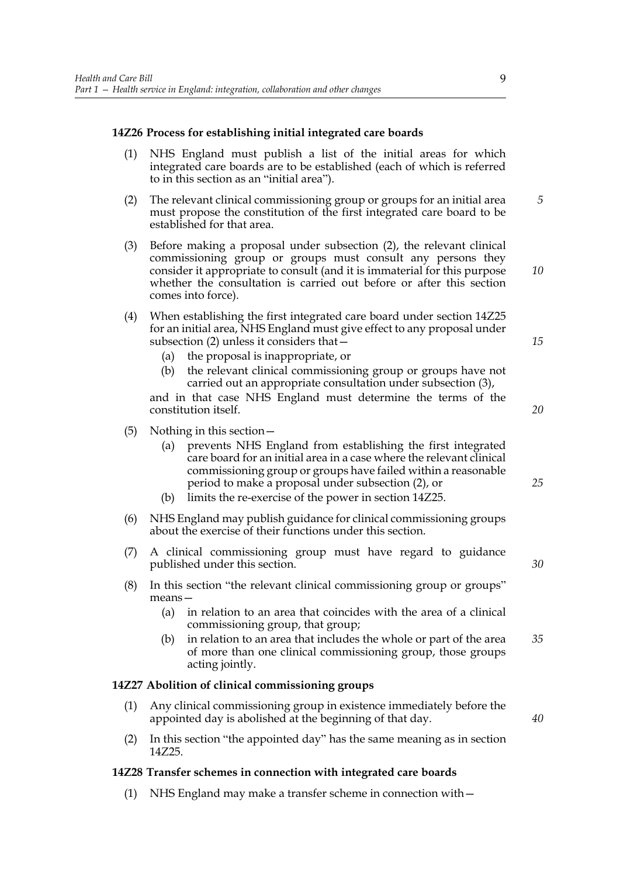## **14Z26 Process for establishing initial integrated care boards**

- (1) NHS England must publish a list of the initial areas for which integrated care boards are to be established (each of which is referred to in this section as an "initial area").
- (2) The relevant clinical commissioning group or groups for an initial area must propose the constitution of the first integrated care board to be established for that area. *5*
- (3) Before making a proposal under subsection (2), the relevant clinical commissioning group or groups must consult any persons they consider it appropriate to consult (and it is immaterial for this purpose whether the consultation is carried out before or after this section comes into force).
- (4) When establishing the first integrated care board under section 14Z25 for an initial area, NHS England must give effect to any proposal under subsection (2) unless it considers that—
	- (a) the proposal is inappropriate, or
	- (b) the relevant clinical commissioning group or groups have not carried out an appropriate consultation under subsection (3),

and in that case NHS England must determine the terms of the constitution itself.

- (5) Nothing in this section—
	- (a) prevents NHS England from establishing the first integrated care board for an initial area in a case where the relevant clinical commissioning group or groups have failed within a reasonable period to make a proposal under subsection (2), or
	- (b) limits the re-exercise of the power in section 14Z25.
- (6) NHS England may publish guidance for clinical commissioning groups about the exercise of their functions under this section.
- (7) A clinical commissioning group must have regard to guidance published under this section.
- (8) In this section "the relevant clinical commissioning group or groups" means—
	- (a) in relation to an area that coincides with the area of a clinical commissioning group, that group;
	- (b) in relation to an area that includes the whole or part of the area of more than one clinical commissioning group, those groups acting jointly. *35*

#### **14Z27 Abolition of clinical commissioning groups**

- (1) Any clinical commissioning group in existence immediately before the appointed day is abolished at the beginning of that day.
- (2) In this section "the appointed day" has the same meaning as in section 14Z25.

#### **14Z28 Transfer schemes in connection with integrated care boards**

(1) NHS England may make a transfer scheme in connection with—

*25*

*10*

*15*

*20*

*30*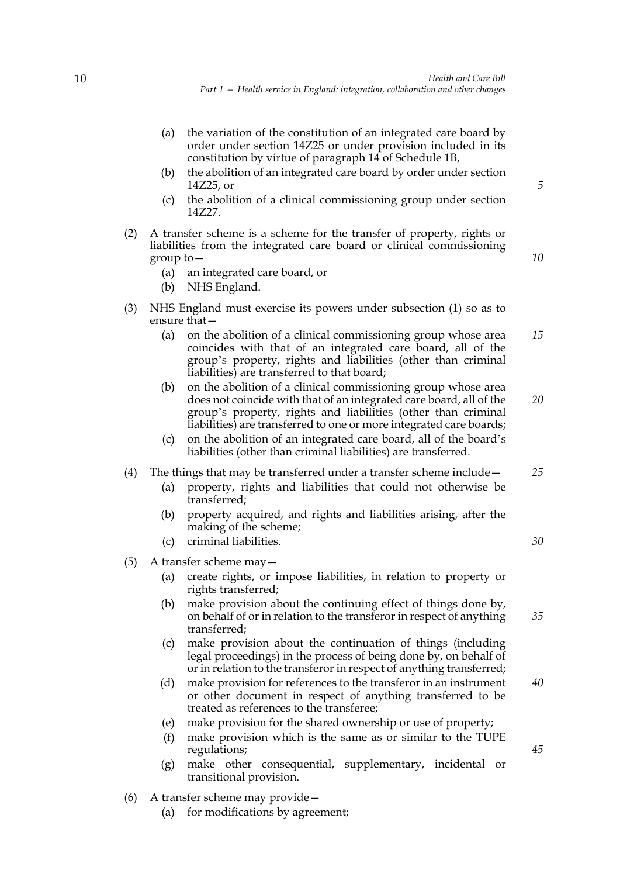- (a) the variation of the constitution of an integrated care board by order under section 14Z25 or under provision included in its constitution by virtue of paragraph 14 of Schedule 1B,
- (b) the abolition of an integrated care board by order under section 14Z25, or
- (c) the abolition of a clinical commissioning group under section 14Z27.
- (2) A transfer scheme is a scheme for the transfer of property, rights or liabilities from the integrated care board or clinical commissioning group to—
	- (a) an integrated care board, or
	- (b) NHS England.
- (3) NHS England must exercise its powers under subsection (1) so as to ensure that—
	- (a) on the abolition of a clinical commissioning group whose area coincides with that of an integrated care board, all of the group's property, rights and liabilities (other than criminal liabilities) are transferred to that board; *15*
	- (b) on the abolition of a clinical commissioning group whose area does not coincide with that of an integrated care board, all of the group's property, rights and liabilities (other than criminal liabilities) are transferred to one or more integrated care boards;
	- (c) on the abolition of an integrated care board, all of the board's liabilities (other than criminal liabilities) are transferred.
- (4) The things that may be transferred under a transfer scheme include—
	- (a) property, rights and liabilities that could not otherwise be transferred;
	- (b) property acquired, and rights and liabilities arising, after the making of the scheme;
	- (c) criminal liabilities.
- (5) A transfer scheme may—
	- (a) create rights, or impose liabilities, in relation to property or rights transferred;
	- (b) make provision about the continuing effect of things done by, on behalf of or in relation to the transferor in respect of anything transferred; *35*
	- (c) make provision about the continuation of things (including legal proceedings) in the process of being done by, on behalf of or in relation to the transferor in respect of anything transferred;
	- (d) make provision for references to the transferor in an instrument or other document in respect of anything transferred to be treated as references to the transferee;
	- (e) make provision for the shared ownership or use of property;
	- (f) make provision which is the same as or similar to the TUPE regulations;
	- (g) make other consequential, supplementary, incidental or transitional provision.
- (6) A transfer scheme may provide—
	- (a) for modifications by agreement;

*5*

*10*

*25*

*20*

*30*

*40*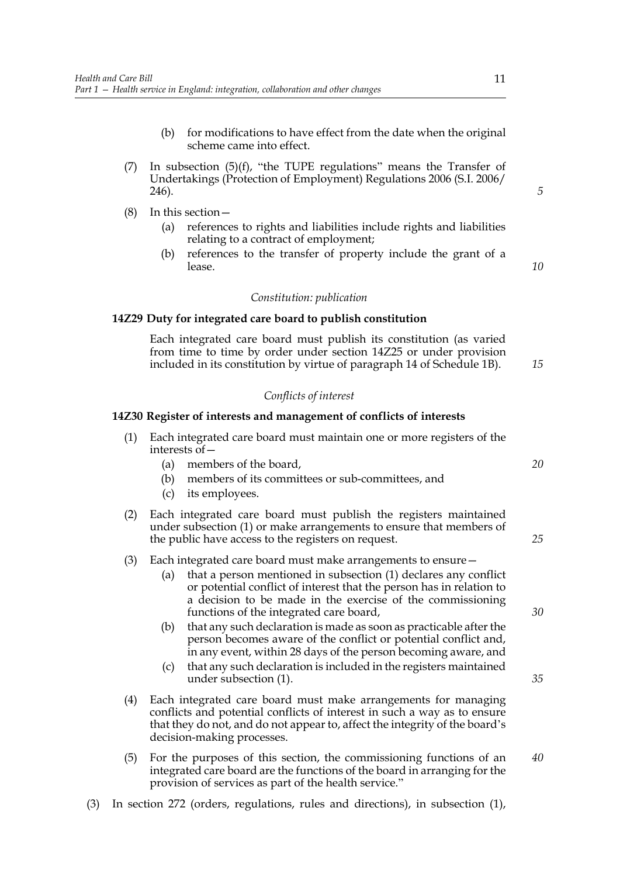- (b) for modifications to have effect from the date when the original scheme came into effect.
- (7) In subsection  $(5)(f)$ , "the TUPE regulations" means the Transfer of Undertakings (Protection of Employment) Regulations 2006 (S.I. 2006/ 246).
- (8) In this section—
	- (a) references to rights and liabilities include rights and liabilities relating to a contract of employment;
	- (b) references to the transfer of property include the grant of a lease.

*10*

*15*

*20*

*25*

*5*

#### *Constitution: publication*

## **14Z29 Duty for integrated care board to publish constitution**

 Each integrated care board must publish its constitution (as varied from time to time by order under section 14Z25 or under provision included in its constitution by virtue of paragraph 14 of Schedule 1B).

## *Conflicts of interest*

#### **14Z30 Register of interests and management of conflicts of interests**

- (1) Each integrated care board must maintain one or more registers of the interests of—
	- (a) members of the board,
	- (b) members of its committees or sub-committees, and
	- (c) its employees.
- (2) Each integrated care board must publish the registers maintained under subsection (1) or make arrangements to ensure that members of the public have access to the registers on request.
- (3) Each integrated care board must make arrangements to ensure—
	- (a) that a person mentioned in subsection (1) declares any conflict or potential conflict of interest that the person has in relation to a decision to be made in the exercise of the commissioning functions of the integrated care board,
	- (b) that any such declaration is made as soon as practicable after the person becomes aware of the conflict or potential conflict and, in any event, within 28 days of the person becoming aware, and
	- (c) that any such declaration is included in the registers maintained under subsection (1).
- (4) Each integrated care board must make arrangements for managing conflicts and potential conflicts of interest in such a way as to ensure that they do not, and do not appear to, affect the integrity of the board's decision-making processes.
- (5) For the purposes of this section, the commissioning functions of an integrated care board are the functions of the board in arranging for the provision of services as part of the health service." *40*
- (3) In section 272 (orders, regulations, rules and directions), in subsection (1),

*30*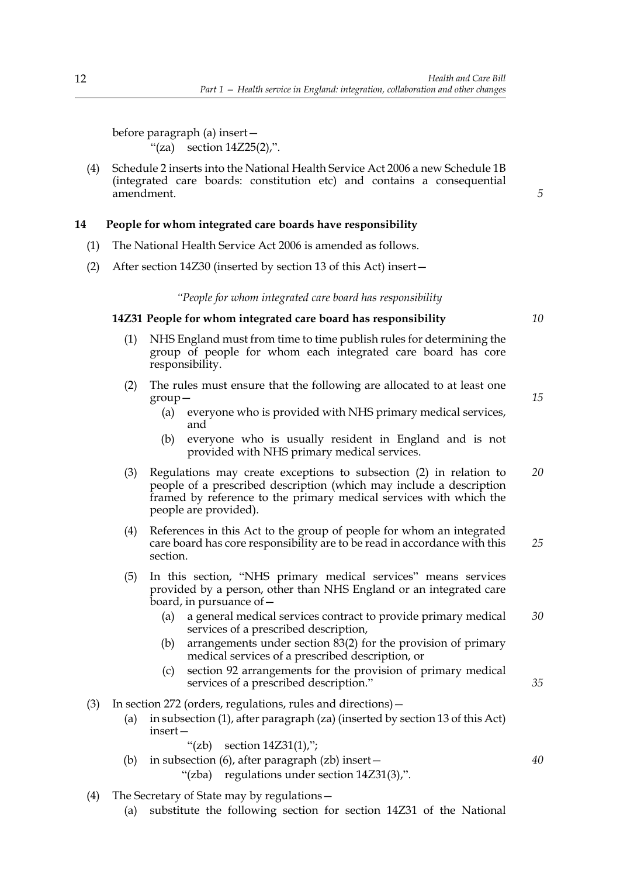before paragraph (a) insert— "(za) section  $14Z25(2)$ ,".

(4) Schedule 2 inserts into the National Health Service Act 2006 a new Schedule 1B (integrated care boards: constitution etc) and contains a consequential amendment.

## **14 People for whom integrated care boards have responsibility**

- (1) The National Health Service Act 2006 is amended as follows.
- (2) After section 14Z30 (inserted by section 13 of this Act) insert—

*"People for whom integrated care board has responsibility*

## **14Z31 People for whom integrated care board has responsibility**

- (1) NHS England must from time to time publish rules for determining the group of people for whom each integrated care board has core responsibility.
- (2) The rules must ensure that the following are allocated to at least one group—
	- (a) everyone who is provided with NHS primary medical services, and
	- (b) everyone who is usually resident in England and is not provided with NHS primary medical services.
- (3) Regulations may create exceptions to subsection (2) in relation to people of a prescribed description (which may include a description framed by reference to the primary medical services with which the people are provided). *20*
- (4) References in this Act to the group of people for whom an integrated care board has core responsibility are to be read in accordance with this section. *25*
- (5) In this section, "NHS primary medical services" means services provided by a person, other than NHS England or an integrated care board, in pursuance of—
	- (a) a general medical services contract to provide primary medical services of a prescribed description, *30*
	- (b) arrangements under section 83(2) for the provision of primary medical services of a prescribed description, or
	- (c) section 92 arrangements for the provision of primary medical services of a prescribed description."
- (3) In section 272 (orders, regulations, rules and directions)—
	- (a) in subsection (1), after paragraph (za) (inserted by section 13 of this Act) insert—

"(zb) section  $14Z31(1)$ ";

- (b) in subsection (6), after paragraph  $(zb)$  insert  $-$ 
	- "(zba) regulations under section 14Z31(3),".
- (4) The Secretary of State may by regulations—
	- (a) substitute the following section for section 14Z31 of the National

*10*

*15*

*35*

*40*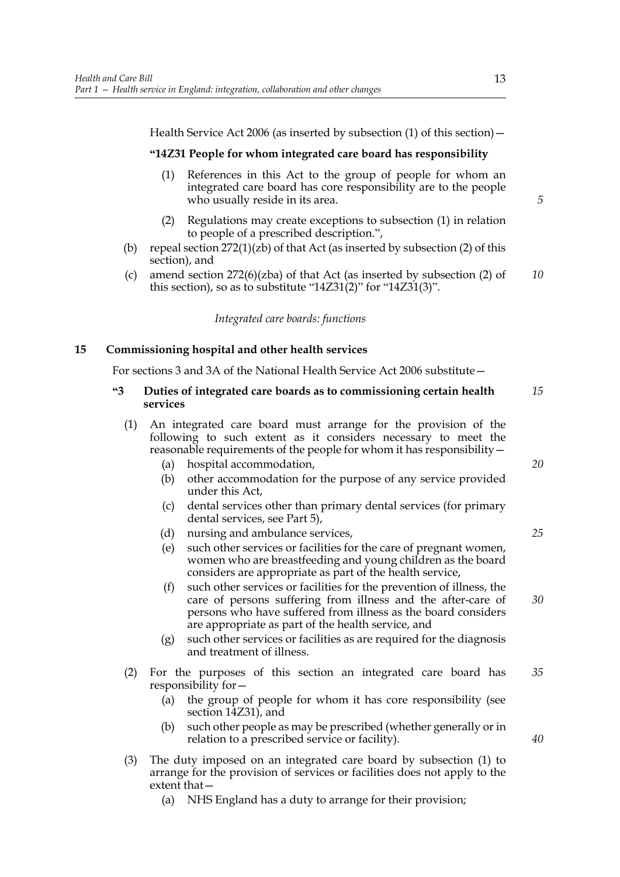Health Service Act 2006 (as inserted by subsection (1) of this section)—

## **"14Z31 People for whom integrated care board has responsibility**

- (1) References in this Act to the group of people for whom an integrated care board has core responsibility are to the people who usually reside in its area.
- (2) Regulations may create exceptions to subsection (1) in relation to people of a prescribed description.",
- (b) repeal section  $272(1)(zb)$  of that Act (as inserted by subsection (2) of this section), and
- (c) amend section 272(6)(zba) of that Act (as inserted by subsection (2) of this section), so as to substitute "14Z31(2)" for "14Z31(3)". *10*

*Integrated care boards: functions*

## **15 Commissioning hospital and other health services**

For sections 3 and 3A of the National Health Service Act 2006 substitute—

#### **"3 Duties of integrated care boards as to commissioning certain health services** *15*

| (1) An integrated care board must arrange for the provision of the     |  |  |  |  |  |
|------------------------------------------------------------------------|--|--|--|--|--|
| following to such extent as it considers necessary to meet the         |  |  |  |  |  |
| reasonable requirements of the people for whom it has responsibility - |  |  |  |  |  |

- (a) hospital accommodation,
- (b) other accommodation for the purpose of any service provided under this Act,
- (c) dental services other than primary dental services (for primary dental services, see Part 5),
- (d) nursing and ambulance services,
- (e) such other services or facilities for the care of pregnant women, women who are breastfeeding and young children as the board considers are appropriate as part of the health service,
- (f) such other services or facilities for the prevention of illness, the care of persons suffering from illness and the after-care of persons who have suffered from illness as the board considers are appropriate as part of the health service, and
- (g) such other services or facilities as are required for the diagnosis and treatment of illness.
- (2) For the purposes of this section an integrated care board has responsibility for— *35*
	- (a) the group of people for whom it has core responsibility (see section 14Z31), and
	- (b) such other people as may be prescribed (whether generally or in relation to a prescribed service or facility).
- (3) The duty imposed on an integrated care board by subsection (1) to arrange for the provision of services or facilities does not apply to the extent that—
	- (a) NHS England has a duty to arrange for their provision;

*20*

*5*

*25*

*30*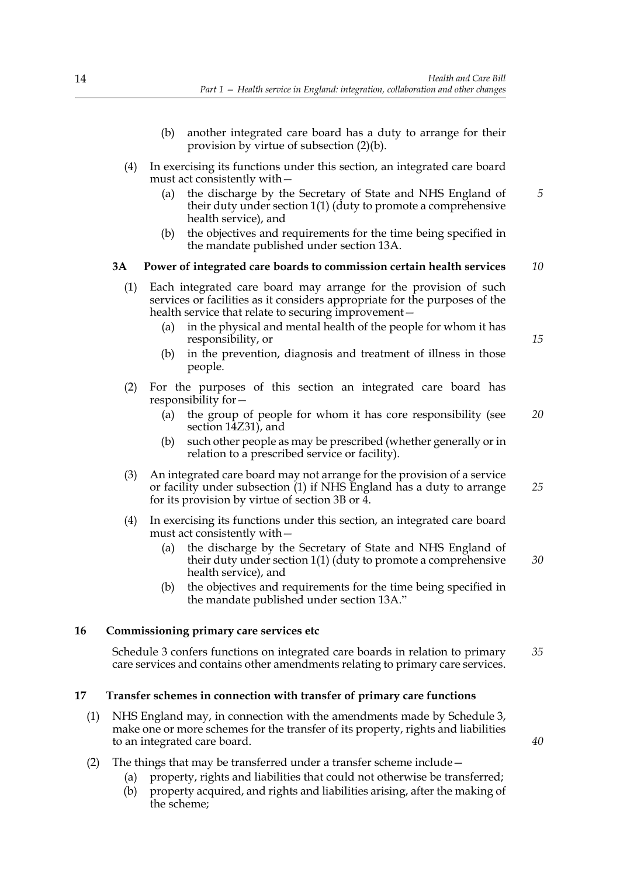- (b) another integrated care board has a duty to arrange for their provision by virtue of subsection (2)(b).
- (4) In exercising its functions under this section, an integrated care board must act consistently with—
	- (a) the discharge by the Secretary of State and NHS England of their duty under section 1(1) (duty to promote a comprehensive health service), and *5*
	- (b) the objectives and requirements for the time being specified in the mandate published under section 13A.

#### **3A Power of integrated care boards to commission certain health services** *10*

- (1) Each integrated care board may arrange for the provision of such services or facilities as it considers appropriate for the purposes of the health service that relate to securing improvement—
	- (a) in the physical and mental health of the people for whom it has responsibility, or
	- (b) in the prevention, diagnosis and treatment of illness in those people.
- (2) For the purposes of this section an integrated care board has responsibility for—
	- (a) the group of people for whom it has core responsibility (see section 14Z31), and *20*
	- (b) such other people as may be prescribed (whether generally or in relation to a prescribed service or facility).
- (3) An integrated care board may not arrange for the provision of a service or facility under subsection (1) if NHS England has a duty to arrange for its provision by virtue of section 3B or 4. *25*
- (4) In exercising its functions under this section, an integrated care board must act consistently with—
	- (a) the discharge by the Secretary of State and NHS England of their duty under section  $1(1)$  (duty to promote a comprehensive health service), and *30*
	- (b) the objectives and requirements for the time being specified in the mandate published under section 13A."

## **16 Commissioning primary care services etc**

Schedule 3 confers functions on integrated care boards in relation to primary care services and contains other amendments relating to primary care services. *35*

## **17 Transfer schemes in connection with transfer of primary care functions**

(1) NHS England may, in connection with the amendments made by Schedule 3, make one or more schemes for the transfer of its property, rights and liabilities to an integrated care board.

(2) The things that may be transferred under a transfer scheme include—

- (a) property, rights and liabilities that could not otherwise be transferred;
- (b) property acquired, and rights and liabilities arising, after the making of the scheme;

*15*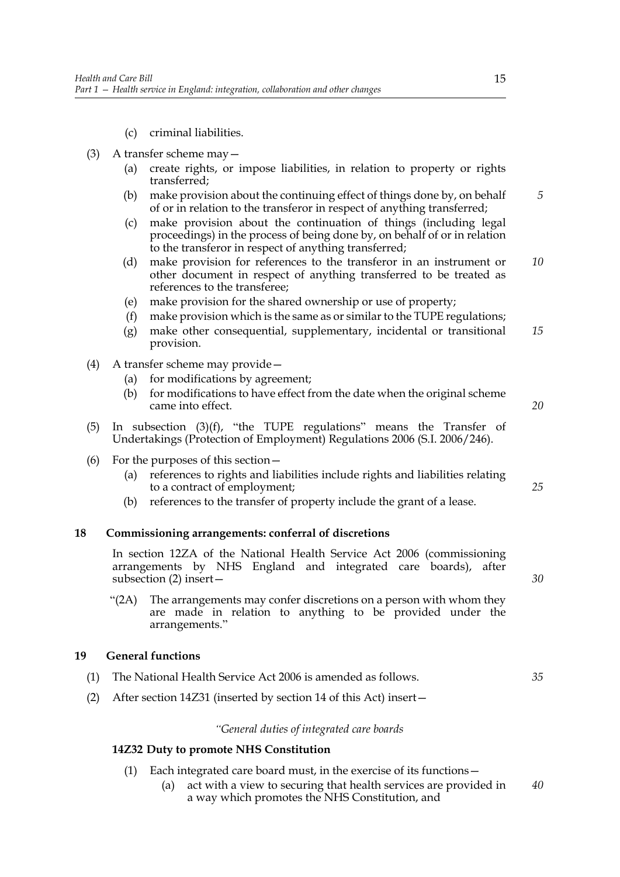- (c) criminal liabilities.
- (3) A transfer scheme may—
	- (a) create rights, or impose liabilities, in relation to property or rights transferred;
	- (b) make provision about the continuing effect of things done by, on behalf of or in relation to the transferor in respect of anything transferred; *5*
	- (c) make provision about the continuation of things (including legal proceedings) in the process of being done by, on behalf of or in relation to the transferor in respect of anything transferred;
	- (d) make provision for references to the transferor in an instrument or other document in respect of anything transferred to be treated as references to the transferee; *10*
	- (e) make provision for the shared ownership or use of property;
	- (f) make provision which is the same as or similar to the TUPE regulations;
	- (g) make other consequential, supplementary, incidental or transitional provision. *15*
- (4) A transfer scheme may provide—
	- (a) for modifications by agreement;
	- (b) for modifications to have effect from the date when the original scheme came into effect.
- (5) In subsection (3)(f), "the TUPE regulations" means the Transfer of Undertakings (Protection of Employment) Regulations 2006 (S.I. 2006/246).
- (6) For the purposes of this section—
	- (a) references to rights and liabilities include rights and liabilities relating to a contract of employment;
	- (b) references to the transfer of property include the grant of a lease.

## **18 Commissioning arrangements: conferral of discretions**

In section 12ZA of the National Health Service Act 2006 (commissioning arrangements by NHS England and integrated care boards), after subsection (2) insert—

"(2A) The arrangements may confer discretions on a person with whom they are made in relation to anything to be provided under the arrangements."

## **19 General functions**

- (1) The National Health Service Act 2006 is amended as follows. *35*
- (2) After section 14Z31 (inserted by section 14 of this Act) insert—

## *"General duties of integrated care boards*

## **14Z32 Duty to promote NHS Constitution**

- (1) Each integrated care board must, in the exercise of its functions—
	- (a) act with a view to securing that health services are provided in a way which promotes the NHS Constitution, and *40*

*20*

*25*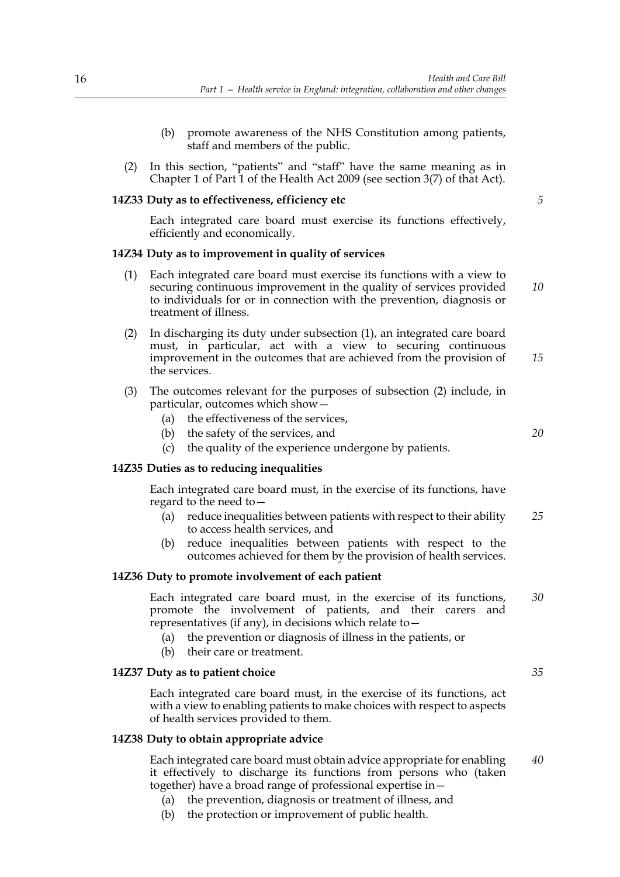- (b) promote awareness of the NHS Constitution among patients, staff and members of the public.
- (2) In this section, "patients" and "staff" have the same meaning as in Chapter 1 of Part 1 of the Health Act 2009 (see section 3(7) of that Act).

## **14Z33 Duty as to effectiveness, efficiency etc**

Each integrated care board must exercise its functions effectively, efficiently and economically.

#### **14Z34 Duty as to improvement in quality of services**

- (1) Each integrated care board must exercise its functions with a view to securing continuous improvement in the quality of services provided to individuals for or in connection with the prevention, diagnosis or treatment of illness. *10*
- (2) In discharging its duty under subsection (1), an integrated care board must, in particular, act with a view to securing continuous improvement in the outcomes that are achieved from the provision of the services. *15*
- (3) The outcomes relevant for the purposes of subsection (2) include, in particular, outcomes which show—
	- (a) the effectiveness of the services,
	- (b) the safety of the services, and
	- (c) the quality of the experience undergone by patients.

#### **14Z35 Duties as to reducing inequalities**

Each integrated care board must, in the exercise of its functions, have regard to the need to  $-$ 

- (a) reduce inequalities between patients with respect to their ability to access health services, and *25*
- (b) reduce inequalities between patients with respect to the outcomes achieved for them by the provision of health services.

## **14Z36 Duty to promote involvement of each patient**

Each integrated care board must, in the exercise of its functions, promote the involvement of patients, and their carers and representatives (if any), in decisions which relate to— *30*

- (a) the prevention or diagnosis of illness in the patients, or
- (b) their care or treatment.

#### **14Z37 Duty as to patient choice**

Each integrated care board must, in the exercise of its functions, act with a view to enabling patients to make choices with respect to aspects of health services provided to them.

#### **14Z38 Duty to obtain appropriate advice**

Each integrated care board must obtain advice appropriate for enabling it effectively to discharge its functions from persons who (taken together) have a broad range of professional expertise in—

- (a) the prevention, diagnosis or treatment of illness, and
- (b) the protection or improvement of public health.

*5*

*20*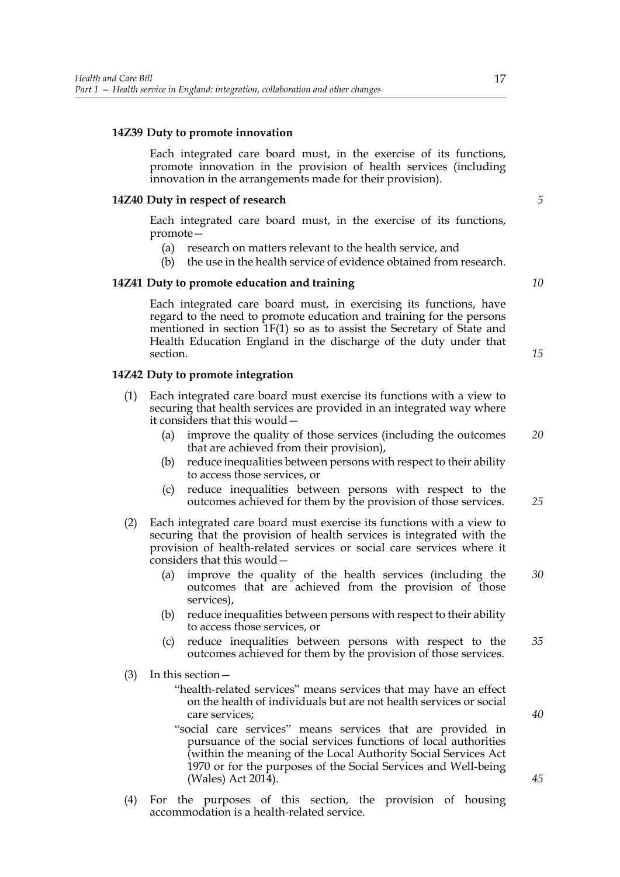#### **14Z39 Duty to promote innovation**

Each integrated care board must, in the exercise of its functions, promote innovation in the provision of health services (including innovation in the arrangements made for their provision).

#### **14Z40 Duty in respect of research**

Each integrated care board must, in the exercise of its functions, promote—

- (a) research on matters relevant to the health service, and
- (b) the use in the health service of evidence obtained from research.

#### **14Z41 Duty to promote education and training**

Each integrated care board must, in exercising its functions, have regard to the need to promote education and training for the persons mentioned in section 1F(1) so as to assist the Secretary of State and Health Education England in the discharge of the duty under that section.

## **14Z42 Duty to promote integration**

- (1) Each integrated care board must exercise its functions with a view to securing that health services are provided in an integrated way where it considers that this would—
	- (a) improve the quality of those services (including the outcomes that are achieved from their provision), *20*
	- (b) reduce inequalities between persons with respect to their ability to access those services, or
	- (c) reduce inequalities between persons with respect to the outcomes achieved for them by the provision of those services.
- (2) Each integrated care board must exercise its functions with a view to securing that the provision of health services is integrated with the provision of health-related services or social care services where it considers that this would—
	- (a) improve the quality of the health services (including the outcomes that are achieved from the provision of those services), *30*
	- (b) reduce inequalities between persons with respect to their ability to access those services, or
	- (c) reduce inequalities between persons with respect to the outcomes achieved for them by the provision of those services. *35*
- (3) In this section—
	- "health-related services" means services that may have an effect on the health of individuals but are not health services or social care services;
	- "social care services" means services that are provided in pursuance of the social services functions of local authorities (within the meaning of the Local Authority Social Services Act 1970 or for the purposes of the Social Services and Well-being (Wales) Act 2014).
- (4) For the purposes of this section, the provision of housing accommodation is a health-related service.

*5*

*10*

*15*

*25*

*40*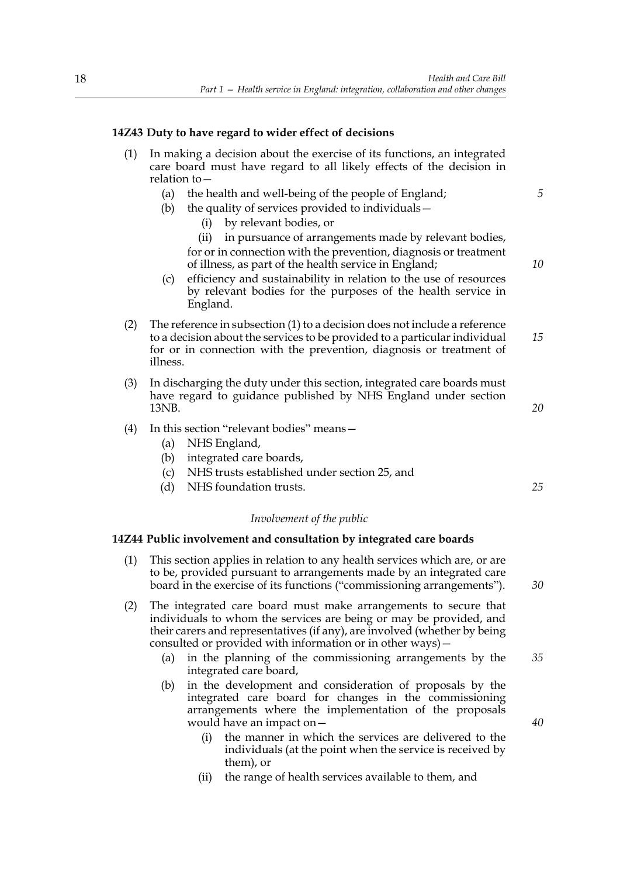## **14Z43 Duty to have regard to wider effect of decisions**

- In making a decision about the exercise of its functions, an integrated care board must have regard to all likely effects of the decision in relation to—
	- (a) the health and well-being of the people of England;
	- (b) the quality of services provided to individuals—
		- (i) by relevant bodies, or

(ii) in pursuance of arrangements made by relevant bodies, for or in connection with the prevention, diagnosis or treatment of illness, as part of the health service in England;

- (c) efficiency and sustainability in relation to the use of resources by relevant bodies for the purposes of the health service in England.
- (2) The reference in subsection (1) to a decision does not include a reference to a decision about the services to be provided to a particular individual for or in connection with the prevention, diagnosis or treatment of illness. *15*
- (3) In discharging the duty under this section, integrated care boards must have regard to guidance published by NHS England under section 13NB.
- (4) In this section "relevant bodies" means—
	- (a) NHS England,
	- (b) integrated care boards,
	- (c) NHS trusts established under section 25, and
	- (d) NHS foundation trusts.

## *Involvement of the public*

#### **14Z44 Public involvement and consultation by integrated care boards**

- (1) This section applies in relation to any health services which are, or are to be, provided pursuant to arrangements made by an integrated care board in the exercise of its functions ("commissioning arrangements").
- (2) The integrated care board must make arrangements to secure that individuals to whom the services are being or may be provided, and their carers and representatives (if any), are involved (whether by being consulted or provided with information or in other ways)—
	- (a) in the planning of the commissioning arrangements by the integrated care board, *35*
	- (b) in the development and consideration of proposals by the integrated care board for changes in the commissioning arrangements where the implementation of the proposals would have an impact on—
		- (i) the manner in which the services are delivered to the individuals (at the point when the service is received by them), or
		- (ii) the range of health services available to them, and

*40*

*10*

*5*

*20*

*25*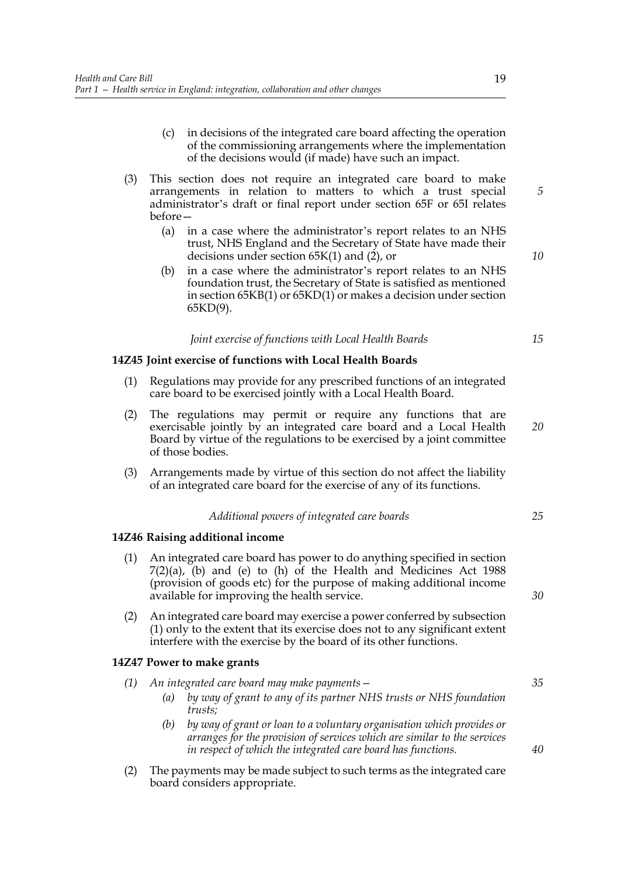- (c) in decisions of the integrated care board affecting the operation of the commissioning arrangements where the implementation of the decisions would (if made) have such an impact.
- (3) This section does not require an integrated care board to make arrangements in relation to matters to which a trust special administrator's draft or final report under section 65F or 65I relates before—
	- (a) in a case where the administrator's report relates to an NHS trust, NHS England and the Secretary of State have made their decisions under section 65K(1) and (2), or
	- (b) in a case where the administrator's report relates to an NHS foundation trust, the Secretary of State is satisfied as mentioned in section 65KB(1) or 65KD(1) or makes a decision under section 65KD(9).

#### *Joint exercise of functions with Local Health Boards*

## **14Z45 Joint exercise of functions with Local Health Boards**

- (1) Regulations may provide for any prescribed functions of an integrated care board to be exercised jointly with a Local Health Board.
- (2) The regulations may permit or require any functions that are exercisable jointly by an integrated care board and a Local Health Board by virtue of the regulations to be exercised by a joint committee of those bodies. *20*
- (3) Arrangements made by virtue of this section do not affect the liability of an integrated care board for the exercise of any of its functions.

#### *Additional powers of integrated care boards*

## **14Z46 Raising additional income**

- (1) An integrated care board has power to do anything specified in section 7(2)(a), (b) and (e) to (h) of the Health and Medicines Act 1988 (provision of goods etc) for the purpose of making additional income available for improving the health service.
- (2) An integrated care board may exercise a power conferred by subsection (1) only to the extent that its exercise does not to any significant extent interfere with the exercise by the board of its other functions.

#### **14Z47 Power to make grants**

- *(1) An integrated care board may make payments—*
	- *(a) by way of grant to any of its partner NHS trusts or NHS foundation trusts;*
	- *(b) by way of grant or loan to a voluntary organisation which provides or arranges for the provision of services which are similar to the services in respect of which the integrated care board has functions.*
- (2) The payments may be made subject to such terms as the integrated care board considers appropriate.

*5*

*10*

*15*

*30*

*25*

#### *35*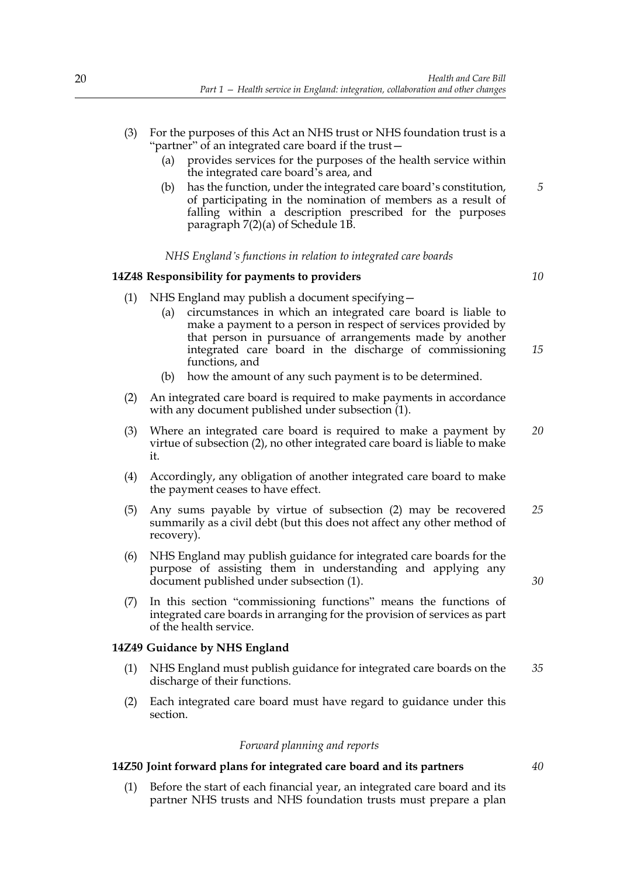- (3) For the purposes of this Act an NHS trust or NHS foundation trust is a "partner" of an integrated care board if the trust—
	- (a) provides services for the purposes of the health service within the integrated care board's area, and
	- (b) has the function, under the integrated care board's constitution, of participating in the nomination of members as a result of falling within a description prescribed for the purposes paragraph 7(2)(a) of Schedule 1B. *5*

#### *NHS England's functions in relation to integrated care boards*

## **14Z48 Responsibility for payments to providers**

*10*

- (1) NHS England may publish a document specifying—
	- (a) circumstances in which an integrated care board is liable to make a payment to a person in respect of services provided by that person in pursuance of arrangements made by another integrated care board in the discharge of commissioning functions, and *15*
	- (b) how the amount of any such payment is to be determined.
- (2) An integrated care board is required to make payments in accordance with any document published under subsection (1).
- (3) Where an integrated care board is required to make a payment by virtue of subsection (2), no other integrated care board is liable to make it. *20*
- (4) Accordingly, any obligation of another integrated care board to make the payment ceases to have effect.
- (5) Any sums payable by virtue of subsection (2) may be recovered summarily as a civil debt (but this does not affect any other method of recovery). *25*
- (6) NHS England may publish guidance for integrated care boards for the purpose of assisting them in understanding and applying any document published under subsection (1).
- (7) In this section "commissioning functions" means the functions of integrated care boards in arranging for the provision of services as part of the health service.

## **14Z49 Guidance by NHS England**

- (1) NHS England must publish guidance for integrated care boards on the discharge of their functions. *35*
- (2) Each integrated care board must have regard to guidance under this section.

## *Forward planning and reports*

## **14Z50 Joint forward plans for integrated care board and its partners**

(1) Before the start of each financial year, an integrated care board and its partner NHS trusts and NHS foundation trusts must prepare a plan *40*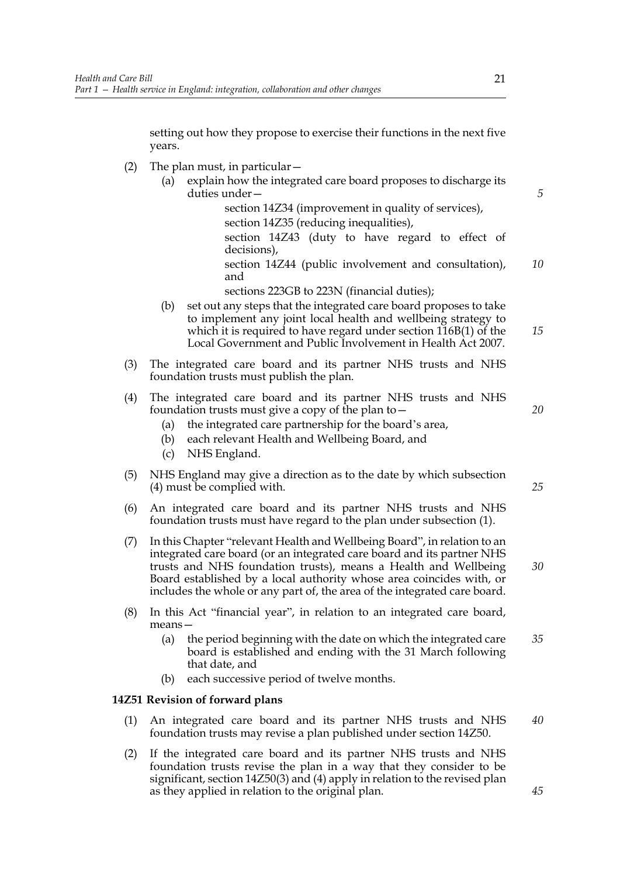setting out how they propose to exercise their functions in the next five years.

- (2) The plan must, in particular—
	- (a) explain how the integrated care board proposes to discharge its duties under—

 section 14Z34 (improvement in quality of services), section 14Z35 (reducing inequalities), section 14Z43 (duty to have regard to effect of decisions),

 section 14Z44 (public involvement and consultation), and *10*

sections 223GB to 223N (financial duties);

- (b) set out any steps that the integrated care board proposes to take to implement any joint local health and wellbeing strategy to which it is required to have regard under section 116B(1) of the Local Government and Public Involvement in Health Act 2007.
- (3) The integrated care board and its partner NHS trusts and NHS foundation trusts must publish the plan.
- (4) The integrated care board and its partner NHS trusts and NHS foundation trusts must give a copy of the plan to—
	- (a) the integrated care partnership for the board's area,
	- (b) each relevant Health and Wellbeing Board, and
	- (c) NHS England.
- (5) NHS England may give a direction as to the date by which subsection (4) must be complied with.
- (6) An integrated care board and its partner NHS trusts and NHS foundation trusts must have regard to the plan under subsection (1).
- (7) In this Chapter "relevant Health and Wellbeing Board", in relation to an integrated care board (or an integrated care board and its partner NHS trusts and NHS foundation trusts), means a Health and Wellbeing Board established by a local authority whose area coincides with, or includes the whole or any part of, the area of the integrated care board.
- (8) In this Act "financial year", in relation to an integrated care board, means—
	- (a) the period beginning with the date on which the integrated care board is established and ending with the 31 March following that date, and *35*
	- (b) each successive period of twelve months.

## **14Z51 Revision of forward plans**

- (1) An integrated care board and its partner NHS trusts and NHS foundation trusts may revise a plan published under section 14Z50. *40*
- (2) If the integrated care board and its partner NHS trusts and NHS foundation trusts revise the plan in a way that they consider to be significant, section 14Z50(3) and (4) apply in relation to the revised plan as they applied in relation to the original plan.

*25*

*30*

*20*

*5*

*15*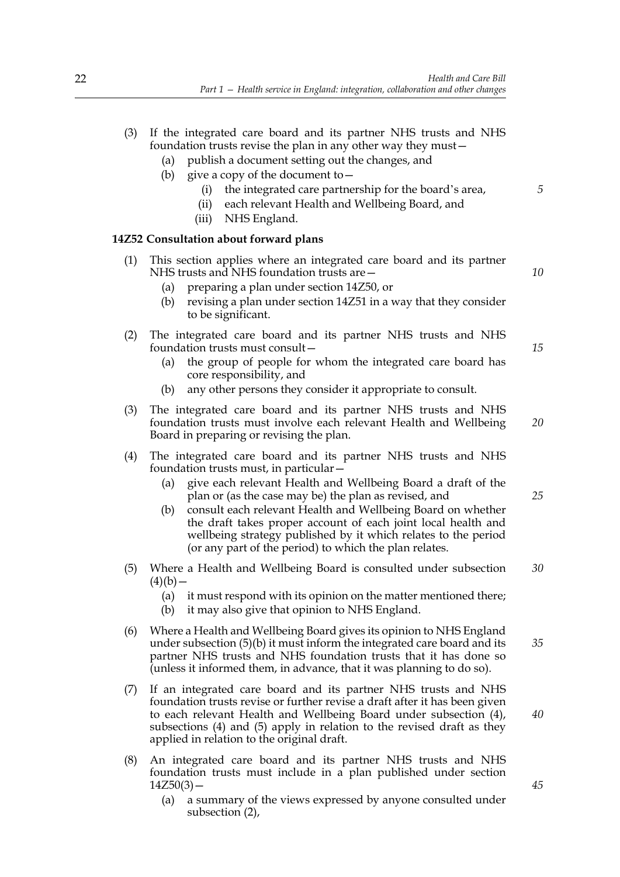- (3) If the integrated care board and its partner NHS trusts and NHS foundation trusts revise the plan in any other way they must—
	- (a) publish a document setting out the changes, and
	- (b) give a copy of the document to  $-$ 
		- (i) the integrated care partnership for the board's area,
		- (ii) each relevant Health and Wellbeing Board, and
		- (iii) NHS England.

## **14Z52 Consultation about forward plans**

- (1) This section applies where an integrated care board and its partner NHS trusts and NHS foundation trusts are—
	- (a) preparing a plan under section 14Z50, or
	- (b) revising a plan under section 14Z51 in a way that they consider to be significant.
- (2) The integrated care board and its partner NHS trusts and NHS foundation trusts must consult—
	- (a) the group of people for whom the integrated care board has core responsibility, and
	- (b) any other persons they consider it appropriate to consult.
- (3) The integrated care board and its partner NHS trusts and NHS foundation trusts must involve each relevant Health and Wellbeing Board in preparing or revising the plan. *20*
- (4) The integrated care board and its partner NHS trusts and NHS foundation trusts must, in particular—
	- (a) give each relevant Health and Wellbeing Board a draft of the plan or (as the case may be) the plan as revised, and
	- (b) consult each relevant Health and Wellbeing Board on whether the draft takes proper account of each joint local health and wellbeing strategy published by it which relates to the period (or any part of the period) to which the plan relates.
- (5) Where a Health and Wellbeing Board is consulted under subsection  $(4)(b)$  — *30*
	- (a) it must respond with its opinion on the matter mentioned there;
	- (b) it may also give that opinion to NHS England.
- (6) Where a Health and Wellbeing Board gives its opinion to NHS England under subsection (5)(b) it must inform the integrated care board and its partner NHS trusts and NHS foundation trusts that it has done so (unless it informed them, in advance, that it was planning to do so).
- (7) If an integrated care board and its partner NHS trusts and NHS foundation trusts revise or further revise a draft after it has been given to each relevant Health and Wellbeing Board under subsection (4), subsections (4) and (5) apply in relation to the revised draft as they applied in relation to the original draft.
- (8) An integrated care board and its partner NHS trusts and NHS foundation trusts must include in a plan published under section  $14Z50(3)$  –
	- (a) a summary of the views expressed by anyone consulted under subsection (2),

*10*

*15*

*5*

*25*

*35*

*40*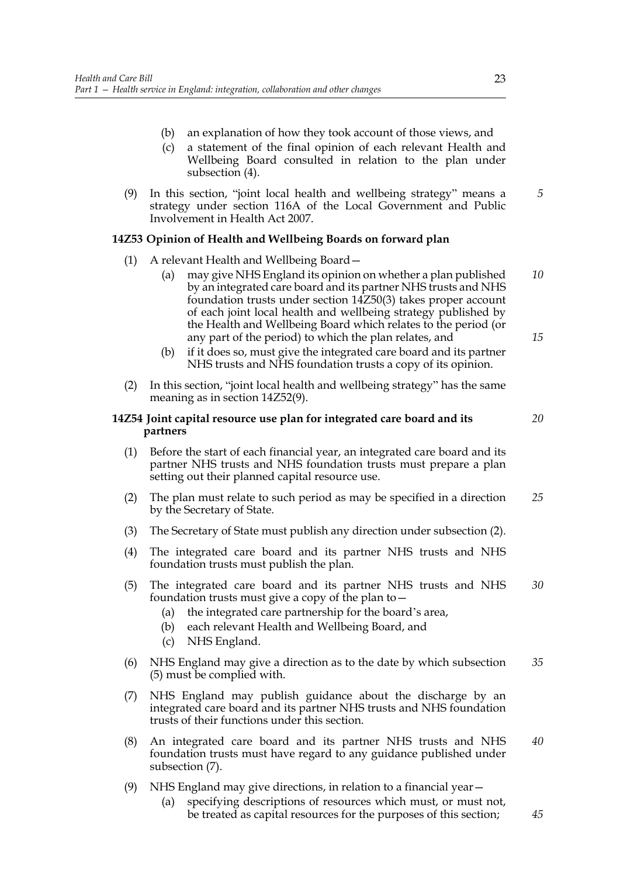- (b) an explanation of how they took account of those views, and
- (c) a statement of the final opinion of each relevant Health and Wellbeing Board consulted in relation to the plan under subsection (4).
- (9) In this section, "joint local health and wellbeing strategy" means a strategy under section 116A of the Local Government and Public Involvement in Health Act 2007. *5*

## **14Z53 Opinion of Health and Wellbeing Boards on forward plan**

- (1) A relevant Health and Wellbeing Board—
	- (a) may give NHS England its opinion on whether a plan published by an integrated care board and its partner NHS trusts and NHS foundation trusts under section 14Z50(3) takes proper account of each joint local health and wellbeing strategy published by the Health and Wellbeing Board which relates to the period (or any part of the period) to which the plan relates, and *10 15*
	- (b) if it does so, must give the integrated care board and its partner NHS trusts and NHS foundation trusts a copy of its opinion.
- (2) In this section, "joint local health and wellbeing strategy" has the same meaning as in section 14Z52(9).

## **14Z54 Joint capital resource use plan for integrated care board and its partners**

- (1) Before the start of each financial year, an integrated care board and its partner NHS trusts and NHS foundation trusts must prepare a plan setting out their planned capital resource use.
- (2) The plan must relate to such period as may be specified in a direction by the Secretary of State. *25*
- (3) The Secretary of State must publish any direction under subsection (2).
- (4) The integrated care board and its partner NHS trusts and NHS foundation trusts must publish the plan.
- (5) The integrated care board and its partner NHS trusts and NHS foundation trusts must give a copy of the plan to— *30*
	- (a) the integrated care partnership for the board's area,
	- (b) each relevant Health and Wellbeing Board, and
	- (c) NHS England.
- (6) NHS England may give a direction as to the date by which subsection (5) must be complied with. *35*
- (7) NHS England may publish guidance about the discharge by an integrated care board and its partner NHS trusts and NHS foundation trusts of their functions under this section.
- (8) An integrated care board and its partner NHS trusts and NHS foundation trusts must have regard to any guidance published under subsection (7). *40*
- (9) NHS England may give directions, in relation to a financial year—
	- (a) specifying descriptions of resources which must, or must not, be treated as capital resources for the purposes of this section;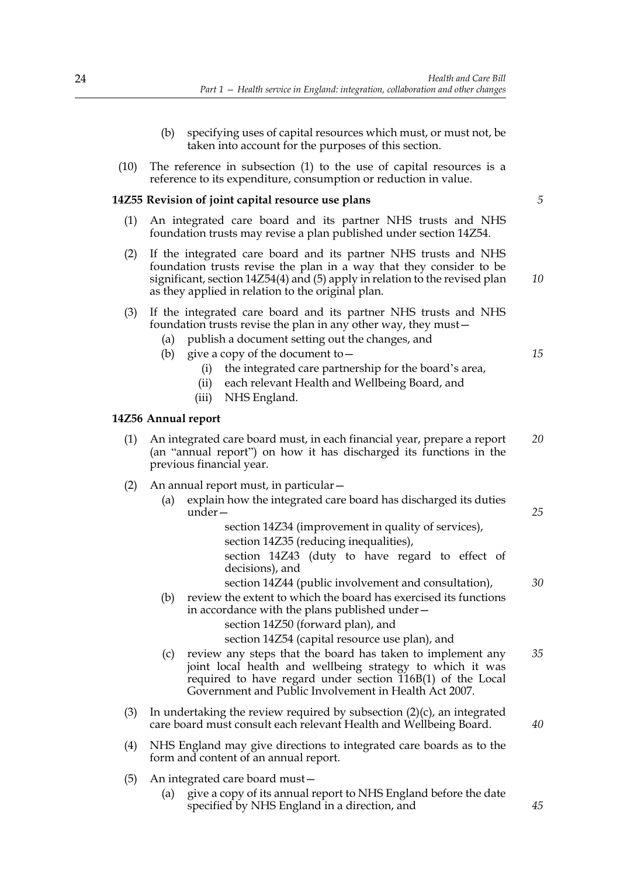- (b) specifying uses of capital resources which must, or must not, be taken into account for the purposes of this section.
- (10) The reference in subsection (1) to the use of capital resources is a reference to its expenditure, consumption or reduction in value.

#### **14Z55 Revision of joint capital resource use plans**

- (1) An integrated care board and its partner NHS trusts and NHS foundation trusts may revise a plan published under section 14Z54.
- (2) If the integrated care board and its partner NHS trusts and NHS foundation trusts revise the plan in a way that they consider to be significant, section 14Z54(4) and (5) apply in relation to the revised plan as they applied in relation to the original plan.

| (3) If the integrated care board and its partner NHS trusts and NHS |
|---------------------------------------------------------------------|
| foundation trusts revise the plan in any other way, they must –     |

- (a) publish a document setting out the changes, and
- (b) give a copy of the document to  $-$ 
	- (i) the integrated care partnership for the board's area,
	- (ii) each relevant Health and Wellbeing Board, and
	- (iii) NHS England.

#### **14Z56 Annual report**

(1) An integrated care board must, in each financial year, prepare a report (an "annual report") on how it has discharged its functions in the previous financial year. *20*

#### (2) An annual report must, in particular—

(a) explain how the integrated care board has discharged its duties under—

> section 14Z34 (improvement in quality of services), section 14Z35 (reducing inequalities), section 14Z43 (duty to have regard to effect of

> decisions), and

section 14Z44 (public involvement and consultation),

(b) review the extent to which the board has exercised its functions in accordance with the plans published under—

section 14Z50 (forward plan), and

section 14Z54 (capital resource use plan), and

- (c) review any steps that the board has taken to implement any joint local health and wellbeing strategy to which it was required to have regard under section 116B(1) of the Local Government and Public Involvement in Health Act 2007. *35*
- (3) In undertaking the review required by subsection  $(2)(c)$ , an integrated care board must consult each relevant Health and Wellbeing Board.
- (4) NHS England may give directions to integrated care boards as to the form and content of an annual report.
- (5) An integrated care board must—
	- (a) give a copy of its annual report to NHS England before the date specified by NHS England in a direction, and

*5*

*15*

*25*

*30*

*40*

*45*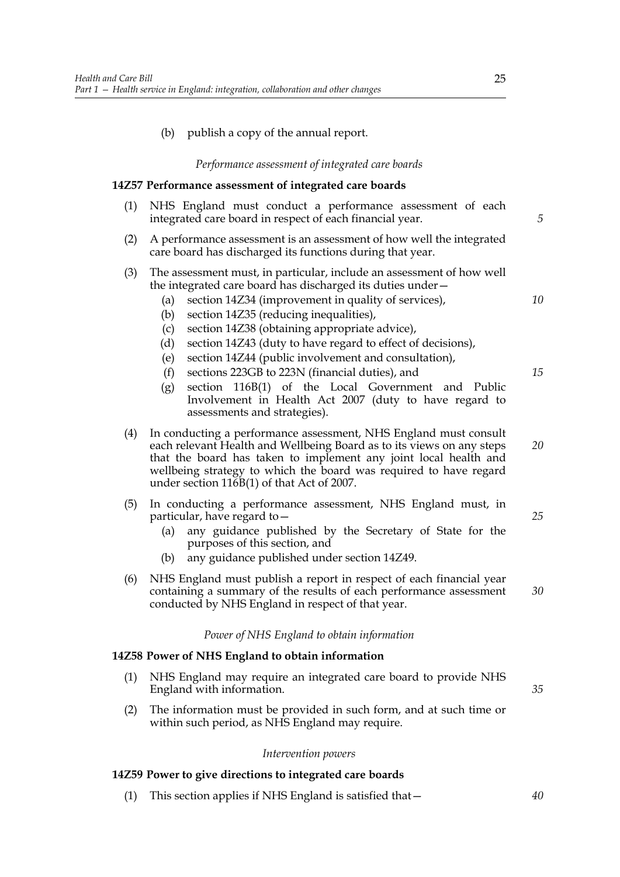## (b) publish a copy of the annual report.

#### *Performance assessment of integrated care boards*

#### **14Z57 Performance assessment of integrated care boards**

- (1) NHS England must conduct a performance assessment of each integrated care board in respect of each financial year.
- (2) A performance assessment is an assessment of how well the integrated care board has discharged its functions during that year.

#### (3) The assessment must, in particular, include an assessment of how well the integrated care board has discharged its duties under—

- (a) section 14Z34 (improvement in quality of services),
- (b) section 14Z35 (reducing inequalities),
- (c) section 14Z38 (obtaining appropriate advice),
- (d) section 14Z43 (duty to have regard to effect of decisions),
- (e) section 14Z44 (public involvement and consultation),
- (f) sections 223GB to 223N (financial duties), and
- (g) section 116B(1) of the Local Government and Public Involvement in Health Act 2007 (duty to have regard to assessments and strategies).
- (4) In conducting a performance assessment, NHS England must consult each relevant Health and Wellbeing Board as to its views on any steps that the board has taken to implement any joint local health and wellbeing strategy to which the board was required to have regard under section 116B(1) of that Act of 2007. *20*
- (5) In conducting a performance assessment, NHS England must, in particular, have regard to—
	- (a) any guidance published by the Secretary of State for the purposes of this section, and
	- (b) any guidance published under section 14Z49.
- (6) NHS England must publish a report in respect of each financial year containing a summary of the results of each performance assessment conducted by NHS England in respect of that year. *30*

#### *Power of NHS England to obtain information*

#### **14Z58 Power of NHS England to obtain information**

- (1) NHS England may require an integrated care board to provide NHS England with information.
- (2) The information must be provided in such form, and at such time or within such period, as NHS England may require.

#### *Intervention powers*

#### **14Z59 Power to give directions to integrated care boards**

(1) This section applies if NHS England is satisfied that— *40*

*5*

*10*

*15*

*25*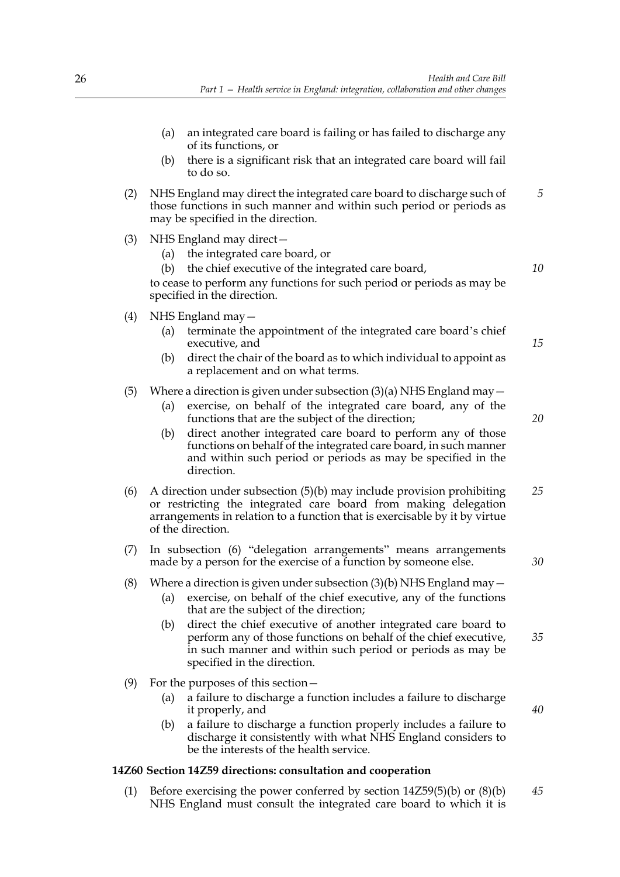- (a) an integrated care board is failing or has failed to discharge any of its functions, or
- (b) there is a significant risk that an integrated care board will fail to do so.
- (2) NHS England may direct the integrated care board to discharge such of those functions in such manner and within such period or periods as may be specified in the direction. *5*
- (3) NHS England may direct—
	- (a) the integrated care board, or
	- (b) the chief executive of the integrated care board,

to cease to perform any functions for such period or periods as may be specified in the direction.

- (4) NHS England may—
	- (a) terminate the appointment of the integrated care board's chief executive, and
	- (b) direct the chair of the board as to which individual to appoint as a replacement and on what terms.

## (5) Where a direction is given under subsection  $(3)(a)$  NHS England may  $-$

- (a) exercise, on behalf of the integrated care board, any of the functions that are the subject of the direction;
- (b) direct another integrated care board to perform any of those functions on behalf of the integrated care board, in such manner and within such period or periods as may be specified in the direction.
- (6) A direction under subsection (5)(b) may include provision prohibiting or restricting the integrated care board from making delegation arrangements in relation to a function that is exercisable by it by virtue of the direction. *25*
- (7) In subsection (6) "delegation arrangements" means arrangements made by a person for the exercise of a function by someone else.
- (8) Where a direction is given under subsection (3)(b) NHS England may  $-$ 
	- (a) exercise, on behalf of the chief executive, any of the functions that are the subject of the direction;
		- (b) direct the chief executive of another integrated care board to perform any of those functions on behalf of the chief executive, in such manner and within such period or periods as may be specified in the direction.
- (9) For the purposes of this section—
	- (a) a failure to discharge a function includes a failure to discharge it properly, and
	- (b) a failure to discharge a function properly includes a failure to discharge it consistently with what NHS England considers to be the interests of the health service.

## **14Z60 Section 14Z59 directions: consultation and cooperation**

(1) Before exercising the power conferred by section 14Z59(5)(b) or (8)(b) NHS England must consult the integrated care board to which it is *45*

*10*

*15*

*20*

*30*

*35*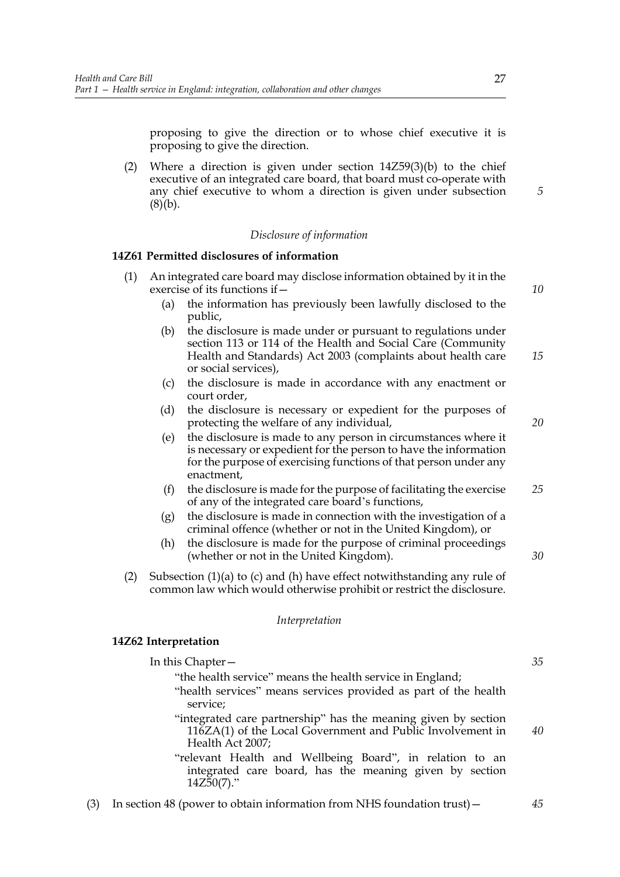proposing to give the direction or to whose chief executive it is proposing to give the direction.

(2) Where a direction is given under section 14Z59(3)(b) to the chief executive of an integrated care board, that board must co-operate with any chief executive to whom a direction is given under subsection  $(8)(b).$ 

#### *Disclosure of information*

#### **14Z61 Permitted disclosures of information**

- (1) An integrated care board may disclose information obtained by it in the exercise of its functions if— (a) the information has previously been lawfully disclosed to the *10*
	- public, (b) the disclosure is made under or pursuant to regulations under section 113 or 114 of the Health and Social Care (Community Health and Standards) Act 2003 (complaints about health care or social services), *15*
	- (c) the disclosure is made in accordance with any enactment or court order,
	- (d) the disclosure is necessary or expedient for the purposes of protecting the welfare of any individual,
	- (e) the disclosure is made to any person in circumstances where it is necessary or expedient for the person to have the information for the purpose of exercising functions of that person under any enactment,
	- (f) the disclosure is made for the purpose of facilitating the exercise of any of the integrated care board's functions, *25*
	- (g) the disclosure is made in connection with the investigation of a criminal offence (whether or not in the United Kingdom), or
	- (h) the disclosure is made for the purpose of criminal proceedings (whether or not in the United Kingdom).
	- (2) Subsection (1)(a) to (c) and (h) have effect notwithstanding any rule of common law which would otherwise prohibit or restrict the disclosure.

#### *Interpretation*

#### **14Z62 Interpretation**

| In this Chapter —                                                                                                                                | 35 |
|--------------------------------------------------------------------------------------------------------------------------------------------------|----|
| "the health service" means the health service in England;                                                                                        |    |
| "health services" means services provided as part of the health                                                                                  |    |
| service;                                                                                                                                         |    |
| "integrated care partnership" has the meaning given by section<br>116ZA(1) of the Local Government and Public Involvement in<br>Health Act 2007; | 40 |
| "relevant Health and Wellbeing Board", in relation to an<br>integrated care board, has the meaning given by section<br>$14Z50(7)$ ."             |    |

(3) In section 48 (power to obtain information from NHS foundation trust)—

*5*

*20*

*30*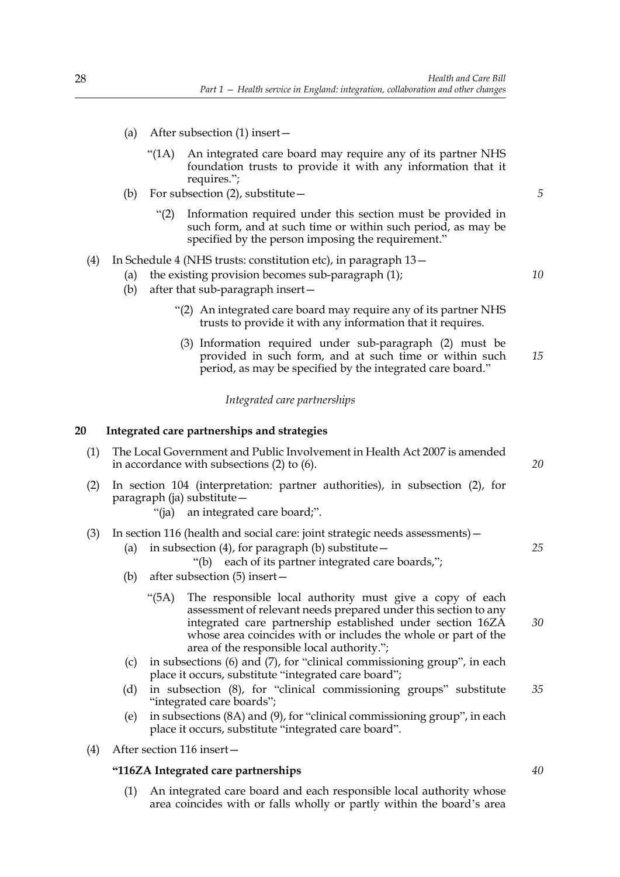- (a) After subsection (1) insert—
	- "(1A) An integrated care board may require any of its partner NHS foundation trusts to provide it with any information that it requires.";
- (b) For subsection (2), substitute—
	- "(2) Information required under this section must be provided in such form, and at such time or within such period, as may be specified by the person imposing the requirement."

## (4) In Schedule 4 (NHS trusts: constitution etc), in paragraph 13—

- (a) the existing provision becomes sub-paragraph (1);
- (b) after that sub-paragraph insert—
	- "(2) An integrated care board may require any of its partner NHS trusts to provide it with any information that it requires.
	- (3) Information required under sub-paragraph (2) must be provided in such form, and at such time or within such period, as may be specified by the integrated care board." *15*

*Integrated care partnerships*

## **20 Integrated care partnerships and strategies**

- (1) The Local Government and Public Involvement in Health Act 2007 is amended in accordance with subsections (2) to (6).
- (2) In section 104 (interpretation: partner authorities), in subsection (2), for paragraph (ja) substitute—
	- "(ja) an integrated care board;".

## (3) In section 116 (health and social care: joint strategic needs assessments)—

- (a) in subsection (4), for paragraph (b) substitute  $-$ 
	- "(b) each of its partner integrated care boards,";
- (b) after subsection (5) insert—
	- "(5A) The responsible local authority must give a copy of each assessment of relevant needs prepared under this section to any integrated care partnership established under section 16ZA whose area coincides with or includes the whole or part of the area of the responsible local authority.";
- (c) in subsections (6) and (7), for "clinical commissioning group", in each place it occurs, substitute "integrated care board";
- (d) in subsection (8), for "clinical commissioning groups" substitute "integrated care boards"; *35*
- (e) in subsections (8A) and (9), for "clinical commissioning group", in each place it occurs, substitute "integrated care board".
- (4) After section 116 insert—

## **"116ZA Integrated care partnerships**

(1) An integrated care board and each responsible local authority whose area coincides with or falls wholly or partly within the board's area

*20*

*5*

*10*

*25*

*30*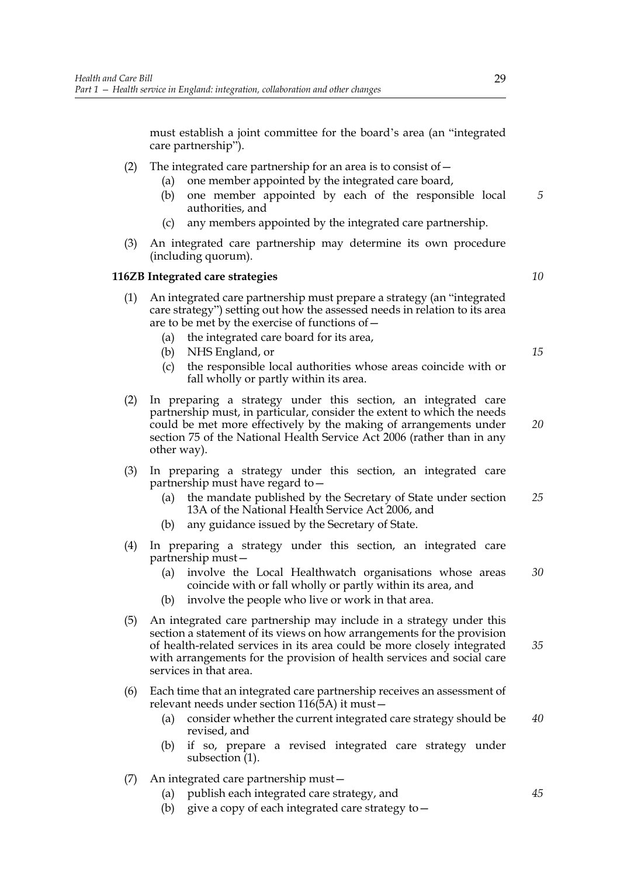must establish a joint committee for the board's area (an "integrated care partnership").

- (2) The integrated care partnership for an area is to consist of  $-$ 
	- (a) one member appointed by the integrated care board,
	- (b) one member appointed by each of the responsible local authorities, and *5*
	- (c) any members appointed by the integrated care partnership.
- (3) An integrated care partnership may determine its own procedure (including quorum).

#### **116ZB Integrated care strategies**

- (1) An integrated care partnership must prepare a strategy (an "integrated care strategy") setting out how the assessed needs in relation to its area are to be met by the exercise of functions of—
	- (a) the integrated care board for its area,
	- (b) NHS England, or
	- (c) the responsible local authorities whose areas coincide with or fall wholly or partly within its area.
- (2) In preparing a strategy under this section, an integrated care partnership must, in particular, consider the extent to which the needs could be met more effectively by the making of arrangements under section 75 of the National Health Service Act 2006 (rather than in any other way). *20*
- (3) In preparing a strategy under this section, an integrated care partnership must have regard to—
	- (a) the mandate published by the Secretary of State under section 13A of the National Health Service Act 2006, and *25*
	- (b) any guidance issued by the Secretary of State.
- (4) In preparing a strategy under this section, an integrated care partnership must—
	- (a) involve the Local Healthwatch organisations whose areas coincide with or fall wholly or partly within its area, and *30*
	- (b) involve the people who live or work in that area.
- (5) An integrated care partnership may include in a strategy under this section a statement of its views on how arrangements for the provision of health-related services in its area could be more closely integrated with arrangements for the provision of health services and social care services in that area.
- (6) Each time that an integrated care partnership receives an assessment of relevant needs under section 116(5A) it must—
	- (a) consider whether the current integrated care strategy should be revised, and *40*
	- (b) if so, prepare a revised integrated care strategy under subsection  $(1)$ .
- (7) An integrated care partnership must—
	- (a) publish each integrated care strategy, and
	- (b) give a copy of each integrated care strategy to—

*35*

*15*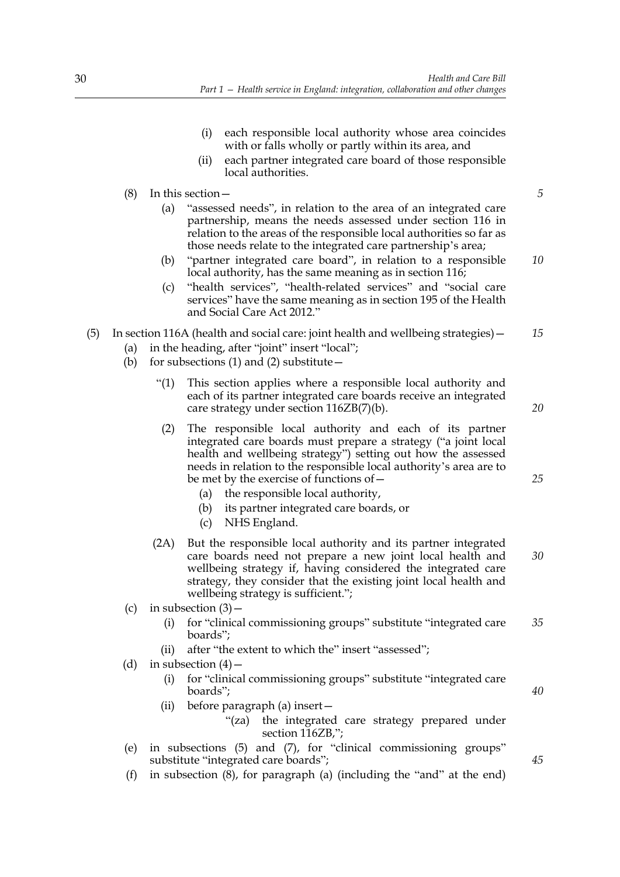- (i) each responsible local authority whose area coincides with or falls wholly or partly within its area, and
- (ii) each partner integrated care board of those responsible local authorities.
- (8) In this section—
	- (a) "assessed needs", in relation to the area of an integrated care partnership, means the needs assessed under section 116 in relation to the areas of the responsible local authorities so far as those needs relate to the integrated care partnership's area;
	- (b) "partner integrated care board", in relation to a responsible local authority, has the same meaning as in section 116; *10*
	- (c) "health services", "health-related services" and "social care services" have the same meaning as in section 195 of the Health and Social Care Act 2012."
- (5) In section 116A (health and social care: joint health and wellbeing strategies)— *15*
	- (a) in the heading, after "joint" insert "local";
	- (b) for subsections (1) and (2) substitute  $-$ 
		- "(1) This section applies where a responsible local authority and each of its partner integrated care boards receive an integrated care strategy under section 116ZB(7)(b).
		- (2) The responsible local authority and each of its partner integrated care boards must prepare a strategy ("a joint local health and wellbeing strategy") setting out how the assessed needs in relation to the responsible local authority's area are to be met by the exercise of functions of—
			- (a) the responsible local authority,
			- (b) its partner integrated care boards, or
			- (c) NHS England.
		- (2A) But the responsible local authority and its partner integrated care boards need not prepare a new joint local health and wellbeing strategy if, having considered the integrated care strategy, they consider that the existing joint local health and wellbeing strategy is sufficient."; *30*
	- (c) in subsection  $(3)$ 
		- (i) for "clinical commissioning groups" substitute "integrated care boards"; *35*
		- (ii) after "the extent to which the" insert "assessed";
	- (d) in subsection  $(4)$ 
		- (i) for "clinical commissioning groups" substitute "integrated care boards";
		- (ii) before paragraph (a) insert— "(za) the integrated care strategy prepared under section 116ZB,";
	- (e) in subsections (5) and (7), for "clinical commissioning groups" substitute "integrated care boards";
	- (f) in subsection (8), for paragraph (a) (including the "and" at the end)

*45*

*40*

*5*

*20*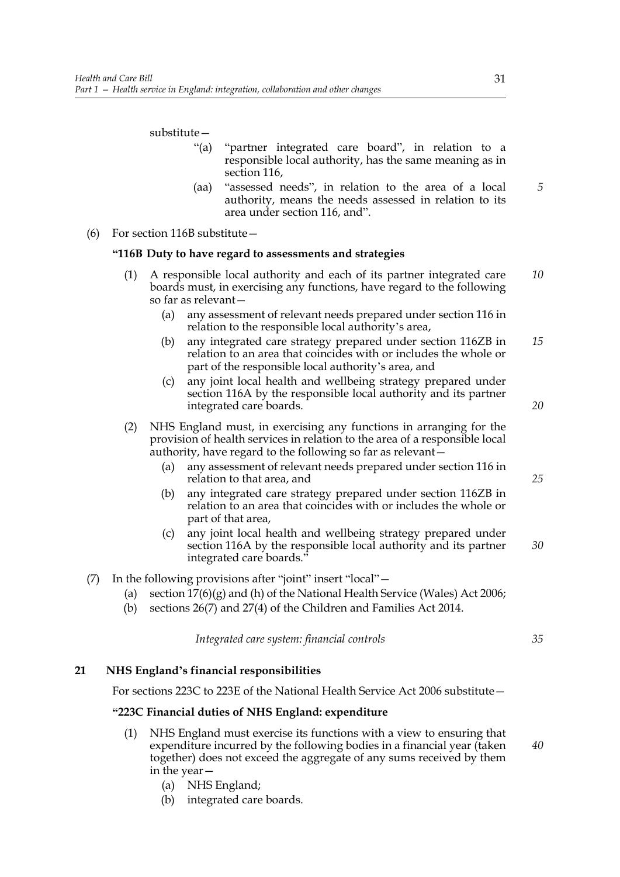## substitute—

- "(a) "partner integrated care board", in relation to a responsible local authority, has the same meaning as in section 116,
- (aa) "assessed needs", in relation to the area of a local authority, means the needs assessed in relation to its area under section 116, and".
- (6) For section 116B substitute—

## **"116B Duty to have regard to assessments and strategies**

- (1) A responsible local authority and each of its partner integrated care boards must, in exercising any functions, have regard to the following so far as relevant— *10*
	- (a) any assessment of relevant needs prepared under section 116 in relation to the responsible local authority's area,
	- (b) any integrated care strategy prepared under section 116ZB in relation to an area that coincides with or includes the whole or part of the responsible local authority's area, and *15*
	- (c) any joint local health and wellbeing strategy prepared under section 116A by the responsible local authority and its partner integrated care boards.
- (2) NHS England must, in exercising any functions in arranging for the provision of health services in relation to the area of a responsible local authority, have regard to the following so far as relevant—
	- (a) any assessment of relevant needs prepared under section 116 in relation to that area, and
	- (b) any integrated care strategy prepared under section 116ZB in relation to an area that coincides with or includes the whole or part of that area,
	- (c) any joint local health and wellbeing strategy prepared under section 116A by the responsible local authority and its partner integrated care boards." *30*
- (7) In the following provisions after "joint" insert "local"—
	- (a) section 17(6)(g) and (h) of the National Health Service (Wales) Act 2006;
	- (b) sections 26(7) and 27(4) of the Children and Families Act 2014.

*Integrated care system: financial controls*

*35*

*40*

## **21 NHS England's financial responsibilities**

For sections 223C to 223E of the National Health Service Act 2006 substitute—

## **"223C Financial duties of NHS England: expenditure**

- (1) NHS England must exercise its functions with a view to ensuring that expenditure incurred by the following bodies in a financial year (taken together) does not exceed the aggregate of any sums received by them in the year—
	- (a) NHS England;
	- (b) integrated care boards.

*5*

*20*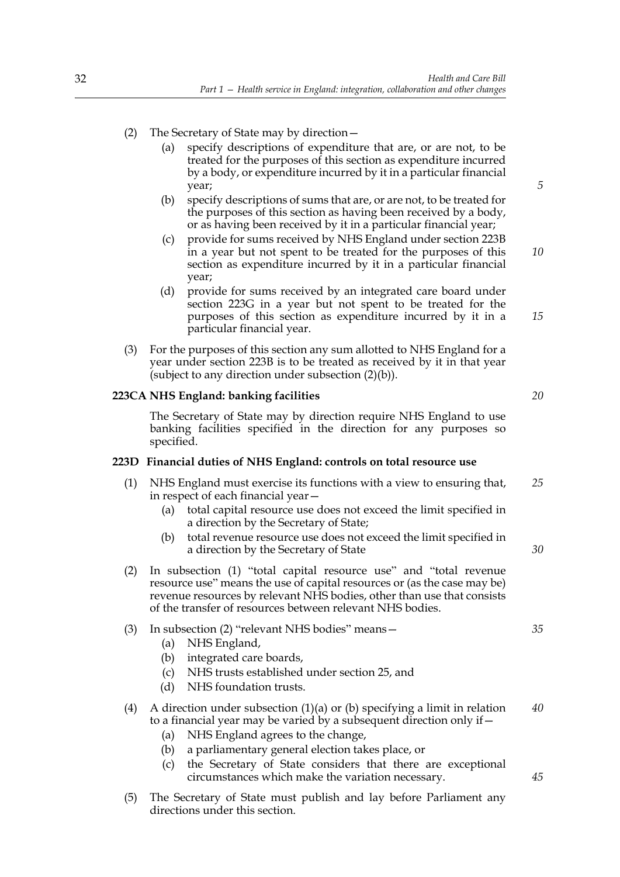- (2) The Secretary of State may by direction—
	- (a) specify descriptions of expenditure that are, or are not, to be treated for the purposes of this section as expenditure incurred by a body, or expenditure incurred by it in a particular financial year;
	- (b) specify descriptions of sums that are, or are not, to be treated for the purposes of this section as having been received by a body, or as having been received by it in a particular financial year;
	- (c) provide for sums received by NHS England under section 223B in a year but not spent to be treated for the purposes of this section as expenditure incurred by it in a particular financial year;
	- (d) provide for sums received by an integrated care board under section 223G in a year but not spent to be treated for the purposes of this section as expenditure incurred by it in a particular financial year.
- (3) For the purposes of this section any sum allotted to NHS England for a year under section 223B is to be treated as received by it in that year (subject to any direction under subsection (2)(b)).

## **223CA NHS England: banking facilities**

The Secretary of State may by direction require NHS England to use banking facilities specified in the direction for any purposes so specified.

## **223D Financial duties of NHS England: controls on total resource use**

- (1) NHS England must exercise its functions with a view to ensuring that, in respect of each financial year— *25*
	- (a) total capital resource use does not exceed the limit specified in a direction by the Secretary of State;
	- (b) total revenue resource use does not exceed the limit specified in a direction by the Secretary of State
- (2) In subsection (1) "total capital resource use" and "total revenue resource use" means the use of capital resources or (as the case may be) revenue resources by relevant NHS bodies, other than use that consists of the transfer of resources between relevant NHS bodies.

## (3) In subsection (2) "relevant NHS bodies" means—

- (a) NHS England,
- (b) integrated care boards,
- (c) NHS trusts established under section 25, and
- (d) NHS foundation trusts.

#### (4) A direction under subsection (1)(a) or (b) specifying a limit in relation to a financial year may be varied by a subsequent direction only if— *40*

- (a) NHS England agrees to the change,
- (b) a parliamentary general election takes place, or
- (c) the Secretary of State considers that there are exceptional circumstances which make the variation necessary.
- (5) The Secretary of State must publish and lay before Parliament any directions under this section.

*20*

*5*

*10*

*15*

*30*

*35*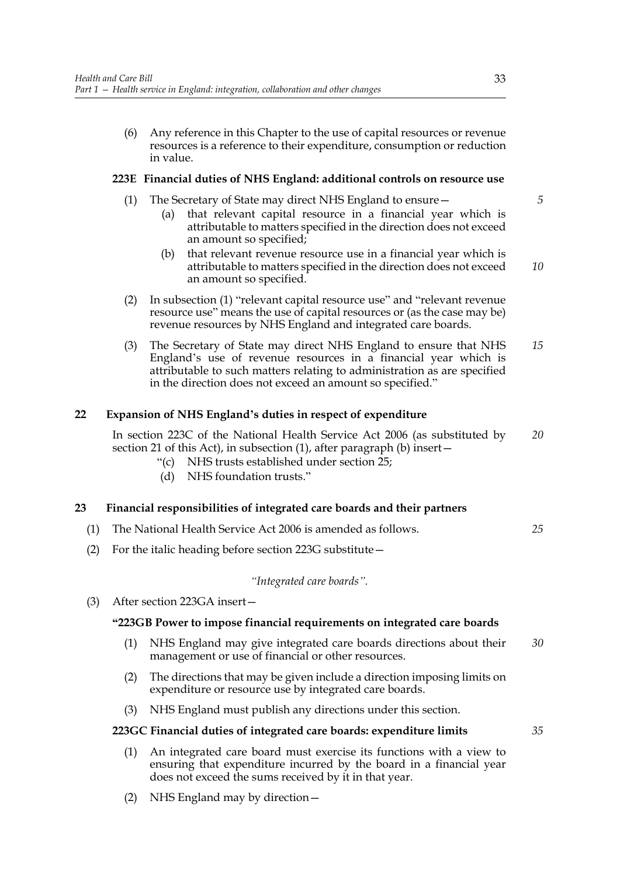(6) Any reference in this Chapter to the use of capital resources or revenue resources is a reference to their expenditure, consumption or reduction in value.

## **223E Financial duties of NHS England: additional controls on resource use**

- (1) The Secretary of State may direct NHS England to ensure—
	- (a) that relevant capital resource in a financial year which is attributable to matters specified in the direction does not exceed an amount so specified;
	- (b) that relevant revenue resource use in a financial year which is attributable to matters specified in the direction does not exceed an amount so specified.
- (2) In subsection (1) "relevant capital resource use" and "relevant revenue resource use" means the use of capital resources or (as the case may be) revenue resources by NHS England and integrated care boards.
- (3) The Secretary of State may direct NHS England to ensure that NHS England's use of revenue resources in a financial year which is attributable to such matters relating to administration as are specified in the direction does not exceed an amount so specified." *15*

## **22 Expansion of NHS England's duties in respect of expenditure**

In section 223C of the National Health Service Act 2006 (as substituted by section 21 of this Act), in subsection (1), after paragraph (b) insert— *20*

- "(c) NHS trusts established under section 25;
- (d) NHS foundation trusts."

#### **23 Financial responsibilities of integrated care boards and their partners**

- (1) The National Health Service Act 2006 is amended as follows.
- (2) For the italic heading before section 223G substitute—

## *"Integrated care boards".*

(3) After section 223GA insert—

## **"223GB Power to impose financial requirements on integrated care boards**

- (1) NHS England may give integrated care boards directions about their management or use of financial or other resources. *30*
- (2) The directions that may be given include a direction imposing limits on expenditure or resource use by integrated care boards.
- (3) NHS England must publish any directions under this section.

#### **223GC Financial duties of integrated care boards: expenditure limits**

- (1) An integrated care board must exercise its functions with a view to ensuring that expenditure incurred by the board in a financial year does not exceed the sums received by it in that year.
- (2) NHS England may by direction—

*25*

*5*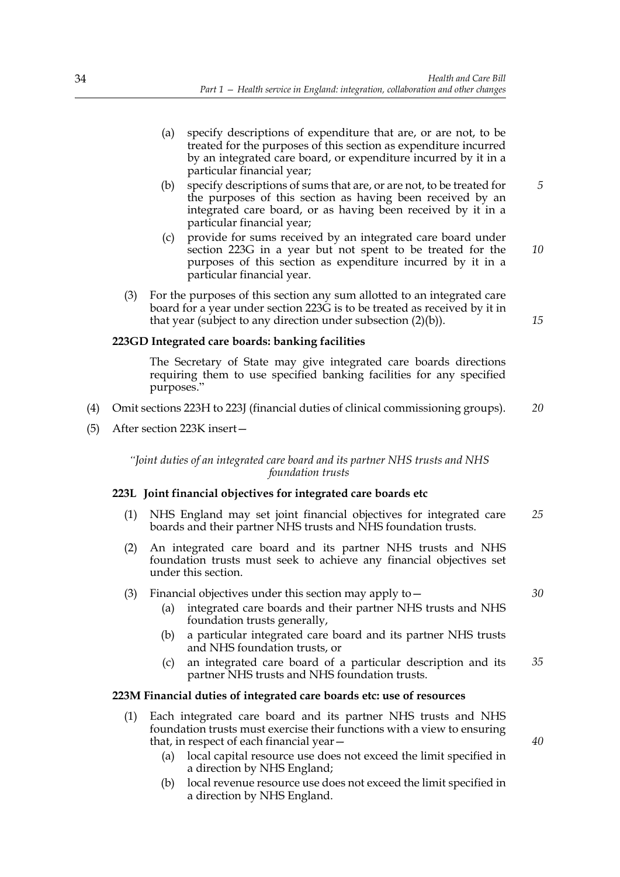- (a) specify descriptions of expenditure that are, or are not, to be treated for the purposes of this section as expenditure incurred by an integrated care board, or expenditure incurred by it in a particular financial year;
- (b) specify descriptions of sums that are, or are not, to be treated for the purposes of this section as having been received by an integrated care board, or as having been received by it in a particular financial year; *5*
- (c) provide for sums received by an integrated care board under section 223G in a year but not spent to be treated for the purposes of this section as expenditure incurred by it in a particular financial year. *10*
- (3) For the purposes of this section any sum allotted to an integrated care board for a year under section 223G is to be treated as received by it in that year (subject to any direction under subsection (2)(b)).

## **223GD Integrated care boards: banking facilities**

 The Secretary of State may give integrated care boards directions requiring them to use specified banking facilities for any specified purposes."

- (4) Omit sections 223H to 223J (financial duties of clinical commissioning groups). *20*
- (5) After section 223K insert—

*"Joint duties of an integrated care board and its partner NHS trusts and NHS foundation trusts*

#### **223L Joint financial objectives for integrated care boards etc**

- (1) NHS England may set joint financial objectives for integrated care boards and their partner NHS trusts and NHS foundation trusts. *25*
- (2) An integrated care board and its partner NHS trusts and NHS foundation trusts must seek to achieve any financial objectives set under this section.
- (3) Financial objectives under this section may apply to—
	- (a) integrated care boards and their partner NHS trusts and NHS foundation trusts generally,
	- (b) a particular integrated care board and its partner NHS trusts and NHS foundation trusts, or
	- (c) an integrated care board of a particular description and its partner NHS trusts and NHS foundation trusts. *35*

## **223M Financial duties of integrated care boards etc: use of resources**

- (1) Each integrated care board and its partner NHS trusts and NHS foundation trusts must exercise their functions with a view to ensuring that, in respect of each financial year—
	- (a) local capital resource use does not exceed the limit specified in a direction by NHS England;
	- (b) local revenue resource use does not exceed the limit specified in a direction by NHS England.

*30*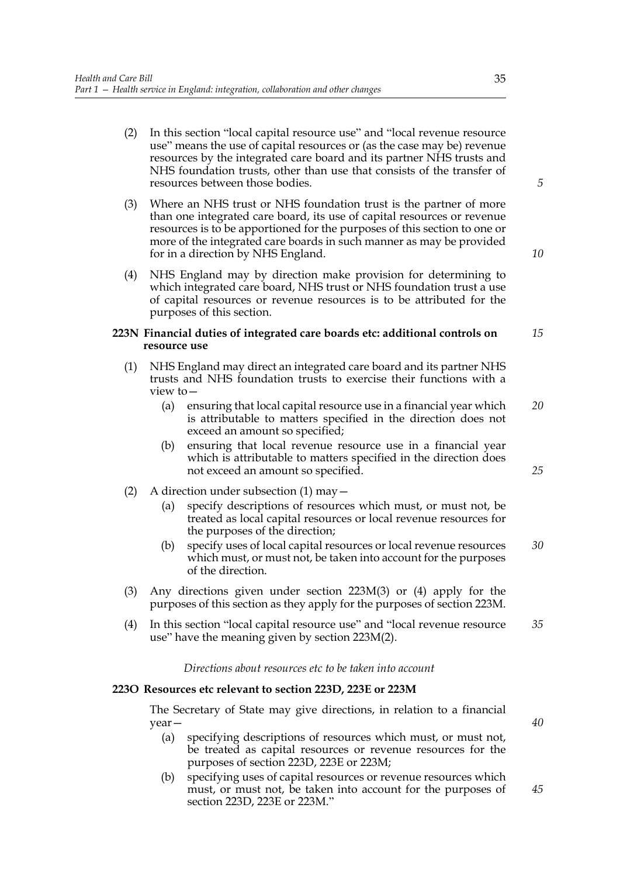- (2) In this section "local capital resource use" and "local revenue resource use" means the use of capital resources or (as the case may be) revenue resources by the integrated care board and its partner NHS trusts and NHS foundation trusts, other than use that consists of the transfer of resources between those bodies.
- (3) Where an NHS trust or NHS foundation trust is the partner of more than one integrated care board, its use of capital resources or revenue resources is to be apportioned for the purposes of this section to one or more of the integrated care boards in such manner as may be provided for in a direction by NHS England.
- (4) NHS England may by direction make provision for determining to which integrated care board, NHS trust or NHS foundation trust a use of capital resources or revenue resources is to be attributed for the purposes of this section.

#### **223N Financial duties of integrated care boards etc: additional controls on resource use** *15*

- (1) NHS England may direct an integrated care board and its partner NHS trusts and NHS foundation trusts to exercise their functions with a view to—
	- (a) ensuring that local capital resource use in a financial year which is attributable to matters specified in the direction does not exceed an amount so specified; *20*
	- (b) ensuring that local revenue resource use in a financial year which is attributable to matters specified in the direction does not exceed an amount so specified.
- (2) A direction under subsection  $(1)$  may  $-$ 
	- (a) specify descriptions of resources which must, or must not, be treated as local capital resources or local revenue resources for the purposes of the direction;
	- (b) specify uses of local capital resources or local revenue resources which must, or must not, be taken into account for the purposes of the direction. *30*
- (3) Any directions given under section 223M(3) or (4) apply for the purposes of this section as they apply for the purposes of section 223M.
- (4) In this section "local capital resource use" and "local revenue resource use" have the meaning given by section 223M(2). *35*

## *Directions about resources etc to be taken into account*

#### **223O Resources etc relevant to section 223D, 223E or 223M**

The Secretary of State may give directions, in relation to a financial year—

- (a) specifying descriptions of resources which must, or must not, be treated as capital resources or revenue resources for the purposes of section 223D, 223E or 223M;
- (b) specifying uses of capital resources or revenue resources which must, or must not, be taken into account for the purposes of section 223D, 223E or 223M." *45*

*5*

*10*

*25*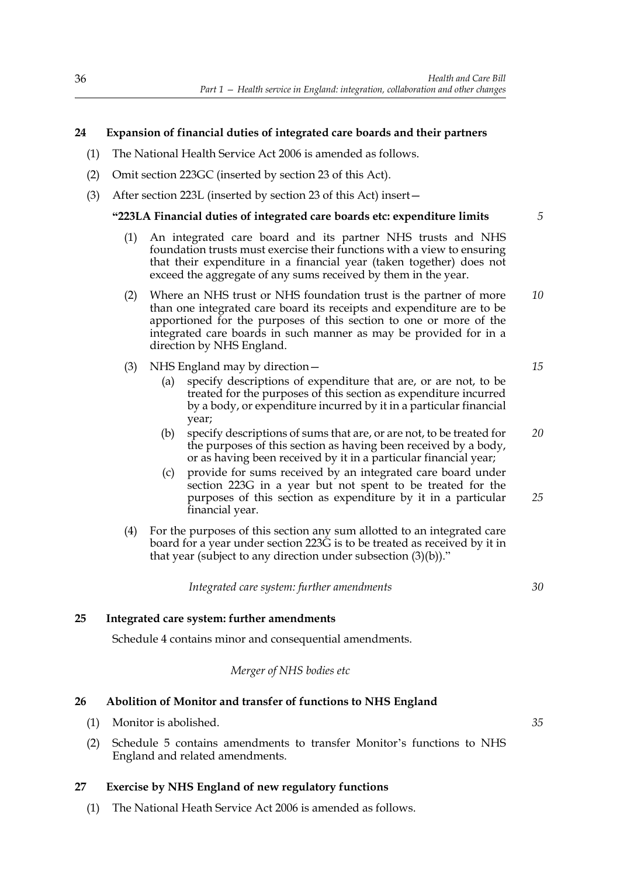# **24 Expansion of financial duties of integrated care boards and their partners**

- (1) The National Health Service Act 2006 is amended as follows.
- (2) Omit section 223GC (inserted by section 23 of this Act).
- (3) After section 223L (inserted by section 23 of this Act) insert—

## **"223LA Financial duties of integrated care boards etc: expenditure limits**

- (1) An integrated care board and its partner NHS trusts and NHS foundation trusts must exercise their functions with a view to ensuring that their expenditure in a financial year (taken together) does not exceed the aggregate of any sums received by them in the year.
- (2) Where an NHS trust or NHS foundation trust is the partner of more than one integrated care board its receipts and expenditure are to be apportioned for the purposes of this section to one or more of the integrated care boards in such manner as may be provided for in a direction by NHS England. *10*
- (3) NHS England may by direction—
	- (a) specify descriptions of expenditure that are, or are not, to be treated for the purposes of this section as expenditure incurred by a body, or expenditure incurred by it in a particular financial year;
	- (b) specify descriptions of sums that are, or are not, to be treated for the purposes of this section as having been received by a body, or as having been received by it in a particular financial year; *20*
	- (c) provide for sums received by an integrated care board under section 223G in a year but not spent to be treated for the purposes of this section as expenditure by it in a particular financial year. *25*
- (4) For the purposes of this section any sum allotted to an integrated care board for a year under section 223G is to be treated as received by it in that year (subject to any direction under subsection (3)(b))."

*Integrated care system: further amendments*

*30*

*35*

*5*

*15*

## **25 Integrated care system: further amendments**

Schedule 4 contains minor and consequential amendments.

*Merger of NHS bodies etc*

## **26 Abolition of Monitor and transfer of functions to NHS England**

- (1) Monitor is abolished.
- (2) Schedule 5 contains amendments to transfer Monitor's functions to NHS England and related amendments.

## **27 Exercise by NHS England of new regulatory functions**

(1) The National Heath Service Act 2006 is amended as follows.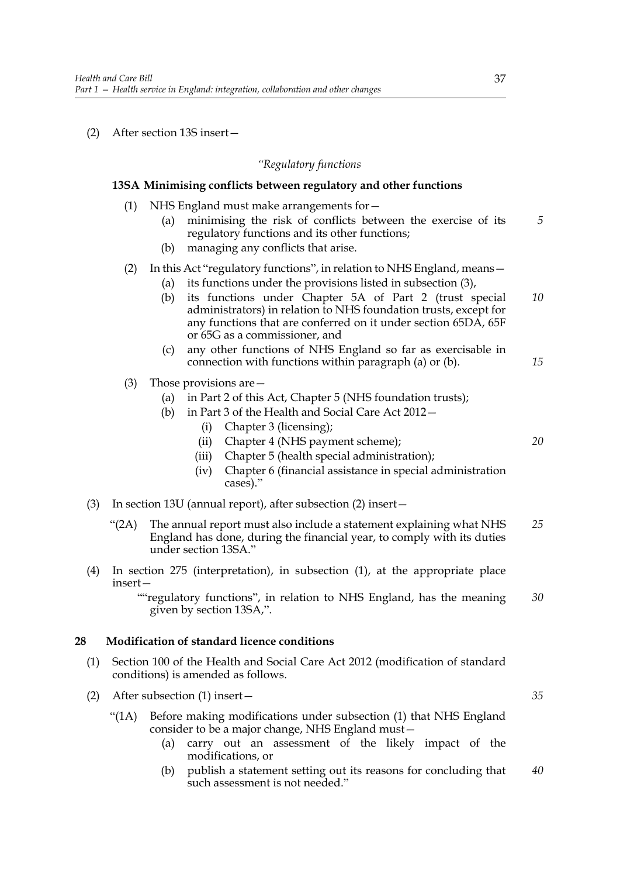(2) After section 13S insert—

#### *"Regulatory functions*

#### **13SA Minimising conflicts between regulatory and other functions**

- (1) NHS England must make arrangements for—
	- (a) minimising the risk of conflicts between the exercise of its regulatory functions and its other functions; *5*
	- (b) managing any conflicts that arise.

## (2) In this Act "regulatory functions", in relation to NHS England, means  $-$

- (a) its functions under the provisions listed in subsection (3),
- (b) its functions under Chapter 5A of Part 2 (trust special administrators) in relation to NHS foundation trusts, except for any functions that are conferred on it under section 65DA, 65F or 65G as a commissioner, and *10*
- (c) any other functions of NHS England so far as exercisable in connection with functions within paragraph (a) or (b). *15*
- (3) Those provisions are—
	- (a) in Part 2 of this Act, Chapter 5 (NHS foundation trusts);
	- (b) in Part 3 of the Health and Social Care Act 2012—
		- (i) Chapter 3 (licensing);
		- (ii) Chapter 4 (NHS payment scheme);
		- (iii) Chapter 5 (health special administration);
		- (iv) Chapter 6 (financial assistance in special administration cases)."
- (3) In section 13U (annual report), after subsection (2) insert—
	- "(2A) The annual report must also include a statement explaining what NHS England has done, during the financial year, to comply with its duties under section 13SA." *25*
- (4) In section 275 (interpretation), in subsection (1), at the appropriate place insert—

""regulatory functions", in relation to NHS England, has the meaning given by section 13SA,". *30*

## **28 Modification of standard licence conditions**

- (1) Section 100 of the Health and Social Care Act 2012 (modification of standard conditions) is amended as follows.
- (2) After subsection (1) insert—
	- "(1A) Before making modifications under subsection (1) that NHS England consider to be a major change, NHS England must—
		- (a) carry out an assessment of the likely impact of the modifications, or
		- (b) publish a statement setting out its reasons for concluding that such assessment is not needed." *40*

*35*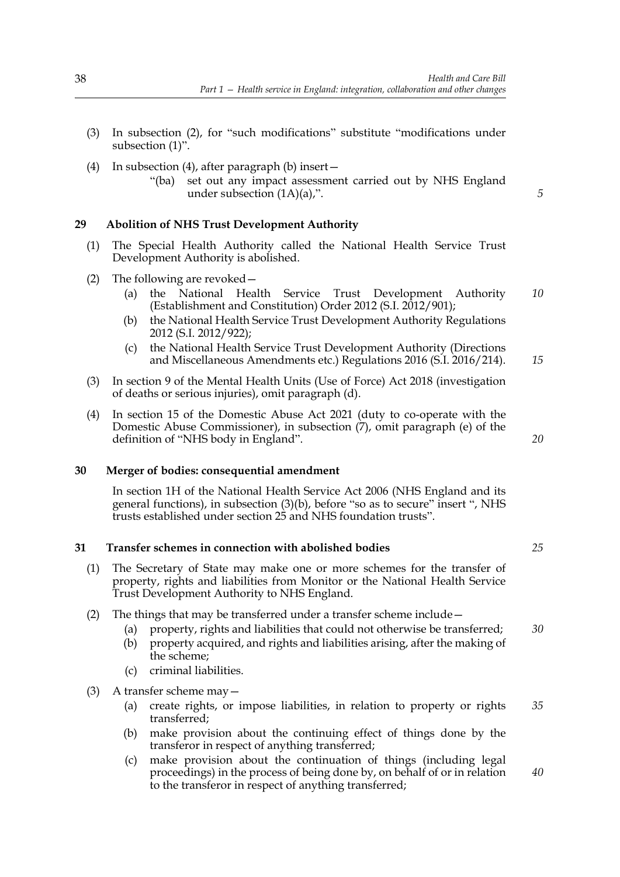- (3) In subsection (2), for "such modifications" substitute "modifications under subsection (1)".
- (4) In subsection (4), after paragraph (b) insert—
	- "(ba) set out any impact assessment carried out by NHS England under subsection (1A)(a),".

## **29 Abolition of NHS Trust Development Authority**

- (1) The Special Health Authority called the National Health Service Trust Development Authority is abolished.
- (2) The following are revoked—
	- (a) the National Health Service Trust Development Authority (Establishment and Constitution) Order 2012 (S.I. 2012/901); *10*
	- (b) the National Health Service Trust Development Authority Regulations 2012 (S.I. 2012/922);
	- (c) the National Health Service Trust Development Authority (Directions and Miscellaneous Amendments etc.) Regulations 2016 (S.I. 2016/214). *15*
- (3) In section 9 of the Mental Health Units (Use of Force) Act 2018 (investigation of deaths or serious injuries), omit paragraph (d).
- (4) In section 15 of the Domestic Abuse Act 2021 (duty to co-operate with the Domestic Abuse Commissioner), in subsection (7), omit paragraph (e) of the definition of "NHS body in England".

#### **30 Merger of bodies: consequential amendment**

In section 1H of the National Health Service Act 2006 (NHS England and its general functions), in subsection (3)(b), before "so as to secure" insert ", NHS trusts established under section 25 and NHS foundation trusts".

#### **31 Transfer schemes in connection with abolished bodies**

- (1) The Secretary of State may make one or more schemes for the transfer of property, rights and liabilities from Monitor or the National Health Service Trust Development Authority to NHS England.
- (2) The things that may be transferred under a transfer scheme include—
	- (a) property, rights and liabilities that could not otherwise be transferred;
	- (b) property acquired, and rights and liabilities arising, after the making of the scheme;
	- (c) criminal liabilities.
- (3) A transfer scheme may—
	- (a) create rights, or impose liabilities, in relation to property or rights transferred; *35*
	- (b) make provision about the continuing effect of things done by the transferor in respect of anything transferred;
	- (c) make provision about the continuation of things (including legal proceedings) in the process of being done by, on behalf of or in relation to the transferor in respect of anything transferred; *40*

*5*

*20*

*25*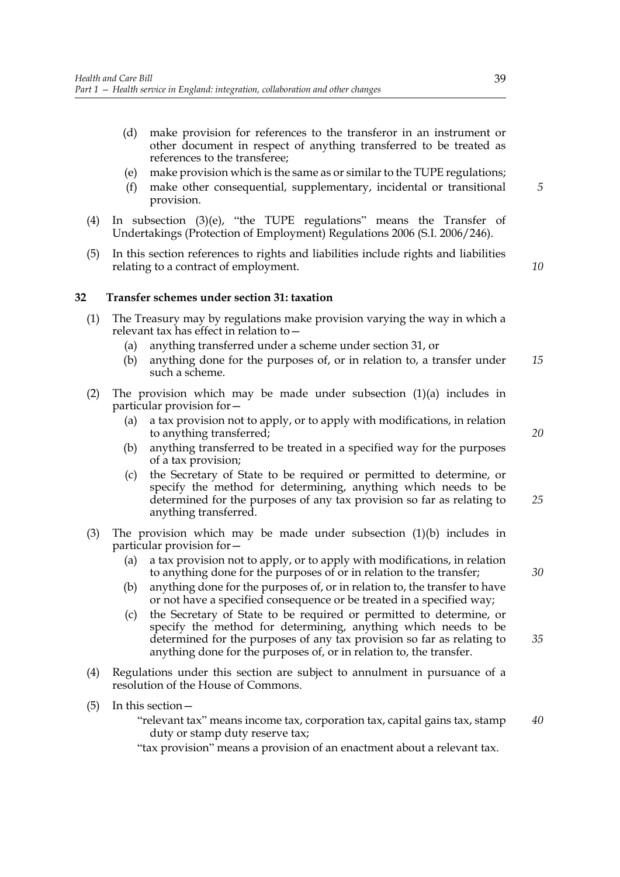- (d) make provision for references to the transferor in an instrument or other document in respect of anything transferred to be treated as references to the transferee;
- (e) make provision which is the same as or similar to the TUPE regulations;
- (f) make other consequential, supplementary, incidental or transitional provision.
- (4) In subsection (3)(e), "the TUPE regulations" means the Transfer of Undertakings (Protection of Employment) Regulations 2006 (S.I. 2006/246).
- (5) In this section references to rights and liabilities include rights and liabilities relating to a contract of employment.

*10*

*5*

## **32 Transfer schemes under section 31: taxation**

- (1) The Treasury may by regulations make provision varying the way in which a relevant tax has effect in relation to—
	- (a) anything transferred under a scheme under section 31, or
	- (b) anything done for the purposes of, or in relation to, a transfer under such a scheme. *15*
- (2) The provision which may be made under subsection (1)(a) includes in particular provision for—
	- (a) a tax provision not to apply, or to apply with modifications, in relation to anything transferred;
	- (b) anything transferred to be treated in a specified way for the purposes of a tax provision;
	- (c) the Secretary of State to be required or permitted to determine, or specify the method for determining, anything which needs to be determined for the purposes of any tax provision so far as relating to anything transferred. *25*
- (3) The provision which may be made under subsection (1)(b) includes in particular provision for—
	- (a) a tax provision not to apply, or to apply with modifications, in relation to anything done for the purposes of or in relation to the transfer;
	- (b) anything done for the purposes of, or in relation to, the transfer to have or not have a specified consequence or be treated in a specified way;
	- (c) the Secretary of State to be required or permitted to determine, or specify the method for determining, anything which needs to be determined for the purposes of any tax provision so far as relating to anything done for the purposes of, or in relation to, the transfer.
- (4) Regulations under this section are subject to annulment in pursuance of a resolution of the House of Commons.
- (5) In this section—
	- "relevant tax" means income tax, corporation tax, capital gains tax, stamp duty or stamp duty reserve tax;

"tax provision" means a provision of an enactment about a relevant tax.

*20*

*35*

*30*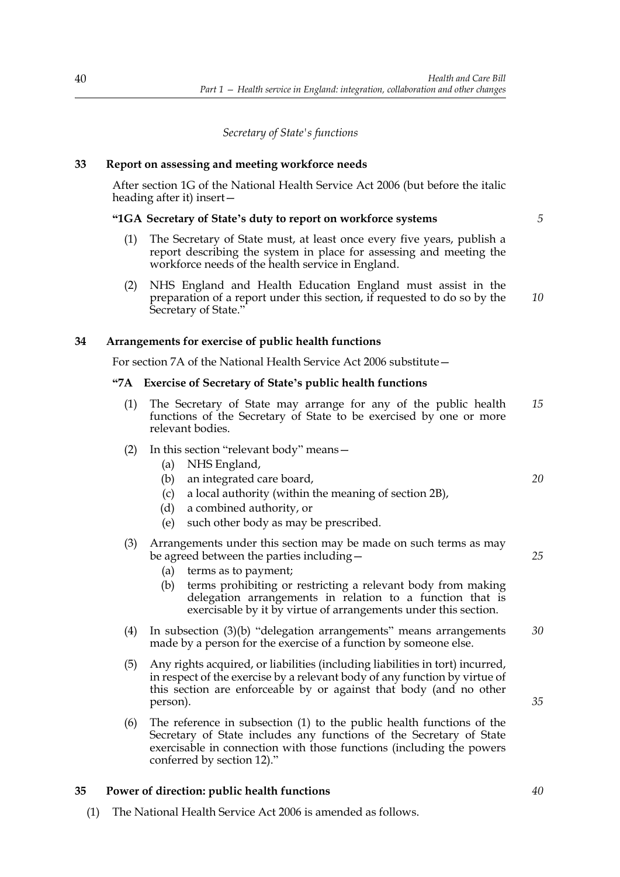## *Secretary of State's functions*

# **33 Report on assessing and meeting workforce needs**

After section 1G of the National Health Service Act 2006 (but before the italic heading after it) insert—

## **"1GA Secretary of State's duty to report on workforce systems**

- (1) The Secretary of State must, at least once every five years, publish a report describing the system in place for assessing and meeting the workforce needs of the health service in England.
- (2) NHS England and Health Education England must assist in the preparation of a report under this section, if requested to do so by the Secretary of State." *10*

## **34 Arrangements for exercise of public health functions**

For section 7A of the National Health Service Act 2006 substitute—

## **"7A Exercise of Secretary of State's public health functions**

- (1) The Secretary of State may arrange for any of the public health functions of the Secretary of State to be exercised by one or more relevant bodies. *15*
- (2) In this section "relevant body" means—
	- (a) NHS England,
	- (b) an integrated care board,
	- (c) a local authority (within the meaning of section 2B),
	- (d) a combined authority, or
	- (e) such other body as may be prescribed.

#### (3) Arrangements under this section may be made on such terms as may be agreed between the parties including—

- (a) terms as to payment;
- (b) terms prohibiting or restricting a relevant body from making delegation arrangements in relation to a function that is exercisable by it by virtue of arrangements under this section.
- (4) In subsection (3)(b) "delegation arrangements" means arrangements made by a person for the exercise of a function by someone else. *30*
- (5) Any rights acquired, or liabilities (including liabilities in tort) incurred, in respect of the exercise by a relevant body of any function by virtue of this section are enforceable by or against that body (and no other person).
- (6) The reference in subsection (1) to the public health functions of the Secretary of State includes any functions of the Secretary of State exercisable in connection with those functions (including the powers conferred by section 12)."

#### **35 Power of direction: public health functions**

(1) The National Health Service Act 2006 is amended as follows.

*20*

*5*

*25*

*35*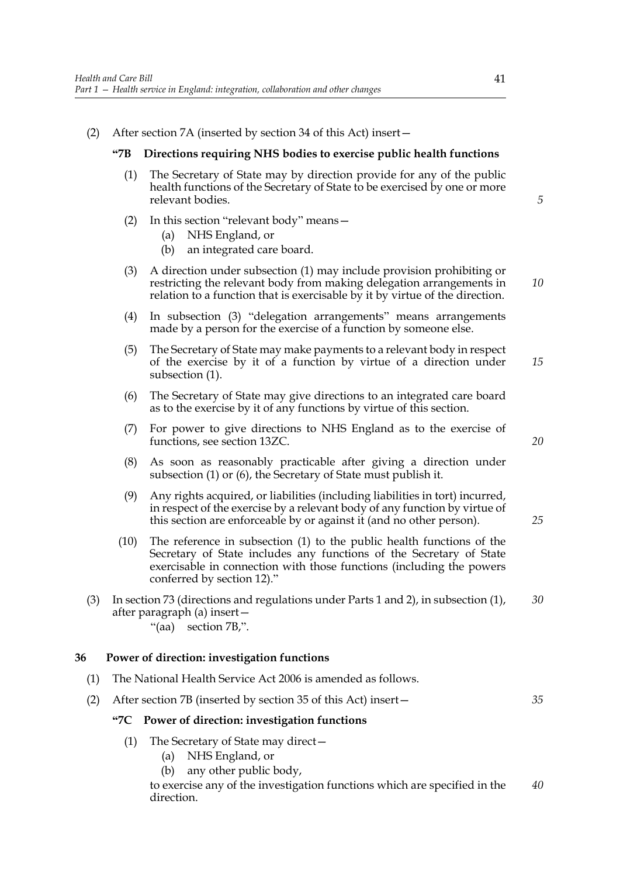(2) After section 7A (inserted by section 34 of this Act) insert—

## **"7B Directions requiring NHS bodies to exercise public health functions**

- (1) The Secretary of State may by direction provide for any of the public health functions of the Secretary of State to be exercised by one or more relevant bodies.
- (2) In this section "relevant body" means—
	- (a) NHS England, or
	- (b) an integrated care board.
- (3) A direction under subsection (1) may include provision prohibiting or restricting the relevant body from making delegation arrangements in relation to a function that is exercisable by it by virtue of the direction. *10*
- (4) In subsection (3) "delegation arrangements" means arrangements made by a person for the exercise of a function by someone else.
- (5) The Secretary of State may make payments to a relevant body in respect of the exercise by it of a function by virtue of a direction under subsection (1). *15*
- (6) The Secretary of State may give directions to an integrated care board as to the exercise by it of any functions by virtue of this section.
- (7) For power to give directions to NHS England as to the exercise of functions, see section 13ZC.
- (8) As soon as reasonably practicable after giving a direction under subsection (1) or (6), the Secretary of State must publish it.
- (9) Any rights acquired, or liabilities (including liabilities in tort) incurred, in respect of the exercise by a relevant body of any function by virtue of this section are enforceable by or against it (and no other person).
- (10) The reference in subsection (1) to the public health functions of the Secretary of State includes any functions of the Secretary of State exercisable in connection with those functions (including the powers conferred by section 12)."
- (3) In section 73 (directions and regulations under Parts 1 and 2), in subsection (1), after paragraph (a) insert— "(aa) section 7B,". *30*
	-

## **36 Power of direction: investigation functions**

- (1) The National Health Service Act 2006 is amended as follows.
- (2) After section 7B (inserted by section 35 of this Act) insert—

## **"7C Power of direction: investigation functions**

- (1) The Secretary of State may direct—
	- (a) NHS England, or
	- (b) any other public body,

to exercise any of the investigation functions which are specified in the direction. *40*

*5*

*20*

*25*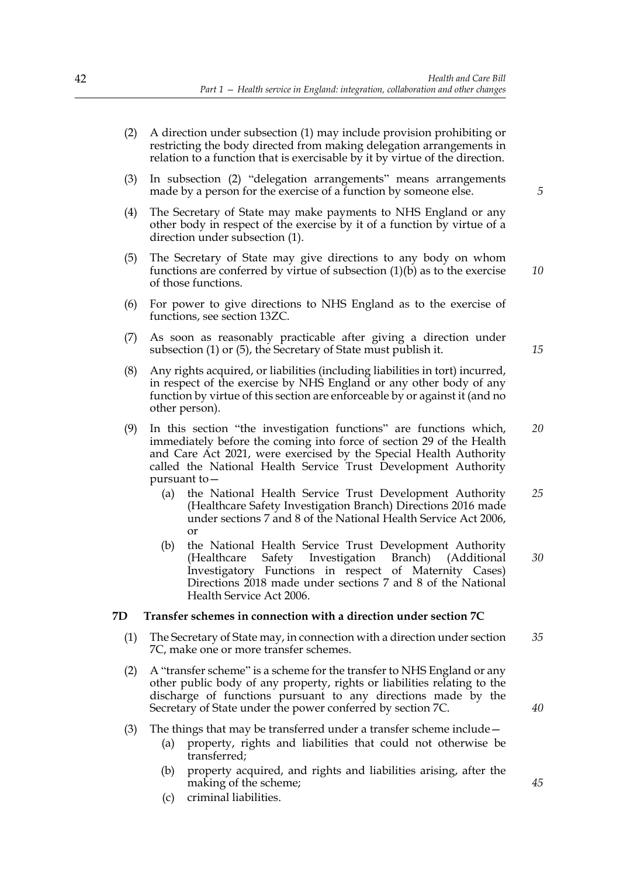- (2) A direction under subsection (1) may include provision prohibiting or restricting the body directed from making delegation arrangements in relation to a function that is exercisable by it by virtue of the direction.
- (3) In subsection (2) "delegation arrangements" means arrangements made by a person for the exercise of a function by someone else.
- (4) The Secretary of State may make payments to NHS England or any other body in respect of the exercise by it of a function by virtue of a direction under subsection (1).
- (5) The Secretary of State may give directions to any body on whom functions are conferred by virtue of subsection (1)(b) as to the exercise of those functions.
- (6) For power to give directions to NHS England as to the exercise of functions, see section 13ZC.
- (7) As soon as reasonably practicable after giving a direction under subsection (1) or (5), the Secretary of State must publish it.
- (8) Any rights acquired, or liabilities (including liabilities in tort) incurred, in respect of the exercise by NHS England or any other body of any function by virtue of this section are enforceable by or against it (and no other person).
- (9) In this section "the investigation functions" are functions which, immediately before the coming into force of section 29 of the Health and Care Act 2021, were exercised by the Special Health Authority called the National Health Service Trust Development Authority pursuant to— *20*
	- (a) the National Health Service Trust Development Authority (Healthcare Safety Investigation Branch) Directions 2016 made under sections 7 and 8 of the National Health Service Act 2006, or *25*
	- (b) the National Health Service Trust Development Authority (Healthcare Safety Investigation Branch) (Additional Investigatory Functions in respect of Maternity Cases) Directions 2018 made under sections 7 and 8 of the National Health Service Act 2006. *30*

#### **7D Transfer schemes in connection with a direction under section 7C**

- (1) The Secretary of State may, in connection with a direction under section 7C, make one or more transfer schemes. *35*
- (2) A "transfer scheme" is a scheme for the transfer to NHS England or any other public body of any property, rights or liabilities relating to the discharge of functions pursuant to any directions made by the Secretary of State under the power conferred by section 7C.
- (3) The things that may be transferred under a transfer scheme include—
	- (a) property, rights and liabilities that could not otherwise be transferred;
	- (b) property acquired, and rights and liabilities arising, after the making of the scheme;
	- (c) criminal liabilities.

*10*

*15*

*40*

*45*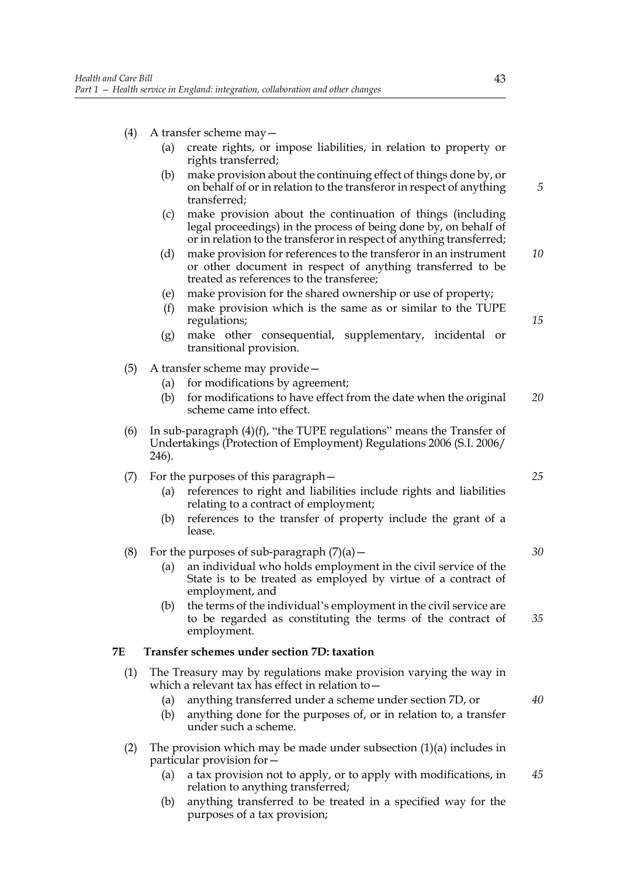- (4) A transfer scheme may—
	- (a) create rights, or impose liabilities, in relation to property or rights transferred;
	- (b) make provision about the continuing effect of things done by, or on behalf of or in relation to the transferor in respect of anything transferred;
	- (c) make provision about the continuation of things (including legal proceedings) in the process of being done by, on behalf of or in relation to the transferor in respect of anything transferred;
	- (d) make provision for references to the transferor in an instrument or other document in respect of anything transferred to be treated as references to the transferee;
	- (e) make provision for the shared ownership or use of property;
	- (f) make provision which is the same as or similar to the TUPE regulations;
	- (g) make other consequential, supplementary, incidental or transitional provision.
- (5) A transfer scheme may provide—
	- (a) for modifications by agreement;
	- (b) for modifications to have effect from the date when the original scheme came into effect. *20*
- (6) In sub-paragraph  $(4)(f)$ , "the TUPE regulations" means the Transfer of Undertakings (Protection of Employment) Regulations 2006 (S.I. 2006/ 246).

## (7) For the purposes of this paragraph—

- (a) references to right and liabilities include rights and liabilities relating to a contract of employment;
- (b) references to the transfer of property include the grant of a lease.

## (8) For the purposes of sub-paragraph  $(7)(a)$  –

- (a) an individual who holds employment in the civil service of the State is to be treated as employed by virtue of a contract of employment, and
- (b) the terms of the individual's employment in the civil service are to be regarded as constituting the terms of the contract of employment. *35*

## **7E Transfer schemes under section 7D: taxation**

- (1) The Treasury may by regulations make provision varying the way in which a relevant tax has effect in relation to—
	- (a) anything transferred under a scheme under section 7D, or
	- (b) anything done for the purposes of, or in relation to, a transfer under such a scheme.
- (2) The provision which may be made under subsection (1)(a) includes in particular provision for—
	- (a) a tax provision not to apply, or to apply with modifications, in relation to anything transferred; *45*
	- (b) anything transferred to be treated in a specified way for the purposes of a tax provision;

*5*

*10*

*15*

*25*

*30*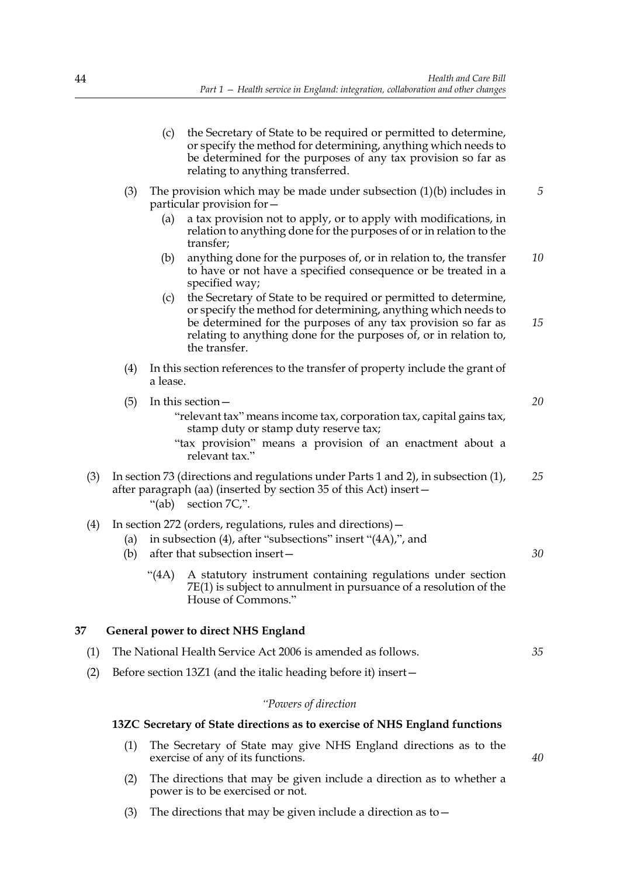- (c) the Secretary of State to be required or permitted to determine, or specify the method for determining, anything which needs to be determined for the purposes of any tax provision so far as relating to anything transferred.
- (3) The provision which may be made under subsection (1)(b) includes in particular provision for— *5*
	- (a) a tax provision not to apply, or to apply with modifications, in relation to anything done for the purposes of or in relation to the transfer;
	- (b) anything done for the purposes of, or in relation to, the transfer to have or not have a specified consequence or be treated in a specified way; *10*
	- (c) the Secretary of State to be required or permitted to determine, or specify the method for determining, anything which needs to be determined for the purposes of any tax provision so far as relating to anything done for the purposes of, or in relation to, the transfer. *15*
- (4) In this section references to the transfer of property include the grant of a lease.
- (5) In this section—
	- "relevant tax" means income tax, corporation tax, capital gains tax, stamp duty or stamp duty reserve tax;
	- "tax provision" means a provision of an enactment about a relevant tax."
- (3) In section 73 (directions and regulations under Parts 1 and 2), in subsection (1), after paragraph (aa) (inserted by section 35 of this Act) insert— "(ab) section 7C,". *25*
- (4) In section 272 (orders, regulations, rules and directions)—
	- (a) in subsection (4), after "subsections" insert "(4A),", and
	- (b) after that subsection insert—
		- "(4A) A statutory instrument containing regulations under section 7E(1) is subject to annulment in pursuance of a resolution of the House of Commons."

## **37 General power to direct NHS England**

- (1) The National Health Service Act 2006 is amended as follows. *35*
- (2) Before section 13Z1 (and the italic heading before it) insert—

#### *"Powers of direction*

## **13ZC Secretary of State directions as to exercise of NHS England functions**

- (1) The Secretary of State may give NHS England directions as to the exercise of any of its functions.
- (2) The directions that may be given include a direction as to whether a power is to be exercised or not.
- (3) The directions that may be given include a direction as to  $-$

*30*

*20*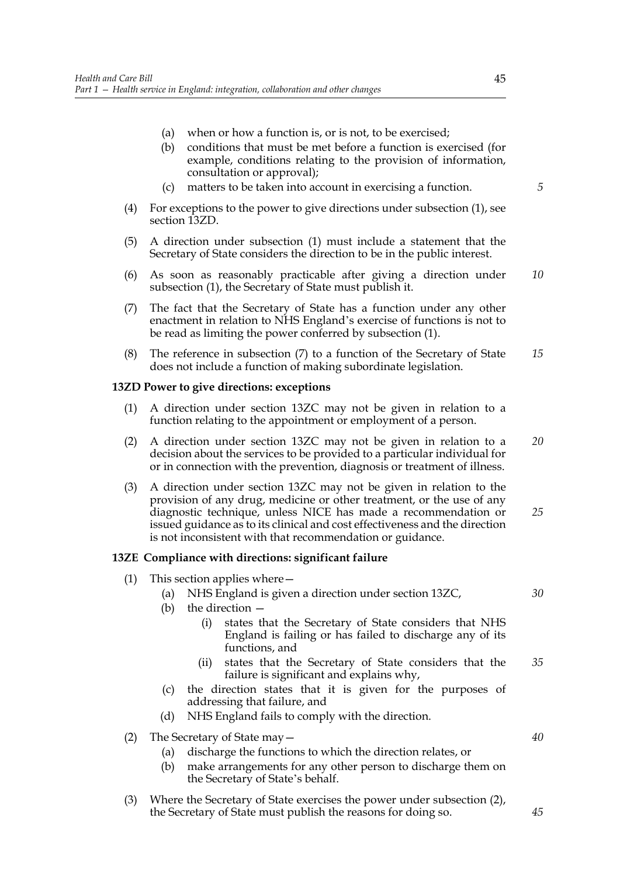- (a) when or how a function is, or is not, to be exercised;
- (b) conditions that must be met before a function is exercised (for example, conditions relating to the provision of information, consultation or approval);
- (c) matters to be taken into account in exercising a function.
- (4) For exceptions to the power to give directions under subsection (1), see section 13ZD.
- (5) A direction under subsection (1) must include a statement that the Secretary of State considers the direction to be in the public interest.
- (6) As soon as reasonably practicable after giving a direction under subsection (1), the Secretary of State must publish it. *10*
- (7) The fact that the Secretary of State has a function under any other enactment in relation to NHS England's exercise of functions is not to be read as limiting the power conferred by subsection (1).
- (8) The reference in subsection (7) to a function of the Secretary of State does not include a function of making subordinate legislation. *15*

## **13ZD Power to give directions: exceptions**

- (1) A direction under section 13ZC may not be given in relation to a function relating to the appointment or employment of a person.
- (2) A direction under section 13ZC may not be given in relation to a decision about the services to be provided to a particular individual for or in connection with the prevention, diagnosis or treatment of illness. *20*
- (3) A direction under section 13ZC may not be given in relation to the provision of any drug, medicine or other treatment, or the use of any diagnostic technique, unless NICE has made a recommendation or issued guidance as to its clinical and cost effectiveness and the direction is not inconsistent with that recommendation or guidance. *25*

#### **13ZE Compliance with directions: significant failure**

- (1) This section applies where—
	- (a) NHS England is given a direction under section 13ZC,
	- (b) the direction
		- (i) states that the Secretary of State considers that NHS England is failing or has failed to discharge any of its functions, and
		- (ii) states that the Secretary of State considers that the failure is significant and explains why, *35*
	- (c) the direction states that it is given for the purposes of addressing that failure, and
	- (d) NHS England fails to comply with the direction.
- (2) The Secretary of State may—
	- (a) discharge the functions to which the direction relates, or
	- (b) make arrangements for any other person to discharge them on the Secretary of State's behalf.
- (3) Where the Secretary of State exercises the power under subsection (2), the Secretary of State must publish the reasons for doing so.

*5*

*30*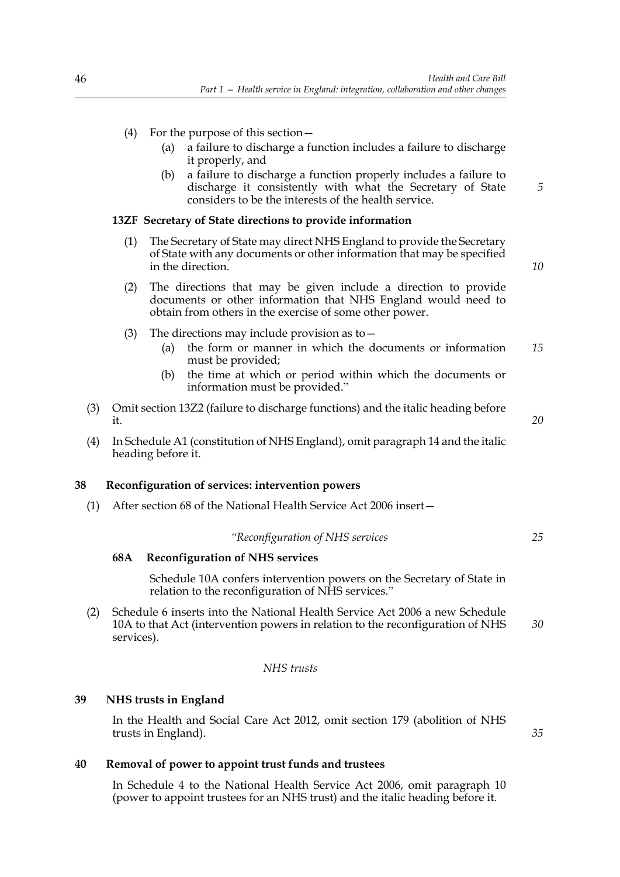- (4) For the purpose of this section—
	- (a) a failure to discharge a function includes a failure to discharge it properly, and
	- (b) a failure to discharge a function properly includes a failure to discharge it consistently with what the Secretary of State considers to be the interests of the health service.

## **13ZF Secretary of State directions to provide information**

(1) The Secretary of State may direct NHS England to provide the Secretary of State with any documents or other information that may be specified in the direction.

*10*

*20*

*25*

*5*

- (2) The directions that may be given include a direction to provide documents or other information that NHS England would need to obtain from others in the exercise of some other power.
- (3) The directions may include provision as to  $-$ 
	- (a) the form or manner in which the documents or information must be provided; *15*
	- (b) the time at which or period within which the documents or information must be provided."
- (3) Omit section 13Z2 (failure to discharge functions) and the italic heading before it.
- (4) In Schedule A1 (constitution of NHS England), omit paragraph 14 and the italic heading before it.

#### **38 Reconfiguration of services: intervention powers**

(1) After section 68 of the National Health Service Act 2006 insert—

# *"Reconfiguration of NHS services*

#### **68A Reconfiguration of NHS services**

Schedule 10A confers intervention powers on the Secretary of State in relation to the reconfiguration of NHS services."

(2) Schedule 6 inserts into the National Health Service Act 2006 a new Schedule 10A to that Act (intervention powers in relation to the reconfiguration of NHS services). *30*

## *NHS trusts*

# **39 NHS trusts in England**

In the Health and Social Care Act 2012, omit section 179 (abolition of NHS trusts in England).

*35*

#### **40 Removal of power to appoint trust funds and trustees**

In Schedule 4 to the National Health Service Act 2006, omit paragraph 10 (power to appoint trustees for an NHS trust) and the italic heading before it.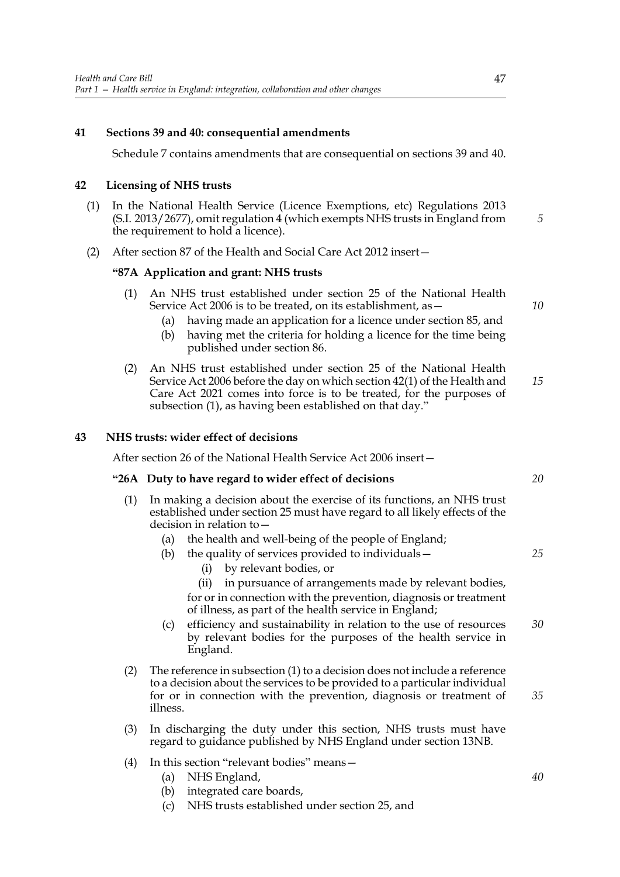## **41 Sections 39 and 40: consequential amendments**

Schedule 7 contains amendments that are consequential on sections 39 and 40.

## **42 Licensing of NHS trusts**

- (1) In the National Health Service (Licence Exemptions, etc) Regulations 2013 (S.I. 2013/2677), omit regulation 4 (which exempts NHS trusts in England from the requirement to hold a licence).
- (2) After section 87 of the Health and Social Care Act 2012 insert—

#### **"87A Application and grant: NHS trusts**

- (1) An NHS trust established under section 25 of the National Health Service Act 2006 is to be treated, on its establishment, as—
	- (a) having made an application for a licence under section 85, and
	- (b) having met the criteria for holding a licence for the time being published under section 86.
- (2) An NHS trust established under section 25 of the National Health Service Act 2006 before the day on which section 42(1) of the Health and Care Act 2021 comes into force is to be treated, for the purposes of subsection (1), as having been established on that day." *15*

## **43 NHS trusts: wider effect of decisions**

After section 26 of the National Health Service Act 2006 insert—

#### **"26A Duty to have regard to wider effect of decisions**

- (1) In making a decision about the exercise of its functions, an NHS trust established under section 25 must have regard to all likely effects of the decision in relation to—
	- (a) the health and well-being of the people of England;
	- (b) the quality of services provided to individuals—
		- (i) by relevant bodies, or
		- (ii) in pursuance of arrangements made by relevant bodies,
		- for or in connection with the prevention, diagnosis or treatment of illness, as part of the health service in England;
	- (c) efficiency and sustainability in relation to the use of resources by relevant bodies for the purposes of the health service in England. *30*
- (2) The reference in subsection (1) to a decision does not include a reference to a decision about the services to be provided to a particular individual for or in connection with the prevention, diagnosis or treatment of illness.
- (3) In discharging the duty under this section, NHS trusts must have regard to guidance published by NHS England under section 13NB.
- (4) In this section "relevant bodies" means—
	- (a) NHS England,
	- (b) integrated care boards,
	- (c) NHS trusts established under section 25, and

*20*

*25*

*5*

- *35*
- *40*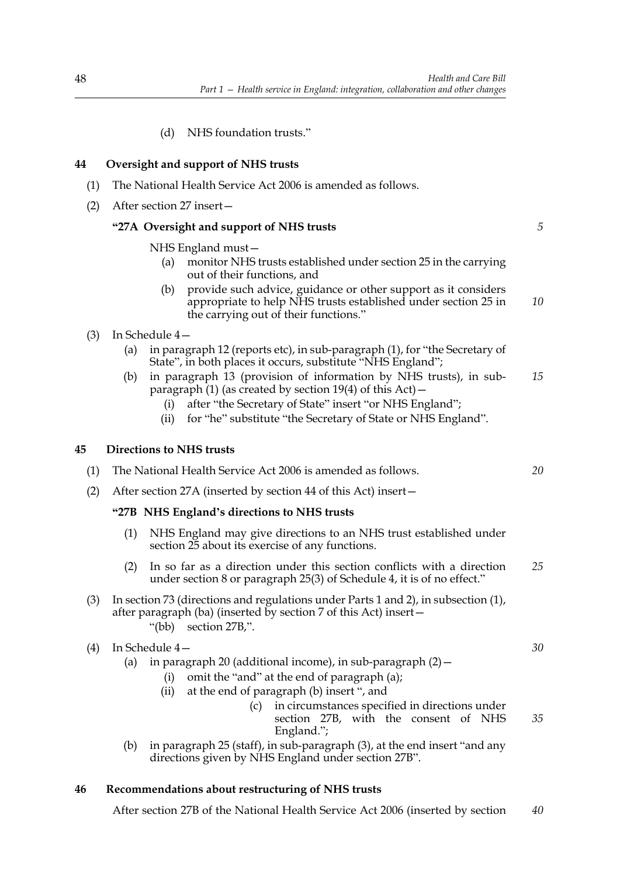(d) NHS foundation trusts."

# **44 Oversight and support of NHS trusts**

- (1) The National Health Service Act 2006 is amended as follows.
- (2) After section 27 insert—

# **"27A Oversight and support of NHS trusts**

NHS England must—

- (a) monitor NHS trusts established under section 25 in the carrying out of their functions, and
- (b) provide such advice, guidance or other support as it considers appropriate to help NHS trusts established under section 25 in the carrying out of their functions." *10*
- (3) In Schedule 4—
	- (a) in paragraph 12 (reports etc), in sub-paragraph (1), for "the Secretary of State", in both places it occurs, substitute "NHS England";
	- (b) in paragraph 13 (provision of information by NHS trusts), in subparagraph  $(1)$  (as created by section 19(4) of this Act) – *15*
		- (i) after "the Secretary of State" insert "or NHS England";
		- (ii) for "he" substitute "the Secretary of State or NHS England".

## **45 Directions to NHS trusts**

(1) The National Health Service Act 2006 is amended as follows.

(2) After section 27A (inserted by section 44 of this Act) insert—

## **"27B NHS England's directions to NHS trusts**

- (1) NHS England may give directions to an NHS trust established under section 25 about its exercise of any functions.
- (2) In so far as a direction under this section conflicts with a direction under section 8 or paragraph 25(3) of Schedule 4, it is of no effect." *25*
- (3) In section 73 (directions and regulations under Parts 1 and 2), in subsection (1), after paragraph (ba) (inserted by section 7 of this Act) insert— "(bb) section 27B,".

## (4) In Schedule 4—

- (a) in paragraph 20 (additional income), in sub-paragraph  $(2)$  -
	- (i) omit the "and" at the end of paragraph (a);
	- (ii) at the end of paragraph (b) insert ", and
		- (c) in circumstances specified in directions under section 27B, with the consent of NHS England."; *35*
- (b) in paragraph 25 (staff), in sub-paragraph (3), at the end insert "and any directions given by NHS England under section 27B".

## **46 Recommendations about restructuring of NHS trusts**

After section 27B of the National Health Service Act 2006 (inserted by section *40*

*30*

*20*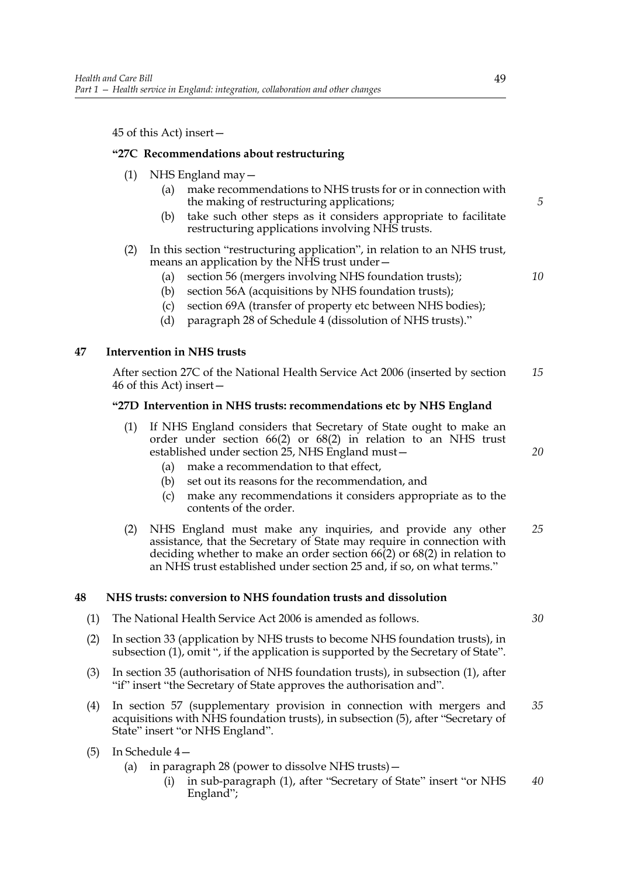45 of this Act) insert—

## **"27C Recommendations about restructuring**

- (1) NHS England may—
	- (a) make recommendations to NHS trusts for or in connection with the making of restructuring applications;
	- (b) take such other steps as it considers appropriate to facilitate restructuring applications involving NHS trusts.

#### (2) In this section "restructuring application", in relation to an NHS trust, means an application by the NHS trust under—

- (a) section 56 (mergers involving NHS foundation trusts);
- (b) section 56A (acquisitions by NHS foundation trusts);
- (c) section 69A (transfer of property etc between NHS bodies);
- (d) paragraph 28 of Schedule 4 (dissolution of NHS trusts)."

## **47 Intervention in NHS trusts**

After section 27C of the National Health Service Act 2006 (inserted by section 46 of this Act) insert— *15*

## **"27D Intervention in NHS trusts: recommendations etc by NHS England**

- (1) If NHS England considers that Secretary of State ought to make an order under section 66(2) or 68(2) in relation to an NHS trust established under section 25, NHS England must—
	- (a) make a recommendation to that effect,
	- (b) set out its reasons for the recommendation, and
	- (c) make any recommendations it considers appropriate as to the contents of the order.
- (2) NHS England must make any inquiries, and provide any other assistance, that the Secretary of State may require in connection with deciding whether to make an order section 66(2) or 68(2) in relation to an NHS trust established under section 25 and, if so, on what terms." *25*

## **48 NHS trusts: conversion to NHS foundation trusts and dissolution**

- (1) The National Health Service Act 2006 is amended as follows.
- (2) In section 33 (application by NHS trusts to become NHS foundation trusts), in subsection (1), omit ", if the application is supported by the Secretary of State".
- (3) In section 35 (authorisation of NHS foundation trusts), in subsection (1), after "if" insert "the Secretary of State approves the authorisation and".
- (4) In section 57 (supplementary provision in connection with mergers and acquisitions with NHS foundation trusts), in subsection (5), after "Secretary of State" insert "or NHS England". *35*
- (5) In Schedule 4—
	- (a) in paragraph 28 (power to dissolve NHS trusts)—
		- (i) in sub-paragraph (1), after "Secretary of State" insert "or NHS England"; *40*

*5*

*10*

*20*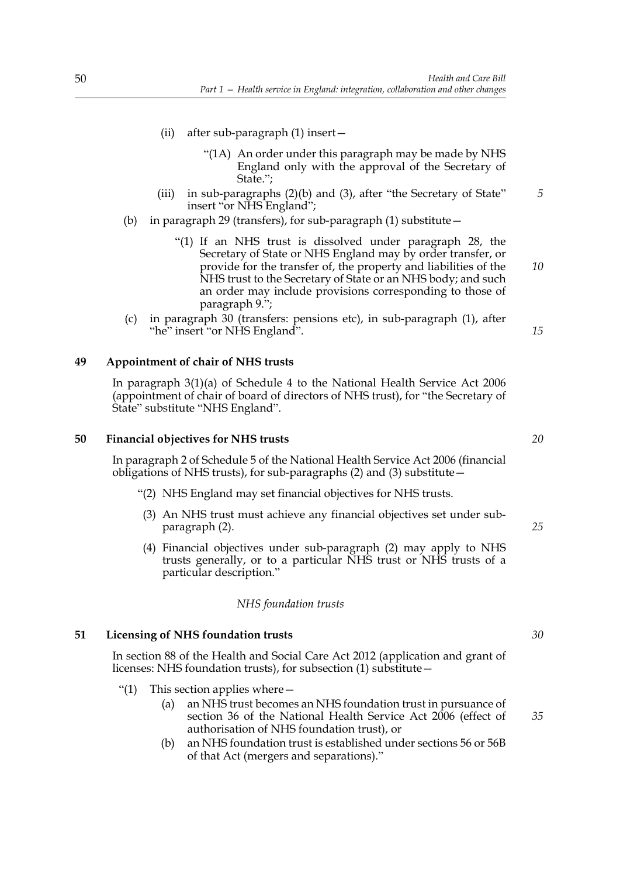- (ii) after sub-paragraph (1) insert—
	- "(1A) An order under this paragraph may be made by NHS England only with the approval of the Secretary of State.";
- (iii) in sub-paragraphs (2)(b) and (3), after "the Secretary of State" insert "or NHS England"; *5*
- (b) in paragraph 29 (transfers), for sub-paragraph (1) substitute—
	- "(1) If an NHS trust is dissolved under paragraph 28, the Secretary of State or NHS England may by order transfer, or provide for the transfer of, the property and liabilities of the NHS trust to the Secretary of State or an NHS body; and such an order may include provisions corresponding to those of paragraph 9.";
- (c) in paragraph 30 (transfers: pensions etc), in sub-paragraph (1), after "he" insert "or NHS England".

## **49 Appointment of chair of NHS trusts**

In paragraph 3(1)(a) of Schedule 4 to the National Health Service Act 2006 (appointment of chair of board of directors of NHS trust), for "the Secretary of State" substitute "NHS England".

## **50 Financial objectives for NHS trusts**

In paragraph 2 of Schedule 5 of the National Health Service Act 2006 (financial obligations of NHS trusts), for sub-paragraphs  $(2)$  and  $(3)$  substitute –

- "(2) NHS England may set financial objectives for NHS trusts.
- (3) An NHS trust must achieve any financial objectives set under subparagraph (2).
- (4) Financial objectives under sub-paragraph (2) may apply to NHS trusts generally, or to a particular NHS trust or NHS trusts of a particular description."

#### *NHS foundation trusts*

#### **51 Licensing of NHS foundation trusts**

In section 88 of the Health and Social Care Act 2012 (application and grant of licenses: NHS foundation trusts), for subsection (1) substitute—

- "(1) This section applies where  $-$ 
	- (a) an NHS trust becomes an NHS foundation trust in pursuance of section 36 of the National Health Service Act 2006 (effect of authorisation of NHS foundation trust), or
	- (b) an NHS foundation trust is established under sections 56 or 56B of that Act (mergers and separations)."

*30*

*35*

*20*

*15*

*10*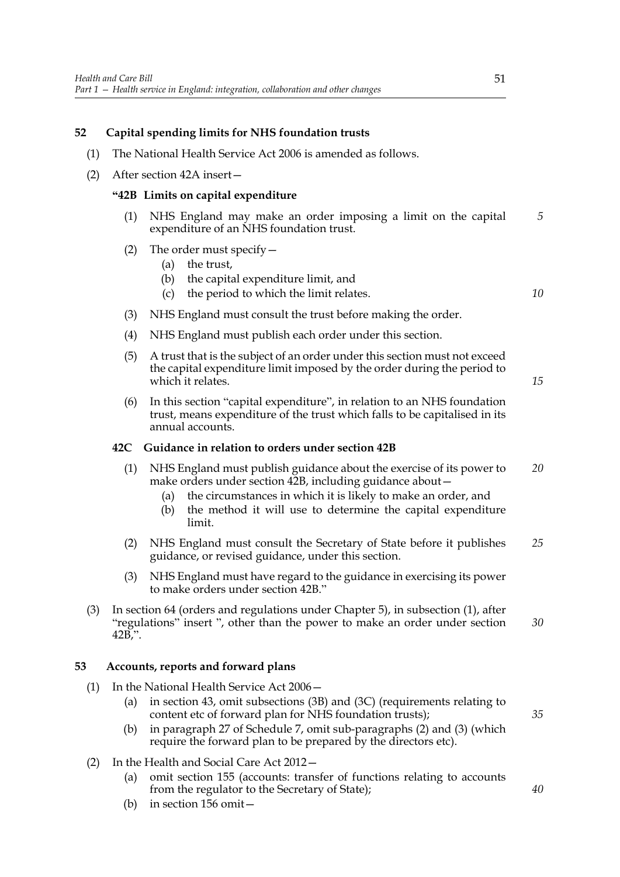# **52 Capital spending limits for NHS foundation trusts**

- (1) The National Health Service Act 2006 is amended as follows.
- (2) After section 42A insert—

## **"42B Limits on capital expenditure**

- (1) NHS England may make an order imposing a limit on the capital expenditure of an NHS foundation trust. *5*
- (2) The order must specify—
	- (a) the trust,
	- (b) the capital expenditure limit, and
	- (c) the period to which the limit relates.
- (3) NHS England must consult the trust before making the order.
- (4) NHS England must publish each order under this section.
- (5) A trust that is the subject of an order under this section must not exceed the capital expenditure limit imposed by the order during the period to which it relates.
- (6) In this section "capital expenditure", in relation to an NHS foundation trust, means expenditure of the trust which falls to be capitalised in its annual accounts.

#### **42C Guidance in relation to orders under section 42B**

- (1) NHS England must publish guidance about the exercise of its power to make orders under section 42B, including guidance about -*20*
	- (a) the circumstances in which it is likely to make an order, and
	- (b) the method it will use to determine the capital expenditure limit.
- (2) NHS England must consult the Secretary of State before it publishes guidance, or revised guidance, under this section. *25*
- (3) NHS England must have regard to the guidance in exercising its power to make orders under section 42B."
- (3) In section 64 (orders and regulations under Chapter 5), in subsection (1), after "regulations" insert ", other than the power to make an order under section 42B,". *30*

# **53 Accounts, reports and forward plans**

- (1) In the National Health Service Act 2006—
	- (a) in section 43, omit subsections (3B) and (3C) (requirements relating to content etc of forward plan for NHS foundation trusts);
	- (b) in paragraph 27 of Schedule 7, omit sub-paragraphs (2) and (3) (which require the forward plan to be prepared by the directors etc).
- (2) In the Health and Social Care Act 2012—
	- (a) omit section 155 (accounts: transfer of functions relating to accounts from the regulator to the Secretary of State);
	- (b) in section 156 omit—

*10*

*15*

*40*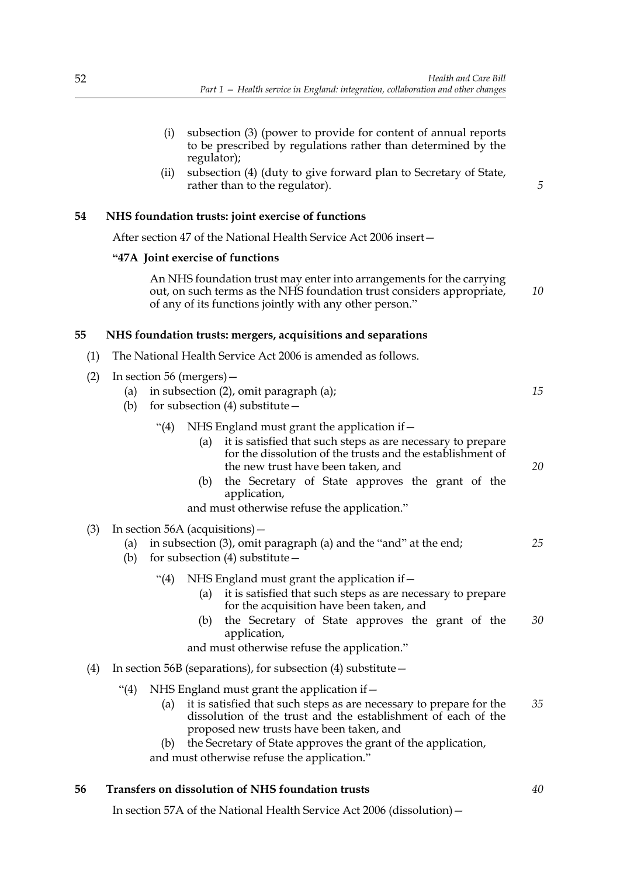|     | (i)<br>subsection (3) (power to provide for content of annual reports<br>to be prescribed by regulations rather than determined by the<br>regulator);<br>subsection (4) (duty to give forward plan to Secretary of State,<br>(ii)<br>rather than to the regulator).                                                                                    | 5  |  |  |  |
|-----|--------------------------------------------------------------------------------------------------------------------------------------------------------------------------------------------------------------------------------------------------------------------------------------------------------------------------------------------------------|----|--|--|--|
| 54  | NHS foundation trusts: joint exercise of functions                                                                                                                                                                                                                                                                                                     |    |  |  |  |
|     | After section 47 of the National Health Service Act 2006 insert -                                                                                                                                                                                                                                                                                      |    |  |  |  |
|     | "47A Joint exercise of functions                                                                                                                                                                                                                                                                                                                       |    |  |  |  |
|     | An NHS foundation trust may enter into arrangements for the carrying<br>out, on such terms as the NHS foundation trust considers appropriate,<br>of any of its functions jointly with any other person."                                                                                                                                               | 10 |  |  |  |
| 55  | NHS foundation trusts: mergers, acquisitions and separations                                                                                                                                                                                                                                                                                           |    |  |  |  |
| (1) | The National Health Service Act 2006 is amended as follows.                                                                                                                                                                                                                                                                                            |    |  |  |  |
| (2) | In section 56 (mergers) –<br>in subsection (2), omit paragraph (a);<br>(a)<br>for subsection $(4)$ substitute $-$<br>(b)                                                                                                                                                                                                                               | 15 |  |  |  |
|     | (4)<br>NHS England must grant the application if -<br>it is satisfied that such steps as are necessary to prepare<br>(a)<br>for the dissolution of the trusts and the establishment of<br>the new trust have been taken, and<br>the Secretary of State approves the grant of the<br>(b)<br>application,<br>and must otherwise refuse the application." | 20 |  |  |  |
| (3) | In section 56A (acquisitions) –<br>in subsection (3), omit paragraph (a) and the "and" at the end;<br>(a)<br>for subsection $(4)$ substitute -<br>(b)                                                                                                                                                                                                  | 25 |  |  |  |
|     | (4)<br>NHS England must grant the application if -<br>it is satisfied that such steps as are necessary to prepare<br>(a)<br>for the acquisition have been taken, and<br>the Secretary of State approves the grant of the<br>(b)<br>application,<br>and must otherwise refuse the application."                                                         | 30 |  |  |  |
| (4) | In section 56B (separations), for subsection $(4)$ substitute $-$                                                                                                                                                                                                                                                                                      |    |  |  |  |
|     | NHS England must grant the application if -<br>"(4)<br>it is satisfied that such steps as are necessary to prepare for the<br>(a)<br>dissolution of the trust and the establishment of each of the<br>proposed new trusts have been taken, and                                                                                                         | 35 |  |  |  |
|     | the Correctory of Ctate expresses the quent of the explication<br>(1)                                                                                                                                                                                                                                                                                  |    |  |  |  |

(b) the Secretary of State approves the grant of the application, and must otherwise refuse the application."

*40*

# **56 Transfers on dissolution of NHS foundation trusts**

In section 57A of the National Health Service Act 2006 (dissolution)—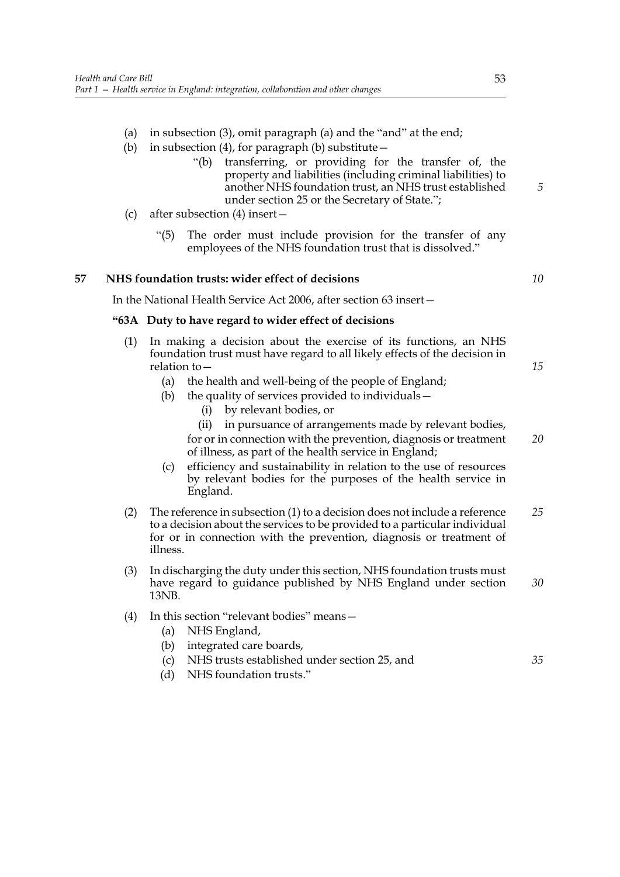- (a) in subsection (3), omit paragraph (a) and the "and" at the end;
- (b) in subsection (4), for paragraph (b) substitute  $-$ 
	- "(b) transferring, or providing for the transfer of, the property and liabilities (including criminal liabilities) to another NHS foundation trust, an NHS trust established under section 25 or the Secretary of State.";
- (c) after subsection (4) insert—
	- "(5) The order must include provision for the transfer of any employees of the NHS foundation trust that is dissolved."

## **57 NHS foundation trusts: wider effect of decisions**

*10*

*15*

*35*

*5*

In the National Health Service Act 2006, after section 63 insert—

## **"63A Duty to have regard to wider effect of decisions**

- (1) In making a decision about the exercise of its functions, an NHS foundation trust must have regard to all likely effects of the decision in relation to—
	- (a) the health and well-being of the people of England;
	- (b) the quality of services provided to individuals—
		- (i) by relevant bodies, or
		- (ii) in pursuance of arrangements made by relevant bodies, for or in connection with the prevention, diagnosis or treatment of illness, as part of the health service in England; *20*
	- (c) efficiency and sustainability in relation to the use of resources by relevant bodies for the purposes of the health service in England.
- (2) The reference in subsection (1) to a decision does not include a reference to a decision about the services to be provided to a particular individual for or in connection with the prevention, diagnosis or treatment of illness. *25*
- (3) In discharging the duty under this section, NHS foundation trusts must have regard to guidance published by NHS England under section 13NB. *30*
- (4) In this section "relevant bodies" means—
	- (a) NHS England,
	- (b) integrated care boards,
	- (c) NHS trusts established under section 25, and
	- (d) NHS foundation trusts."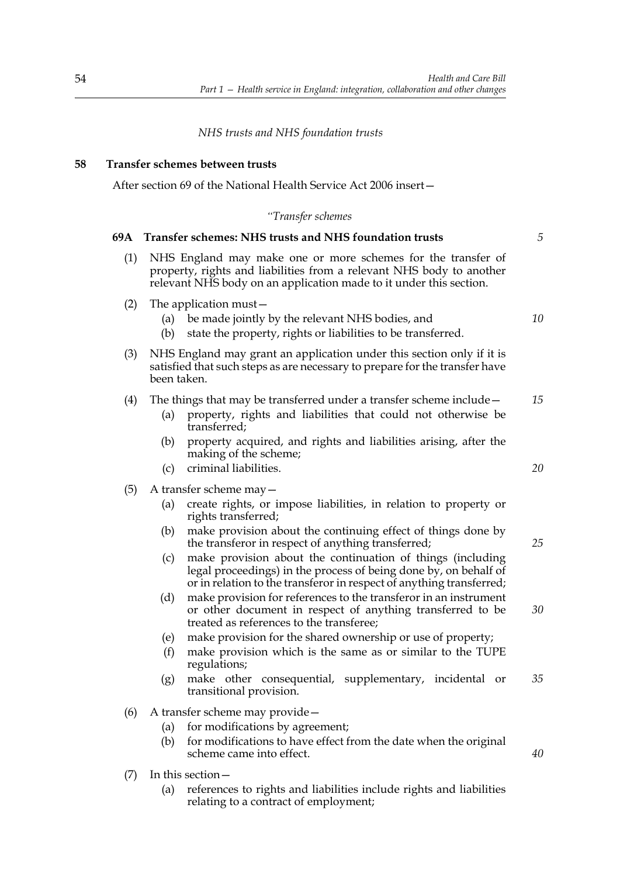## *NHS trusts and NHS foundation trusts*

## **58 Transfer schemes between trusts**

After section 69 of the National Health Service Act 2006 insert—

#### *"Transfer schemes*

## **69A Transfer schemes: NHS trusts and NHS foundation trusts** (1) NHS England may make one or more schemes for the transfer of property, rights and liabilities from a relevant NHS body to another relevant NHS body on an application made to it under this section. (2) The application must— (a) be made jointly by the relevant NHS bodies, and (b) state the property, rights or liabilities to be transferred. (3) NHS England may grant an application under this section only if it is satisfied that such steps as are necessary to prepare for the transfer have been taken. (4) The things that may be transferred under a transfer scheme include— (a) property, rights and liabilities that could not otherwise be transferred; (b) property acquired, and rights and liabilities arising, after the making of the scheme; (c) criminal liabilities. (5) A transfer scheme may— (a) create rights, or impose liabilities, in relation to property or rights transferred; (b) make provision about the continuing effect of things done by the transferor in respect of anything transferred; (c) make provision about the continuation of things (including legal proceedings) in the process of being done by, on behalf of or in relation to the transferor in respect of anything transferred; (d) make provision for references to the transferor in an instrument or other document in respect of anything transferred to be treated as references to the transferee; (e) make provision for the shared ownership or use of property; (f) make provision which is the same as or similar to the TUPE regulations; (g) make other consequential, supplementary, incidental or transitional provision. (6) A transfer scheme may provide— (a) for modifications by agreement; (b) for modifications to have effect from the date when the original scheme came into effect. (7) In this section— *5 10 15 20 25 30 35 40*

(a) references to rights and liabilities include rights and liabilities relating to a contract of employment;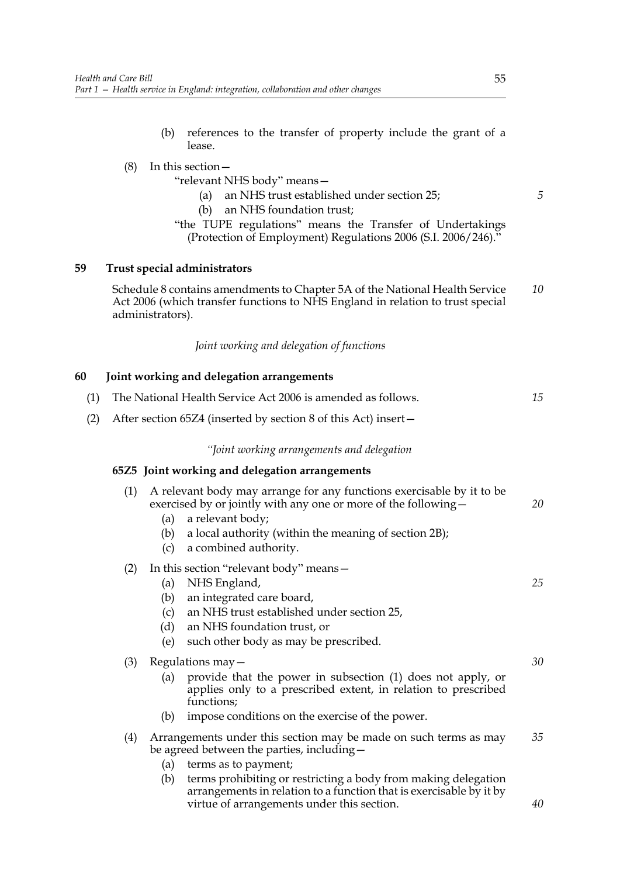(b) references to the transfer of property include the grant of a lease.

# (8) In this section—

"relevant NHS body" means—

- (a) an NHS trust established under section 25;
- (b) an NHS foundation trust;
- "the TUPE regulations" means the Transfer of Undertakings (Protection of Employment) Regulations 2006 (S.I. 2006/246)."

# **59 Trust special administrators**

Schedule 8 contains amendments to Chapter 5A of the National Health Service Act 2006 (which transfer functions to NHS England in relation to trust special administrators). *10*

*Joint working and delegation of functions*

## **60 Joint working and delegation arrangements**

| (1) | The National Health Service Act 2006 is amended as follows. |                                                                                                                                                                                                                                                                                                                                             |          |  |  |
|-----|-------------------------------------------------------------|---------------------------------------------------------------------------------------------------------------------------------------------------------------------------------------------------------------------------------------------------------------------------------------------------------------------------------------------|----------|--|--|
| (2) |                                                             | After section 65Z4 (inserted by section 8 of this Act) insert-                                                                                                                                                                                                                                                                              |          |  |  |
|     | "Joint working arrangements and delegation                  |                                                                                                                                                                                                                                                                                                                                             |          |  |  |
|     |                                                             | 65Z5 Joint working and delegation arrangements                                                                                                                                                                                                                                                                                              |          |  |  |
|     | (1)                                                         | A relevant body may arrange for any functions exercisable by it to be<br>exercised by or jointly with any one or more of the following –<br>a relevant body;<br>(a)<br>a local authority (within the meaning of section 2B);<br>(b)<br>a combined authority.<br>(c)                                                                         | 20       |  |  |
|     | (2)                                                         | In this section "relevant body" means -<br>NHS England,<br>(a)<br>an integrated care board,<br>(b)<br>an NHS trust established under section 25,<br>(c)<br>an NHS foundation trust, or<br>(d)<br>(e)<br>such other body as may be prescribed.                                                                                               | 25       |  |  |
|     | (3)                                                         | Regulations may -<br>provide that the power in subsection (1) does not apply, or<br>(a)<br>applies only to a prescribed extent, in relation to prescribed<br>functions;<br>impose conditions on the exercise of the power.<br>(b)                                                                                                           | 30       |  |  |
|     | (4)                                                         | Arrangements under this section may be made on such terms as may<br>be agreed between the parties, including -<br>(a)<br>terms as to payment;<br>terms prohibiting or restricting a body from making delegation<br>(b)<br>arrangements in relation to a function that is exercisable by it by<br>virtue of arrangements under this section. | 35<br>40 |  |  |
|     |                                                             |                                                                                                                                                                                                                                                                                                                                             |          |  |  |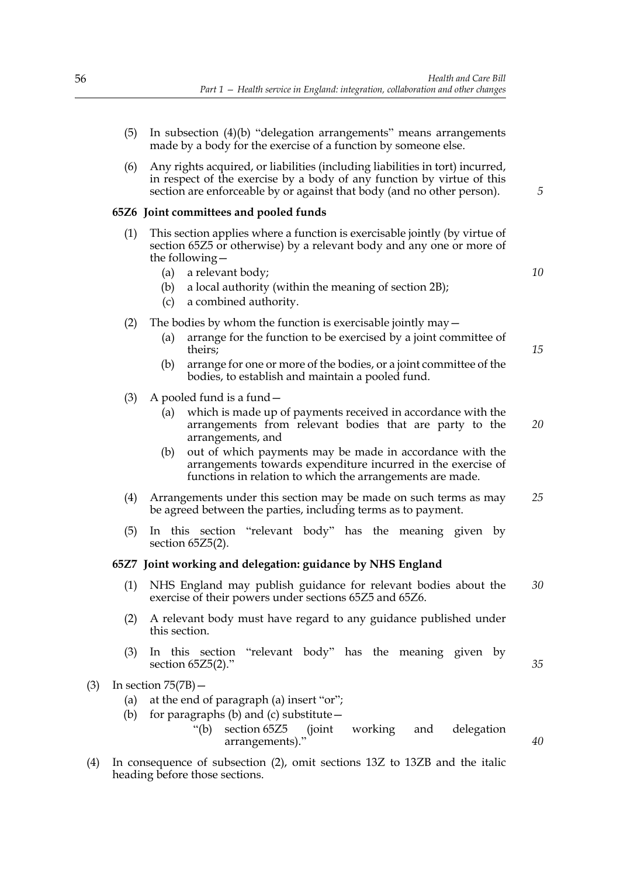- (5) In subsection (4)(b) "delegation arrangements" means arrangements made by a body for the exercise of a function by someone else.
- (6) Any rights acquired, or liabilities (including liabilities in tort) incurred, in respect of the exercise by a body of any function by virtue of this section are enforceable by or against that body (and no other person).

#### **65Z6 Joint committees and pooled funds**

- (1) This section applies where a function is exercisable jointly (by virtue of section 65Z5 or otherwise) by a relevant body and any one or more of the following—
	- (a) a relevant body;
	- (b) a local authority (within the meaning of section 2B);
	- (c) a combined authority.
- (2) The bodies by whom the function is exercisable jointly may  $-$ 
	- (a) arrange for the function to be exercised by a joint committee of theirs;
	- (b) arrange for one or more of the bodies, or a joint committee of the bodies, to establish and maintain a pooled fund.
- (3) A pooled fund is a fund  $-$ 
	- (a) which is made up of payments received in accordance with the arrangements from relevant bodies that are party to the arrangements, and *20*
	- (b) out of which payments may be made in accordance with the arrangements towards expenditure incurred in the exercise of functions in relation to which the arrangements are made.
- (4) Arrangements under this section may be made on such terms as may be agreed between the parties, including terms as to payment. *25*
- (5) In this section "relevant body" has the meaning given by section 65Z5(2).

#### **65Z7 Joint working and delegation: guidance by NHS England**

- (1) NHS England may publish guidance for relevant bodies about the exercise of their powers under sections 65Z5 and 65Z6. *30*
- (2) A relevant body must have regard to any guidance published under this section.
- (3) In this section "relevant body" has the meaning given by section 65Z5(2)."
- (3) In section 75(7B)—
	- (a) at the end of paragraph (a) insert "or";
	- (b) for paragraphs (b) and (c) substitute  $-$ 
		- "(b) section 65Z5 (joint working and delegation arrangements)."
- (4) In consequence of subsection (2), omit sections 13Z to 13ZB and the italic heading before those sections.

*10*

*5*

*15*

*35*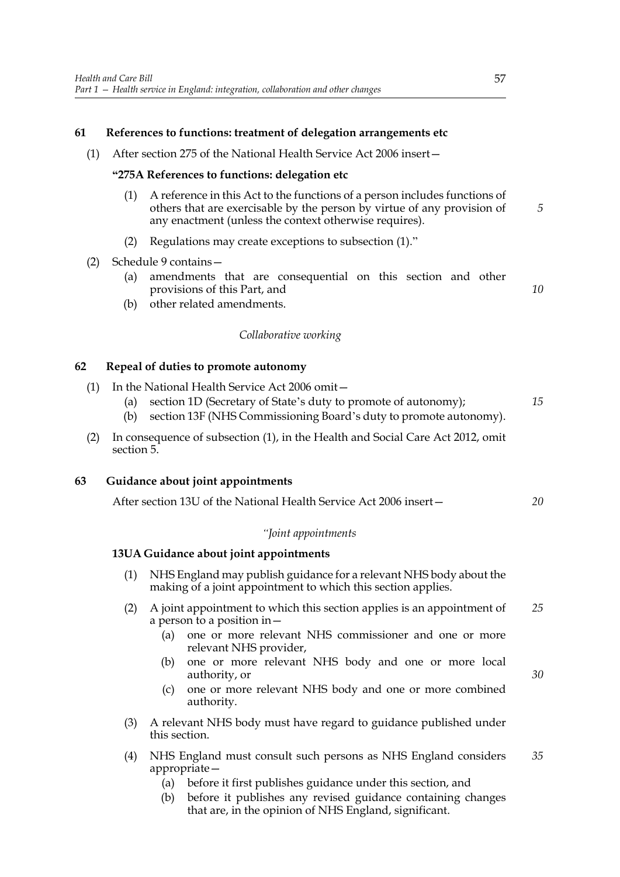## **61 References to functions: treatment of delegation arrangements etc**

(1) After section 275 of the National Health Service Act 2006 insert—

## **"275A References to functions: delegation etc**

- (1) A reference in this Act to the functions of a person includes functions of others that are exercisable by the person by virtue of any provision of any enactment (unless the context otherwise requires). *5*
- (2) Regulations may create exceptions to subsection (1)."
- (2) Schedule 9 contains—
	- (a) amendments that are consequential on this section and other provisions of this Part, and
	- (b) other related amendments.

## *Collaborative working*

## **62 Repeal of duties to promote autonomy**

- (1) In the National Health Service Act 2006 omit— (a) section 1D (Secretary of State's duty to promote of autonomy); *15*
	- (b) section 13F (NHS Commissioning Board's duty to promote autonomy).
- (2) In consequence of subsection (1), in the Health and Social Care Act 2012, omit section 5.

## **63 Guidance about joint appointments**

After section 13U of the National Health Service Act 2006 insert— *20*

#### *"Joint appointments*

## **13UA Guidance about joint appointments**

- (1) NHS England may publish guidance for a relevant NHS body about the making of a joint appointment to which this section applies.
- (2) A joint appointment to which this section applies is an appointment of a person to a position in— *25*
	- (a) one or more relevant NHS commissioner and one or more relevant NHS provider,
	- (b) one or more relevant NHS body and one or more local authority, or
	- (c) one or more relevant NHS body and one or more combined authority.
- (3) A relevant NHS body must have regard to guidance published under this section.
- (4) NHS England must consult such persons as NHS England considers appropriate— *35*
	- (a) before it first publishes guidance under this section, and
	- (b) before it publishes any revised guidance containing changes that are, in the opinion of NHS England, significant.

*10*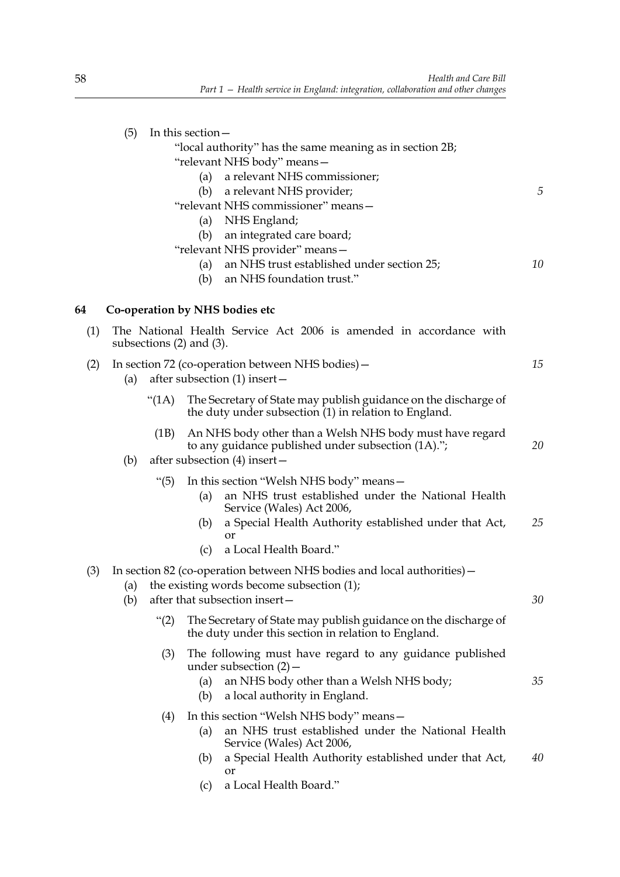|     | (5)         | In this section -<br>"local authority" has the same meaning as in section 2B;<br>"relevant NHS body" means-<br>a relevant NHS commissioner;<br>(a)<br>a relevant NHS provider;<br>(b)<br>"relevant NHS commissioner" means-<br>NHS England;<br>(a)<br>an integrated care board;<br>(b) | 5  |
|-----|-------------|----------------------------------------------------------------------------------------------------------------------------------------------------------------------------------------------------------------------------------------------------------------------------------------|----|
|     |             | "relevant NHS provider" means-<br>an NHS trust established under section 25;<br>(a)<br>an NHS foundation trust."<br>(b)                                                                                                                                                                | 10 |
| 64  |             | Co-operation by NHS bodies etc                                                                                                                                                                                                                                                         |    |
| (1) |             | The National Health Service Act 2006 is amended in accordance with<br>subsections $(2)$ and $(3)$ .                                                                                                                                                                                    |    |
| (2) | (a)         | In section 72 (co-operation between NHS bodies) –<br>after subsection $(1)$ insert –                                                                                                                                                                                                   | 15 |
|     | " $(1A)$    | The Secretary of State may publish guidance on the discharge of<br>the duty under subsection (1) in relation to England.                                                                                                                                                               |    |
|     | (1B)<br>(b) | An NHS body other than a Welsh NHS body must have regard<br>to any guidance published under subsection (1A).";<br>after subsection $(4)$ insert –                                                                                                                                      | 20 |
|     | " $(5)$     | In this section "Welsh NHS body" means -<br>an NHS trust established under the National Health<br>(a)<br>Service (Wales) Act 2006,<br>a Special Health Authority established under that Act,<br>(b)<br>or<br>a Local Health Board."<br>(c)                                             | 25 |
| (3) | (a)<br>(b)  | In section 82 (co-operation between NHS bodies and local authorities) –<br>the existing words become subsection (1);<br>after that subsection insert-                                                                                                                                  | 30 |
|     | " $(2)$     | The Secretary of State may publish guidance on the discharge of<br>the duty under this section in relation to England.                                                                                                                                                                 |    |
|     |             | The following must have regard to any guidance published<br>(3)<br>under subsection $(2)$ –<br>an NHS body other than a Welsh NHS body;<br>(a)<br>a local authority in England.<br>(b)                                                                                                 | 35 |
|     |             | In this section "Welsh NHS body" means -<br>(4)<br>an NHS trust established under the National Health<br>(a)<br>Service (Wales) Act 2006,<br>a Special Health Authority established under that Act,<br>(b)<br>or                                                                       | 40 |

(c) a Local Health Board."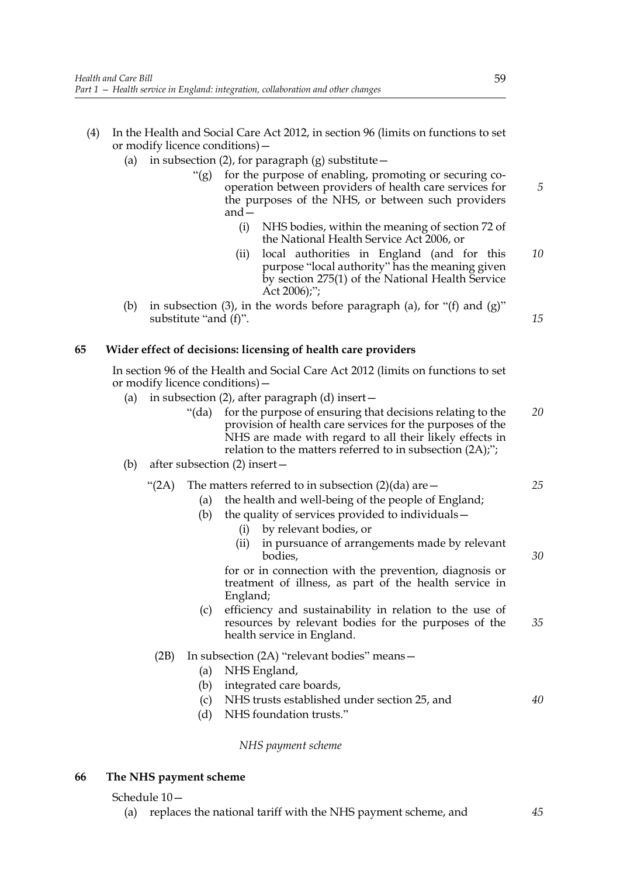- (4) In the Health and Social Care Act 2012, in section 96 (limits on functions to set or modify licence conditions)—
	- (a) in subsection (2), for paragraph (g) substitute  $-$ 
		- "(g) for the purpose of enabling, promoting or securing cooperation between providers of health care services for the purposes of the NHS, or between such providers and—
			- (i) NHS bodies, within the meaning of section 72 of the National Health Service Act 2006, or
			- (ii) local authorities in England (and for this purpose "local authority" has the meaning given by section 275(1) of the National Health Service Act 2006);"; *10*
	- (b) in subsection (3), in the words before paragraph (a), for " $(f)$  and  $(g)$ " substitute "and (f)".

# **65 Wider effect of decisions: licensing of health care providers**

In section 96 of the Health and Social Care Act 2012 (limits on functions to set or modify licence conditions)—

- (a) in subsection  $(2)$ , after paragraph  $(d)$  insert
	- "(da) for the purpose of ensuring that decisions relating to the provision of health care services for the purposes of the NHS are made with regard to all their likely effects in relation to the matters referred to in subsection (2A);"; *20*
- (b) after subsection (2) insert—

#### "(2A) The matters referred to in subsection  $(2)(da)$  are  $-$ *25*

- (a) the health and well-being of the people of England;
- (b) the quality of services provided to individuals—
	- (i) by relevant bodies, or
	- (ii) in pursuance of arrangements made by relevant bodies,

for or in connection with the prevention, diagnosis or treatment of illness, as part of the health service in England;

(c) efficiency and sustainability in relation to the use of resources by relevant bodies for the purposes of the health service in England. *35*

# (2B) In subsection (2A) "relevant bodies" means—

- (a) NHS England,
- (b) integrated care boards,
- (c) NHS trusts established under section 25, and
- (d) NHS foundation trusts."

#### *NHS payment scheme*

#### **66 The NHS payment scheme**

Schedule 10—

(a) replaces the national tariff with the NHS payment scheme, and

*5*

*15*

*30*

*40*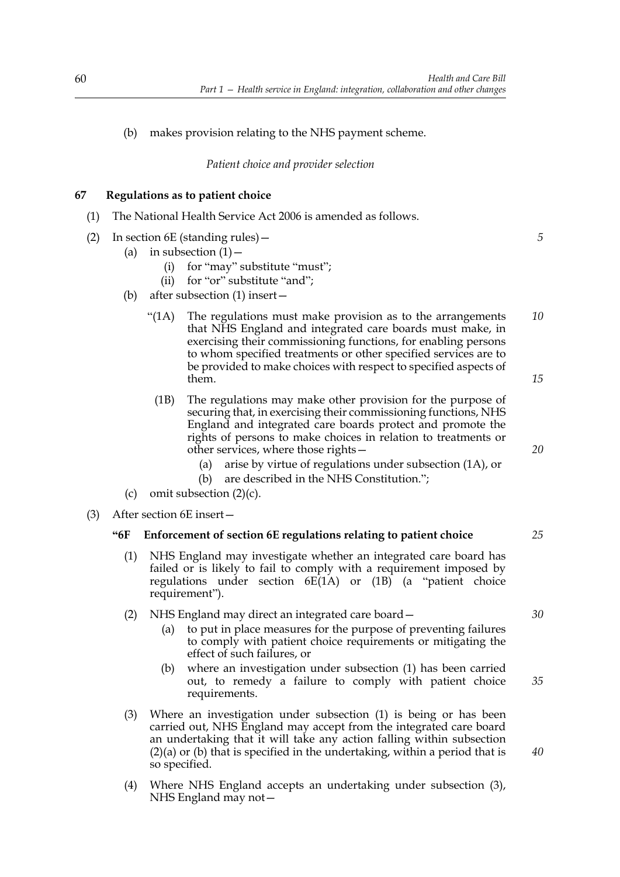# (b) makes provision relating to the NHS payment scheme.

# *Patient choice and provider selection*

# **67 Regulations as to patient choice**

- (1) The National Health Service Act 2006 is amended as follows.
- (2) In section 6E (standing rules)—
	- (a) in subsection  $(1)$  -
		- (i) for "may" substitute "must";
		- (ii) for "or" substitute "and";
	- (b) after subsection (1) insert—
		- "(1A) The regulations must make provision as to the arrangements that NHS England and integrated care boards must make, in exercising their commissioning functions, for enabling persons to whom specified treatments or other specified services are to be provided to make choices with respect to specified aspects of them. *10 15*
			- (1B) The regulations may make other provision for the purpose of securing that, in exercising their commissioning functions, NHS England and integrated care boards protect and promote the rights of persons to make choices in relation to treatments or other services, where those rights—
				- (a) arise by virtue of regulations under subsection (1A), or
				- (b) are described in the NHS Constitution.";
	- (c) omit subsection  $(2)(c)$ .
- (3) After section 6E insert—

## **"6F Enforcement of section 6E regulations relating to patient choice**

- (1) NHS England may investigate whether an integrated care board has failed or is likely to fail to comply with a requirement imposed by regulations under section  $6E(1A)$  or  $(1B)$  (a "patient choice requirement").
- (2) NHS England may direct an integrated care board—
	- (a) to put in place measures for the purpose of preventing failures to comply with patient choice requirements or mitigating the effect of such failures, or
	- (b) where an investigation under subsection (1) has been carried out, to remedy a failure to comply with patient choice requirements.
- (3) Where an investigation under subsection (1) is being or has been carried out, NHS England may accept from the integrated care board an undertaking that it will take any action falling within subsection (2)(a) or (b) that is specified in the undertaking, within a period that is so specified.
- (4) Where NHS England accepts an undertaking under subsection (3), NHS England may not—

*20*

*5*

*30*

*25*

*35*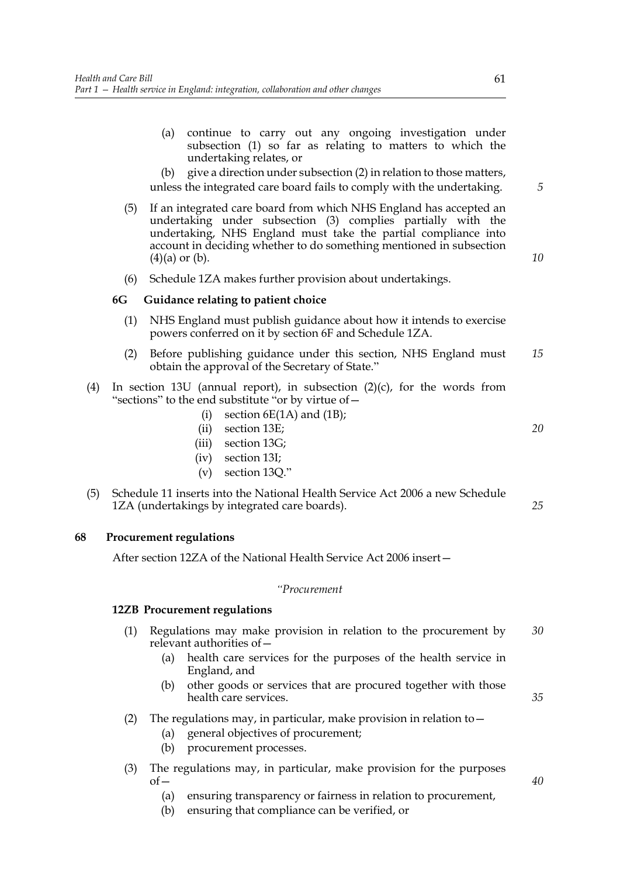(a) continue to carry out any ongoing investigation under subsection (1) so far as relating to matters to which the undertaking relates, or

(b) give a direction under subsection (2) in relation to those matters, unless the integrated care board fails to comply with the undertaking.

- (5) If an integrated care board from which NHS England has accepted an undertaking under subsection (3) complies partially with the undertaking, NHS England must take the partial compliance into account in deciding whether to do something mentioned in subsection  $(4)(a)$  or  $(b)$ .
- (6) Schedule 1ZA makes further provision about undertakings.

#### **6G Guidance relating to patient choice**

- (1) NHS England must publish guidance about how it intends to exercise powers conferred on it by section 6F and Schedule 1ZA.
- (2) Before publishing guidance under this section, NHS England must obtain the approval of the Secretary of State." *15*
- (4) In section 13U (annual report), in subsection  $(2)(c)$ , for the words from "sections" to the end substitute "or by virtue of—
	- (i) section  $6E(1A)$  and  $(1B)$ ;
	- (ii) section 13E;
	- (iii) section 13G;
	- (iv) section 13I;
	- (v) section 13Q."
- (5) Schedule 11 inserts into the National Health Service Act 2006 a new Schedule 1ZA (undertakings by integrated care boards).

#### **68 Procurement regulations**

After section 12ZA of the National Health Service Act 2006 insert—

## *"Procurement*

## **12ZB Procurement regulations**

- (1) Regulations may make provision in relation to the procurement by relevant authorities of— *30*
	- (a) health care services for the purposes of the health service in England, and
	- (b) other goods or services that are procured together with those health care services.
- (2) The regulations may, in particular, make provision in relation to  $-$ 
	- (a) general objectives of procurement;
	- (b) procurement processes.
- (3) The regulations may, in particular, make provision for the purposes  $of$ 
	- (a) ensuring transparency or fairness in relation to procurement,
	- (b) ensuring that compliance can be verified, or

*40*

*20*

*5*

*10*

*25*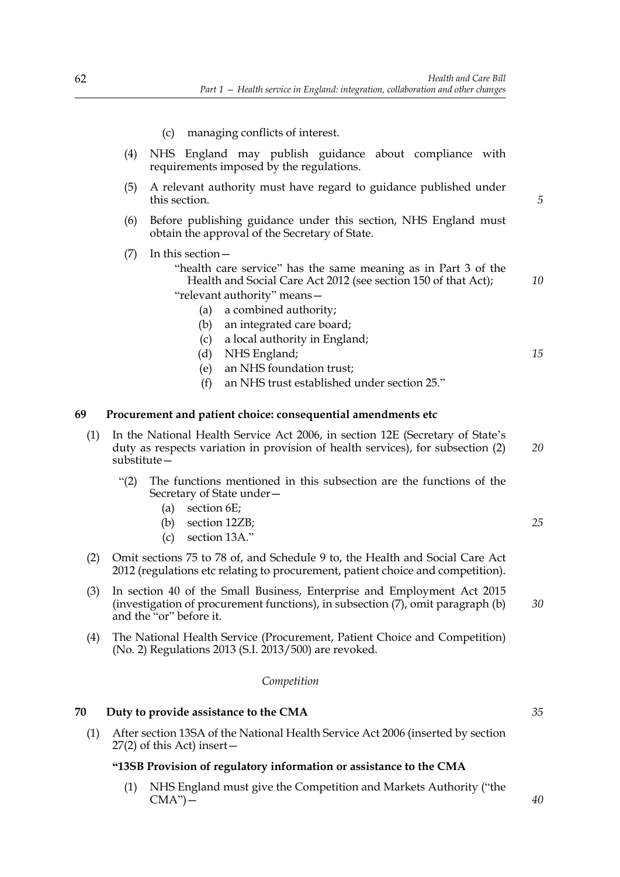- (c) managing conflicts of interest.
- (4) NHS England may publish guidance about compliance with requirements imposed by the regulations.
- (5) A relevant authority must have regard to guidance published under this section.
- (6) Before publishing guidance under this section, NHS England must obtain the approval of the Secretary of State.
- (7) In this section—
	- "health care service" has the same meaning as in Part 3 of the Health and Social Care Act 2012 (see section 150 of that Act); "relevant authority" means—
		- (a) a combined authority;
		- (b) an integrated care board;
		- (c) a local authority in England;
		- (d) NHS England;
		- (e) an NHS foundation trust;
		- (f) an NHS trust established under section 25."

#### **69 Procurement and patient choice: consequential amendments etc**

- (1) In the National Health Service Act 2006, in section 12E (Secretary of State's duty as respects variation in provision of health services), for subsection (2) substitute— *20*
	- "(2) The functions mentioned in this subsection are the functions of the Secretary of State under—
		- (a) section 6E;
		- (b) section 12ZB;
		- (c) section 13A."
- (2) Omit sections 75 to 78 of, and Schedule 9 to, the Health and Social Care Act 2012 (regulations etc relating to procurement, patient choice and competition).
- (3) In section 40 of the Small Business, Enterprise and Employment Act 2015 (investigation of procurement functions), in subsection (7), omit paragraph (b) and the "or" before it. *30*
- (4) The National Health Service (Procurement, Patient Choice and Competition) (No. 2) Regulations 2013 (S.I. 2013/500) are revoked.

#### *Competition*

## **70 Duty to provide assistance to the CMA**

(1) After section 13SA of the National Health Service Act 2006 (inserted by section 27(2) of this Act) insert—

#### **"13SB Provision of regulatory information or assistance to the CMA**

(1) NHS England must give the Competition and Markets Authority ("the  $CMA$ ") —

*25*

*5*

*10*

*15*

*35*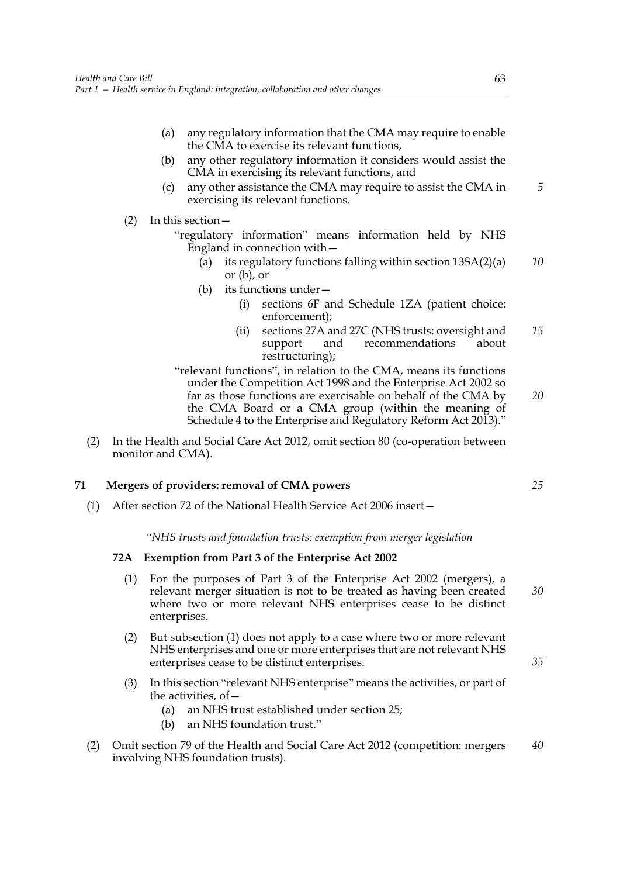- (a) any regulatory information that the CMA may require to enable the CMA to exercise its relevant functions,
- (b) any other regulatory information it considers would assist the CMA in exercising its relevant functions, and
- (c) any other assistance the CMA may require to assist the CMA in exercising its relevant functions.
- (2) In this section—
	- "regulatory information" means information held by NHS England in connection with—
		- (a) its regulatory functions falling within section 13SA(2)(a) or (b), or *10*
		- (b) its functions under—
			- (i) sections 6F and Schedule 1ZA (patient choice: enforcement);
			- (ii) sections 27A and 27C (NHS trusts: oversight and support and recommendations about restructuring); *15*
	- "relevant functions", in relation to the CMA, means its functions under the Competition Act 1998 and the Enterprise Act 2002 so far as those functions are exercisable on behalf of the CMA by the CMA Board or a CMA group (within the meaning of Schedule 4 to the Enterprise and Regulatory Reform Act 2013)." *20*
- (2) In the Health and Social Care Act 2012, omit section 80 (co-operation between monitor and CMA).

## **71 Mergers of providers: removal of CMA powers**

(1) After section 72 of the National Health Service Act 2006 insert—

*"NHS trusts and foundation trusts: exemption from merger legislation*

#### **72A Exemption from Part 3 of the Enterprise Act 2002**

- (1) For the purposes of Part 3 of the Enterprise Act 2002 (mergers), a relevant merger situation is not to be treated as having been created where two or more relevant NHS enterprises cease to be distinct enterprises. *30*
- (2) But subsection (1) does not apply to a case where two or more relevant NHS enterprises and one or more enterprises that are not relevant NHS enterprises cease to be distinct enterprises.
- (3) In this section "relevant NHS enterprise" means the activities, or part of the activities, of—
	- (a) an NHS trust established under section 25;
	- (b) an NHS foundation trust."
- (2) Omit section 79 of the Health and Social Care Act 2012 (competition: mergers involving NHS foundation trusts). *40*

*5*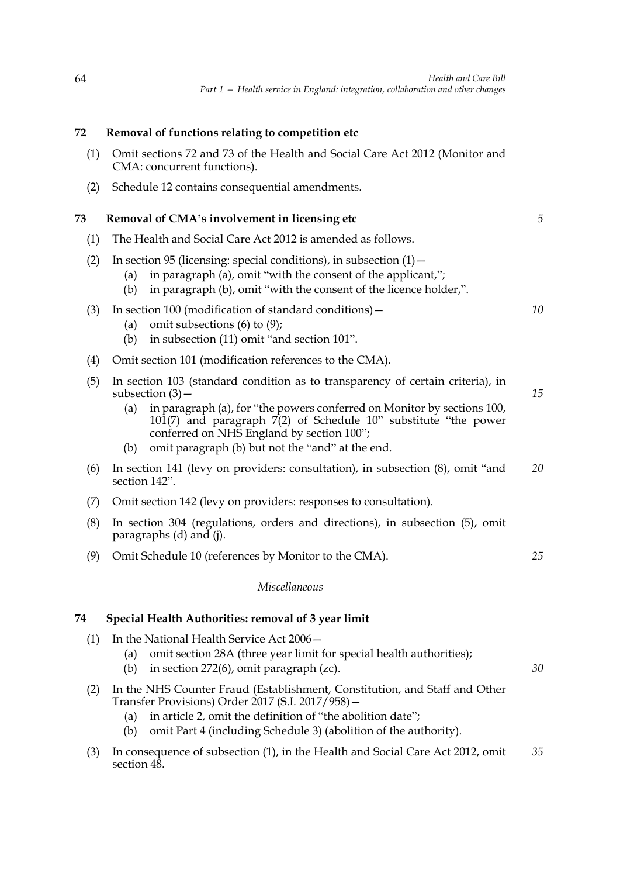| 72  | Removal of functions relating to competition etc                                                                                                                                                                                                                                |    |  |  |
|-----|---------------------------------------------------------------------------------------------------------------------------------------------------------------------------------------------------------------------------------------------------------------------------------|----|--|--|
| (1) | Omit sections 72 and 73 of the Health and Social Care Act 2012 (Monitor and<br>CMA: concurrent functions).                                                                                                                                                                      |    |  |  |
| (2) | Schedule 12 contains consequential amendments.                                                                                                                                                                                                                                  |    |  |  |
| 73  | Removal of CMA's involvement in licensing etc                                                                                                                                                                                                                                   |    |  |  |
| (1) | The Health and Social Care Act 2012 is amended as follows.                                                                                                                                                                                                                      |    |  |  |
| (2) | In section 95 (licensing: special conditions), in subsection $(1)$ –<br>in paragraph (a), omit "with the consent of the applicant,";<br>(a)<br>in paragraph (b), omit "with the consent of the licence holder,".<br>(b)                                                         |    |  |  |
| (3) | In section 100 (modification of standard conditions) –<br>omit subsections $(6)$ to $(9)$ ;<br>(a)<br>in subsection (11) omit "and section 101".<br>(b)                                                                                                                         | 10 |  |  |
| (4) | Omit section 101 (modification references to the CMA).                                                                                                                                                                                                                          |    |  |  |
| (5) | In section 103 (standard condition as to transparency of certain criteria), in<br>subsection $(3)$ –                                                                                                                                                                            | 15 |  |  |
|     | in paragraph (a), for "the powers conferred on Monitor by sections 100,<br>(a)<br>101(7) and paragraph 7(2) of Schedule 10" substitute "the power<br>conferred on NHS England by section 100";                                                                                  |    |  |  |
|     | omit paragraph (b) but not the "and" at the end.<br>(b)                                                                                                                                                                                                                         |    |  |  |
| (6) | 20<br>In section 141 (levy on providers: consultation), in subsection (8), omit "and<br>section 142".                                                                                                                                                                           |    |  |  |
| (7) | Omit section 142 (levy on providers: responses to consultation).                                                                                                                                                                                                                |    |  |  |
| (8) | In section 304 (regulations, orders and directions), in subsection (5), omit<br>paragraphs (d) and (j).                                                                                                                                                                         |    |  |  |
| (9) | Omit Schedule 10 (references by Monitor to the CMA).                                                                                                                                                                                                                            | 25 |  |  |
|     | Miscellaneous                                                                                                                                                                                                                                                                   |    |  |  |
| 74  | Special Health Authorities: removal of 3 year limit                                                                                                                                                                                                                             |    |  |  |
| (1) | In the National Health Service Act 2006-<br>omit section 28A (three year limit for special health authorities);<br>(a)<br>in section 272(6), omit paragraph (zc).<br>(b)                                                                                                        | 30 |  |  |
| (2) | In the NHS Counter Fraud (Establishment, Constitution, and Staff and Other<br>Transfer Provisions) Order 2017 (S.I. 2017/958) -<br>in article 2, omit the definition of "the abolition date";<br>(a)<br>omit Part 4 (including Schedule 3) (abolition of the authority).<br>(b) |    |  |  |

(3) In consequence of subsection (1), in the Health and Social Care Act 2012, omit section 48. *35*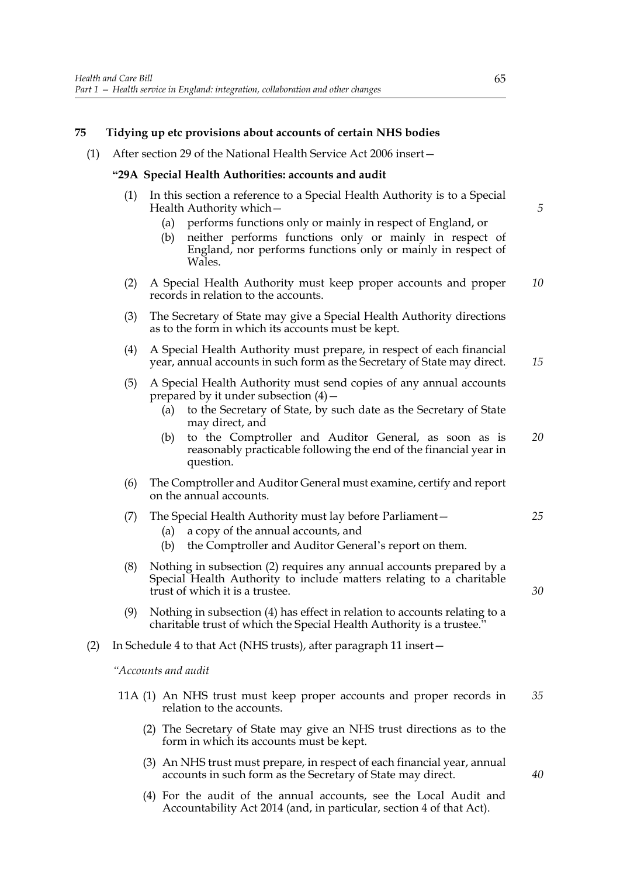## **75 Tidying up etc provisions about accounts of certain NHS bodies**

(1) After section 29 of the National Health Service Act 2006 insert—

#### **"29A Special Health Authorities: accounts and audit**

- (1) In this section a reference to a Special Health Authority is to a Special Health Authority which—
	- (a) performs functions only or mainly in respect of England, or
	- (b) neither performs functions only or mainly in respect of England, nor performs functions only or mainly in respect of Wales.
- (2) A Special Health Authority must keep proper accounts and proper records in relation to the accounts. *10*
- (3) The Secretary of State may give a Special Health Authority directions as to the form in which its accounts must be kept.
- (4) A Special Health Authority must prepare, in respect of each financial year, annual accounts in such form as the Secretary of State may direct.
- (5) A Special Health Authority must send copies of any annual accounts prepared by it under subsection  $(4)$  –
	- (a) to the Secretary of State, by such date as the Secretary of State may direct, and
	- (b) to the Comptroller and Auditor General, as soon as is reasonably practicable following the end of the financial year in question. *20*
- (6) The Comptroller and Auditor General must examine, certify and report on the annual accounts.

#### (7) The Special Health Authority must lay before Parliament—

- (a) a copy of the annual accounts, and
- (b) the Comptroller and Auditor General's report on them.
- (8) Nothing in subsection (2) requires any annual accounts prepared by a Special Health Authority to include matters relating to a charitable trust of which it is a trustee.
- (9) Nothing in subsection (4) has effect in relation to accounts relating to a charitable trust of which the Special Health Authority is a trustee."
- (2) In Schedule 4 to that Act (NHS trusts), after paragraph 11 insert—

*"Accounts and audit*

- 11A (1) An NHS trust must keep proper accounts and proper records in relation to the accounts. *35*
	- (2) The Secretary of State may give an NHS trust directions as to the form in which its accounts must be kept.
	- (3) An NHS trust must prepare, in respect of each financial year, annual accounts in such form as the Secretary of State may direct.
	- (4) For the audit of the annual accounts, see the Local Audit and Accountability Act 2014 (and, in particular, section 4 of that Act).

*5*

*15*

*40*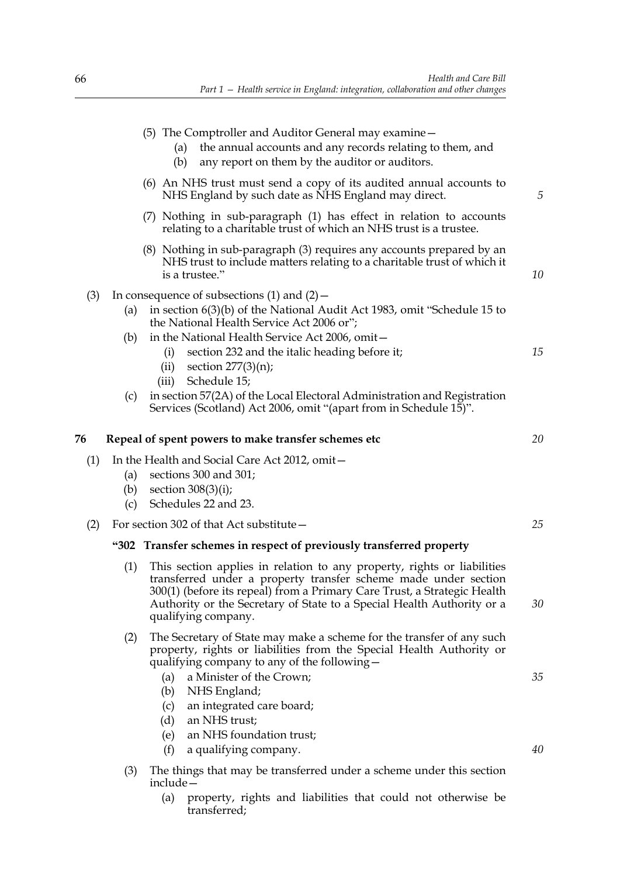|     |                   | (5) The Comptroller and Auditor General may examine –<br>the annual accounts and any records relating to them, and<br>(a)<br>any report on them by the auditor or auditors.<br>(b)                                                                                                                                                                                                     |          |
|-----|-------------------|----------------------------------------------------------------------------------------------------------------------------------------------------------------------------------------------------------------------------------------------------------------------------------------------------------------------------------------------------------------------------------------|----------|
|     |                   | (6) An NHS trust must send a copy of its audited annual accounts to<br>NHS England by such date as NHS England may direct.                                                                                                                                                                                                                                                             | 5        |
|     |                   | (7) Nothing in sub-paragraph (1) has effect in relation to accounts<br>relating to a charitable trust of which an NHS trust is a trustee.                                                                                                                                                                                                                                              |          |
|     |                   | (8) Nothing in sub-paragraph (3) requires any accounts prepared by an<br>NHS trust to include matters relating to a charitable trust of which it<br>is a trustee."                                                                                                                                                                                                                     | 10       |
| (3) | (a)               | In consequence of subsections $(1)$ and $(2)$ –<br>in section 6(3)(b) of the National Audit Act 1983, omit "Schedule 15 to<br>the National Health Service Act 2006 or";                                                                                                                                                                                                                |          |
|     | (b)               | in the National Health Service Act 2006, omit-<br>section 232 and the italic heading before it;<br>(i)<br>section $277(3)(n)$ ;<br>(ii)<br>Schedule 15;<br>(iii)                                                                                                                                                                                                                       | 15       |
|     | (c)               | in section 57(2A) of the Local Electoral Administration and Registration<br>Services (Scotland) Act 2006, omit "(apart from in Schedule 15)".                                                                                                                                                                                                                                          |          |
| 76  |                   | Repeal of spent powers to make transfer schemes etc                                                                                                                                                                                                                                                                                                                                    | 20       |
| (1) | (a)<br>(b)<br>(c) | In the Health and Social Care Act 2012, omit-<br>sections 300 and 301;<br>section $308(3)(i)$ ;<br>Schedules 22 and 23.                                                                                                                                                                                                                                                                |          |
| (2) |                   | For section 302 of that Act substitute –                                                                                                                                                                                                                                                                                                                                               | 25       |
|     |                   | "302 Transfer schemes in respect of previously transferred property                                                                                                                                                                                                                                                                                                                    |          |
|     | (1)               | This section applies in relation to any property, rights or liabilities<br>transferred under a property transfer scheme made under section<br>300(1) (before its repeal) from a Primary Care Trust, a Strategic Health<br>Authority or the Secretary of State to a Special Health Authority or a<br>qualifying company.                                                                | 30       |
|     | (2)               | The Secretary of State may make a scheme for the transfer of any such<br>property, rights or liabilities from the Special Health Authority or<br>qualifying company to any of the following -<br>a Minister of the Crown;<br>(a)<br>NHS England;<br>(b)<br>an integrated care board;<br>(c)<br>an NHS trust;<br>(d)<br>an NHS foundation trust;<br>(e)<br>(f)<br>a qualifying company. | 35<br>40 |
|     | (3)               | The things that may be transferred under a scheme under this section<br>$include -$                                                                                                                                                                                                                                                                                                    |          |

(a) property, rights and liabilities that could not otherwise be transferred;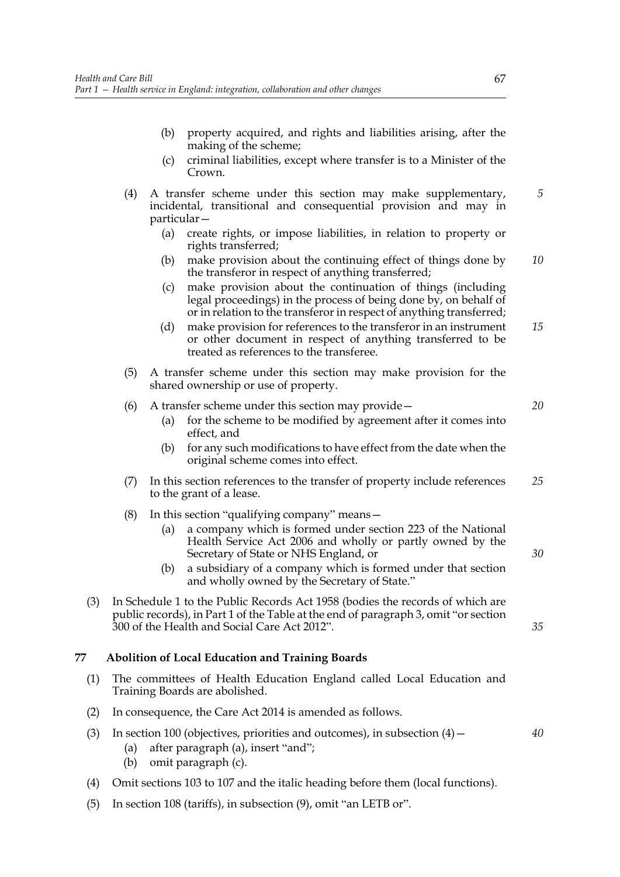- (b) property acquired, and rights and liabilities arising, after the making of the scheme;
- (c) criminal liabilities, except where transfer is to a Minister of the Crown.
- (4) A transfer scheme under this section may make supplementary, incidental, transitional and consequential provision and may in particular— *5*
	- (a) create rights, or impose liabilities, in relation to property or rights transferred;
	- (b) make provision about the continuing effect of things done by the transferor in respect of anything transferred; *10*
	- (c) make provision about the continuation of things (including legal proceedings) in the process of being done by, on behalf of or in relation to the transferor in respect of anything transferred;
	- (d) make provision for references to the transferor in an instrument or other document in respect of anything transferred to be treated as references to the transferee. *15*
- (5) A transfer scheme under this section may make provision for the shared ownership or use of property.

### (6) A transfer scheme under this section may provide—

- (a) for the scheme to be modified by agreement after it comes into effect, and
- (b) for any such modifications to have effect from the date when the original scheme comes into effect.
- (7) In this section references to the transfer of property include references to the grant of a lease. *25*
- (8) In this section "qualifying company" means—
	- (a) a company which is formed under section 223 of the National Health Service Act 2006 and wholly or partly owned by the Secretary of State or NHS England, or
	- (b) a subsidiary of a company which is formed under that section and wholly owned by the Secretary of State."
- (3) In Schedule 1 to the Public Records Act 1958 (bodies the records of which are public records), in Part 1 of the Table at the end of paragraph 3, omit "or section 300 of the Health and Social Care Act 2012".

# **77 Abolition of Local Education and Training Boards**

- (1) The committees of Health Education England called Local Education and Training Boards are abolished.
- (2) In consequence, the Care Act 2014 is amended as follows.
- (3) In section 100 (objectives, priorities and outcomes), in subsection  $(4)$ 
	- (a) after paragraph (a), insert "and";
	- (b) omit paragraph (c).
- (4) Omit sections 103 to 107 and the italic heading before them (local functions).
- (5) In section 108 (tariffs), in subsection (9), omit "an LETB or".

*35*

*30*

*20*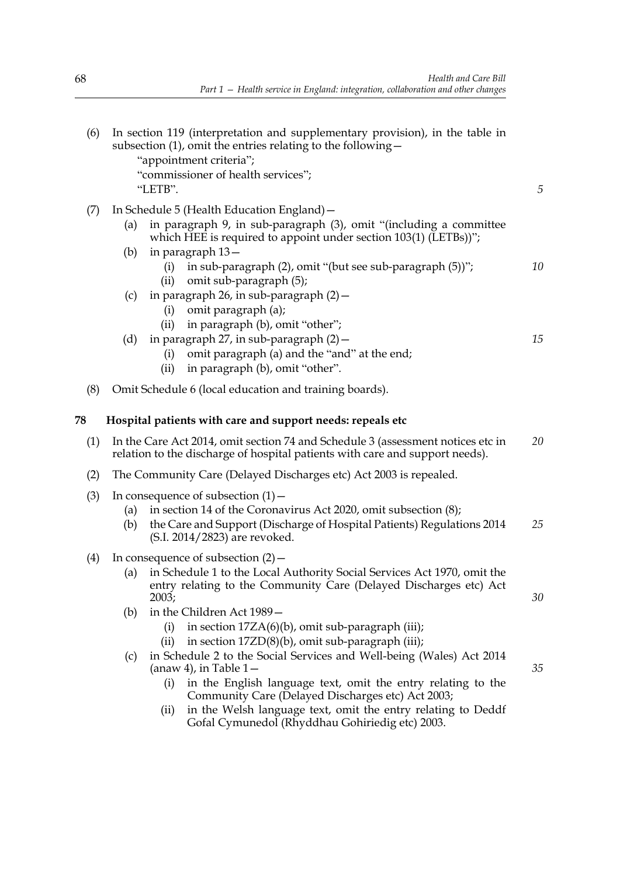| (6) |            | In section 119 (interpretation and supplementary provision), in the table in<br>subsection $(1)$ , omit the entries relating to the following $-$<br>"appointment criteria";<br>"commissioner of health services"; |    |
|-----|------------|--------------------------------------------------------------------------------------------------------------------------------------------------------------------------------------------------------------------|----|
|     |            | "LETB".                                                                                                                                                                                                            | 5  |
| (7) |            | In Schedule 5 (Health Education England) –                                                                                                                                                                         |    |
|     | (a)        | in paragraph 9, in sub-paragraph (3), omit "(including a committee<br>which HEE is required to appoint under section 103(1) (LETBs))";                                                                             |    |
|     | (b)        | in paragraph 13-<br>in sub-paragraph (2), omit "(but see sub-paragraph (5))";<br>(i)<br>omit sub-paragraph (5);<br>(ii)                                                                                            | 10 |
|     | (c)        | in paragraph 26, in sub-paragraph (2) -<br>omit paragraph (a);<br>(i)<br>in paragraph (b), omit "other";<br>(ii)                                                                                                   |    |
|     | (d)        | in paragraph 27, in sub-paragraph (2) -<br>omit paragraph (a) and the "and" at the end;<br>(i)<br>in paragraph (b), omit "other".<br>(ii)                                                                          | 15 |
| (8) |            | Omit Schedule 6 (local education and training boards).                                                                                                                                                             |    |
| 78  |            | Hospital patients with care and support needs: repeals etc                                                                                                                                                         |    |
| (1) |            | In the Care Act 2014, omit section 74 and Schedule 3 (assessment notices etc in<br>relation to the discharge of hospital patients with care and support needs).                                                    | 20 |
| (2) |            | The Community Care (Delayed Discharges etc) Act 2003 is repealed.                                                                                                                                                  |    |
| (3) | (a)<br>(b) | In consequence of subsection $(1)$ –<br>in section 14 of the Coronavirus Act 2020, omit subsection (8);<br>the Care and Support (Discharge of Hospital Patients) Regulations 2014<br>(S.I. 2014/2823) are revoked. | 25 |
| (4) | (a)        | In consequence of subsection $(2)$ –<br>in Schedule 1 to the Local Authority Social Services Act 1970, omit the<br>entry relating to the Community Care (Delayed Discharges etc) Act                               |    |
|     |            | 2003;                                                                                                                                                                                                              | 30 |
|     | (b)        | in the Children Act 1989 –<br>in section 17ZA(6)(b), omit sub-paragraph (iii);<br>(i)<br>in section $17ZD(8)(b)$ , omit sub-paragraph (iii);<br>(ii)                                                               |    |
|     | (c)        | in Schedule 2 to the Social Services and Well-being (Wales) Act 2014<br>(anaw 4), in Table $1-$<br>in the English language text, omit the entry relating to the<br>(i)                                             | 35 |
|     |            | Community Care (Delayed Discharges etc) Act 2003;                                                                                                                                                                  |    |
|     |            | in the Welsh language text, omit the entry relating to Deddf<br>(ii)<br>Gofal Cymunedol (Rhyddhau Gohiriedig etc) 2003.                                                                                            |    |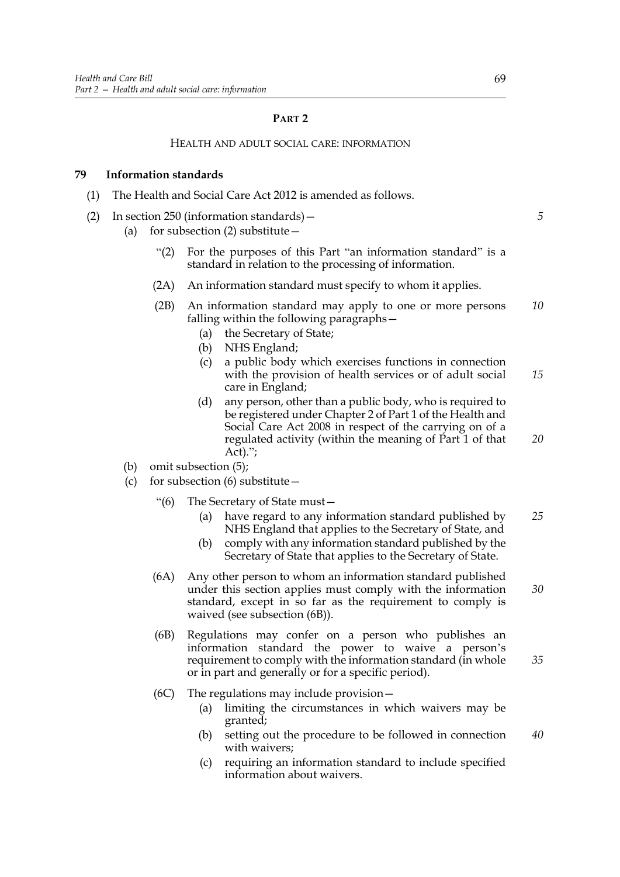### **PART 2**

### HEALTH AND ADULT SOCIAL CARE: INFORMATION

# **79 Information standards**

- (1) The Health and Social Care Act 2012 is amended as follows.
- (2) In section 250 (information standards)—
	- (a) for subsection (2) substitute—
		- "(2) For the purposes of this Part "an information standard" is a standard in relation to the processing of information.
		- (2A) An information standard must specify to whom it applies.
		- (2B) An information standard may apply to one or more persons falling within the following paragraphs— *10*
			- (a) the Secretary of State;
			- (b) NHS England;
			- (c) a public body which exercises functions in connection with the provision of health services or of adult social care in England; *15*
			- (d) any person, other than a public body, who is required to be registered under Chapter 2 of Part 1 of the Health and Social Care Act 2008 in respect of the carrying on of a regulated activity (within the meaning of Part 1 of that Act). $"$ ; *20*
	- (b) omit subsection (5);
	- (c) for subsection  $(6)$  substitute  $-$ 
		- "(6) The Secretary of State must—
			- (a) have regard to any information standard published by NHS England that applies to the Secretary of State, and *25*
			- (b) comply with any information standard published by the Secretary of State that applies to the Secretary of State.
		- (6A) Any other person to whom an information standard published under this section applies must comply with the information standard, except in so far as the requirement to comply is waived (see subsection (6B)). *30*
		- (6B) Regulations may confer on a person who publishes an information standard the power to waive a person's requirement to comply with the information standard (in whole or in part and generally or for a specific period). *35*
		- (6C) The regulations may include provision—
			- (a) limiting the circumstances in which waivers may be granted;
			- (b) setting out the procedure to be followed in connection with waivers;
			- (c) requiring an information standard to include specified information about waivers.

*5*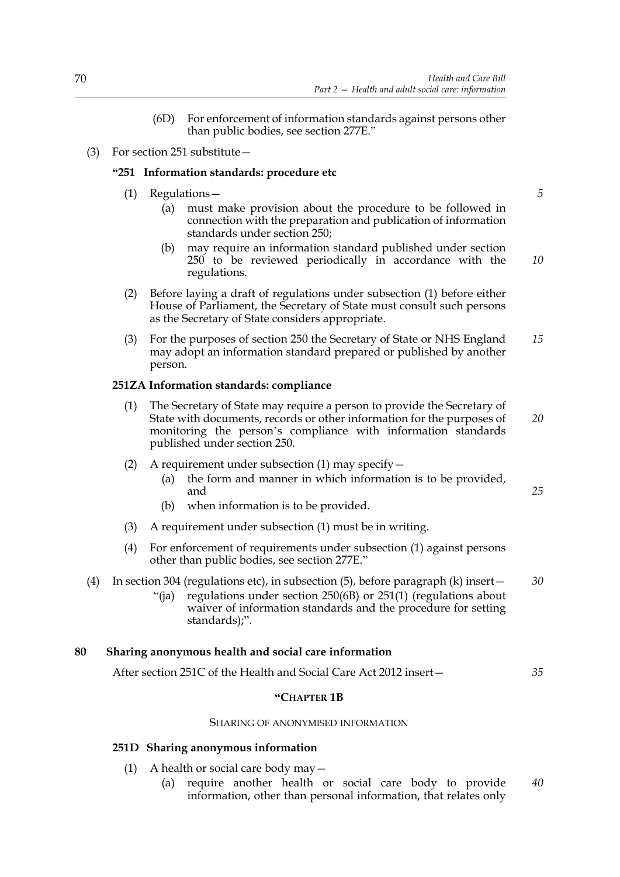- (6D) For enforcement of information standards against persons other than public bodies, see section 277E."
- (3) For section 251 substitute—

# **"251 Information standards: procedure etc**

- (1) Regulations—
	- (a) must make provision about the procedure to be followed in connection with the preparation and publication of information standards under section 250;
	- (b) may require an information standard published under section 250 to be reviewed periodically in accordance with the regulations.
- (2) Before laying a draft of regulations under subsection (1) before either House of Parliament, the Secretary of State must consult such persons as the Secretary of State considers appropriate.
- (3) For the purposes of section 250 the Secretary of State or NHS England may adopt an information standard prepared or published by another person. *15*

# **251ZA Information standards: compliance**

- (1) The Secretary of State may require a person to provide the Secretary of State with documents, records or other information for the purposes of monitoring the person's compliance with information standards published under section 250.
- (2) A requirement under subsection (1) may specify  $-$ 
	- (a) the form and manner in which information is to be provided, and
	- (b) when information is to be provided.
- (3) A requirement under subsection (1) must be in writing.
- (4) For enforcement of requirements under subsection (1) against persons other than public bodies, see section 277E."
- (4) In section 304 (regulations etc), in subsection (5), before paragraph (k) insert— *30*
	- "(ja) regulations under section 250(6B) or 251(1) (regulations about waiver of information standards and the procedure for setting standards);".

# **80 Sharing anonymous health and social care information**

After section 251C of the Health and Social Care Act 2012 insert— *35*

# **"CHAPTER 1B**

### SHARING OF ANONYMISED INFORMATION

### **251D Sharing anonymous information**

- (1) A health or social care body may  $-$ 
	- (a) require another health or social care body to provide information, other than personal information, that relates only *40*

*10*

*20*

*25*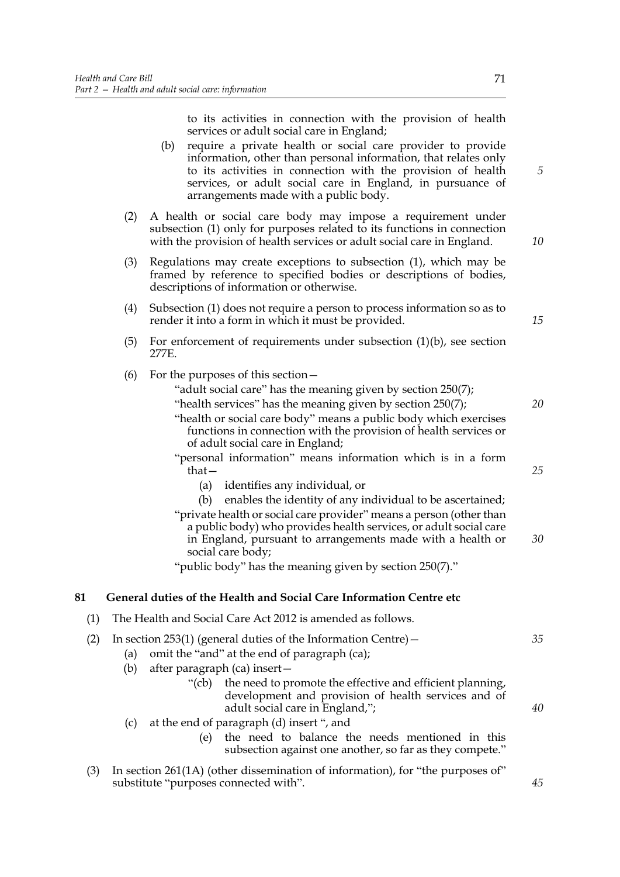to its activities in connection with the provision of health services or adult social care in England;

- (b) require a private health or social care provider to provide information, other than personal information, that relates only to its activities in connection with the provision of health services, or adult social care in England, in pursuance of arrangements made with a public body.
- (2) A health or social care body may impose a requirement under subsection (1) only for purposes related to its functions in connection with the provision of health services or adult social care in England.
- (3) Regulations may create exceptions to subsection (1), which may be framed by reference to specified bodies or descriptions of bodies, descriptions of information or otherwise.
- (4) Subsection (1) does not require a person to process information so as to render it into a form in which it must be provided.
- (5) For enforcement of requirements under subsection (1)(b), see section 277E.
- (6) For the purposes of this section—
	- "adult social care" has the meaning given by section 250(7);
	- "health services" has the meaning given by section 250(7);
	- "health or social care body" means a public body which exercises functions in connection with the provision of health services or of adult social care in England;
	- "personal information" means information which is in a form that—
		- (a) identifies any individual, or
	- (b) enables the identity of any individual to be ascertained; "private health or social care provider" means a person (other than a public body) who provides health services, or adult social care in England, pursuant to arrangements made with a health or social care body; *30*

"public body" has the meaning given by section 250(7)."

# **81 General duties of the Health and Social Care Information Centre etc**

(1) The Health and Social Care Act 2012 is amended as follows.

|  | (2) In section 253(1) (general duties of the Information Centre) $-$ |  |
|--|----------------------------------------------------------------------|--|
|--|----------------------------------------------------------------------|--|

- (a) omit the "and" at the end of paragraph (ca);
	- (b) after paragraph (ca) insert—
		- "(cb) the need to promote the effective and efficient planning, development and provision of health services and of adult social care in England,";
	- (c) at the end of paragraph (d) insert ", and
		- (e) the need to balance the needs mentioned in this subsection against one another, so far as they compete."
- (3) In section 261(1A) (other dissemination of information), for "the purposes of" substitute "purposes connected with".

*10*

*5*

*20*

*25*

*35*

*40*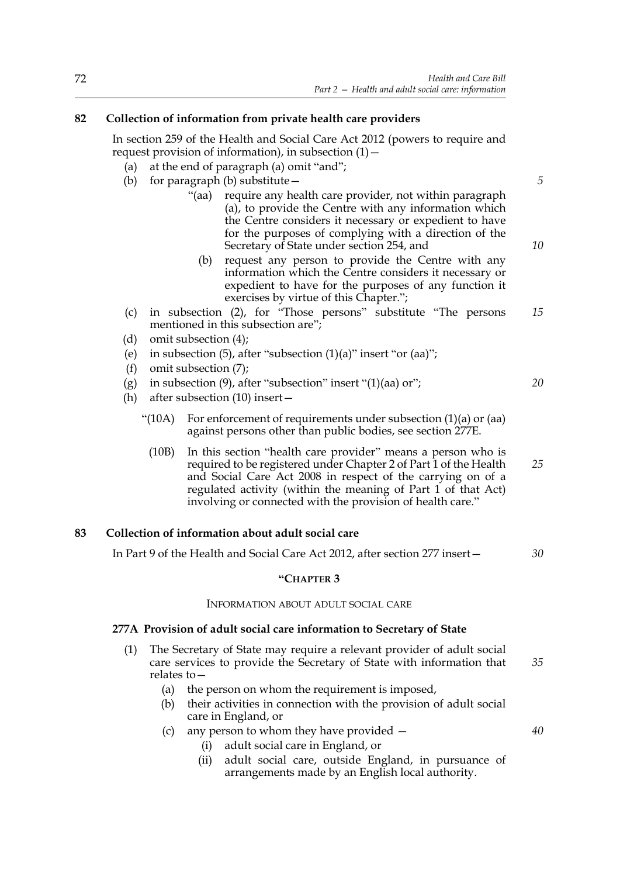# **82 Collection of information from private health care providers**

In section 259 of the Health and Social Care Act 2012 (powers to require and request provision of information), in subsection  $(1)$  -

- (a) at the end of paragraph (a) omit "and";
- (b) for paragraph (b) substitute—
	- "(aa) require any health care provider, not within paragraph (a), to provide the Centre with any information which the Centre considers it necessary or expedient to have for the purposes of complying with a direction of the Secretary of State under section 254, and
		- (b) request any person to provide the Centre with any information which the Centre considers it necessary or expedient to have for the purposes of any function it exercises by virtue of this Chapter.";
- (c) in subsection (2), for "Those persons" substitute "The persons mentioned in this subsection are"; *15*
- (d) omit subsection (4);
- (e) in subsection (5), after "subsection  $(1)(a)$ " insert "or  $(aa)$ ";
- (f) omit subsection (7);
- (g) in subsection  $(9)$ , after "subsection" insert " $(1)(aa)$  or";
- (h) after subsection (10) insert—
	- "(10A) For enforcement of requirements under subsection (1)(a) or (aa) against persons other than public bodies, see section 277E.
		- (10B) In this section "health care provider" means a person who is required to be registered under Chapter 2 of Part 1 of the Health and Social Care Act 2008 in respect of the carrying on of a regulated activity (within the meaning of Part 1 of that Act) involving or connected with the provision of health care." *25*

# **83 Collection of information about adult social care**

In Part 9 of the Health and Social Care Act 2012, after section 277 insert—

### **"CHAPTER 3**

### INFORMATION ABOUT ADULT SOCIAL CARE

### **277A Provision of adult social care information to Secretary of State**

- (1) The Secretary of State may require a relevant provider of adult social care services to provide the Secretary of State with information that relates to— *35*
	- (a) the person on whom the requirement is imposed,
	- (b) their activities in connection with the provision of adult social care in England, or
	- (c) any person to whom they have provided
		- (i) adult social care in England, or
		- (ii) adult social care, outside England, in pursuance of arrangements made by an English local authority.

*20*

*30*

*40*

*5*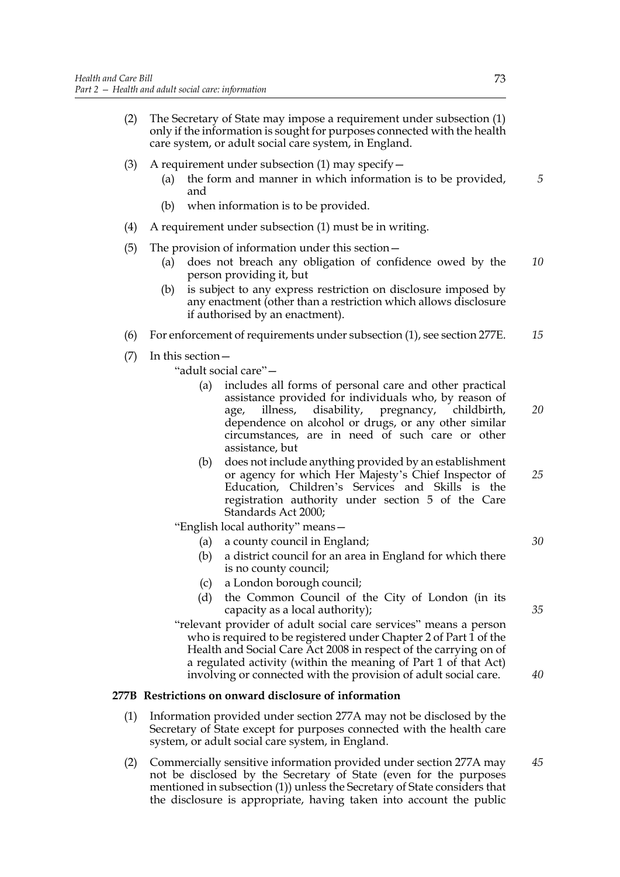- (2) The Secretary of State may impose a requirement under subsection (1) only if the information is sought for purposes connected with the health care system, or adult social care system, in England.
- (3) A requirement under subsection (1) may specify—
	- (a) the form and manner in which information is to be provided, and
	- (b) when information is to be provided.
- (4) A requirement under subsection (1) must be in writing.
- (5) The provision of information under this section—
	- (a) does not breach any obligation of confidence owed by the person providing it, but *10*
	- (b) is subject to any express restriction on disclosure imposed by any enactment (other than a restriction which allows disclosure if authorised by an enactment).
- (6) For enforcement of requirements under subsection (1), see section 277E. *15*
- (7) In this section—

"adult social care"—

- (a) includes all forms of personal care and other practical assistance provided for individuals who, by reason of age, illness, disability, pregnancy, childbirth, dependence on alcohol or drugs, or any other similar circumstances, are in need of such care or other assistance, but *20*
- (b) does not include anything provided by an establishment or agency for which Her Majesty's Chief Inspector of Education, Children's Services and Skills is the registration authority under section 5 of the Care Standards Act 2000;

"English local authority" means—

- (a) a county council in England;
- (b) a district council for an area in England for which there is no county council;
- (c) a London borough council;
- (d) the Common Council of the City of London (in its capacity as a local authority);

"relevant provider of adult social care services" means a person who is required to be registered under Chapter 2 of Part 1 of the Health and Social Care Act 2008 in respect of the carrying on of a regulated activity (within the meaning of Part 1 of that Act) involving or connected with the provision of adult social care.

### **277B Restrictions on onward disclosure of information**

- (1) Information provided under section 277A may not be disclosed by the Secretary of State except for purposes connected with the health care system, or adult social care system, in England.
- (2) Commercially sensitive information provided under section 277A may not be disclosed by the Secretary of State (even for the purposes mentioned in subsection (1)) unless the Secretary of State considers that the disclosure is appropriate, having taken into account the public *45*

*5*

*35*

*25*

*30*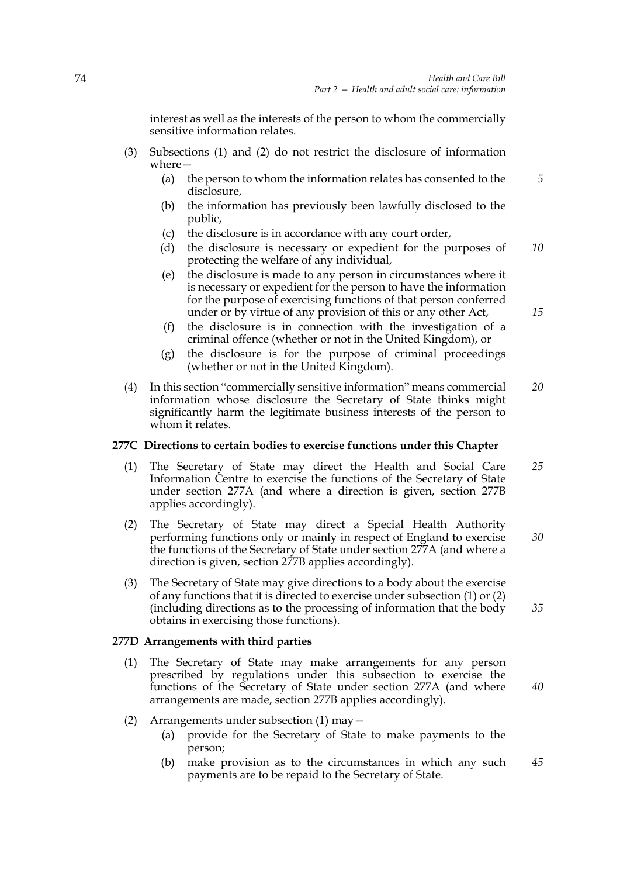interest as well as the interests of the person to whom the commercially sensitive information relates.

- (3) Subsections (1) and (2) do not restrict the disclosure of information where—
	- (a) the person to whom the information relates has consented to the disclosure.
	- (b) the information has previously been lawfully disclosed to the public,
	- (c) the disclosure is in accordance with any court order,
	- (d) the disclosure is necessary or expedient for the purposes of protecting the welfare of any individual, *10*
	- (e) the disclosure is made to any person in circumstances where it is necessary or expedient for the person to have the information for the purpose of exercising functions of that person conferred under or by virtue of any provision of this or any other Act,
	- (f) the disclosure is in connection with the investigation of a criminal offence (whether or not in the United Kingdom), or
	- (g) the disclosure is for the purpose of criminal proceedings (whether or not in the United Kingdom).
- (4) In this section "commercially sensitive information" means commercial information whose disclosure the Secretary of State thinks might significantly harm the legitimate business interests of the person to whom it relates. *20*

### **277C Directions to certain bodies to exercise functions under this Chapter**

- (1) The Secretary of State may direct the Health and Social Care Information Centre to exercise the functions of the Secretary of State under section 277A (and where a direction is given, section 277B applies accordingly). *25*
- (2) The Secretary of State may direct a Special Health Authority performing functions only or mainly in respect of England to exercise the functions of the Secretary of State under section 277A (and where a direction is given, section 277B applies accordingly). *30*
- (3) The Secretary of State may give directions to a body about the exercise of any functions that it is directed to exercise under subsection (1) or (2) (including directions as to the processing of information that the body obtains in exercising those functions). *35*

### **277D Arrangements with third parties**

- (1) The Secretary of State may make arrangements for any person prescribed by regulations under this subsection to exercise the functions of the Secretary of State under section 277A (and where arrangements are made, section 277B applies accordingly).
- (2) Arrangements under subsection (1) may—
	- (a) provide for the Secretary of State to make payments to the person;
	- (b) make provision as to the circumstances in which any such payments are to be repaid to the Secretary of State. *45*

*15*

*40*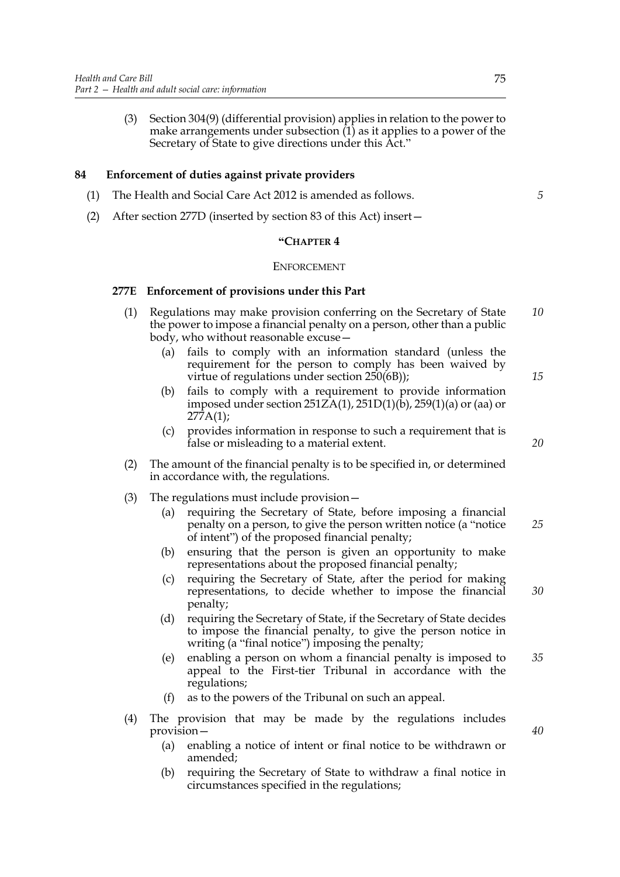(3) Section 304(9) (differential provision) applies in relation to the power to make arrangements under subsection (1) as it applies to a power of the Secretary of State to give directions under this Act."

# **84 Enforcement of duties against private providers**

- (1) The Health and Social Care Act 2012 is amended as follows.
- (2) After section 277D (inserted by section 83 of this Act) insert—

### **"CHAPTER 4**

### ENFORCEMENT

### **277E Enforcement of provisions under this Part**

- (1) Regulations may make provision conferring on the Secretary of State the power to impose a financial penalty on a person, other than a public body, who without reasonable excuse— *10*
	- (a) fails to comply with an information standard (unless the requirement for the person to comply has been waived by virtue of regulations under section 250(6B));
	- (b) fails to comply with a requirement to provide information imposed under section  $251Z\hat{A}(1)$ ,  $251D(1)(\dot{b})$ ,  $259(1)(a)$  or (aa) or 277A(1);
	- (c) provides information in response to such a requirement that is false or misleading to a material extent.
- (2) The amount of the financial penalty is to be specified in, or determined in accordance with, the regulations.
- (3) The regulations must include provision—
	- (a) requiring the Secretary of State, before imposing a financial penalty on a person, to give the person written notice (a "notice of intent") of the proposed financial penalty; *25*
	- (b) ensuring that the person is given an opportunity to make representations about the proposed financial penalty;
	- (c) requiring the Secretary of State, after the period for making representations, to decide whether to impose the financial penalty;
	- (d) requiring the Secretary of State, if the Secretary of State decides to impose the financial penalty, to give the person notice in writing (a "final notice") imposing the penalty;
	- (e) enabling a person on whom a financial penalty is imposed to appeal to the First-tier Tribunal in accordance with the regulations; *35*
	- as to the powers of the Tribunal on such an appeal.
- (4) The provision that may be made by the regulations includes provision—
	- (a) enabling a notice of intent or final notice to be withdrawn or amended;
	- (b) requiring the Secretary of State to withdraw a final notice in circumstances specified in the regulations;

*20*

*15*

*5*

*40*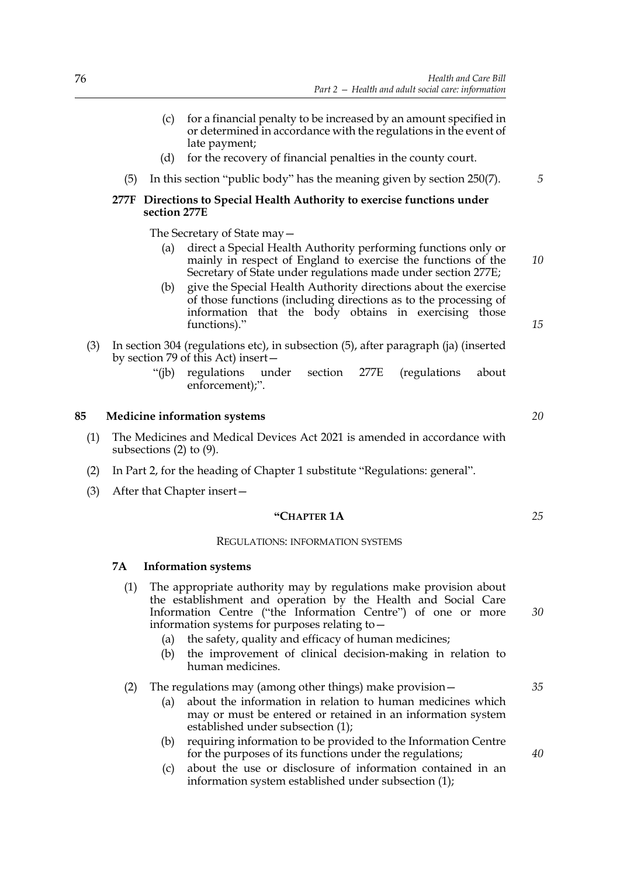- (c) for a financial penalty to be increased by an amount specified in or determined in accordance with the regulations in the event of late payment;
- (d) for the recovery of financial penalties in the county court.
- (5) In this section "public body" has the meaning given by section 250(7).

# **277F Directions to Special Health Authority to exercise functions under section 277E**

The Secretary of State may—

- (a) direct a Special Health Authority performing functions only or mainly in respect of England to exercise the functions of the Secretary of State under regulations made under section 277E;
- (b) give the Special Health Authority directions about the exercise of those functions (including directions as to the processing of information that the body obtains in exercising those functions)."
- (3) In section 304 (regulations etc), in subsection (5), after paragraph (ja) (inserted by section 79 of this Act) insert—
	- "(jb) regulations under section 277E (regulations about enforcement);".

# **85 Medicine information systems**

- (1) The Medicines and Medical Devices Act 2021 is amended in accordance with subsections (2) to (9).
- (2) In Part 2, for the heading of Chapter 1 substitute "Regulations: general".
- (3) After that Chapter insert—

### **"CHAPTER 1A**

### REGULATIONS: INFORMATION SYSTEMS

### **7A Information systems**

- (1) The appropriate authority may by regulations make provision about the establishment and operation by the Health and Social Care Information Centre ("the Information Centre") of one or more information systems for purposes relating to—
	- (a) the safety, quality and efficacy of human medicines;
	- (b) the improvement of clinical decision-making in relation to human medicines.

### (2) The regulations may (among other things) make provision—

- (a) about the information in relation to human medicines which may or must be entered or retained in an information system established under subsection (1);
- (b) requiring information to be provided to the Information Centre for the purposes of its functions under the regulations;
- (c) about the use or disclosure of information contained in an information system established under subsection (1);

*20*

*5*

*10*

*15*

*30*

*25*

*35*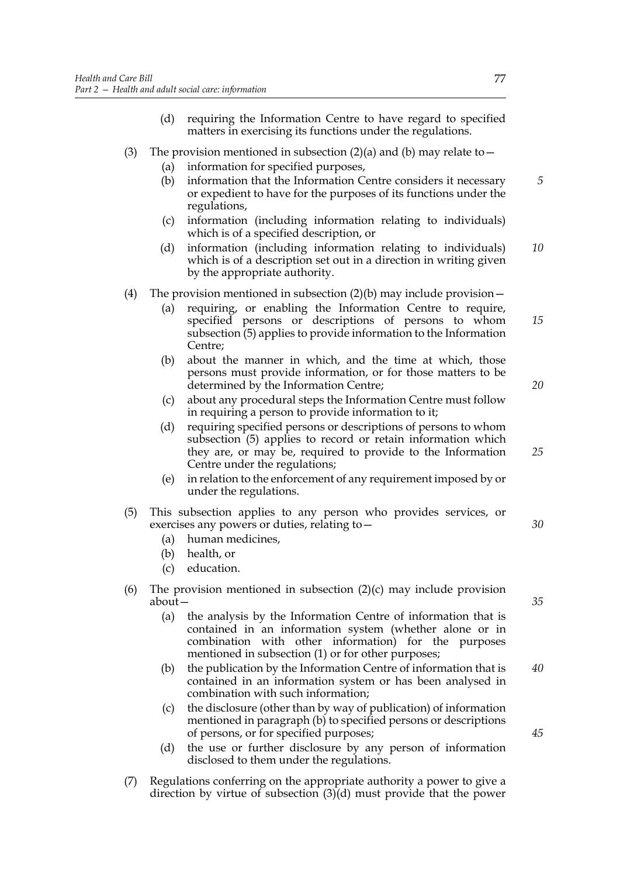- (d) requiring the Information Centre to have regard to specified matters in exercising its functions under the regulations.
- (3) The provision mentioned in subsection (2)(a) and (b) may relate to  $-$ 
	- (a) information for specified purposes,
	- (b) information that the Information Centre considers it necessary or expedient to have for the purposes of its functions under the regulations,
	- (c) information (including information relating to individuals) which is of a specified description, or
	- (d) information (including information relating to individuals) which is of a description set out in a direction in writing given by the appropriate authority. *10*
- (4) The provision mentioned in subsection  $(2)(b)$  may include provision  $-$ 
	- (a) requiring, or enabling the Information Centre to require, specified persons or descriptions of persons to whom subsection (5) applies to provide information to the Information Centre; *15*
	- (b) about the manner in which, and the time at which, those persons must provide information, or for those matters to be determined by the Information Centre;
	- (c) about any procedural steps the Information Centre must follow in requiring a person to provide information to it;
	- (d) requiring specified persons or descriptions of persons to whom subsection (5) applies to record or retain information which they are, or may be, required to provide to the Information Centre under the regulations;
	- (e) in relation to the enforcement of any requirement imposed by or under the regulations.
- (5) This subsection applies to any person who provides services, or exercises any powers or duties, relating to—
	- (a) human medicines,
	- (b) health, or
	- (c) education.
- (6) The provision mentioned in subsection  $(2)(c)$  may include provision about—
	- (a) the analysis by the Information Centre of information that is contained in an information system (whether alone or in combination with other information) for the purposes mentioned in subsection (1) or for other purposes;
	- (b) the publication by the Information Centre of information that is contained in an information system or has been analysed in combination with such information; *40*
	- (c) the disclosure (other than by way of publication) of information mentioned in paragraph (b) to specified persons or descriptions of persons, or for specified purposes;
	- (d) the use or further disclosure by any person of information disclosed to them under the regulations.
- (7) Regulations conferring on the appropriate authority a power to give a direction by virtue of subsection (3)(d) must provide that the power

*5*

*20*

*25*

*35*

*30*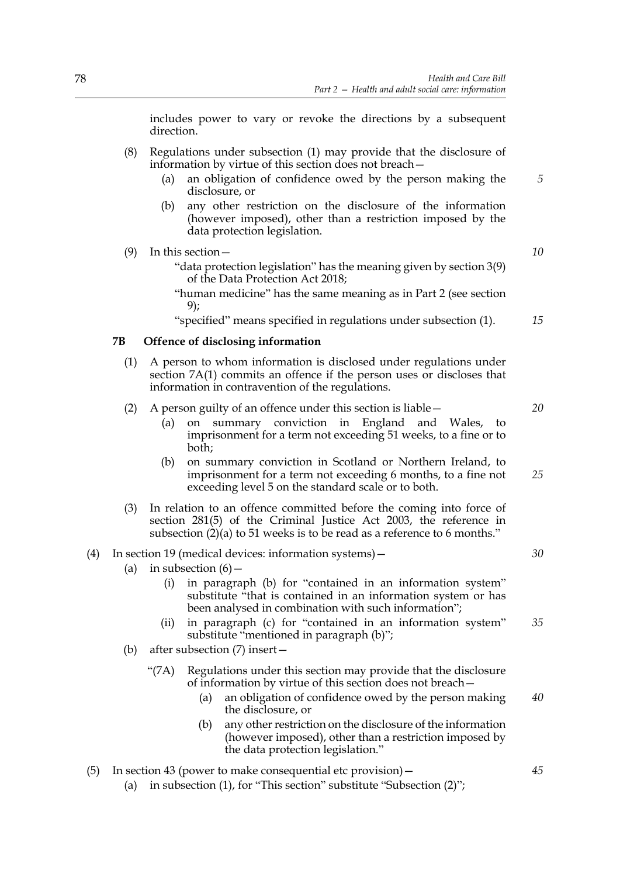includes power to vary or revoke the directions by a subsequent direction.

- (8) Regulations under subsection (1) may provide that the disclosure of information by virtue of this section does not breach—
	- (a) an obligation of confidence owed by the person making the disclosure, or
	- (b) any other restriction on the disclosure of the information (however imposed), other than a restriction imposed by the data protection legislation.
- (9) In this section—
	- "data protection legislation" has the meaning given by section 3(9) of the Data Protection Act 2018;
	- "human medicine" has the same meaning as in Part 2 (see section 9);

"specified" means specified in regulations under subsection (1).

### **7B Offence of disclosing information**

(1) A person to whom information is disclosed under regulations under section 7A(1) commits an offence if the person uses or discloses that information in contravention of the regulations.

### (2) A person guilty of an offence under this section is liable—

- (a) on summary conviction in England and Wales, to imprisonment for a term not exceeding 51 weeks, to a fine or to both;
- (b) on summary conviction in Scotland or Northern Ireland, to imprisonment for a term not exceeding 6 months, to a fine not exceeding level 5 on the standard scale or to both.
- (3) In relation to an offence committed before the coming into force of section 281(5) of the Criminal Justice Act 2003, the reference in subsection  $(2)(a)$  to 51 weeks is to be read as a reference to 6 months."

### (4) In section 19 (medical devices: information systems)—

- (a) in subsection  $(6)$  -
	- (i) in paragraph (b) for "contained in an information system" substitute "that is contained in an information system or has been analysed in combination with such information";
	- (ii) in paragraph (c) for "contained in an information system" substitute "mentioned in paragraph (b)"; *35*
- (b) after subsection (7) insert—
	- "(7A) Regulations under this section may provide that the disclosure of information by virtue of this section does not breach—
		- (a) an obligation of confidence owed by the person making the disclosure, or *40*
		- (b) any other restriction on the disclosure of the information (however imposed), other than a restriction imposed by the data protection legislation."
- (5) In section 43 (power to make consequential etc provision)—
	- (a) in subsection (1), for "This section" substitute "Subsection (2)";

*10*

*15*

*5*

*20*

*25*

*30*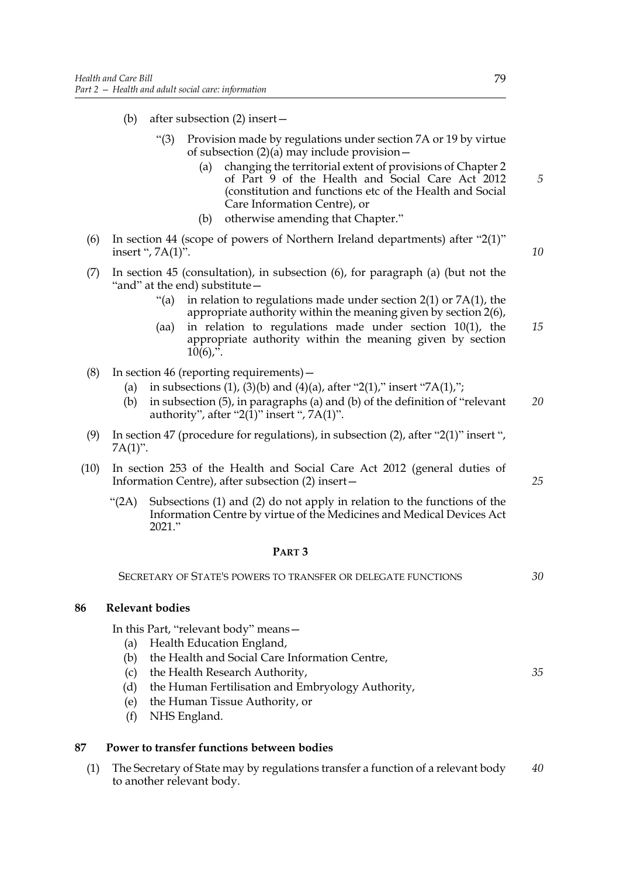- (b) after subsection (2) insert—
	- "(3) Provision made by regulations under section 7A or 19 by virtue of subsection  $(2)(a)$  may include provision –
		- changing the territorial extent of provisions of Chapter 2 of Part 9 of the Health and Social Care Act 2012 (constitution and functions etc of the Health and Social Care Information Centre), or
		- (b) otherwise amending that Chapter."
- (6) In section 44 (scope of powers of Northern Ireland departments) after "2(1)" insert ", 7A(1)".
- (7) In section 45 (consultation), in subsection (6), for paragraph (a) (but not the "and" at the end) substitute—
	- "(a) in relation to regulations made under section  $2(1)$  or  $7A(1)$ , the appropriate authority within the meaning given by section 2(6),
	- (aa) in relation to regulations made under section 10(1), the appropriate authority within the meaning given by section  $10(6)$ ,  $\overline{?}$ . *15*
- (8) In section 46 (reporting requirements)—
	- (a) in subsections (1), (3)(b) and (4)(a), after "2(1)," insert "7A(1),";
	- (b) in subsection (5), in paragraphs (a) and (b) of the definition of "relevant authority", after "2(1)" insert ",  $7A(1)$ ". *20*
- (9) In section 47 (procedure for regulations), in subsection (2), after "2(1)" insert ",  $7A(1)$ ".
- (10) In section 253 of the Health and Social Care Act 2012 (general duties of Information Centre), after subsection (2) insert—
	- "(2A) Subsections (1) and (2) do not apply in relation to the functions of the Information Centre by virtue of the Medicines and Medical Devices Act 2021."

# **PART 3**

SECRETARY OF STATE'S POWERS TO TRANSFER OR DELEGATE FUNCTIONS

# **86 Relevant bodies**

In this Part, "relevant body" means—

- (a) Health Education England,
- (b) the Health and Social Care Information Centre,
- (c) the Health Research Authority,
- (d) the Human Fertilisation and Embryology Authority,
- (e) the Human Tissue Authority, or
- (f) NHS England.

# **87 Power to transfer functions between bodies**

(1) The Secretary of State may by regulations transfer a function of a relevant body to another relevant body. *40*

*5*

*10*

*25*

*35*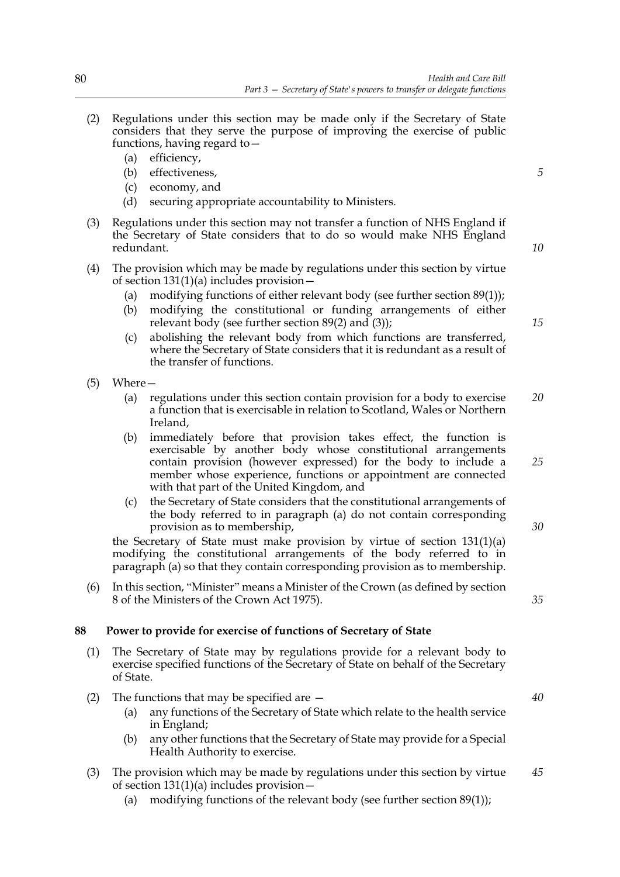- (2) Regulations under this section may be made only if the Secretary of State considers that they serve the purpose of improving the exercise of public functions, having regard to—
	- (a) efficiency,
	- (b) effectiveness,
	- (c) economy, and
	- (d) securing appropriate accountability to Ministers.
- (3) Regulations under this section may not transfer a function of NHS England if the Secretary of State considers that to do so would make NHS England redundant.
- (4) The provision which may be made by regulations under this section by virtue of section 131(1)(a) includes provision—
	- (a) modifying functions of either relevant body (see further section 89(1));
	- (b) modifying the constitutional or funding arrangements of either relevant body (see further section 89(2) and (3));
	- (c) abolishing the relevant body from which functions are transferred, where the Secretary of State considers that it is redundant as a result of the transfer of functions.
- (5) Where—
	- (a) regulations under this section contain provision for a body to exercise a function that is exercisable in relation to Scotland, Wales or Northern Ireland, *20*
	- (b) immediately before that provision takes effect, the function is exercisable by another body whose constitutional arrangements contain provision (however expressed) for the body to include a member whose experience, functions or appointment are connected with that part of the United Kingdom, and
	- (c) the Secretary of State considers that the constitutional arrangements of the body referred to in paragraph (a) do not contain corresponding provision as to membership,

the Secretary of State must make provision by virtue of section 131(1)(a) modifying the constitutional arrangements of the body referred to in paragraph (a) so that they contain corresponding provision as to membership.

(6) In this section, "Minister" means a Minister of the Crown (as defined by section 8 of the Ministers of the Crown Act 1975).

### **88 Power to provide for exercise of functions of Secretary of State**

- (1) The Secretary of State may by regulations provide for a relevant body to exercise specified functions of the Secretary of State on behalf of the Secretary of State.
- (2) The functions that may be specified are
	- (a) any functions of the Secretary of State which relate to the health service in England;
	- (b) any other functions that the Secretary of State may provide for a Special Health Authority to exercise.
- (3) The provision which may be made by regulations under this section by virtue of section  $131(1)(a)$  includes provision – *45*
	- (a) modifying functions of the relevant body (see further section 89(1));

*5*

*10*

*15*

*25*

*30*

*35*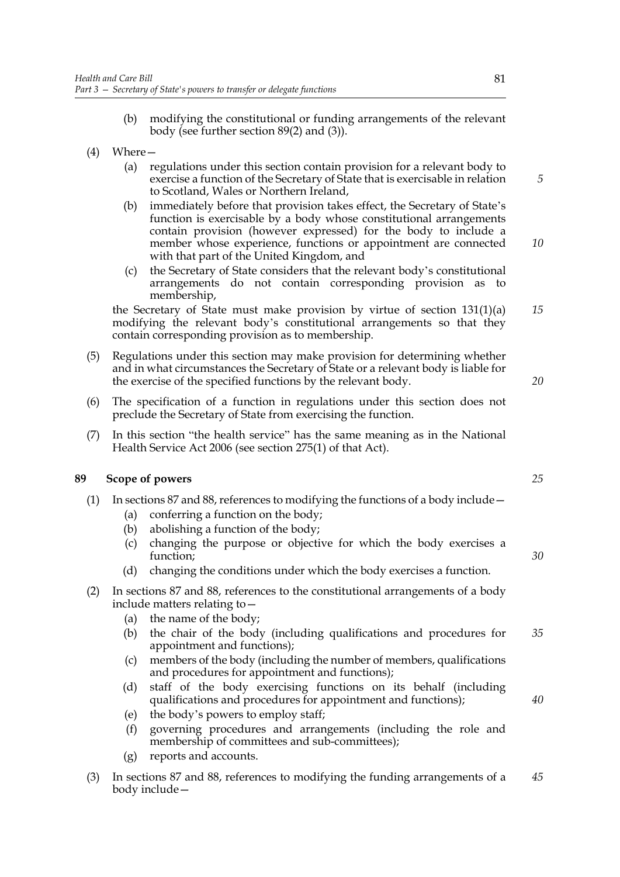- (b) modifying the constitutional or funding arrangements of the relevant body (see further section 89(2) and (3)).
- (4) Where—
	- (a) regulations under this section contain provision for a relevant body to exercise a function of the Secretary of State that is exercisable in relation to Scotland, Wales or Northern Ireland,
	- (b) immediately before that provision takes effect, the Secretary of State's function is exercisable by a body whose constitutional arrangements contain provision (however expressed) for the body to include a member whose experience, functions or appointment are connected with that part of the United Kingdom, and
	- (c) the Secretary of State considers that the relevant body's constitutional arrangements do not contain corresponding provision as to membership,

the Secretary of State must make provision by virtue of section 131(1)(a) modifying the relevant body's constitutional arrangements so that they contain corresponding provision as to membership.

- (5) Regulations under this section may make provision for determining whether and in what circumstances the Secretary of State or a relevant body is liable for the exercise of the specified functions by the relevant body.
- (6) The specification of a function in regulations under this section does not preclude the Secretary of State from exercising the function.
- (7) In this section "the health service" has the same meaning as in the National Health Service Act 2006 (see section 275(1) of that Act).

# **89 Scope of powers**

- (1) In sections 87 and 88, references to modifying the functions of a body include—
	- (a) conferring a function on the body;
	- (b) abolishing a function of the body;
	- (c) changing the purpose or objective for which the body exercises a function;
	- (d) changing the conditions under which the body exercises a function.
- (2) In sections 87 and 88, references to the constitutional arrangements of a body include matters relating to—
	- (a) the name of the body;
	- (b) the chair of the body (including qualifications and procedures for appointment and functions); *35*
	- (c) members of the body (including the number of members, qualifications and procedures for appointment and functions);
	- (d) staff of the body exercising functions on its behalf (including qualifications and procedures for appointment and functions);
	- (e) the body's powers to employ staff;
	- (f) governing procedures and arrangements (including the role and membership of committees and sub-committees);
	- (g) reports and accounts.
- (3) In sections 87 and 88, references to modifying the funding arrangements of a body include— *45*

*5*

*10*

*15*

*20*

*25*

*30*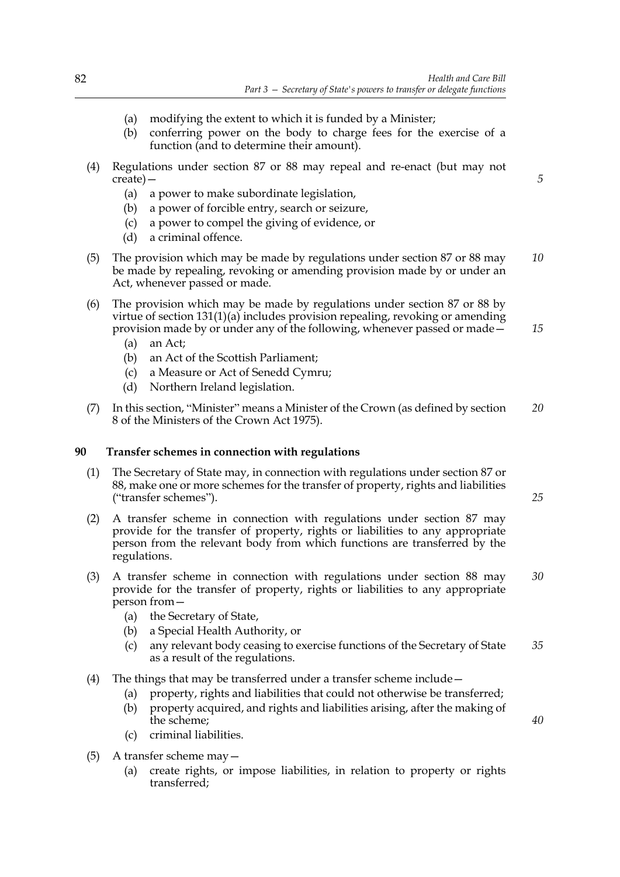- (a) modifying the extent to which it is funded by a Minister;
- (b) conferring power on the body to charge fees for the exercise of a function (and to determine their amount).
- (4) Regulations under section 87 or 88 may repeal and re-enact (but may not create)—
	- (a) a power to make subordinate legislation,
	- (b) a power of forcible entry, search or seizure,
	- (c) a power to compel the giving of evidence, or
	- (d) a criminal offence.
- (5) The provision which may be made by regulations under section 87 or 88 may be made by repealing, revoking or amending provision made by or under an Act, whenever passed or made. *10*
- (6) The provision which may be made by regulations under section 87 or 88 by virtue of section 131(1)(a) includes provision repealing, revoking or amending provision made by or under any of the following, whenever passed or made—
	- (a) an Act;
	- (b) an Act of the Scottish Parliament;
	- (c) a Measure or Act of Senedd Cymru;
	- (d) Northern Ireland legislation.
- (7) In this section, "Minister" means a Minister of the Crown (as defined by section 8 of the Ministers of the Crown Act 1975). *20*

# **90 Transfer schemes in connection with regulations**

- (1) The Secretary of State may, in connection with regulations under section 87 or 88, make one or more schemes for the transfer of property, rights and liabilities ("transfer schemes").
- (2) A transfer scheme in connection with regulations under section 87 may provide for the transfer of property, rights or liabilities to any appropriate person from the relevant body from which functions are transferred by the regulations.
- (3) A transfer scheme in connection with regulations under section 88 may provide for the transfer of property, rights or liabilities to any appropriate person from— *30*
	- (a) the Secretary of State,
	- (b) a Special Health Authority, or
	- (c) any relevant body ceasing to exercise functions of the Secretary of State as a result of the regulations. *35*
- (4) The things that may be transferred under a transfer scheme include—
	- (a) property, rights and liabilities that could not otherwise be transferred;
	- (b) property acquired, and rights and liabilities arising, after the making of the scheme;
	- (c) criminal liabilities.
- (5) A transfer scheme may—
	- (a) create rights, or impose liabilities, in relation to property or rights transferred;

*25*

*40*

*5*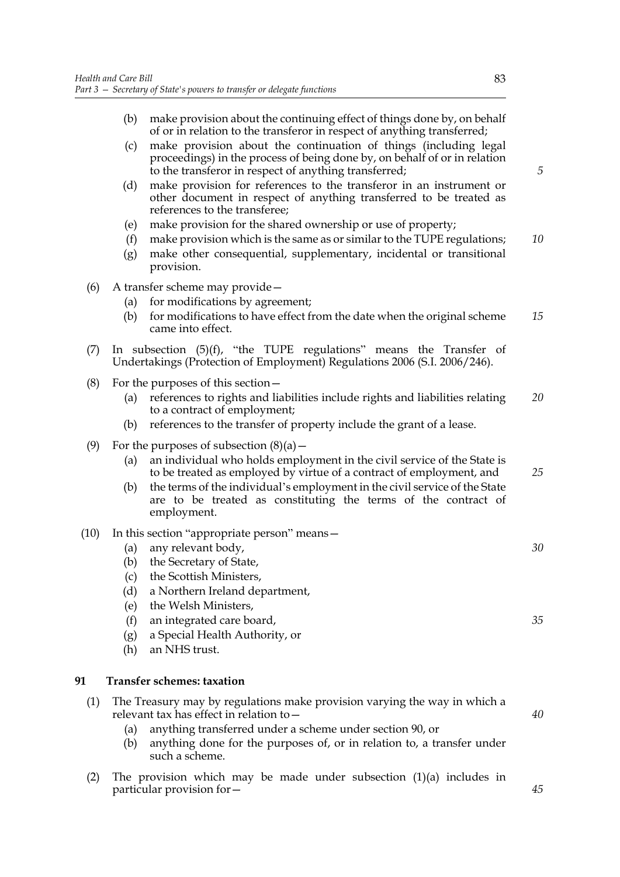|      | (b)        | make provision about the continuing effect of things done by, on behalf<br>of or in relation to the transferor in respect of anything transferred;                                                                                                                                              |    |
|------|------------|-------------------------------------------------------------------------------------------------------------------------------------------------------------------------------------------------------------------------------------------------------------------------------------------------|----|
|      | (c)        | make provision about the continuation of things (including legal<br>proceedings) in the process of being done by, on behalf of or in relation<br>to the transferor in respect of anything transferred;                                                                                          | 5  |
|      | (d)        | make provision for references to the transferor in an instrument or<br>other document in respect of anything transferred to be treated as<br>references to the transferee;                                                                                                                      |    |
|      | (e)        | make provision for the shared ownership or use of property;                                                                                                                                                                                                                                     |    |
|      | (f)<br>(g) | make provision which is the same as or similar to the TUPE regulations;<br>make other consequential, supplementary, incidental or transitional<br>provision.                                                                                                                                    | 10 |
| (6)  |            | A transfer scheme may provide-                                                                                                                                                                                                                                                                  |    |
|      | (a)<br>(b) | for modifications by agreement;<br>for modifications to have effect from the date when the original scheme<br>came into effect.                                                                                                                                                                 | 15 |
| (7)  |            | In subsection $(5)(f)$ , "the TUPE regulations" means the Transfer of<br>Undertakings (Protection of Employment) Regulations 2006 (S.I. 2006/246).                                                                                                                                              |    |
| (8)  | (a)        | For the purposes of this section –<br>references to rights and liabilities include rights and liabilities relating<br>to a contract of employment;                                                                                                                                              | 20 |
|      | (b)        | references to the transfer of property include the grant of a lease.                                                                                                                                                                                                                            |    |
| (9)  |            | For the purposes of subsection $(8)(a)$ –                                                                                                                                                                                                                                                       |    |
|      | (a)<br>(b) | an individual who holds employment in the civil service of the State is<br>to be treated as employed by virtue of a contract of employment, and<br>the terms of the individual's employment in the civil service of the State<br>are to be treated as constituting the terms of the contract of | 25 |
| (10) |            | employment.<br>In this section "appropriate person" means -                                                                                                                                                                                                                                     |    |
|      | (a)        | any relevant body,                                                                                                                                                                                                                                                                              | 30 |
|      | (b)        | the Secretary of State,<br>the Scottish Ministers,                                                                                                                                                                                                                                              |    |
|      | (c)<br>(d) | a Northern Ireland department,                                                                                                                                                                                                                                                                  |    |
|      | (e)        | the Welsh Ministers,                                                                                                                                                                                                                                                                            |    |
|      | (f)<br>(g) | an integrated care board,<br>a Special Health Authority, or                                                                                                                                                                                                                                     | 35 |
|      | (h)        | an NHS trust.                                                                                                                                                                                                                                                                                   |    |
| 91   |            | <b>Transfer schemes: taxation</b>                                                                                                                                                                                                                                                               |    |
| (1)  |            | The Treasury may by regulations make provision varying the way in which a<br>relevant tax has effect in relation to -                                                                                                                                                                           | 40 |
|      | (a)        | anything transferred under a scheme under section 90, or                                                                                                                                                                                                                                        |    |
|      | (b)        | anything done for the purposes of, or in relation to, a transfer under<br>such a scheme.                                                                                                                                                                                                        |    |

(2) The provision which may be made under subsection (1)(a) includes in particular provision for—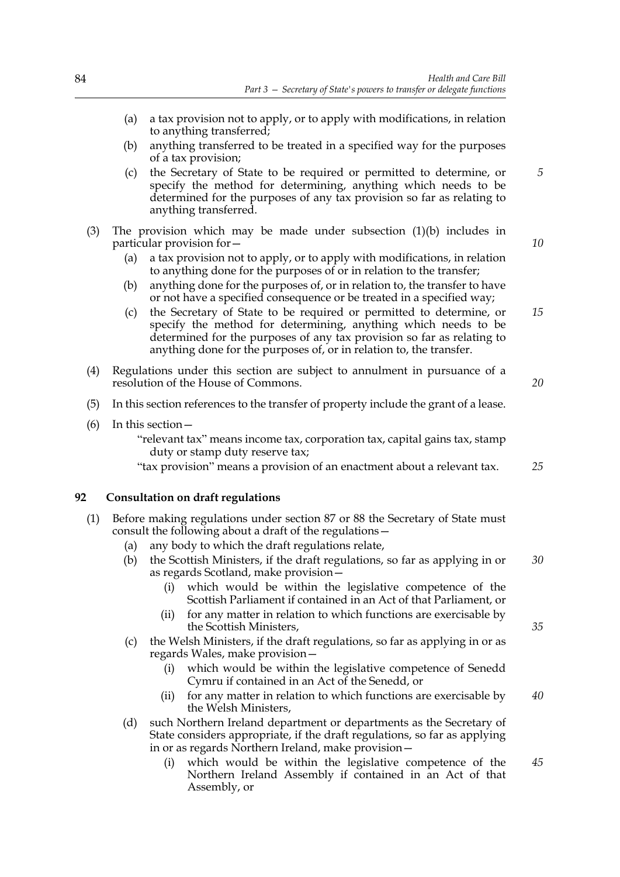- (a) a tax provision not to apply, or to apply with modifications, in relation to anything transferred;
- (b) anything transferred to be treated in a specified way for the purposes of a tax provision;
- (c) the Secretary of State to be required or permitted to determine, or specify the method for determining, anything which needs to be determined for the purposes of any tax provision so far as relating to anything transferred.
- (3) The provision which may be made under subsection (1)(b) includes in particular provision for—
	- (a) a tax provision not to apply, or to apply with modifications, in relation to anything done for the purposes of or in relation to the transfer;
	- (b) anything done for the purposes of, or in relation to, the transfer to have or not have a specified consequence or be treated in a specified way;
	- (c) the Secretary of State to be required or permitted to determine, or specify the method for determining, anything which needs to be determined for the purposes of any tax provision so far as relating to anything done for the purposes of, or in relation to, the transfer. *15*
- (4) Regulations under this section are subject to annulment in pursuance of a resolution of the House of Commons.
- (5) In this section references to the transfer of property include the grant of a lease.
- (6) In this section—
	- "relevant tax" means income tax, corporation tax, capital gains tax, stamp duty or stamp duty reserve tax;
	- "tax provision" means a provision of an enactment about a relevant tax. *25*

# **92 Consultation on draft regulations**

- (1) Before making regulations under section 87 or 88 the Secretary of State must consult the following about a draft of the regulations—
	- (a) any body to which the draft regulations relate,
	- (b) the Scottish Ministers, if the draft regulations, so far as applying in or as regards Scotland, make provision— *30*
		- (i) which would be within the legislative competence of the Scottish Parliament if contained in an Act of that Parliament, or
		- (ii) for any matter in relation to which functions are exercisable by the Scottish Ministers,
	- (c) the Welsh Ministers, if the draft regulations, so far as applying in or as regards Wales, make provision
		- which would be within the legislative competence of Senedd Cymru if contained in an Act of the Senedd, or
		- (ii) for any matter in relation to which functions are exercisable by the Welsh Ministers, *40*
	- (d) such Northern Ireland department or departments as the Secretary of State considers appropriate, if the draft regulations, so far as applying in or as regards Northern Ireland, make provision
		- which would be within the legislative competence of the Northern Ireland Assembly if contained in an Act of that Assembly, or *45*

*20*

*5*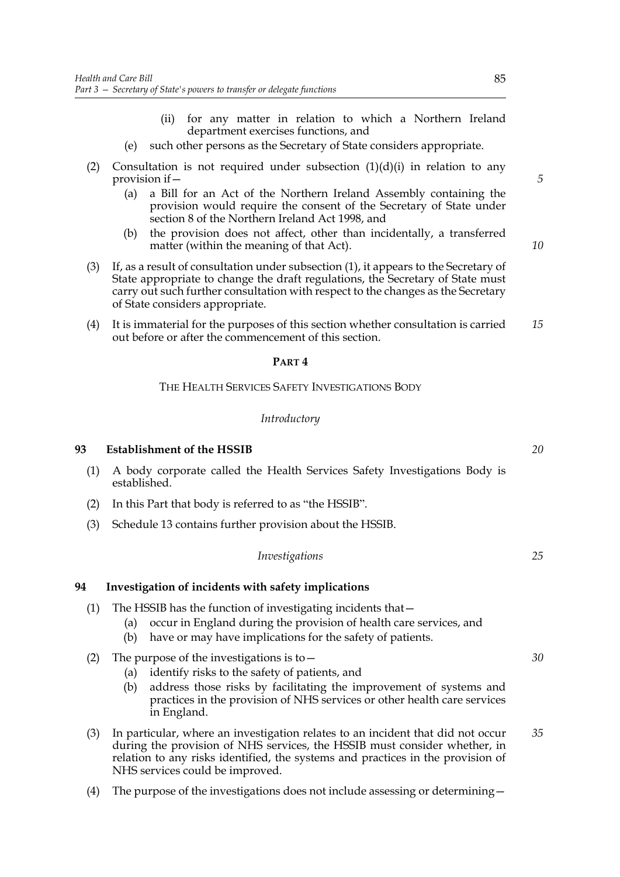- (ii) for any matter in relation to which a Northern Ireland department exercises functions, and
- (e) such other persons as the Secretary of State considers appropriate.
- (2) Consultation is not required under subsection  $(1)(d)(i)$  in relation to any provision if—
	- (a) a Bill for an Act of the Northern Ireland Assembly containing the provision would require the consent of the Secretary of State under section 8 of the Northern Ireland Act 1998, and
	- (b) the provision does not affect, other than incidentally, a transferred matter (within the meaning of that Act).
- (3) If, as a result of consultation under subsection (1), it appears to the Secretary of State appropriate to change the draft regulations, the Secretary of State must carry out such further consultation with respect to the changes as the Secretary of State considers appropriate.
- (4) It is immaterial for the purposes of this section whether consultation is carried out before or after the commencement of this section. *15*

### **PART 4**

# THE HEALTH SERVICES SAFETY INVESTIGATIONS BODY

### *Introductory*

### **93 Establishment of the HSSIB**

- (1) A body corporate called the Health Services Safety Investigations Body is established.
- (2) In this Part that body is referred to as "the HSSIB".
- (3) Schedule 13 contains further provision about the HSSIB.

| Investigations |
|----------------|
|----------------|

### **94 Investigation of incidents with safety implications**

- (1) The HSSIB has the function of investigating incidents that—
	- (a) occur in England during the provision of health care services, and
	- (b) have or may have implications for the safety of patients.
- (2) The purpose of the investigations is to  $-$ 
	- (a) identify risks to the safety of patients, and
	- (b) address those risks by facilitating the improvement of systems and practices in the provision of NHS services or other health care services in England.
- (3) In particular, where an investigation relates to an incident that did not occur during the provision of NHS services, the HSSIB must consider whether, in relation to any risks identified, the systems and practices in the provision of NHS services could be improved. *35*
- (4) The purpose of the investigations does not include assessing or determining—

*20*

*5*

*10*

*30*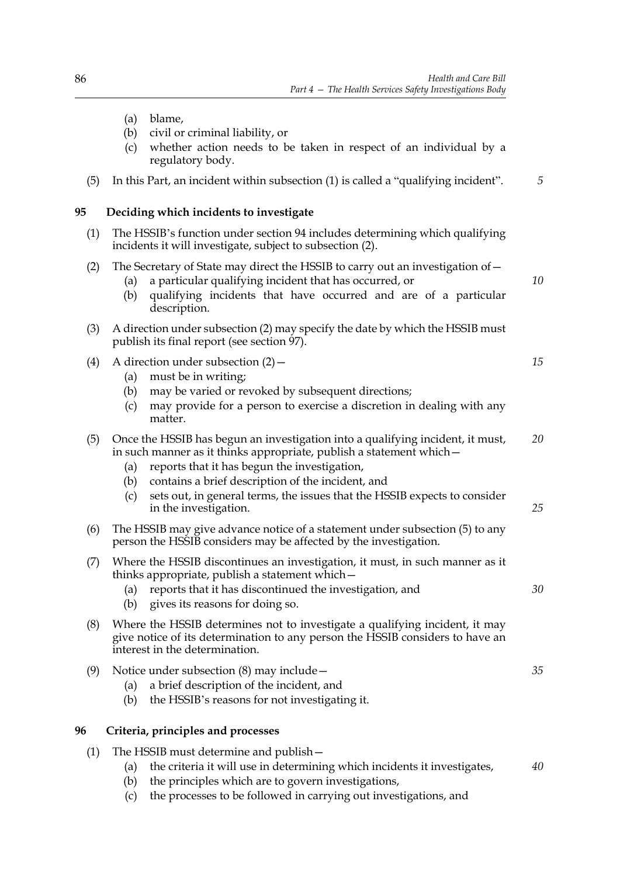*10*

*15*

*25*

*30*

- (a) blame,
- (b) civil or criminal liability, or
- (c) whether action needs to be taken in respect of an individual by a regulatory body.
- (5) In this Part, an incident within subsection (1) is called a "qualifying incident". *5*

### **95 Deciding which incidents to investigate**

(1) The HSSIB's function under section 94 includes determining which qualifying incidents it will investigate, subject to subsection (2).

### (2) The Secretary of State may direct the HSSIB to carry out an investigation of—

- (a) a particular qualifying incident that has occurred, or
- (b) qualifying incidents that have occurred and are of a particular description.
- (3) A direction under subsection (2) may specify the date by which the HSSIB must publish its final report (see section 97).

# (4) A direction under subsection (2)—

- (a) must be in writing;
- (b) may be varied or revoked by subsequent directions;
- (c) may provide for a person to exercise a discretion in dealing with any matter.

#### (5) Once the HSSIB has begun an investigation into a qualifying incident, it must, in such manner as it thinks appropriate, publish a statement which— *20*

- (a) reports that it has begun the investigation,
- (b) contains a brief description of the incident, and
- (c) sets out, in general terms, the issues that the HSSIB expects to consider in the investigation.
- (6) The HSSIB may give advance notice of a statement under subsection (5) to any person the HSSIB considers may be affected by the investigation.
- (7) Where the HSSIB discontinues an investigation, it must, in such manner as it thinks appropriate, publish a statement which—

(a) reports that it has discontinued the investigation, and

- (b) gives its reasons for doing so.
- (8) Where the HSSIB determines not to investigate a qualifying incident, it may give notice of its determination to any person the HSSIB considers to have an interest in the determination.
- (9) Notice under subsection (8) may include— (a) a brief description of the incident, and *35*
	- (b) the HSSIB's reasons for not investigating it.

# **96 Criteria, principles and processes**

- (1) The HSSIB must determine and publish—
	- (a) the criteria it will use in determining which incidents it investigates, *40*
	- (b) the principles which are to govern investigations,
	- (c) the processes to be followed in carrying out investigations, and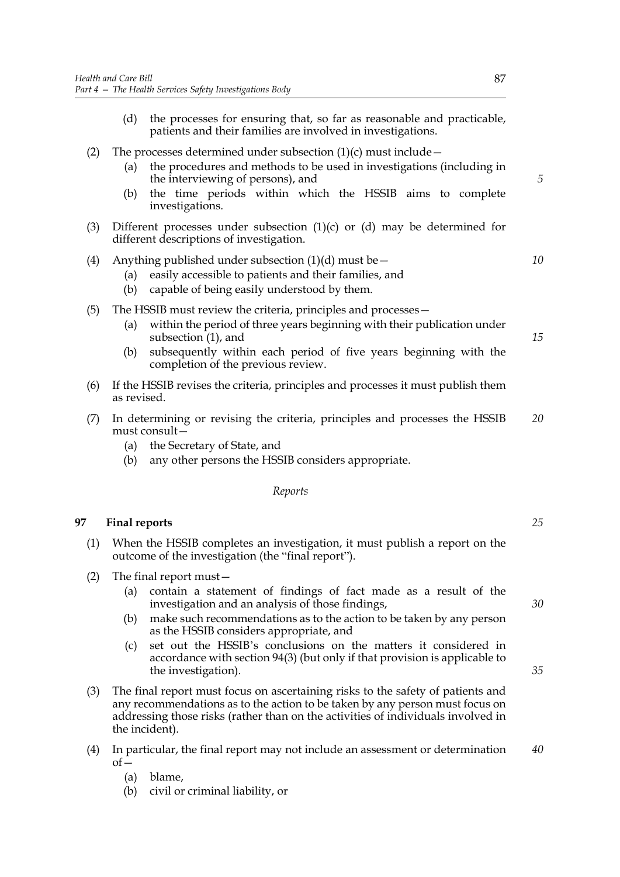- (d) the processes for ensuring that, so far as reasonable and practicable, patients and their families are involved in investigations.
- (2) The processes determined under subsection  $(1)(c)$  must include
	- (a) the procedures and methods to be used in investigations (including in the interviewing of persons), and
	- (b) the time periods within which the HSSIB aims to complete investigations.
- (3) Different processes under subsection (1)(c) or (d) may be determined for different descriptions of investigation.

# (4) Anything published under subsection  $(1)(d)$  must be  $-$

- (a) easily accessible to patients and their families, and
- (b) capable of being easily understood by them.
- (5) The HSSIB must review the criteria, principles and processes—
	- (a) within the period of three years beginning with their publication under subsection  $(1)$ , and
	- (b) subsequently within each period of five years beginning with the completion of the previous review.
- (6) If the HSSIB revises the criteria, principles and processes it must publish them as revised.
- (7) In determining or revising the criteria, principles and processes the HSSIB must consult— *20*
	- (a) the Secretary of State, and
	- (b) any other persons the HSSIB considers appropriate.

### *Reports*

### **97 Final reports**

- (1) When the HSSIB completes an investigation, it must publish a report on the outcome of the investigation (the "final report").
- (2) The final report must—
	- (a) contain a statement of findings of fact made as a result of the investigation and an analysis of those findings,
	- (b) make such recommendations as to the action to be taken by any person as the HSSIB considers appropriate, and
	- (c) set out the HSSIB's conclusions on the matters it considered in accordance with section 94(3) (but only if that provision is applicable to the investigation).
- (3) The final report must focus on ascertaining risks to the safety of patients and any recommendations as to the action to be taken by any person must focus on addressing those risks (rather than on the activities of individuals involved in the incident).
- (4) In particular, the final report may not include an assessment or determination  $of$ *40*
	- (a) blame,
	- (b) civil or criminal liability, or

*5*

*10*

*15*

*30*

*25*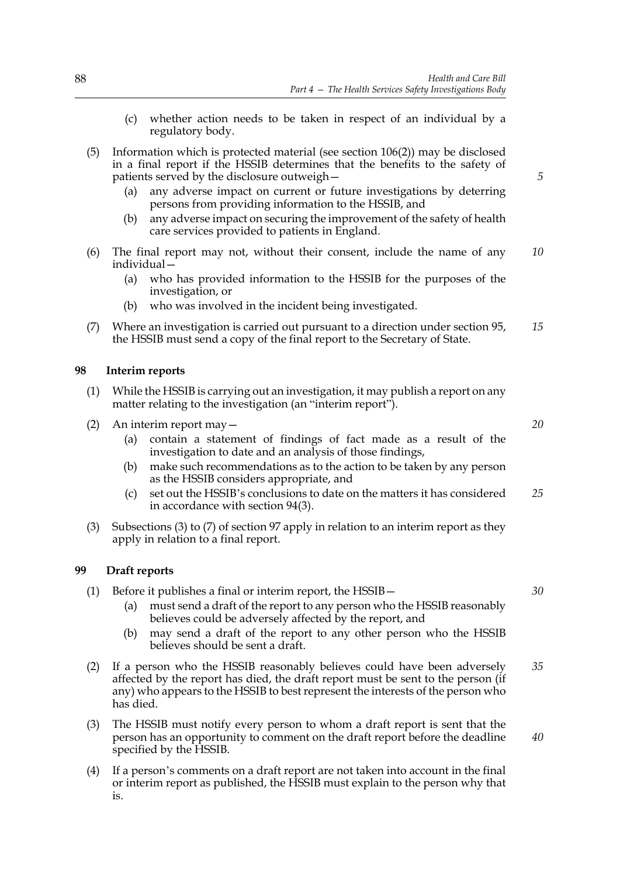- (c) whether action needs to be taken in respect of an individual by a regulatory body.
- (5) Information which is protected material (see section 106(2)) may be disclosed in a final report if the HSSIB determines that the benefits to the safety of patients served by the disclosure outweigh—
	- (a) any adverse impact on current or future investigations by deterring persons from providing information to the HSSIB, and
	- (b) any adverse impact on securing the improvement of the safety of health care services provided to patients in England.
- (6) The final report may not, without their consent, include the name of any individual— *10*
	- (a) who has provided information to the HSSIB for the purposes of the investigation, or
	- (b) who was involved in the incident being investigated.
- (7) Where an investigation is carried out pursuant to a direction under section 95, the HSSIB must send a copy of the final report to the Secretary of State. *15*

### **98 Interim reports**

- (1) While the HSSIB is carrying out an investigation, it may publish a report on any matter relating to the investigation (an "interim report").
- (2) An interim report may—
	- (a) contain a statement of findings of fact made as a result of the investigation to date and an analysis of those findings,
	- (b) make such recommendations as to the action to be taken by any person as the HSSIB considers appropriate, and
	- (c) set out the HSSIB's conclusions to date on the matters it has considered in accordance with section 94(3). *25*
- (3) Subsections (3) to (7) of section 97 apply in relation to an interim report as they apply in relation to a final report.

### **99 Draft reports**

- (1) Before it publishes a final or interim report, the HSSIB—
	- (a) must send a draft of the report to any person who the HSSIB reasonably believes could be adversely affected by the report, and
	- (b) may send a draft of the report to any other person who the HSSIB believes should be sent a draft.
- (2) If a person who the HSSIB reasonably believes could have been adversely affected by the report has died, the draft report must be sent to the person (if any) who appears to the HSSIB to best represent the interests of the person who has died. *35*
- (3) The HSSIB must notify every person to whom a draft report is sent that the person has an opportunity to comment on the draft report before the deadline specified by the HSSIB.
- (4) If a person's comments on a draft report are not taken into account in the final or interim report as published, the HSSIB must explain to the person why that is.

*20*

*5*

*30*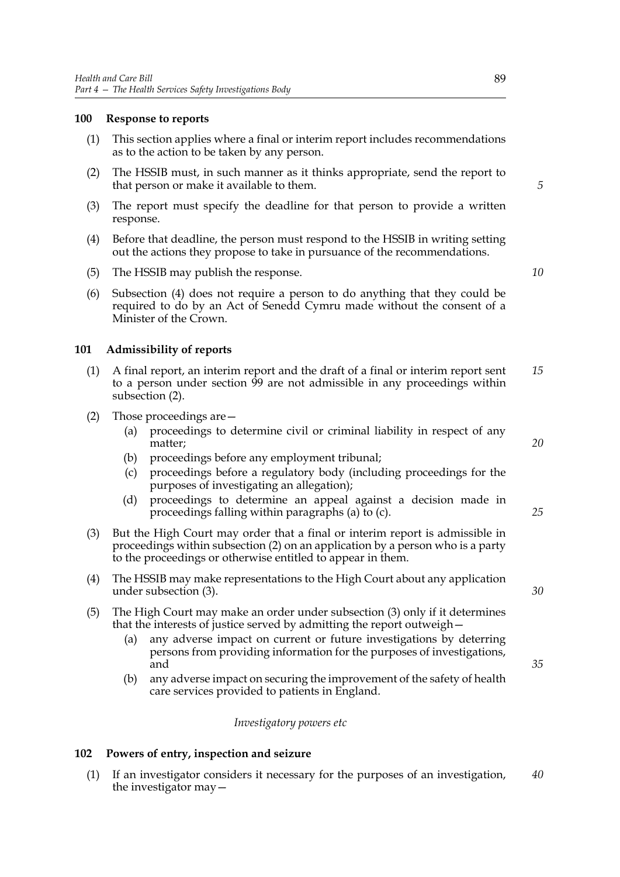### **100 Response to reports**

- (1) This section applies where a final or interim report includes recommendations as to the action to be taken by any person.
- (2) The HSSIB must, in such manner as it thinks appropriate, send the report to that person or make it available to them.
- (3) The report must specify the deadline for that person to provide a written response.
- (4) Before that deadline, the person must respond to the HSSIB in writing setting out the actions they propose to take in pursuance of the recommendations.
- (5) The HSSIB may publish the response.
- (6) Subsection (4) does not require a person to do anything that they could be required to do by an Act of Senedd Cymru made without the consent of a Minister of the Crown.

### **101 Admissibility of reports**

- (1) A final report, an interim report and the draft of a final or interim report sent to a person under section 99 are not admissible in any proceedings within subsection (2). *15*
- (2) Those proceedings are—
	- (a) proceedings to determine civil or criminal liability in respect of any matter;
	- (b) proceedings before any employment tribunal;
	- (c) proceedings before a regulatory body (including proceedings for the purposes of investigating an allegation);
	- (d) proceedings to determine an appeal against a decision made in proceedings falling within paragraphs (a) to (c).
- (3) But the High Court may order that a final or interim report is admissible in proceedings within subsection (2) on an application by a person who is a party to the proceedings or otherwise entitled to appear in them.
- (4) The HSSIB may make representations to the High Court about any application under subsection (3).
- (5) The High Court may make an order under subsection (3) only if it determines that the interests of justice served by admitting the report outweigh—
	- (a) any adverse impact on current or future investigations by deterring persons from providing information for the purposes of investigations, and
	- (b) any adverse impact on securing the improvement of the safety of health care services provided to patients in England.

### *Investigatory powers etc*

### **102 Powers of entry, inspection and seizure**

(1) If an investigator considers it necessary for the purposes of an investigation, the investigator may— *40*

*10*

*5*

*20*

*25*

*35*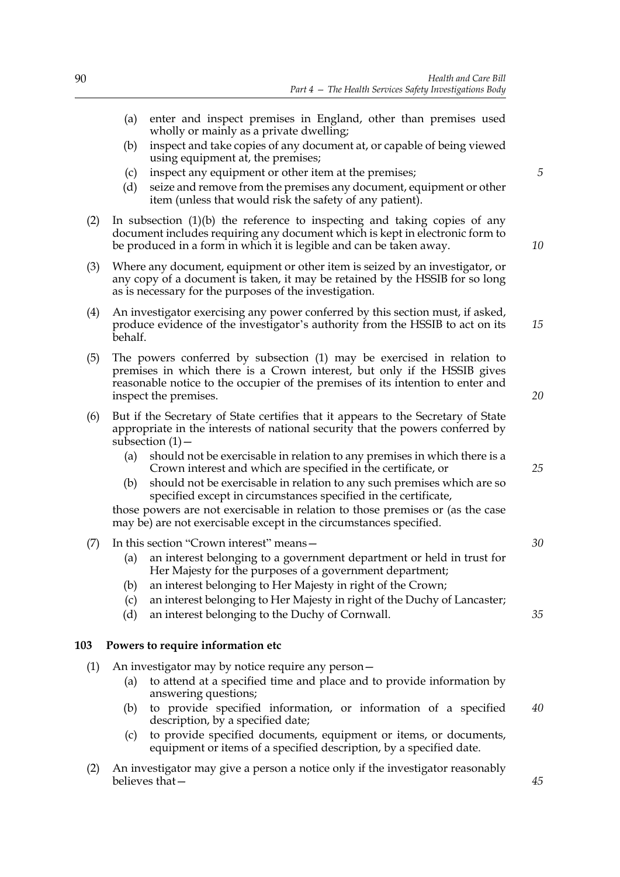- (a) enter and inspect premises in England, other than premises used wholly or mainly as a private dwelling;
- (b) inspect and take copies of any document at, or capable of being viewed using equipment at, the premises;
- (c) inspect any equipment or other item at the premises;
- (d) seize and remove from the premises any document, equipment or other item (unless that would risk the safety of any patient).
- (2) In subsection (1)(b) the reference to inspecting and taking copies of any document includes requiring any document which is kept in electronic form to be produced in a form in which it is legible and can be taken away.
- (3) Where any document, equipment or other item is seized by an investigator, or any copy of a document is taken, it may be retained by the HSSIB for so long as is necessary for the purposes of the investigation.
- (4) An investigator exercising any power conferred by this section must, if asked, produce evidence of the investigator's authority from the HSSIB to act on its behalf.
- (5) The powers conferred by subsection (1) may be exercised in relation to premises in which there is a Crown interest, but only if the HSSIB gives reasonable notice to the occupier of the premises of its intention to enter and inspect the premises.
- (6) But if the Secretary of State certifies that it appears to the Secretary of State appropriate in the interests of national security that the powers conferred by subsection (1) -
	- (a) should not be exercisable in relation to any premises in which there is a Crown interest and which are specified in the certificate, or
	- (b) should not be exercisable in relation to any such premises which are so specified except in circumstances specified in the certificate,

those powers are not exercisable in relation to those premises or (as the case may be) are not exercisable except in the circumstances specified.

# (7) In this section "Crown interest" means—

- (a) an interest belonging to a government department or held in trust for Her Majesty for the purposes of a government department;
- (b) an interest belonging to Her Majesty in right of the Crown;
- (c) an interest belonging to Her Majesty in right of the Duchy of Lancaster;
- (d) an interest belonging to the Duchy of Cornwall.

### **103 Powers to require information etc**

- (1) An investigator may by notice require any person—
	- (a) to attend at a specified time and place and to provide information by answering questions;
	- (b) to provide specified information, or information of a specified description, by a specified date; *40*
	- (c) to provide specified documents, equipment or items, or documents, equipment or items of a specified description, by a specified date.
- (2) An investigator may give a person a notice only if the investigator reasonably believes that—

*5*

*10*

*15*

*20*

*25*

*30*

*35*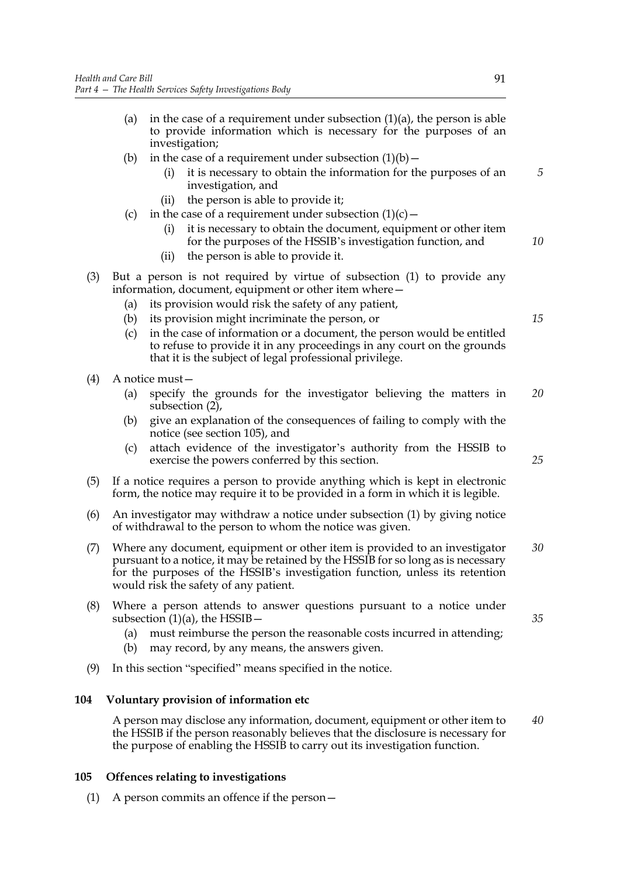- (a) in the case of a requirement under subsection  $(1)(a)$ , the person is able to provide information which is necessary for the purposes of an investigation;
- (b) in the case of a requirement under subsection  $(1)(b)$ 
	- it is necessary to obtain the information for the purposes of an investigation, and
	- (ii) the person is able to provide it;
- (c) in the case of a requirement under subsection  $(1)(c)$ 
	- it is necessary to obtain the document, equipment or other item for the purposes of the HSSIB's investigation function, and
	- (ii) the person is able to provide it.
- (3) But a person is not required by virtue of subsection (1) to provide any information, document, equipment or other item where—
	- (a) its provision would risk the safety of any patient,
	- (b) its provision might incriminate the person, or
	- (c) in the case of information or a document, the person would be entitled to refuse to provide it in any proceedings in any court on the grounds that it is the subject of legal professional privilege.
- (4) A notice must—
	- (a) specify the grounds for the investigator believing the matters in subsection (2), *20*
	- (b) give an explanation of the consequences of failing to comply with the notice (see section 105), and
	- (c) attach evidence of the investigator's authority from the HSSIB to exercise the powers conferred by this section.
- (5) If a notice requires a person to provide anything which is kept in electronic form, the notice may require it to be provided in a form in which it is legible.
- (6) An investigator may withdraw a notice under subsection (1) by giving notice of withdrawal to the person to whom the notice was given.
- (7) Where any document, equipment or other item is provided to an investigator pursuant to a notice, it may be retained by the HSSIB for so long as is necessary for the purposes of the HSSIB's investigation function, unless its retention would risk the safety of any patient. *30*
- (8) Where a person attends to answer questions pursuant to a notice under subsection  $(1)(a)$ , the HSSIB  $-$ 
	- (a) must reimburse the person the reasonable costs incurred in attending;
	- (b) may record, by any means, the answers given.
- (9) In this section "specified" means specified in the notice.

# **104 Voluntary provision of information etc**

A person may disclose any information, document, equipment or other item to the HSSIB if the person reasonably believes that the disclosure is necessary for the purpose of enabling the HSSIB to carry out its investigation function. *40*

### **105 Offences relating to investigations**

(1) A person commits an offence if the person—

*5*

*10*

*15*

*25*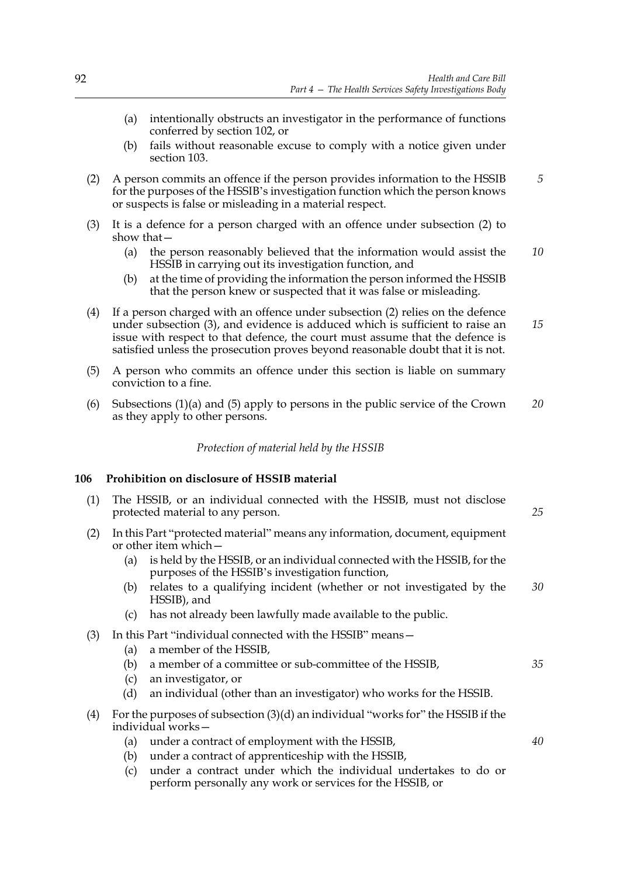- (a) intentionally obstructs an investigator in the performance of functions conferred by section 102, or
- (b) fails without reasonable excuse to comply with a notice given under section 103.
- (2) A person commits an offence if the person provides information to the HSSIB for the purposes of the HSSIB's investigation function which the person knows or suspects is false or misleading in a material respect. *5*
- (3) It is a defence for a person charged with an offence under subsection (2) to show that—
	- (a) the person reasonably believed that the information would assist the HSSIB in carrying out its investigation function, and *10*
	- (b) at the time of providing the information the person informed the HSSIB that the person knew or suspected that it was false or misleading.
- (4) If a person charged with an offence under subsection (2) relies on the defence under subsection (3), and evidence is adduced which is sufficient to raise an issue with respect to that defence, the court must assume that the defence is satisfied unless the prosecution proves beyond reasonable doubt that it is not. *15*
- (5) A person who commits an offence under this section is liable on summary conviction to a fine.
- (6) Subsections (1)(a) and (5) apply to persons in the public service of the Crown as they apply to other persons. *20*

### *Protection of material held by the HSSIB*

# **106 Prohibition on disclosure of HSSIB material**

- (1) The HSSIB, or an individual connected with the HSSIB, must not disclose protected material to any person.
- (2) In this Part "protected material" means any information, document, equipment or other item which—
	- (a) is held by the HSSIB, or an individual connected with the HSSIB, for the purposes of the HSSIB's investigation function,
	- (b) relates to a qualifying incident (whether or not investigated by the HSSIB), and *30*
	- (c) has not already been lawfully made available to the public.
- (3) In this Part "individual connected with the HSSIB" means—
	- (a) a member of the HSSIB,
	- (b) a member of a committee or sub-committee of the HSSIB,
	- (c) an investigator, or
	- (d) an individual (other than an investigator) who works for the HSSIB.
- (4) For the purposes of subsection (3)(d) an individual "works for" the HSSIB if the individual works—
	- (a) under a contract of employment with the HSSIB,
	- (b) under a contract of apprenticeship with the HSSIB,
	- (c) under a contract under which the individual undertakes to do or perform personally any work or services for the HSSIB, or

*40*

*35*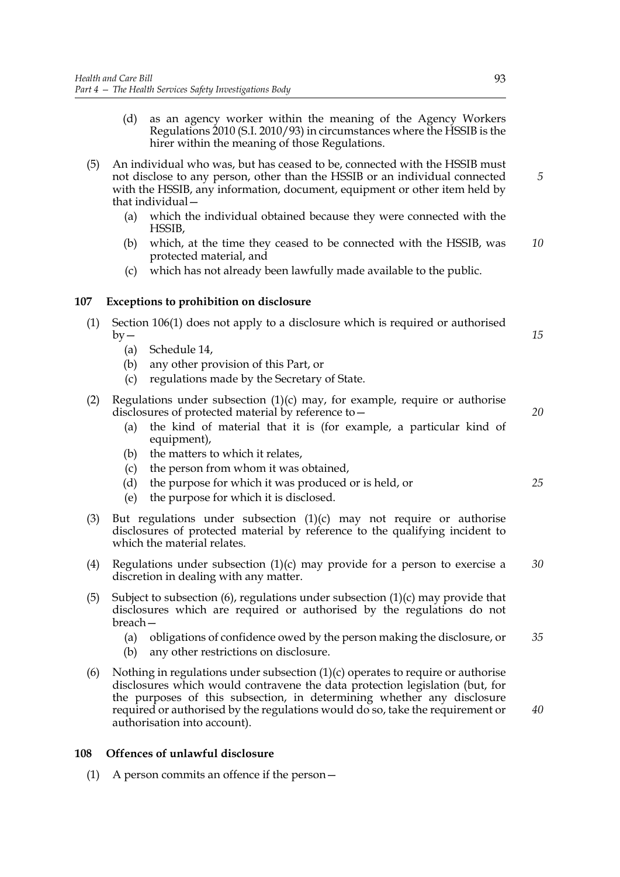- (d) as an agency worker within the meaning of the Agency Workers Regulations 2010 (S.I. 2010/93) in circumstances where the HSSIB is the hirer within the meaning of those Regulations.
- (5) An individual who was, but has ceased to be, connected with the HSSIB must not disclose to any person, other than the HSSIB or an individual connected with the HSSIB, any information, document, equipment or other item held by that individual—
	- (a) which the individual obtained because they were connected with the HSSIB,
	- (b) which, at the time they ceased to be connected with the HSSIB, was protected material, and *10*
	- (c) which has not already been lawfully made available to the public.

# **107 Exceptions to prohibition on disclosure**

- (1) Section 106(1) does not apply to a disclosure which is required or authorised  $by -$ 
	- (a) Schedule 14,
	- (b) any other provision of this Part, or
	- (c) regulations made by the Secretary of State.
- (2) Regulations under subsection  $(1)(c)$  may, for example, require or authorise disclosures of protected material by reference to—
	- (a) the kind of material that it is (for example, a particular kind of equipment),
	- (b) the matters to which it relates,
	- (c) the person from whom it was obtained,
	- (d) the purpose for which it was produced or is held, or
	- (e) the purpose for which it is disclosed.
- (3) But regulations under subsection  $(1)(c)$  may not require or authorise disclosures of protected material by reference to the qualifying incident to which the material relates.
- (4) Regulations under subsection (1)(c) may provide for a person to exercise a discretion in dealing with any matter. *30*
- (5) Subject to subsection (6), regulations under subsection (1)(c) may provide that disclosures which are required or authorised by the regulations do not breach—
	- (a) obligations of confidence owed by the person making the disclosure, or *35*
	- (b) any other restrictions on disclosure.
- (6) Nothing in regulations under subsection  $(1)(c)$  operates to require or authorise disclosures which would contravene the data protection legislation (but, for the purposes of this subsection, in determining whether any disclosure required or authorised by the regulations would do so, take the requirement or authorisation into account).

# **108 Offences of unlawful disclosure**

(1) A person commits an offence if the person—

*25*

*40*

*20*

*15*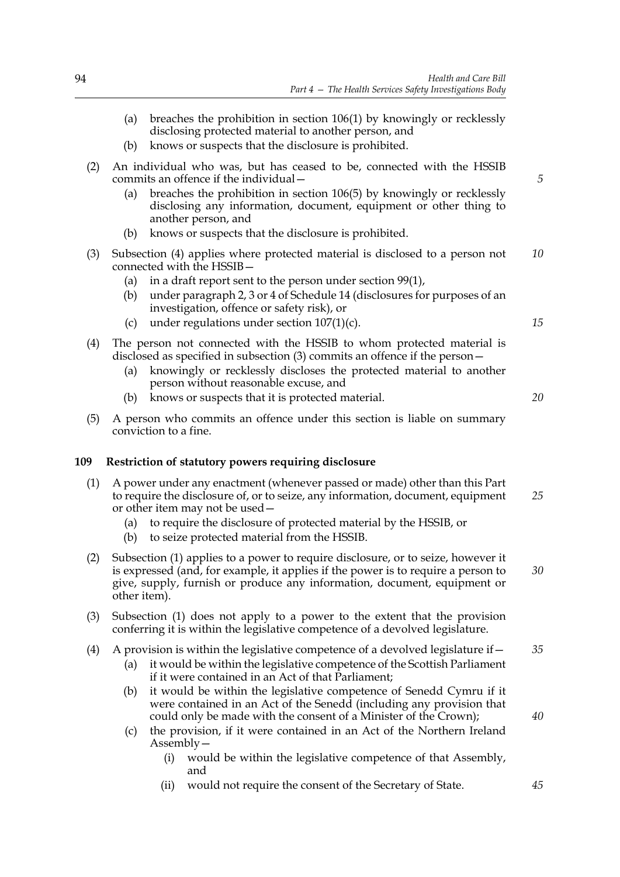|     | (a) breaches the prohibition in section $106(1)$ by knowingly or recklessly |
|-----|-----------------------------------------------------------------------------|
|     | disclosing protected material to another person, and                        |
| (b) | knows or suspects that the disclosure is prohibited.                        |

- (2) An individual who was, but has ceased to be, connected with the HSSIB commits an offence if the individual—
	- (a) breaches the prohibition in section 106(5) by knowingly or recklessly disclosing any information, document, equipment or other thing to another person, and
	- (b) knows or suspects that the disclosure is prohibited.
- (3) Subsection (4) applies where protected material is disclosed to a person not connected with the HSSIB— *10*
	- (a) in a draft report sent to the person under section 99(1),
	- (b) under paragraph 2, 3 or 4 of Schedule 14 (disclosures for purposes of an investigation, offence or safety risk), or
	- (c) under regulations under section 107(1)(c).
- (4) The person not connected with the HSSIB to whom protected material is disclosed as specified in subsection (3) commits an offence if the person—
	- (a) knowingly or recklessly discloses the protected material to another person without reasonable excuse, and
	- (b) knows or suspects that it is protected material.
- (5) A person who commits an offence under this section is liable on summary conviction to a fine.

# **109 Restriction of statutory powers requiring disclosure**

- (1) A power under any enactment (whenever passed or made) other than this Part to require the disclosure of, or to seize, any information, document, equipment or other item may not be used— *25*
	- (a) to require the disclosure of protected material by the HSSIB, or
	- (b) to seize protected material from the HSSIB.
- (2) Subsection (1) applies to a power to require disclosure, or to seize, however it is expressed (and, for example, it applies if the power is to require a person to give, supply, furnish or produce any information, document, equipment or other item). *30*
- (3) Subsection (1) does not apply to a power to the extent that the provision conferring it is within the legislative competence of a devolved legislature.

#### (4) A provision is within the legislative competence of a devolved legislature if  $-$ *35*

- (a) it would be within the legislative competence of the Scottish Parliament if it were contained in an Act of that Parliament;
- (b) it would be within the legislative competence of Senedd Cymru if it were contained in an Act of the Senedd (including any provision that could only be made with the consent of a Minister of the Crown);
- (c) the provision, if it were contained in an Act of the Northern Ireland Assembly—
	- (i) would be within the legislative competence of that Assembly, and
	- (ii) would not require the consent of the Secretary of State.

*20*

*15*

*5*

*40*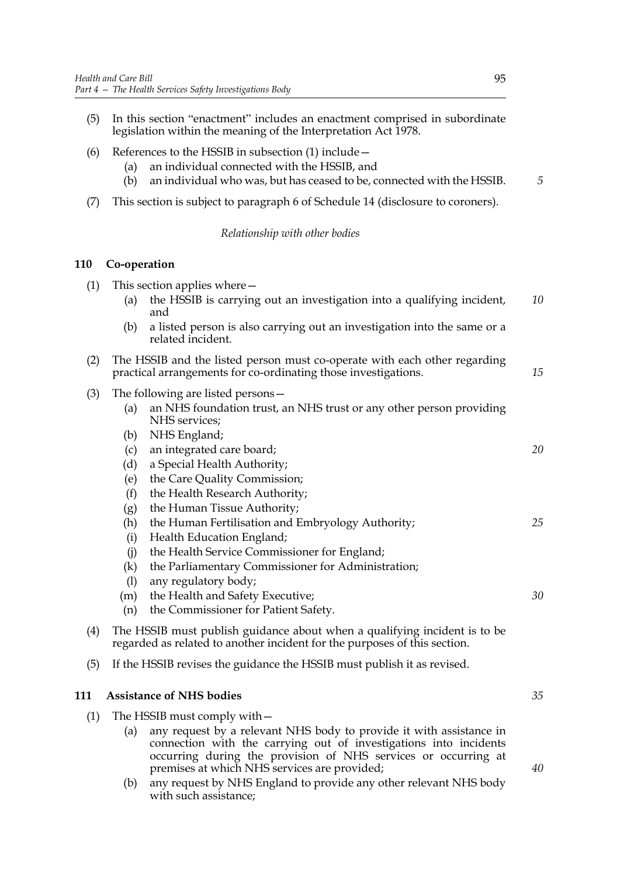- (5) In this section "enactment" includes an enactment comprised in subordinate legislation within the meaning of the Interpretation Act 1978.
- (6) References to the HSSIB in subsection (1) include—
	- (a) an individual connected with the HSSIB, and
	- (b) an individual who was, but has ceased to be, connected with the HSSIB. *5*
- (7) This section is subject to paragraph 6 of Schedule 14 (disclosure to coroners).

# *Relationship with other bodies*

# **110 Co-operation**

| (1) | This section applies where $-$                                                                                                                         |                                                                                                                                                                                                                                            |    |
|-----|--------------------------------------------------------------------------------------------------------------------------------------------------------|--------------------------------------------------------------------------------------------------------------------------------------------------------------------------------------------------------------------------------------------|----|
|     | (a)                                                                                                                                                    | the HSSIB is carrying out an investigation into a qualifying incident,<br>and                                                                                                                                                              | 10 |
|     | (b)                                                                                                                                                    | a listed person is also carrying out an investigation into the same or a<br>related incident.                                                                                                                                              |    |
| (2) |                                                                                                                                                        | The HSSIB and the listed person must co-operate with each other regarding<br>practical arrangements for co-ordinating those investigations.                                                                                                | 15 |
| (3) | (a)<br>(b)                                                                                                                                             | The following are listed persons -<br>an NHS foundation trust, an NHS trust or any other person providing<br>NHS services;<br>NHS England;                                                                                                 |    |
|     | (c)<br>(d)<br>(e)<br>(f)<br>(g)                                                                                                                        | an integrated care board;<br>a Special Health Authority;<br>the Care Quality Commission;<br>the Health Research Authority;<br>the Human Tissue Authority;                                                                                  | 20 |
|     | (h)<br>(i)<br>(i)<br>(k)<br>(1)                                                                                                                        | the Human Fertilisation and Embryology Authority;<br>Health Education England;<br>the Health Service Commissioner for England;<br>the Parliamentary Commissioner for Administration;<br>any regulatory body;                               | 25 |
|     | (m)<br>(n)                                                                                                                                             | the Health and Safety Executive;<br>the Commissioner for Patient Safety.                                                                                                                                                                   | 30 |
| (4) | The HSSIB must publish guidance about when a qualifying incident is to be<br>regarded as related to another incident for the purposes of this section. |                                                                                                                                                                                                                                            |    |
| (5) |                                                                                                                                                        | If the HSSIB revises the guidance the HSSIB must publish it as revised.                                                                                                                                                                    |    |
| 111 |                                                                                                                                                        | <b>Assistance of NHS bodies</b>                                                                                                                                                                                                            | 35 |
| (1) | (a)                                                                                                                                                    | The HSSIB must comply with -<br>any request by a relevant NHS body to provide it with assistance in<br>connection with the carrying out of investigations into incidents<br>occurring during the provision of NHS services or occurring at |    |

premises at which NHS services are provided; (b) any request by NHS England to provide any other relevant NHS body with such assistance;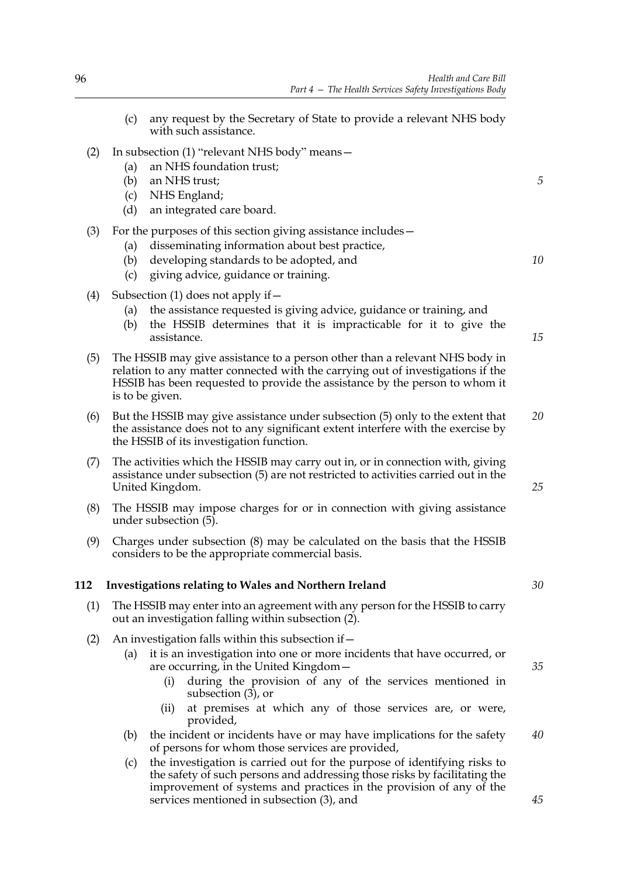- (c) any request by the Secretary of State to provide a relevant NHS body with such assistance. (2) In subsection (1) "relevant NHS body" means— (a) an NHS foundation trust; (b) an NHS trust; (c) NHS England; (d) an integrated care board. (3) For the purposes of this section giving assistance includes— (a) disseminating information about best practice, (b) developing standards to be adopted, and (c) giving advice, guidance or training. (4) Subsection (1) does not apply if  $-$ (a) the assistance requested is giving advice, guidance or training, and (b) the HSSIB determines that it is impracticable for it to give the assistance. (5) The HSSIB may give assistance to a person other than a relevant NHS body in relation to any matter connected with the carrying out of investigations if the HSSIB has been requested to provide the assistance by the person to whom it is to be given. (6) But the HSSIB may give assistance under subsection (5) only to the extent that the assistance does not to any significant extent interfere with the exercise by the HSSIB of its investigation function. (7) The activities which the HSSIB may carry out in, or in connection with, giving assistance under subsection (5) are not restricted to activities carried out in the United Kingdom. (8) The HSSIB may impose charges for or in connection with giving assistance under subsection (5). (9) Charges under subsection (8) may be calculated on the basis that the HSSIB considers to be the appropriate commercial basis. **112 Investigations relating to Wales and Northern Ireland** (1) The HSSIB may enter into an agreement with any person for the HSSIB to carry out an investigation falling within subsection (2). *5 10 20 25 30*
	- (2) An investigation falls within this subsection if  $-$ 
		- (a) it is an investigation into one or more incidents that have occurred, or are occurring, in the United Kingdom—
			- (i) during the provision of any of the services mentioned in subsection (3), or
			- (ii) at premises at which any of those services are, or were, provided,
		- (b) the incident or incidents have or may have implications for the safety of persons for whom those services are provided,
		- (c) the investigation is carried out for the purpose of identifying risks to the safety of such persons and addressing those risks by facilitating the improvement of systems and practices in the provision of any of the services mentioned in subsection (3), and

*15*

*35*

*45*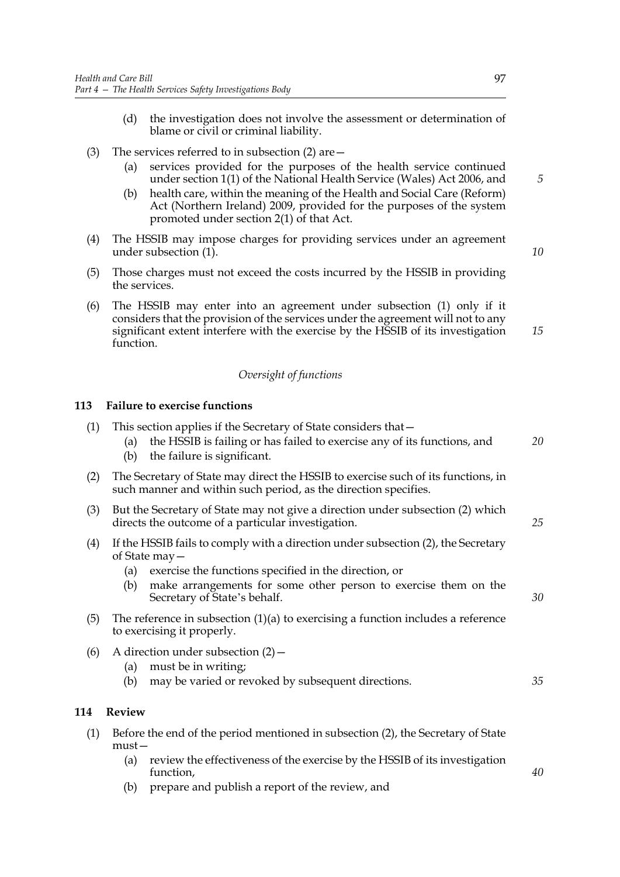- (d) the investigation does not involve the assessment or determination of blame or civil or criminal liability.
- (3) The services referred to in subsection (2) are—
	- (a) services provided for the purposes of the health service continued under section 1(1) of the National Health Service (Wales) Act 2006, and
	- (b) health care, within the meaning of the Health and Social Care (Reform) Act (Northern Ireland) 2009, provided for the purposes of the system promoted under section 2(1) of that Act.
- (4) The HSSIB may impose charges for providing services under an agreement under subsection (1).
- (5) Those charges must not exceed the costs incurred by the HSSIB in providing the services.
- (6) The HSSIB may enter into an agreement under subsection (1) only if it considers that the provision of the services under the agreement will not to any significant extent interfere with the exercise by the HSSIB of its investigation function. *15*

# *Oversight of functions*

# **113 Failure to exercise functions**

| (1) | This section applies if the Secretary of State considers that -<br>the HSSIB is failing or has failed to exercise any of its functions, and<br>(a)<br>the failure is significant.<br>(b)                                                                                      | 20 |
|-----|-------------------------------------------------------------------------------------------------------------------------------------------------------------------------------------------------------------------------------------------------------------------------------|----|
| (2) | The Secretary of State may direct the HSSIB to exercise such of its functions, in<br>such manner and within such period, as the direction specifies.                                                                                                                          |    |
| (3) | But the Secretary of State may not give a direction under subsection (2) which<br>directs the outcome of a particular investigation.                                                                                                                                          | 25 |
| (4) | If the HSSIB fails to comply with a direction under subsection (2), the Secretary<br>of State may -<br>exercise the functions specified in the direction, or<br>(a)<br>make arrangements for some other person to exercise them on the<br>(b)<br>Secretary of State's behalf. | 30 |
| (5) | The reference in subsection $(1)(a)$ to exercising a function includes a reference<br>to exercising it properly.                                                                                                                                                              |    |
| (6) | A direction under subsection $(2)$ –<br>must be in writing;<br>(a)<br>may be varied or revoked by subsequent directions.<br>(b)                                                                                                                                               | 35 |
| 114 | <b>Review</b>                                                                                                                                                                                                                                                                 |    |
| (1) | Before the end of the period mentioned in subsection (2), the Secretary of State<br>$must -$<br>review the effectiveness of the exercise by the HSSIB of its investigation<br>(a)<br>function,                                                                                | 40 |

(b) prepare and publish a report of the review, and

*5*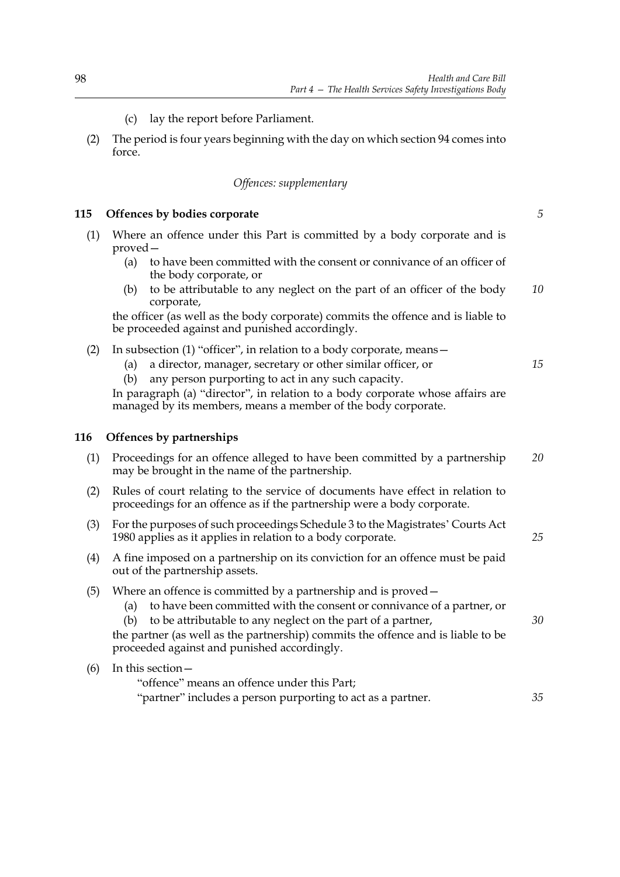- (c) lay the report before Parliament.
- (2) The period is four years beginning with the day on which section 94 comes into force.

### *Offences: supplementary*

### **115 Offences by bodies corporate**

- (1) Where an offence under this Part is committed by a body corporate and is proved—
	- (a) to have been committed with the consent or connivance of an officer of the body corporate, or
	- (b) to be attributable to any neglect on the part of an officer of the body corporate, *10*

the officer (as well as the body corporate) commits the offence and is liable to be proceeded against and punished accordingly.

- (2) In subsection (1) "officer", in relation to a body corporate, means—
	- (a) a director, manager, secretary or other similar officer, or
	- (b) any person purporting to act in any such capacity.

In paragraph (a) "director", in relation to a body corporate whose affairs are managed by its members, means a member of the body corporate.

### **116 Offences by partnerships**

- (1) Proceedings for an offence alleged to have been committed by a partnership may be brought in the name of the partnership. *20*
- (2) Rules of court relating to the service of documents have effect in relation to proceedings for an offence as if the partnership were a body corporate.
- (3) For the purposes of such proceedings Schedule 3 to the Magistrates' Courts Act 1980 applies as it applies in relation to a body corporate.
- (4) A fine imposed on a partnership on its conviction for an offence must be paid out of the partnership assets.
- (5) Where an offence is committed by a partnership and is proved—
	- (a) to have been committed with the consent or connivance of a partner, or
	- (b) to be attributable to any neglect on the part of a partner,

the partner (as well as the partnership) commits the offence and is liable to be proceeded against and punished accordingly.

### (6) In this section—

"offence" means an offence under this Part; "partner" includes a person purporting to act as a partner. *35*

*5*

*15*

*25*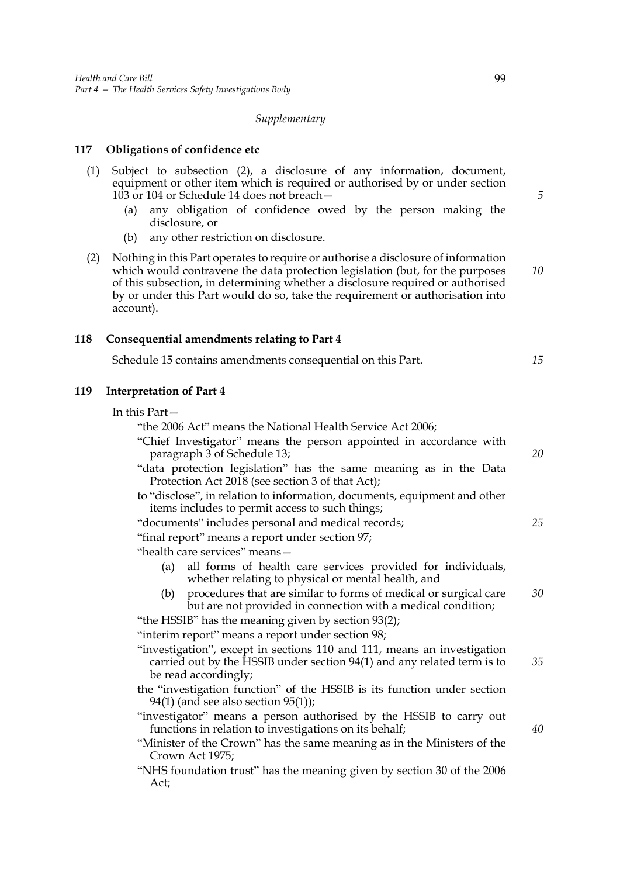### *Supplementary*

### **117 Obligations of confidence etc**

- (1) Subject to subsection (2), a disclosure of any information, document, equipment or other item which is required or authorised by or under section 103 or 104 or Schedule 14 does not breach—
	- (a) any obligation of confidence owed by the person making the disclosure, or
	- (b) any other restriction on disclosure.
- (2) Nothing in this Part operates to require or authorise a disclosure of information which would contravene the data protection legislation (but, for the purposes of this subsection, in determining whether a disclosure required or authorised by or under this Part would do so, take the requirement or authorisation into account).

### **118 Consequential amendments relating to Part 4**

Schedule 15 contains amendments consequential on this Part.

### **119 Interpretation of Part 4**

"the 2006 Act" means the National Health Service Act 2006;

- "Chief Investigator" means the person appointed in accordance with paragraph 3 of Schedule 13;
- "data protection legislation" has the same meaning as in the Data Protection Act 2018 (see section 3 of that Act);
- to "disclose", in relation to information, documents, equipment and other items includes to permit access to such things;
- "documents" includes personal and medical records;
- "final report" means a report under section 97;

"health care services" means—

- (a) all forms of health care services provided for individuals, whether relating to physical or mental health, and
- (b) procedures that are similar to forms of medical or surgical care but are not provided in connection with a medical condition; *30*

"the HSSIB" has the meaning given by section 93(2);

"interim report" means a report under section 98;

- "investigation", except in sections 110 and 111, means an investigation carried out by the HSSIB under section 94(1) and any related term is to be read accordingly; *35*
- the "investigation function" of the HSSIB is its function under section 94(1) (and see also section 95(1));
- "investigator" means a person authorised by the HSSIB to carry out functions in relation to investigations on its behalf;
- "Minister of the Crown" has the same meaning as in the Ministers of the Crown Act 1975;
- "NHS foundation trust" has the meaning given by section 30 of the 2006 Act;

*5*

*10*

*15*

*20*

*25*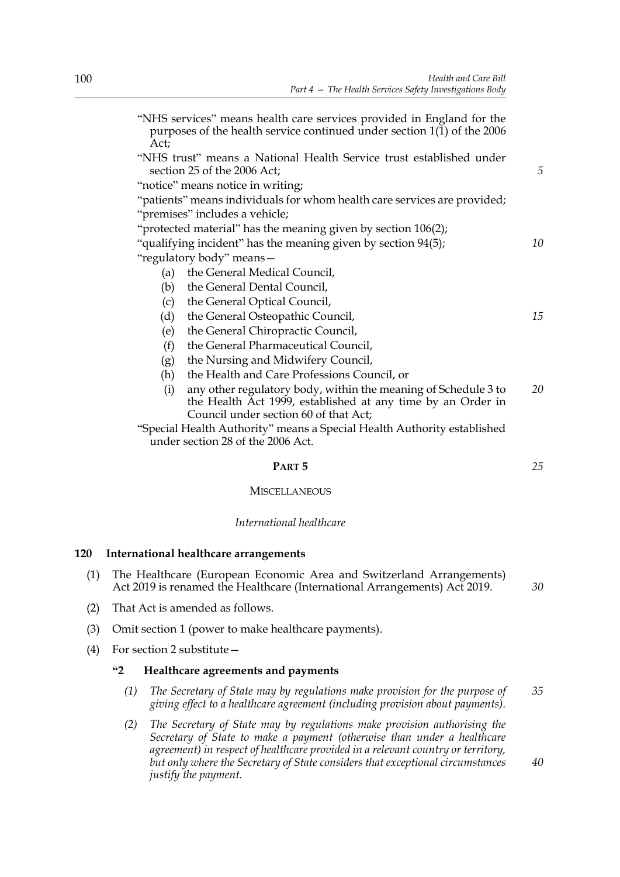| "NHS services" means health care services provided in England for the<br>purposes of the health service continued under section $1(1)$ of the 2006<br>Act; |    |  |  |
|------------------------------------------------------------------------------------------------------------------------------------------------------------|----|--|--|
| "NHS trust" means a National Health Service trust established under<br>section 25 of the 2006 Act;                                                         | 5  |  |  |
| "notice" means notice in writing;                                                                                                                          |    |  |  |
| "patients" means individuals for whom health care services are provided;                                                                                   |    |  |  |
| "premises" includes a vehicle;                                                                                                                             |    |  |  |
| "protected material" has the meaning given by section 106(2);                                                                                              |    |  |  |
| "qualifying incident" has the meaning given by section 94(5);                                                                                              | 10 |  |  |
| "regulatory body" means-                                                                                                                                   |    |  |  |
| the General Medical Council,<br>(a)                                                                                                                        |    |  |  |
| the General Dental Council,<br>(b)                                                                                                                         |    |  |  |
| the General Optical Council,<br>(c)                                                                                                                        |    |  |  |
| (d)<br>the General Osteopathic Council,                                                                                                                    | 15 |  |  |
| the General Chiropractic Council,<br>(e)                                                                                                                   |    |  |  |
| the General Pharmaceutical Council,<br>(f)                                                                                                                 |    |  |  |
| the Nursing and Midwifery Council,<br>(g)                                                                                                                  |    |  |  |
| the Health and Care Professions Council, or<br>(h)                                                                                                         |    |  |  |
| any other regulatory body, within the meaning of Schedule 3 to<br>(i)                                                                                      | 20 |  |  |
| the Health Act 1999, established at any time by an Order in                                                                                                |    |  |  |
| Council under section 60 of that Act;                                                                                                                      |    |  |  |
| "Special Health Authority" means a Special Health Authority established<br>under section 28 of the 2006 Act.                                               |    |  |  |
|                                                                                                                                                            |    |  |  |

# **PART 5**

# **MISCELLANEOUS**

# *International healthcare*

# **120 International healthcare arrangements**

- (1) The Healthcare (European Economic Area and Switzerland Arrangements) Act 2019 is renamed the Healthcare (International Arrangements) Act 2019.
- (2) That Act is amended as follows.
- (3) Omit section 1 (power to make healthcare payments).
- (4) For section 2 substitute—

# **"2 Healthcare agreements and payments**

- *(1) The Secretary of State may by regulations make provision for the purpose of giving effect to a healthcare agreement (including provision about payments). 35*
- *(2) The Secretary of State may by regulations make provision authorising the Secretary of State to make a payment (otherwise than under a healthcare agreement) in respect of healthcare provided in a relevant country or territory, but only where the Secretary of State considers that exceptional circumstances justify the payment. 40*

*25*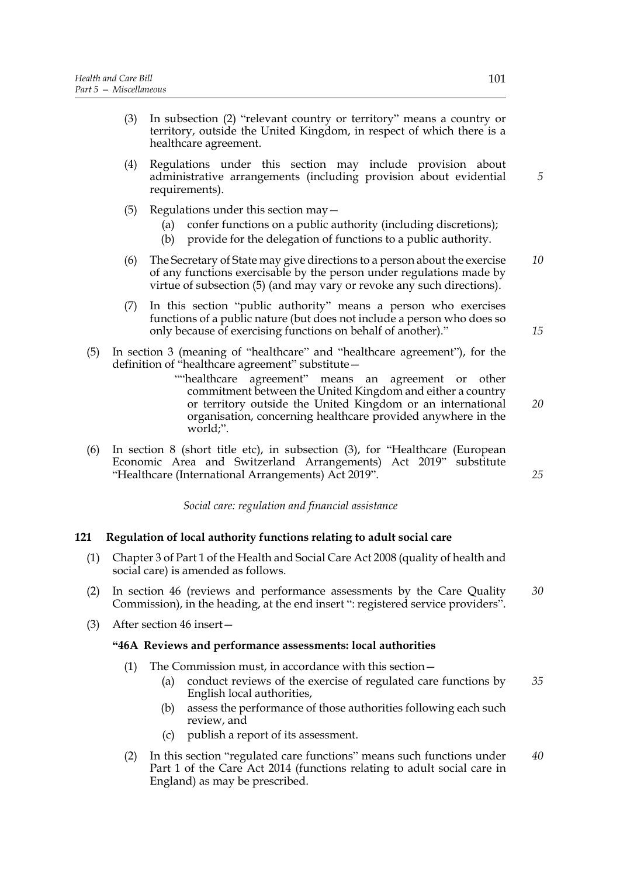- (3) In subsection (2) "relevant country or territory" means a country or territory, outside the United Kingdom, in respect of which there is a healthcare agreement.
- (4) Regulations under this section may include provision about administrative arrangements (including provision about evidential requirements).
- (5) Regulations under this section may—
	- (a) confer functions on a public authority (including discretions);
	- (b) provide for the delegation of functions to a public authority.
- (6) The Secretary of State may give directions to a person about the exercise of any functions exercisable by the person under regulations made by virtue of subsection (5) (and may vary or revoke any such directions). *10*
- (7) In this section "public authority" means a person who exercises functions of a public nature (but does not include a person who does so only because of exercising functions on behalf of another)."
- (5) In section 3 (meaning of "healthcare" and "healthcare agreement"), for the definition of "healthcare agreement" substitute—
	- ""healthcare agreement" means an agreement or other commitment between the United Kingdom and either a country or territory outside the United Kingdom or an international organisation, concerning healthcare provided anywhere in the world;".
- (6) In section 8 (short title etc), in subsection (3), for "Healthcare (European Economic Area and Switzerland Arrangements) Act 2019" substitute "Healthcare (International Arrangements) Act 2019".

*Social care: regulation and financial assistance*

# **121 Regulation of local authority functions relating to adult social care**

- (1) Chapter 3 of Part 1 of the Health and Social Care Act 2008 (quality of health and social care) is amended as follows.
- (2) In section 46 (reviews and performance assessments by the Care Quality Commission), in the heading, at the end insert ": registered service providers". *30*
- (3) After section 46 insert—

### **"46A Reviews and performance assessments: local authorities**

- (1) The Commission must, in accordance with this section—
	- (a) conduct reviews of the exercise of regulated care functions by English local authorities, *35*
	- (b) assess the performance of those authorities following each such review, and
	- (c) publish a report of its assessment.
- (2) In this section "regulated care functions" means such functions under Part 1 of the Care Act 2014 (functions relating to adult social care in England) as may be prescribed. *40*

*20*

*15*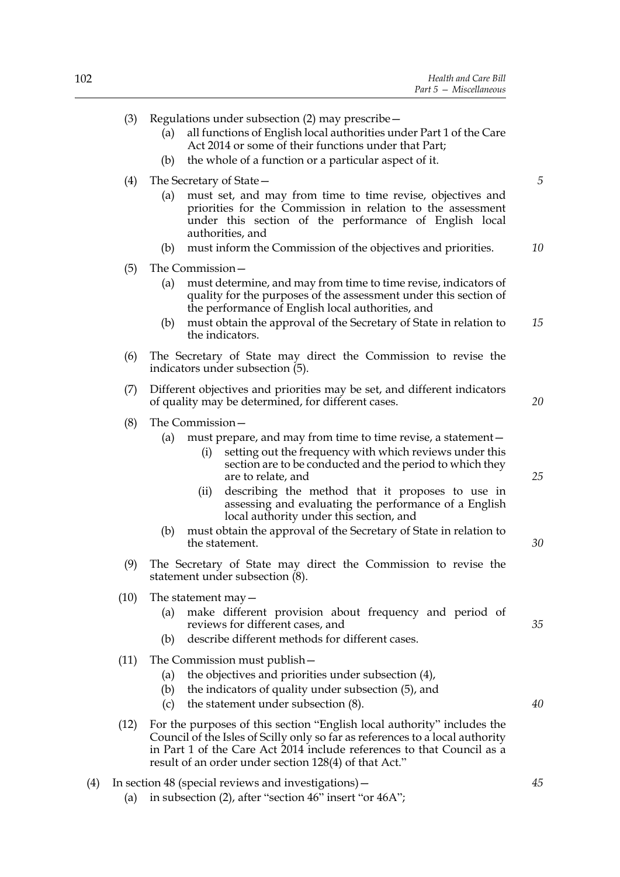|     | (3)  | Regulations under subsection (2) may prescribe -<br>all functions of English local authorities under Part 1 of the Care<br>(a)<br>Act 2014 or some of their functions under that Part;                                                                                                                                                                                                                                                                                                                    |          |
|-----|------|-----------------------------------------------------------------------------------------------------------------------------------------------------------------------------------------------------------------------------------------------------------------------------------------------------------------------------------------------------------------------------------------------------------------------------------------------------------------------------------------------------------|----------|
|     |      | the whole of a function or a particular aspect of it.<br>(b)                                                                                                                                                                                                                                                                                                                                                                                                                                              |          |
|     | (4)  | The Secretary of State -                                                                                                                                                                                                                                                                                                                                                                                                                                                                                  | 5        |
|     |      | must set, and may from time to time revise, objectives and<br>(a)<br>priorities for the Commission in relation to the assessment<br>under this section of the performance of English local<br>authorities, and<br>must inform the Commission of the objectives and priorities.<br>(b)                                                                                                                                                                                                                     | 10       |
|     | (5)  | The Commission-                                                                                                                                                                                                                                                                                                                                                                                                                                                                                           |          |
|     |      | must determine, and may from time to time revise, indicators of<br>(a)<br>quality for the purposes of the assessment under this section of<br>the performance of English local authorities, and                                                                                                                                                                                                                                                                                                           |          |
|     |      | must obtain the approval of the Secretary of State in relation to<br>(b)<br>the indicators.                                                                                                                                                                                                                                                                                                                                                                                                               | 15       |
|     | (6)  | The Secretary of State may direct the Commission to revise the<br>indicators under subsection (5).                                                                                                                                                                                                                                                                                                                                                                                                        |          |
|     | (7)  | Different objectives and priorities may be set, and different indicators<br>of quality may be determined, for different cases.                                                                                                                                                                                                                                                                                                                                                                            | 20       |
|     | (8)  | The Commission-<br>must prepare, and may from time to time revise, a statement –<br>(a)<br>setting out the frequency with which reviews under this<br>(i)<br>section are to be conducted and the period to which they<br>are to relate, and<br>describing the method that it proposes to use in<br>(ii)<br>assessing and evaluating the performance of a English<br>local authority under this section, and<br>must obtain the approval of the Secretary of State in relation to<br>(b)<br>the statement. | 25<br>30 |
|     | (9)  | The Secretary of State may direct the Commission to revise the<br>statement under subsection (8).                                                                                                                                                                                                                                                                                                                                                                                                         |          |
|     | (10) | The statement $may -$<br>make different provision about frequency and period of<br>(a)<br>reviews for different cases, and<br>describe different methods for different cases.<br>(b)                                                                                                                                                                                                                                                                                                                      | 35       |
|     | (11) | The Commission must publish –<br>the objectives and priorities under subsection (4),<br>(a)<br>the indicators of quality under subsection (5), and<br>(b)<br>the statement under subsection (8).<br>(c)                                                                                                                                                                                                                                                                                                   | 40       |
|     | (12) | For the purposes of this section "English local authority" includes the<br>Council of the Isles of Scilly only so far as references to a local authority<br>in Part 1 of the Care Act 2014 include references to that Council as a<br>result of an order under section 128(4) of that Act."                                                                                                                                                                                                               |          |
| (4) | (a)  | In section 48 (special reviews and investigations) –<br>in subsection (2), after "section 46" insert "or 46A";                                                                                                                                                                                                                                                                                                                                                                                            | 45       |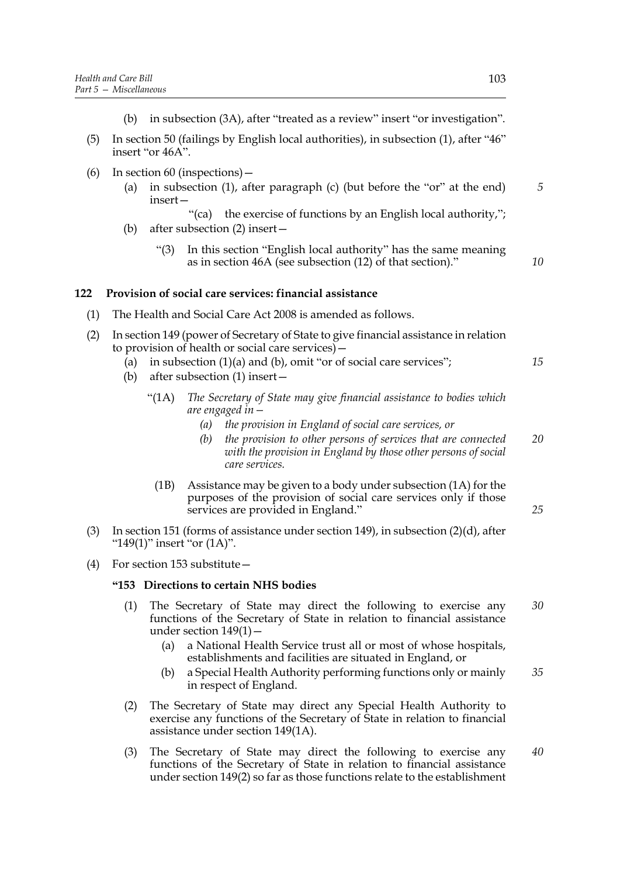- (b) in subsection (3A), after "treated as a review" insert "or investigation".
- (5) In section 50 (failings by English local authorities), in subsection (1), after "46" insert "or 46A".
- (6) In section 60 (inspections)—
	- (a) in subsection (1), after paragraph (c) (but before the "or" at the end) insert—
		- "(ca) the exercise of functions by an English local authority,";
	- (b) after subsection (2) insert—
		- "(3) In this section "English local authority" has the same meaning as in section 46A (see subsection (12) of that section)."

# **122 Provision of social care services: financial assistance**

(1) The Health and Social Care Act 2008 is amended as follows.

| (2) In section 149 (power of Secretary of State to give financial assistance in relation |  |
|------------------------------------------------------------------------------------------|--|
| to provision of health or social care services) –                                        |  |

- (a) in subsection  $(1)(a)$  and  $(b)$ , omit "or of social care services";
- (b) after subsection (1) insert—
	- "(1A) *The Secretary of State may give financial assistance to bodies which are engaged in—*
		- *(a) the provision in England of social care services, or*
		- *(b) the provision to other persons of services that are connected with the provision in England by those other persons of social care services. 20*
		- (1B) Assistance may be given to a body under subsection (1A) for the purposes of the provision of social care services only if those services are provided in England."
- (3) In section 151 (forms of assistance under section 149), in subsection (2)(d), after " $149(1)$ " insert "or  $(1A)$ ".
- (4) For section 153 substitute—

### **"153 Directions to certain NHS bodies**

- (1) The Secretary of State may direct the following to exercise any functions of the Secretary of State in relation to financial assistance under section  $149(1)$  – *30*
	- (a) a National Health Service trust all or most of whose hospitals, establishments and facilities are situated in England, or
	- (b) a Special Health Authority performing functions only or mainly in respect of England. *35*
- (2) The Secretary of State may direct any Special Health Authority to exercise any functions of the Secretary of State in relation to financial assistance under section 149(1A).
- (3) The Secretary of State may direct the following to exercise any functions of the Secretary of State in relation to financial assistance under section 149(2) so far as those functions relate to the establishment *40*

*5*

*10*

*15*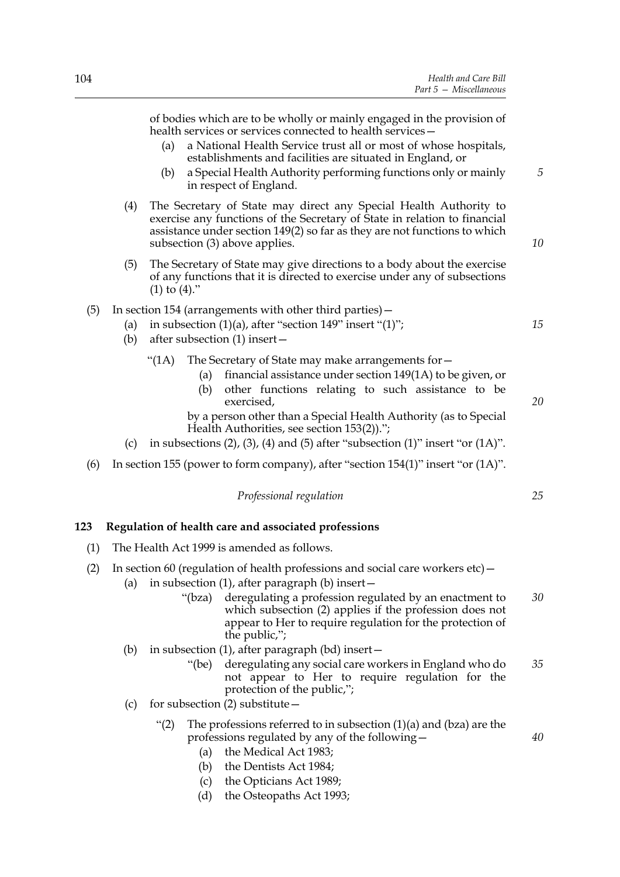of bodies which are to be wholly or mainly engaged in the provision of health services or services connected to health services—

- (a) a National Health Service trust all or most of whose hospitals, establishments and facilities are situated in England, or
- (b) a Special Health Authority performing functions only or mainly in respect of England.
- (4) The Secretary of State may direct any Special Health Authority to exercise any functions of the Secretary of State in relation to financial assistance under section 149(2) so far as they are not functions to which subsection (3) above applies.
- (5) The Secretary of State may give directions to a body about the exercise of any functions that it is directed to exercise under any of subsections  $(1)$  to  $(4)$ ."
- (5) In section 154 (arrangements with other third parties)—
	- (a) in subsection  $(1)(a)$ , after "section 149" insert " $(1)$ ";
	- (b) after subsection (1) insert—
		- "(1A) The Secretary of State may make arrangements for  $-$ 
			- (a) financial assistance under section 149(1A) to be given, or
			- (b) other functions relating to such assistance to be exercised,
			- by a person other than a Special Health Authority (as to Special Health Authorities, see section 153(2)).";
	- (c) in subsections  $(2)$ ,  $(3)$ ,  $(4)$  and  $(5)$  after "subsection  $(1)$ " insert "or  $(1A)$ ".
- (6) In section 155 (power to form company), after "section 154(1)" insert "or (1A)".

*Professional regulation*

### **123 Regulation of health care and associated professions**

- (1) The Health Act 1999 is amended as follows.
- (2) In section 60 (regulation of health professions and social care workers  $etc$ )
	- (a) in subsection (1), after paragraph (b) insert  $-$ 
		- "(bza) deregulating a profession regulated by an enactment to which subsection (2) applies if the profession does not appear to Her to require regulation for the protection of the public,"; *30*
	- (b) in subsection (1), after paragraph (bd) insert—
		- "(be) deregulating any social care workers in England who do not appear to Her to require regulation for the protection of the public,"; *35*
	- (c) for subsection (2) substitute—
		- "(2) The professions referred to in subsection  $(1)(a)$  and  $(bza)$  are the professions regulated by any of the following—
			- (a) the Medical Act 1983;
			- (b) the Dentists Act 1984;
			- (c) the Opticians Act 1989;
			- (d) the Osteopaths Act 1993;

*5*

*10*

*15*

*20*

*25*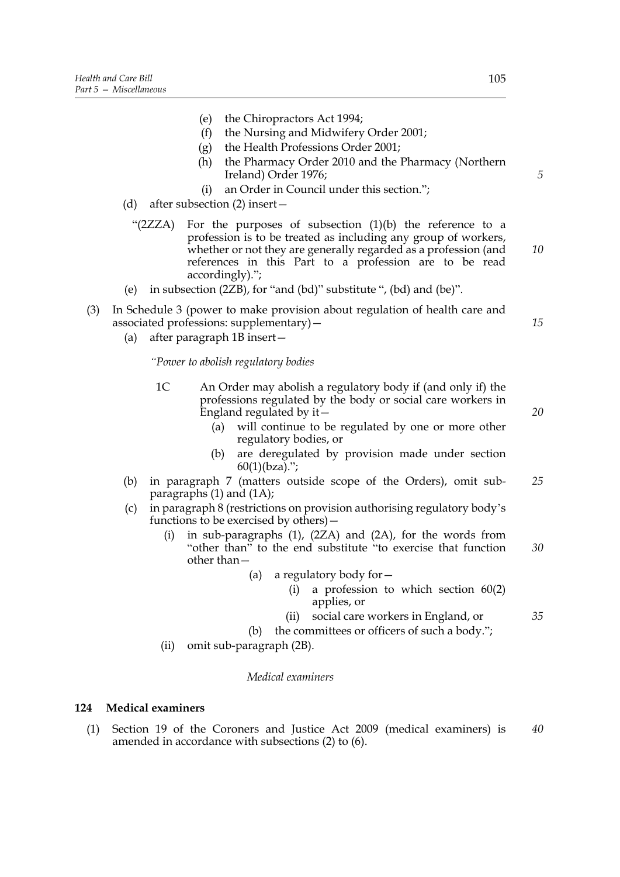- (e) the Chiropractors Act 1994;
- (f) the Nursing and Midwifery Order 2001;
- (g) the Health Professions Order 2001;
- (h) the Pharmacy Order 2010 and the Pharmacy (Northern Ireland) Order 1976;
- (i) an Order in Council under this section.";
- (d) after subsection (2) insert—
- "(2ZZA) For the purposes of subsection (1)(b) the reference to a profession is to be treated as including any group of workers, whether or not they are generally regarded as a profession (and references in this Part to a profession are to be read accordingly)."; *10*
- (e) in subsection (2ZB), for "and (bd)" substitute ", (bd) and (be)".
- (3) In Schedule 3 (power to make provision about regulation of health care and associated professions: supplementary)—
	- (a) after paragraph 1B insert—

*"Power to abolish regulatory bodies*

- 1C An Order may abolish a regulatory body if (and only if) the professions regulated by the body or social care workers in England regulated by it—
	- (a) will continue to be regulated by one or more other regulatory bodies, or
	- (b) are deregulated by provision made under section  $60(1)(bza).$ ";
- (b) in paragraph 7 (matters outside scope of the Orders), omit subparagraphs (1) and (1A); *25*
- (c) in paragraph 8 (restrictions on provision authorising regulatory body's functions to be exercised by others)—
	- (i) in sub-paragraphs (1), (2ZA) and (2A), for the words from "other than" to the end substitute "to exercise that function other than— *30*
		- (a) a regulatory body for—
			- (i) a profession to which section  $60(2)$ applies, or
			- (ii) social care workers in England, or
		- (b) the committees or officers of such a body.";
	- (ii) omit sub-paragraph (2B).

#### *Medical examiners*

#### **124 Medical examiners**

(1) Section 19 of the Coroners and Justice Act 2009 (medical examiners) is amended in accordance with subsections (2) to (6). *40*

*20*

*15*

*5*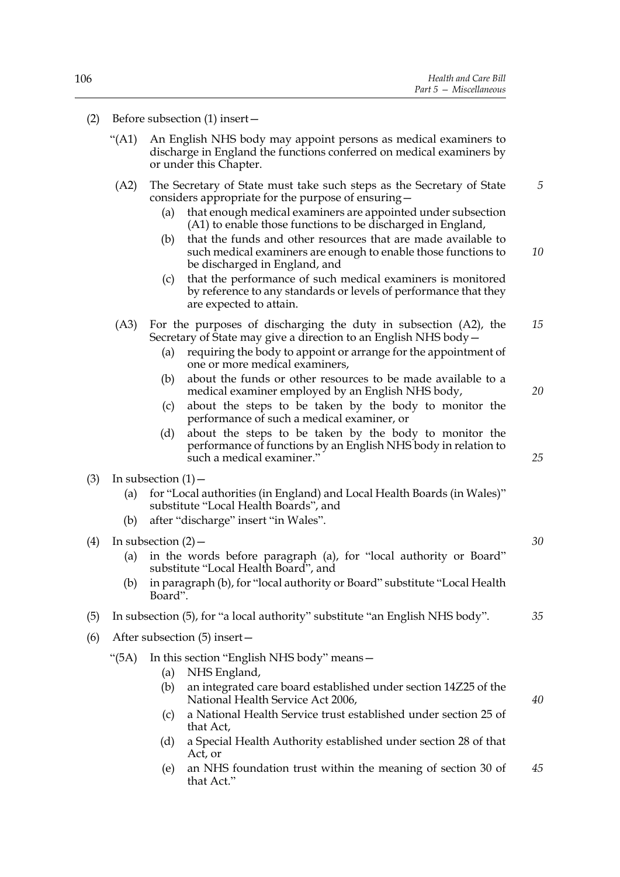- "(A1) An English NHS body may appoint persons as medical examiners to discharge in England the functions conferred on medical examiners by or under this Chapter.
- (A2) The Secretary of State must take such steps as the Secretary of State considers appropriate for the purpose of ensuring— *5*
	- (a) that enough medical examiners are appointed under subsection (A1) to enable those functions to be discharged in England,
	- (b) that the funds and other resources that are made available to such medical examiners are enough to enable those functions to be discharged in England, and *10*
	- (c) that the performance of such medical examiners is monitored by reference to any standards or levels of performance that they are expected to attain.
- (A3) For the purposes of discharging the duty in subsection (A2), the Secretary of State may give a direction to an English NHS body— *15*
	- (a) requiring the body to appoint or arrange for the appointment of one or more medical examiners,
	- (b) about the funds or other resources to be made available to a medical examiner employed by an English NHS body,
	- (c) about the steps to be taken by the body to monitor the performance of such a medical examiner, or
	- (d) about the steps to be taken by the body to monitor the performance of functions by an English NHS body in relation to such a medical examiner."
- (3) In subsection  $(1)$ 
	- (a) for "Local authorities (in England) and Local Health Boards (in Wales)" substitute "Local Health Boards", and
	- (b) after "discharge" insert "in Wales".
- (4) In subsection  $(2)$  (a) in the words before paragraph (a), for "local authority or Board" substitute "Local Health Board", and (b) in paragraph (b), for "local authority or Board" substitute "Local Health Board".
- (5) In subsection (5), for "a local authority" substitute "an English NHS body".
- (6) After subsection (5) insert—
	- "(5A) In this section "English NHS body" means—
		- (a) NHS England,
		- (b) an integrated care board established under section 14Z25 of the National Health Service Act 2006,
		- (c) a National Health Service trust established under section 25 of that Act,
		- (d) a Special Health Authority established under section 28 of that Act, or
		- (e) an NHS foundation trust within the meaning of section 30 of that Act." *45*

*25*

*20*

*30*

*35*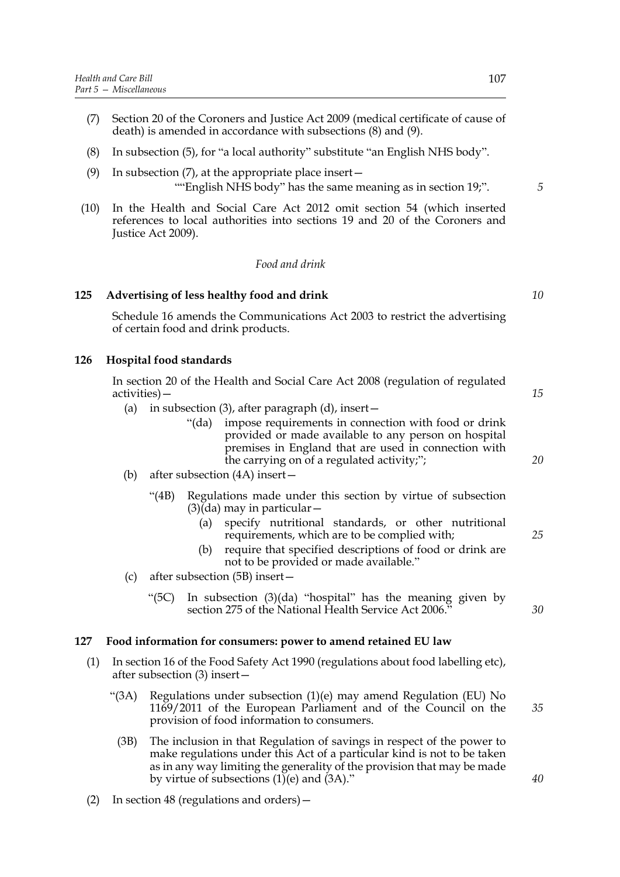- (7) Section 20 of the Coroners and Justice Act 2009 (medical certificate of cause of death) is amended in accordance with subsections (8) and (9).
- (8) In subsection (5), for "a local authority" substitute "an English NHS body".
- (9) In subsection (7), at the appropriate place insert— ""English NHS body" has the same meaning as in section 19;".
- (10) In the Health and Social Care Act 2012 omit section 54 (which inserted references to local authorities into sections 19 and 20 of the Coroners and Justice Act 2009).

### *Food and drink*

### **125 Advertising of less healthy food and drink**

Schedule 16 amends the Communications Act 2003 to restrict the advertising of certain food and drink products.

### **126 Hospital food standards**

In section 20 of the Health and Social Care Act 2008 (regulation of regulated activities)—

- (a) in subsection (3), after paragraph (d), insert  $-$ 
	- "(da) impose requirements in connection with food or drink provided or made available to any person on hospital premises in England that are used in connection with the carrying on of a regulated activity;";
- (b) after subsection (4A) insert—
	- "(4B) Regulations made under this section by virtue of subsection  $(3)(da)$  may in particular –
		- (a) specify nutritional standards, or other nutritional requirements, which are to be complied with;
		- (b) require that specified descriptions of food or drink are not to be provided or made available."
- (c) after subsection (5B) insert—
	- "(5C) In subsection (3)(da) "hospital" has the meaning given by section 275 of the National Health Service Act 2006."

#### **127 Food information for consumers: power to amend retained EU law**

- (1) In section 16 of the Food Safety Act 1990 (regulations about food labelling etc), after subsection (3) insert—
	- "(3A) Regulations under subsection  $(1)(e)$  may amend Regulation (EU) No 1169/2011 of the European Parliament and of the Council on the provision of food information to consumers.
		- (3B) The inclusion in that Regulation of savings in respect of the power to make regulations under this Act of a particular kind is not to be taken as in any way limiting the generality of the provision that may be made by virtue of subsections  $(1)$ <sup>(e)</sup> and  $(3)$ ."
- (2) In section 48 (regulations and orders)—

*30*

*35*

*15*

*20*

*10*

*5*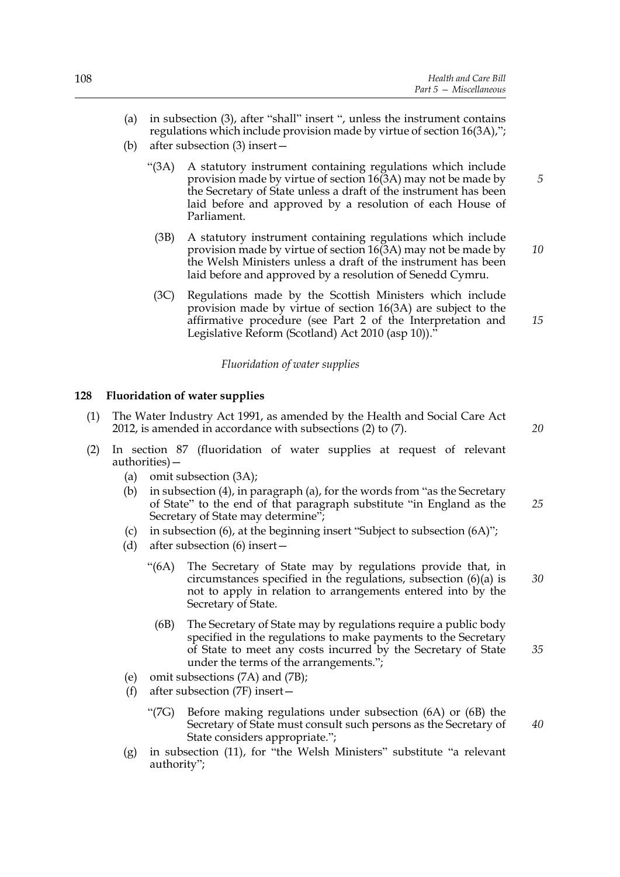- (a) in subsection (3), after "shall" insert ", unless the instrument contains regulations which include provision made by virtue of section 16(3A),";
- (b) after subsection (3) insert—
	- "(3A) A statutory instrument containing regulations which include provision made by virtue of section 16(3A) may not be made by the Secretary of State unless a draft of the instrument has been laid before and approved by a resolution of each House of Parliament.
		- (3B) A statutory instrument containing regulations which include provision made by virtue of section 16(3A) may not be made by the Welsh Ministers unless a draft of the instrument has been laid before and approved by a resolution of Senedd Cymru. *10*
		- (3C) Regulations made by the Scottish Ministers which include provision made by virtue of section 16(3A) are subject to the affirmative procedure (see Part 2 of the Interpretation and Legislative Reform (Scotland) Act 2010 (asp 10))."

### *Fluoridation of water supplies*

### **128 Fluoridation of water supplies**

- (1) The Water Industry Act 1991, as amended by the Health and Social Care Act 2012, is amended in accordance with subsections (2) to (7).
- (2) In section 87 (fluoridation of water supplies at request of relevant authorities)—
	- (a) omit subsection (3A);
	- (b) in subsection (4), in paragraph (a), for the words from "as the Secretary of State" to the end of that paragraph substitute "in England as the Secretary of State may determine"; *25*
	- (c) in subsection (6), at the beginning insert "Subject to subsection (6A)";
	- (d) after subsection (6) insert—
		- "(6A) The Secretary of State may by regulations provide that, in circumstances specified in the regulations, subsection (6)(a) is not to apply in relation to arrangements entered into by the Secretary of State.
			- (6B) The Secretary of State may by regulations require a public body specified in the regulations to make payments to the Secretary of State to meet any costs incurred by the Secretary of State under the terms of the arrangements."; *35*
	- (e) omit subsections (7A) and (7B);
	- (f) after subsection (7F) insert—
		- "(7G) Before making regulations under subsection (6A) or (6B) the Secretary of State must consult such persons as the Secretary of State considers appropriate.";
	- (g) in subsection (11), for "the Welsh Ministers" substitute "a relevant authority";

*5*

*15*

*20*

*30*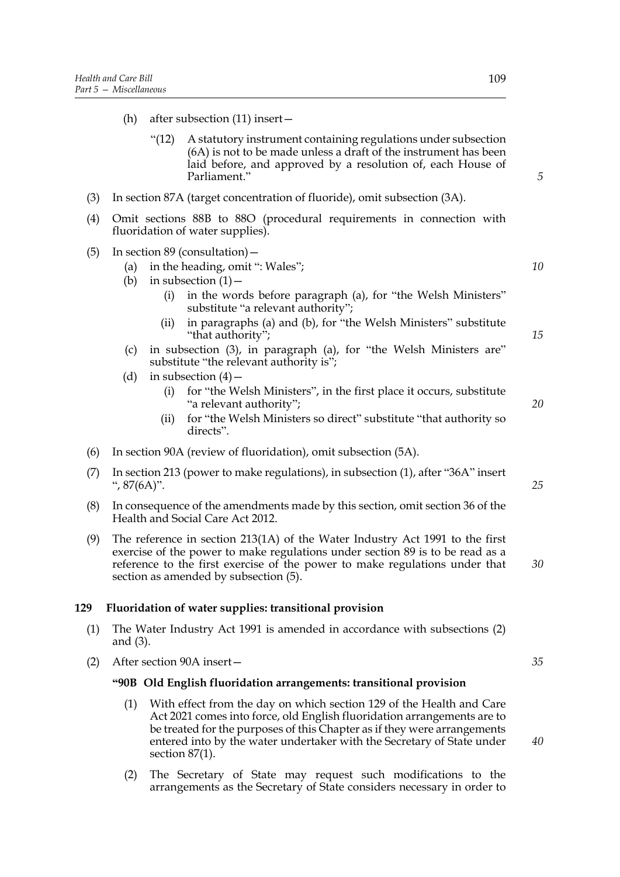- (h) after subsection (11) insert—
	- "(12) A statutory instrument containing regulations under subsection (6A) is not to be made unless a draft of the instrument has been laid before, and approved by a resolution of, each House of Parliament."
- (3) In section 87A (target concentration of fluoride), omit subsection (3A).
- (4) Omit sections 88B to 88O (procedural requirements in connection with fluoridation of water supplies).
- (5) In section 89 (consultation)—
	- (a) in the heading, omit ": Wales";
	- (b) in subsection  $(1)$ 
		- (i) in the words before paragraph (a), for "the Welsh Ministers" substitute "a relevant authority";
		- (ii) in paragraphs (a) and (b), for "the Welsh Ministers" substitute "that authority";
	- (c) in subsection (3), in paragraph (a), for "the Welsh Ministers are" substitute "the relevant authority is";
	- (d) in subsection  $(4)$ 
		- (i) for "the Welsh Ministers", in the first place it occurs, substitute "a relevant authority";
		- (ii) for "the Welsh Ministers so direct" substitute "that authority so directs".
- (6) In section 90A (review of fluoridation), omit subsection (5A).
- (7) In section 213 (power to make regulations), in subsection (1), after "36A" insert ", 87(6A)".
- (8) In consequence of the amendments made by this section, omit section 36 of the Health and Social Care Act 2012.
- (9) The reference in section 213(1A) of the Water Industry Act 1991 to the first exercise of the power to make regulations under section 89 is to be read as a reference to the first exercise of the power to make regulations under that section as amended by subsection (5).

### **129 Fluoridation of water supplies: transitional provision**

- (1) The Water Industry Act 1991 is amended in accordance with subsections (2) and (3).
- (2) After section 90A insert—

### **"90B Old English fluoridation arrangements: transitional provision**

- (1) With effect from the day on which section 129 of the Health and Care Act 2021 comes into force, old English fluoridation arrangements are to be treated for the purposes of this Chapter as if they were arrangements entered into by the water undertaker with the Secretary of State under section 87(1).
- (2) The Secretary of State may request such modifications to the arrangements as the Secretary of State considers necessary in order to

*5*

*10*

*15*

*20*

*25*

*30*

*35*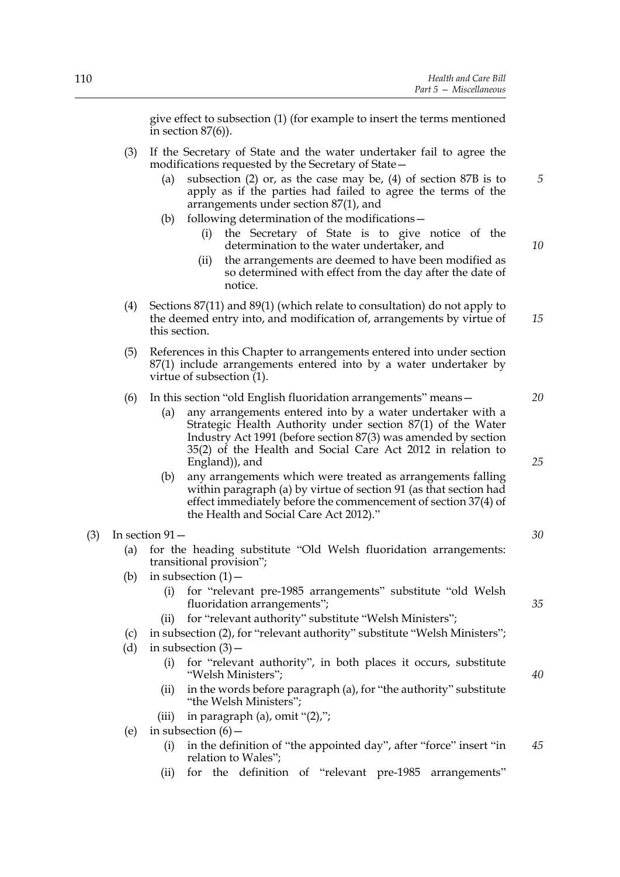give effect to subsection (1) (for example to insert the terms mentioned in section  $87(6)$ ).

- (3) If the Secretary of State and the water undertaker fail to agree the modifications requested by the Secretary of State—
	- (a) subsection (2) or, as the case may be, (4) of section 87B is to apply as if the parties had failed to agree the terms of the arrangements under section 87(1), and
	- (b) following determination of the modifications—
		- (i) the Secretary of State is to give notice of the determination to the water undertaker, and
		- (ii) the arrangements are deemed to have been modified as so determined with effect from the day after the date of notice.
- (4) Sections 87(11) and 89(1) (which relate to consultation) do not apply to the deemed entry into, and modification of, arrangements by virtue of this section. *15*
- (5) References in this Chapter to arrangements entered into under section 87(1) include arrangements entered into by a water undertaker by virtue of subsection (1).

### (6) In this section "old English fluoridation arrangements" means—

- (a) any arrangements entered into by a water undertaker with a Strategic Health Authority under section 87(1) of the Water Industry Act 1991 (before section 87(3) was amended by section 35(2) of the Health and Social Care Act 2012 in relation to England)), and
- (b) any arrangements which were treated as arrangements falling within paragraph (a) by virtue of section 91 (as that section had effect immediately before the commencement of section 37(4) of the Health and Social Care Act 2012)."

### $(3)$  In section  $91-$

- (a) for the heading substitute "Old Welsh fluoridation arrangements: transitional provision";
- (b) in subsection  $(1)$  -
	- (i) for "relevant pre-1985 arrangements" substitute "old Welsh fluoridation arrangements";
	- (ii) for "relevant authority" substitute "Welsh Ministers";
- (c) in subsection (2), for "relevant authority" substitute "Welsh Ministers";
- (d) in subsection  $(3)$ 
	- (i) for "relevant authority", in both places it occurs, substitute "Welsh Ministers";
	- (ii) in the words before paragraph (a), for "the authority" substitute "the Welsh Ministers";
	- (iii) in paragraph (a), omit  $\lq(2)$ ,";
- (e) in subsection  $(6)$ 
	- (i) in the definition of "the appointed day", after "force" insert "in relation to Wales"; *45*
	- (ii) for the definition of "relevant pre-1985 arrangements"

*30*

*35*

*40*

*25*

*20*

*5*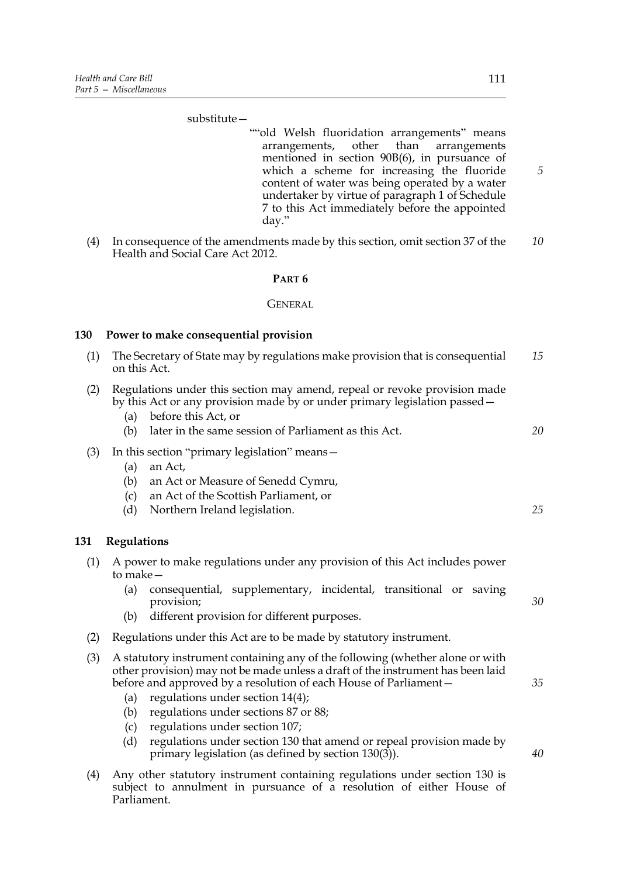#### substitute—

- ""old Welsh fluoridation arrangements" means arrangements, other than arrangements mentioned in section 90B(6), in pursuance of which a scheme for increasing the fluoride content of water was being operated by a water undertaker by virtue of paragraph 1 of Schedule 7 to this Act immediately before the appointed day."
- (4) In consequence of the amendments made by this section, omit section 37 of the Health and Social Care Act 2012. *10*

### **PART 6**

#### **GENERAL**

#### **130 Power to make consequential provision**

- (1) The Secretary of State may by regulations make provision that is consequential on this Act. *15*
- (2) Regulations under this section may amend, repeal or revoke provision made by this Act or any provision made by or under primary legislation passed—
	- (a) before this Act, or
	- (b) later in the same session of Parliament as this Act.

### (3) In this section "primary legislation" means—

- (a) an Act,
- (b) an Act or Measure of Senedd Cymru,
- (c) an Act of the Scottish Parliament, or
- (d) Northern Ireland legislation.

### **131 Regulations**

- (1) A power to make regulations under any provision of this Act includes power to make—
	- (a) consequential, supplementary, incidental, transitional or saving provision;
	- (b) different provision for different purposes.
- (2) Regulations under this Act are to be made by statutory instrument.
- (3) A statutory instrument containing any of the following (whether alone or with other provision) may not be made unless a draft of the instrument has been laid before and approved by a resolution of each House of Parliament—
	- (a) regulations under section 14(4);
	- (b) regulations under sections 87 or 88;
	- (c) regulations under section 107;
	- (d) regulations under section 130 that amend or repeal provision made by primary legislation (as defined by section 130(3)).
- (4) Any other statutory instrument containing regulations under section 130 is subject to annulment in pursuance of a resolution of either House of Parliament.

*5*

*35*

*30*

*20*

- *40*
-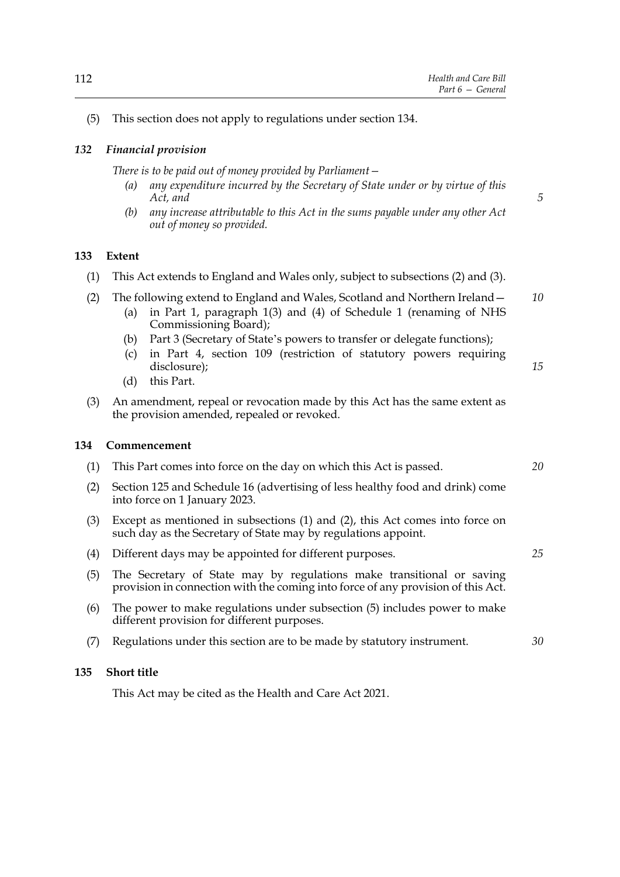*5*

*25*

*30*

# *132 Financial provision*

*There is to be paid out of money provided by Parliament—*

- *(a) any expenditure incurred by the Secretary of State under or by virtue of this Act, and*
- *(b) any increase attributable to this Act in the sums payable under any other Act out of money so provided.*

### **133 Extent**

- (1) This Act extends to England and Wales only, subject to subsections (2) and (3).
- (2) The following extend to England and Wales, Scotland and Northern Ireland— *10*
	- (a) in Part 1, paragraph 1(3) and (4) of Schedule 1 (renaming of NHS Commissioning Board);
	- (b) Part 3 (Secretary of State's powers to transfer or delegate functions);
	- (c) in Part 4, section 109 (restriction of statutory powers requiring disclosure); *15*
	- (d) this Part.
- (3) An amendment, repeal or revocation made by this Act has the same extent as the provision amended, repealed or revoked.

#### **134 Commencement**

- (1) This Part comes into force on the day on which this Act is passed. *20*
- (2) Section 125 and Schedule 16 (advertising of less healthy food and drink) come into force on 1 January 2023.
- (3) Except as mentioned in subsections (1) and (2), this Act comes into force on such day as the Secretary of State may by regulations appoint.
- (4) Different days may be appointed for different purposes.
- (5) The Secretary of State may by regulations make transitional or saving provision in connection with the coming into force of any provision of this Act.
- (6) The power to make regulations under subsection (5) includes power to make different provision for different purposes.
- (7) Regulations under this section are to be made by statutory instrument.

### **135 Short title**

This Act may be cited as the Health and Care Act 2021.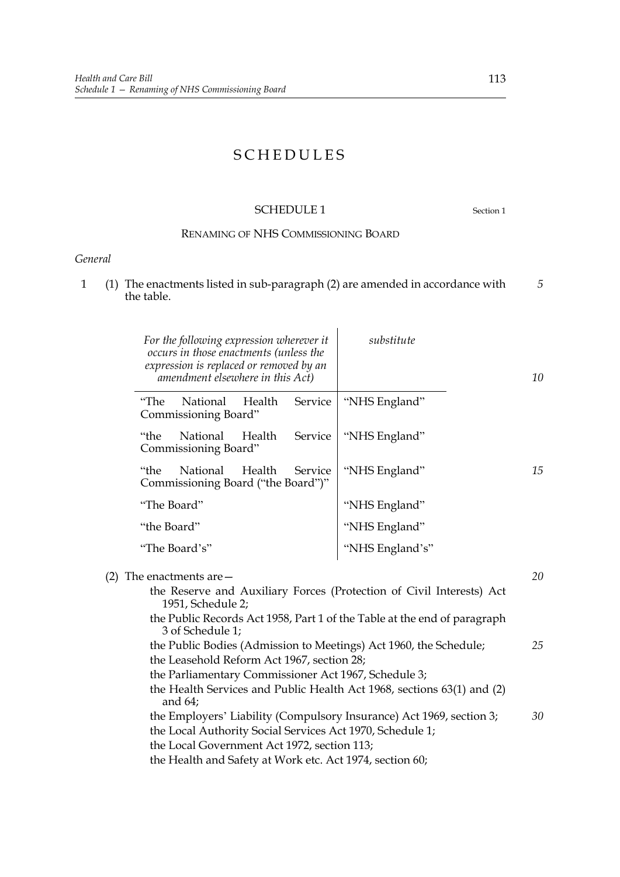# SCHEDULES

# SCHEDULE 1 Section 1

# RENAMING OF NHS COMMISSIONING BOARD

# *General*

1 (1) The enactments listed in sub-paragraph (2) are amended in accordance with the table. *5*

|     |             | For the following expression wherever it<br>occurs in those enactments (unless the<br>expression is replaced or removed by an<br>amendment elsewhere in this Act) |        |         | substitute                                                                                                                                                                                          | 10 |
|-----|-------------|-------------------------------------------------------------------------------------------------------------------------------------------------------------------|--------|---------|-----------------------------------------------------------------------------------------------------------------------------------------------------------------------------------------------------|----|
|     | "The        | National<br>Commissioning Board"                                                                                                                                  | Health | Service | "NHS England"                                                                                                                                                                                       |    |
|     | "the        | National<br>Commissioning Board"                                                                                                                                  | Health | Service | "NHS England"                                                                                                                                                                                       |    |
|     | "the        | National<br>Commissioning Board ("the Board")"                                                                                                                    | Health | Service | "NHS England"                                                                                                                                                                                       | 15 |
|     |             | "The Board"                                                                                                                                                       |        |         | "NHS England"                                                                                                                                                                                       |    |
|     | "the Board" |                                                                                                                                                                   |        |         | "NHS England"                                                                                                                                                                                       |    |
|     |             | "The Board's"                                                                                                                                                     |        |         | "NHS England's"                                                                                                                                                                                     |    |
| (2) |             | The enactments are $-$<br>1951, Schedule 2;<br>3 of Schedule 1;                                                                                                   |        |         | the Reserve and Auxiliary Forces (Protection of Civil Interests) Act<br>the Public Records Act 1958, Part 1 of the Table at the end of paragraph                                                    | 20 |
|     |             | the Leasehold Reform Act 1967, section 28;<br>and $64$ ;                                                                                                          |        |         | the Public Bodies (Admission to Meetings) Act 1960, the Schedule;<br>the Parliamentary Commissioner Act 1967, Schedule 3;<br>the Health Services and Public Health Act 1968, sections 63(1) and (2) | 25 |
|     |             |                                                                                                                                                                   |        |         | the Employers' Liability (Compulsory Insurance) Act 1969, section 3;                                                                                                                                | 30 |

the Employers' Liability (Compulsory Insurance) Act 1969, section 3; the Local Authority Social Services Act 1970, Schedule 1; the Local Government Act 1972, section 113;

the Health and Safety at Work etc. Act 1974, section 60;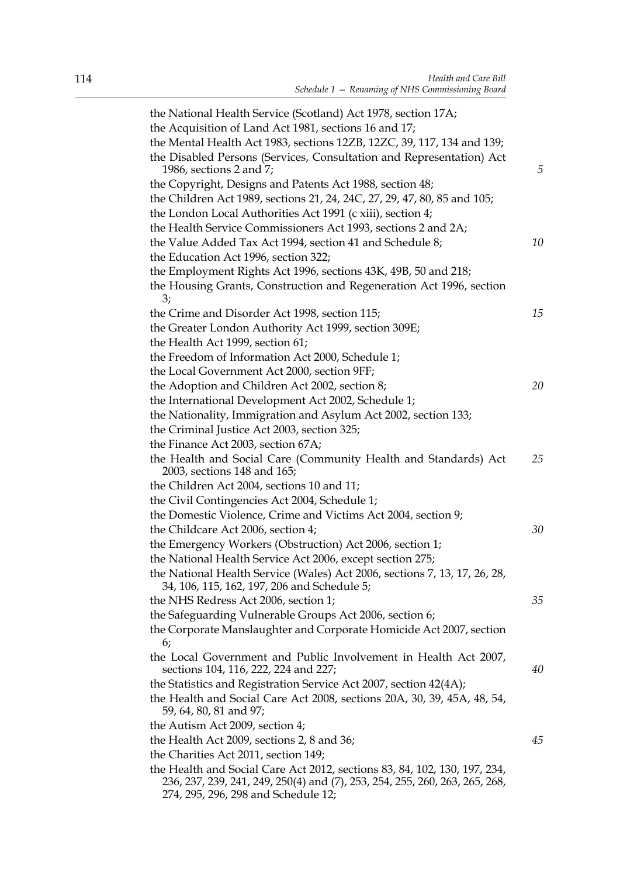| the National Health Service (Scotland) Act 1978, section 17A;                                                                                            |    |
|----------------------------------------------------------------------------------------------------------------------------------------------------------|----|
| the Acquisition of Land Act 1981, sections 16 and 17;                                                                                                    |    |
| the Mental Health Act 1983, sections 12ZB, 12ZC, 39, 117, 134 and 139;                                                                                   |    |
| the Disabled Persons (Services, Consultation and Representation) Act<br>1986, sections 2 and 7;                                                          | 5  |
| the Copyright, Designs and Patents Act 1988, section 48;                                                                                                 |    |
| the Children Act 1989, sections 21, 24, 24C, 27, 29, 47, 80, 85 and 105;                                                                                 |    |
| the London Local Authorities Act 1991 (c xiii), section 4;                                                                                               |    |
| the Health Service Commissioners Act 1993, sections 2 and 2A;                                                                                            |    |
| the Value Added Tax Act 1994, section 41 and Schedule 8;                                                                                                 | 10 |
| the Education Act 1996, section 322;                                                                                                                     |    |
| the Employment Rights Act 1996, sections 43K, 49B, 50 and 218;                                                                                           |    |
| the Housing Grants, Construction and Regeneration Act 1996, section<br>3;                                                                                |    |
| the Crime and Disorder Act 1998, section 115;                                                                                                            | 15 |
| the Greater London Authority Act 1999, section 309E;                                                                                                     |    |
| the Health Act 1999, section 61;                                                                                                                         |    |
| the Freedom of Information Act 2000, Schedule 1;                                                                                                         |    |
| the Local Government Act 2000, section 9FF;                                                                                                              |    |
| the Adoption and Children Act 2002, section 8;                                                                                                           | 20 |
| the International Development Act 2002, Schedule 1;                                                                                                      |    |
| the Nationality, Immigration and Asylum Act 2002, section 133;                                                                                           |    |
| the Criminal Justice Act 2003, section 325;                                                                                                              |    |
| the Finance Act 2003, section 67A;                                                                                                                       |    |
| the Health and Social Care (Community Health and Standards) Act<br>2003, sections 148 and 165;                                                           | 25 |
| the Children Act 2004, sections 10 and 11;                                                                                                               |    |
| the Civil Contingencies Act 2004, Schedule 1;                                                                                                            |    |
| the Domestic Violence, Crime and Victims Act 2004, section 9;                                                                                            |    |
| the Childcare Act 2006, section 4;                                                                                                                       | 30 |
| the Emergency Workers (Obstruction) Act 2006, section 1;                                                                                                 |    |
| the National Health Service Act 2006, except section 275;                                                                                                |    |
| the National Health Service (Wales) Act 2006, sections 7, 13, 17, 26, 28,<br>34, 106, 115, 162, 197, 206 and Schedule 5;                                 |    |
| the NHS Redress Act 2006, section 1;                                                                                                                     | 35 |
| the Safeguarding Vulnerable Groups Act 2006, section 6;                                                                                                  |    |
| the Corporate Manslaughter and Corporate Homicide Act 2007, section<br>6;                                                                                |    |
| the Local Government and Public Involvement in Health Act 2007,<br>sections 104, 116, 222, 224 and 227;                                                  | 40 |
| the Statistics and Registration Service Act 2007, section 42(4A);                                                                                        |    |
| the Health and Social Care Act 2008, sections 20A, 30, 39, 45A, 48, 54,<br>59, 64, 80, 81 and 97;                                                        |    |
| the Autism Act 2009, section 4;                                                                                                                          |    |
| the Health Act 2009, sections 2, 8 and 36;                                                                                                               | 45 |
| the Charities Act 2011, section 149;                                                                                                                     |    |
| the Health and Social Care Act 2012, sections 83, 84, 102, 130, 197, 234,<br>236, 237, 239, 241, 249, 250(4) and (7), 253, 254, 255, 260, 263, 265, 268, |    |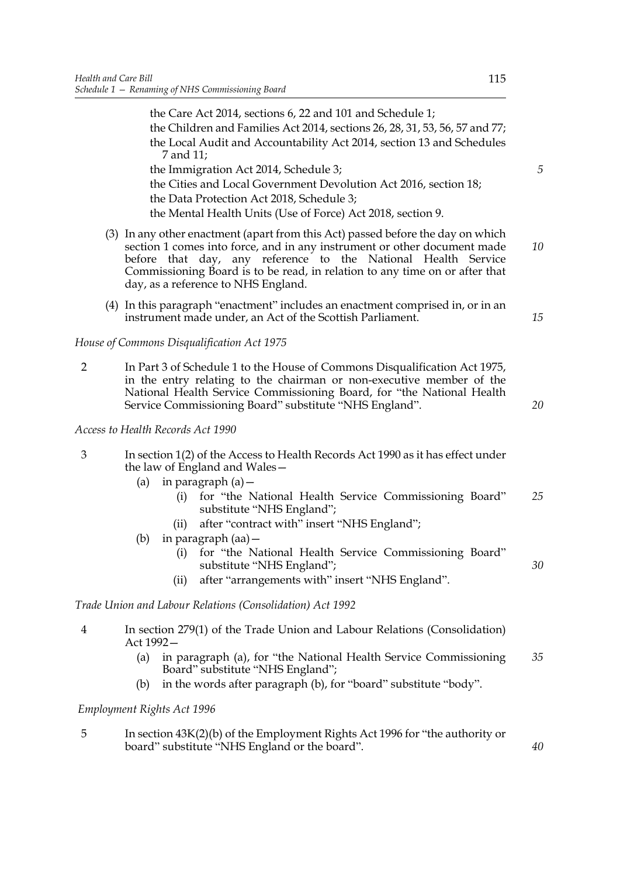|                |           | the Care Act 2014, sections 6, 22 and 101 and Schedule 1;<br>the Children and Families Act 2014, sections 26, 28, 31, 53, 56, 57 and 77;<br>the Local Audit and Accountability Act 2014, section 13 and Schedules<br>7 and 11;                                                                                                                     |
|----------------|-----------|----------------------------------------------------------------------------------------------------------------------------------------------------------------------------------------------------------------------------------------------------------------------------------------------------------------------------------------------------|
|                |           | the Immigration Act 2014, Schedule 3;<br>the Cities and Local Government Devolution Act 2016, section 18;<br>the Data Protection Act 2018, Schedule 3;<br>the Mental Health Units (Use of Force) Act 2018, section 9.                                                                                                                              |
|                |           | (3) In any other enactment (apart from this Act) passed before the day on which<br>section 1 comes into force, and in any instrument or other document made<br>before that day, any reference to the National Health Service<br>Commissioning Board is to be read, in relation to any time on or after that<br>day, as a reference to NHS England. |
|                |           | (4) In this paragraph "enactment" includes an enactment comprised in, or in an<br>instrument made under, an Act of the Scottish Parliament.                                                                                                                                                                                                        |
|                |           | House of Commons Disqualification Act 1975                                                                                                                                                                                                                                                                                                         |
| $\overline{2}$ |           | In Part 3 of Schedule 1 to the House of Commons Disqualification Act 1975,<br>in the entry relating to the chairman or non-executive member of the<br>National Health Service Commissioning Board, for "the National Health<br>Service Commissioning Board" substitute "NHS England".                                                              |
|                |           | Access to Health Records Act 1990                                                                                                                                                                                                                                                                                                                  |
| 3              |           | In section 1(2) of the Access to Health Records Act 1990 as it has effect under<br>the law of England and Wales-                                                                                                                                                                                                                                   |
|                | (a)       | in paragraph $(a)$ –<br>for "the National Health Service Commissioning Board"<br>(i)<br>substitute "NHS England";                                                                                                                                                                                                                                  |
|                |           | after "contract with" insert "NHS England";<br>(ii)                                                                                                                                                                                                                                                                                                |
|                | (b)       | in paragraph $(aa)$ –<br>for "the National Health Service Commissioning Board"<br>(i)<br>substitute "NHS England";                                                                                                                                                                                                                                 |
|                |           | after "arrangements with" insert "NHS England".<br>(ii)                                                                                                                                                                                                                                                                                            |
|                |           | Trade Union and Labour Relations (Consolidation) Act 1992                                                                                                                                                                                                                                                                                          |
| 4              | Act 1992- | In section 279(1) of the Trade Union and Labour Relations (Consolidation)                                                                                                                                                                                                                                                                          |
|                | (a)       | in paragraph (a), for "the National Health Service Commissioning<br>Board" substitute "NHS England";                                                                                                                                                                                                                                               |
|                | (b)       | in the words after paragraph (b), for "board" substitute "body".                                                                                                                                                                                                                                                                                   |

# *Employment Rights Act 1996*

5 In section 43K(2)(b) of the Employment Rights Act 1996 for "the authority or board" substitute "NHS England or the board".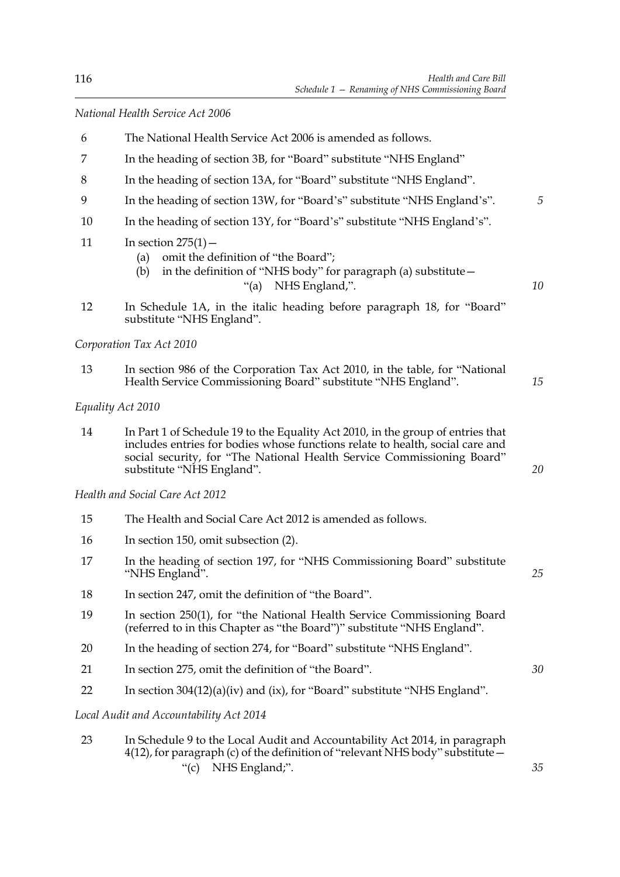*National Health Service Act 2006*

- 6 The National Health Service Act 2006 is amended as follows.
- 7 In the heading of section 3B, for "Board" substitute "NHS England"
- 8 In the heading of section 13A, for "Board" substitute "NHS England".
- 9 In the heading of section 13W, for "Board's" substitute "NHS England's". *5*
- 10 In the heading of section 13Y, for "Board's" substitute "NHS England's".
- 11 In section  $275(1)$  -
	- (a) omit the definition of "the Board";
	- (b) in the definition of "NHS body" for paragraph (a) substitute— "(a) NHS England,".
- 12 In Schedule 1A, in the italic heading before paragraph 18, for "Board" substitute "NHS England".

*Corporation Tax Act 2010*

13 In section 986 of the Corporation Tax Act 2010, in the table, for "National Health Service Commissioning Board" substitute "NHS England".

*Equality Act 2010*

14 In Part 1 of Schedule 19 to the Equality Act 2010, in the group of entries that includes entries for bodies whose functions relate to health, social care and social security, for "The National Health Service Commissioning Board" substitute "NHS England".

*Health and Social Care Act 2012*

- 15 The Health and Social Care Act 2012 is amended as follows.
- 16 In section 150, omit subsection (2).
- 17 In the heading of section 197, for "NHS Commissioning Board" substitute "NHS England".
- 18 In section 247, omit the definition of "the Board".
- 19 In section 250(1), for "the National Health Service Commissioning Board (referred to in this Chapter as "the Board")" substitute "NHS England".
- 20 In the heading of section 274, for "Board" substitute "NHS England".
- 21 In section 275, omit the definition of "the Board".
- 22 In section 304(12)(a)(iv) and (ix), for "Board" substitute "NHS England".

*Local Audit and Accountability Act 2014*

23 In Schedule 9 to the Local Audit and Accountability Act 2014, in paragraph  $4(12)$ , for paragraph (c) of the definition of "relevant NHS body" substitute – "(c) NHS England;".

*20*

*10*

*15*

*30*

*35*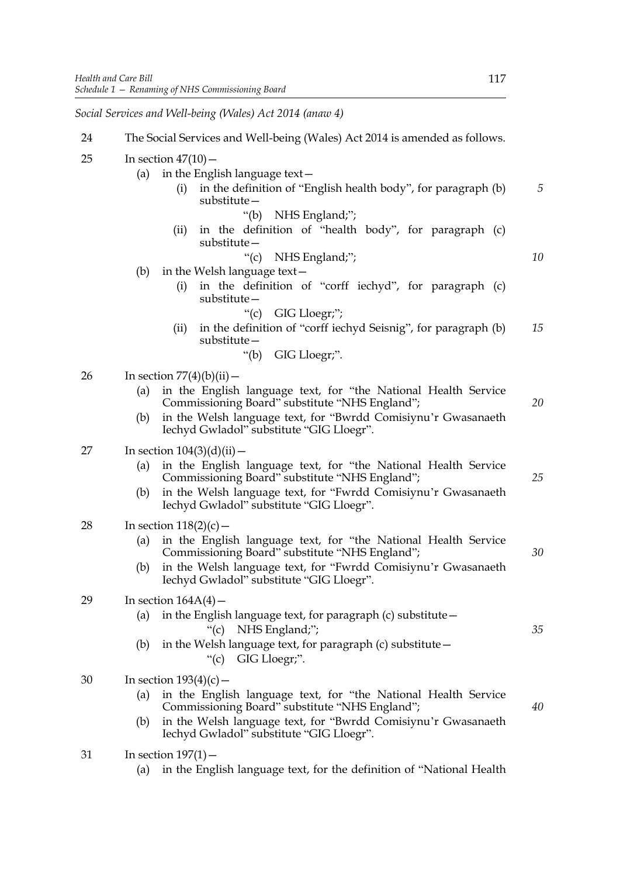*Social Services and Well-being (Wales) Act 2014 (anaw 4)*

| 24 | The Social Services and Well-being (Wales) Act 2014 is amended as follows.                                                                                                                                                                                                  |    |
|----|-----------------------------------------------------------------------------------------------------------------------------------------------------------------------------------------------------------------------------------------------------------------------------|----|
| 25 | In section $47(10)$ –<br>in the English language text-<br>(a)<br>in the definition of "English health body", for paragraph (b)<br>(i)<br>$substitute -$<br>" $(b)$<br>NHS England;";                                                                                        | 5  |
|    | in the definition of "health body", for paragraph (c)<br>(ii)<br>substitute –                                                                                                                                                                                               |    |
|    | "(c) NHS England;";<br>(b)<br>in the Welsh language text-<br>in the definition of "corff iechyd", for paragraph (c)<br>(i)<br>substitute-                                                                                                                                   | 10 |
|    | "(c) GIG Lloegr;";<br>in the definition of "corff iechyd Seisnig", for paragraph (b)<br>(ii)<br>$substitute -$                                                                                                                                                              | 15 |
|    | GIG Lloegr;".<br>" $(b)$                                                                                                                                                                                                                                                    |    |
| 26 | In section $77(4)(b)(ii)$ –<br>in the English language text, for "the National Health Service<br>(a)<br>Commissioning Board" substitute "NHS England";<br>in the Welsh language text, for "Bwrdd Comisiynu'r Gwasanaeth<br>(b)<br>Iechyd Gwladol" substitute "GIG Lloegr".  | 20 |
| 27 | In section $104(3)(d)(ii)$ –<br>in the English language text, for "the National Health Service<br>(a)<br>Commissioning Board" substitute "NHS England";<br>in the Welsh language text, for "Fwrdd Comisiynu'r Gwasanaeth<br>(b)<br>Iechyd Gwladol" substitute "GIG Lloegr". | 25 |
| 28 | In section $118(2)(c)$ –<br>in the English language text, for "the National Health Service<br>(a)<br>Commissioning Board" substitute "NHS England";<br>in the Welsh language text, for "Fwrdd Comisiynu'r Gwasanaeth<br>(b)<br>Iechyd Gwladol" substitute "GIG Lloegr".     | 30 |
| 29 | In section $164A(4)$ –<br>in the English language text, for paragraph $(c)$ substitute $-$<br>(a)<br>NHS England;";<br>" $(c)$<br>in the Welsh language text, for paragraph (c) substitute -<br>(b)<br>"(c) GIG Lloegr;".                                                   | 35 |
| 30 | In section $193(4)(c)$ –<br>in the English language text, for "the National Health Service<br>(a)<br>Commissioning Board" substitute "NHS England";<br>in the Welsh language text, for "Bwrdd Comisiynu'r Gwasanaeth<br>(b)<br>Iechyd Gwladol" substitute "GIG Lloegr".     | 40 |
| 31 | In section $197(1)$ –<br>in the English language text, for the definition of "National Health"<br>(a)                                                                                                                                                                       |    |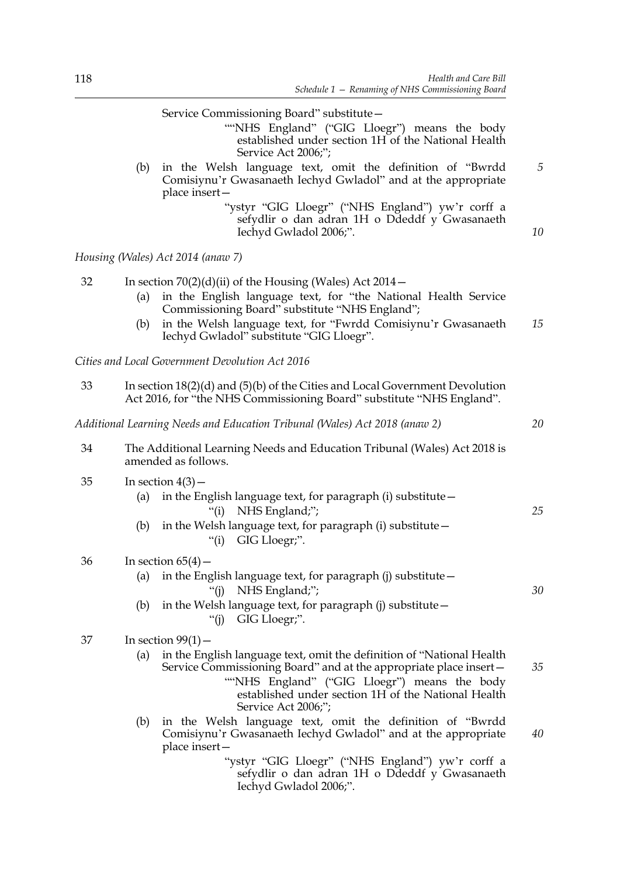*30*

*40*

|    | Service Commissioning Board" substitute-<br>""NHS England" ("GIG Lloegr") means the body<br>established under section 1H of the National Health<br>Service Act 2006;";                                                                                                                                      |    |
|----|-------------------------------------------------------------------------------------------------------------------------------------------------------------------------------------------------------------------------------------------------------------------------------------------------------------|----|
|    | in the Welsh language text, omit the definition of "Bwrdd<br>(b)<br>Comisiynu'r Gwasanaeth Iechyd Gwladol" and at the appropriate<br>place insert-                                                                                                                                                          | 5  |
|    | "ystyr "GIG Lloegr" ("NHS England") yw'r corff a<br>sefydlir o dan adran 1H o Ddeddf y Gwasanaeth<br>Iechyd Gwladol 2006;".                                                                                                                                                                                 | 10 |
|    | Housing (Wales) Act 2014 (anaw 7)                                                                                                                                                                                                                                                                           |    |
| 32 | In section $70(2)(d)(ii)$ of the Housing (Wales) Act $2014-$<br>in the English language text, for "the National Health Service<br>(a)<br>Commissioning Board" substitute "NHS England";<br>in the Welsh language text, for "Fwrdd Comisiynu'r Gwasanaeth<br>(b)<br>Iechyd Gwladol" substitute "GIG Lloegr". | 15 |
|    | Cities and Local Government Devolution Act 2016                                                                                                                                                                                                                                                             |    |
| 33 | In section $18(2)(d)$ and $(5)(b)$ of the Cities and Local Government Devolution<br>Act 2016, for "the NHS Commissioning Board" substitute "NHS England".                                                                                                                                                   |    |
|    | Additional Learning Needs and Education Tribunal (Wales) Act 2018 (anaw 2)                                                                                                                                                                                                                                  | 20 |
| 34 | The Additional Learning Needs and Education Tribunal (Wales) Act 2018 is<br>amended as follows.                                                                                                                                                                                                             |    |
| 35 | In section $4(3)$ –<br>in the English language text, for paragraph (i) substitute -<br>(a)<br>NHS England;";<br>``(i)                                                                                                                                                                                       | 25 |
|    | in the Welsh language text, for paragraph (i) substitute -<br>(b)<br>"(i) GIG Lloegr;".                                                                                                                                                                                                                     |    |

36 In section 65(4)—

- (a) in the English language text, for paragraph (j) substitute— "(j) NHS England;";
- (b) in the Welsh language text, for paragraph (j) substitute  $-$ "(j) GIG Lloegr;".

| 37 | In section $99(1)$ – |
|----|----------------------|
|----|----------------------|

- (a) in the English language text, omit the definition of "National Health Service Commissioning Board" and at the appropriate place insert— ""NHS England" ("GIG Lloegr") means the body established under section 1H of the National Health Service Act 2006;"; *35*
- (b) in the Welsh language text, omit the definition of "Bwrdd Comisiynu'r Gwasanaeth Iechyd Gwladol" and at the appropriate place insert—

"ystyr "GIG Lloegr" ("NHS England") yw'r corff a sefydlir o dan adran 1H o Ddeddf y Gwasanaeth Iechyd Gwladol 2006;".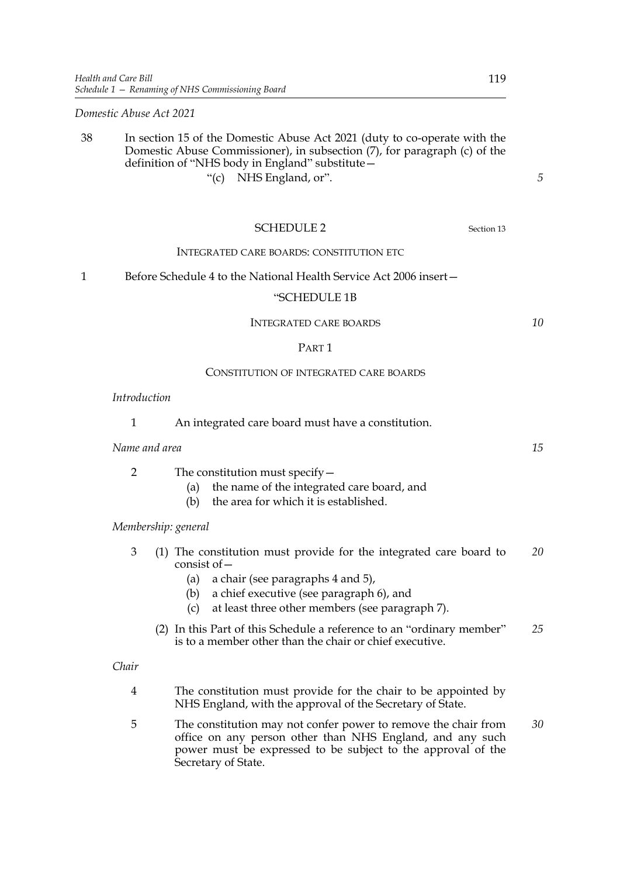*Domestic Abuse Act 2021*

### 38 In section 15 of the Domestic Abuse Act 2021 (duty to co-operate with the Domestic Abuse Commissioner), in subsection (7), for paragraph (c) of the definition of "NHS body in England" substitute— "(c) NHS England, or".

SCHEDULE 2 Section 13 INTEGRATED CARE BOARDS: CONSTITUTION ETC 1 Before Schedule 4 to the National Health Service Act 2006 insert— "SCHEDULE 1B INTEGRATED CARE BOARDS PART 1 CONSTITUTION OF INTEGRATED CARE BOARDS 1 An integrated care board must have a constitution. *Name and area* 2 The constitution must specify— (a) the name of the integrated care board, and

(b) the area for which it is established.

*Membership: general*

*Introduction*

- 3 (1) The constitution must provide for the integrated care board to consist of— *20*
	- (a) a chair (see paragraphs 4 and 5),
	- (b) a chief executive (see paragraph 6), and
	- (c) at least three other members (see paragraph 7).
	- (2) In this Part of this Schedule a reference to an "ordinary member" is to a member other than the chair or chief executive. *25*

*Chair*

- 4 The constitution must provide for the chair to be appointed by NHS England, with the approval of the Secretary of State.
- 5 The constitution may not confer power to remove the chair from office on any person other than NHS England, and any such power must be expressed to be subject to the approval of the Secretary of State. *30*

*15*

*10*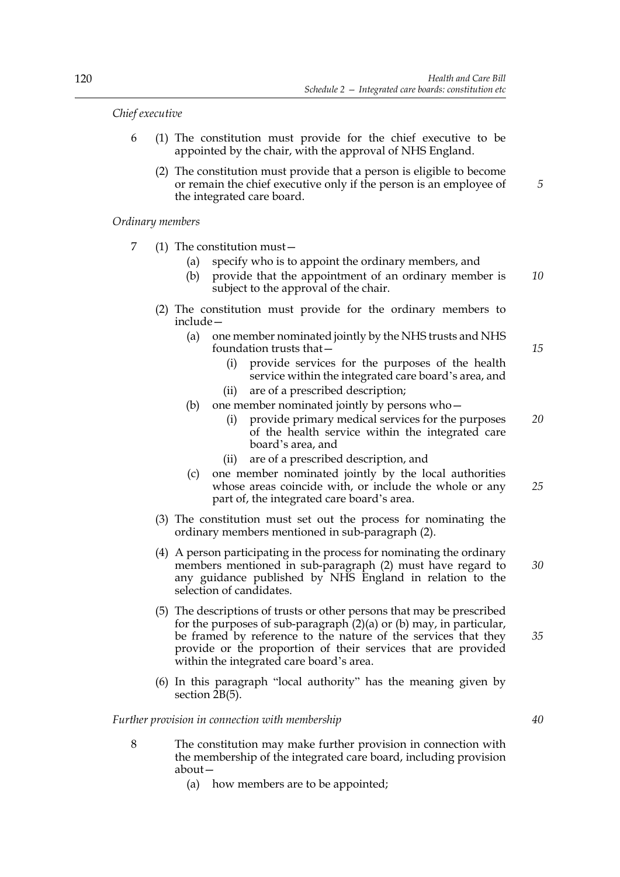*Chief executive*

- 6 (1) The constitution must provide for the chief executive to be appointed by the chair, with the approval of NHS England.
	- (2) The constitution must provide that a person is eligible to become or remain the chief executive only if the person is an employee of the integrated care board.

*Ordinary members*

- 7 (1) The constitution must—
	- (a) specify who is to appoint the ordinary members, and
	- (b) provide that the appointment of an ordinary member is subject to the approval of the chair. *10*
	- (2) The constitution must provide for the ordinary members to include—
		- (a) one member nominated jointly by the NHS trusts and NHS foundation trusts that—
			- (i) provide services for the purposes of the health service within the integrated care board's area, and
			- (ii) are of a prescribed description;
		- (b) one member nominated jointly by persons who
			- provide primary medical services for the purposes of the health service within the integrated care board's area, and
			- (ii) are of a prescribed description, and
		- (c) one member nominated jointly by the local authorities whose areas coincide with, or include the whole or any part of, the integrated care board's area. *25*
	- (3) The constitution must set out the process for nominating the ordinary members mentioned in sub-paragraph (2).
	- (4) A person participating in the process for nominating the ordinary members mentioned in sub-paragraph (2) must have regard to any guidance published by NHS England in relation to the selection of candidates.
	- (5) The descriptions of trusts or other persons that may be prescribed for the purposes of sub-paragraph  $(2)(a)$  or  $(b)$  may, in particular, be framed by reference to the nature of the services that they provide or the proportion of their services that are provided within the integrated care board's area.
	- (6) In this paragraph "local authority" has the meaning given by section 2B(5).

*Further provision in connection with membership*

- 8 The constitution may make further provision in connection with the membership of the integrated care board, including provision about—
	- (a) how members are to be appointed;

*40*

*5*

*15*

*20*

*30*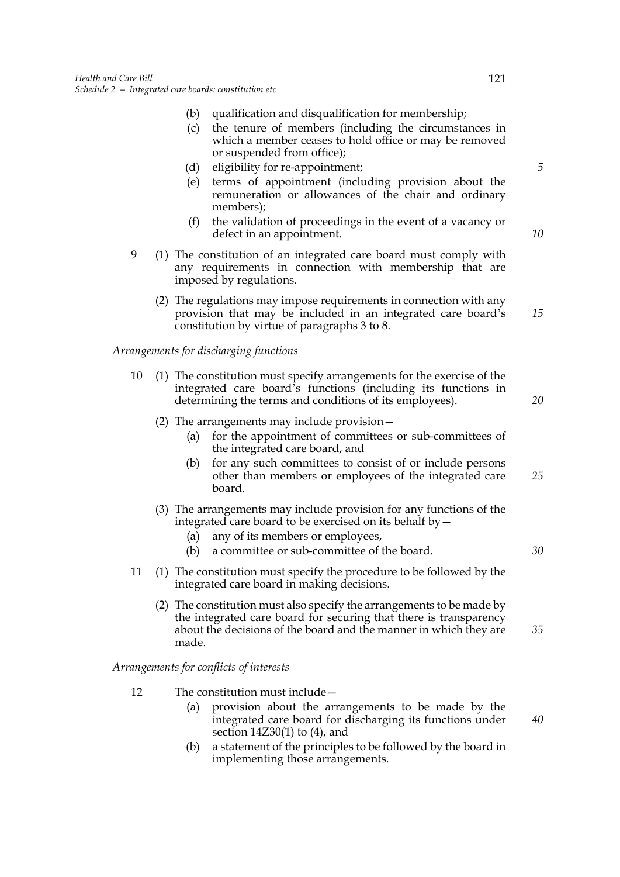- (b) qualification and disqualification for membership;
- (c) the tenure of members (including the circumstances in which a member ceases to hold office or may be removed or suspended from office);
- (d) eligibility for re-appointment;
- (e) terms of appointment (including provision about the remuneration or allowances of the chair and ordinary members);
- (f) the validation of proceedings in the event of a vacancy or defect in an appointment.
- 9 (1) The constitution of an integrated care board must comply with any requirements in connection with membership that are imposed by regulations.
	- (2) The regulations may impose requirements in connection with any provision that may be included in an integrated care board's constitution by virtue of paragraphs 3 to 8. *15*

*Arrangements for discharging functions*

- 10 (1) The constitution must specify arrangements for the exercise of the integrated care board's functions (including its functions in determining the terms and conditions of its employees).
	- (2) The arrangements may include provision—
		- (a) for the appointment of committees or sub-committees of the integrated care board, and
		- (b) for any such committees to consist of or include persons other than members or employees of the integrated care board.
	- (3) The arrangements may include provision for any functions of the integrated care board to be exercised on its behalf by—
		- (a) any of its members or employees,
		- (b) a committee or sub-committee of the board.
- 11 (1) The constitution must specify the procedure to be followed by the integrated care board in making decisions.
	- (2) The constitution must also specify the arrangements to be made by the integrated care board for securing that there is transparency about the decisions of the board and the manner in which they are made. *35*

*Arrangements for conflicts of interests*

- 12 The constitution must include—
	- (a) provision about the arrangements to be made by the integrated care board for discharging its functions under section 14Z30(1) to (4), and
	- (b) a statement of the principles to be followed by the board in implementing those arrangements.

*5*

*10*

*25*

*20*

*30*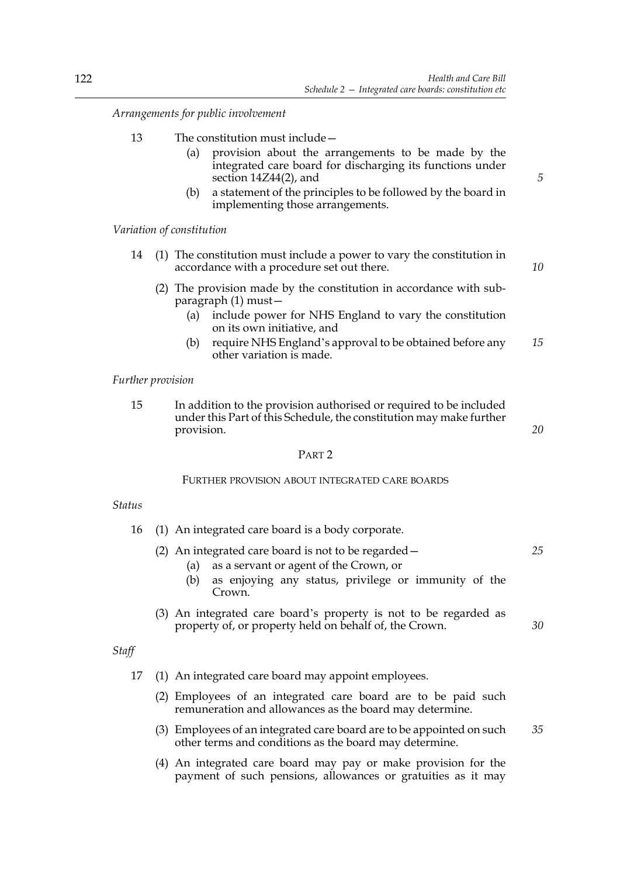*Arrangements for public involvement*

- 13 The constitution must include—
	- (a) provision about the arrangements to be made by the integrated care board for discharging its functions under section 14Z44(2), and
	- (b) a statement of the principles to be followed by the board in implementing those arrangements.

*Variation of constitution*

- 14 (1) The constitution must include a power to vary the constitution in accordance with a procedure set out there.
	- (2) The provision made by the constitution in accordance with subparagraph (1) must—
		- (a) include power for NHS England to vary the constitution on its own initiative, and
		- (b) require NHS England's approval to be obtained before any other variation is made. *15*

#### *Further provision*

15 In addition to the provision authorised or required to be included under this Part of this Schedule, the constitution may make further provision.

*20*

*30*

### PART 2

### FURTHER PROVISION ABOUT INTEGRATED CARE BOARDS

#### *Status*

- 16 (1) An integrated care board is a body corporate.
	- (2) An integrated care board is not to be regarded— *25*
		- (a) as a servant or agent of the Crown, or
		- (b) as enjoying any status, privilege or immunity of the Crown.
	- (3) An integrated care board's property is not to be regarded as property of, or property held on behalf of, the Crown.

# *Staff*

- 17 (1) An integrated care board may appoint employees.
	- (2) Employees of an integrated care board are to be paid such remuneration and allowances as the board may determine.
	- (3) Employees of an integrated care board are to be appointed on such other terms and conditions as the board may determine. *35*
	- (4) An integrated care board may pay or make provision for the payment of such pensions, allowances or gratuities as it may

*5*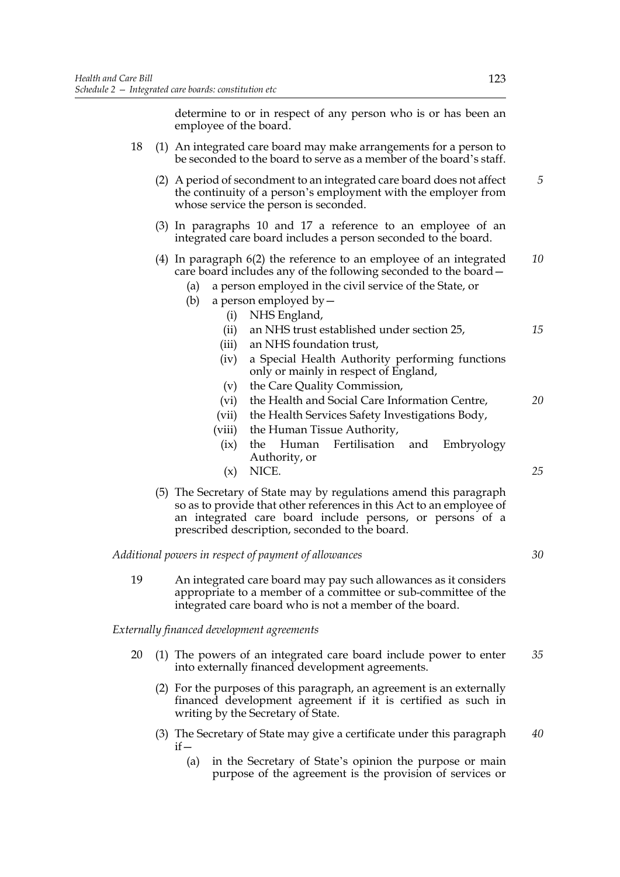determine to or in respect of any person who is or has been an employee of the board.

| 18<br>(1) An integrated care board may make arrangements for a person to<br>be seconded to the board to serve as a member of the board's staff.<br>5<br>(2) A period of secondment to an integrated care board does not affect<br>the continuity of a person's employment with the employer from<br>whose service the person is seconded.<br>(3) In paragraphs 10 and 17 a reference to an employee of an<br>integrated care board includes a person seconded to the board.<br>$(4)$ In paragraph $6(2)$ the reference to an employee of an integrated<br>care board includes any of the following seconded to the board -<br>a person employed in the civil service of the State, or<br>(a)<br>a person employed by $-$<br>(b)<br>(i)<br>NHS England,<br>an NHS trust established under section 25,<br>(ii)<br>an NHS foundation trust,<br>(iii)<br>a Special Health Authority performing functions<br>(iv)<br>only or mainly in respect of England,<br>the Care Quality Commission,<br>(v)<br>the Health and Social Care Information Centre,<br>(vi)<br>(vii)<br>the Health Services Safety Investigations Body,<br>(viii)<br>the Human Tissue Authority,<br>Human<br>Fertilisation<br>(ix)<br>the<br>and<br>Embryology<br>Authority, or<br>NICE.<br>25<br>(x)<br>(5) The Secretary of State may by regulations amend this paragraph<br>so as to provide that other references in this Act to an employee of<br>an integrated care board include persons, or persons of a<br>prescribed description, seconded to the board.<br>Additional powers in respect of payment of allowances<br>19<br>An integrated care board may pay such allowances as it considers<br>appropriate to a member of a committee or sub-committee of the |  |    |  |  |  |
|------------------------------------------------------------------------------------------------------------------------------------------------------------------------------------------------------------------------------------------------------------------------------------------------------------------------------------------------------------------------------------------------------------------------------------------------------------------------------------------------------------------------------------------------------------------------------------------------------------------------------------------------------------------------------------------------------------------------------------------------------------------------------------------------------------------------------------------------------------------------------------------------------------------------------------------------------------------------------------------------------------------------------------------------------------------------------------------------------------------------------------------------------------------------------------------------------------------------------------------------------------------------------------------------------------------------------------------------------------------------------------------------------------------------------------------------------------------------------------------------------------------------------------------------------------------------------------------------------------------------------------------------------------------------------------------------------------------------------------|--|----|--|--|--|
|                                                                                                                                                                                                                                                                                                                                                                                                                                                                                                                                                                                                                                                                                                                                                                                                                                                                                                                                                                                                                                                                                                                                                                                                                                                                                                                                                                                                                                                                                                                                                                                                                                                                                                                                    |  |    |  |  |  |
|                                                                                                                                                                                                                                                                                                                                                                                                                                                                                                                                                                                                                                                                                                                                                                                                                                                                                                                                                                                                                                                                                                                                                                                                                                                                                                                                                                                                                                                                                                                                                                                                                                                                                                                                    |  |    |  |  |  |
|                                                                                                                                                                                                                                                                                                                                                                                                                                                                                                                                                                                                                                                                                                                                                                                                                                                                                                                                                                                                                                                                                                                                                                                                                                                                                                                                                                                                                                                                                                                                                                                                                                                                                                                                    |  |    |  |  |  |
|                                                                                                                                                                                                                                                                                                                                                                                                                                                                                                                                                                                                                                                                                                                                                                                                                                                                                                                                                                                                                                                                                                                                                                                                                                                                                                                                                                                                                                                                                                                                                                                                                                                                                                                                    |  | 10 |  |  |  |
|                                                                                                                                                                                                                                                                                                                                                                                                                                                                                                                                                                                                                                                                                                                                                                                                                                                                                                                                                                                                                                                                                                                                                                                                                                                                                                                                                                                                                                                                                                                                                                                                                                                                                                                                    |  | 15 |  |  |  |
|                                                                                                                                                                                                                                                                                                                                                                                                                                                                                                                                                                                                                                                                                                                                                                                                                                                                                                                                                                                                                                                                                                                                                                                                                                                                                                                                                                                                                                                                                                                                                                                                                                                                                                                                    |  | 20 |  |  |  |
|                                                                                                                                                                                                                                                                                                                                                                                                                                                                                                                                                                                                                                                                                                                                                                                                                                                                                                                                                                                                                                                                                                                                                                                                                                                                                                                                                                                                                                                                                                                                                                                                                                                                                                                                    |  |    |  |  |  |
|                                                                                                                                                                                                                                                                                                                                                                                                                                                                                                                                                                                                                                                                                                                                                                                                                                                                                                                                                                                                                                                                                                                                                                                                                                                                                                                                                                                                                                                                                                                                                                                                                                                                                                                                    |  | 30 |  |  |  |
| integrated care board who is not a member of the board.                                                                                                                                                                                                                                                                                                                                                                                                                                                                                                                                                                                                                                                                                                                                                                                                                                                                                                                                                                                                                                                                                                                                                                                                                                                                                                                                                                                                                                                                                                                                                                                                                                                                            |  |    |  |  |  |

*Externally financed development agreements*

- 20 (1) The powers of an integrated care board include power to enter into externally financed development agreements. *35*
	- (2) For the purposes of this paragraph, an agreement is an externally financed development agreement if it is certified as such in writing by the Secretary of State.
	- (3) The Secretary of State may give a certificate under this paragraph if— *40*
		- (a) in the Secretary of State's opinion the purpose or main purpose of the agreement is the provision of services or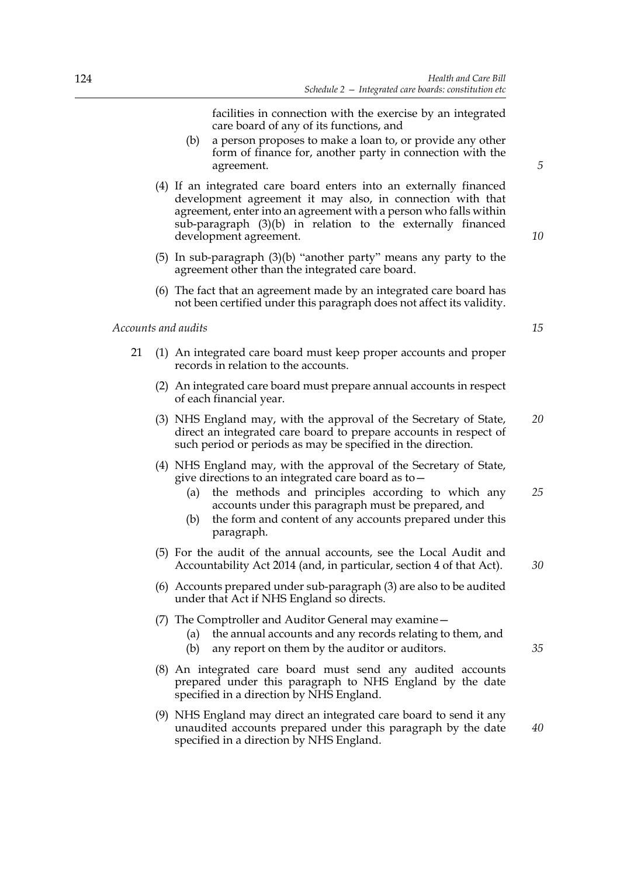facilities in connection with the exercise by an integrated care board of any of its functions, and

- (b) a person proposes to make a loan to, or provide any other form of finance for, another party in connection with the agreement.
- (4) If an integrated care board enters into an externally financed development agreement it may also, in connection with that agreement, enter into an agreement with a person who falls within sub-paragraph (3)(b) in relation to the externally financed development agreement.
- (5) In sub-paragraph (3)(b) "another party" means any party to the agreement other than the integrated care board.
- (6) The fact that an agreement made by an integrated care board has not been certified under this paragraph does not affect its validity.

*Accounts and audits*

- 21 (1) An integrated care board must keep proper accounts and proper records in relation to the accounts.
	- (2) An integrated care board must prepare annual accounts in respect of each financial year.
	- (3) NHS England may, with the approval of the Secretary of State, direct an integrated care board to prepare accounts in respect of such period or periods as may be specified in the direction. *20*
	- (4) NHS England may, with the approval of the Secretary of State, give directions to an integrated care board as to—
		- (a) the methods and principles according to which any accounts under this paragraph must be prepared, and *25*
		- (b) the form and content of any accounts prepared under this paragraph.
	- (5) For the audit of the annual accounts, see the Local Audit and Accountability Act 2014 (and, in particular, section 4 of that Act).
	- (6) Accounts prepared under sub-paragraph (3) are also to be audited under that Act if NHS England so directs.
	- (7) The Comptroller and Auditor General may examine—
		- (a) the annual accounts and any records relating to them, and
		- (b) any report on them by the auditor or auditors.
	- (8) An integrated care board must send any audited accounts prepared under this paragraph to NHS England by the date specified in a direction by NHS England.
	- (9) NHS England may direct an integrated care board to send it any unaudited accounts prepared under this paragraph by the date specified in a direction by NHS England.

*5*

*10*

*15*

*30*

*40*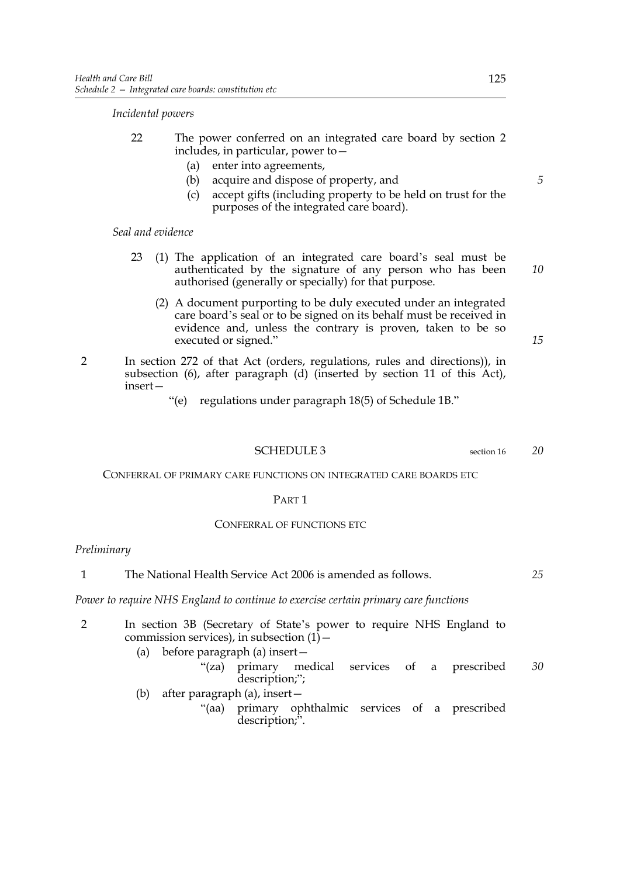### *Incidental powers*

- 22 The power conferred on an integrated care board by section 2 includes, in particular, power to—
	- (a) enter into agreements,
	- (b) acquire and dispose of property, and
	- (c) accept gifts (including property to be held on trust for the purposes of the integrated care board).

### *Seal and evidence*

- 23 (1) The application of an integrated care board's seal must be authenticated by the signature of any person who has been authorised (generally or specially) for that purpose.
	- (2) A document purporting to be duly executed under an integrated care board's seal or to be signed on its behalf must be received in evidence and, unless the contrary is proven, taken to be so executed or signed."

*15*

*10*

*5*

- 2 In section 272 of that Act (orders, regulations, rules and directions)), in subsection  $(6)$ , after paragraph  $(d)$  (inserted by section 11 of this  $\overleftrightarrow{Act}$ ), insert—
	- "(e) regulations under paragraph 18(5) of Schedule 1B."

# SCHEDULE 3 section 16

*20*

CONFERRAL OF PRIMARY CARE FUNCTIONS ON INTEGRATED CARE BOARDS ETC

### PART<sub>1</sub>

# CONFERRAL OF FUNCTIONS ETC

# *Preliminary*

| The National Health Service Act 2006 is amended as follows. | 25 |
|-------------------------------------------------------------|----|
|                                                             |    |

# *Power to require NHS England to continue to exercise certain primary care functions*

|  |  | commission services), in subsection $(1)$ – |  |  | In section 3B (Secretary of State's power to require NHS England to |    |
|--|--|---------------------------------------------|--|--|---------------------------------------------------------------------|----|
|  |  | (a) before paragraph (a) insert $-$         |  |  |                                                                     |    |
|  |  | description;";                              |  |  | "(za) primary medical services of a prescribed                      | 30 |

- (b) after paragraph (a), insert—
	- "(aa) primary ophthalmic services of a prescribed description;".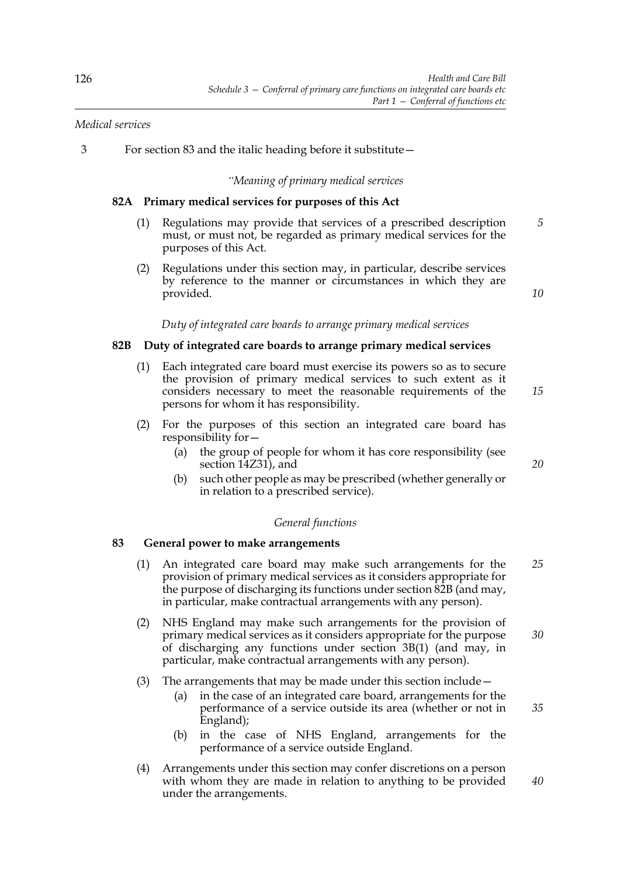# *Medical services*

3 For section 83 and the italic heading before it substitute—

*"Meaning of primary medical services*

# **82A Primary medical services for purposes of this Act**

- (1) Regulations may provide that services of a prescribed description must, or must not, be regarded as primary medical services for the purposes of this Act. *5*
- (2) Regulations under this section may, in particular, describe services by reference to the manner or circumstances in which they are provided.

*Duty of integrated care boards to arrange primary medical services*

# **82B Duty of integrated care boards to arrange primary medical services**

- (1) Each integrated care board must exercise its powers so as to secure the provision of primary medical services to such extent as it considers necessary to meet the reasonable requirements of the persons for whom it has responsibility. *15*
- (2) For the purposes of this section an integrated care board has responsibility for—
	- (a) the group of people for whom it has core responsibility (see section 14Z31), and
	- (b) such other people as may be prescribed (whether generally or in relation to a prescribed service).

### *General functions*

# **83 General power to make arrangements**

- (1) An integrated care board may make such arrangements for the provision of primary medical services as it considers appropriate for the purpose of discharging its functions under section 82B (and may, in particular, make contractual arrangements with any person). *25*
- (2) NHS England may make such arrangements for the provision of primary medical services as it considers appropriate for the purpose of discharging any functions under section 3B(1) (and may, in particular, make contractual arrangements with any person). *30*
- (3) The arrangements that may be made under this section include—
	- (a) in the case of an integrated care board, arrangements for the performance of a service outside its area (whether or not in England);
	- (b) in the case of NHS England, arrangements for the performance of a service outside England.
- (4) Arrangements under this section may confer discretions on a person with whom they are made in relation to anything to be provided under the arrangements.

*20*

*10*

*40*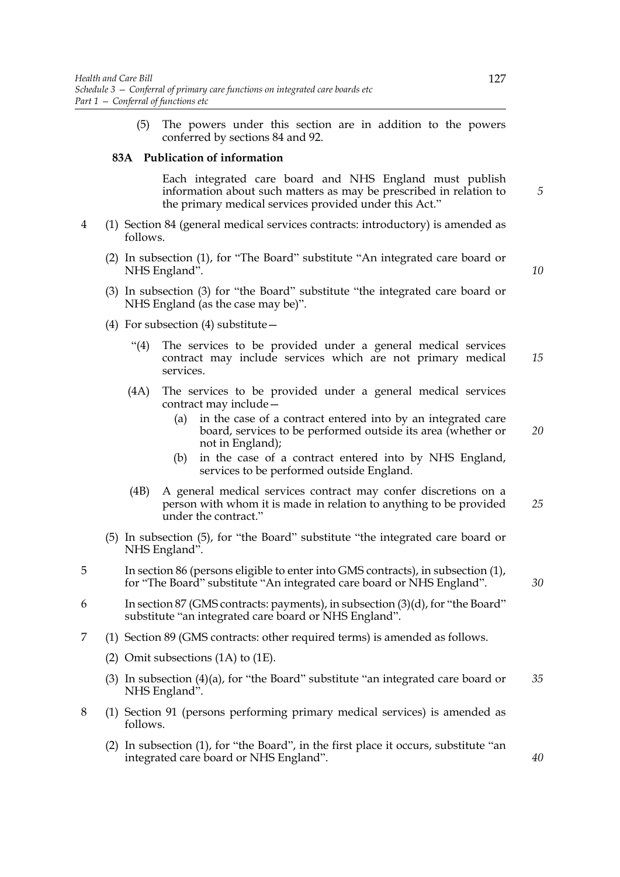(5) The powers under this section are in addition to the powers conferred by sections 84 and 92.

### **83A Publication of information**

 Each integrated care board and NHS England must publish information about such matters as may be prescribed in relation to the primary medical services provided under this Act."

- 4 (1) Section 84 (general medical services contracts: introductory) is amended as follows.
	- (2) In subsection (1), for "The Board" substitute "An integrated care board or NHS England".

*10*

*20*

*30*

- (3) In subsection (3) for "the Board" substitute "the integrated care board or NHS England (as the case may be)".
- (4) For subsection (4) substitute—
	- "(4) The services to be provided under a general medical services contract may include services which are not primary medical services. *15*
	- (4A) The services to be provided under a general medical services contract may include—
		- (a) in the case of a contract entered into by an integrated care board, services to be performed outside its area (whether or not in England);
		- (b) in the case of a contract entered into by NHS England, services to be performed outside England.
	- (4B) A general medical services contract may confer discretions on a person with whom it is made in relation to anything to be provided under the contract." *25*
- (5) In subsection (5), for "the Board" substitute "the integrated care board or NHS England".
- 5 In section 86 (persons eligible to enter into GMS contracts), in subsection (1), for "The Board" substitute "An integrated care board or NHS England".
- 6 In section 87 (GMS contracts: payments), in subsection (3)(d), for "the Board" substitute "an integrated care board or NHS England".
- 7 (1) Section 89 (GMS contracts: other required terms) is amended as follows.
	- (2) Omit subsections (1A) to (1E).
	- (3) In subsection  $(4)(a)$ , for "the Board" substitute "an integrated care board or NHS England". *35*
- 8 (1) Section 91 (persons performing primary medical services) is amended as follows.
	- (2) In subsection (1), for "the Board", in the first place it occurs, substitute "an integrated care board or NHS England".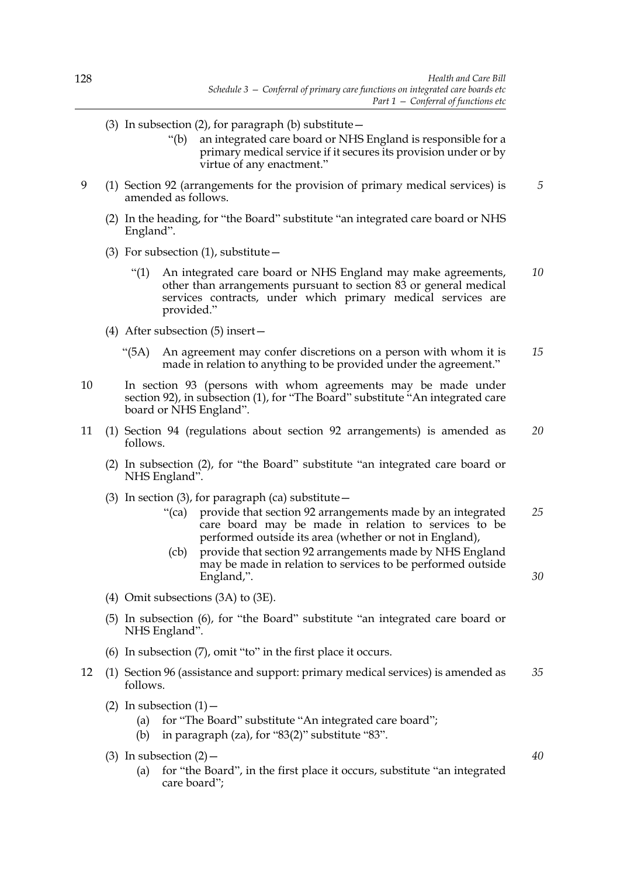- (3) In subsection (2), for paragraph (b) substitute  $-$ 
	- "(b) an integrated care board or NHS England is responsible for a primary medical service if it secures its provision under or by virtue of any enactment."
- 9 (1) Section 92 (arrangements for the provision of primary medical services) is amended as follows. *5*
	- (2) In the heading, for "the Board" substitute "an integrated care board or NHS England".
	- (3) For subsection  $(1)$ , substitute  $-$ 
		- "(1) An integrated care board or NHS England may make agreements, other than arrangements pursuant to section 83 or general medical services contracts, under which primary medical services are provided." *10*
	- (4) After subsection (5) insert—
		- "(5A) An agreement may confer discretions on a person with whom it is made in relation to anything to be provided under the agreement." *15*
- 10 In section 93 (persons with whom agreements may be made under section 92), in subsection (1), for "The Board" substitute "An integrated care board or NHS England".
- 11 (1) Section 94 (regulations about section 92 arrangements) is amended as follows. *20*
	- (2) In subsection (2), for "the Board" substitute "an integrated care board or NHS England".
	- (3) In section (3), for paragraph (ca) substitute  $-$ 
		- "(ca) provide that section 92 arrangements made by an integrated care board may be made in relation to services to be performed outside its area (whether or not in England), *25*
		- (cb) provide that section 92 arrangements made by NHS England may be made in relation to services to be performed outside England,".
	- (4) Omit subsections (3A) to (3E).
	- (5) In subsection (6), for "the Board" substitute "an integrated care board or NHS England".
	- (6) In subsection (7), omit "to" in the first place it occurs.
- 12 (1) Section 96 (assistance and support: primary medical services) is amended as follows. *35*
	- (2) In subsection  $(1)$  -
		- (a) for "The Board" substitute "An integrated care board";
		- (b) in paragraph (za), for "83(2)" substitute "83".
	- (3) In subsection  $(2)$ 
		- (a) for "the Board", in the first place it occurs, substitute "an integrated care board";

*40*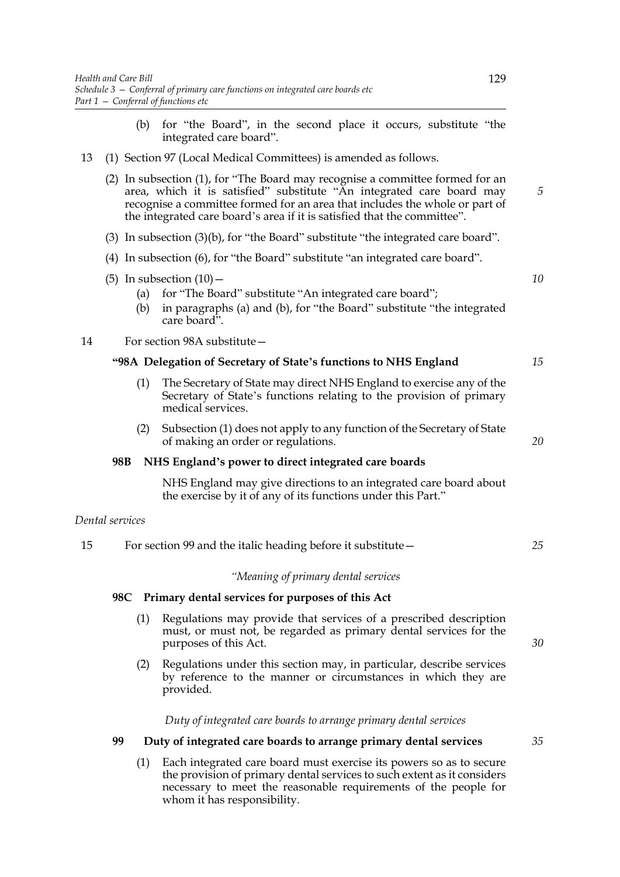- (b) for "the Board", in the second place it occurs, substitute "the integrated care board".
- 13 (1) Section 97 (Local Medical Committees) is amended as follows.
	- (2) In subsection (1), for "The Board may recognise a committee formed for an area, which it is satisfied" substitute "An integrated care board may recognise a committee formed for an area that includes the whole or part of the integrated care board's area if it is satisfied that the committee".
	- (3) In subsection (3)(b), for "the Board" substitute "the integrated care board".
	- (4) In subsection (6), for "the Board" substitute "an integrated care board".
	- (5) In subsection  $(10)$  -
		- (a) for "The Board" substitute "An integrated care board";
		- (b) in paragraphs (a) and (b), for "the Board" substitute "the integrated care board".

14 For section 98A substitute—

# **"98A Delegation of Secretary of State's functions to NHS England**

- (1) The Secretary of State may direct NHS England to exercise any of the Secretary of State's functions relating to the provision of primary medical services.
- (2) Subsection (1) does not apply to any function of the Secretary of State of making an order or regulations.

# **98B NHS England's power to direct integrated care boards**

 NHS England may give directions to an integrated care board about the exercise by it of any of its functions under this Part."

# *Dental services*

15 For section 99 and the italic heading before it substitute— *25*

#### *"Meaning of primary dental services*

### **98C Primary dental services for purposes of this Act**

- (1) Regulations may provide that services of a prescribed description must, or must not, be regarded as primary dental services for the purposes of this Act.
- (2) Regulations under this section may, in particular, describe services by reference to the manner or circumstances in which they are provided.

*Duty of integrated care boards to arrange primary dental services*

# **99 Duty of integrated care boards to arrange primary dental services**

(1) Each integrated care board must exercise its powers so as to secure the provision of primary dental services to such extent as it considers necessary to meet the reasonable requirements of the people for whom it has responsibility.

*5*

*10*

*15*

*20*

*30*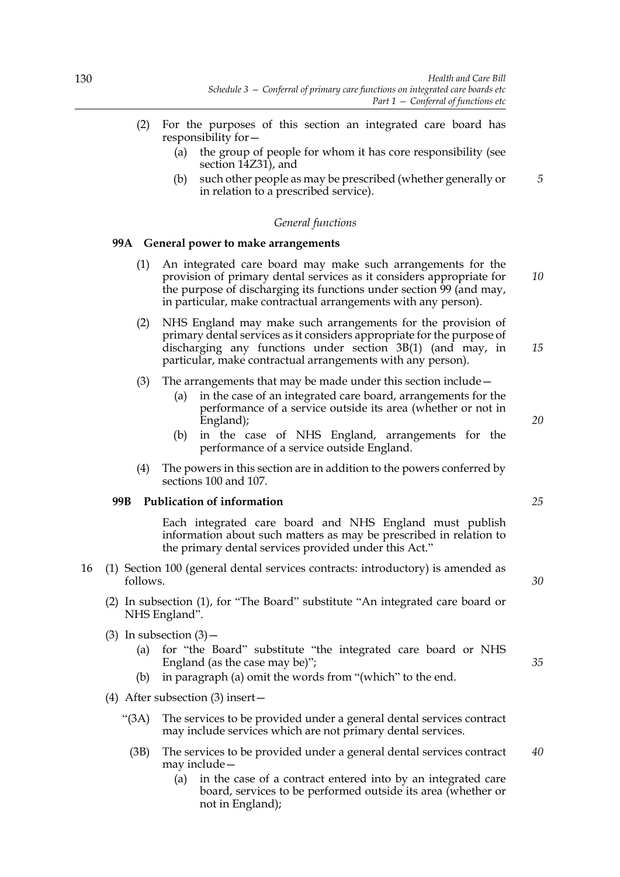- (2) For the purposes of this section an integrated care board has responsibility for—
	- (a) the group of people for whom it has core responsibility (see section 14Z31), and
	- (b) such other people as may be prescribed (whether generally or in relation to a prescribed service).

#### *General functions*

### **99A General power to make arrangements**

- (1) An integrated care board may make such arrangements for the provision of primary dental services as it considers appropriate for the purpose of discharging its functions under section 99 (and may, in particular, make contractual arrangements with any person).
- (2) NHS England may make such arrangements for the provision of primary dental services as it considers appropriate for the purpose of discharging any functions under section 3B(1) (and may, in particular, make contractual arrangements with any person).
- (3) The arrangements that may be made under this section include—
	- (a) in the case of an integrated care board, arrangements for the performance of a service outside its area (whether or not in England);
	- (b) in the case of NHS England, arrangements for the performance of a service outside England.
- (4) The powers in this section are in addition to the powers conferred by sections 100 and 107.

### **99B Publication of information**

 Each integrated care board and NHS England must publish information about such matters as may be prescribed in relation to the primary dental services provided under this Act."

- 16 (1) Section 100 (general dental services contracts: introductory) is amended as follows.
	- (2) In subsection (1), for "The Board" substitute "An integrated care board or NHS England".
	- (3) In subsection  $(3)$ 
		- (a) for "the Board" substitute "the integrated care board or NHS England (as the case may be)";
		- (b) in paragraph (a) omit the words from "(which" to the end.
	- (4) After subsection (3) insert—
		- "(3A) The services to be provided under a general dental services contract may include services which are not primary dental services.
			- (3B) The services to be provided under a general dental services contract may include— *40*
				- (a) in the case of a contract entered into by an integrated care board, services to be performed outside its area (whether or not in England);

*25*

*5*

*10*

*15*

*20*

*30*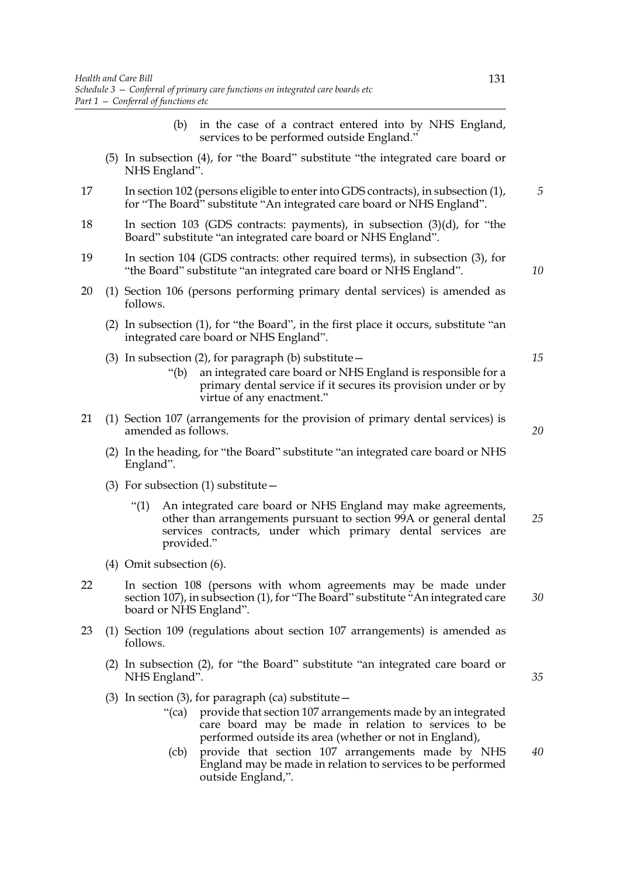- (b) in the case of a contract entered into by NHS England, services to be performed outside England."
- (5) In subsection (4), for "the Board" substitute "the integrated care board or NHS England".
- 17 In section 102 (persons eligible to enter into GDS contracts), in subsection (1), for "The Board" substitute "An integrated care board or NHS England".
- 18 In section 103 (GDS contracts: payments), in subsection (3)(d), for "the Board" substitute "an integrated care board or NHS England".
- 19 In section 104 (GDS contracts: other required terms), in subsection (3), for "the Board" substitute "an integrated care board or NHS England".
- 20 (1) Section 106 (persons performing primary dental services) is amended as follows.
	- (2) In subsection (1), for "the Board", in the first place it occurs, substitute "an integrated care board or NHS England".
	- (3) In subsection (2), for paragraph (b) substitute  $-$ 
		- "(b) an integrated care board or NHS England is responsible for a primary dental service if it secures its provision under or by virtue of any enactment."
- 21 (1) Section 107 (arrangements for the provision of primary dental services) is amended as follows.
	- (2) In the heading, for "the Board" substitute "an integrated care board or NHS England".
	- (3) For subsection  $(1)$  substitute  $-$ 
		- "(1) An integrated care board or NHS England may make agreements, other than arrangements pursuant to section 99A or general dental services contracts, under which primary dental services are provided." *25*
	- (4) Omit subsection (6).
- 22 In section 108 (persons with whom agreements may be made under section 107), in subsection (1), for "The Board" substitute "An integrated care board or NHS England".
- 23 (1) Section 109 (regulations about section 107 arrangements) is amended as follows.
	- (2) In subsection (2), for "the Board" substitute "an integrated care board or NHS England".
	- (3) In section (3), for paragraph (ca) substitute  $-$ 
		- "(ca) provide that section 107 arrangements made by an integrated care board may be made in relation to services to be performed outside its area (whether or not in England),
		- (cb) provide that section 107 arrangements made by NHS England may be made in relation to services to be performed outside England,". *40*

*5*

*10*

*15*

*20*

*35*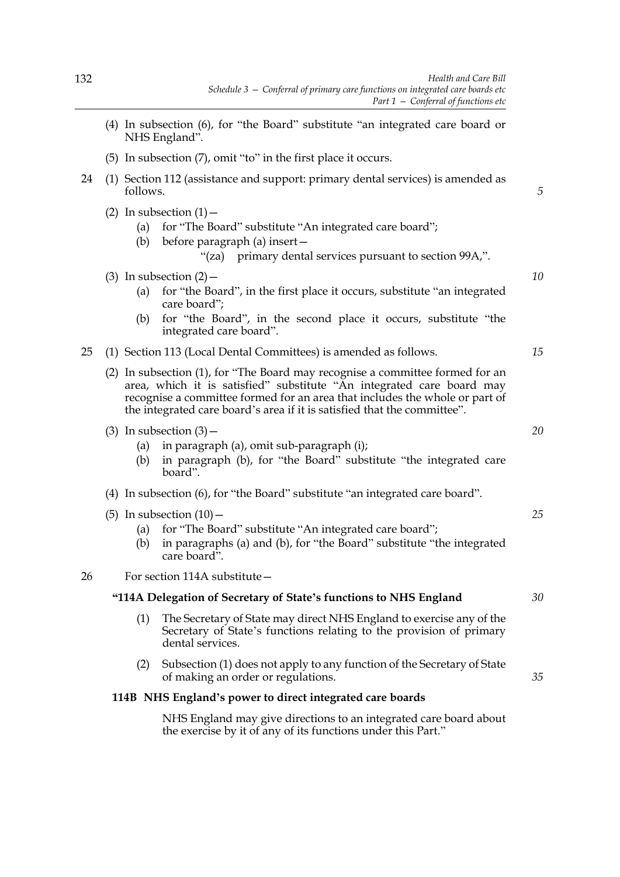- (4) In subsection (6), for "the Board" substitute "an integrated care board or NHS England".
- (5) In subsection (7), omit "to" in the first place it occurs.
- 24 (1) Section 112 (assistance and support: primary dental services) is amended as follows.
	- (2) In subsection  $(1)$  -
		- (a) for "The Board" substitute "An integrated care board";
		- (b) before paragraph (a) insert—
			- "(za) primary dental services pursuant to section 99A,".
	- (3) In subsection  $(2)$ 
		- (a) for "the Board", in the first place it occurs, substitute "an integrated care board";
		- (b) for "the Board", in the second place it occurs, substitute "the integrated care board".
- 25 (1) Section 113 (Local Dental Committees) is amended as follows.
	- (2) In subsection (1), for "The Board may recognise a committee formed for an area, which it is satisfied" substitute "An integrated care board may recognise a committee formed for an area that includes the whole or part of the integrated care board's area if it is satisfied that the committee".
	- (3) In subsection  $(3)$ 
		- (a) in paragraph (a), omit sub-paragraph (i);
		- (b) in paragraph (b), for "the Board" substitute "the integrated care board".
	- (4) In subsection (6), for "the Board" substitute "an integrated care board".
	- (5) In subsection  $(10)$  -
		- (a) for "The Board" substitute "An integrated care board";
		- (b) in paragraphs (a) and (b), for "the Board" substitute "the integrated care board".

26 For section 114A substitute—

# **"114A Delegation of Secretary of State's functions to NHS England**

- (1) The Secretary of State may direct NHS England to exercise any of the Secretary of State's functions relating to the provision of primary dental services.
- (2) Subsection (1) does not apply to any function of the Secretary of State of making an order or regulations.

### **114B NHS England's power to direct integrated care boards**

 NHS England may give directions to an integrated care board about the exercise by it of any of its functions under this Part."

*15*

*10*

*5*

*20*

*25*

*35*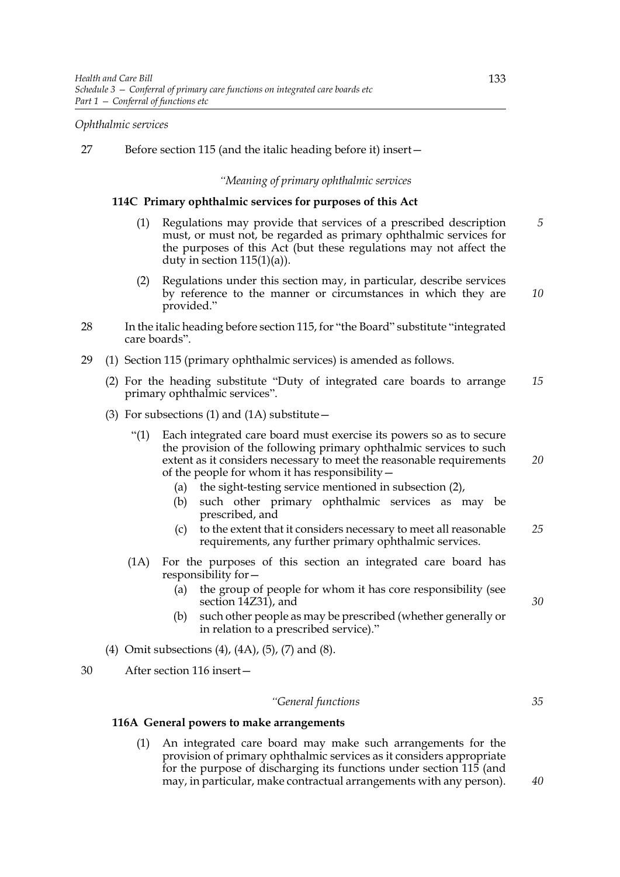### *Ophthalmic services*

27 Before section 115 (and the italic heading before it) insert—

#### *"Meaning of primary ophthalmic services*

### **114C Primary ophthalmic services for purposes of this Act**

- (1) Regulations may provide that services of a prescribed description must, or must not, be regarded as primary ophthalmic services for the purposes of this Act (but these regulations may not affect the duty in section  $115(1)(a)$ ). *5*
- (2) Regulations under this section may, in particular, describe services by reference to the manner or circumstances in which they are provided."
- 28 In the italic heading before section 115, for "the Board" substitute "integrated care boards".
- 29 (1) Section 115 (primary ophthalmic services) is amended as follows.
	- (2) For the heading substitute "Duty of integrated care boards to arrange primary ophthalmic services". *15*
	- (3) For subsections (1) and (1A) substitute $-$ 
		- "(1) Each integrated care board must exercise its powers so as to secure the provision of the following primary ophthalmic services to such extent as it considers necessary to meet the reasonable requirements of the people for whom it has responsibility— *20*
			- (a) the sight-testing service mentioned in subsection (2),
			- (b) such other primary ophthalmic services as may be prescribed, and
			- (c) to the extent that it considers necessary to meet all reasonable requirements, any further primary ophthalmic services. *25*
		- (1A) For the purposes of this section an integrated care board has responsibility for—
			- (a) the group of people for whom it has core responsibility (see section 14Z31), and
			- (b) such other people as may be prescribed (whether generally or in relation to a prescribed service)."
	- (4) Omit subsections (4), (4A), (5), (7) and (8).
- 30 After section 116 insert—

### *"General functions*

#### **116A General powers to make arrangements**

(1) An integrated care board may make such arrangements for the provision of primary ophthalmic services as it considers appropriate for the purpose of discharging its functions under section 115 (and may, in particular, make contractual arrangements with any person).

*10*

*35*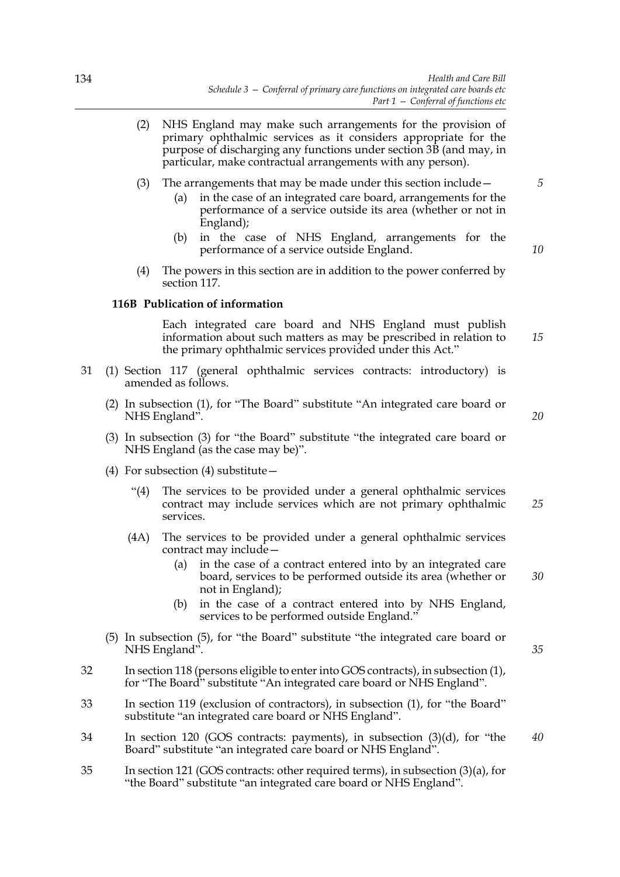- (2) NHS England may make such arrangements for the provision of primary ophthalmic services as it considers appropriate for the purpose of discharging any functions under section 3B (and may, in particular, make contractual arrangements with any person).
- (3) The arrangements that may be made under this section include—
	- (a) in the case of an integrated care board, arrangements for the performance of a service outside its area (whether or not in England);
	- (b) in the case of NHS England, arrangements for the performance of a service outside England.
- (4) The powers in this section are in addition to the power conferred by section 117.

### **116B Publication of information**

 Each integrated care board and NHS England must publish information about such matters as may be prescribed in relation to the primary ophthalmic services provided under this Act."

- 31 (1) Section 117 (general ophthalmic services contracts: introductory) is amended as follows.
	- (2) In subsection (1), for "The Board" substitute "An integrated care board or NHS England".
	- (3) In subsection (3) for "the Board" substitute "the integrated care board or NHS England (as the case may be)".
	- (4) For subsection (4) substitute—
		- "(4) The services to be provided under a general ophthalmic services contract may include services which are not primary ophthalmic services. *25*
		- (4A) The services to be provided under a general ophthalmic services contract may include—
			- (a) in the case of a contract entered into by an integrated care board, services to be performed outside its area (whether or not in England);
			- (b) in the case of a contract entered into by NHS England, services to be performed outside England."
	- (5) In subsection (5), for "the Board" substitute "the integrated care board or NHS England".
- 32 In section 118 (persons eligible to enter into GOS contracts), in subsection (1), for "The Board" substitute "An integrated care board or NHS England".
- 33 In section 119 (exclusion of contractors), in subsection (1), for "the Board" substitute "an integrated care board or NHS England".
- 34 In section 120 (GOS contracts: payments), in subsection (3)(d), for "the Board" substitute "an integrated care board or NHS England".
- 35 In section 121 (GOS contracts: other required terms), in subsection (3)(a), for "the Board" substitute "an integrated care board or NHS England".

*20*

*15*

*35*

*40*

*30*

*10*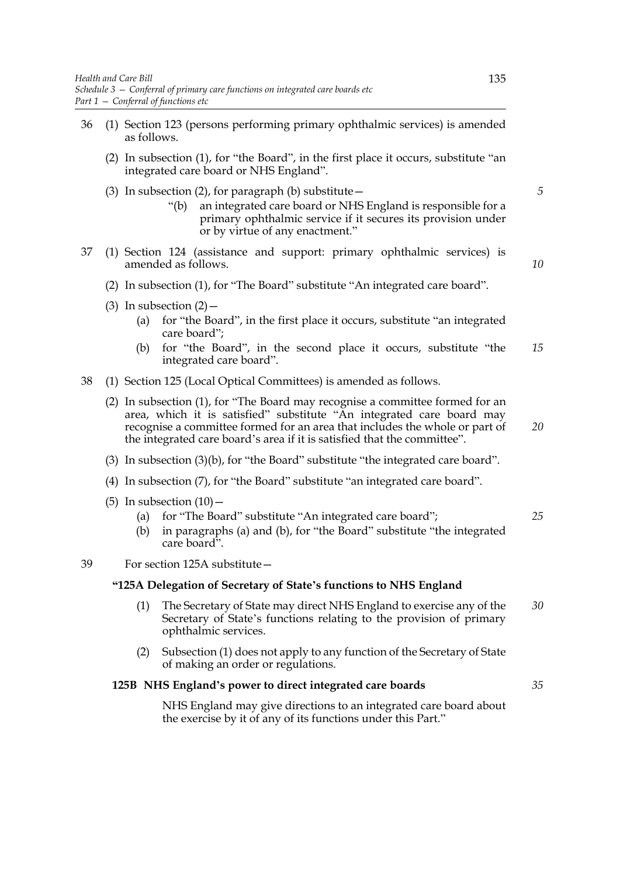- 36 (1) Section 123 (persons performing primary ophthalmic services) is amended as follows.
	- (2) In subsection (1), for "the Board", in the first place it occurs, substitute "an integrated care board or NHS England".
	- (3) In subsection (2), for paragraph (b) substitute  $-$ 
		- "(b) an integrated care board or NHS England is responsible for a primary ophthalmic service if it secures its provision under or by virtue of any enactment."
- 37 (1) Section 124 (assistance and support: primary ophthalmic services) is amended as follows.

*10*

*20*

*35*

*5*

- (2) In subsection (1), for "The Board" substitute "An integrated care board".
- (3) In subsection  $(2)$ 
	- (a) for "the Board", in the first place it occurs, substitute "an integrated care board";
	- (b) for "the Board", in the second place it occurs, substitute "the integrated care board". *15*
- 38 (1) Section 125 (Local Optical Committees) is amended as follows.
	- (2) In subsection (1), for "The Board may recognise a committee formed for an area, which it is satisfied" substitute "An integrated care board may recognise a committee formed for an area that includes the whole or part of the integrated care board's area if it is satisfied that the committee".
	- (3) In subsection (3)(b), for "the Board" substitute "the integrated care board".
	- (4) In subsection (7), for "the Board" substitute "an integrated care board".
	- (5) In subsection  $(10)$  -
		- (a) for "The Board" substitute "An integrated care board"; *25*
		- (b) in paragraphs (a) and (b), for "the Board" substitute "the integrated care board".
- 39 For section 125A substitute—

#### **"125A Delegation of Secretary of State's functions to NHS England**

- (1) The Secretary of State may direct NHS England to exercise any of the Secretary of State's functions relating to the provision of primary ophthalmic services. *30*
- (2) Subsection (1) does not apply to any function of the Secretary of State of making an order or regulations.

#### **125B NHS England's power to direct integrated care boards**

 NHS England may give directions to an integrated care board about the exercise by it of any of its functions under this Part."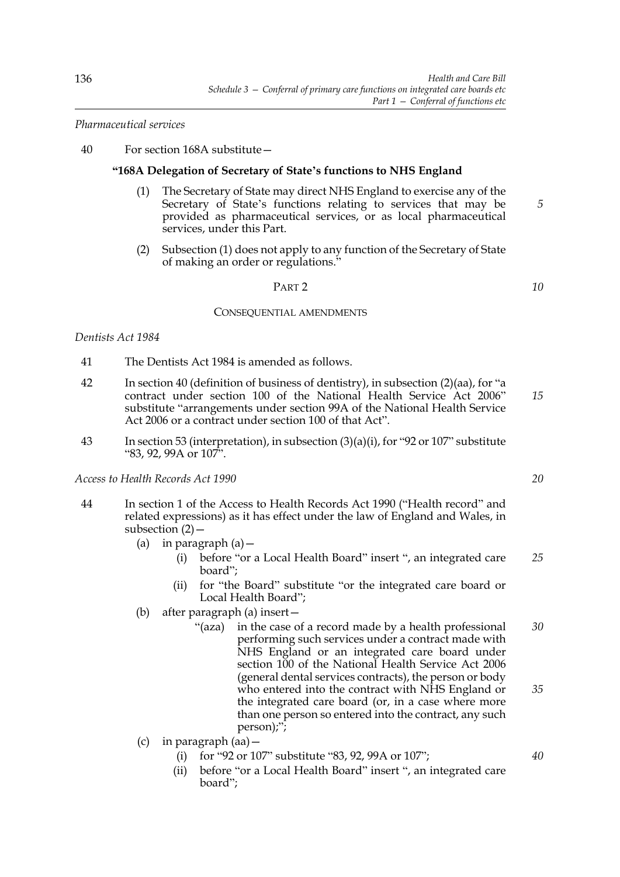*Pharmaceutical services*

40 For section 168A substitute—

### **"168A Delegation of Secretary of State's functions to NHS England**

- (1) The Secretary of State may direct NHS England to exercise any of the Secretary of State's functions relating to services that may be provided as pharmaceutical services, or as local pharmaceutical services, under this Part.
- (2) Subsection (1) does not apply to any function of the Secretary of State of making an order or regulations."

#### PART 2

#### CONSEQUENTIAL AMENDMENTS

### *Dentists Act 1984*

- 41 The Dentists Act 1984 is amended as follows.
- 42 In section 40 (definition of business of dentistry), in subsection (2)(aa), for "a contract under section 100 of the National Health Service Act 2006" substitute "arrangements under section 99A of the National Health Service Act 2006 or a contract under section 100 of that Act". *15*
- 43 In section 53 (interpretation), in subsection (3)(a)(i), for "92 or 107" substitute "83, 92, 99A or 107".

*Access to Health Records Act 1990*

- 44 In section 1 of the Access to Health Records Act 1990 ("Health record" and related expressions) as it has effect under the law of England and Wales, in subsection (2)—
	- (a) in paragraph  $(a)$  -
		- (i) before "or a Local Health Board" insert ", an integrated care board"; *25*
		- (ii) for "the Board" substitute "or the integrated care board or Local Health Board";
	- (b) after paragraph (a) insert—
		- "(aza) in the case of a record made by a health professional performing such services under a contract made with NHS England or an integrated care board under section 100 of the National Health Service Act 2006 (general dental services contracts), the person or body who entered into the contract with NHS England or the integrated care board (or, in a case where more than one person so entered into the contract, any such person);"; *30 35*
	- (c) in paragraph (aa)—
		- (i) for "92 or 107" substitute "83, 92, 99A or 107";
		- (ii) before "or a Local Health Board" insert ", an integrated care board";

*20*

*5*

*10*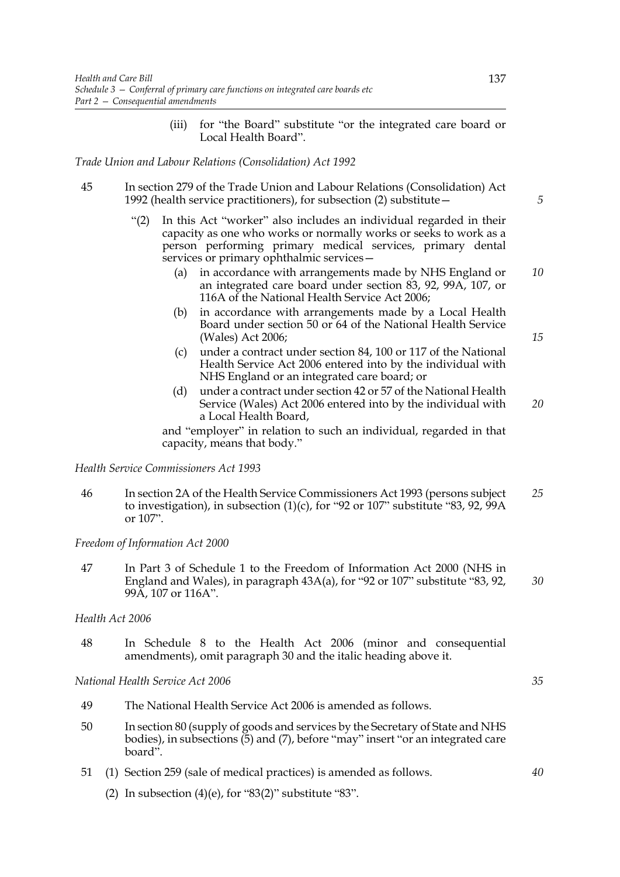(iii) for "the Board" substitute "or the integrated care board or Local Health Board".

### *Trade Union and Labour Relations (Consolidation) Act 1992*

- 45 In section 279 of the Trade Union and Labour Relations (Consolidation) Act 1992 (health service practitioners), for subsection (2) substitute—
	- "(2) In this Act "worker" also includes an individual regarded in their capacity as one who works or normally works or seeks to work as a person performing primary medical services, primary dental services or primary ophthalmic services-
		- (a) in accordance with arrangements made by NHS England or an integrated care board under section 83, 92, 99A, 107, or 116A of the National Health Service Act 2006; *10*
		- (b) in accordance with arrangements made by a Local Health Board under section 50 or 64 of the National Health Service (Wales) Act 2006;
		- (c) under a contract under section 84, 100 or 117 of the National Health Service Act 2006 entered into by the individual with NHS England or an integrated care board; or
		- (d) under a contract under section 42 or 57 of the National Health Service (Wales) Act 2006 entered into by the individual with a Local Health Board,

and "employer" in relation to such an individual, regarded in that capacity, means that body."

*Health Service Commissioners Act 1993*

46 In section 2A of the Health Service Commissioners Act 1993 (persons subject to investigation), in subsection  $(1)(c)$ , for "92 or 107" substitute "83, 92, 99A or 107". *25*

*Freedom of Information Act 2000*

47 In Part 3 of Schedule 1 to the Freedom of Information Act 2000 (NHS in England and Wales), in paragraph 43A(a), for "92 or 107" substitute "83, 92, 99A, 107 or 116A". *30*

#### *Health Act 2006*

48 In Schedule 8 to the Health Act 2006 (minor and consequential amendments), omit paragraph 30 and the italic heading above it.

*National Health Service Act 2006*

- 49 The National Health Service Act 2006 is amended as follows.
- 50 In section 80 (supply of goods and services by the Secretary of State and NHS bodies), in subsections (5) and (7), before "may" insert "or an integrated care board".
- 51 (1) Section 259 (sale of medical practices) is amended as follows.
	- (2) In subsection  $(4)(e)$ , for "83 $(2)$ " substitute "83".

*40*

*15*

*20*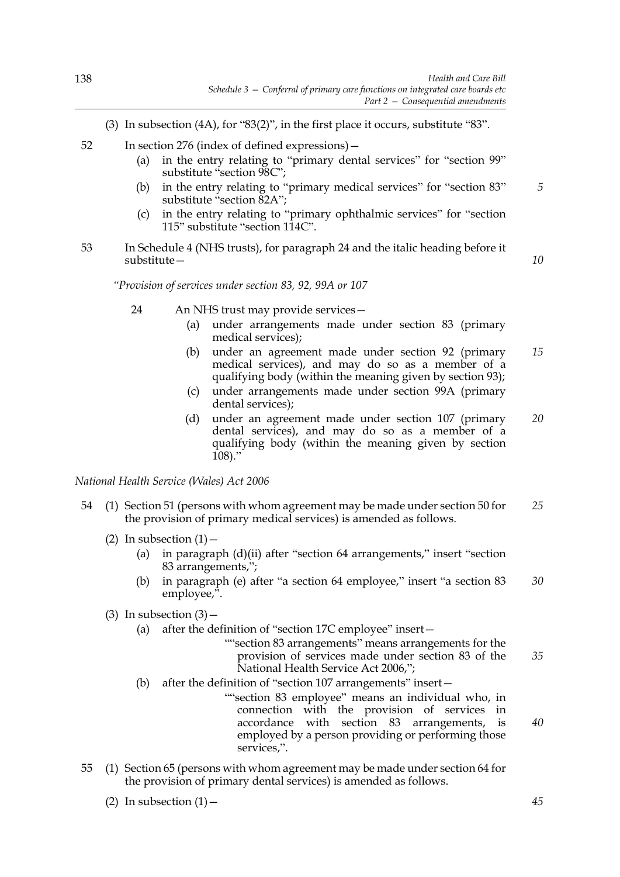- (3) In subsection (4A), for "83(2)", in the first place it occurs, substitute "83".
- 52 In section 276 (index of defined expressions)—
	- (a) in the entry relating to "primary dental services" for "section 99" substitute "section 98C";
	- (b) in the entry relating to "primary medical services" for "section 83" substitute "section 82A";
	- (c) in the entry relating to "primary ophthalmic services" for "section 115" substitute "section 114C".
- 53 In Schedule 4 (NHS trusts), for paragraph 24 and the italic heading before it substitute—

*10*

*5*

*"Provision of services under section 83, 92, 99A or 107*

- 24 An NHS trust may provide services—
	- (a) under arrangements made under section 83 (primary medical services);
	- (b) under an agreement made under section 92 (primary medical services), and may do so as a member of a qualifying body (within the meaning given by section 93); *15*
	- (c) under arrangements made under section 99A (primary dental services);
	- (d) under an agreement made under section 107 (primary dental services), and may do so as a member of a qualifying body (within the meaning given by section 108)." *20*

*National Health Service (Wales) Act 2006*

- 54 (1) Section 51 (persons with whom agreement may be made under section 50 for the provision of primary medical services) is amended as follows. *25*
	- (2) In subsection  $(1)$ 
		- (a) in paragraph (d)(ii) after "section 64 arrangements," insert "section 83 arrangements,";
		- (b) in paragraph (e) after "a section 64 employee," insert "a section 83 employee,". *30*
	- (3) In subsection  $(3)$ 
		- (a) after the definition of "section 17C employee" insert—

""section 83 arrangements" means arrangements for the provision of services made under section 83 of the National Health Service Act 2006,"; *35*

- (b) after the definition of "section 107 arrangements" insert—
	- ""section 83 employee" means an individual who, in connection with the provision of services in accordance with section 83 arrangements, is employed by a person providing or performing those services,".
- 55 (1) Section 65 (persons with whom agreement may be made under section 64 for the provision of primary dental services) is amended as follows.
	- (2) In subsection  $(1)$  –

*45*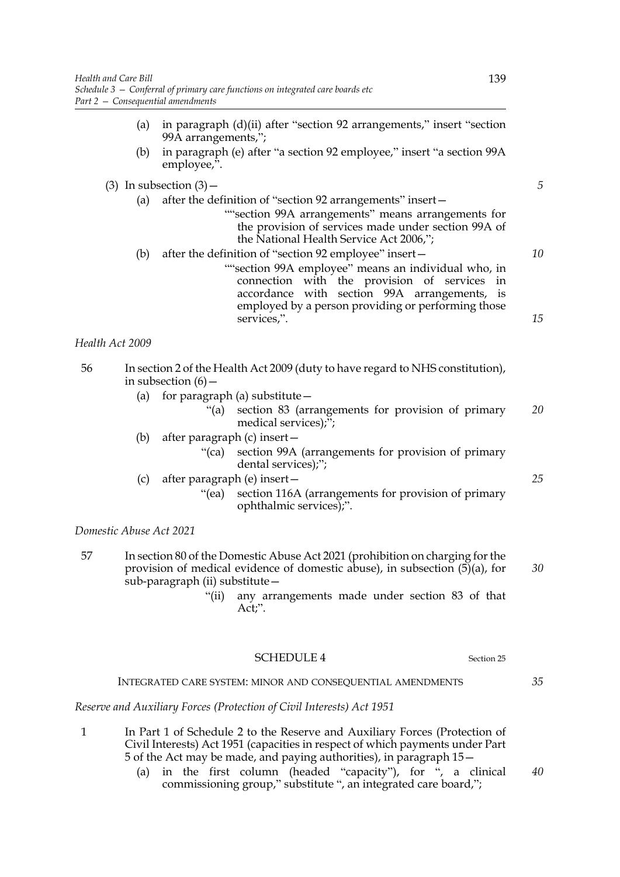- (a) in paragraph (d)(ii) after "section 92 arrangements," insert "section 99A arrangements,";
- (b) in paragraph (e) after "a section 92 employee," insert "a section 99A employee,".

| (a) | after the definition of "section 92 arrangements" insert –                                                                                                                                               |    |
|-----|----------------------------------------------------------------------------------------------------------------------------------------------------------------------------------------------------------|----|
|     | "section 99A arrangements" means arrangements for<br>the provision of services made under section 99A of<br>the National Health Service Act 2006,";                                                      |    |
| (b) | after the definition of "section 92 employee" insert -                                                                                                                                                   | 10 |
|     | "section 99A employee" means an individual who, in<br>connection with the provision of services in<br>accordance with section 99A arrangements, is<br>employed by a person providing or performing those |    |
|     | services,".                                                                                                                                                                                              | 15 |

- 56 In section 2 of the Health Act 2009 (duty to have regard to NHS constitution), in subsection  $(6)$  –
	- (a) for paragraph (a) substitute  $-$ 
		- "(a) section 83 (arrangements for provision of primary medical services);"; *20*
	- (b) after paragraph (c) insert—
		- "(ca) section 99A (arrangements for provision of primary dental services);";
	- (c) after paragraph (e) insert—
		- "(ea) section 116A (arrangements for provision of primary ophthalmic services);".

*Domestic Abuse Act 2021*

- 57 In section 80 of the Domestic Abuse Act 2021 (prohibition on charging for the provision of medical evidence of domestic abuse), in subsection  $(5)(a)$ , for sub-paragraph (ii) substitute— *30*
	- "(ii) any arrangements made under section 83 of that Act;".

Section 25

### INTEGRATED CARE SYSTEM: MINOR AND CONSEQUENTIAL AMENDMENTS

*Reserve and Auxiliary Forces (Protection of Civil Interests) Act 1951*

- 1 In Part 1 of Schedule 2 to the Reserve and Auxiliary Forces (Protection of Civil Interests) Act 1951 (capacities in respect of which payments under Part 5 of the Act may be made, and paying authorities), in paragraph 15—
	- (a) in the first column (headed "capacity"), for ", a clinical commissioning group," substitute ", an integrated care board,"; *40*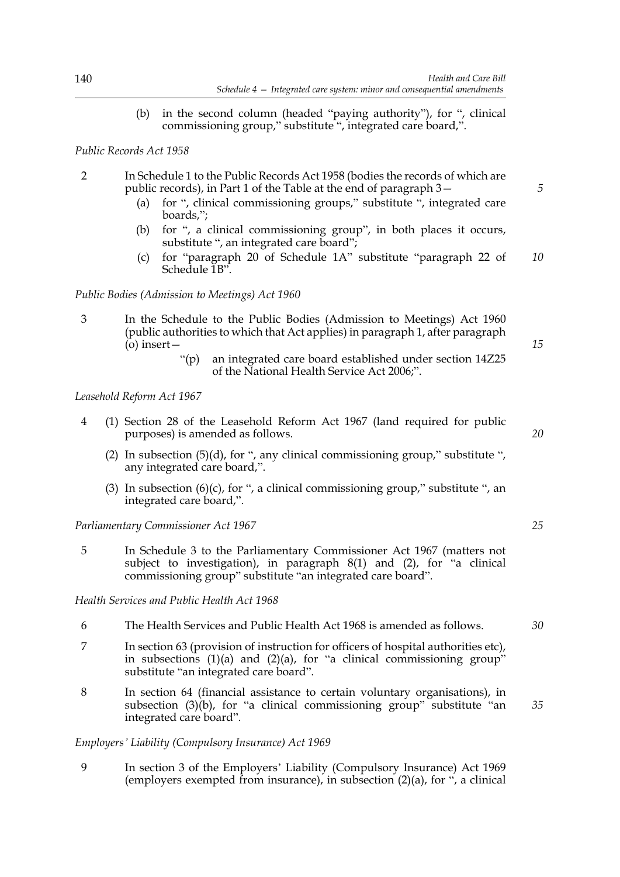(b) in the second column (headed "paying authority"), for ", clinical commissioning group," substitute ", integrated care board,".

### *Public Records Act 1958*

- 2 In Schedule 1 to the Public Records Act 1958 (bodies the records of which are public records), in Part 1 of the Table at the end of paragraph 3—
	- (a) for ", clinical commissioning groups," substitute ", integrated care boards,";
	- (b) for ", a clinical commissioning group", in both places it occurs, substitute ", an integrated care board";
	- (c) for "paragraph 20 of Schedule 1A" substitute "paragraph 22 of Schedule 1B". *10*

### *Public Bodies (Admission to Meetings) Act 1960*

- 3 In the Schedule to the Public Bodies (Admission to Meetings) Act 1960 (public authorities to which that Act applies) in paragraph 1, after paragraph (o) insert—
	- "(p) an integrated care board established under section 14Z25 of the National Health Service Act 2006;".

### *Leasehold Reform Act 1967*

- 4 (1) Section 28 of the Leasehold Reform Act 1967 (land required for public purposes) is amended as follows.
	- (2) In subsection (5)(d), for ", any clinical commissioning group," substitute ", any integrated care board,".
	- (3) In subsection  $(6)(c)$ , for ", a clinical commissioning group," substitute ", an integrated care board,".

*Parliamentary Commissioner Act 1967*

5 In Schedule 3 to the Parliamentary Commissioner Act 1967 (matters not subject to investigation), in paragraph 8(1) and (2), for "a clinical commissioning group" substitute "an integrated care board".

### *Health Services and Public Health Act 1968*

- 6 The Health Services and Public Health Act 1968 is amended as follows.
- 7 In section 63 (provision of instruction for officers of hospital authorities etc), in subsections  $(1)(a)$  and  $(2)(a)$ , for "a clinical commissioning group" substitute "an integrated care board".
- 8 In section 64 (financial assistance to certain voluntary organisations), in subsection  $(3)(b)$ , for "a clinical commissioning group" substitute "an integrated care board".

#### *Employers' Liability (Compulsory Insurance) Act 1969*

9 In section 3 of the Employers' Liability (Compulsory Insurance) Act 1969 (employers exempted from insurance), in subsection  $(2)(a)$ , for  $\cdot$ , a clinical

*20*

*15*

*5*

*25*

*35*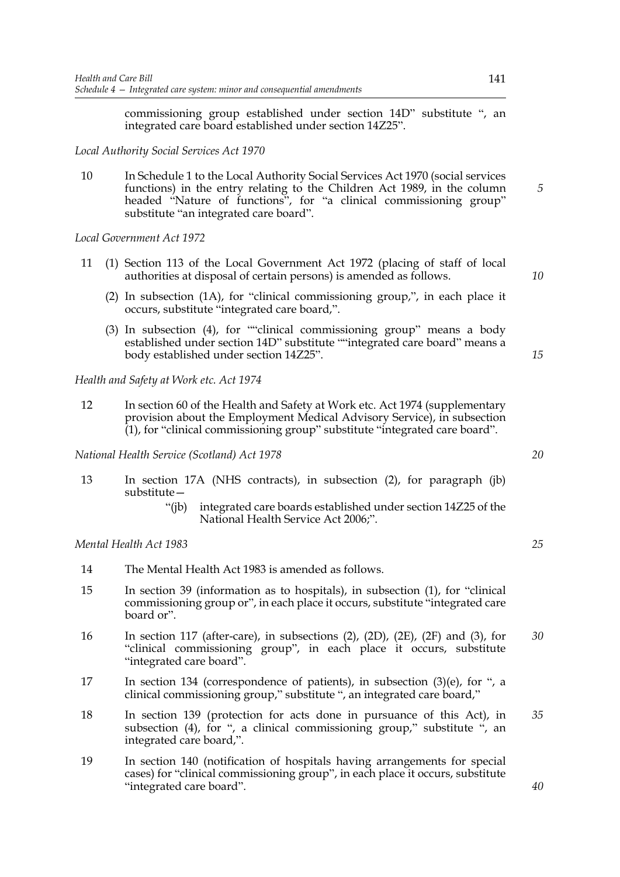commissioning group established under section 14D" substitute ", an integrated care board established under section 14Z25".

*Local Authority Social Services Act 1970* 

10 In Schedule 1 to the Local Authority Social Services Act 1970 (social services functions) in the entry relating to the Children Act 1989, in the column headed "Nature of functions", for "a clinical commissioning group" substitute "an integrated care board".

*Local Government Act 1972*

- 11 (1) Section 113 of the Local Government Act 1972 (placing of staff of local authorities at disposal of certain persons) is amended as follows.
	- (2) In subsection (1A), for "clinical commissioning group,", in each place it occurs, substitute "integrated care board,".
	- (3) In subsection (4), for ""clinical commissioning group" means a body established under section 14D" substitute ""integrated care board" means a body established under section 14Z25".

*Health and Safety at Work etc. Act 1974* 

12 In section 60 of the Health and Safety at Work etc. Act 1974 (supplementary provision about the Employment Medical Advisory Service), in subsection (1), for "clinical commissioning group" substitute "integrated care board".

*National Health Service (Scotland) Act 1978*

- 13 In section 17A (NHS contracts), in subsection (2), for paragraph (jb) substitute—
	- "(jb) integrated care boards established under section 14Z25 of the National Health Service Act 2006;".

*Mental Health Act 1983*

- 14 The Mental Health Act 1983 is amended as follows.
- 15 In section 39 (information as to hospitals), in subsection (1), for "clinical commissioning group or", in each place it occurs, substitute "integrated care board or".
- 16 In section 117 (after-care), in subsections (2), (2D), (2E), (2F) and (3), for "clinical commissioning group", in each place it occurs, substitute "integrated care board". *30*
- 17 In section 134 (correspondence of patients), in subsection (3)(e), for ", a clinical commissioning group," substitute ", an integrated care board,"
- 18 In section 139 (protection for acts done in pursuance of this Act), in subsection (4), for ", a clinical commissioning group," substitute ", an integrated care board,". *35*
- 19 In section 140 (notification of hospitals having arrangements for special cases) for "clinical commissioning group", in each place it occurs, substitute "integrated care board".

*20*

*5*

*10*

*15*

*25*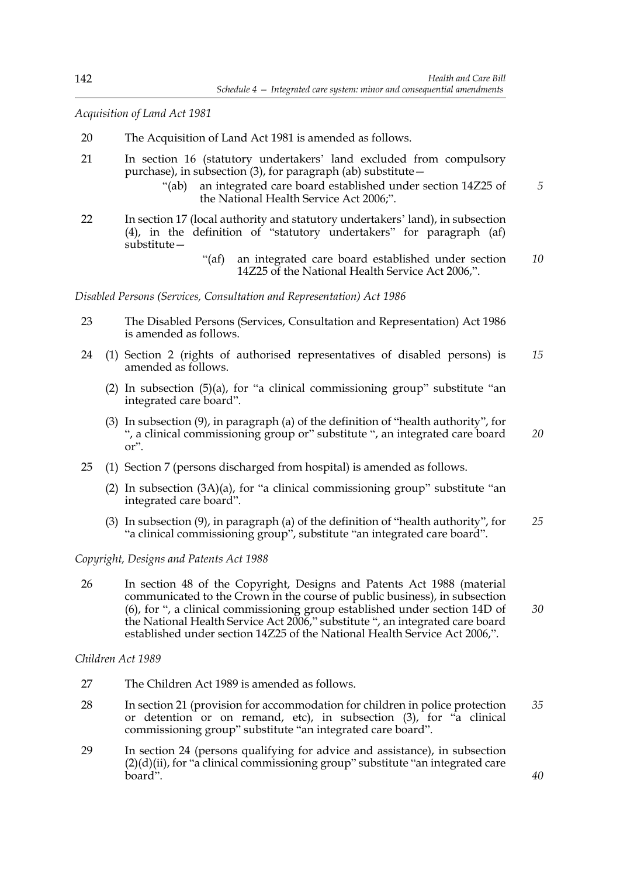*Acquisition of Land Act 1981*

- 20 The Acquisition of Land Act 1981 is amended as follows.
- 21 In section 16 (statutory undertakers' land excluded from compulsory purchase), in subsection (3), for paragraph (ab) substitute—
	- "(ab) an integrated care board established under section 14Z25 of the National Health Service Act 2006;". *5*
- 22 In section 17 (local authority and statutory undertakers' land), in subsection (4), in the definition of "statutory undertakers" for paragraph (af) substitute—
	- "(af) an integrated care board established under section 14Z25 of the National Health Service Act 2006,". *10*

*Disabled Persons (Services, Consultation and Representation) Act 1986*

- 23 The Disabled Persons (Services, Consultation and Representation) Act 1986 is amended as follows.
- 24 (1) Section 2 (rights of authorised representatives of disabled persons) is amended as follows. *15*
	- (2) In subsection  $(5)(a)$ , for "a clinical commissioning group" substitute "an integrated care board".
	- (3) In subsection (9), in paragraph (a) of the definition of "health authority", for ", a clinical commissioning group or" substitute ", an integrated care board or". *20*
- 25 (1) Section 7 (persons discharged from hospital) is amended as follows.
	- (2) In subsection  $(3A)(a)$ , for "a clinical commissioning group" substitute "an integrated care board".
	- (3) In subsection (9), in paragraph (a) of the definition of "health authority", for "a clinical commissioning group", substitute "an integrated care board". *25*

*30*

*40*

*Copyright, Designs and Patents Act 1988*

26 In section 48 of the Copyright, Designs and Patents Act 1988 (material communicated to the Crown in the course of public business), in subsection (6), for ", a clinical commissioning group established under section 14D of the National Health Service Act 2006," substitute ", an integrated care board established under section 14Z25 of the National Health Service Act 2006,".

*Children Act 1989* 

- 27 The Children Act 1989 is amended as follows.
- 28 In section 21 (provision for accommodation for children in police protection or detention or on remand, etc), in subsection (3), for "a clinical commissioning group" substitute "an integrated care board". *35*
- 29 In section 24 (persons qualifying for advice and assistance), in subsection  $(2)(d)(ii)$ , for "a clinical commissioning group" substitute "an integrated care board".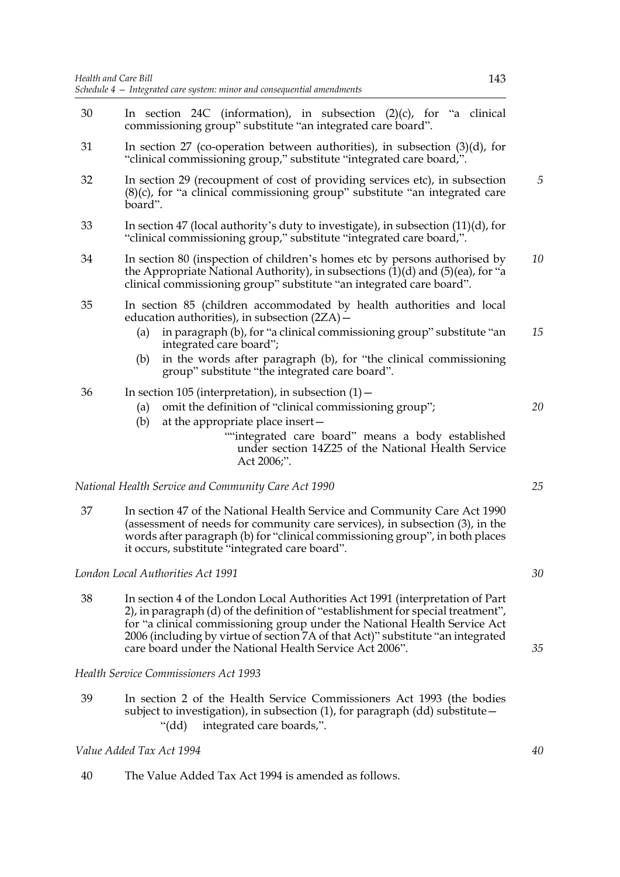- 30 In section 24C (information), in subsection (2)(c), for "a clinical commissioning group" substitute "an integrated care board". 31 In section 27 (co-operation between authorities), in subsection (3)(d), for "clinical commissioning group," substitute "integrated care board,". 32 In section 29 (recoupment of cost of providing services etc), in subsection (8)(c), for "a clinical commissioning group" substitute "an integrated care board". 33 In section 47 (local authority's duty to investigate), in subsection (11)(d), for "clinical commissioning group," substitute "integrated care board,". 34 In section 80 (inspection of children's homes etc by persons authorised by the Appropriate National Authority), in subsections (1)(d) and (5)(ea), for "a clinical commissioning group" substitute "an integrated care board". 35 In section 85 (children accommodated by health authorities and local education authorities), in subsection (2ZA)— (a) in paragraph (b), for "a clinical commissioning group" substitute "an integrated care board"; (b) in the words after paragraph (b), for "the clinical commissioning group" substitute "the integrated care board". 36 In section 105 (interpretation), in subsection (1)— (a) omit the definition of "clinical commissioning group"; (b) at the appropriate place insert— ""integrated care board" means a body established under section 14Z25 of the National Health Service Act 2006;". *National Health Service and Community Care Act 1990* 37 In section 47 of the National Health Service and Community Care Act 1990 (assessment of needs for community care services), in subsection (3), in the words after paragraph (b) for "clinical commissioning group", in both places it occurs, substitute "integrated care board". *London Local Authorities Act 1991 5 10 15 20 25 30*
- 38 In section 4 of the London Local Authorities Act 1991 (interpretation of Part 2), in paragraph (d) of the definition of "establishment for special treatment", for "a clinical commissioning group under the National Health Service Act 2006 (including by virtue of section 7A of that Act)" substitute "an integrated care board under the National Health Service Act 2006".

*Health Service Commissioners Act 1993*

39 In section 2 of the Health Service Commissioners Act 1993 (the bodies subject to investigation), in subsection (1), for paragraph (dd) substitute— "(dd) integrated care boards,".

*Value Added Tax Act 1994*

40 The Value Added Tax Act 1994 is amended as follows.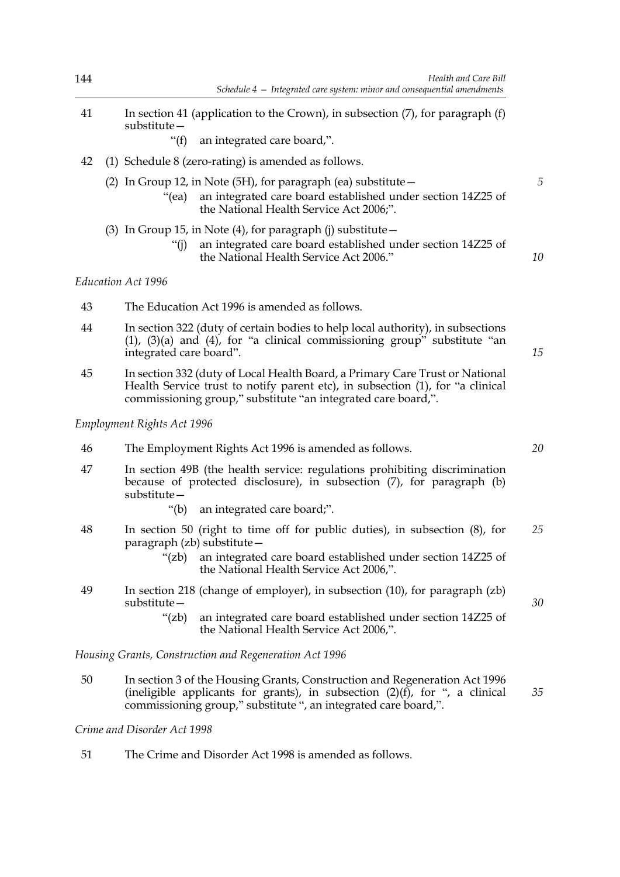- 41 In section 41 (application to the Crown), in subsection (7), for paragraph (f) substitute—
	- "(f) an integrated care board,".
- 42 (1) Schedule 8 (zero-rating) is amended as follows.
	- (2) In Group 12, in Note (5H), for paragraph (ea) substitute  $-$ 
		- "(ea) an integrated care board established under section 14Z25 of the National Health Service Act 2006;".

### (3) In Group 15, in Note  $(4)$ , for paragraph (j) substitute  $-$

"(j) an integrated care board established under section 14Z25 of the National Health Service Act 2006."

### *Education Act 1996*

- 43 The Education Act 1996 is amended as follows.
- 44 In section 322 (duty of certain bodies to help local authority), in subsections  $(1)$ ,  $(3)(a)$  and  $(4)$ , for "a clinical commissioning group" substitute "an integrated care board".
- 45 In section 332 (duty of Local Health Board, a Primary Care Trust or National Health Service trust to notify parent etc), in subsection (1), for "a clinical commissioning group," substitute "an integrated care board,".

### *Employment Rights Act 1996*

- 46 The Employment Rights Act 1996 is amended as follows.
- 47 In section 49B (the health service: regulations prohibiting discrimination because of protected disclosure), in subsection (7), for paragraph (b) substitute—
	- "(b) an integrated care board;".
- 48 In section 50 (right to time off for public duties), in subsection (8), for paragraph (zb) substitute— *25*
	- "(zb) an integrated care board established under section 14Z25 of the National Health Service Act 2006,".
- 49 In section 218 (change of employer), in subsection (10), for paragraph (zb) substitute—
	- "(zb) an integrated care board established under section 14Z25 of the National Health Service Act 2006,".

*Housing Grants, Construction and Regeneration Act 1996*

50 In section 3 of the Housing Grants, Construction and Regeneration Act 1996 (ineligible applicants for grants), in subsection  $(2)(f)$ , for ", a clinical commissioning group," substitute ", an integrated care board,".

*Crime and Disorder Act 1998*

51 The Crime and Disorder Act 1998 is amended as follows.

*20*

*5*

*10*

*15*

*35*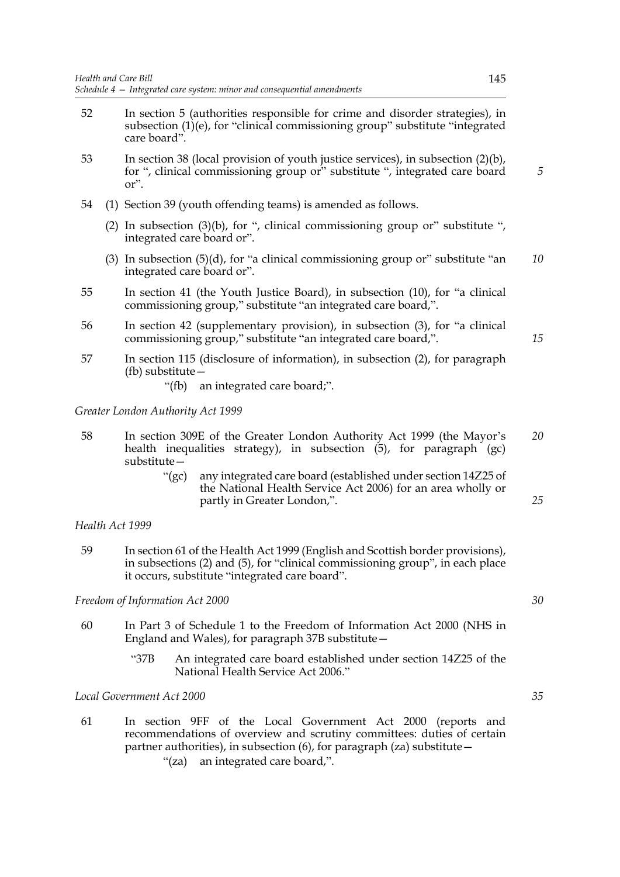- 52 In section 5 (authorities responsible for crime and disorder strategies), in subsection (1)(e), for "clinical commissioning group" substitute "integrated care board".
- 53 In section 38 (local provision of youth justice services), in subsection (2)(b), for ", clinical commissioning group or" substitute ", integrated care board or".
- 54 (1) Section 39 (youth offending teams) is amended as follows.
	- (2) In subsection (3)(b), for ", clinical commissioning group or" substitute ", integrated care board or".
	- (3) In subsection  $(5)(d)$ , for "a clinical commissioning group or" substitute "an integrated care board or". *10*
- 55 In section 41 (the Youth Justice Board), in subsection (10), for "a clinical commissioning group," substitute "an integrated care board,".
- 56 In section 42 (supplementary provision), in subsection (3), for "a clinical commissioning group," substitute "an integrated care board,".
- 57 In section 115 (disclosure of information), in subsection (2), for paragraph (fb) substitute—
	- "(fb) an integrated care board;".

#### *Greater London Authority Act 1999*

- 58 In section 309E of the Greater London Authority Act 1999 (the Mayor's health inequalities strategy), in subsection  $(5)$ , for paragraph  $(gc)$ substitute— *20*
	- "(gc) any integrated care board (established under section 14Z25 of the National Health Service Act 2006) for an area wholly or partly in Greater London,".

#### *Health Act 1999*

59 In section 61 of the Health Act 1999 (English and Scottish border provisions), in subsections (2) and (5), for "clinical commissioning group", in each place it occurs, substitute "integrated care board".

#### *Freedom of Information Act 2000*

- 60 In Part 3 of Schedule 1 to the Freedom of Information Act 2000 (NHS in England and Wales), for paragraph 37B substitute—
	- "37B An integrated care board established under section 14Z25 of the National Health Service Act 2006."

*Local Government Act 2000*

61 In section 9FF of the Local Government Act 2000 (reports and recommendations of overview and scrutiny committees: duties of certain partner authorities), in subsection (6), for paragraph (za) substitute— "(za) an integrated care board,".

*5*

*15*

*30*

*25*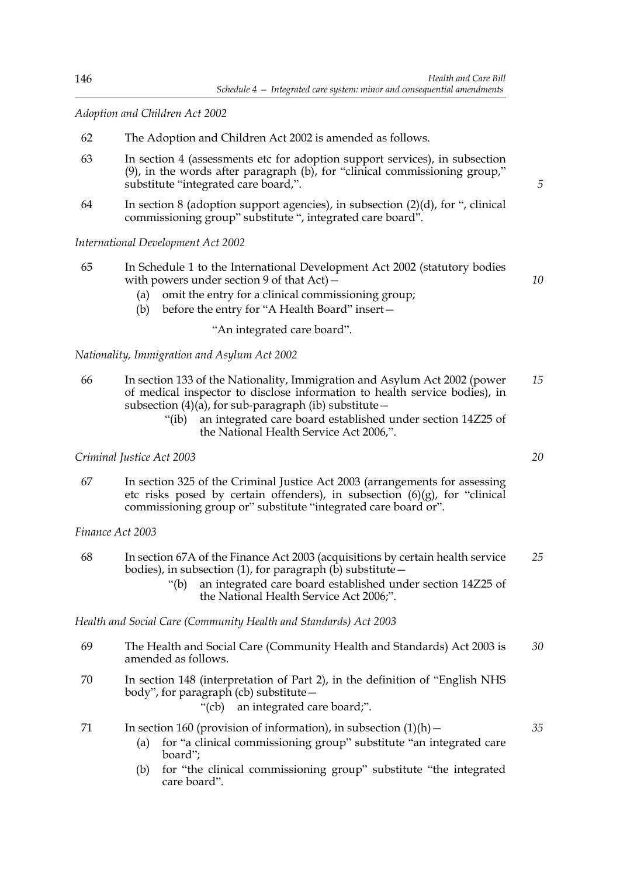*Adoption and Children Act 2002*

- 62 The Adoption and Children Act 2002 is amended as follows.
- 63 In section 4 (assessments etc for adoption support services), in subsection (9), in the words after paragraph (b), for "clinical commissioning group," substitute "integrated care board,".
- 64 In section 8 (adoption support agencies), in subsection  $(2)(d)$ , for ", clinical commissioning group" substitute ", integrated care board".

*International Development Act 2002*

- 65 In Schedule 1 to the International Development Act 2002 (statutory bodies with powers under section 9 of that  $Act)$  –
	- (a) omit the entry for a clinical commissioning group;
	- (b) before the entry for "A Health Board" insert—

"An integrated care board".

*Nationality, Immigration and Asylum Act 2002*

- 66 In section 133 of the Nationality, Immigration and Asylum Act 2002 (power of medical inspector to disclose information to health service bodies), in subsection  $(4)(\hat{a})$ , for sub-paragraph (ib) substitute – *15*
	- "(ib) an integrated care board established under section 14Z25 of the National Health Service Act 2006,".

*Criminal Justice Act 2003*

67 In section 325 of the Criminal Justice Act 2003 (arrangements for assessing etc risks posed by certain offenders), in subsection (6)(g), for "clinical commissioning group or" substitute "integrated care board or".

*Finance Act 2003*

- 68 In section 67A of the Finance Act 2003 (acquisitions by certain health service bodies), in subsection (1), for paragraph (b) substitute— *25*
	- "(b) an integrated care board established under section 14Z25 of the National Health Service Act 2006;".

*Health and Social Care (Community Health and Standards) Act 2003*

- 69 The Health and Social Care (Community Health and Standards) Act 2003 is amended as follows. *30*
- 70 In section 148 (interpretation of Part 2), in the definition of "English NHS body", for paragraph (cb) substitute—
	- "(cb) an integrated care board;".

71 In section 160 (provision of information), in subsection  $(1)(h)$  -

- (a) for "a clinical commissioning group" substitute "an integrated care board";
- (b) for "the clinical commissioning group" substitute "the integrated care board".

*20*

*35*

*5*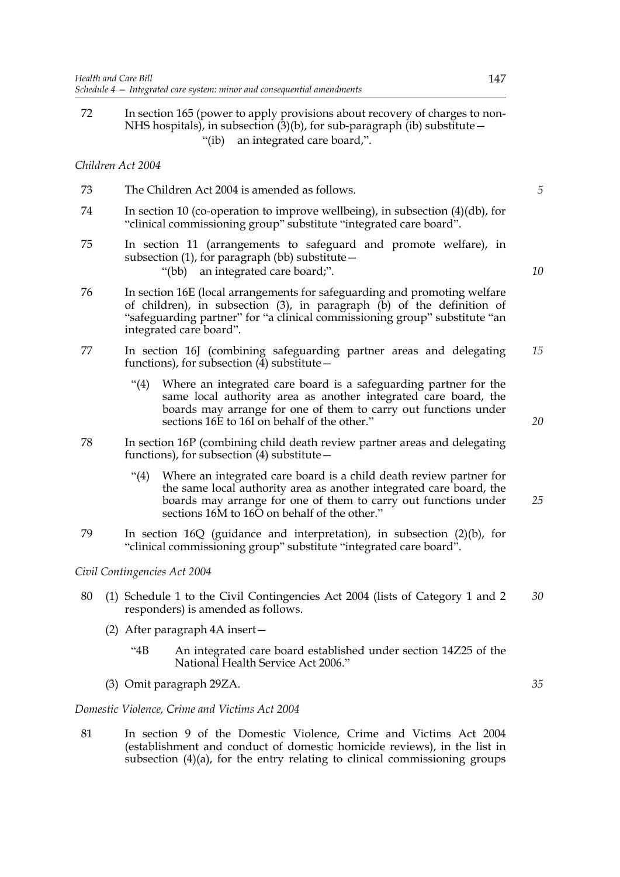72 In section 165 (power to apply provisions about recovery of charges to non-NHS hospitals), in subsection  $(3)(b)$ , for sub-paragraph (ib) substitute – "(ib) an integrated care board,".

### *Children Act 2004*

- 73 The Children Act 2004 is amended as follows. 74 In section 10 (co-operation to improve wellbeing), in subsection (4)(db), for
- "clinical commissioning group" substitute "integrated care board". 75 In section 11 (arrangements to safeguard and promote welfare), in
- subsection (1), for paragraph (bb) substitute $-$ "(bb) an integrated care board;".
- 76 In section 16E (local arrangements for safeguarding and promoting welfare of children), in subsection  $(3)$ , in paragraph  $(b)$  of the definition of "safeguarding partner" for "a clinical commissioning group" substitute "an integrated care board".
- 77 In section 16J (combining safeguarding partner areas and delegating functions), for subsection  $\left(\frac{3}{4}\right)$  substitute – *15*
	- "(4) Where an integrated care board is a safeguarding partner for the same local authority area as another integrated care board, the boards may arrange for one of them to carry out functions under sections 16E to 16I on behalf of the other."
- 78 In section 16P (combining child death review partner areas and delegating functions), for subsection  $(4)$  substitute –
	- "(4) Where an integrated care board is a child death review partner for the same local authority area as another integrated care board, the boards may arrange for one of them to carry out functions under sections 16M to 16O on behalf of the other." *25*
- 79 In section 16Q (guidance and interpretation), in subsection (2)(b), for "clinical commissioning group" substitute "integrated care board".

### *Civil Contingencies Act 2004*

- 80 (1) Schedule 1 to the Civil Contingencies Act 2004 (lists of Category 1 and 2 responders) is amended as follows. *30*
	- (2) After paragraph 4A insert—
		- "4B An integrated care board established under section 14Z25 of the National Health Service Act 2006."
	- (3) Omit paragraph 29ZA.

### *Domestic Violence, Crime and Victims Act 2004*

81 In section 9 of the Domestic Violence, Crime and Victims Act 2004 (establishment and conduct of domestic homicide reviews), in the list in subsection  $(4)(a)$ , for the entry relating to clinical commissioning groups

*35*

*10*

*5*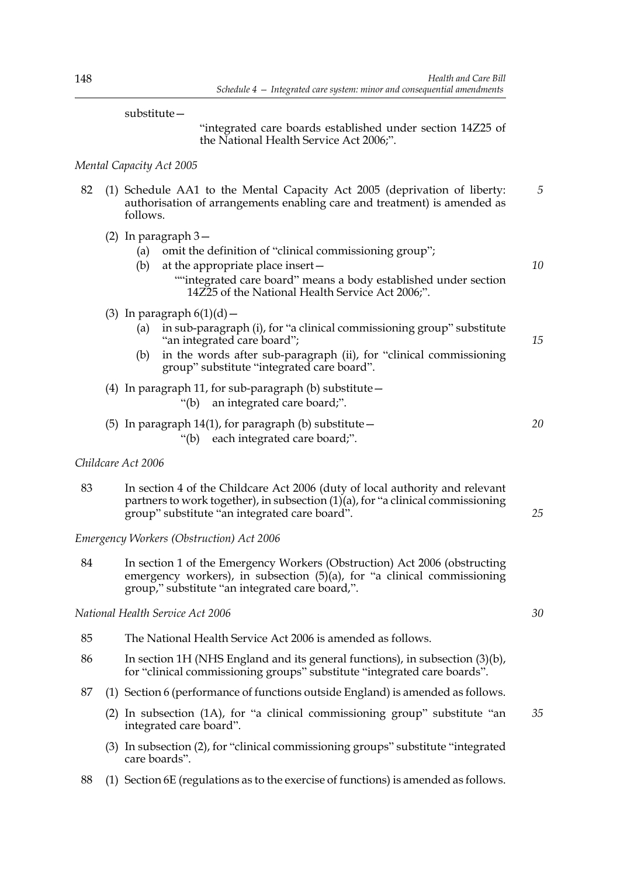#### substitute—

 "integrated care boards established under section 14Z25 of the National Health Service Act 2006;".

### *Mental Capacity Act 2005*

- 82 (1) Schedule AA1 to the Mental Capacity Act 2005 (deprivation of liberty: authorisation of arrangements enabling care and treatment) is amended as follows. *5*
	- (2) In paragraph 3—
		- (a) omit the definition of "clinical commissioning group";
		- (b) at the appropriate place insert— ""integrated care board" means a body established under section 14Z25 of the National Health Service Act 2006;".

### (3) In paragraph  $6(1)(d)$  -

- (a) in sub-paragraph (i), for "a clinical commissioning group" substitute "an integrated care board";
- (b) in the words after sub-paragraph (ii), for "clinical commissioning group" substitute "integrated care board".
- (4) In paragraph 11, for sub-paragraph (b) substitute  $-$ 
	- "(b) an integrated care board;".
- (5) In paragraph 14(1), for paragraph (b) substitute— "(b) each integrated care board;".

### *Childcare Act 2006*

83 In section 4 of the Childcare Act 2006 (duty of local authority and relevant partners to work together), in subsection  $(1)(a)$ , for "a clinical commissioning group" substitute "an integrated care board".

*Emergency Workers (Obstruction) Act 2006* 

84 In section 1 of the Emergency Workers (Obstruction) Act 2006 (obstructing emergency workers), in subsection  $(5)(a)$ , for "a clinical commissioning group," substitute "an integrated care board,".

*National Health Service Act 2006*

- 85 The National Health Service Act 2006 is amended as follows.
- 86 In section 1H (NHS England and its general functions), in subsection (3)(b), for "clinical commissioning groups" substitute "integrated care boards".
- 87 (1) Section 6 (performance of functions outside England) is amended as follows.
	- (2) In subsection (1A), for "a clinical commissioning group" substitute "an integrated care board". *35*
	- (3) In subsection (2), for "clinical commissioning groups" substitute "integrated care boards".
- 88 (1) Section 6E (regulations as to the exercise of functions) is amended as follows.

*30*

*10*

*15*

*20*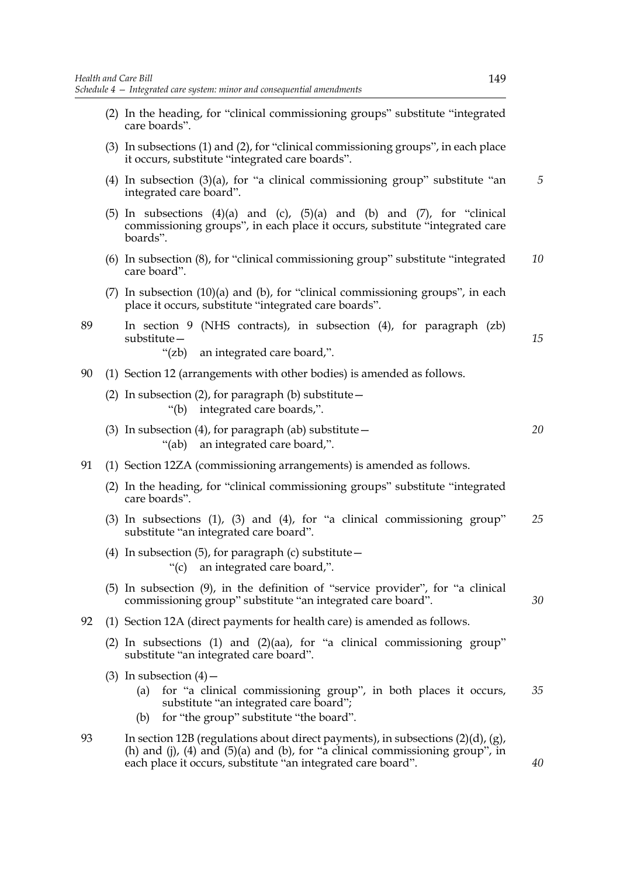- (2) In the heading, for "clinical commissioning groups" substitute "integrated care boards".
- (3) In subsections (1) and (2), for "clinical commissioning groups", in each place it occurs, substitute "integrated care boards".
- (4) In subsection (3)(a), for "a clinical commissioning group" substitute "an integrated care board". *5*
- (5) In subsections  $(4)(a)$  and  $(c)$ ,  $(5)(a)$  and  $(b)$  and  $(7)$ , for "clinical commissioning groups", in each place it occurs, substitute "integrated care boards".
- (6) In subsection (8), for "clinical commissioning group" substitute "integrated care board". *10*
- (7) In subsection (10)(a) and (b), for "clinical commissioning groups", in each place it occurs, substitute "integrated care boards".
- 89 In section 9 (NHS contracts), in subsection (4), for paragraph (zb) substitute— "(zb) an integrated care board,".
- 90 (1) Section 12 (arrangements with other bodies) is amended as follows.
	- (2) In subsection (2), for paragraph (b) substitute  $-$ "(b) integrated care boards,".
	- (3) In subsection (4), for paragraph (ab) substitute  $-$ "(ab) an integrated care board,". *20*
- 91 (1) Section 12ZA (commissioning arrangements) is amended as follows.
	- (2) In the heading, for "clinical commissioning groups" substitute "integrated care boards".
	- (3) In subsections (1), (3) and (4), for "a clinical commissioning group" substitute "an integrated care board". *25*
	- (4) In subsection (5), for paragraph (c) substitute  $-$ "(c) an integrated care board,".
	- (5) In subsection (9), in the definition of "service provider", for "a clinical commissioning group" substitute "an integrated care board".
- 92 (1) Section 12A (direct payments for health care) is amended as follows.
	- (2) In subsections (1) and (2)(aa), for "a clinical commissioning group" substitute "an integrated care board".
	- (3) In subsection  $(4)$ 
		- (a) for "a clinical commissioning group", in both places it occurs, substitute "an integrated care board"; *35*
		- (b) for "the group" substitute "the board".
- 93 In section 12B (regulations about direct payments), in subsections (2)(d), (g), (h) and (j), (4) and (5)(a) and (b), for "a clinical commissioning group", in each place it occurs, substitute "an integrated care board".

*30*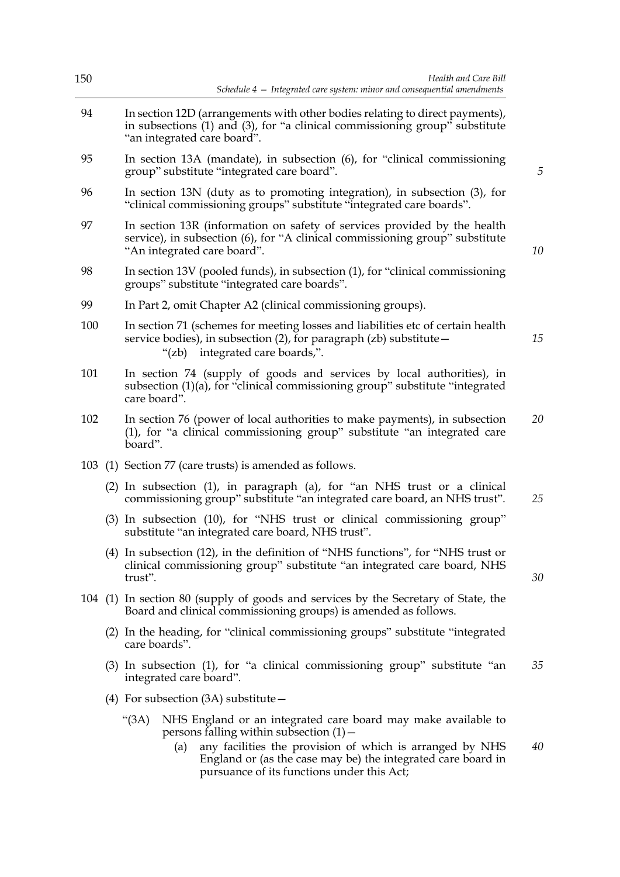| 150 | Health and Care Bill<br>Schedule 4 - Integrated care system: minor and consequential amendments                                                                                                                                                                                                      |    |  |  |
|-----|------------------------------------------------------------------------------------------------------------------------------------------------------------------------------------------------------------------------------------------------------------------------------------------------------|----|--|--|
| 94  | In section 12D (arrangements with other bodies relating to direct payments),<br>in subsections (1) and (3), for "a clinical commissioning group" substitute<br>"an integrated care board".                                                                                                           |    |  |  |
| 95  | In section 13A (mandate), in subsection (6), for "clinical commissioning<br>group" substitute "integrated care board".                                                                                                                                                                               | 5  |  |  |
| 96  | In section 13N (duty as to promoting integration), in subsection (3), for<br>"clinical commissioning groups" substitute "integrated care boards".                                                                                                                                                    |    |  |  |
| 97  | In section 13R (information on safety of services provided by the health<br>service), in subsection (6), for "A clinical commissioning group" substitute<br>"An integrated care board".                                                                                                              | 10 |  |  |
| 98  | In section 13V (pooled funds), in subsection (1), for "clinical commissioning<br>groups" substitute "integrated care boards".                                                                                                                                                                        |    |  |  |
| 99  | In Part 2, omit Chapter A2 (clinical commissioning groups).                                                                                                                                                                                                                                          |    |  |  |
| 100 | In section 71 (schemes for meeting losses and liabilities etc of certain health<br>service bodies), in subsection (2), for paragraph (zb) substitute -<br>integrated care boards,".<br>" $(zb)$                                                                                                      | 15 |  |  |
| 101 | In section 74 (supply of goods and services by local authorities), in<br>subsection (1)(a), for "clinical commissioning group" substitute "integrated<br>care board".                                                                                                                                |    |  |  |
| 102 | In section 76 (power of local authorities to make payments), in subsection<br>(1), for "a clinical commissioning group" substitute "an integrated care<br>board".                                                                                                                                    | 20 |  |  |
|     | 103 (1) Section 77 (care trusts) is amended as follows.                                                                                                                                                                                                                                              |    |  |  |
|     | (2) In subsection (1), in paragraph (a), for "an NHS trust or a clinical<br>commissioning group" substitute "an integrated care board, an NHS trust".                                                                                                                                                | 25 |  |  |
|     | (3) In subsection (10), for "NHS trust or clinical commissioning group"<br>substitute "an integrated care board, NHS trust".                                                                                                                                                                         |    |  |  |
|     | (4) In subsection (12), in the definition of "NHS functions", for "NHS trust or<br>clinical commissioning group" substitute "an integrated care board, NHS<br>trust".                                                                                                                                | 30 |  |  |
|     | 104 (1) In section 80 (supply of goods and services by the Secretary of State, the<br>Board and clinical commissioning groups) is amended as follows.                                                                                                                                                |    |  |  |
|     | (2) In the heading, for "clinical commissioning groups" substitute "integrated"<br>care boards".                                                                                                                                                                                                     |    |  |  |
|     | (3) In subsection (1), for "a clinical commissioning group" substitute "an<br>integrated care board".                                                                                                                                                                                                | 35 |  |  |
|     | (4) For subsection $(3A)$ substitute $-$                                                                                                                                                                                                                                                             |    |  |  |
|     | "(3A)<br>NHS England or an integrated care board may make available to<br>persons falling within subsection $(1)$ –<br>any facilities the provision of which is arranged by NHS<br>(a)<br>England or (as the case may be) the integrated care board in<br>pursuance of its functions under this Act; | 40 |  |  |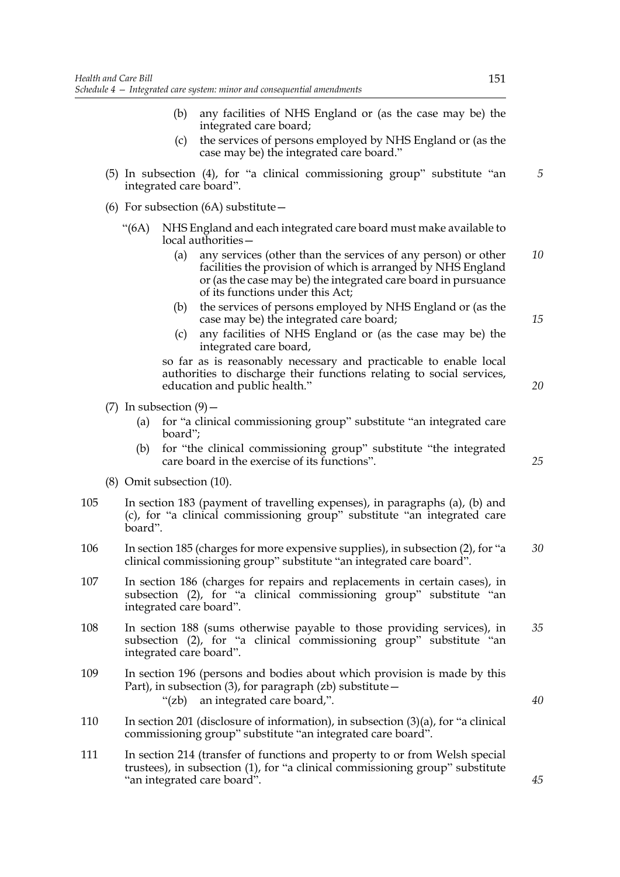- (b) any facilities of NHS England or (as the case may be) the integrated care board;
- (c) the services of persons employed by NHS England or (as the case may be) the integrated care board."
- (5) In subsection (4), for "a clinical commissioning group" substitute "an integrated care board".
- (6) For subsection  $(6A)$  substitute  $-$ 
	- "(6A) NHS England and each integrated care board must make available to local authorities—
		- (a) any services (other than the services of any person) or other facilities the provision of which is arranged by NHS England or (as the case may be) the integrated care board in pursuance of its functions under this Act; *10*
		- (b) the services of persons employed by NHS England or (as the case may be) the integrated care board;
		- (c) any facilities of NHS England or (as the case may be) the integrated care board,

so far as is reasonably necessary and practicable to enable local authorities to discharge their functions relating to social services, education and public health."

- (7) In subsection  $(9)$ 
	- (a) for "a clinical commissioning group" substitute "an integrated care board";
	- (b) for "the clinical commissioning group" substitute "the integrated care board in the exercise of its functions".
- (8) Omit subsection (10).
- 105 In section 183 (payment of travelling expenses), in paragraphs (a), (b) and (c), for "a clinical commissioning group" substitute "an integrated care board".
- 106 In section 185 (charges for more expensive supplies), in subsection (2), for "a clinical commissioning group" substitute "an integrated care board". *30*
- 107 In section 186 (charges for repairs and replacements in certain cases), in subsection (2), for "a clinical commissioning group" substitute "an integrated care board".
- 108 In section 188 (sums otherwise payable to those providing services), in subsection (2), for "a clinical commissioning group" substitute "an integrated care board". *35*
- 109 In section 196 (persons and bodies about which provision is made by this Part), in subsection  $(3)$ , for paragraph  $(zb)$  substitute – "(zb) an integrated care board,".
- 110 In section 201 (disclosure of information), in subsection (3)(a), for "a clinical commissioning group" substitute "an integrated care board".
- 111 In section 214 (transfer of functions and property to or from Welsh special trustees), in subsection (1), for "a clinical commissioning group" substitute "an integrated care board".

*15*

*20*

*5*

*25*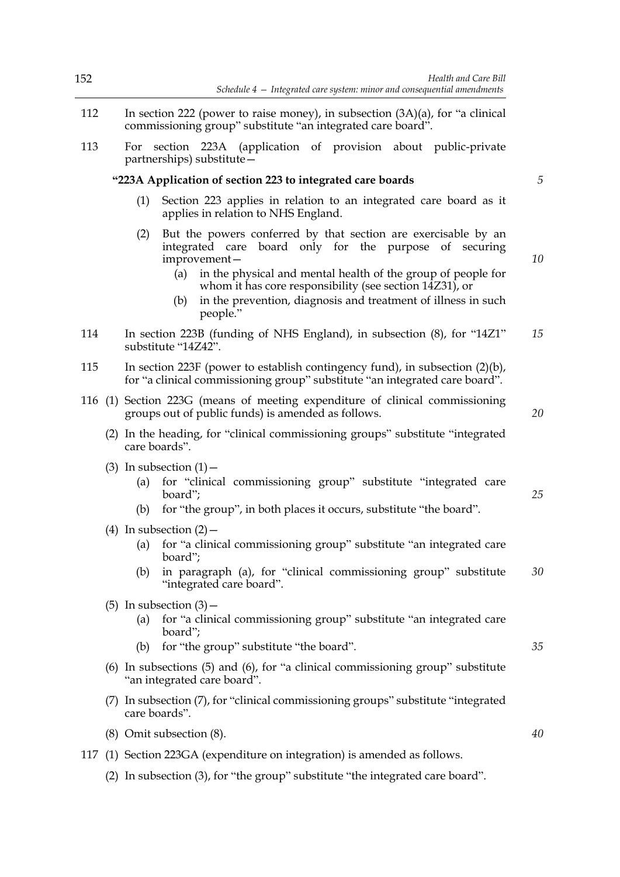| 152 | Health and Care Bill<br>Schedule $4$ - Integrated care system: minor and consequential amendments                                                                                                                                                                                                                                                                        |    |
|-----|--------------------------------------------------------------------------------------------------------------------------------------------------------------------------------------------------------------------------------------------------------------------------------------------------------------------------------------------------------------------------|----|
| 112 | In section 222 (power to raise money), in subsection $(3A)(a)$ , for "a clinical<br>commissioning group" substitute "an integrated care board".                                                                                                                                                                                                                          |    |
| 113 | section 223A (application of provision about public-private<br>For<br>partnerships) substitute -                                                                                                                                                                                                                                                                         |    |
|     | "223A Application of section 223 to integrated care boards                                                                                                                                                                                                                                                                                                               | 5  |
|     | (1)<br>Section 223 applies in relation to an integrated care board as it<br>applies in relation to NHS England.                                                                                                                                                                                                                                                          |    |
|     | But the powers conferred by that section are exercisable by an<br>(2)<br>integrated care board only for the purpose<br>of securing<br>improvement-<br>in the physical and mental health of the group of people for<br>(a)<br>whom it has core responsibility (see section 14Z31), or<br>in the prevention, diagnosis and treatment of illness in such<br>(b)<br>people." | 10 |
| 114 | In section 223B (funding of NHS England), in subsection (8), for "14Z1"<br>substitute "14Z42".                                                                                                                                                                                                                                                                           | 15 |
| 115 | In section 223F (power to establish contingency fund), in subsection $(2)(b)$ ,<br>for "a clinical commissioning group" substitute "an integrated care board".                                                                                                                                                                                                           |    |
|     | 116 (1) Section 223G (means of meeting expenditure of clinical commissioning<br>groups out of public funds) is amended as follows.                                                                                                                                                                                                                                       | 20 |
|     | (2) In the heading, for "clinical commissioning groups" substitute "integrated"<br>care boards".                                                                                                                                                                                                                                                                         |    |
|     | (3) In subsection $(1)$ –<br>for "clinical commissioning group" substitute "integrated care<br>(a)<br>board";<br>for "the group", in both places it occurs, substitute "the board".<br>(b)                                                                                                                                                                               | 25 |
|     | (4) In subsection $(2)$ –<br>for "a clinical commissioning group" substitute "an integrated care<br>(a)<br>board";<br>in paragraph (a), for "clinical commissioning group" substitute<br>(b)<br>"integrated care board".                                                                                                                                                 | 30 |
|     | $(5)$ In subsection $(3)$ –<br>for "a clinical commissioning group" substitute "an integrated care<br>(a)<br>board";<br>for "the group" substitute "the board".<br>(b)                                                                                                                                                                                                   | 35 |
|     | (6) In subsections (5) and (6), for "a clinical commissioning group" substitute<br>"an integrated care board".                                                                                                                                                                                                                                                           |    |
|     | (7) In subsection (7), for "clinical commissioning groups" substitute "integrated<br>care boards".                                                                                                                                                                                                                                                                       |    |
|     | (8) Omit subsection (8).                                                                                                                                                                                                                                                                                                                                                 | 40 |
| 117 | (1) Section 223GA (expenditure on integration) is amended as follows.                                                                                                                                                                                                                                                                                                    |    |
|     | In subsection (3), for "the group" substitute "the integrated care board".<br>(2)                                                                                                                                                                                                                                                                                        |    |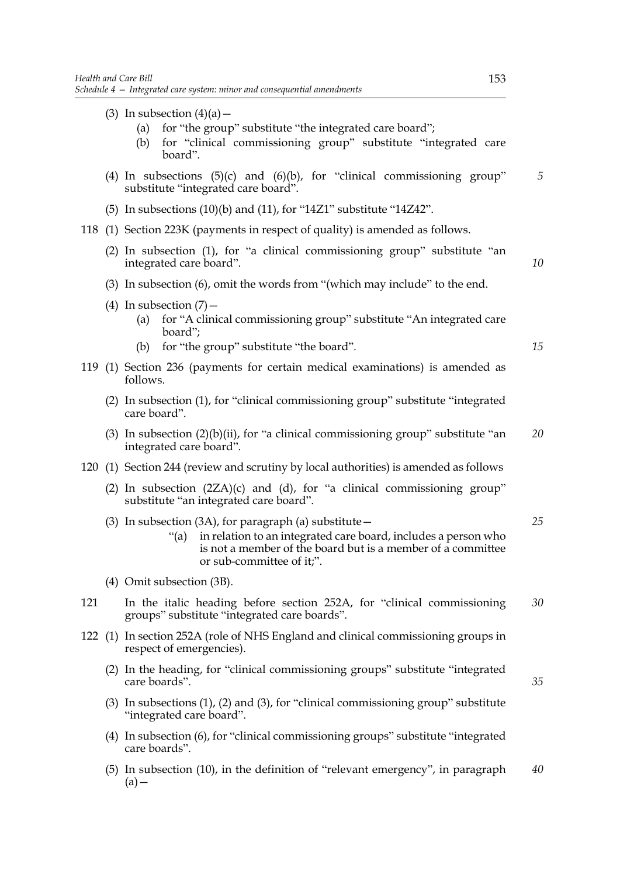(3) In subsection  $(4)(a)$  –

(a) for "the group" substitute "the integrated care board"; (b) for "clinical commissioning group" substitute "integrated care board". (4) In subsections  $(5)(c)$  and  $(6)(b)$ , for "clinical commissioning group" substitute "integrated care board". (5) In subsections  $(10)(b)$  and  $(11)$ , for "14Z1" substitute "14Z42". 118 (1) Section 223K (payments in respect of quality) is amended as follows. (2) In subsection (1), for "a clinical commissioning group" substitute "an integrated care board". (3) In subsection (6), omit the words from "(which may include" to the end. (4) In subsection  $(7)$  -(a) for "A clinical commissioning group" substitute "An integrated care board";

- (b) for "the group" substitute "the board".
- 119 (1) Section 236 (payments for certain medical examinations) is amended as follows.
	- (2) In subsection (1), for "clinical commissioning group" substitute "integrated care board".
	- (3) In subsection  $(2)(b)(ii)$ , for "a clinical commissioning group" substitute "an integrated care board". *20*
- 120 (1) Section 244 (review and scrutiny by local authorities) is amended as follows
	- (2) In subsection  $(2ZA)(c)$  and (d), for "a clinical commissioning group" substitute "an integrated care board".
	- (3) In subsection (3A), for paragraph (a) substitute  $-$ "(a) in relation to an integrated care board, includes a person who *25*
		- is not a member of the board but is a member of a committee or sub-committee of it;".
	- (4) Omit subsection (3B).
- 121 In the italic heading before section 252A, for "clinical commissioning groups" substitute "integrated care boards". *30*
- 122 (1) In section 252A (role of NHS England and clinical commissioning groups in respect of emergencies).
	- (2) In the heading, for "clinical commissioning groups" substitute "integrated care boards".
	- (3) In subsections (1), (2) and (3), for "clinical commissioning group" substitute "integrated care board".
	- (4) In subsection (6), for "clinical commissioning groups" substitute "integrated care boards".
	- (5) In subsection (10), in the definition of "relevant emergency", in paragraph  $(a)$ *40*

*5*

*10*

*15*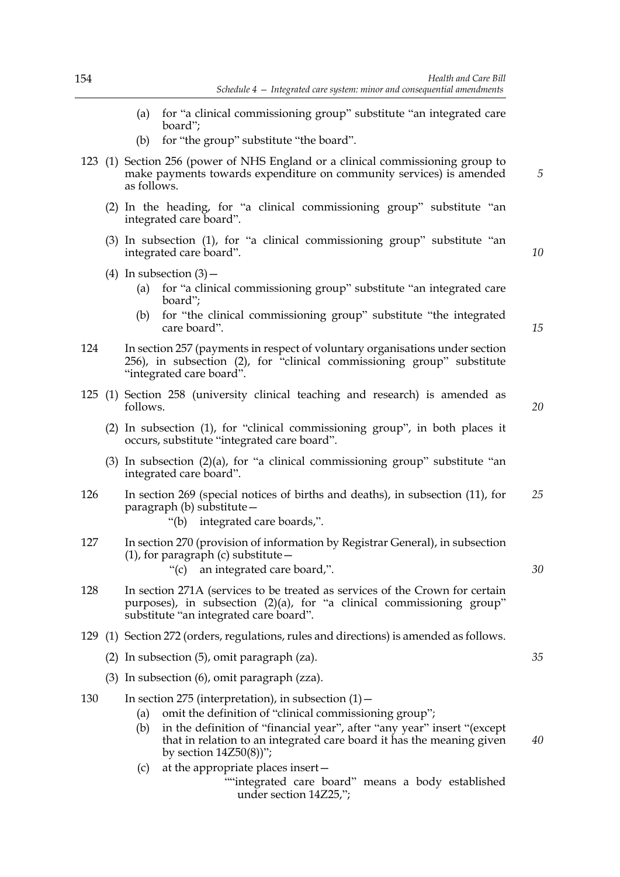- (a) for "a clinical commissioning group" substitute "an integrated care board";
- (b) for "the group" substitute "the board".
- 123 (1) Section 256 (power of NHS England or a clinical commissioning group to make payments towards expenditure on community services) is amended as follows.
	- (2) In the heading, for "a clinical commissioning group" substitute "an integrated care board".
	- (3) In subsection (1), for "a clinical commissioning group" substitute "an integrated care board".
	- (4) In subsection  $(3)$  -
		- (a) for "a clinical commissioning group" substitute "an integrated care board";
		- (b) for "the clinical commissioning group" substitute "the integrated care board".
- 124 In section 257 (payments in respect of voluntary organisations under section 256), in subsection (2), for "clinical commissioning group" substitute "integrated care board".
- 125 (1) Section 258 (university clinical teaching and research) is amended as follows.
	- (2) In subsection (1), for "clinical commissioning group", in both places it occurs, substitute "integrated care board".
	- (3) In subsection  $(2)(a)$ , for "a clinical commissioning group" substitute "an integrated care board".
- 126 In section 269 (special notices of births and deaths), in subsection (11), for paragraph (b) substitute— *25*
	- "(b) integrated care boards,".
- 127 In section 270 (provision of information by Registrar General), in subsection (1), for paragraph (c) substitute  $-$ 
	- "(c) an integrated care board,".
- 128 In section 271A (services to be treated as services of the Crown for certain purposes), in subsection (2)(a), for "a clinical commissioning group" substitute "an integrated care board".
- 129 (1) Section 272 (orders, regulations, rules and directions) is amended as follows.
	- (2) In subsection (5), omit paragraph (za).
	- (3) In subsection (6), omit paragraph (zza).

#### 130 In section 275 (interpretation), in subsection  $(1)$  -

- (a) omit the definition of "clinical commissioning group";
- (b) in the definition of "financial year", after "any year" insert "(except that in relation to an integrated care board it has the meaning given by section  $14Z50(8)$ "; *40*
- (c) at the appropriate places insert—
	- ""integrated care board" means a body established under section 14Z25,";

*15*

*10*

*5*

*20*

*30*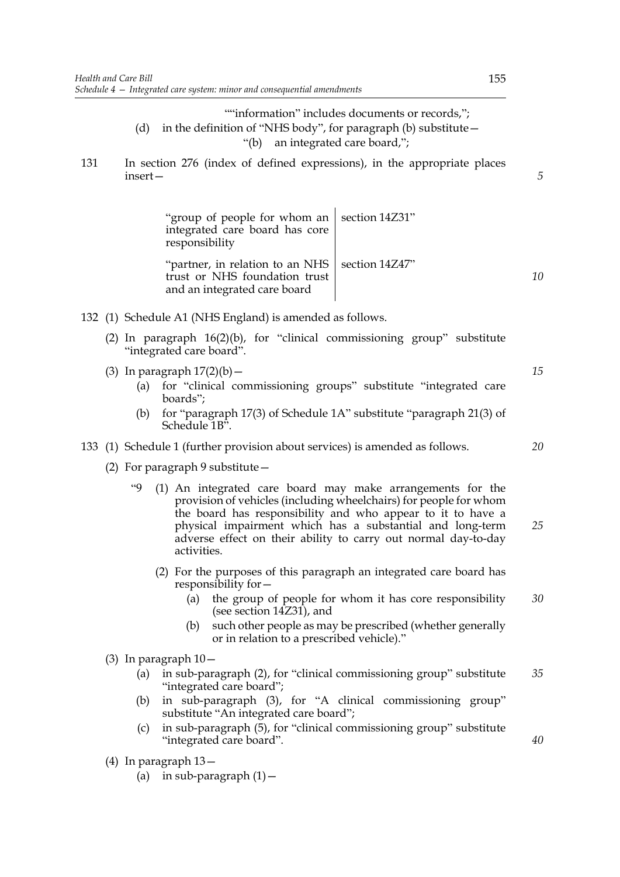""information" includes documents or records,"; (d) in the definition of "NHS body", for paragraph (b) substitute— "(b) an integrated care board,";

131 In section 276 (index of defined expressions), in the appropriate places insert—

> "group of people for whom an integrated care board has core responsibility section 14Z31" "partner, in relation to an NHS trust or NHS foundation trust section 14Z47"

and an integrated care board

- 132 (1) Schedule A1 (NHS England) is amended as follows.
	- (2) In paragraph 16(2)(b), for "clinical commissioning group" substitute "integrated care board".
	- (3) In paragraph  $17(2)(b)$  -
		- (a) for "clinical commissioning groups" substitute "integrated care boards";
		- (b) for "paragraph 17(3) of Schedule 1A" substitute "paragraph 21(3) of Schedule 1B".

### 133 (1) Schedule 1 (further provision about services) is amended as follows.

- (2) For paragraph 9 substitute—
	- "9 (1) An integrated care board may make arrangements for the provision of vehicles (including wheelchairs) for people for whom the board has responsibility and who appear to it to have a physical impairment which has a substantial and long-term adverse effect on their ability to carry out normal day-to-day activities.
		- (2) For the purposes of this paragraph an integrated care board has responsibility for—
			- (a) the group of people for whom it has core responsibility (see section 14Z31), and *30*
			- (b) such other people as may be prescribed (whether generally or in relation to a prescribed vehicle)."
- (3) In paragraph 10—
	- (a) in sub-paragraph (2), for "clinical commissioning group" substitute "integrated care board"; *35*
	- (b) in sub-paragraph (3), for "A clinical commissioning group" substitute "An integrated care board";
	- (c) in sub-paragraph (5), for "clinical commissioning group" substitute "integrated care board".
- (4) In paragraph 13—
	- (a) in sub-paragraph  $(1)$  -

*20*

*15*

*5*

*10*

*25*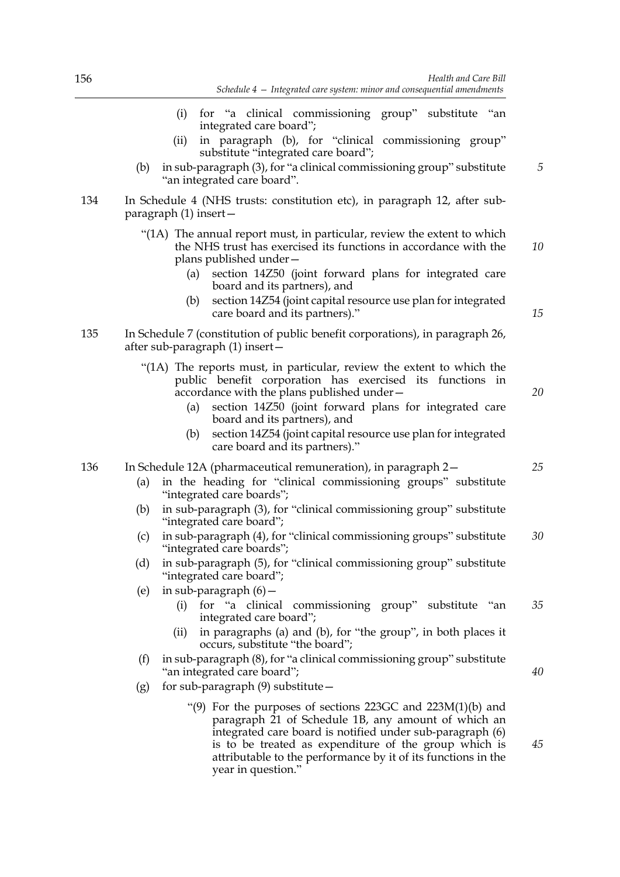- (i) for "a clinical commissioning group" substitute "an integrated care board";
- (ii) in paragraph (b), for "clinical commissioning group" substitute "integrated care board";
- (b) in sub-paragraph (3), for "a clinical commissioning group" substitute "an integrated care board".
- 134 In Schedule 4 (NHS trusts: constitution etc), in paragraph 12, after subparagraph (1) insert—
	- "(1A) The annual report must, in particular, review the extent to which the NHS trust has exercised its functions in accordance with the plans published under— *10*
		- (a) section 14Z50 (joint forward plans for integrated care board and its partners), and
		- (b) section 14Z54 (joint capital resource use plan for integrated care board and its partners)."
- 135 In Schedule 7 (constitution of public benefit corporations), in paragraph 26, after sub-paragraph (1) insert—
	- "(1A) The reports must, in particular, review the extent to which the public benefit corporation has exercised its functions in accordance with the plans published under—
		- (a) section 14Z50 (joint forward plans for integrated care board and its partners), and
		- (b) section 14Z54 (joint capital resource use plan for integrated care board and its partners)."

### 136 In Schedule 12A (pharmaceutical remuneration), in paragraph 2—

- (a) in the heading for "clinical commissioning groups" substitute "integrated care boards";
- (b) in sub-paragraph (3), for "clinical commissioning group" substitute "integrated care board";
- (c) in sub-paragraph (4), for "clinical commissioning groups" substitute "integrated care boards"; *30*
- (d) in sub-paragraph (5), for "clinical commissioning group" substitute "integrated care board";
- (e) in sub-paragraph (6)—
	- (i) for "a clinical commissioning group" substitute "an integrated care board"; *35*
	- (ii) in paragraphs (a) and (b), for "the group", in both places it occurs, substitute "the board";
- (f) in sub-paragraph (8), for "a clinical commissioning group" substitute "an integrated care board";
- (g) for sub-paragraph  $(9)$  substitute  $-$ 
	- "(9) For the purposes of sections 223GC and 223M(1)(b) and paragraph 21 of Schedule 1B, any amount of which an integrated care board is notified under sub-paragraph (6) is to be treated as expenditure of the group which is attributable to the performance by it of its functions in the year in question."

*20*

*15*

*25*

*5*

*40*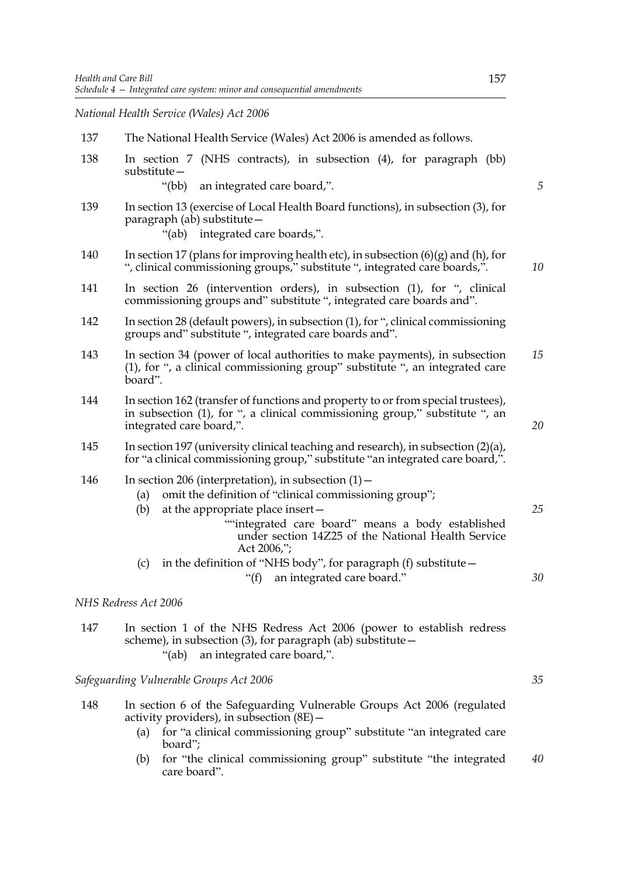*National Health Service (Wales) Act 2006*

| 137 | The National Health Service (Wales) Act 2006 is amended as follows.                                                                                                                                                                                                                                                                                                  |    |  |  |
|-----|----------------------------------------------------------------------------------------------------------------------------------------------------------------------------------------------------------------------------------------------------------------------------------------------------------------------------------------------------------------------|----|--|--|
| 138 | In section 7 (NHS contracts), in subsection (4), for paragraph (bb)<br>substitute-                                                                                                                                                                                                                                                                                   |    |  |  |
|     | " $(bb)$<br>an integrated care board,".                                                                                                                                                                                                                                                                                                                              | 5  |  |  |
| 139 | In section 13 (exercise of Local Health Board functions), in subsection (3), for<br>paragraph (ab) substitute -<br>"(ab) integrated care boards,".                                                                                                                                                                                                                   |    |  |  |
| 140 | In section 17 (plans for improving health etc), in subsection $(6)(g)$ and $(h)$ , for<br>", clinical commissioning groups," substitute ", integrated care boards,".                                                                                                                                                                                                 | 10 |  |  |
| 141 | In section 26 (intervention orders), in subsection (1), for ", clinical<br>commissioning groups and" substitute ", integrated care boards and".                                                                                                                                                                                                                      |    |  |  |
| 142 | In section 28 (default powers), in subsection (1), for ", clinical commissioning<br>groups and" substitute ", integrated care boards and".                                                                                                                                                                                                                           |    |  |  |
| 143 | In section 34 (power of local authorities to make payments), in subsection<br>(1), for ", a clinical commissioning group" substitute ", an integrated care<br>board".                                                                                                                                                                                                |    |  |  |
| 144 | In section 162 (transfer of functions and property to or from special trustees),<br>in subsection (1), for ", a clinical commissioning group," substitute ", an<br>integrated care board,".                                                                                                                                                                          | 20 |  |  |
| 145 | In section 197 (university clinical teaching and research), in subsection (2)(a),<br>for "a clinical commissioning group," substitute "an integrated care board,".                                                                                                                                                                                                   |    |  |  |
| 146 | In section 206 (interpretation), in subsection $(1)$ –<br>omit the definition of "clinical commissioning group";<br>(a)<br>(b)<br>at the appropriate place insert-<br>"integrated care board" means a body established<br>under section 14Z25 of the National Health Service<br>Act 2006,";<br>in the definition of "NHS body", for paragraph (f) substitute-<br>(c) | 25 |  |  |
|     | an integrated care board."<br>" $(f)$                                                                                                                                                                                                                                                                                                                                | 30 |  |  |
|     | NHS Redress Act 2006                                                                                                                                                                                                                                                                                                                                                 |    |  |  |
| 147 | In section 1 of the NHS Redress Act 2006 (power to establish redress<br>scheme), in subsection (3), for paragraph (ab) substitute -<br>an integrated care board,".<br>"(ab)                                                                                                                                                                                          |    |  |  |

*Safeguarding Vulnerable Groups Act 2006*

- 148 In section 6 of the Safeguarding Vulnerable Groups Act 2006 (regulated activity providers), in subsection (8E)—
	- (a) for "a clinical commissioning group" substitute "an integrated care board";
	- (b) for "the clinical commissioning group" substitute "the integrated care board". *40*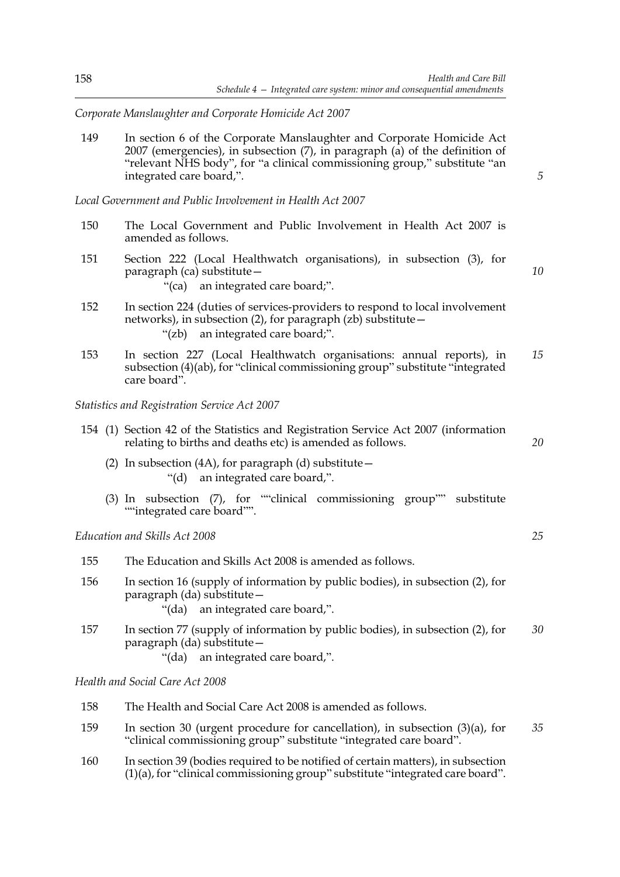*Corporate Manslaughter and Corporate Homicide Act 2007*

149 In section 6 of the Corporate Manslaughter and Corporate Homicide Act 2007 (emergencies), in subsection (7), in paragraph (a) of the definition of "relevant NHS body", for "a clinical commissioning group," substitute "an integrated care board,".

*Local Government and Public Involvement in Health Act 2007*

- 150 The Local Government and Public Involvement in Health Act 2007 is amended as follows.
- 151 Section 222 (Local Healthwatch organisations), in subsection (3), for paragraph (ca) substitute—
	- "(ca) an integrated care board;".
- 152 In section 224 (duties of services-providers to respond to local involvement networks), in subsection (2), for paragraph (zb) substitute— "(zb) an integrated care board;".
- 153 In section 227 (Local Healthwatch organisations: annual reports), in subsection (4)(ab), for "clinical commissioning group" substitute "integrated care board". *15*

*Statistics and Registration Service Act 2007*

- 154 (1) Section 42 of the Statistics and Registration Service Act 2007 (information relating to births and deaths etc) is amended as follows.
	- (2) In subsection (4A), for paragraph (d) substitute  $-$ "(d) an integrated care board,".
	- (3) In subsection (7), for ""clinical commissioning group"" substitute ""integrated care board"".

*Education and Skills Act 2008*

| 155 | The Education and Skills Act 2008 is amended as follows.                                                                                              |    |
|-----|-------------------------------------------------------------------------------------------------------------------------------------------------------|----|
| 156 | In section 16 (supply of information by public bodies), in subsection $(2)$ , for<br>paragraph (da) substitute -<br>"(da) an integrated care board,". |    |
| 157 | In section 77 (supply of information by public bodies), in subsection (2), for<br>paragraph (da) substitute -                                         | 30 |

"(da) an integrated care board,".

*Health and Social Care Act 2008*

- 158 The Health and Social Care Act 2008 is amended as follows.
- 159 In section 30 (urgent procedure for cancellation), in subsection (3)(a), for "clinical commissioning group" substitute "integrated care board". *35*
- 160 In section 39 (bodies required to be notified of certain matters), in subsection (1)(a), for "clinical commissioning group" substitute "integrated care board".

*5*

*10*

*20*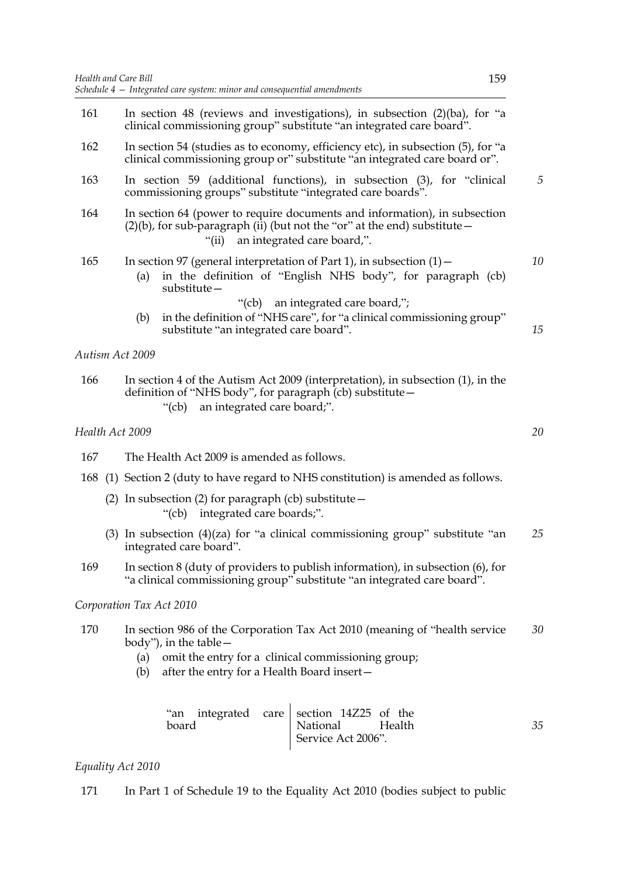| 161 | In section 48 (reviews and investigations), in subsection $(2)(ba)$ , for "a<br>clinical commissioning group" substitute "an integrated care board".                                                                      |    |  |  |  |  |
|-----|---------------------------------------------------------------------------------------------------------------------------------------------------------------------------------------------------------------------------|----|--|--|--|--|
| 162 | In section 54 (studies as to economy, efficiency etc), in subsection (5), for "a<br>clinical commissioning group or" substitute "an integrated care board or".                                                            |    |  |  |  |  |
| 163 | In section 59 (additional functions), in subsection (3), for "clinical<br>commissioning groups" substitute "integrated care boards".                                                                                      |    |  |  |  |  |
| 164 | In section 64 (power to require documents and information), in subsection<br>$(2)(b)$ , for sub-paragraph (ii) (but not the "or" at the end) substitute -<br>an integrated care board,".<br>" $(ii)$                      |    |  |  |  |  |
| 165 | In section 97 (general interpretation of Part 1), in subsection $(1)$ –<br>in the definition of "English NHS body", for paragraph (cb)<br>(a)<br>$substitute -$                                                           | 10 |  |  |  |  |
|     | "(cb) an integrated care board,";<br>in the definition of "NHS care", for "a clinical commissioning group"<br>(b)<br>substitute "an integrated care board".                                                               | 15 |  |  |  |  |
|     | Autism Act 2009                                                                                                                                                                                                           |    |  |  |  |  |
| 166 | In section 4 of the Autism Act 2009 (interpretation), in subsection (1), in the<br>definition of "NHS body", for paragraph (cb) substitute -<br>an integrated care board;".<br>" $(cb)$                                   |    |  |  |  |  |
|     | Health Act 2009                                                                                                                                                                                                           | 20 |  |  |  |  |
| 167 | The Health Act 2009 is amended as follows.                                                                                                                                                                                |    |  |  |  |  |
| 168 | (1) Section 2 (duty to have regard to NHS constitution) is amended as follows.                                                                                                                                            |    |  |  |  |  |
|     | (2) In subsection (2) for paragraph (cb) substitute $-$<br>"(cb) integrated care boards;".                                                                                                                                |    |  |  |  |  |
|     | (3) In subsection (4)(za) for "a clinical commissioning group" substitute "an<br>integrated care board".                                                                                                                  | 25 |  |  |  |  |
| 169 | In section 8 (duty of providers to publish information), in subsection (6), for<br>"a clinical commissioning group" substitute "an integrated care board".                                                                |    |  |  |  |  |
|     | Corporation Tax Act 2010                                                                                                                                                                                                  |    |  |  |  |  |
| 170 | In section 986 of the Corporation Tax Act 2010 (meaning of "health service"<br>body"), in the table $-$<br>omit the entry for a clinical commissioning group;<br>(a)<br>after the entry for a Health Board insert-<br>(b) | 30 |  |  |  |  |
|     | integrated<br>section 14Z25 of the<br>"an<br>care<br>board<br>National<br>Health                                                                                                                                          | 35 |  |  |  |  |

# *Equality Act 2010*

171 In Part 1 of Schedule 19 to the Equality Act 2010 (bodies subject to public

National Health Service Act 2006".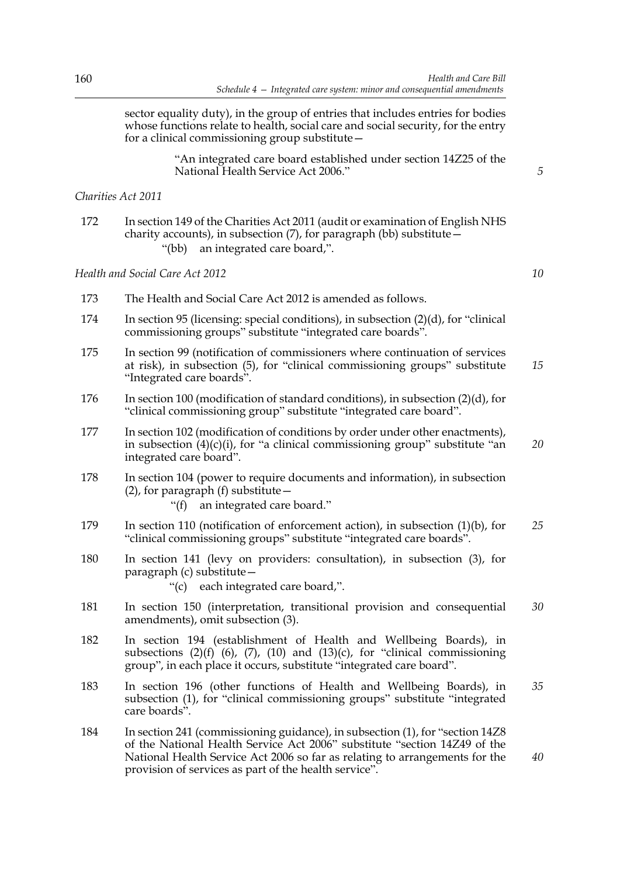sector equality duty), in the group of entries that includes entries for bodies whose functions relate to health, social care and social security, for the entry for a clinical commissioning group substitute—

> "An integrated care board established under section 14Z25 of the National Health Service Act 2006."

#### *Charities Act 2011*

172 In section 149 of the Charities Act 2011 (audit or examination of English NHS charity accounts), in subsection  $(7)$ , for paragraph (bb) substitute  $-$ "(bb) an integrated care board,".

*Health and Social Care Act 2012*

- 173 The Health and Social Care Act 2012 is amended as follows.
- 174 In section 95 (licensing: special conditions), in subsection (2)(d), for "clinical commissioning groups" substitute "integrated care boards".
- 175 In section 99 (notification of commissioners where continuation of services at risk), in subsection (5), for "clinical commissioning groups" substitute "Integrated care boards". *15*
- 176 In section 100 (modification of standard conditions), in subsection (2)(d), for "clinical commissioning group" substitute "integrated care board".
- 177 In section 102 (modification of conditions by order under other enactments), in subsection  $(4)(c)(i)$ , for "a clinical commissioning group" substitute "an integrated care board". *20*
- 178 In section 104 (power to require documents and information), in subsection  $(2)$ , for paragraph  $(f)$  substitute –
	- "(f) an integrated care board."
- 179 In section 110 (notification of enforcement action), in subsection (1)(b), for "clinical commissioning groups" substitute "integrated care boards". *25*
- 180 In section 141 (levy on providers: consultation), in subsection (3), for paragraph (c) substitute—
	- "(c) each integrated care board,".
- 181 In section 150 (interpretation, transitional provision and consequential amendments), omit subsection (3). *30*
- 182 In section 194 (establishment of Health and Wellbeing Boards), in subsections  $(2)(f)$   $(6)$ ,  $(7)$ ,  $(10)$  and  $(13)(c)$ , for "clinical commissioning group", in each place it occurs, substitute "integrated care board".
- 183 In section 196 (other functions of Health and Wellbeing Boards), in subsection (1), for "clinical commissioning groups" substitute "integrated care boards". *35*
- 184 In section 241 (commissioning guidance), in subsection (1), for "section 14Z8 of the National Health Service Act 2006" substitute "section 14Z49 of the National Health Service Act 2006 so far as relating to arrangements for the provision of services as part of the health service". *40*

*10*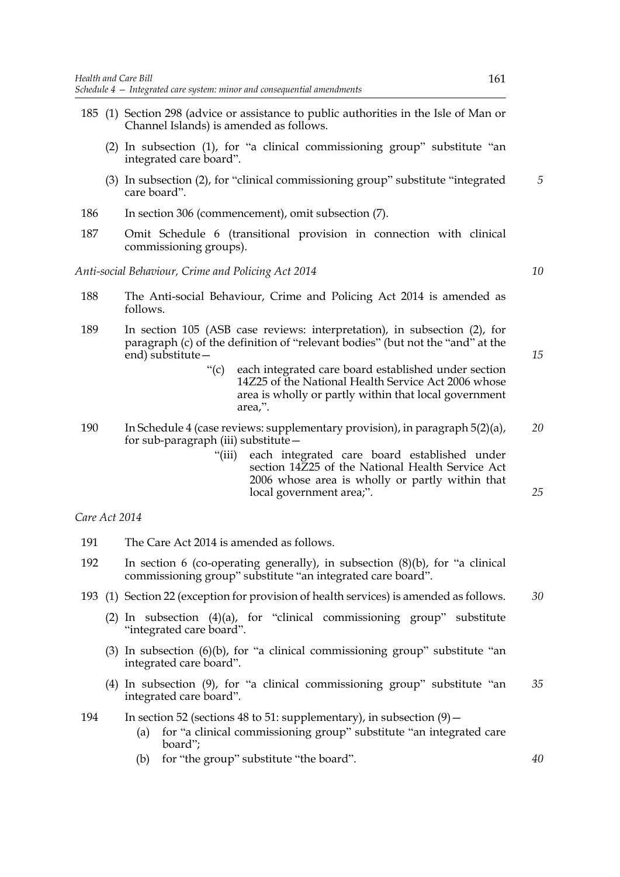- 185 (1) Section 298 (advice or assistance to public authorities in the Isle of Man or Channel Islands) is amended as follows.
	- (2) In subsection (1), for "a clinical commissioning group" substitute "an integrated care board".
	- (3) In subsection (2), for "clinical commissioning group" substitute "integrated care board". *5*
- 186 In section 306 (commencement), omit subsection (7).
- 187 Omit Schedule 6 (transitional provision in connection with clinical commissioning groups).

*Anti-social Behaviour, Crime and Policing Act 2014*

- 188 The Anti-social Behaviour, Crime and Policing Act 2014 is amended as follows.
- 189 In section 105 (ASB case reviews: interpretation), in subsection (2), for paragraph (c) of the definition of "relevant bodies" (but not the "and" at the end) substitute—
	- "(c) each integrated care board established under section 14Z25 of the National Health Service Act 2006 whose area is wholly or partly within that local government area,".
- 190 In Schedule 4 (case reviews: supplementary provision), in paragraph 5(2)(a), for sub-paragraph (iii) substitute— *20*
	- "(iii) each integrated care board established under section 14Z25 of the National Health Service Act 2006 whose area is wholly or partly within that local government area;".

#### *Care Act 2014*

- 191 The Care Act 2014 is amended as follows.
- 192 In section 6 (co-operating generally), in subsection (8)(b), for "a clinical commissioning group" substitute "an integrated care board".
- 193 (1) Section 22 (exception for provision of health services) is amended as follows. *30*
	- (2) In subsection  $(4)(a)$ , for "clinical commissioning group" substitute "integrated care board".
	- (3) In subsection  $(6)(b)$ , for "a clinical commissioning group" substitute "an integrated care board".
	- (4) In subsection (9), for "a clinical commissioning group" substitute "an integrated care board". *35*
- 194 In section 52 (sections 48 to 51: supplementary), in subsection (9)—
	- (a) for "a clinical commissioning group" substitute "an integrated care board";
	- (b) for "the group" substitute "the board".

*15*

*10*

*25*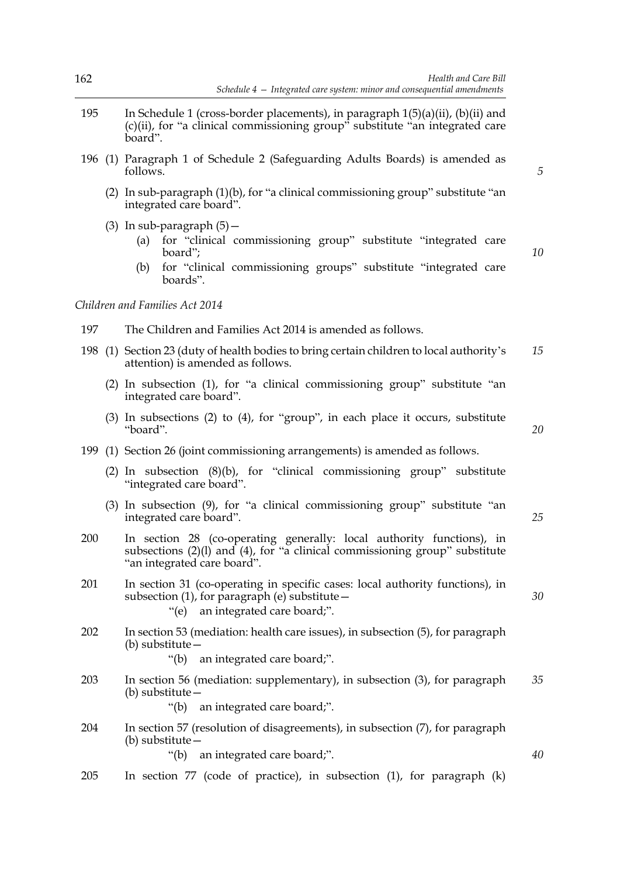- 195 In Schedule 1 (cross-border placements), in paragraph 1(5)(a)(ii), (b)(ii) and (c)(ii), for "a clinical commissioning group" substitute "an integrated care board".
- 196 (1) Paragraph 1 of Schedule 2 (Safeguarding Adults Boards) is amended as follows.
	- (2) In sub-paragraph (1)(b), for "a clinical commissioning group" substitute "an integrated care board".
	- (3) In sub-paragraph  $(5)$  -
		- (a) for "clinical commissioning group" substitute "integrated care board";
		- (b) for "clinical commissioning groups" substitute "integrated care boards".

*Children and Families Act 2014*

- 197 The Children and Families Act 2014 is amended as follows.
- 198 (1) Section 23 (duty of health bodies to bring certain children to local authority's attention) is amended as follows. *15*
	- (2) In subsection (1), for "a clinical commissioning group" substitute "an integrated care board".
	- (3) In subsections (2) to (4), for "group", in each place it occurs, substitute "board".
- 199 (1) Section 26 (joint commissioning arrangements) is amended as follows.
	- (2) In subsection (8)(b), for "clinical commissioning group" substitute "integrated care board".
	- (3) In subsection (9), for "a clinical commissioning group" substitute "an integrated care board".
- 200 In section 28 (co-operating generally: local authority functions), in subsections (2)(l) and (4), for "a clinical commissioning group" substitute "an integrated care board".
- 201 In section 31 (co-operating in specific cases: local authority functions), in subsection (1), for paragraph (e) substitute— "(e) an integrated care board;".
- 202 In section 53 (mediation: health care issues), in subsection (5), for paragraph (b) substitute—
	- "(b) an integrated care board;".
- 203 In section 56 (mediation: supplementary), in subsection (3), for paragraph (b) substitute— *35*
	- "(b) an integrated care board;".
- 204 In section 57 (resolution of disagreements), in subsection (7), for paragraph (b) substitute— "(b) an integrated care board;".
- 205 In section 77 (code of practice), in subsection (1), for paragraph (k)

*20*

*25*

*30*

*40*

*5*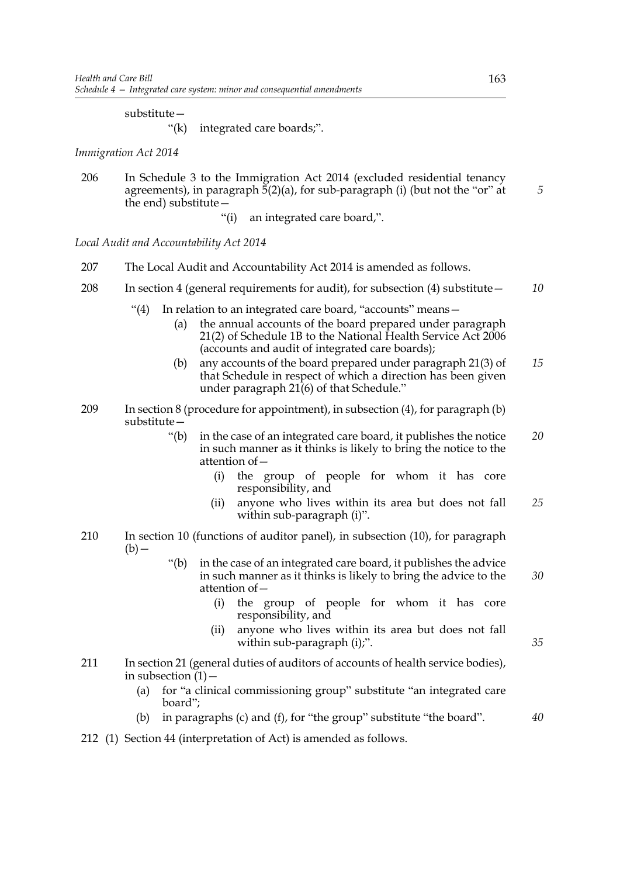### substitute—

"(k) integrated care boards;".

*Immigration Act 2014*

- 206 In Schedule 3 to the Immigration Act 2014 (excluded residential tenancy agreements), in paragraph  $\bar{5}(2)(a)$ , for sub-paragraph (i) (but not the "or" at the end) substitute—
	- "(i) an integrated care board,".

*Local Audit and Accountability Act 2014*

- 207 The Local Audit and Accountability Act 2014 is amended as follows.
- 208 In section 4 (general requirements for audit), for subsection (4) substitute— *10*
	- "(4) In relation to an integrated care board, "accounts" means—
		- (a) the annual accounts of the board prepared under paragraph 21(2) of Schedule 1B to the National Health Service Act 2006 (accounts and audit of integrated care boards);
		- (b) any accounts of the board prepared under paragraph 21(3) of that Schedule in respect of which a direction has been given under paragraph  $21(6)$  of that Schedule." *15*
- 209 In section 8 (procedure for appointment), in subsection (4), for paragraph (b) substitute—
	- "(b) in the case of an integrated care board, it publishes the notice in such manner as it thinks is likely to bring the notice to the attention of— *20*
		- (i) the group of people for whom it has core responsibility, and
		- (ii) anyone who lives within its area but does not fall within sub-paragraph (i)". *25*
- 210 In section 10 (functions of auditor panel), in subsection (10), for paragraph  $(b)$  —
	- "(b) in the case of an integrated care board, it publishes the advice in such manner as it thinks is likely to bring the advice to the attention of— *30*
		- (i) the group of people for whom it has core responsibility, and
		- (ii) anyone who lives within its area but does not fall within sub-paragraph (i);".
- 211 In section 21 (general duties of auditors of accounts of health service bodies), in subsection  $(1)$  –
	- (a) for "a clinical commissioning group" substitute "an integrated care board";
	- (b) in paragraphs (c) and (f), for "the group" substitute "the board".
- 212 (1) Section 44 (interpretation of Act) is amended as follows.

*5*

*35*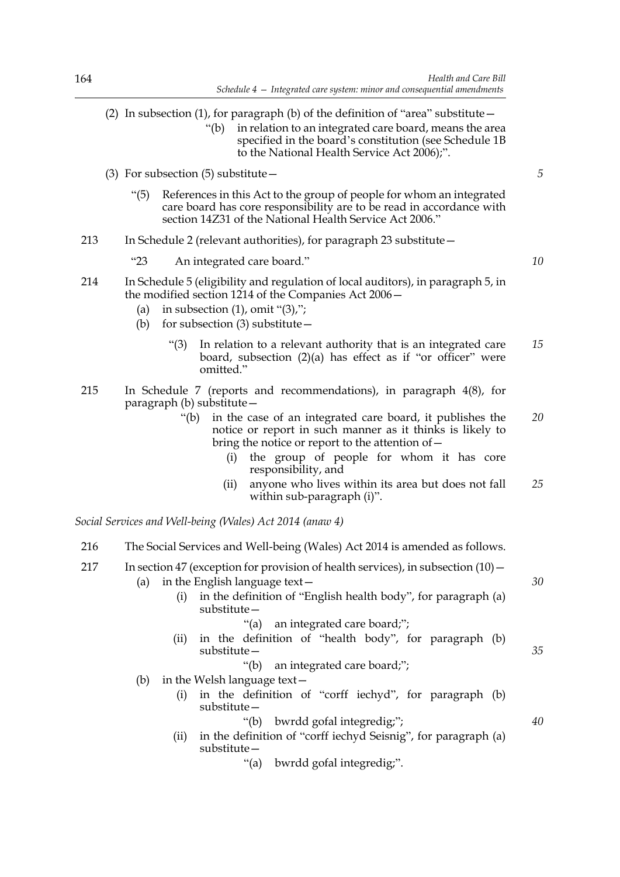- (2) In subsection (1), for paragraph (b) of the definition of "area" substitute  $-$ "(b) in relation to an integrated care board, means the area specified in the board's constitution (see Schedule 1B to the National Health Service Act 2006);". (3) For subsection  $(5)$  substitute  $-$ "(5) References in this Act to the group of people for whom an integrated care board has core responsibility are to be read in accordance with section 14Z31 of the National Health Service Act 2006." 213 In Schedule 2 (relevant authorities), for paragraph 23 substitute— "23 An integrated care board." 214 In Schedule 5 (eligibility and regulation of local auditors), in paragraph 5, in the modified section 1214 of the Companies Act 2006— (a) in subsection  $(1)$ , omit " $(3)$ ,"; (b) for subsection (3) substitute— "(3) In relation to a relevant authority that is an integrated care board, subsection  $(2)(a)$  has effect as if "or officer" were omitted." 215 In Schedule 7 (reports and recommendations), in paragraph 4(8), for paragraph (b) substitute— "(b) in the case of an integrated care board, it publishes the notice or report in such manner as it thinks is likely to bring the notice or report to the attention of— (i) the group of people for whom it has core responsibility, and (ii) anyone who lives within its area but does not fall within sub-paragraph (i)". *Social Services and Well-being (Wales) Act 2014 (anaw 4)* 216 The Social Services and Well-being (Wales) Act 2014 is amended as follows. 217 In section 47 (exception for provision of health services), in subsection (10)— (a) in the English language text  $-$ (i) in the definition of "English health body", for paragraph (a) substitute— "(a) an integrated care board;"; (ii) in the definition of "health body", for paragraph (b) substitute— "(b) an integrated care board;"; (b) in the Welsh language text— (i) in the definition of "corff iechyd", for paragraph (b) substitute— *5 10 15 20 25 30 35*
	- "(b) bwrdd gofal integredig;";

- (ii) in the definition of "corff iechyd Seisnig", for paragraph (a) substitute—
	- "(a) bwrdd gofal integredig;".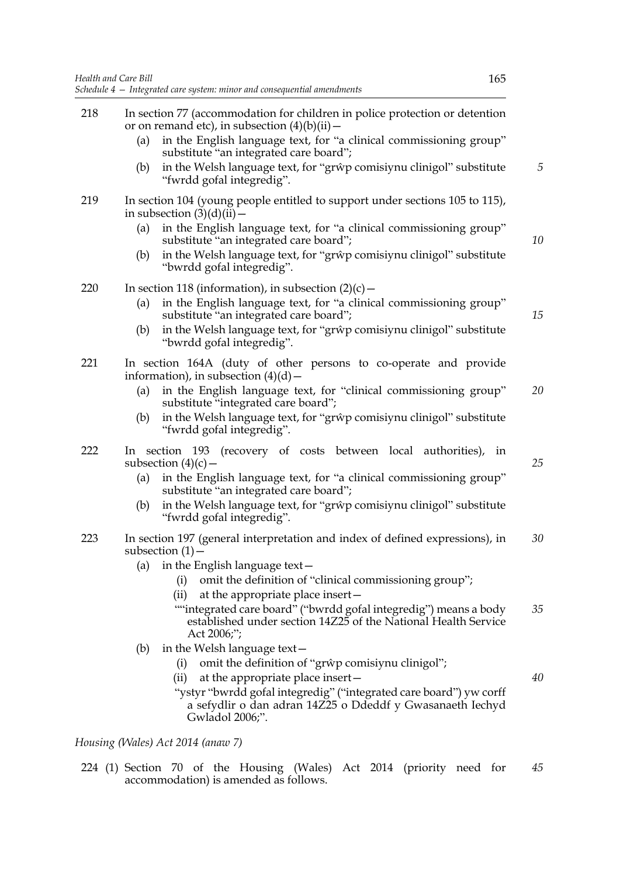- 218 In section 77 (accommodation for children in police protection or detention or on remand etc), in subsection  $(4)(b)(ii)$  –
	- (a) in the English language text, for "a clinical commissioning group" substitute "an integrated care board";
	- (b) in the Welsh language text, for "grŵp comisiynu clinigol" substitute "fwrdd gofal integredig".
- 219 In section 104 (young people entitled to support under sections 105 to 115), in subsection  $(3)(d)(ii)$  –
	- (a) in the English language text, for "a clinical commissioning group" substitute "an integrated care board";
	- (b) in the Welsh language text, for "grŵp comisiynu clinigol" substitute "bwrdd gofal integredig".

220 In section 118 (information), in subsection  $(2)(c)$  -

- (a) in the English language text, for "a clinical commissioning group" substitute "an integrated care board";
- (b) in the Welsh language text, for "grŵp comisiynu clinigol" substitute "bwrdd gofal integredig".
- 221 In section 164A (duty of other persons to co-operate and provide information), in subsection  $(4)(d)$  –
	- (a) in the English language text, for "clinical commissioning group" substitute "integrated care board"; *20*
	- (b) in the Welsh language text, for "grŵp comisiynu clinigol" substitute "fwrdd gofal integredig".
- 222 In section 193 (recovery of costs between local authorities), in subsection  $(4)(c)$  –
	- (a) in the English language text, for "a clinical commissioning group" substitute "an integrated care board";
	- (b) in the Welsh language text, for "grŵp comisiynu clinigol" substitute "fwrdd gofal integredig".
- 223 In section 197 (general interpretation and index of defined expressions), in subsection  $(1)$  – *30*
	- (a) in the English language text  $-$ 
		- (i) omit the definition of "clinical commissioning group";
		- (ii) at the appropriate place insert—
		- ""integrated care board" ("bwrdd gofal integredig") means a body established under section 14Z25 of the National Health Service Act 2006;"; *35*
	- (b) in the Welsh language text—
		- (i) omit the definition of "grŵp comisiynu clinigol";
		- (ii) at the appropriate place insert—
		- "ystyr "bwrdd gofal integredig" ("integrated care board") yw corff a sefydlir o dan adran 14Z25 o Ddeddf y Gwasanaeth Iechyd Gwladol 2006;".

*Housing (Wales) Act 2014 (anaw 7)*

224 (1) Section 70 of the Housing (Wales) Act 2014 (priority need for accommodation) is amended as follows. *45*

*5*

*10*

*15*

*25*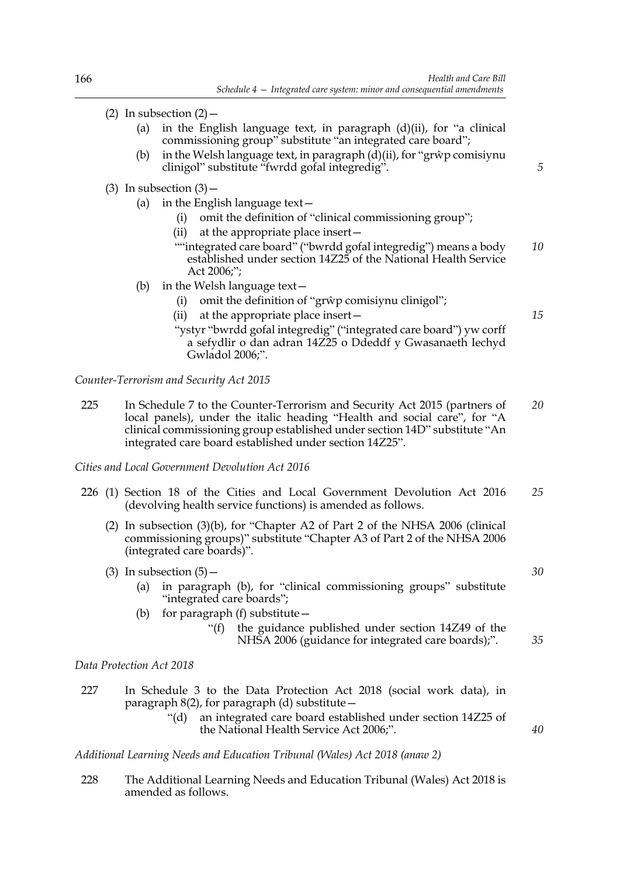- (2) In subsection  $(2)$ 
	- (a) in the English language text, in paragraph  $(d)(ii)$ , for "a clinical commissioning group" substitute "an integrated care board";
	- (b) in the Welsh language text, in paragraph  $(d)(ii)$ , for "grŵp comisiynu" clinigol" substitute "fwrdd gofal integredig".
- (3) In subsection  $(3)$ 
	- (a) in the English language text—
		- (i) omit the definition of "clinical commissioning group";
		- (ii) at the appropriate place insert—
		- ""integrated care board" ("bwrdd gofal integredig") means a body established under section 14Z25 of the National Health Service Act 2006;"; *10*
	- (b) in the Welsh language text—
		- (i) omit the definition of "grŵp comisiynu clinigol";
		- (ii) at the appropriate place insert—
		- "ystyr "bwrdd gofal integredig" ("integrated care board") yw corff a sefydlir o dan adran 14Z25 o Ddeddf y Gwasanaeth Iechyd Gwladol 2006;".

*Counter-Terrorism and Security Act 2015*

225 In Schedule 7 to the Counter-Terrorism and Security Act 2015 (partners of local panels), under the italic heading "Health and social care", for "A clinical commissioning group established under section 14D" substitute "An integrated care board established under section 14Z25". *20*

*Cities and Local Government Devolution Act 2016*

- 226 (1) Section 18 of the Cities and Local Government Devolution Act 2016 (devolving health service functions) is amended as follows. *25*
	- (2) In subsection (3)(b), for "Chapter A2 of Part 2 of the NHSA 2006 (clinical commissioning groups)" substitute "Chapter A3 of Part 2 of the NHSA 2006 (integrated care boards)".
	- (3) In subsection  $(5)$  -
		- (a) in paragraph (b), for "clinical commissioning groups" substitute "integrated care boards";
		- (b) for paragraph  $(f)$  substitute  $-$ 
			- "(f) the guidance published under section 14Z49 of the NHSA 2006 (guidance for integrated care boards);".

*Data Protection Act 2018*

227 In Schedule 3 to the Data Protection Act 2018 (social work data), in paragraph  $8(2)$ , for paragraph (d) substitute  $-$ 

> "(d) an integrated care board established under section 14Z25 of the National Health Service Act 2006;".

*Additional Learning Needs and Education Tribunal (Wales) Act 2018 (anaw 2)*

228 The Additional Learning Needs and Education Tribunal (Wales) Act 2018 is amended as follows.

*30*

*35*

*40*

*15*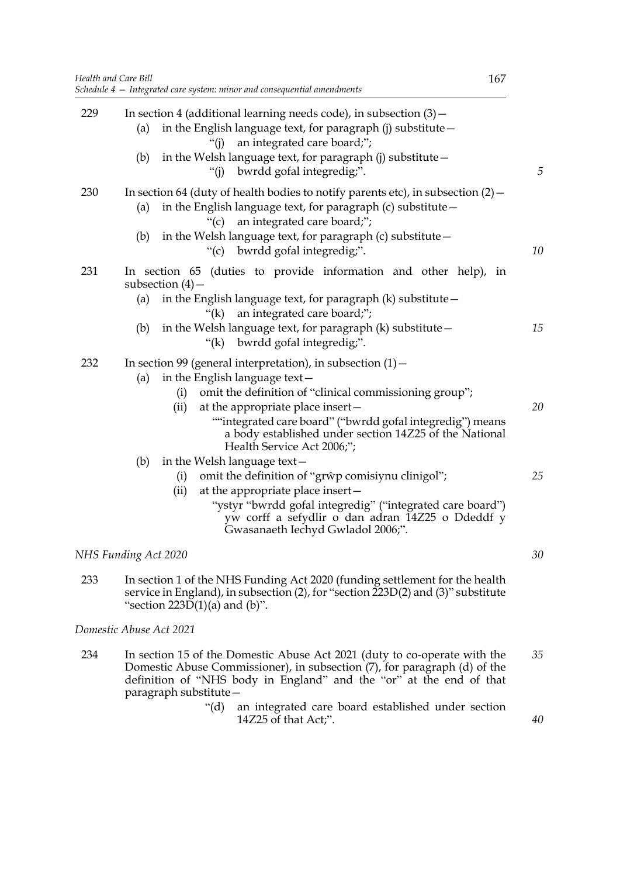|     | Health and Care Bill<br>167<br>Schedule 4 – Integrated care system: minor and consequential amendments                                                                                                                                                                                                 |  |
|-----|--------------------------------------------------------------------------------------------------------------------------------------------------------------------------------------------------------------------------------------------------------------------------------------------------------|--|
| 229 | In section 4 (additional learning needs code), in subsection $(3)$ –<br>in the English language text, for paragraph (j) substitute -<br>(a)<br>an integrated care board;";<br>" $(i)$<br>in the Welsh language text, for paragraph (j) substitute -<br>(b)                                             |  |
|     | "(j) bwrdd gofal integredig;".                                                                                                                                                                                                                                                                         |  |
| 230 | In section 64 (duty of health bodies to notify parents etc), in subsection $(2)$ -                                                                                                                                                                                                                     |  |
|     | in the English language text, for paragraph (c) substitute -<br>(a)<br>an integrated care board;";<br>``(c)                                                                                                                                                                                            |  |
|     | in the Welsh language text, for paragraph (c) substitute -<br>(b)<br>"(c) bwrdd gofal integredig;".                                                                                                                                                                                                    |  |
| 231 | In section 65 (duties to provide information and other help), in<br>subsection $(4)$ –                                                                                                                                                                                                                 |  |
|     | in the English language text, for paragraph $(k)$ substitute $-$<br>(a)<br>an integrated care board;";<br>"(k)                                                                                                                                                                                         |  |
|     | in the Welsh language text, for paragraph $(k)$ substitute $-$<br>(b)<br>"(k) bwrdd gofal integredig;".                                                                                                                                                                                                |  |
| 232 | In section 99 (general interpretation), in subsection $(1)$ –                                                                                                                                                                                                                                          |  |
|     | in the English language text-<br>(a)<br>omit the definition of "clinical commissioning group";<br>(i)<br>at the appropriate place insert-<br>(ii)<br>""integrated care board" ("bwrdd gofal integredig") means<br>a body established under section 14Z25 of the National<br>Health Service Act 2006;"; |  |
|     | in the Welsh language text-<br>(b)<br>omit the definition of "grŵp comisiynu clinigol";<br>(i)                                                                                                                                                                                                         |  |
|     | at the appropriate place insert-<br>(ii)                                                                                                                                                                                                                                                               |  |
|     | "ystyr "bwrdd gofal integredig" ("integrated care board")<br>yw corff a sefydlir o dan adran 14Z25 o Ddeddf y<br>Gwasanaeth Iechyd Gwladol 2006;".                                                                                                                                                     |  |
|     | NHS Funding Act 2020                                                                                                                                                                                                                                                                                   |  |
| 233 | In section 1 of the NHS Funding Act 2020 (funding settlement for the health<br>service in England), in subsection (2), for "section 223D(2) and (3)" substitute<br>"section $223D(1)(a)$ and $(b)$ ".                                                                                                  |  |
|     | Domestic Abuse Act 2021                                                                                                                                                                                                                                                                                |  |
| 234 | In section 15 of the Domestic Abuse Act 2021 (duty to co-operate with the<br>Domestic Abuse Commissioner), in subsection (7), for paragraph (d) of the                                                                                                                                                 |  |

paragraph substitute— "(d) an integrated care board established under section 14Z25 of that Act;".

definition of "NHS body in England" and the "or" at the end of that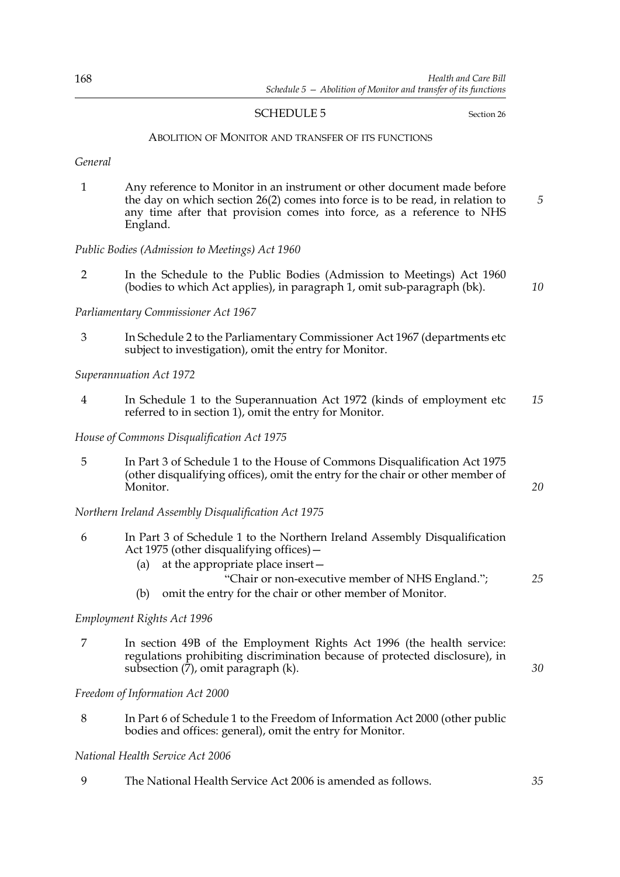### SCHEDULE 5 Section 26

*20*

*25*

*30*

#### ABOLITION OF MONITOR AND TRANSFER OF ITS FUNCTIONS

*General*

1 Any reference to Monitor in an instrument or other document made before the day on which section 26(2) comes into force is to be read, in relation to any time after that provision comes into force, as a reference to NHS England. *5*

### *Public Bodies (Admission to Meetings) Act 1960*

2 In the Schedule to the Public Bodies (Admission to Meetings) Act 1960 (bodies to which Act applies), in paragraph 1, omit sub-paragraph (bk). *10*

### *Parliamentary Commissioner Act 1967*

3 In Schedule 2 to the Parliamentary Commissioner Act 1967 (departments etc subject to investigation), omit the entry for Monitor.

*Superannuation Act 1972*

4 In Schedule 1 to the Superannuation Act 1972 (kinds of employment etc referred to in section 1), omit the entry for Monitor. *15*

*House of Commons Disqualification Act 1975*

5 In Part 3 of Schedule 1 to the House of Commons Disqualification Act 1975 (other disqualifying offices), omit the entry for the chair or other member of Monitor.

*Northern Ireland Assembly Disqualification Act 1975*

- 6 In Part 3 of Schedule 1 to the Northern Ireland Assembly Disqualification Act 1975 (other disqualifying offices)—
	- (a) at the appropriate place insert—
		- "Chair or non-executive member of NHS England.";
	- (b) omit the entry for the chair or other member of Monitor.

### *Employment Rights Act 1996*

7 In section 49B of the Employment Rights Act 1996 (the health service: regulations prohibiting discrimination because of protected disclosure), in subsection (7), omit paragraph (k).

*Freedom of Information Act 2000*

8 In Part 6 of Schedule 1 to the Freedom of Information Act 2000 (other public bodies and offices: general), omit the entry for Monitor.

## *National Health Service Act 2006*

9 The National Health Service Act 2006 is amended as follows. *35*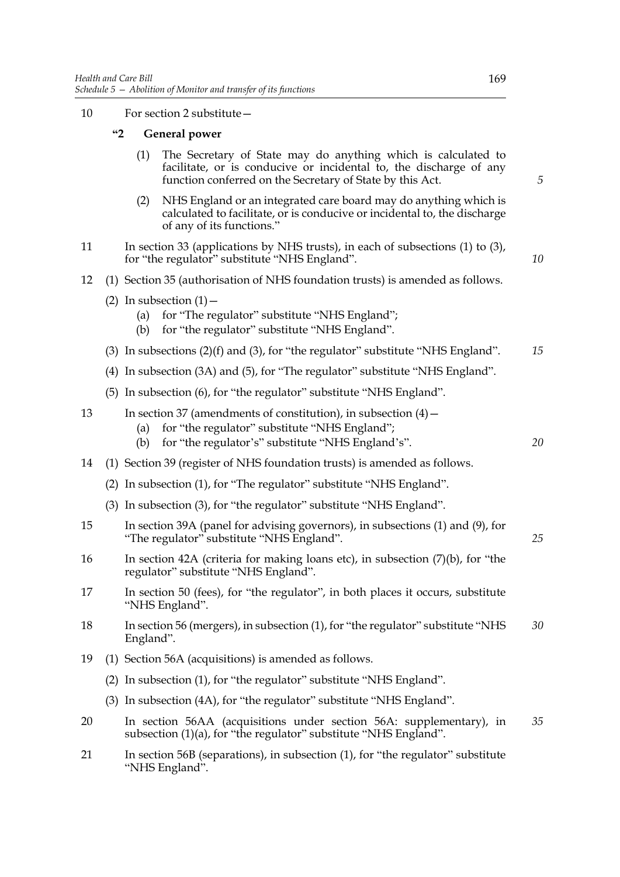10 For section 2 substitute—

## **"2 General power**

- (1) The Secretary of State may do anything which is calculated to facilitate, or is conducive or incidental to, the discharge of any function conferred on the Secretary of State by this Act.
- (2) NHS England or an integrated care board may do anything which is calculated to facilitate, or is conducive or incidental to, the discharge of any of its functions."
- 11 In section 33 (applications by NHS trusts), in each of subsections (1) to (3), for "the regulator" substitute "NHS England".
- 12 (1) Section 35 (authorisation of NHS foundation trusts) is amended as follows.
	- (2) In subsection  $(1)$ 
		- (a) for "The regulator" substitute "NHS England";
		- (b) for "the regulator" substitute "NHS England".
	- (3) In subsections (2)(f) and (3), for "the regulator" substitute "NHS England". *15*
	- (4) In subsection (3A) and (5), for "The regulator" substitute "NHS England".
	- (5) In subsection (6), for "the regulator" substitute "NHS England".
- 13 In section 37 (amendments of constitution), in subsection (4)
	- (a) for "the regulator" substitute "NHS England";
	- (b) for "the regulator's" substitute "NHS England's".
- 14 (1) Section 39 (register of NHS foundation trusts) is amended as follows.
	- (2) In subsection (1), for "The regulator" substitute "NHS England".
	- (3) In subsection (3), for "the regulator" substitute "NHS England".
- 15 In section 39A (panel for advising governors), in subsections (1) and (9), for "The regulator" substitute "NHS England".
- 16 In section 42A (criteria for making loans etc), in subsection (7)(b), for "the regulator" substitute "NHS England".
- 17 In section 50 (fees), for "the regulator", in both places it occurs, substitute "NHS England".
- 18 In section 56 (mergers), in subsection (1), for "the regulator" substitute "NHS England". *30*
- 19 (1) Section 56A (acquisitions) is amended as follows.
	- (2) In subsection (1), for "the regulator" substitute "NHS England".
	- (3) In subsection (4A), for "the regulator" substitute "NHS England".
- 20 In section 56AA (acquisitions under section 56A: supplementary), in subsection (1)(a), for "the regulator" substitute "NHS England". *35*
- 21 In section 56B (separations), in subsection (1), for "the regulator" substitute "NHS England".

*5*

*10*

*20*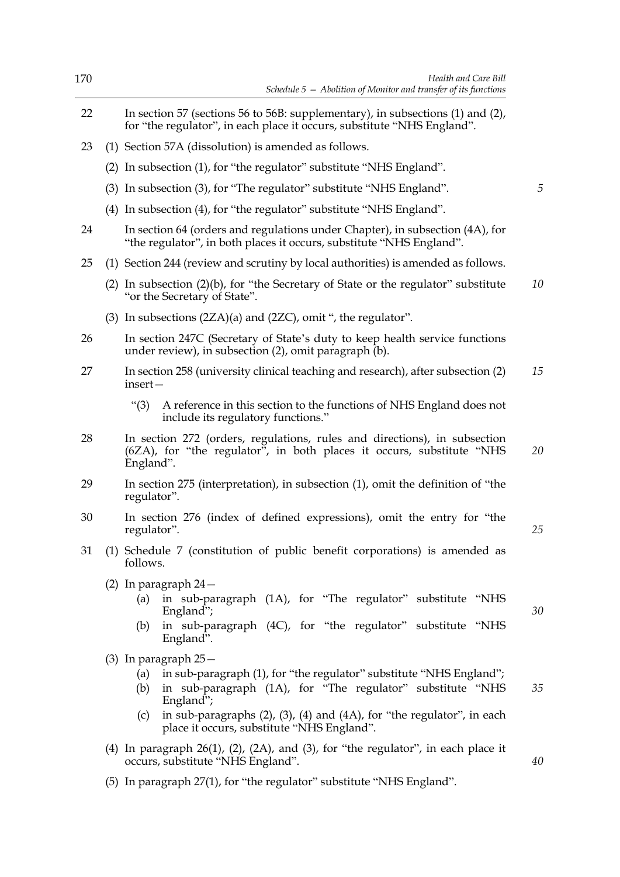| 170 | Health and Care Bill<br>Schedule $5$ – Abolition of Monitor and transfer of its functions                                                                                                                                                                                                                                        |    |  |  |  |  |
|-----|----------------------------------------------------------------------------------------------------------------------------------------------------------------------------------------------------------------------------------------------------------------------------------------------------------------------------------|----|--|--|--|--|
| 22  | In section 57 (sections 56 to 56B: supplementary), in subsections (1) and (2),<br>for "the regulator", in each place it occurs, substitute "NHS England".                                                                                                                                                                        |    |  |  |  |  |
| 23  | (1) Section 57A (dissolution) is amended as follows.                                                                                                                                                                                                                                                                             |    |  |  |  |  |
|     | (2) In subsection (1), for "the regulator" substitute "NHS England".                                                                                                                                                                                                                                                             |    |  |  |  |  |
|     | (3) In subsection (3), for "The regulator" substitute "NHS England".                                                                                                                                                                                                                                                             | 5  |  |  |  |  |
|     | (4) In subsection (4), for "the regulator" substitute "NHS England".                                                                                                                                                                                                                                                             |    |  |  |  |  |
| 24  | In section 64 (orders and regulations under Chapter), in subsection (4A), for<br>"the regulator", in both places it occurs, substitute "NHS England".                                                                                                                                                                            |    |  |  |  |  |
| 25  | (1) Section 244 (review and scrutiny by local authorities) is amended as follows.                                                                                                                                                                                                                                                |    |  |  |  |  |
|     | (2) In subsection $(2)(b)$ , for "the Secretary of State or the regulator" substitute<br>"or the Secretary of State".                                                                                                                                                                                                            | 10 |  |  |  |  |
|     | (3) In subsections $(2ZA)(a)$ and $(2ZC)$ , omit ", the regulator".                                                                                                                                                                                                                                                              |    |  |  |  |  |
| 26  | In section 247C (Secretary of State's duty to keep health service functions<br>under review), in subsection (2), omit paragraph (b).                                                                                                                                                                                             |    |  |  |  |  |
| 27  | In section 258 (university clinical teaching and research), after subsection (2)<br>insert-                                                                                                                                                                                                                                      | 15 |  |  |  |  |
|     | A reference in this section to the functions of NHS England does not<br>" $(3)$<br>include its regulatory functions."                                                                                                                                                                                                            |    |  |  |  |  |
| 28  | In section 272 (orders, regulations, rules and directions), in subsection<br>(6ZA), for "the regulator", in both places it occurs, substitute "NHS<br>England".                                                                                                                                                                  | 20 |  |  |  |  |
| 29  | In section 275 (interpretation), in subsection (1), omit the definition of "the<br>regulator".                                                                                                                                                                                                                                   |    |  |  |  |  |
| 30  | In section 276 (index of defined expressions), omit the entry for "the<br>regulator".                                                                                                                                                                                                                                            | 25 |  |  |  |  |
| 31  | (1) Schedule 7 (constitution of public benefit corporations) is amended as<br>follows.                                                                                                                                                                                                                                           |    |  |  |  |  |
|     | $(2)$ In paragraph $24-$<br>in sub-paragraph (1A), for "The regulator" substitute "NHS<br>(a)<br>England";<br>in sub-paragraph (4C), for "the regulator" substitute "NHS<br>(b)<br>England".                                                                                                                                     | 30 |  |  |  |  |
|     | (3) In paragraph $25-$<br>in sub-paragraph (1), for "the regulator" substitute "NHS England";<br>(a)<br>in sub-paragraph (1A), for "The regulator" substitute "NHS<br>(b)<br>England";<br>in sub-paragraphs $(2)$ , $(3)$ , $(4)$ and $(4A)$ , for "the regulator", in each<br>(c)<br>place it occurs, substitute "NHS England". | 35 |  |  |  |  |
|     | (4) In paragraph $26(1)$ , $(2)$ , $(2A)$ , and $(3)$ , for "the regulator", in each place it<br>occurs, substitute "NHS England".                                                                                                                                                                                               | 40 |  |  |  |  |
|     | (5) In paragraph 27(1), for "the regulator" substitute "NHS England".                                                                                                                                                                                                                                                            |    |  |  |  |  |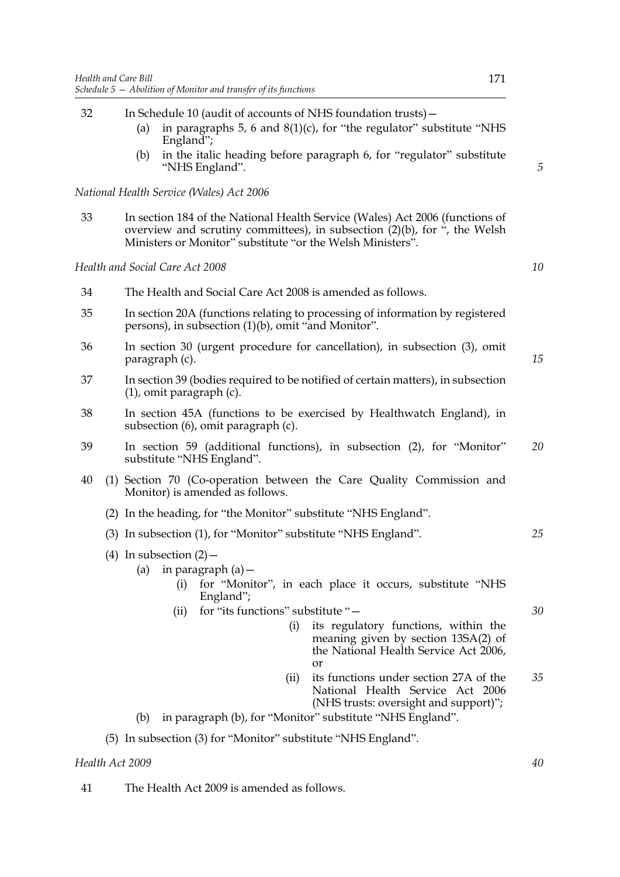- 32 In Schedule 10 (audit of accounts of NHS foundation trusts)— (a) in paragraphs 5, 6 and  $8(1)(c)$ , for "the regulator" substitute "NHS England"; (b) in the italic heading before paragraph 6, for "regulator" substitute "NHS England". *National Health Service (Wales) Act 2006* 33 In section 184 of the National Health Service (Wales) Act 2006 (functions of overview and scrutiny committees), in subsection (2)(b), for ", the Welsh Ministers or Monitor" substitute "or the Welsh Ministers". *Health and Social Care Act 2008* 34 The Health and Social Care Act 2008 is amended as follows. 35 In section 20A (functions relating to processing of information by registered persons), in subsection (1)(b), omit "and Monitor". 36 In section 30 (urgent procedure for cancellation), in subsection (3), omit paragraph (c). 37 In section 39 (bodies required to be notified of certain matters), in subsection (1), omit paragraph (c). 38 In section 45A (functions to be exercised by Healthwatch England), in subsection (6), omit paragraph (c). 39 In section 59 (additional functions), in subsection (2), for "Monitor" substitute "NHS England". 40 (1) Section 70 (Co-operation between the Care Quality Commission and Monitor) is amended as follows. (2) In the heading, for "the Monitor" substitute "NHS England". (3) In subsection (1), for "Monitor" substitute "NHS England". (4) In subsection  $(2)$  -*5 10 15 20 25*
	- (a) in paragraph  $(a)$  -
		- (i) for "Monitor", in each place it occurs, substitute "NHS England";
		- (ii) for "its functions" substitute "—
			- (i) its regulatory functions, within the meaning given by section 13SA(2) of the National Health Service Act 2006, or
			- (ii) its functions under section 27A of the National Health Service Act 2006 (NHS trusts: oversight and support)"; *35*
	- (b) in paragraph (b), for "Monitor" substitute "NHS England".

### (5) In subsection (3) for "Monitor" substitute "NHS England".

# *Health Act 2009*

41 The Health Act 2009 is amended as follows.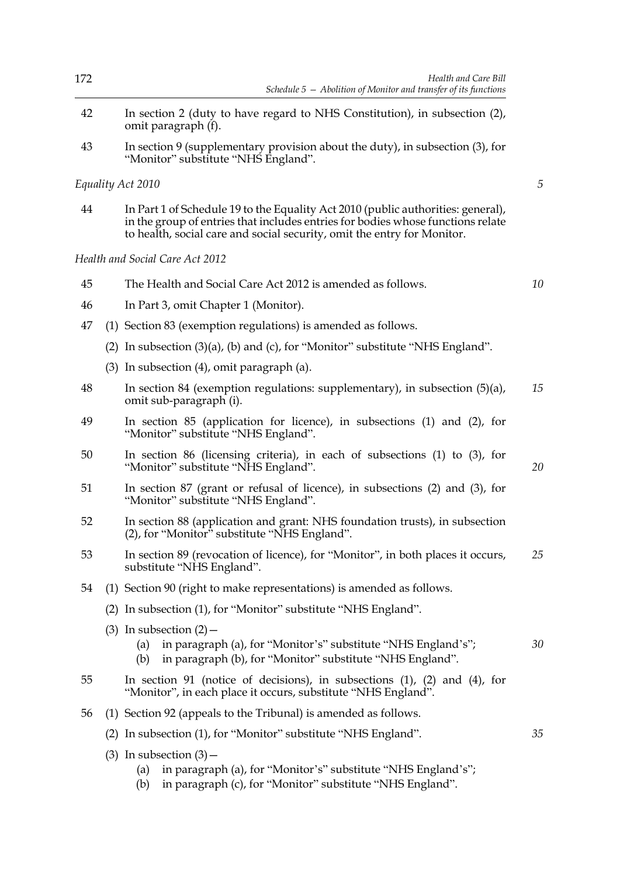| 172 | Health and Care Bill<br>Schedule $5$ – Abolition of Monitor and transfer of its functions                                                                                                                                                      |  |
|-----|------------------------------------------------------------------------------------------------------------------------------------------------------------------------------------------------------------------------------------------------|--|
| 42  | In section 2 (duty to have regard to NHS Constitution), in subsection (2),<br>omit paragraph (f).                                                                                                                                              |  |
| 43  | In section 9 (supplementary provision about the duty), in subsection (3), for<br>"Monitor" substitute "NHS England".                                                                                                                           |  |
|     | Equality Act 2010                                                                                                                                                                                                                              |  |
| 44  | In Part 1 of Schedule 19 to the Equality Act 2010 (public authorities: general),<br>in the group of entries that includes entries for bodies whose functions relate<br>to health, social care and social security, omit the entry for Monitor. |  |
|     | Health and Social Care Act 2012                                                                                                                                                                                                                |  |
| 45  | The Health and Social Care Act 2012 is amended as follows.                                                                                                                                                                                     |  |
| 46  | In Part 3, omit Chapter 1 (Monitor).                                                                                                                                                                                                           |  |
| 47  | (1) Section 83 (exemption regulations) is amended as follows.                                                                                                                                                                                  |  |
|     | (2) In subsection (3)(a), (b) and (c), for "Monitor" substitute "NHS England".                                                                                                                                                                 |  |
|     | $(3)$ In subsection $(4)$ , omit paragraph $(a)$ .                                                                                                                                                                                             |  |
| 48  | In section 84 (exemption regulations: supplementary), in subsection $(5)(a)$ ,<br>omit sub-paragraph (i).                                                                                                                                      |  |
| 49  | In section 85 (application for licence), in subsections (1) and (2), for<br>"Monitor" substitute "NHS England".                                                                                                                                |  |
| 50  | In section 86 (licensing criteria), in each of subsections $(1)$ to $(3)$ , for<br>"Monitor" substitute "NHS England".                                                                                                                         |  |
| 51  | In section 87 (grant or refusal of licence), in subsections $(2)$ and $(3)$ , for<br>"Monitor" substitute "NHS England".                                                                                                                       |  |
| 52  | In section 88 (application and grant: NHS foundation trusts), in subsection<br>(2), for "Monitor" substitute "NHS England".                                                                                                                    |  |
| 53  | In section 89 (revocation of licence), for "Monitor", in both places it occurs,<br>substitute "NHS England".                                                                                                                                   |  |
| 54  | (1) Section 90 (right to make representations) is amended as follows.                                                                                                                                                                          |  |
|     | (2) In subsection (1), for "Monitor" substitute "NHS England".                                                                                                                                                                                 |  |
|     | (3) In subsection $(2)$ –<br>in paragraph (a), for "Monitor's" substitute "NHS England's";<br>(a)<br>in paragraph (b), for "Monitor" substitute "NHS England".<br>(b)                                                                          |  |
| 55  | In section 91 (notice of decisions), in subsections $(1)$ , $(2)$ and $(4)$ , for<br>"Monitor", in each place it occurs, substitute "NHS England".                                                                                             |  |
| 56  | (1) Section 92 (appeals to the Tribunal) is amended as follows.                                                                                                                                                                                |  |
|     | (2) In subsection (1), for "Monitor" substitute "NHS England".                                                                                                                                                                                 |  |
|     | $(3)$ In subsection $(3)$ –<br>in paragraph (a), for "Monitor's" substitute "NHS England's";<br>(a)<br>in paragraph (c), for "Monitor" substitute "NHS England".<br>(b)                                                                        |  |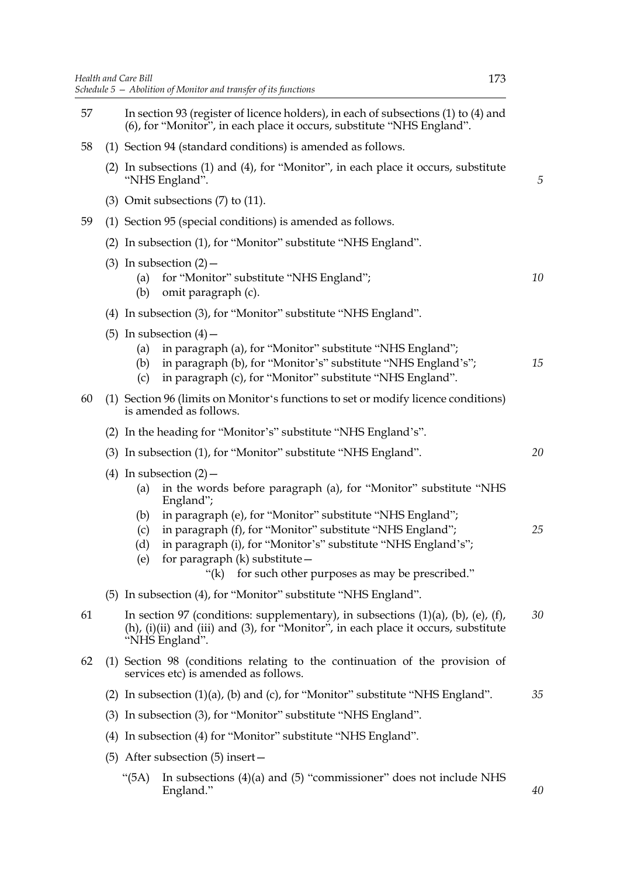| 57 | In section 93 (register of licence holders), in each of subsections (1) to (4) and<br>(6), for "Monitor", in each place it occurs, substitute "NHS England".                                            |                                                                                                                                                                                                 |    |
|----|---------------------------------------------------------------------------------------------------------------------------------------------------------------------------------------------------------|-------------------------------------------------------------------------------------------------------------------------------------------------------------------------------------------------|----|
| 58 |                                                                                                                                                                                                         | (1) Section 94 (standard conditions) is amended as follows.                                                                                                                                     |    |
|    | (2) In subsections (1) and (4), for "Monitor", in each place it occurs, substitute<br>"NHS England".                                                                                                    |                                                                                                                                                                                                 | 5  |
|    | $(3)$ Omit subsections $(7)$ to $(11)$ .                                                                                                                                                                |                                                                                                                                                                                                 |    |
| 59 |                                                                                                                                                                                                         | (1) Section 95 (special conditions) is amended as follows.                                                                                                                                      |    |
|    |                                                                                                                                                                                                         | (2) In subsection (1), for "Monitor" substitute "NHS England".                                                                                                                                  |    |
|    | $(3)$ In subsection $(2)$ –<br>(a)<br>(b)                                                                                                                                                               | for "Monitor" substitute "NHS England";<br>omit paragraph (c).                                                                                                                                  | 10 |
|    |                                                                                                                                                                                                         | (4) In subsection (3), for "Monitor" substitute "NHS England".                                                                                                                                  |    |
|    | (5) In subsection $(4)$ –<br>(c)                                                                                                                                                                        | (a) in paragraph (a), for "Monitor" substitute "NHS England";<br>(b) in paragraph (b), for "Monitor's" substitute "NHS England's";<br>in paragraph (c), for "Monitor" substitute "NHS England". | 15 |
| 60 | is amended as follows.                                                                                                                                                                                  | (1) Section 96 (limits on Monitor's functions to set or modify licence conditions)                                                                                                              |    |
|    |                                                                                                                                                                                                         | (2) In the heading for "Monitor's" substitute "NHS England's".                                                                                                                                  |    |
|    |                                                                                                                                                                                                         | (3) In subsection (1), for "Monitor" substitute "NHS England".                                                                                                                                  | 20 |
|    | (4) In subsection $(2)$ –<br>(a)<br>England";<br>(b)<br>(c)                                                                                                                                             | in the words before paragraph (a), for "Monitor" substitute "NHS<br>in paragraph (e), for "Monitor" substitute "NHS England";<br>in paragraph (f), for "Monitor" substitute "NHS England";      | 25 |
|    | (d)<br>(e)                                                                                                                                                                                              | in paragraph (i), for "Monitor's" substitute "NHS England's";<br>for paragraph (k) substitute -<br>for such other purposes as may be prescribed."<br>" $(k)$                                    |    |
|    |                                                                                                                                                                                                         | (5) In subsection (4), for "Monitor" substitute "NHS England".                                                                                                                                  |    |
| 61 | In section 97 (conditions: supplementary), in subsections $(1)(a)$ , $(b)$ , $(e)$ , $(f)$ ,<br>$(h)$ , (i)(ii) and (iii) and (3), for "Monitor", in each place it occurs, substitute<br>"NHS England". |                                                                                                                                                                                                 | 30 |
| 62 |                                                                                                                                                                                                         | (1) Section 98 (conditions relating to the continuation of the provision of<br>services etc) is amended as follows.                                                                             |    |
|    |                                                                                                                                                                                                         | (2) In subsection $(1)(a)$ , (b) and (c), for "Monitor" substitute "NHS England".                                                                                                               | 35 |
|    |                                                                                                                                                                                                         | (3) In subsection (3), for "Monitor" substitute "NHS England".                                                                                                                                  |    |
|    |                                                                                                                                                                                                         | (4) In subsection (4) for "Monitor" substitute "NHS England".                                                                                                                                   |    |

- (5) After subsection (5) insert—
	- "(5A) In subsections (4)(a) and (5) "commissioner" does not include NHS England."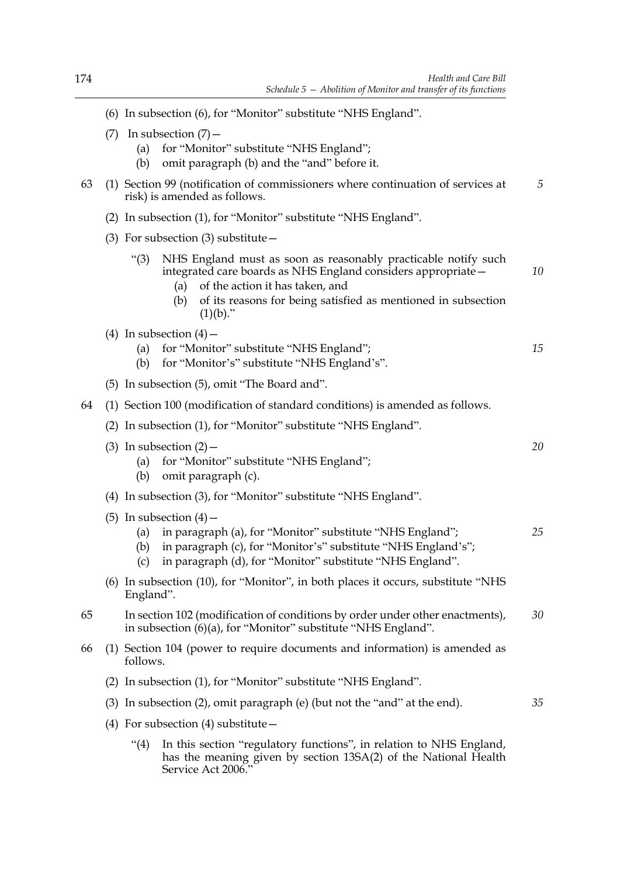|    | (6) In subsection (6), for "Monitor" substitute "NHS England".                                                                                                                                                                                                              |    |
|----|-----------------------------------------------------------------------------------------------------------------------------------------------------------------------------------------------------------------------------------------------------------------------------|----|
|    | In subsection $(7)$ –<br>(7)<br>for "Monitor" substitute "NHS England";<br>(a)<br>omit paragraph (b) and the "and" before it.<br>(b)                                                                                                                                        |    |
| 63 | (1) Section 99 (notification of commissioners where continuation of services at<br>risk) is amended as follows.                                                                                                                                                             | 5  |
|    | In subsection (1), for "Monitor" substitute "NHS England".<br>(2)                                                                                                                                                                                                           |    |
|    | (3) For subsection (3) substitute $-$                                                                                                                                                                                                                                       |    |
|    | NHS England must as soon as reasonably practicable notify such<br>" $(3)$<br>integrated care boards as NHS England considers appropriate -<br>of the action it has taken, and<br>(a)<br>of its reasons for being satisfied as mentioned in subsection<br>(b)<br>$(1)(b)$ ." | 10 |
|    | (4) In subsection $(4)$ –<br>for "Monitor" substitute "NHS England";<br>(a)<br>for "Monitor's" substitute "NHS England's".<br>(b)                                                                                                                                           | 15 |
|    | (5) In subsection (5), omit "The Board and".                                                                                                                                                                                                                                |    |
| 64 | (1) Section 100 (modification of standard conditions) is amended as follows.                                                                                                                                                                                                |    |
|    |                                                                                                                                                                                                                                                                             |    |

(2) In subsection (1), for "Monitor" substitute "NHS England".

|  | (3) In subsection $(2)$ – |  |
|--|---------------------------|--|
|--|---------------------------|--|

- (a) for "Monitor" substitute "NHS England";
- (b) omit paragraph (c).
- (4) In subsection (3), for "Monitor" substitute "NHS England".
- (5) In subsection  $(4)$ 
	- (a) in paragraph (a), for "Monitor" substitute "NHS England"; *25*

*20*

*35*

- (b) in paragraph (c), for "Monitor's" substitute "NHS England's";
- (c) in paragraph (d), for "Monitor" substitute "NHS England".
- (6) In subsection (10), for "Monitor", in both places it occurs, substitute "NHS England".
- 65 In section 102 (modification of conditions by order under other enactments), in subsection (6)(a), for "Monitor" substitute "NHS England". *30*
- 66 (1) Section 104 (power to require documents and information) is amended as follows.
	- (2) In subsection (1), for "Monitor" substitute "NHS England".

(3) In subsection (2), omit paragraph (e) (but not the "and" at the end).

- (4) For subsection (4) substitute—
	- "(4) In this section "regulatory functions", in relation to NHS England, has the meaning given by section 13SA(2) of the National Health Service Act 2006."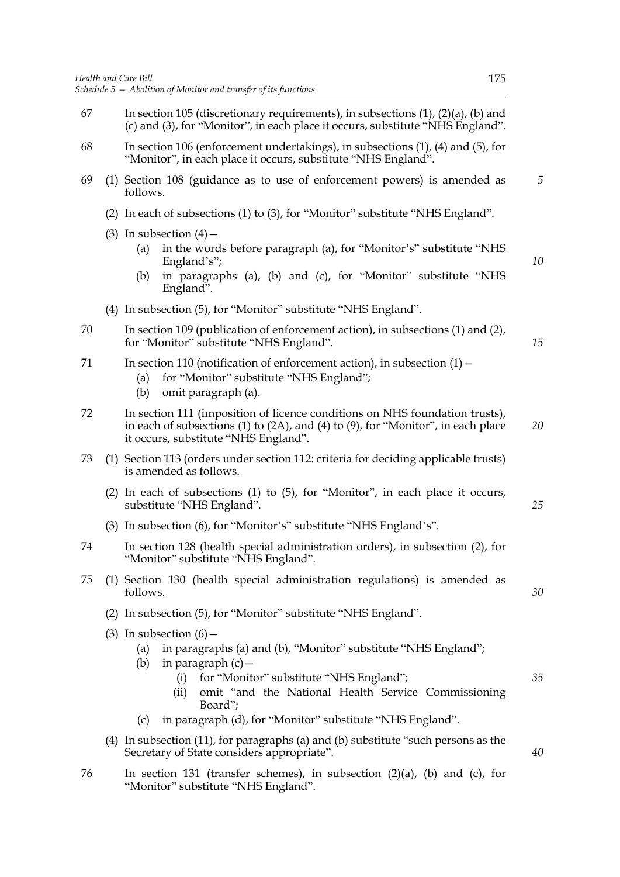- 67 In section 105 (discretionary requirements), in subsections  $(1)$ ,  $(2)(a)$ ,  $(b)$  and (c) and (3), for "Monitor", in each place it occurs, substitute "NHS England". 68 In section 106 (enforcement undertakings), in subsections (1), (4) and (5), for "Monitor", in each place it occurs, substitute "NHS England". 69 (1) Section 108 (guidance as to use of enforcement powers) is amended as follows. (2) In each of subsections (1) to (3), for "Monitor" substitute "NHS England". (3) In subsection  $(4)$  – (a) in the words before paragraph (a), for "Monitor's" substitute "NHS England's"; (b) in paragraphs (a), (b) and (c), for "Monitor" substitute "NHS England". (4) In subsection (5), for "Monitor" substitute "NHS England". 70 In section 109 (publication of enforcement action), in subsections (1) and (2), for "Monitor" substitute "NHS England". 71 In section 110 (notification of enforcement action), in subsection (1)— (a) for "Monitor" substitute "NHS England"; (b) omit paragraph (a). 72 In section 111 (imposition of licence conditions on NHS foundation trusts), in each of subsections (1) to (2A), and (4) to (9), for "Monitor", in each place it occurs, substitute "NHS England". 73 (1) Section 113 (orders under section 112: criteria for deciding applicable trusts) is amended as follows. (2) In each of subsections (1) to (5), for "Monitor", in each place it occurs, substitute "NHS England". (3) In subsection (6), for "Monitor's" substitute "NHS England's". 74 In section 128 (health special administration orders), in subsection (2), for "Monitor" substitute "NHS England". 75 (1) Section 130 (health special administration regulations) is amended as follows. (2) In subsection (5), for "Monitor" substitute "NHS England". (3) In subsection  $(6)$  – (a) in paragraphs (a) and (b), "Monitor" substitute "NHS England"; (b) in paragraph  $(c)$  — (i) for "Monitor" substitute "NHS England"; (ii) omit "and the National Health Service Commissioning Board"; (c) in paragraph (d), for "Monitor" substitute "NHS England". (4) In subsection (11), for paragraphs (a) and (b) substitute "such persons as the Secretary of State considers appropriate". *5 10 15 20 25 30 35 40*
- 76 In section 131 (transfer schemes), in subsection (2)(a), (b) and (c), for "Monitor" substitute "NHS England".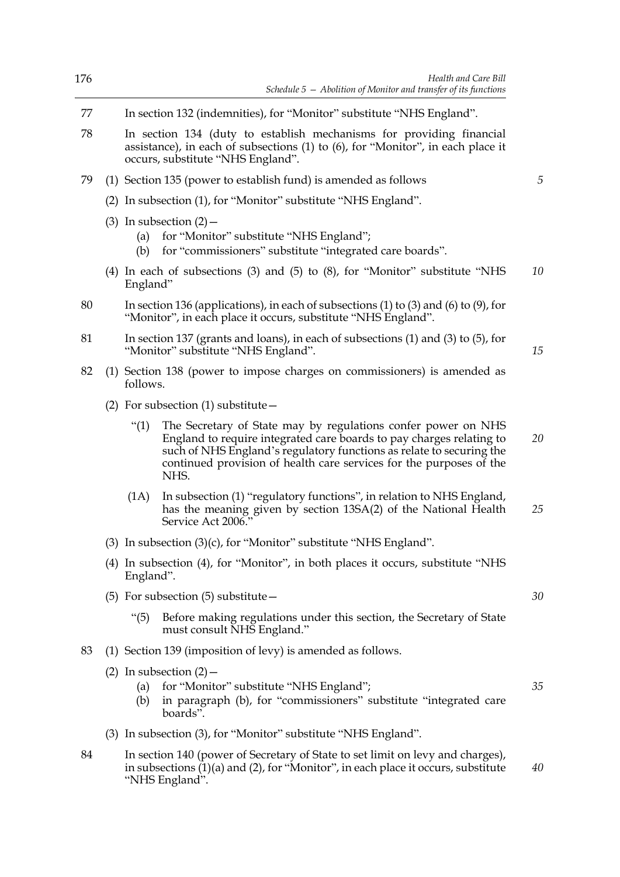| 176 | Health and Care Bill<br>Schedule $5$ – Abolition of Monitor and transfer of its functions                                                                                                                                                                                                                    |    |  |
|-----|--------------------------------------------------------------------------------------------------------------------------------------------------------------------------------------------------------------------------------------------------------------------------------------------------------------|----|--|
| 77  | In section 132 (indemnities), for "Monitor" substitute "NHS England".                                                                                                                                                                                                                                        |    |  |
| 78  | In section 134 (duty to establish mechanisms for providing financial<br>assistance), in each of subsections (1) to (6), for "Monitor", in each place it<br>occurs, substitute "NHS England".                                                                                                                 |    |  |
| 79  | (1) Section 135 (power to establish fund) is amended as follows                                                                                                                                                                                                                                              | 5  |  |
|     | (2) In subsection (1), for "Monitor" substitute "NHS England".                                                                                                                                                                                                                                               |    |  |
|     | $(3)$ In subsection $(2)$ –<br>for "Monitor" substitute "NHS England";<br>(a)<br>for "commissioners" substitute "integrated care boards".<br>(b)                                                                                                                                                             |    |  |
|     | (4) In each of subsections (3) and (5) to (8), for "Monitor" substitute "NHS<br>England"                                                                                                                                                                                                                     | 10 |  |
| 80  | In section 136 (applications), in each of subsections (1) to (3) and (6) to (9), for<br>"Monitor", in each place it occurs, substitute "NHS England".                                                                                                                                                        |    |  |
| 81  | In section 137 (grants and loans), in each of subsections $(1)$ and $(3)$ to $(5)$ , for<br>"Monitor" substitute "NHS England".                                                                                                                                                                              | 15 |  |
| 82  | (1) Section 138 (power to impose charges on commissioners) is amended as<br>follows.                                                                                                                                                                                                                         |    |  |
|     | (2) For subsection $(1)$ substitute $-$                                                                                                                                                                                                                                                                      |    |  |
|     | The Secretary of State may by regulations confer power on NHS<br>$\degree(1)$<br>England to require integrated care boards to pay charges relating to<br>such of NHS England's regulatory functions as relate to securing the<br>continued provision of health care services for the purposes of the<br>NHS. | 20 |  |
|     | In subsection (1) "regulatory functions", in relation to NHS England,<br>(1A)<br>has the meaning given by section 13SA(2) of the National Health<br>Service Act 2006."                                                                                                                                       | 25 |  |
|     | (3) In subsection (3)(c), for "Monitor" substitute "NHS England".                                                                                                                                                                                                                                            |    |  |
|     | (4) In subsection (4), for "Monitor", in both places it occurs, substitute "NHS<br>England".                                                                                                                                                                                                                 |    |  |
|     | $(5)$ For subsection $(5)$ substitute –                                                                                                                                                                                                                                                                      | 30 |  |
|     | " $(5)$<br>Before making regulations under this section, the Secretary of State<br>must consult NHS England."                                                                                                                                                                                                |    |  |
| 83  | (1) Section 139 (imposition of levy) is amended as follows.                                                                                                                                                                                                                                                  |    |  |
|     | (2) In subsection $(2)$ –<br>for "Monitor" substitute "NHS England";<br>(a)<br>in paragraph (b), for "commissioners" substitute "integrated care<br>(b)<br>boards".                                                                                                                                          | 35 |  |
|     | (3) In subsection (3), for "Monitor" substitute "NHS England".                                                                                                                                                                                                                                               |    |  |
| 84  | In section 140 (power of Secretary of State to set limit on levy and charges),<br>in subsections $(1)(a)$ and $(2)$ , for "Monitor", in each place it occurs, substitute<br>"NHS England".                                                                                                                   | 40 |  |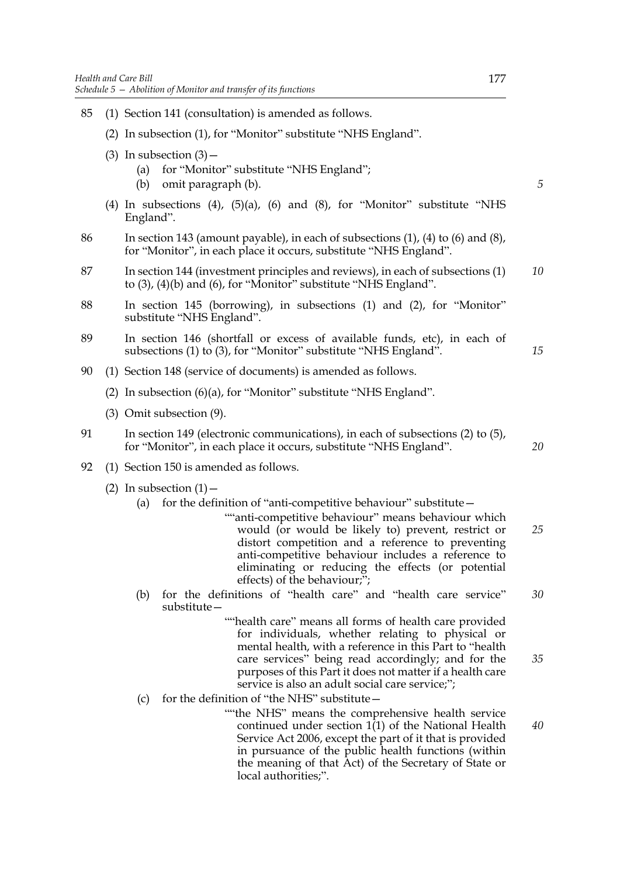- 85 (1) Section 141 (consultation) is amended as follows. (2) In subsection (1), for "Monitor" substitute "NHS England". (3) In subsection  $(3)$  -(a) for "Monitor" substitute "NHS England"; (b) omit paragraph (b). (4) In subsections (4),  $(5)(a)$ ,  $(6)$  and  $(8)$ , for "Monitor" substitute "NHS England". 86 In section 143 (amount payable), in each of subsections (1), (4) to (6) and (8), for "Monitor", in each place it occurs, substitute "NHS England". 87 In section 144 (investment principles and reviews), in each of subsections (1)
- to (3), (4)(b) and (6), for "Monitor" substitute "NHS England". *10*
- 88 In section 145 (borrowing), in subsections (1) and (2), for "Monitor" substitute "NHS England".
- 89 In section 146 (shortfall or excess of available funds, etc), in each of subsections (1) to (3), for "Monitor" substitute "NHS England".
- 90 (1) Section 148 (service of documents) is amended as follows.
	- (2) In subsection (6)(a), for "Monitor" substitute "NHS England".
	- (3) Omit subsection (9).
- 91 In section 149 (electronic communications), in each of subsections (2) to (5), for "Monitor", in each place it occurs, substitute "NHS England".
- 92 (1) Section 150 is amended as follows.
	- (2) In subsection  $(1)$ 
		- (a) for the definition of "anti-competitive behaviour" substitute  $-$ 
			- ""anti-competitive behaviour" means behaviour which would (or would be likely to) prevent, restrict or distort competition and a reference to preventing anti-competitive behaviour includes a reference to eliminating or reducing the effects (or potential effects) of the behaviour;"; *25*
		- (b) for the definitions of "health care" and "health care service" substitute— *30*
			- ""health care" means all forms of health care provided for individuals, whether relating to physical or mental health, with a reference in this Part to "health care services" being read accordingly; and for the purposes of this Part it does not matter if a health care service is also an adult social care service;";
		- (c) for the definition of "the NHS" substitute  $-$ 
			- ""the NHS" means the comprehensive health service continued under section  $1(1)$  of the National Health Service Act 2006, except the part of it that is provided in pursuance of the public health functions (within the meaning of that Act) of the Secretary of State or local authorities;".

*5*

*15*

*20*

*35*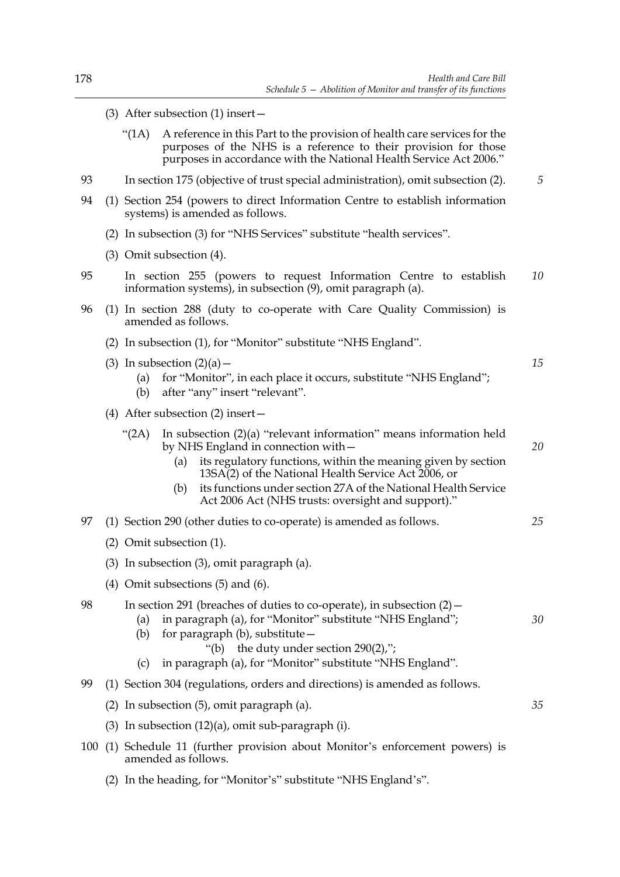*15*

*20*

*25*

*30*

*35*

- (3) After subsection (1) insert—
	- "(1A) A reference in this Part to the provision of health care services for the purposes of the NHS is a reference to their provision for those purposes in accordance with the National Health Service Act 2006."
- 93 In section 175 (objective of trust special administration), omit subsection (2). *5*
- 94 (1) Section 254 (powers to direct Information Centre to establish information systems) is amended as follows.
	- (2) In subsection (3) for "NHS Services" substitute "health services".
	- (3) Omit subsection (4).
- 95 In section 255 (powers to request Information Centre to establish information systems), in subsection (9), omit paragraph (a). *10*
- 96 (1) In section 288 (duty to co-operate with Care Quality Commission) is amended as follows.
	- (2) In subsection (1), for "Monitor" substitute "NHS England".
	- (3) In subsection  $(2)(a)$ 
		- (a) for "Monitor", in each place it occurs, substitute "NHS England";
		- (b) after "any" insert "relevant".
	- (4) After subsection (2) insert—
		- "(2A) In subsection (2)(a) "relevant information" means information held by NHS England in connection with—
			- (a) its regulatory functions, within the meaning given by section 13SA(2) of the National Health Service Act 2006, or
			- (b) its functions under section 27A of the National Health Service Act 2006 Act (NHS trusts: oversight and support)."
- 97 (1) Section 290 (other duties to co-operate) is amended as follows.
	- (2) Omit subsection (1).
	- (3) In subsection (3), omit paragraph (a).
	- (4) Omit subsections (5) and (6).

98 In section 291 (breaches of duties to co-operate), in subsection (2)— (a) in paragraph (a), for "Monitor" substitute "NHS England";

- (b) for paragraph (b), substitute—
	- "(b) the duty under section 290(2),";
- (c) in paragraph (a), for "Monitor" substitute "NHS England".
- 99 (1) Section 304 (regulations, orders and directions) is amended as follows.
	- (2) In subsection (5), omit paragraph (a).
	- (3) In subsection (12)(a), omit sub-paragraph (i).
- 100 (1) Schedule 11 (further provision about Monitor's enforcement powers) is amended as follows.
	- (2) In the heading, for "Monitor's" substitute "NHS England's".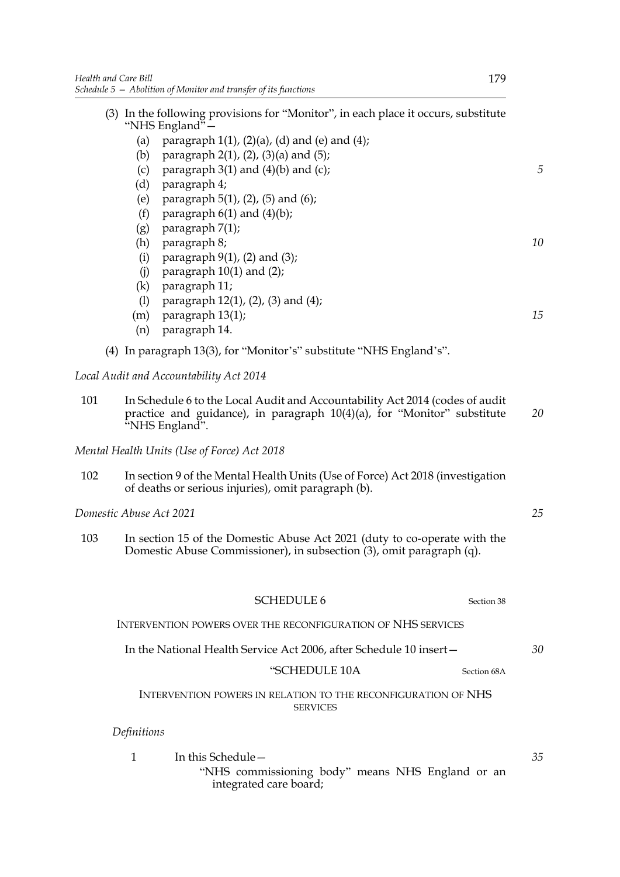|     |                         | (3) In the following provisions for "Monitor", in each place it occurs, substitute                                                                                        |  |
|-----|-------------------------|---------------------------------------------------------------------------------------------------------------------------------------------------------------------------|--|
|     |                         | "NHS England"-                                                                                                                                                            |  |
|     | (a)<br>(b)              | paragraph $1(1)$ , $(2)(a)$ , $(d)$ and $(e)$ and $(4)$ ;<br>paragraph $2(1)$ , $(2)$ , $(3)(a)$ and $(5)$ ;                                                              |  |
|     | (c)                     | paragraph $3(1)$ and $(4)(b)$ and $(c)$ ;                                                                                                                                 |  |
|     | (d)                     | paragraph 4;                                                                                                                                                              |  |
|     | (e)                     | paragraph 5(1), (2), (5) and (6);                                                                                                                                         |  |
|     | (f)                     | paragraph $6(1)$ and $(4)(b)$ ;                                                                                                                                           |  |
|     | (g)                     | paragraph 7(1);                                                                                                                                                           |  |
|     | (h)                     | paragraph 8;                                                                                                                                                              |  |
|     | (i)                     | paragraph $9(1)$ , (2) and (3);                                                                                                                                           |  |
|     | (i)                     | paragraph $10(1)$ and $(2)$ ;                                                                                                                                             |  |
|     | (k)                     | paragraph 11;                                                                                                                                                             |  |
|     | (1)                     | paragraph 12(1), (2), (3) and (4);                                                                                                                                        |  |
|     | (m)                     | paragraph 13(1);                                                                                                                                                          |  |
|     | (n)                     | paragraph 14.                                                                                                                                                             |  |
|     |                         | (4) In paragraph 13(3), for "Monitor's" substitute "NHS England's".                                                                                                       |  |
|     |                         | Local Audit and Accountability Act 2014                                                                                                                                   |  |
| 101 |                         | In Schedule 6 to the Local Audit and Accountability Act 2014 (codes of audit<br>practice and guidance), in paragraph 10(4)(a), for "Monitor" substitute<br>"NHS England". |  |
|     |                         | Mental Health Units (Use of Force) Act 2018                                                                                                                               |  |
| 102 |                         | In section 9 of the Mental Health Units (Use of Force) Act 2018 (investigation<br>of deaths or serious injuries), omit paragraph (b).                                     |  |
|     | Domestic Abuse Act 2021 |                                                                                                                                                                           |  |
| 103 |                         | In section 15 of the Domestic Abuse Act 2021 (duty to co-operate with the<br>Domestic Abuse Commissioner), in subsection (3), omit paragraph (q).                         |  |
|     |                         | <b>SCHEDULE 6</b><br>Section 38                                                                                                                                           |  |
|     |                         | INTERVENTION POWERS OVER THE RECONFIGURATION OF NHS SERVICES                                                                                                              |  |
|     |                         | In the National Health Service Act 2006, after Schedule 10 insert-                                                                                                        |  |
|     |                         | "SCHEDULE 10A<br>Section 68A                                                                                                                                              |  |
|     |                         | INTERVENTION POWERS IN RELATION TO THE RECONFIGURATION OF NHS<br><b>SERVICES</b>                                                                                          |  |
|     | Definitions             |                                                                                                                                                                           |  |
|     | $\mathbf{1}$            | In this Schedule-                                                                                                                                                         |  |
|     |                         | "NHS commissioning body" means NHS England or an                                                                                                                          |  |

integrated care board;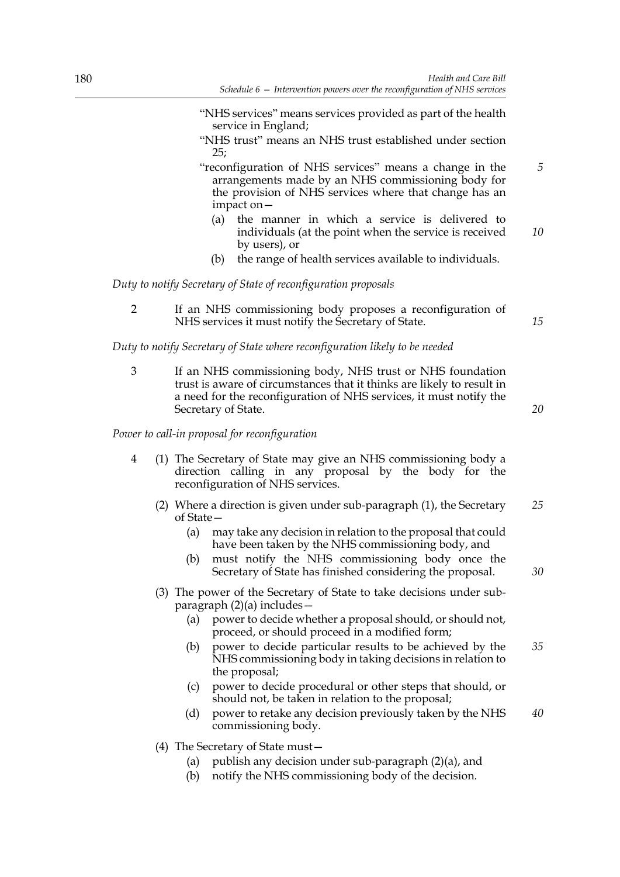- "NHS services" means services provided as part of the health service in England;
- "NHS trust" means an NHS trust established under section 25;
- "reconfiguration of NHS services" means a change in the arrangements made by an NHS commissioning body for the provision of NHS services where that change has an impact on— *5*
	- (a) the manner in which a service is delivered to individuals (at the point when the service is received by users), or *10*
	- (b) the range of health services available to individuals.

*Duty to notify Secretary of State of reconfiguration proposals*

2 If an NHS commissioning body proposes a reconfiguration of NHS services it must notify the Secretary of State.

*Duty to notify Secretary of State where reconfiguration likely to be needed*

3 If an NHS commissioning body, NHS trust or NHS foundation trust is aware of circumstances that it thinks are likely to result in a need for the reconfiguration of NHS services, it must notify the Secretary of State.

*20*

*30*

*15*

*Power to call-in proposal for reconfiguration*

- 4 (1) The Secretary of State may give an NHS commissioning body a direction calling in any proposal by the body for the reconfiguration of NHS services.
	- (2) Where a direction is given under sub-paragraph (1), the Secretary of State— *25*
		- (a) may take any decision in relation to the proposal that could have been taken by the NHS commissioning body, and
		- (b) must notify the NHS commissioning body once the Secretary of State has finished considering the proposal.
	- (3) The power of the Secretary of State to take decisions under subparagraph (2)(a) includes—
		- (a) power to decide whether a proposal should, or should not, proceed, or should proceed in a modified form;
		- (b) power to decide particular results to be achieved by the NHS commissioning body in taking decisions in relation to the proposal; *35*
		- (c) power to decide procedural or other steps that should, or should not, be taken in relation to the proposal;
		- (d) power to retake any decision previously taken by the NHS commissioning body. *40*
	- (4) The Secretary of State must—
		- (a) publish any decision under sub-paragraph (2)(a), and
		- (b) notify the NHS commissioning body of the decision.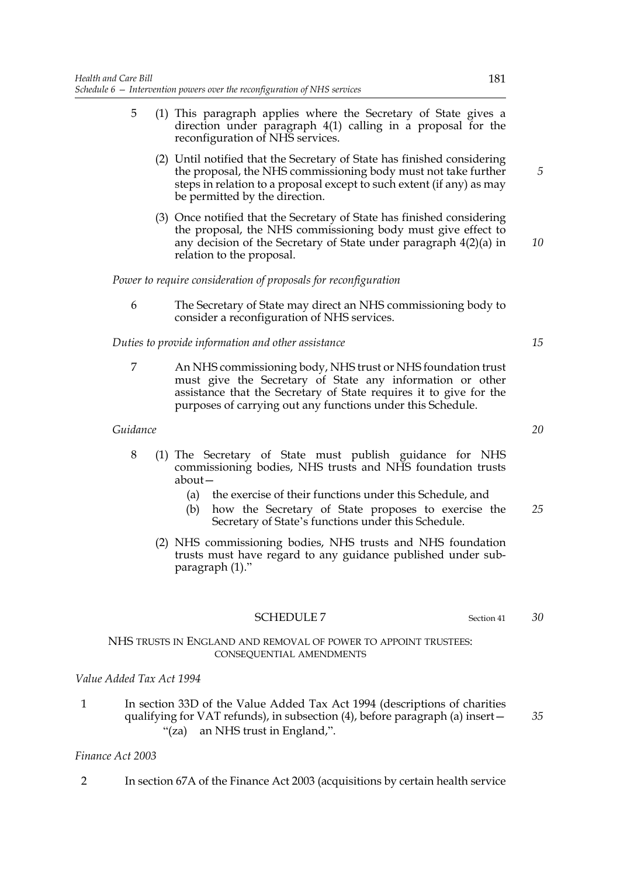- 5 (1) This paragraph applies where the Secretary of State gives a direction under paragraph 4(1) calling in a proposal for the reconfiguration of NHS services.
	- (2) Until notified that the Secretary of State has finished considering the proposal, the NHS commissioning body must not take further steps in relation to a proposal except to such extent (if any) as may be permitted by the direction.
	- (3) Once notified that the Secretary of State has finished considering the proposal, the NHS commissioning body must give effect to any decision of the Secretary of State under paragraph 4(2)(a) in relation to the proposal. *10*

*Power to require consideration of proposals for reconfiguration*

6 The Secretary of State may direct an NHS commissioning body to consider a reconfiguration of NHS services.

*Duties to provide information and other assistance*

7 An NHS commissioning body, NHS trust or NHS foundation trust must give the Secretary of State any information or other assistance that the Secretary of State requires it to give for the purposes of carrying out any functions under this Schedule.

## *Guidance*

- 8 (1) The Secretary of State must publish guidance for NHS commissioning bodies, NHS trusts and NHS foundation trusts about—
	- (a) the exercise of their functions under this Schedule, and
	- (b) how the Secretary of State proposes to exercise the Secretary of State's functions under this Schedule. *25*
	- (2) NHS commissioning bodies, NHS trusts and NHS foundation trusts must have regard to any guidance published under subparagraph (1)."

## SCHEDULE 7 Section 41

## NHS TRUSTS IN ENGLAND AND REMOVAL OF POWER TO APPOINT TRUSTEES: CONSEQUENTIAL AMENDMENTS

# *Value Added Tax Act 1994*

1 In section 33D of the Value Added Tax Act 1994 (descriptions of charities qualifying for VAT refunds), in subsection (4), before paragraph (a) insert— "(za) an NHS trust in England,".

# *Finance Act 2003*

2 In section 67A of the Finance Act 2003 (acquisitions by certain health service

*5*

*20*

*15*

*30*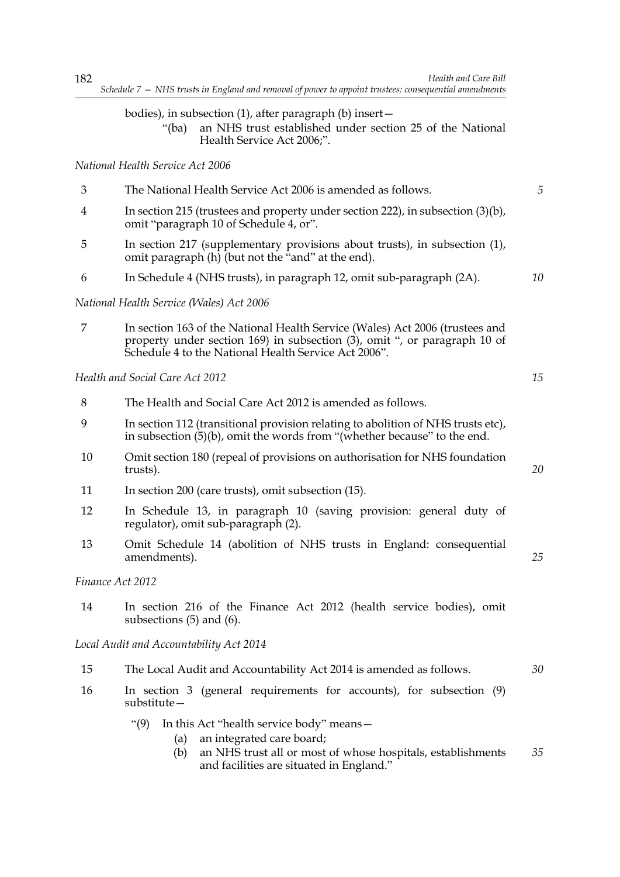## bodies), in subsection (1), after paragraph (b) insert—

"(ba) an NHS trust established under section 25 of the National Health Service Act 2006;".

## *National Health Service Act 2006*

- 3 The National Health Service Act 2006 is amended as follows. 4 In section 215 (trustees and property under section 222), in subsection (3)(b), *5*
- omit "paragraph 10 of Schedule 4, or".
- 5 In section 217 (supplementary provisions about trusts), in subsection (1), omit paragraph  $(h)$  (but not the "and" at the end).
- 6 In Schedule 4 (NHS trusts), in paragraph 12, omit sub-paragraph (2A).

## *National Health Service (Wales) Act 2006*

7 In section 163 of the National Health Service (Wales) Act 2006 (trustees and property under section 169) in subsection (3), omit ", or paragraph 10 of Schedule 4 to the National Health Service Act 2006".

# *Health and Social Care Act 2012*

- 8 The Health and Social Care Act 2012 is amended as follows.
- 9 In section 112 (transitional provision relating to abolition of NHS trusts etc), in subsection (5)(b), omit the words from "(whether because" to the end.
- 10 Omit section 180 (repeal of provisions on authorisation for NHS foundation trusts).
- 11 In section 200 (care trusts), omit subsection (15).
- 12 In Schedule 13, in paragraph 10 (saving provision: general duty of regulator), omit sub-paragraph (2).
- 13 Omit Schedule 14 (abolition of NHS trusts in England: consequential amendments).

## *Finance Act 2012*

14 In section 216 of the Finance Act 2012 (health service bodies), omit subsections (5) and (6).

*Local Audit and Accountability Act 2014*

- 15 The Local Audit and Accountability Act 2014 is amended as follows. *30*
- 16 In section 3 (general requirements for accounts), for subsection (9) substitute—
	- "(9) In this Act "health service body" means—
		- (a) an integrated care board;
		- (b) an NHS trust all or most of whose hospitals, establishments and facilities are situated in England." *35*

*15*

*10*

*20*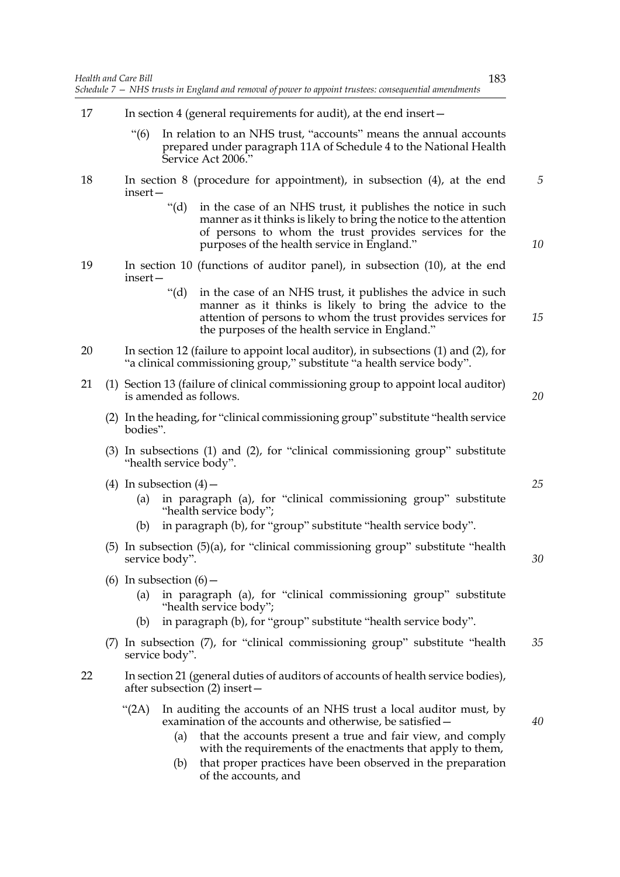- 17 In section 4 (general requirements for audit), at the end insert—
	- "(6) In relation to an NHS trust, "accounts" means the annual accounts prepared under paragraph 11A of Schedule 4 to the National Health Service Act 2006."
- 18 In section 8 (procedure for appointment), in subsection (4), at the end insert—
	- "(d) in the case of an NHS trust, it publishes the notice in such manner as it thinks is likely to bring the notice to the attention of persons to whom the trust provides services for the purposes of the health service in England."
- 19 In section 10 (functions of auditor panel), in subsection (10), at the end insert—
	- "(d) in the case of an NHS trust, it publishes the advice in such manner as it thinks is likely to bring the advice to the attention of persons to whom the trust provides services for the purposes of the health service in England."
- 20 In section 12 (failure to appoint local auditor), in subsections (1) and (2), for "a clinical commissioning group," substitute "a health service body".
- 21 (1) Section 13 (failure of clinical commissioning group to appoint local auditor) is amended as follows.
	- (2) In the heading, for "clinical commissioning group" substitute "health service bodies".
	- (3) In subsections (1) and (2), for "clinical commissioning group" substitute "health service body".
	- (4) In subsection  $(4)$ 
		- (a) in paragraph (a), for "clinical commissioning group" substitute "health service body";
		- (b) in paragraph (b), for "group" substitute "health service body".
	- (5) In subsection (5)(a), for "clinical commissioning group" substitute "health service body".
	- (6) In subsection  $(6)$ 
		- (a) in paragraph (a), for "clinical commissioning group" substitute "health service body";
		- (b) in paragraph (b), for "group" substitute "health service body".
	- (7) In subsection (7), for "clinical commissioning group" substitute "health service body". *35*
- 22 In section 21 (general duties of auditors of accounts of health service bodies), after subsection (2) insert—
	- "(2A) In auditing the accounts of an NHS trust a local auditor must, by examination of the accounts and otherwise, be satisfied—
		- (a) that the accounts present a true and fair view, and comply with the requirements of the enactments that apply to them,
		- (b) that proper practices have been observed in the preparation of the accounts, and

183

*25*

*30*

*5*

*10*

*15*

*20*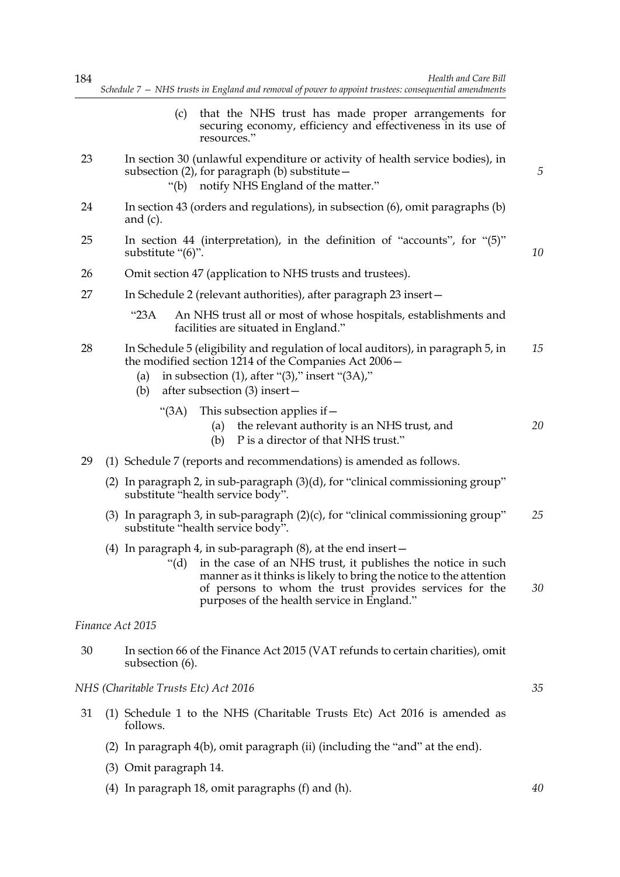| 184 | Health and Care Bill<br>Schedule 7 - NHS trusts in England and removal of power to appoint trustees: consequential amendments                                                                                                                                                                                                |    |
|-----|------------------------------------------------------------------------------------------------------------------------------------------------------------------------------------------------------------------------------------------------------------------------------------------------------------------------------|----|
|     | that the NHS trust has made proper arrangements for<br>(c)<br>securing economy, efficiency and effectiveness in its use of<br>resources."                                                                                                                                                                                    |    |
| 23  | In section 30 (unlawful expenditure or activity of health service bodies), in<br>subsection $(2)$ , for paragraph $(b)$ substitute $-$<br>notify NHS England of the matter."<br>" $(b)$                                                                                                                                      | 5  |
| 24  | In section 43 (orders and regulations), in subsection (6), omit paragraphs (b)<br>and $(c)$ .                                                                                                                                                                                                                                |    |
| 25  | In section 44 (interpretation), in the definition of "accounts", for $(5)$ "<br>substitute "(6)".                                                                                                                                                                                                                            | 10 |
| 26  | Omit section 47 (application to NHS trusts and trustees).                                                                                                                                                                                                                                                                    |    |
| 27  | In Schedule 2 (relevant authorities), after paragraph 23 insert-                                                                                                                                                                                                                                                             |    |
|     | "23A<br>An NHS trust all or most of whose hospitals, establishments and<br>facilities are situated in England."                                                                                                                                                                                                              |    |
| 28  | In Schedule 5 (eligibility and regulation of local auditors), in paragraph 5, in<br>the modified section 1214 of the Companies Act 2006 –<br>in subsection $(1)$ , after " $(3)$ ," insert " $(3A)$ ,"<br>(a)<br>after subsection $(3)$ insert –<br>(b)                                                                      | 15 |
|     | "(3A)<br>This subsection applies if $-$<br>the relevant authority is an NHS trust, and<br>(a)<br>P is a director of that NHS trust."<br>(b)                                                                                                                                                                                  | 20 |
| 29  | (1) Schedule 7 (reports and recommendations) is amended as follows.                                                                                                                                                                                                                                                          |    |
|     | (2) In paragraph 2, in sub-paragraph $(3)(d)$ , for "clinical commissioning group"<br>substitute "health service body".                                                                                                                                                                                                      |    |
|     | (3) In paragraph 3, in sub-paragraph $(2)(c)$ , for "clinical commissioning group"<br>substitute "health service body".                                                                                                                                                                                                      | 25 |
|     | (4) In paragraph 4, in sub-paragraph $(8)$ , at the end insert $-$<br>in the case of an NHS trust, it publishes the notice in such<br>" $(d)$<br>manner as it thinks is likely to bring the notice to the attention<br>of persons to whom the trust provides services for the<br>purposes of the health service in England." | 30 |
|     | Finance Act 2015                                                                                                                                                                                                                                                                                                             |    |
| 30  | In section 66 of the Finance Act 2015 (VAT refunds to certain charities), omit<br>subsection (6).                                                                                                                                                                                                                            |    |
|     | NHS (Charitable Trusts Etc) Act 2016                                                                                                                                                                                                                                                                                         | 35 |
| 31  | (1) Schedule 1 to the NHS (Charitable Trusts Etc) Act 2016 is amended as<br>follows.                                                                                                                                                                                                                                         |    |
|     | (2) In paragraph 4(b), omit paragraph (ii) (including the "and" at the end).                                                                                                                                                                                                                                                 |    |

- (3) Omit paragraph 14.
- (4) In paragraph 18, omit paragraphs (f) and (h).

*40*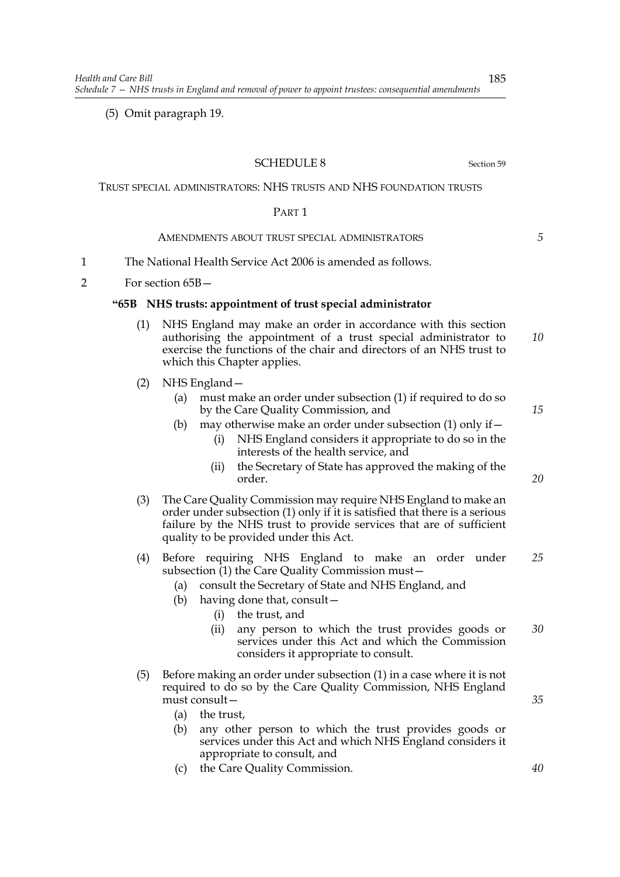(5) Omit paragraph 19.

# SCHEDULE 8 Section 59

# TRUST SPECIAL ADMINISTRATORS: NHS TRUSTS AND NHS FOUNDATION TRUSTS

## PART 1

# AMENDMENTS ABOUT TRUST SPECIAL ADMINISTRATORS

- 1 The National Health Service Act 2006 is amended as follows.
- 2 For section 65B—

## **"65B NHS trusts: appointment of trust special administrator**

- (1) NHS England may make an order in accordance with this section authorising the appointment of a trust special administrator to exercise the functions of the chair and directors of an NHS trust to which this Chapter applies. *10*
- (2) NHS England—
	- (a) must make an order under subsection (1) if required to do so by the Care Quality Commission, and
	- (b) may otherwise make an order under subsection  $(1)$  only if  $-$ 
		- (i) NHS England considers it appropriate to do so in the interests of the health service, and
		- (ii) the Secretary of State has approved the making of the order.
- (3) The Care Quality Commission may require NHS England to make an order under subsection (1) only if it is satisfied that there is a serious failure by the NHS trust to provide services that are of sufficient quality to be provided under this Act.
- (4) Before requiring NHS England to make an order under subsection (1) the Care Quality Commission must -*25*
	- (a) consult the Secretary of State and NHS England, and
	- (b) having done that, consult—
		- (i) the trust, and
		- (ii) any person to which the trust provides goods or services under this Act and which the Commission considers it appropriate to consult. *30*
- (5) Before making an order under subsection (1) in a case where it is not required to do so by the Care Quality Commission, NHS England must consult—
	- (a) the trust,
	- (b) any other person to which the trust provides goods or services under this Act and which NHS England considers it appropriate to consult, and
	- (c) the Care Quality Commission.

*40*

*35*

*5*

*15*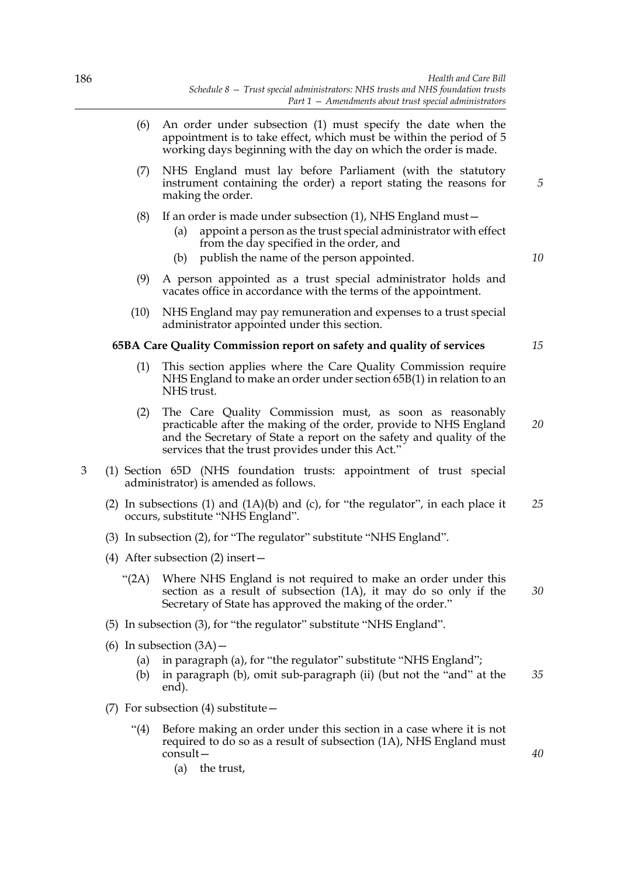- (6) An order under subsection (1) must specify the date when the appointment is to take effect, which must be within the period of 5 working days beginning with the day on which the order is made.
- (7) NHS England must lay before Parliament (with the statutory instrument containing the order) a report stating the reasons for making the order.
- (8) If an order is made under subsection (1), NHS England must—
	- (a) appoint a person as the trust special administrator with effect from the day specified in the order, and
	- (b) publish the name of the person appointed.
- (9) A person appointed as a trust special administrator holds and vacates office in accordance with the terms of the appointment.
- (10) NHS England may pay remuneration and expenses to a trust special administrator appointed under this section.

## **65BA Care Quality Commission report on safety and quality of services**

- (1) This section applies where the Care Quality Commission require NHS England to make an order under section 65B(1) in relation to an NHS trust.
- (2) The Care Quality Commission must, as soon as reasonably practicable after the making of the order, provide to NHS England and the Secretary of State a report on the safety and quality of the services that the trust provides under this Act."
- 3 (1) Section 65D (NHS foundation trusts: appointment of trust special administrator) is amended as follows.
	- (2) In subsections (1) and (1A)(b) and (c), for "the regulator", in each place it occurs, substitute "NHS England". *25*
	- (3) In subsection (2), for "The regulator" substitute "NHS England".
	- (4) After subsection (2) insert—
		- "(2A) Where NHS England is not required to make an order under this section as a result of subsection (1A), it may do so only if the Secretary of State has approved the making of the order." *30*
	- (5) In subsection (3), for "the regulator" substitute "NHS England".
	- (6) In subsection  $(3A)$ 
		- (a) in paragraph (a), for "the regulator" substitute "NHS England";
		- (b) in paragraph (b), omit sub-paragraph (ii) (but not the "and" at the end). *35*
	- (7) For subsection (4) substitute—
		- "(4) Before making an order under this section in a case where it is not required to do so as a result of subsection (1A), NHS England must consult—
			- (a) the trust,

*15*

*5*

*10*

*20*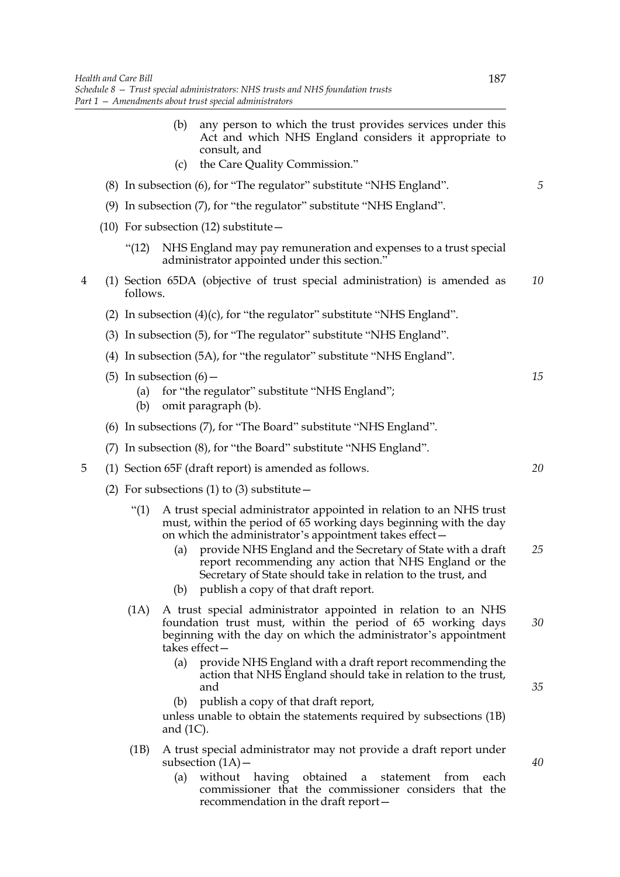(b) any person to which the trust provides services under this Act and which NHS England considers it appropriate to consult, and (c) the Care Quality Commission." (8) In subsection (6), for "The regulator" substitute "NHS England". (9) In subsection (7), for "the regulator" substitute "NHS England". (10) For subsection (12) substitute— "(12) NHS England may pay remuneration and expenses to a trust special administrator appointed under this section." 4 (1) Section 65DA (objective of trust special administration) is amended as follows. (2) In subsection  $(4)(c)$ , for "the regulator" substitute "NHS England". (3) In subsection (5), for "The regulator" substitute "NHS England". (4) In subsection (5A), for "the regulator" substitute "NHS England". (5) In subsection  $(6)$  -(a) for "the regulator" substitute "NHS England"; (b) omit paragraph (b). (6) In subsections (7), for "The Board" substitute "NHS England". (7) In subsection (8), for "the Board" substitute "NHS England". 5 (1) Section 65F (draft report) is amended as follows. (2) For subsections (1) to (3) substitute  $-$ "(1) A trust special administrator appointed in relation to an NHS trust must, within the period of 65 working days beginning with the day on which the administrator's appointment takes effect— (a) provide NHS England and the Secretary of State with a draft report recommending any action that NHS England or the Secretary of State should take in relation to the trust, and (b) publish a copy of that draft report. (1A) A trust special administrator appointed in relation to an NHS foundation trust must, within the period of 65 working days beginning with the day on which the administrator's appointment takes effect— (a) provide NHS England with a draft report recommending the action that NHS England should take in relation to the trust, and (b) publish a copy of that draft report,

unless unable to obtain the statements required by subsections (1B) and (1C).

- (1B) A trust special administrator may not provide a draft report under subsection (1A)—
	- (a) without having obtained a statement from each commissioner that the commissioner considers that the recommendation in the draft report—

*20*

*25*

*30*

*15*

*5*

*10*

*35*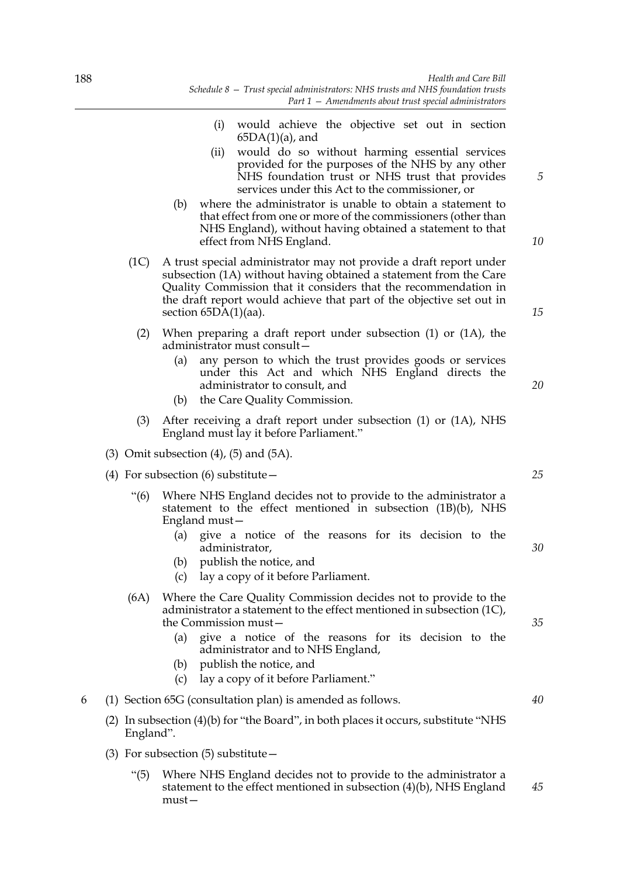- (i) would achieve the objective set out in section  $65DA(1)(a)$ , and (ii) would do so without harming essential services provided for the purposes of the NHS by any other NHS foundation trust or NHS trust that provides
- services under this Act to the commissioner, or (b) where the administrator is unable to obtain a statement to that effect from one or more of the commissioners (other than NHS England), without having obtained a statement to that effect from NHS England.
- (1C) A trust special administrator may not provide a draft report under subsection (1A) without having obtained a statement from the Care Quality Commission that it considers that the recommendation in the draft report would achieve that part of the objective set out in section 65DA(1)(aa).
	- (2) When preparing a draft report under subsection (1) or (1A), the administrator must consult—
		- (a) any person to which the trust provides goods or services under this Act and which NHS England directs the administrator to consult, and
		- (b) the Care Quality Commission.
	- (3) After receiving a draft report under subsection (1) or (1A), NHS England must lay it before Parliament."
- (3) Omit subsection  $(4)$ ,  $(5)$  and  $(5A)$ .
- (4) For subsection (6) substitute—
	- "(6) Where NHS England decides not to provide to the administrator a statement to the effect mentioned in subsection (1B)(b), NHS England must—
		- (a) give a notice of the reasons for its decision to the administrator,
		- (b) publish the notice, and
		- (c) lay a copy of it before Parliament.
	- (6A) Where the Care Quality Commission decides not to provide to the administrator a statement to the effect mentioned in subsection (1C), the Commission must—
		- (a) give a notice of the reasons for its decision to the administrator and to NHS England,
		- (b) publish the notice, and
		- (c) lay a copy of it before Parliament."
- 6 (1) Section 65G (consultation plan) is amended as follows.
	- (2) In subsection (4)(b) for "the Board", in both places it occurs, substitute "NHS England".
	- (3) For subsection  $(5)$  substitute  $-$ 
		- "(5) Where NHS England decides not to provide to the administrator a statement to the effect mentioned in subsection (4)(b), NHS England must— *45*

*20*

*5*

*10*

*15*

*25*

*30*

*35*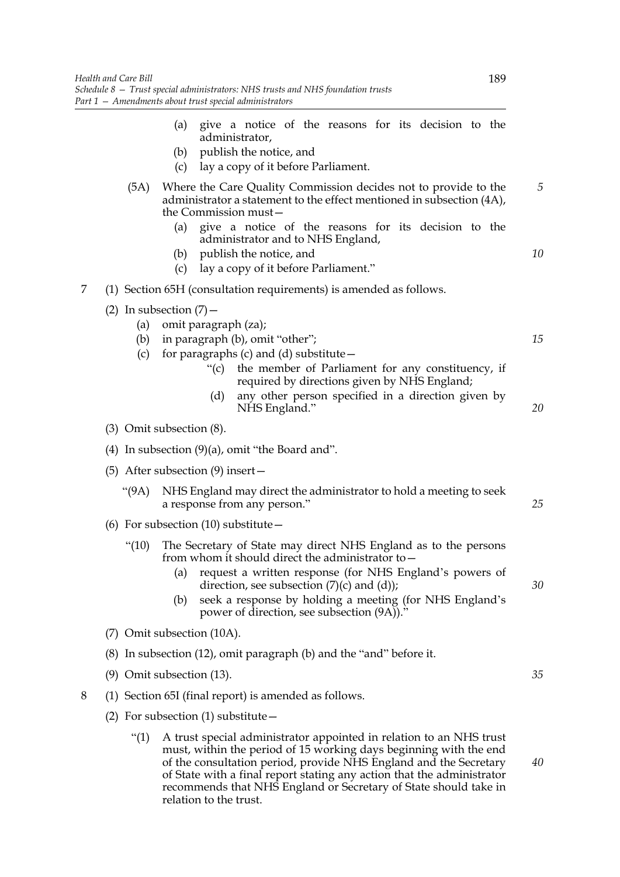|   | Health and Care Bill | 189<br>Schedule 8 – Trust special administrators: NHS trusts and NHS foundation trusts<br>Part 1 - Amendments about trust special administrators                                                                                                                                                                                                          |
|---|----------------------|-----------------------------------------------------------------------------------------------------------------------------------------------------------------------------------------------------------------------------------------------------------------------------------------------------------------------------------------------------------|
|   |                      | give a notice of the reasons for its decision to the<br>(a)<br>administrator,<br>publish the notice, and<br>(b)<br>lay a copy of it before Parliament.<br>(c)                                                                                                                                                                                             |
|   | (5A)                 | Where the Care Quality Commission decides not to provide to the<br>administrator a statement to the effect mentioned in subsection (4A),<br>the Commission must-                                                                                                                                                                                          |
|   |                      | give a notice of the reasons for its decision to the<br>(a)<br>administrator and to NHS England,<br>publish the notice, and<br>(b)<br>lay a copy of it before Parliament."<br>(c)                                                                                                                                                                         |
| 7 |                      | (1) Section 65H (consultation requirements) is amended as follows.                                                                                                                                                                                                                                                                                        |
|   | (a)<br>(b)<br>(c)    | (2) In subsection $(7)$ –<br>omit paragraph (za);<br>in paragraph (b), omit "other";<br>for paragraphs (c) and (d) substitute –<br>the member of Parliament for any constituency, if<br>``(c)<br>required by directions given by NHS England;<br>any other person specified in a direction given by<br>(d)<br>NHS England."                               |
|   |                      | $(3)$ Omit subsection $(8)$ .                                                                                                                                                                                                                                                                                                                             |
|   |                      | (4) In subsection $(9)(a)$ , omit "the Board and".                                                                                                                                                                                                                                                                                                        |
|   |                      | (5) After subsection $(9)$ insert $-$                                                                                                                                                                                                                                                                                                                     |
|   | (9A)                 | NHS England may direct the administrator to hold a meeting to seek<br>a response from any person."                                                                                                                                                                                                                                                        |
|   |                      | (6) For subsection (10) substitute $-$                                                                                                                                                                                                                                                                                                                    |
|   | " $(10)$             | The Secretary of State may direct NHS England as to the persons<br>from whom it should direct the administrator to -<br>request a written response (for NHS England's powers of<br>(a)<br>direction, see subsection $(7)(c)$ and $(d)$ );<br>seek a response by holding a meeting (for NHS England's<br>(b)<br>power of direction, see subsection (9A))." |
|   |                      | (7) Omit subsection (10A).                                                                                                                                                                                                                                                                                                                                |
|   |                      | (8) In subsection (12), omit paragraph (b) and the "and" before it.                                                                                                                                                                                                                                                                                       |
|   |                      | $(9)$ Omit subsection $(13)$ .                                                                                                                                                                                                                                                                                                                            |
| 8 |                      | (1) Section 65I (final report) is amended as follows.                                                                                                                                                                                                                                                                                                     |
|   |                      | (2) For subsection $(1)$ substitute $-$                                                                                                                                                                                                                                                                                                                   |
|   | " $(1)$              | A trust special administrator appointed in relation to an NHS trust<br>must, within the period of 15 working days beginning with the end                                                                                                                                                                                                                  |

must, within the period of 15 working days beginning with the end of the consultation period, provide NHS England and the Secretary of State with a final report stating any action that the administrator recommends that NHS England or Secretary of State should take in relation to the trust.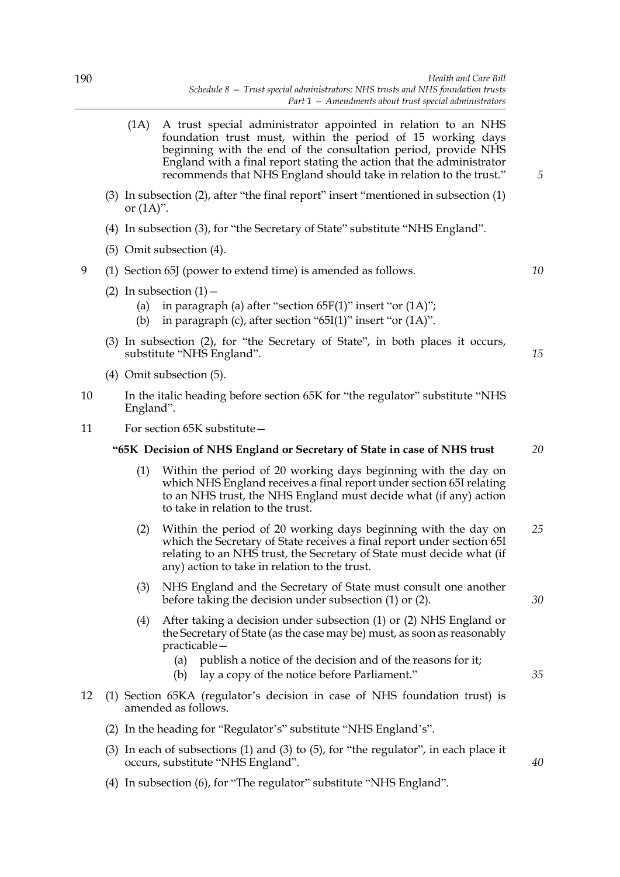- (1A) A trust special administrator appointed in relation to an NHS foundation trust must, within the period of 15 working days beginning with the end of the consultation period, provide NHS England with a final report stating the action that the administrator recommends that NHS England should take in relation to the trust."
- (3) In subsection (2), after "the final report" insert "mentioned in subsection (1) or  $(1A)$ ".
- (4) In subsection (3), for "the Secretary of State" substitute "NHS England".
- (5) Omit subsection (4).
- 9 (1) Section 65J (power to extend time) is amended as follows.
	- (2) In subsection  $(1)$  -
		- (a) in paragraph (a) after "section  $65F(1)$ " insert "or  $(1A)$ ";
		- (b) in paragraph (c), after section " $65I(1)$ " insert "or  $(1A)$ ".
	- (3) In subsection (2), for "the Secretary of State", in both places it occurs, substitute "NHS England".
	- (4) Omit subsection (5).
- 10 In the italic heading before section 65K for "the regulator" substitute "NHS England".
- 11 For section 65K substitute—

#### **"65K Decision of NHS England or Secretary of State in case of NHS trust** *20*

- (1) Within the period of 20 working days beginning with the day on which NHS England receives a final report under section 65I relating to an NHS trust, the NHS England must decide what (if any) action to take in relation to the trust.
- (2) Within the period of 20 working days beginning with the day on which the Secretary of State receives a final report under section 65I relating to an NHS trust, the Secretary of State must decide what (if any) action to take in relation to the trust. *25*
- (3) NHS England and the Secretary of State must consult one another before taking the decision under subsection (1) or (2).
- (4) After taking a decision under subsection (1) or (2) NHS England or the Secretary of State (as the case may be) must, as soon as reasonably practicable—
	- (a) publish a notice of the decision and of the reasons for it;
	- (b) lay a copy of the notice before Parliament."
- 12 (1) Section 65KA (regulator's decision in case of NHS foundation trust) is amended as follows.
	- (2) In the heading for "Regulator's" substitute "NHS England's".
	- (3) In each of subsections (1) and (3) to (5), for "the regulator", in each place it occurs, substitute "NHS England".
	- (4) In subsection (6), for "The regulator" substitute "NHS England".

*5*

*15*

*10*

*30*

*35*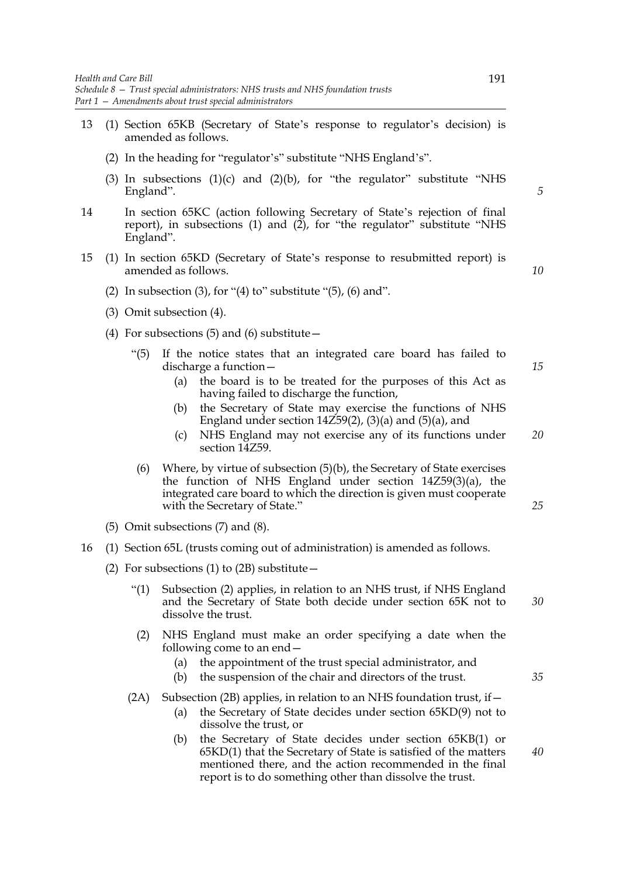- 13 (1) Section 65KB (Secretary of State's response to regulator's decision) is amended as follows.
	- (2) In the heading for "regulator's" substitute "NHS England's".
	- (3) In subsections  $(1)(c)$  and  $(2)(b)$ , for "the regulator" substitute "NHS England".
- 14 In section 65KC (action following Secretary of State's rejection of final report), in subsections (1) and (2), for "the regulator" substitute "NHS England".
- 15 (1) In section 65KD (Secretary of State's response to resubmitted report) is amended as follows.
	- (2) In subsection (3), for "(4) to" substitute " $(5)$ ,  $(6)$  and".
	- (3) Omit subsection (4).
	- (4) For subsections  $(5)$  and  $(6)$  substitute  $-$ 
		- "(5) If the notice states that an integrated care board has failed to discharge a function—
			- (a) the board is to be treated for the purposes of this Act as having failed to discharge the function,
			- (b) the Secretary of State may exercise the functions of NHS England under section  $14\overline{259(2)}$ ,  $(3)(a)$  and  $(5)(a)$ , and
			- (c) NHS England may not exercise any of its functions under section 14Z59. *20*
		- (6) Where, by virtue of subsection (5)(b), the Secretary of State exercises the function of NHS England under section 14Z59(3)(a), the integrated care board to which the direction is given must cooperate with the Secretary of State."
	- (5) Omit subsections (7) and (8).
- 16 (1) Section 65L (trusts coming out of administration) is amended as follows.
	- (2) For subsections (1) to (2B) substitute  $-$ 
		- "(1) Subsection (2) applies, in relation to an NHS trust, if NHS England and the Secretary of State both decide under section 65K not to dissolve the trust. *30*
		- (2) NHS England must make an order specifying a date when the following come to an end—
			- (a) the appointment of the trust special administrator, and
			- (b) the suspension of the chair and directors of the trust.
		- (2A) Subsection (2B) applies, in relation to an NHS foundation trust, if  $-$ 
			- (a) the Secretary of State decides under section 65KD(9) not to dissolve the trust, or
			- (b) the Secretary of State decides under section 65KB(1) or 65KD(1) that the Secretary of State is satisfied of the matters mentioned there, and the action recommended in the final report is to do something other than dissolve the trust.

*10*

*5*

*15*

*25*

*35*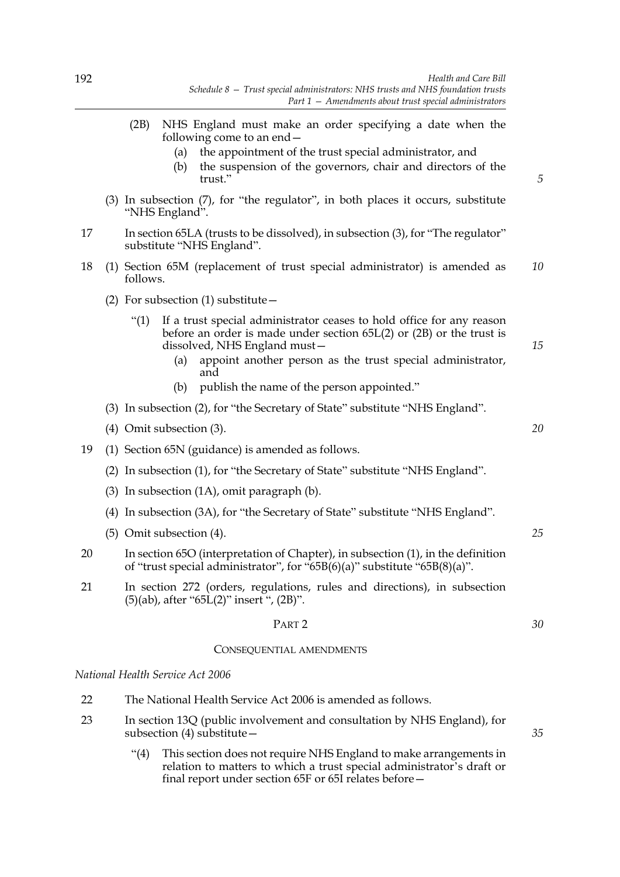- (2B) NHS England must make an order specifying a date when the following come to an end—
	- (a) the appointment of the trust special administrator, and
	- (b) the suspension of the governors, chair and directors of the trust<sup>"</sup>
- (3) In subsection (7), for "the regulator", in both places it occurs, substitute "NHS England".
- 17 In section 65LA (trusts to be dissolved), in subsection (3), for "The regulator" substitute "NHS England".
- 18 (1) Section 65M (replacement of trust special administrator) is amended as follows. *10*
	- (2) For subsection (1) substitute  $-$ 
		- "(1) If a trust special administrator ceases to hold office for any reason before an order is made under section 65L(2) or (2B) or the trust is dissolved, NHS England must—
			- (a) appoint another person as the trust special administrator, and
			- (b) publish the name of the person appointed."
	- (3) In subsection (2), for "the Secretary of State" substitute "NHS England".
	- (4) Omit subsection (3).
- 19 (1) Section 65N (guidance) is amended as follows.
	- (2) In subsection (1), for "the Secretary of State" substitute "NHS England".
	- (3) In subsection (1A), omit paragraph (b).
	- (4) In subsection (3A), for "the Secretary of State" substitute "NHS England".
	- (5) Omit subsection (4).
- 20 In section 65O (interpretation of Chapter), in subsection (1), in the definition of "trust special administrator", for "65B(6)(a)" substitute "65B(8)(a)".
- 21 In section 272 (orders, regulations, rules and directions), in subsection (5)(ab), after "65L(2)" insert ", (2B)".

#### PART 2

#### CONSEQUENTIAL AMENDMENTS

*National Health Service Act 2006*

- 22 The National Health Service Act 2006 is amended as follows.
- 23 In section 13Q (public involvement and consultation by NHS England), for subsection (4) substitute—
	- "(4) This section does not require NHS England to make arrangements in relation to matters to which a trust special administrator's draft or final report under section 65F or 65I relates before—

*20*

*15*

*5*

*25*

*35*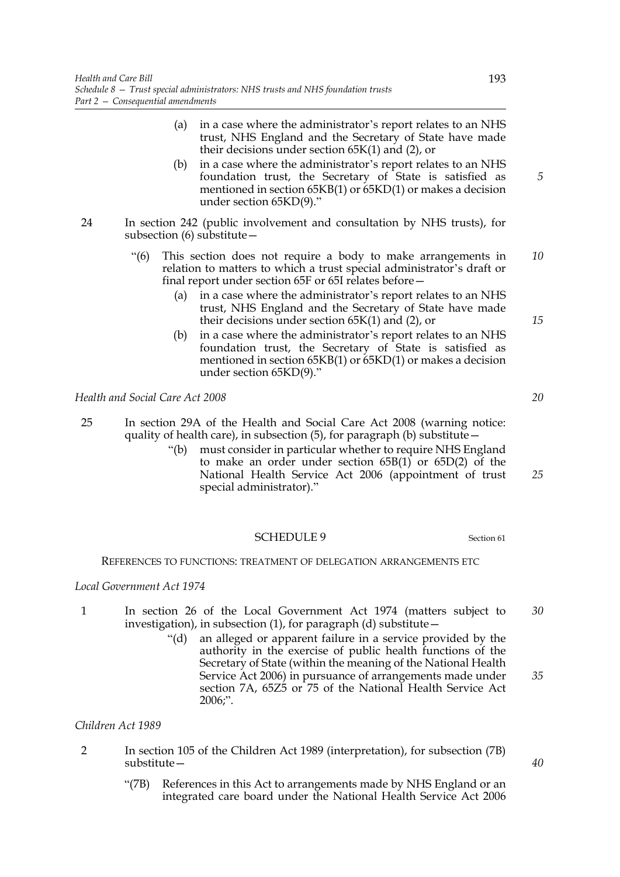- (a) in a case where the administrator's report relates to an NHS trust, NHS England and the Secretary of State have made their decisions under section 65K(1) and (2), or
- (b) in a case where the administrator's report relates to an NHS foundation trust, the Secretary of State is satisfied as mentioned in section 65KB(1) or 65KD(1) or makes a decision under section 65KD(9)."
- 24 In section 242 (public involvement and consultation by NHS trusts), for subsection (6) substitute—
	- "(6) This section does not require a body to make arrangements in relation to matters to which a trust special administrator's draft or final report under section 65F or 65I relates before— *10*
		- (a) in a case where the administrator's report relates to an NHS trust, NHS England and the Secretary of State have made their decisions under section 65K(1) and (2), or
		- (b) in a case where the administrator's report relates to an NHS foundation trust, the Secretary of State is satisfied as mentioned in section 65KB(1) or 65KD(1) or makes a decision under section 65KD(9)."

*Health and Social Care Act 2008*

- 25 In section 29A of the Health and Social Care Act 2008 (warning notice: quality of health care), in subsection (5), for paragraph (b) substitute—
	- "(b) must consider in particular whether to require NHS England to make an order under section 65B(1) or 65D(2) of the National Health Service Act 2006 (appointment of trust special administrator)."

# SCHEDULE 9 Section 61

## REFERENCES TO FUNCTIONS: TREATMENT OF DELEGATION ARRANGEMENTS ETC

# *Local Government Act 1974*

- 1 In section 26 of the Local Government Act 1974 (matters subject to investigation), in subsection  $(1)$ , for paragraph  $(d)$  substitute – *30*
	- "(d) an alleged or apparent failure in a service provided by the authority in the exercise of public health functions of the Secretary of State (within the meaning of the National Health Service Act 2006) in pursuance of arrangements made under section 7A, 65Z5 or 75 of the National Health Service Act 2006;".

## *Children Act 1989*

- 2 In section 105 of the Children Act 1989 (interpretation), for subsection (7B) substitute—
	- "(7B) References in this Act to arrangements made by NHS England or an integrated care board under the National Health Service Act 2006

*15*

*5*

*20*

*25*

*35*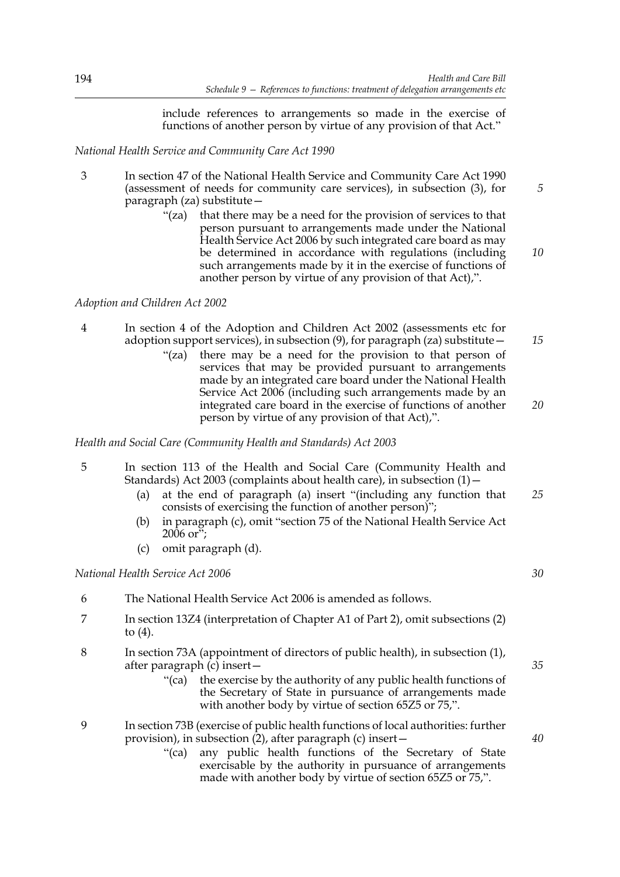include references to arrangements so made in the exercise of functions of another person by virtue of any provision of that Act."

## *National Health Service and Community Care Act 1990*

- 3 In section 47 of the National Health Service and Community Care Act 1990 (assessment of needs for community care services), in subsection (3), for paragraph (za) substitute—
	- "(za) that there may be a need for the provision of services to that person pursuant to arrangements made under the National Health Service Act 2006 by such integrated care board as may be determined in accordance with regulations (including such arrangements made by it in the exercise of functions of another person by virtue of any provision of that Act),".

# *Adoption and Children Act 2002*

4 In section 4 of the Adoption and Children Act 2002 (assessments etc for adoption support services), in subsection  $(9)$ , for paragraph (za) substitute  $-$ "(za) there may be a need for the provision to that person of services that may be provided pursuant to arrangements made by an integrated care board under the National Health Service Act 2006 (including such arrangements made by an integrated care board in the exercise of functions of another person by virtue of any provision of that Act),". *15 20*

*Health and Social Care (Community Health and Standards) Act 2003*

- 5 In section 113 of the Health and Social Care (Community Health and Standards) Act 2003 (complaints about health care), in subsection (1)—
	- (a) at the end of paragraph (a) insert "(including any function that consists of exercising the function of another person)"; *25*
	- (b) in paragraph (c), omit "section 75 of the National Health Service Act 2006 or";
	- (c) omit paragraph (d).

*National Health Service Act 2006*

- 6 The National Health Service Act 2006 is amended as follows.
- 7 In section 13Z4 (interpretation of Chapter A1 of Part 2), omit subsections (2) to (4).
- 8 In section 73A (appointment of directors of public health), in subsection (1), after paragraph (c) insert—
	- "(ca) the exercise by the authority of any public health functions of the Secretary of State in pursuance of arrangements made with another body by virtue of section 65Z5 or 75,".
- 9 In section 73B (exercise of public health functions of local authorities: further provision), in subsection  $(2)$ , after paragraph  $(c)$  insert —
	- "(ca) any public health functions of the Secretary of State exercisable by the authority in pursuance of arrangements made with another body by virtue of section 65Z5 or 75,".

*10*

*5*

*30*

*40*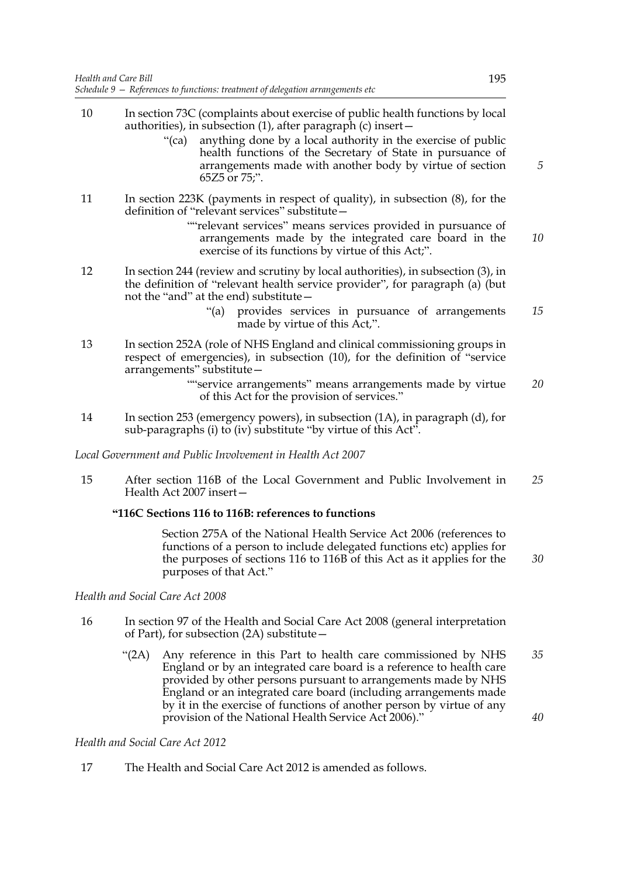- 10 In section 73C (complaints about exercise of public health functions by local authorities), in subsection (1), after paragraph (c) insert—
	- "(ca) anything done by a local authority in the exercise of public health functions of the Secretary of State in pursuance of arrangements made with another body by virtue of section 65Z5 or 75;".
- 11 In section 223K (payments in respect of quality), in subsection (8), for the definition of "relevant services" substitute—
	- ""relevant services" means services provided in pursuance of arrangements made by the integrated care board in the exercise of its functions by virtue of this Act;".
- 12 In section 244 (review and scrutiny by local authorities), in subsection (3), in the definition of "relevant health service provider", for paragraph (a) (but not the "and" at the end) substitute—
	- "(a) provides services in pursuance of arrangements made by virtue of this Act,". *15*
- 13 In section 252A (role of NHS England and clinical commissioning groups in respect of emergencies), in subsection (10), for the definition of "service arrangements" substitute—

""service arrangements" means arrangements made by virtue of this Act for the provision of services." *20*

14 In section 253 (emergency powers), in subsection (1A), in paragraph (d), for sub-paragraphs (i) to (iv) substitute "by virtue of this Act".

*Local Government and Public Involvement in Health Act 2007*

15 After section 116B of the Local Government and Public Involvement in Health Act 2007 insert— *25*

# **"116C Sections 116 to 116B: references to functions**

 Section 275A of the National Health Service Act 2006 (references to functions of a person to include delegated functions etc) applies for the purposes of sections 116 to 116B of this Act as it applies for the purposes of that Act." *30*

*Health and Social Care Act 2008*

- 16 In section 97 of the Health and Social Care Act 2008 (general interpretation of Part), for subsection (2A) substitute—
	- "(2A) Any reference in this Part to health care commissioned by NHS England or by an integrated care board is a reference to health care provided by other persons pursuant to arrangements made by NHS England or an integrated care board (including arrangements made by it in the exercise of functions of another person by virtue of any provision of the National Health Service Act 2006)." *35 40*

## *Health and Social Care Act 2012*

17 The Health and Social Care Act 2012 is amended as follows.

*5*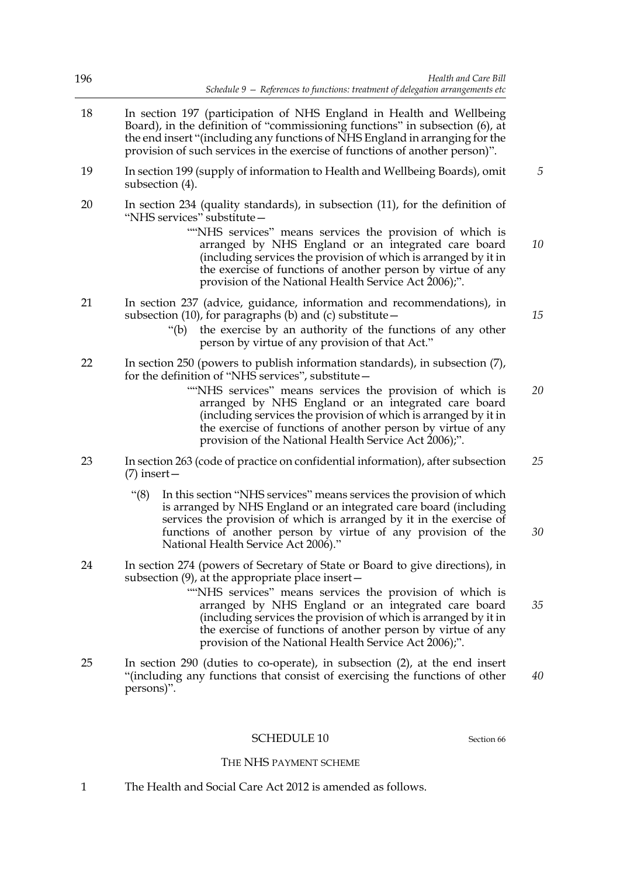| 196 | Health and Care Bill<br>Schedule 9 - References to functions: treatment of delegation arrangements etc                                                                                                                                                                                                                                                                                                                                                |    |
|-----|-------------------------------------------------------------------------------------------------------------------------------------------------------------------------------------------------------------------------------------------------------------------------------------------------------------------------------------------------------------------------------------------------------------------------------------------------------|----|
| 18  | In section 197 (participation of NHS England in Health and Wellbeing<br>Board), in the definition of "commissioning functions" in subsection (6), at<br>the end insert "(including any functions of NHS England in arranging for the<br>provision of such services in the exercise of functions of another person)".                                                                                                                                  |    |
| 19  | In section 199 (supply of information to Health and Wellbeing Boards), omit<br>subsection (4).                                                                                                                                                                                                                                                                                                                                                        | 5  |
| 20  | In section 234 (quality standards), in subsection (11), for the definition of<br>"NHS services" substitute-<br>""NHS services" means services the provision of which is<br>arranged by NHS England or an integrated care board<br>(including services the provision of which is arranged by it in<br>the exercise of functions of another person by virtue of any<br>provision of the National Health Service Act 2006);".                            | 10 |
| 21  | In section 237 (advice, guidance, information and recommendations), in<br>subsection (10), for paragraphs (b) and (c) substitute -<br>the exercise by an authority of the functions of any other<br>"(b)<br>person by virtue of any provision of that Act."                                                                                                                                                                                           | 15 |
| 22  | In section 250 (powers to publish information standards), in subsection (7),<br>for the definition of "NHS services", substitute -<br>"NHS services" means services the provision of which is<br>arranged by NHS England or an integrated care board<br>(including services the provision of which is arranged by it in<br>the exercise of functions of another person by virtue of any<br>provision of the National Health Service Act 2006);".      | 20 |
| 23  | In section 263 (code of practice on confidential information), after subsection<br>$(7)$ insert —                                                                                                                                                                                                                                                                                                                                                     | 25 |
|     | " $(8)$<br>In this section "NHS services" means services the provision of which<br>is arranged by NHS England or an integrated care board (including<br>services the provision of which is arranged by it in the exercise of<br>functions of another person by virtue of any provision of the<br>National Health Service Act 2006)."                                                                                                                  | 30 |
| 24  | In section 274 (powers of Secretary of State or Board to give directions), in<br>subsection $(9)$ , at the appropriate place insert $-$<br>"NHS services" means services the provision of which is<br>arranged by NHS England or an integrated care board<br>(including services the provision of which is arranged by it in<br>the exercise of functions of another person by virtue of any<br>provision of the National Health Service Act 2006);". | 35 |
| 25  | In section $290$ (duties to co-operate), in subsection $(2)$ , at the end insert<br>"(including any functions that consist of exercising the functions of other<br>persons)".                                                                                                                                                                                                                                                                         | 40 |
|     | <b>SCHEDULE 10</b><br>Section 66                                                                                                                                                                                                                                                                                                                                                                                                                      |    |
|     | THE NHS PAYMENT SCHEME                                                                                                                                                                                                                                                                                                                                                                                                                                |    |

1 The Health and Social Care Act 2012 is amended as follows.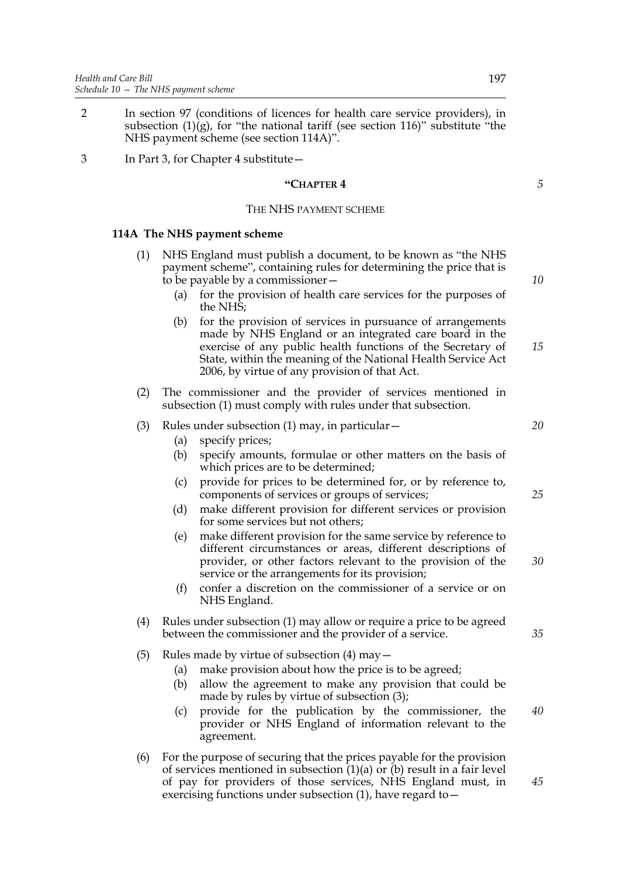- 2 In section 97 (conditions of licences for health care service providers), in subsection  $(1)(g)$ , for "the national tariff (see section 116)" substitute "the NHS payment scheme (see section 114A)".
- 3 In Part 3, for Chapter 4 substitute—

## **"CHAPTER 4**

## THE NHS PAYMENT SCHEME

## **114A The NHS payment scheme**

- (1) NHS England must publish a document, to be known as "the NHS payment scheme", containing rules for determining the price that is to be payable by a commissioner—
	- (a) for the provision of health care services for the purposes of the NHS;
	- (b) for the provision of services in pursuance of arrangements made by NHS England or an integrated care board in the exercise of any public health functions of the Secretary of State, within the meaning of the National Health Service Act 2006, by virtue of any provision of that Act. *15*
- (2) The commissioner and the provider of services mentioned in subsection (1) must comply with rules under that subsection.

## (3) Rules under subsection (1) may, in particular—

- (a) specify prices;
- (b) specify amounts, formulae or other matters on the basis of which prices are to be determined;
- (c) provide for prices to be determined for, or by reference to, components of services or groups of services;
- (d) make different provision for different services or provision for some services but not others;
- (e) make different provision for the same service by reference to different circumstances or areas, different descriptions of provider, or other factors relevant to the provision of the service or the arrangements for its provision;
- (f) confer a discretion on the commissioner of a service or on NHS England.
- (4) Rules under subsection (1) may allow or require a price to be agreed between the commissioner and the provider of a service.
- (5) Rules made by virtue of subsection  $(4)$  may  $-$ 
	- (a) make provision about how the price is to be agreed;
		- (b) allow the agreement to make any provision that could be made by rules by virtue of subsection (3);
		- (c) provide for the publication by the commissioner, the provider or NHS England of information relevant to the agreement.
- (6) For the purpose of securing that the prices payable for the provision of services mentioned in subsection  $(1)(a)$  or  $(b)$  result in a fair level of pay for providers of those services, NHS England must, in exercising functions under subsection (1), have regard to—

*10*

*5*

*20*

*25*

*30*

*35*

*40*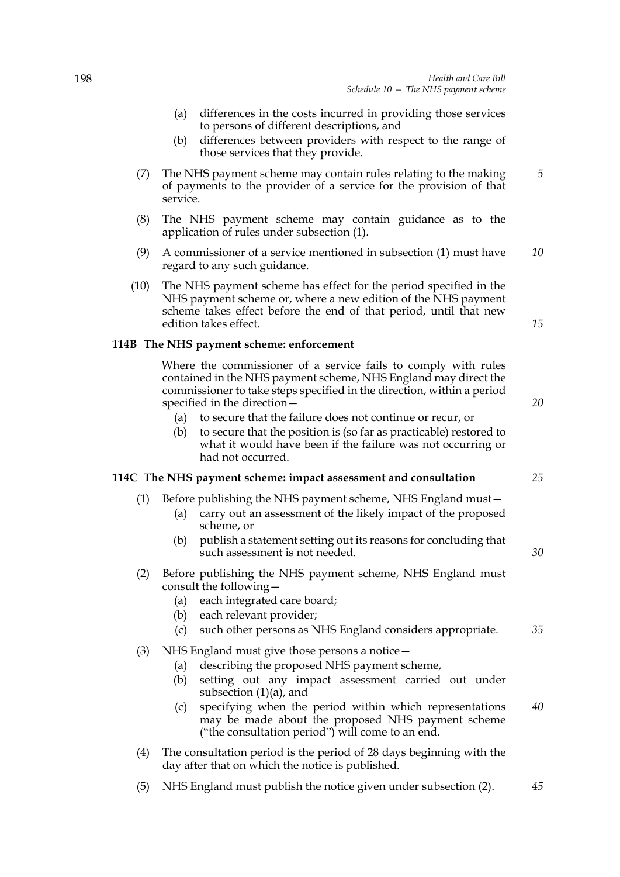- (a) differences in the costs incurred in providing those services to persons of different descriptions, and
- (b) differences between providers with respect to the range of those services that they provide.
- (7) The NHS payment scheme may contain rules relating to the making of payments to the provider of a service for the provision of that service. *5*
- (8) The NHS payment scheme may contain guidance as to the application of rules under subsection (1).
- (9) A commissioner of a service mentioned in subsection (1) must have regard to any such guidance. *10*
- (10) The NHS payment scheme has effect for the period specified in the NHS payment scheme or, where a new edition of the NHS payment scheme takes effect before the end of that period, until that new edition takes effect.

## **114B The NHS payment scheme: enforcement**

 Where the commissioner of a service fails to comply with rules contained in the NHS payment scheme, NHS England may direct the commissioner to take steps specified in the direction, within a period specified in the direction—

- (a) to secure that the failure does not continue or recur, or
- (b) to secure that the position is (so far as practicable) restored to what it would have been if the failure was not occurring or had not occurred.

## **114C The NHS payment scheme: impact assessment and consultation**

- (1) Before publishing the NHS payment scheme, NHS England must—
	- (a) carry out an assessment of the likely impact of the proposed scheme, or
	- (b) publish a statement setting out its reasons for concluding that such assessment is not needed.
- (2) Before publishing the NHS payment scheme, NHS England must consult the following—
	- (a) each integrated care board;
	- (b) each relevant provider;
	- (c) such other persons as NHS England considers appropriate. *35*
- (3) NHS England must give those persons a notice—
	- (a) describing the proposed NHS payment scheme,
	- (b) setting out any impact assessment carried out under subsection  $(1)(a)$ , and
	- (c) specifying when the period within which representations may be made about the proposed NHS payment scheme ("the consultation period") will come to an end. *40*
- (4) The consultation period is the period of 28 days beginning with the day after that on which the notice is published.
- (5) NHS England must publish the notice given under subsection (2). *45*

*15*

*20*

*25*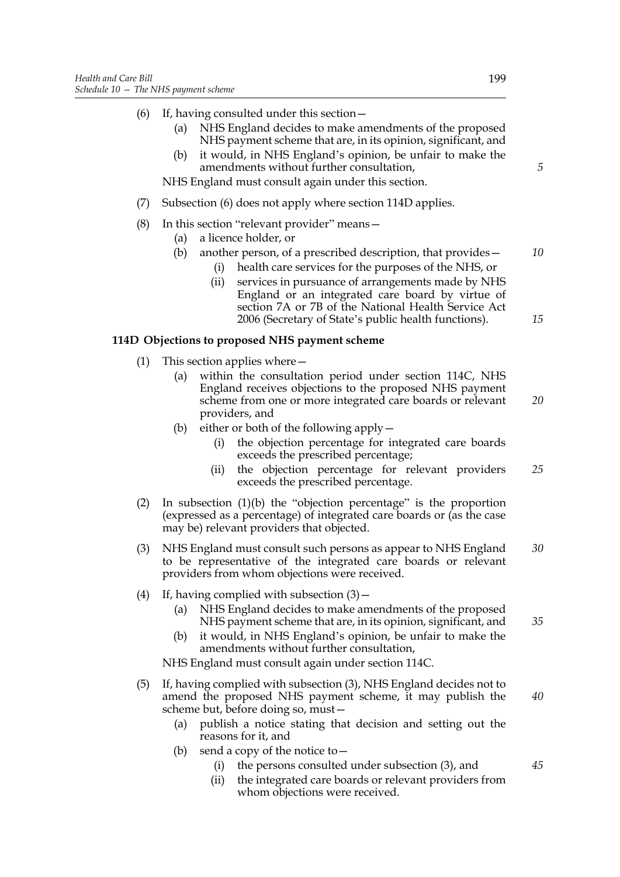- (6) If, having consulted under this section—
	- (a) NHS England decides to make amendments of the proposed NHS payment scheme that are, in its opinion, significant, and
	- (b) it would, in NHS England's opinion, be unfair to make the amendments without further consultation,

NHS England must consult again under this section.

- (7) Subsection (6) does not apply where section 114D applies.
- (8) In this section "relevant provider" means—
	- (a) a licence holder, or
	- (b) another person, of a prescribed description, that provides— *10*
		- (i) health care services for the purposes of the NHS, or
		- (ii) services in pursuance of arrangements made by NHS England or an integrated care board by virtue of section 7A or 7B of the National Health Service Act 2006 (Secretary of State's public health functions).

## **114D Objections to proposed NHS payment scheme**

- (1) This section applies where—
	- (a) within the consultation period under section 114C, NHS England receives objections to the proposed NHS payment scheme from one or more integrated care boards or relevant providers, and *20*
	- (b) either or both of the following apply—
		- (i) the objection percentage for integrated care boards exceeds the prescribed percentage;
		- (ii) the objection percentage for relevant providers exceeds the prescribed percentage. *25*
- (2) In subsection (1)(b) the "objection percentage" is the proportion (expressed as a percentage) of integrated care boards or (as the case may be) relevant providers that objected.
- (3) NHS England must consult such persons as appear to NHS England to be representative of the integrated care boards or relevant providers from whom objections were received. *30*
- (4) If, having complied with subsection  $(3)$ 
	- (a) NHS England decides to make amendments of the proposed NHS payment scheme that are, in its opinion, significant, and
	- (b) it would, in NHS England's opinion, be unfair to make the amendments without further consultation,

NHS England must consult again under section 114C.

- (5) If, having complied with subsection (3), NHS England decides not to amend the proposed NHS payment scheme, it may publish the scheme but, before doing so, must—
	- (a) publish a notice stating that decision and setting out the reasons for it, and
	- (b) send a copy of the notice to  $-$ 
		- (i) the persons consulted under subsection (3), and
		- (ii) the integrated care boards or relevant providers from whom objections were received.

*5*

*15*

*40*

*35*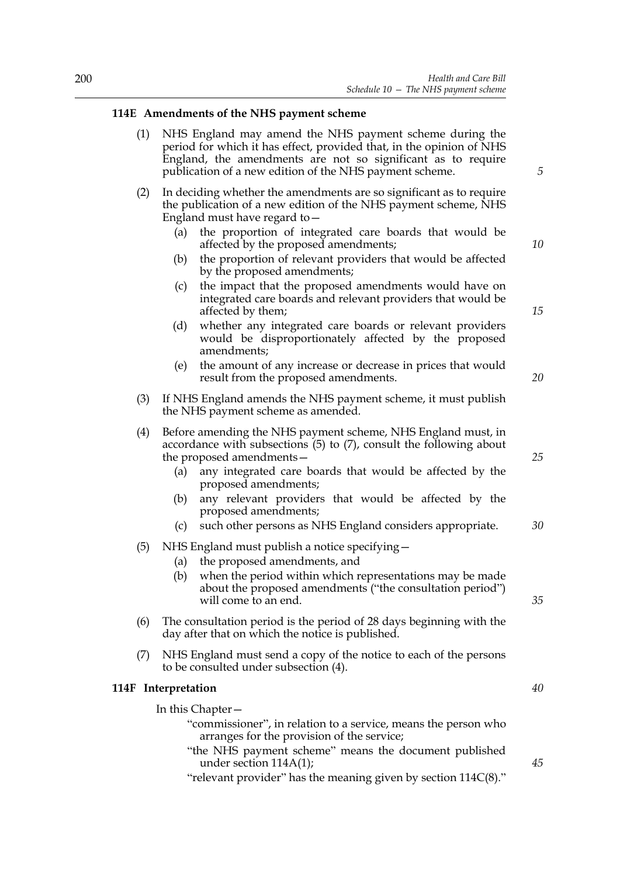# **114E Amendments of the NHS payment scheme**

| (1) NHS England may amend the NHS payment scheme during the          |
|----------------------------------------------------------------------|
| period for which it has effect, provided that, in the opinion of NHS |
| England, the amendments are not so significant as to require         |
| publication of a new edition of the NHS payment scheme.              |

- (2) In deciding whether the amendments are so significant as to require the publication of a new edition of the NHS payment scheme, NHS England must have regard to—
	- (a) the proportion of integrated care boards that would be affected by the proposed amendments;
	- (b) the proportion of relevant providers that would be affected by the proposed amendments;
	- (c) the impact that the proposed amendments would have on integrated care boards and relevant providers that would be affected by them;
	- (d) whether any integrated care boards or relevant providers would be disproportionately affected by the proposed amendments;
	- (e) the amount of any increase or decrease in prices that would result from the proposed amendments.
- (3) If NHS England amends the NHS payment scheme, it must publish the NHS payment scheme as amended.
- (4) Before amending the NHS payment scheme, NHS England must, in accordance with subsections (5) to (7), consult the following about the proposed amendments—
	- (a) any integrated care boards that would be affected by the proposed amendments;
	- (b) any relevant providers that would be affected by the proposed amendments;
	- (c) such other persons as NHS England considers appropriate.
- (5) NHS England must publish a notice specifying—
	- (a) the proposed amendments, and
	- (b) when the period within which representations may be made about the proposed amendments ("the consultation period") will come to an end.
- (6) The consultation period is the period of 28 days beginning with the day after that on which the notice is published.
- (7) NHS England must send a copy of the notice to each of the persons to be consulted under subsection (4).

## **114F Interpretation**

In this Chapter—

- "commissioner", in relation to a service, means the person who arranges for the provision of the service;
- "the NHS payment scheme" means the document published under section 114A(1);

"relevant provider" has the meaning given by section 114C(8)."

*10*

*15*

*5*

*20*

*25*

*30*

*35*

*40*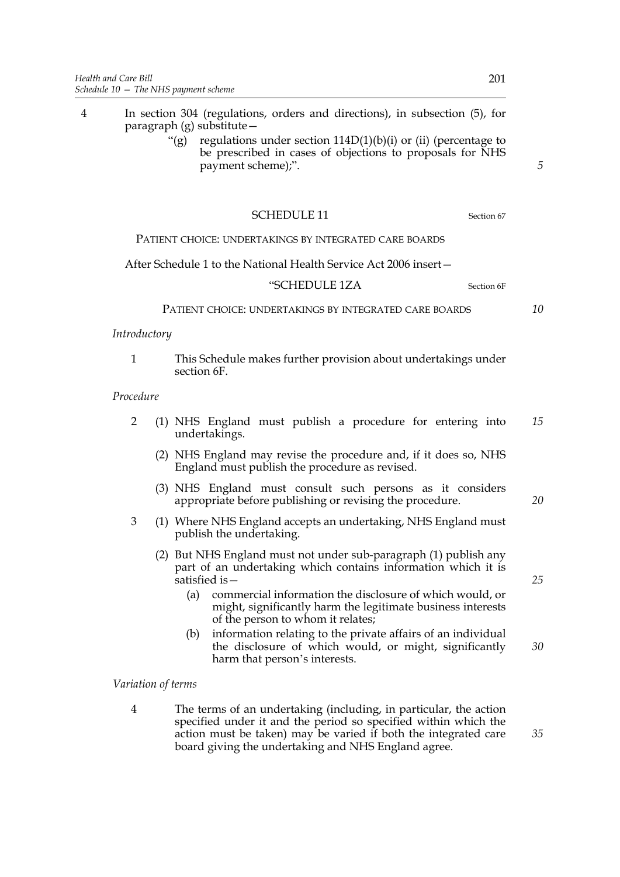- 4 In section 304 (regulations, orders and directions), in subsection (5), for paragraph (g) substitute—
	- "(g) regulations under section  $114D(1)(b)(i)$  or (ii) (percentage to be prescribed in cases of objections to proposals for NHS payment scheme);".

## SCHEDULE 11 Section 67

## PATIENT CHOICE: UNDERTAKINGS BY INTEGRATED CARE BOARDS

After Schedule 1 to the National Health Service Act 2006 insert—

#### "SCHEDULE 1ZA Section 6F

PATIENT CHOICE: UNDERTAKINGS BY INTEGRATED CARE BOARDS

## *Introductory*

1 This Schedule makes further provision about undertakings under section 6F.

#### *Procedure*

- 2 (1) NHS England must publish a procedure for entering into undertakings. *15*
	- (2) NHS England may revise the procedure and, if it does so, NHS England must publish the procedure as revised.
	- (3) NHS England must consult such persons as it considers appropriate before publishing or revising the procedure.
- 3 (1) Where NHS England accepts an undertaking, NHS England must publish the undertaking.
	- (2) But NHS England must not under sub-paragraph (1) publish any part of an undertaking which contains information which it is satisfied is—
		- (a) commercial information the disclosure of which would, or might, significantly harm the legitimate business interests of the person to whom it relates;
		- (b) information relating to the private affairs of an individual the disclosure of which would, or might, significantly harm that person's interests. *30*

*Variation of terms*

4 The terms of an undertaking (including, in particular, the action specified under it and the period so specified within which the action must be taken) may be varied if both the integrated care board giving the undertaking and NHS England agree.

*5*

*10*

*25*

*20*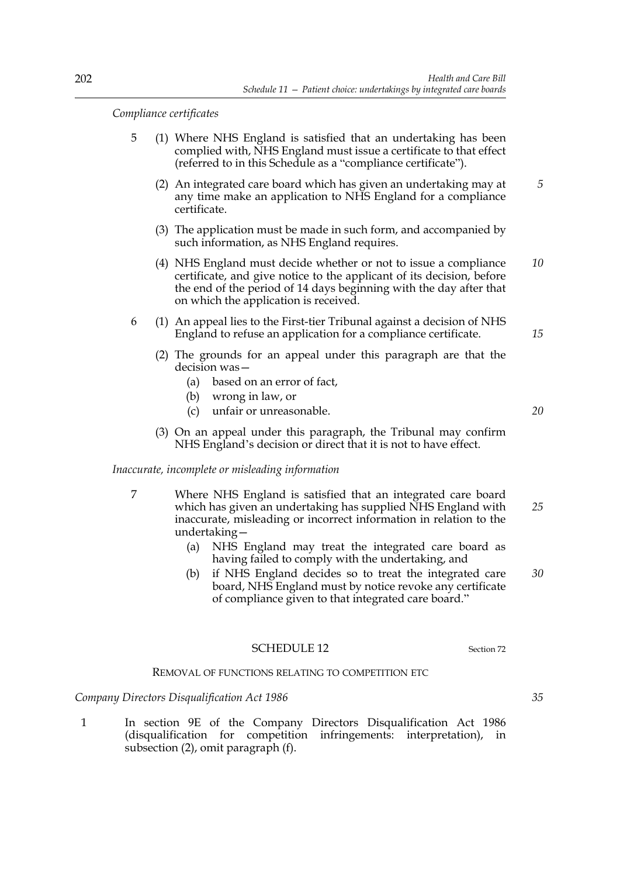*Compliance certificates*

- 5 (1) Where NHS England is satisfied that an undertaking has been complied with, NHS England must issue a certificate to that effect (referred to in this Schedule as a "compliance certificate").
	- (2) An integrated care board which has given an undertaking may at any time make an application to NHS England for a compliance certificate. *5*
	- (3) The application must be made in such form, and accompanied by such information, as NHS England requires.
	- (4) NHS England must decide whether or not to issue a compliance certificate, and give notice to the applicant of its decision, before the end of the period of 14 days beginning with the day after that on which the application is received. *10*
- 6 (1) An appeal lies to the First-tier Tribunal against a decision of NHS England to refuse an application for a compliance certificate.
	- (2) The grounds for an appeal under this paragraph are that the decision was—
		- (a) based on an error of fact,
		- (b) wrong in law, or
		- (c) unfair or unreasonable. *20*
	- (3) On an appeal under this paragraph, the Tribunal may confirm NHS England's decision or direct that it is not to have effect.

#### *Inaccurate, incomplete or misleading information*

- 7 Where NHS England is satisfied that an integrated care board which has given an undertaking has supplied NHS England with inaccurate, misleading or incorrect information in relation to the undertaking— *25*
	- (a) NHS England may treat the integrated care board as having failed to comply with the undertaking, and
	- (b) if NHS England decides so to treat the integrated care board, NHS England must by notice revoke any certificate of compliance given to that integrated care board." *30*

## SCHEDULE 12 Section 72

#### REMOVAL OF FUNCTIONS RELATING TO COMPETITION ETC

#### *Company Directors Disqualification Act 1986*

1 In section 9E of the Company Directors Disqualification Act 1986 (disqualification for competition infringements: interpretation), in subsection (2), omit paragraph (f).

*35*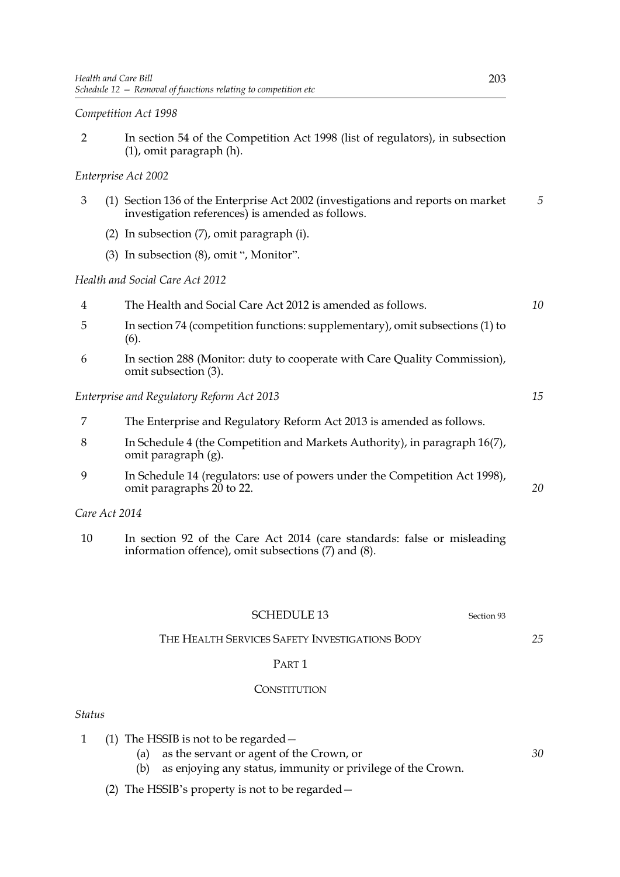*Competition Act 1998*

2 In section 54 of the Competition Act 1998 (list of regulators), in subsection (1), omit paragraph (h).

# *Enterprise Act 2002*

- 3 (1) Section 136 of the Enterprise Act 2002 (investigations and reports on market investigation references) is amended as follows. *5*
	- (2) In subsection (7), omit paragraph (i).
	- (3) In subsection (8), omit ", Monitor".

## *Health and Social Care Act 2012*

- 4 The Health and Social Care Act 2012 is amended as follows.
- 5 In section 74 (competition functions: supplementary), omit subsections (1) to (6).
- 6 In section 288 (Monitor: duty to cooperate with Care Quality Commission), omit subsection (3).

## *Enterprise and Regulatory Reform Act 2013*

- 7 The Enterprise and Regulatory Reform Act 2013 is amended as follows.
- 8 In Schedule 4 (the Competition and Markets Authority), in paragraph 16(7), omit paragraph (g).
- 9 In Schedule 14 (regulators: use of powers under the Competition Act 1998), omit paragraphs 20 to 22.

*Care Act 2014*

10 In section 92 of the Care Act 2014 (care standards: false or misleading information offence), omit subsections (7) and (8).

# SCHEDULE 13 Section 93

# THE HEALTH SERVICES SAFETY INVESTIGATIONS BODY

#### PART 1

#### **CONSTITUTION**

# *Status*

- 1 (1) The HSSIB is not to be regarded—
	- (a) as the servant or agent of the Crown, or
	- (b) as enjoying any status, immunity or privilege of the Crown.
	- (2) The HSSIB's property is not to be regarded—

*25*

*10*

*15*

*20*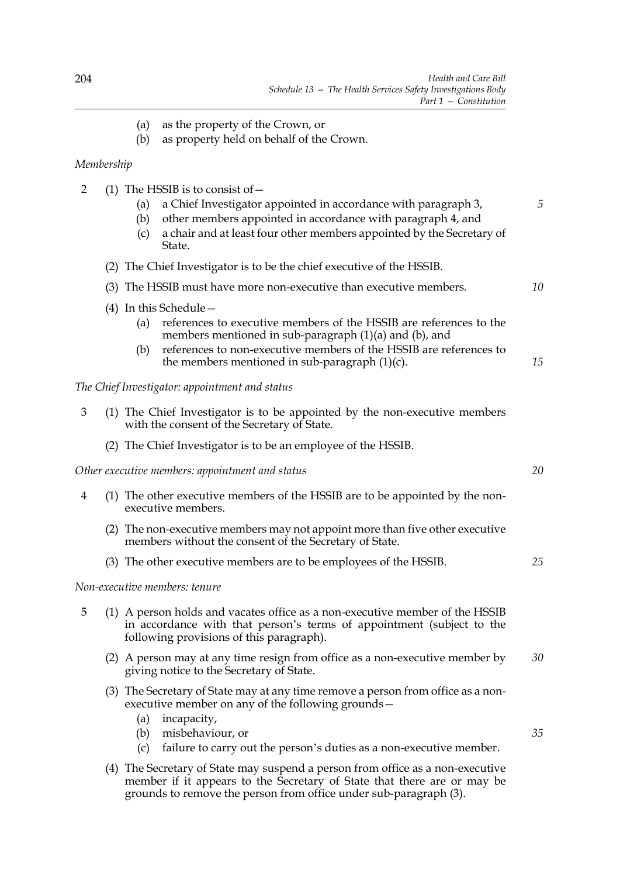- (a) as the property of the Crown, or
- (b) as property held on behalf of the Crown.

## *Membership*

- 2 (1) The HSSIB is to consist of  $-$ 
	- (a) a Chief Investigator appointed in accordance with paragraph 3,
	- (b) other members appointed in accordance with paragraph 4, and
	- (c) a chair and at least four other members appointed by the Secretary of State.
	- (2) The Chief Investigator is to be the chief executive of the HSSIB.
	- (3) The HSSIB must have more non-executive than executive members. *10*
	- (4) In this Schedule—
		- (a) references to executive members of the HSSIB are references to the members mentioned in sub-paragraph (1)(a) and (b), and
		- (b) references to non-executive members of the HSSIB are references to the members mentioned in sub-paragraph  $(1)(c)$ . *15*

## *The Chief Investigator: appointment and status*

- 3 (1) The Chief Investigator is to be appointed by the non-executive members with the consent of the Secretary of State.
	- (2) The Chief Investigator is to be an employee of the HSSIB.

## *Other executive members: appointment and status*

- 4 (1) The other executive members of the HSSIB are to be appointed by the nonexecutive members.
	- (2) The non-executive members may not appoint more than five other executive members without the consent of the Secretary of State.
	- (3) The other executive members are to be employees of the HSSIB.

## *Non-executive members: tenure*

- 5 (1) A person holds and vacates office as a non-executive member of the HSSIB in accordance with that person's terms of appointment (subject to the following provisions of this paragraph).
	- (2) A person may at any time resign from office as a non-executive member by giving notice to the Secretary of State. *30*
	- (3) The Secretary of State may at any time remove a person from office as a nonexecutive member on any of the following grounds—
		- (a) incapacity,
		- (b) misbehaviour, or
		- (c) failure to carry out the person's duties as a non-executive member.
	- (4) The Secretary of State may suspend a person from office as a non-executive member if it appears to the Secretary of State that there are or may be grounds to remove the person from office under sub-paragraph (3).

*20*

*25*

*35*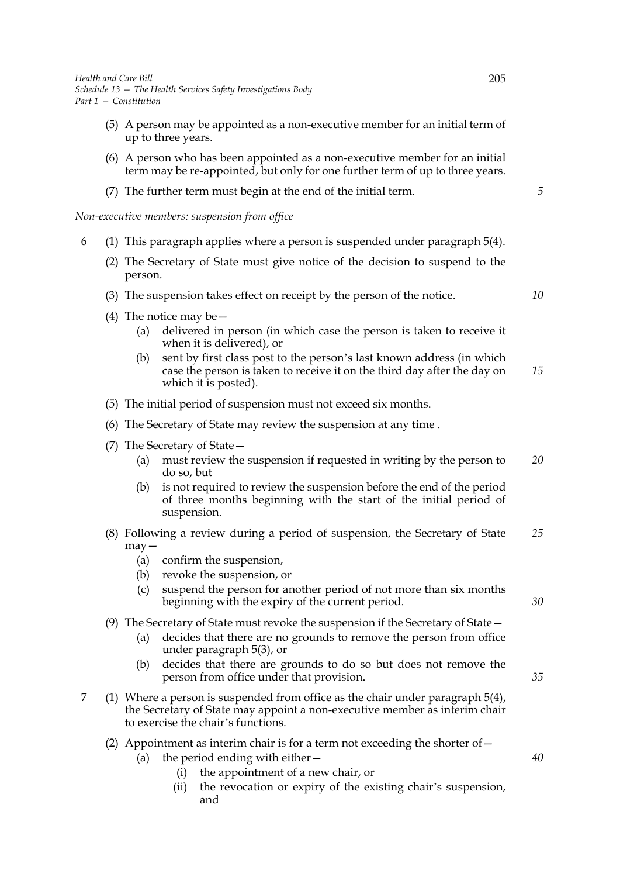- (5) A person may be appointed as a non-executive member for an initial term of up to three years.
- (6) A person who has been appointed as a non-executive member for an initial term may be re-appointed, but only for one further term of up to three years.
- (7) The further term must begin at the end of the initial term.

*Non-executive members: suspension from office*

- 6 (1) This paragraph applies where a person is suspended under paragraph 5(4).
	- (2) The Secretary of State must give notice of the decision to suspend to the person.
	- (3) The suspension takes effect on receipt by the person of the notice.
- *10*

*5*

- (4) The notice may be—
	- (a) delivered in person (in which case the person is taken to receive it when it is delivered), or
	- (b) sent by first class post to the person's last known address (in which case the person is taken to receive it on the third day after the day on which it is posted). *15*
- (5) The initial period of suspension must not exceed six months.
- (6) The Secretary of State may review the suspension at any time .
- (7) The Secretary of State—
	- (a) must review the suspension if requested in writing by the person to do so, but *20*
	- (b) is not required to review the suspension before the end of the period of three months beginning with the start of the initial period of suspension.
- (8) Following a review during a period of suspension, the Secretary of State may— *25*
	- (a) confirm the suspension,
	- (b) revoke the suspension, or
	- (c) suspend the person for another period of not more than six months beginning with the expiry of the current period.
- (9) The Secretary of State must revoke the suspension if the Secretary of State—
	- (a) decides that there are no grounds to remove the person from office under paragraph 5(3), or
	- (b) decides that there are grounds to do so but does not remove the person from office under that provision.
- 7 (1) Where a person is suspended from office as the chair under paragraph 5(4), the Secretary of State may appoint a non-executive member as interim chair to exercise the chair's functions.
	- (2) Appointment as interim chair is for a term not exceeding the shorter of  $-$ 
		- (a) the period ending with either—
			- (i) the appointment of a new chair, or
			- (ii) the revocation or expiry of the existing chair's suspension, and

*35*

*30*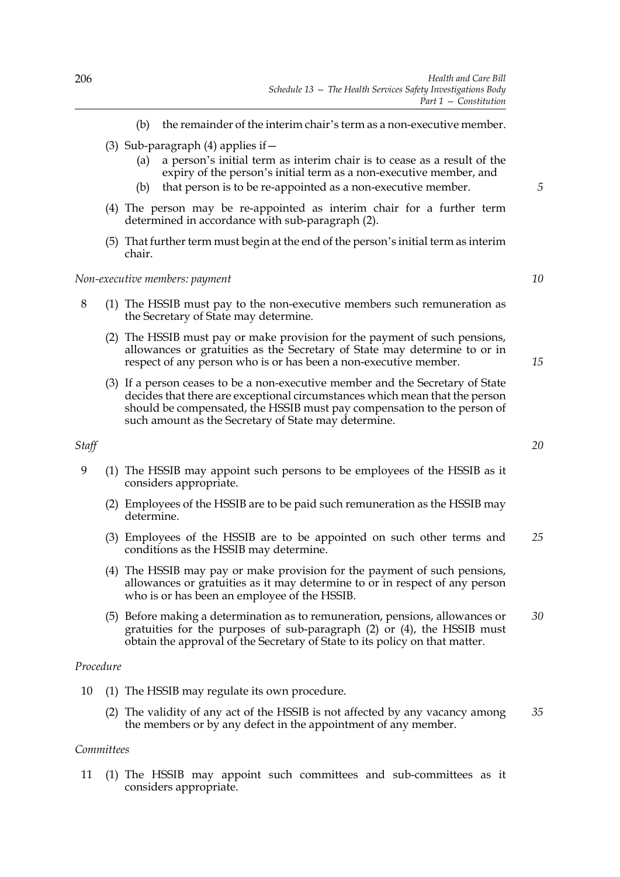- (b) the remainder of the interim chair's term as a non-executive member.
- (3) Sub-paragraph (4) applies if  $-$ 
	- (a) a person's initial term as interim chair is to cease as a result of the expiry of the person's initial term as a non-executive member, and
	- (b) that person is to be re-appointed as a non-executive member.
- (4) The person may be re-appointed as interim chair for a further term determined in accordance with sub-paragraph (2).
- (5) That further term must begin at the end of the person's initial term as interim chair.

## *Non-executive members: payment*

- 8 (1) The HSSIB must pay to the non-executive members such remuneration as the Secretary of State may determine.
	- (2) The HSSIB must pay or make provision for the payment of such pensions, allowances or gratuities as the Secretary of State may determine to or in respect of any person who is or has been a non-executive member.
	- (3) If a person ceases to be a non-executive member and the Secretary of State decides that there are exceptional circumstances which mean that the person should be compensated, the HSSIB must pay compensation to the person of such amount as the Secretary of State may determine.

# *Staff*

- 9 (1) The HSSIB may appoint such persons to be employees of the HSSIB as it considers appropriate.
	- (2) Employees of the HSSIB are to be paid such remuneration as the HSSIB may determine.
	- (3) Employees of the HSSIB are to be appointed on such other terms and conditions as the HSSIB may determine. *25*
	- (4) The HSSIB may pay or make provision for the payment of such pensions, allowances or gratuities as it may determine to or in respect of any person who is or has been an employee of the HSSIB.
	- (5) Before making a determination as to remuneration, pensions, allowances or gratuities for the purposes of sub-paragraph (2) or (4), the HSSIB must obtain the approval of the Secretary of State to its policy on that matter. *30*

#### *Procedure*

- 10 (1) The HSSIB may regulate its own procedure.
	- (2) The validity of any act of the HSSIB is not affected by any vacancy among the members or by any defect in the appointment of any member. *35*

# *Committees*

11 (1) The HSSIB may appoint such committees and sub-committees as it considers appropriate.

*20*

*15*

*5*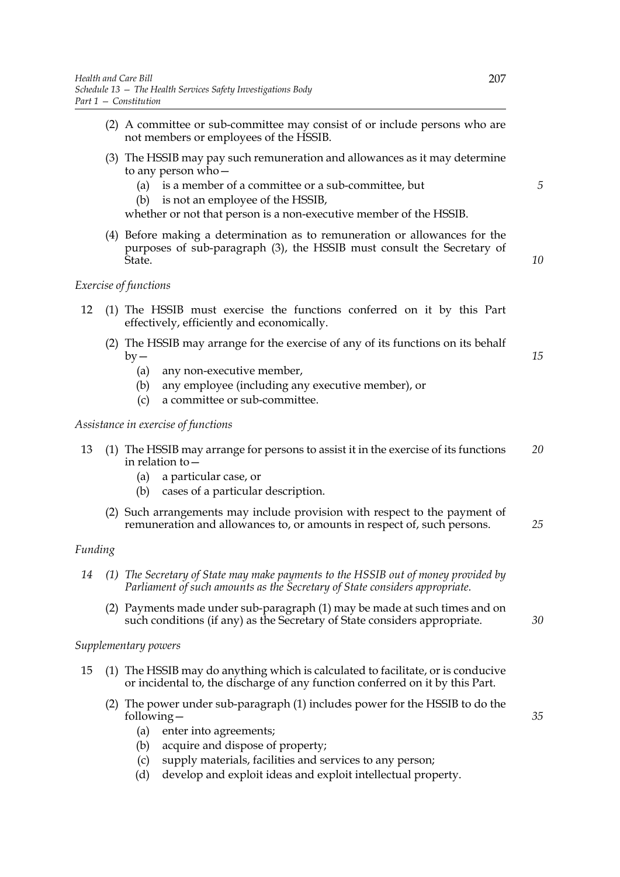- (2) A committee or sub-committee may consist of or include persons who are not members or employees of the HSSIB.
- (3) The HSSIB may pay such remuneration and allowances as it may determine to any person who—
	- (a) is a member of a committee or a sub-committee, but
	- (b) is not an employee of the HSSIB,

whether or not that person is a non-executive member of the HSSIB.

(4) Before making a determination as to remuneration or allowances for the purposes of sub-paragraph (3), the HSSIB must consult the Secretary of State.

## *Exercise of functions*

- 12 (1) The HSSIB must exercise the functions conferred on it by this Part effectively, efficiently and economically.
	- (2) The HSSIB may arrange for the exercise of any of its functions on its behalf  $by -$ 
		- (a) any non-executive member,
		- (b) any employee (including any executive member), or
		- (c) a committee or sub-committee.

## *Assistance in exercise of functions*

- 13 (1) The HSSIB may arrange for persons to assist it in the exercise of its functions in relation to— *20*
	- (a) a particular case, or
	- (b) cases of a particular description.
	- (2) Such arrangements may include provision with respect to the payment of remuneration and allowances to, or amounts in respect of, such persons. *25*

## *Funding*

- *14 (1) The Secretary of State may make payments to the HSSIB out of money provided by Parliament of such amounts as the Secretary of State considers appropriate.*
	- (2) Payments made under sub-paragraph (1) may be made at such times and on such conditions (if any) as the Secretary of State considers appropriate.

## *Supplementary powers*

- 15 (1) The HSSIB may do anything which is calculated to facilitate, or is conducive or incidental to, the discharge of any function conferred on it by this Part.
	- (2) The power under sub-paragraph (1) includes power for the HSSIB to do the following—
		- (a) enter into agreements;
		- (b) acquire and dispose of property;
		- (c) supply materials, facilities and services to any person;
		- (d) develop and exploit ideas and exploit intellectual property.

*5*

*10*

*15*

*30*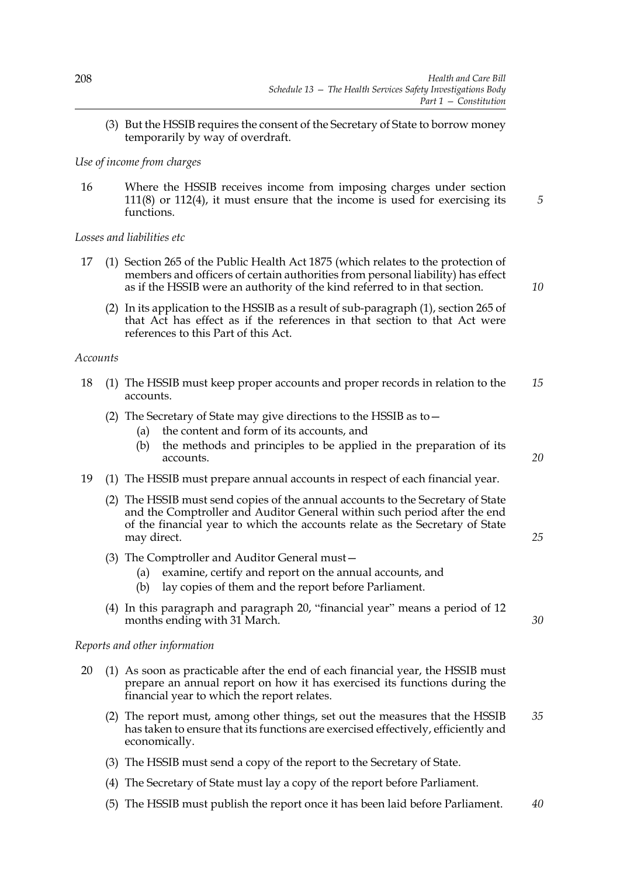(3) But the HSSIB requires the consent of the Secretary of State to borrow money temporarily by way of overdraft.

## *Use of income from charges*

16 Where the HSSIB receives income from imposing charges under section 111(8) or 112(4), it must ensure that the income is used for exercising its functions.

*Losses and liabilities etc*

- 17 (1) Section 265 of the Public Health Act 1875 (which relates to the protection of members and officers of certain authorities from personal liability) has effect as if the HSSIB were an authority of the kind referred to in that section.
- *10*

*20*

*25*

*30*

*5*

(2) In its application to the HSSIB as a result of sub-paragraph (1), section 265 of that Act has effect as if the references in that section to that Act were references to this Part of this Act.

## *Accounts*

- 18 (1) The HSSIB must keep proper accounts and proper records in relation to the accounts. *15*
	- (2) The Secretary of State may give directions to the HSSIB as to—
		- (a) the content and form of its accounts, and
		- (b) the methods and principles to be applied in the preparation of its accounts.
- 19 (1) The HSSIB must prepare annual accounts in respect of each financial year.
	- (2) The HSSIB must send copies of the annual accounts to the Secretary of State and the Comptroller and Auditor General within such period after the end of the financial year to which the accounts relate as the Secretary of State may direct.
	- (3) The Comptroller and Auditor General must—
		- (a) examine, certify and report on the annual accounts, and
		- (b) lay copies of them and the report before Parliament.
	- (4) In this paragraph and paragraph 20, "financial year" means a period of 12 months ending with 31 March.

# *Reports and other information*

- 20 (1) As soon as practicable after the end of each financial year, the HSSIB must prepare an annual report on how it has exercised its functions during the financial year to which the report relates.
	- (2) The report must, among other things, set out the measures that the HSSIB has taken to ensure that its functions are exercised effectively, efficiently and economically. *35*
	- (3) The HSSIB must send a copy of the report to the Secretary of State.
	- (4) The Secretary of State must lay a copy of the report before Parliament.
	- (5) The HSSIB must publish the report once it has been laid before Parliament. *40*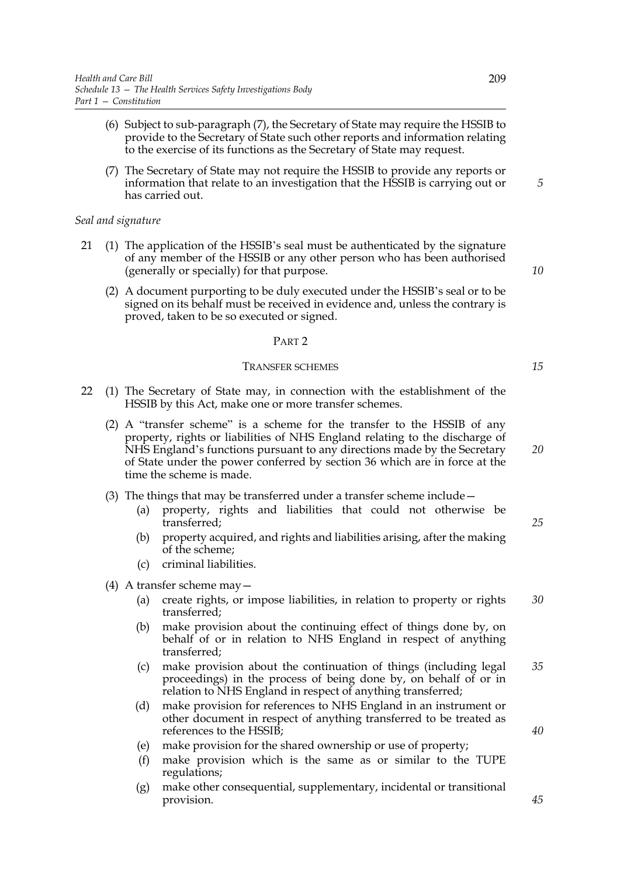- (6) Subject to sub-paragraph (7), the Secretary of State may require the HSSIB to provide to the Secretary of State such other reports and information relating to the exercise of its functions as the Secretary of State may request.
- (7) The Secretary of State may not require the HSSIB to provide any reports or information that relate to an investigation that the HSSIB is carrying out or has carried out.

## *Seal and signature*

- 21 (1) The application of the HSSIB's seal must be authenticated by the signature of any member of the HSSIB or any other person who has been authorised (generally or specially) for that purpose.
	- (2) A document purporting to be duly executed under the HSSIB's seal or to be signed on its behalf must be received in evidence and, unless the contrary is proved, taken to be so executed or signed.

#### PART 2

#### TRANSFER SCHEMES

- 22 (1) The Secretary of State may, in connection with the establishment of the HSSIB by this Act, make one or more transfer schemes.
	- (2) A "transfer scheme" is a scheme for the transfer to the HSSIB of any property, rights or liabilities of NHS England relating to the discharge of NHS England's functions pursuant to any directions made by the Secretary of State under the power conferred by section 36 which are in force at the time the scheme is made.
	- (3) The things that may be transferred under a transfer scheme include—
		- (a) property, rights and liabilities that could not otherwise be transferred;
		- (b) property acquired, and rights and liabilities arising, after the making of the scheme;
		- (c) criminal liabilities.

## (4) A transfer scheme may—

- (a) create rights, or impose liabilities, in relation to property or rights transferred; *30*
- (b) make provision about the continuing effect of things done by, on behalf of or in relation to NHS England in respect of anything transferred;
- (c) make provision about the continuation of things (including legal proceedings) in the process of being done by, on behalf of or in relation to NHS England in respect of anything transferred; *35*
- (d) make provision for references to NHS England in an instrument or other document in respect of anything transferred to be treated as references to the HSSIB;
- (e) make provision for the shared ownership or use of property;
- (f) make provision which is the same as or similar to the TUPE regulations;
- (g) make other consequential, supplementary, incidental or transitional provision.

*20*

*25*

*40*

*10*

*15*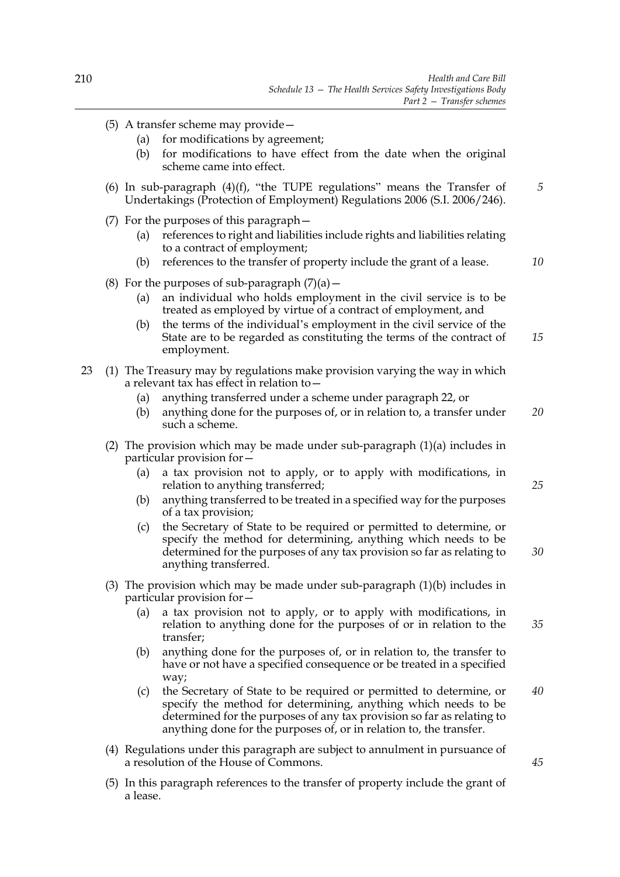- (5) A transfer scheme may provide—
	- (a) for modifications by agreement;
	- (b) for modifications to have effect from the date when the original scheme came into effect.
- (6) In sub-paragraph  $(4)(f)$ , "the TUPE regulations" means the Transfer of Undertakings (Protection of Employment) Regulations 2006 (S.I. 2006/246). *5*
- (7) For the purposes of this paragraph—
	- (a) references to right and liabilities include rights and liabilities relating to a contract of employment;
	- (b) references to the transfer of property include the grant of a lease.
- (8) For the purposes of sub-paragraph  $(7)(a)$  -
	- (a) an individual who holds employment in the civil service is to be treated as employed by virtue of a contract of employment, and
	- (b) the terms of the individual's employment in the civil service of the State are to be regarded as constituting the terms of the contract of employment. *15*
- 23 (1) The Treasury may by regulations make provision varying the way in which a relevant tax has effect in relation to—
	- (a) anything transferred under a scheme under paragraph 22, or
	- (b) anything done for the purposes of, or in relation to, a transfer under such a scheme. *20*
	- (2) The provision which may be made under sub-paragraph  $(1)(a)$  includes in particular provision for—
		- (a) a tax provision not to apply, or to apply with modifications, in relation to anything transferred;
		- (b) anything transferred to be treated in a specified way for the purposes of a tax provision;
		- (c) the Secretary of State to be required or permitted to determine, or specify the method for determining, anything which needs to be determined for the purposes of any tax provision so far as relating to anything transferred.
	- (3) The provision which may be made under sub-paragraph (1)(b) includes in particular provision for—
		- (a) a tax provision not to apply, or to apply with modifications, in relation to anything done for the purposes of or in relation to the transfer;
		- (b) anything done for the purposes of, or in relation to, the transfer to have or not have a specified consequence or be treated in a specified way;
		- (c) the Secretary of State to be required or permitted to determine, or specify the method for determining, anything which needs to be determined for the purposes of any tax provision so far as relating to anything done for the purposes of, or in relation to, the transfer. *40*
	- (4) Regulations under this paragraph are subject to annulment in pursuance of a resolution of the House of Commons.
	- (5) In this paragraph references to the transfer of property include the grant of a lease.

*30*

*35*

*10*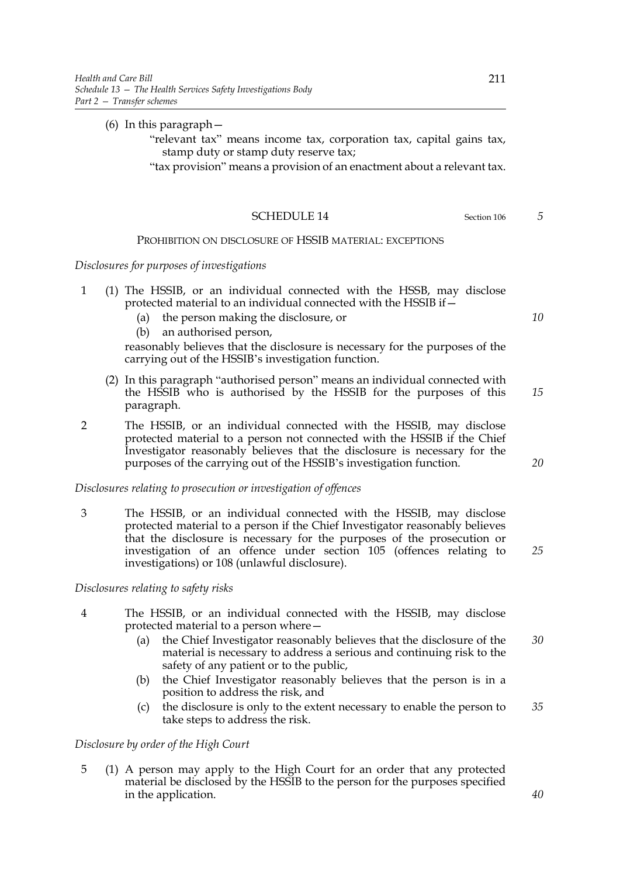# (6) In this paragraph—

- "relevant tax" means income tax, corporation tax, capital gains tax, stamp duty or stamp duty reserve tax;
- "tax provision" means a provision of an enactment about a relevant tax.

#### SCHEDULE 14 Section 106

# PROHIBITION ON DISCLOSURE OF HSSIB MATERIAL: EXCEPTIONS

#### *Disclosures for purposes of investigations*

- 1 (1) The HSSIB, or an individual connected with the HSSB, may disclose protected material to an individual connected with the HSSIB if—
	- (a) the person making the disclosure, or
	- (b) an authorised person,

reasonably believes that the disclosure is necessary for the purposes of the carrying out of the HSSIB's investigation function.

- (2) In this paragraph "authorised person" means an individual connected with the HSSIB who is authorised by the HSSIB for the purposes of this paragraph. *15*
- 2 The HSSIB, or an individual connected with the HSSIB, may disclose protected material to a person not connected with the HSSIB if the Chief Investigator reasonably believes that the disclosure is necessary for the purposes of the carrying out of the HSSIB's investigation function.

#### *Disclosures relating to prosecution or investigation of offences*

3 The HSSIB, or an individual connected with the HSSIB, may disclose protected material to a person if the Chief Investigator reasonably believes that the disclosure is necessary for the purposes of the prosecution or investigation of an offence under section 105 (offences relating to investigations) or 108 (unlawful disclosure).

# *Disclosures relating to safety risks*

- 4 The HSSIB, or an individual connected with the HSSIB, may disclose protected material to a person where—
	- (a) the Chief Investigator reasonably believes that the disclosure of the material is necessary to address a serious and continuing risk to the safety of any patient or to the public,
	- (b) the Chief Investigator reasonably believes that the person is in a position to address the risk, and
	- (c) the disclosure is only to the extent necessary to enable the person to take steps to address the risk. *35*

#### *Disclosure by order of the High Court*

5 (1) A person may apply to the High Court for an order that any protected material be disclosed by the HSSIB to the person for the purposes specified in the application.

*10*

*5*

*20*

*25*

*30*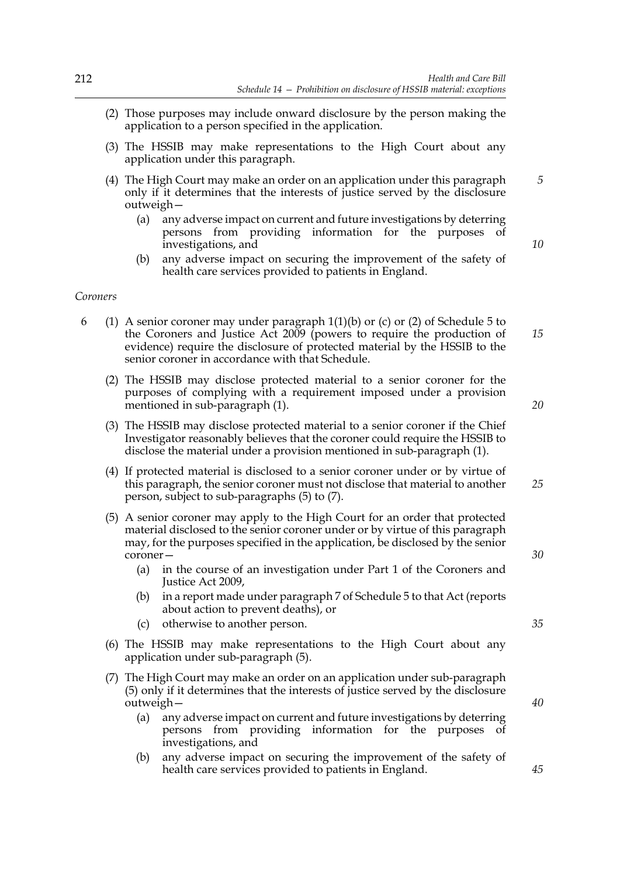- (2) Those purposes may include onward disclosure by the person making the application to a person specified in the application.
- (3) The HSSIB may make representations to the High Court about any application under this paragraph.
- (4) The High Court may make an order on an application under this paragraph only if it determines that the interests of justice served by the disclosure outweigh—
	- (a) any adverse impact on current and future investigations by deterring persons from providing information for the purposes of investigations, and
	- (b) any adverse impact on securing the improvement of the safety of health care services provided to patients in England.

#### *Coroners*

- 6 (1) A senior coroner may under paragraph 1(1)(b) or (c) or (2) of Schedule 5 to the Coroners and Justice Act 2009 (powers to require the production of evidence) require the disclosure of protected material by the HSSIB to the senior coroner in accordance with that Schedule. *15*
	- (2) The HSSIB may disclose protected material to a senior coroner for the purposes of complying with a requirement imposed under a provision mentioned in sub-paragraph (1).
	- (3) The HSSIB may disclose protected material to a senior coroner if the Chief Investigator reasonably believes that the coroner could require the HSSIB to disclose the material under a provision mentioned in sub-paragraph (1).
	- (4) If protected material is disclosed to a senior coroner under or by virtue of this paragraph, the senior coroner must not disclose that material to another person, subject to sub-paragraphs (5) to (7).
	- (5) A senior coroner may apply to the High Court for an order that protected material disclosed to the senior coroner under or by virtue of this paragraph may, for the purposes specified in the application, be disclosed by the senior coroner—
		- (a) in the course of an investigation under Part 1 of the Coroners and Justice Act 2009,
		- (b) in a report made under paragraph 7 of Schedule 5 to that Act (reports about action to prevent deaths), or
		- (c) otherwise to another person.
	- (6) The HSSIB may make representations to the High Court about any application under sub-paragraph (5).
	- (7) The High Court may make an order on an application under sub-paragraph (5) only if it determines that the interests of justice served by the disclosure outweigh—
		- (a) any adverse impact on current and future investigations by deterring persons from providing information for the purposes of investigations, and
		- (b) any adverse impact on securing the improvement of the safety of health care services provided to patients in England.

*10*

*5*

*25*

*20*

*30*

*40*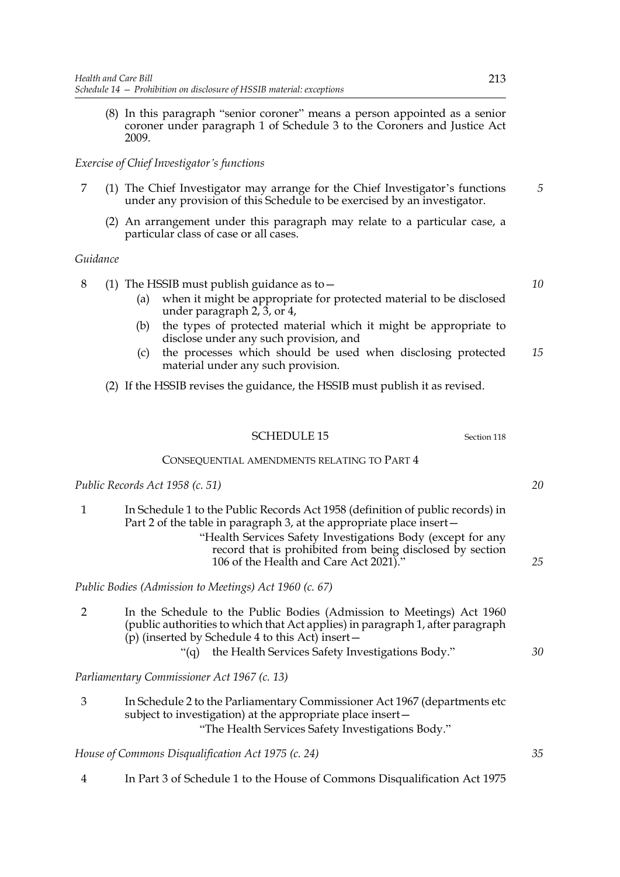(8) In this paragraph "senior coroner" means a person appointed as a senior coroner under paragraph 1 of Schedule 3 to the Coroners and Justice Act 2009.

# *Exercise of Chief Investigator's functions*

- 7 (1) The Chief Investigator may arrange for the Chief Investigator's functions under any provision of this Schedule to be exercised by an investigator.
	- (2) An arrangement under this paragraph may relate to a particular case, a particular class of case or all cases.

# *Guidance*

8 (1) The HSSIB must publish guidance as to—

- (a) when it might be appropriate for protected material to be disclosed under paragraph 2, 3, or 4,
- (b) the types of protected material which it might be appropriate to disclose under any such provision, and
- (c) the processes which should be used when disclosing protected material under any such provision. *15*

(2) If the HSSIB revises the guidance, the HSSIB must publish it as revised.

# SCHEDULE 15 Section 118

#### CONSEQUENTIAL AMENDMENTS RELATING TO PART 4

*Public Records Act 1958 (c. 51)*

1 In Schedule 1 to the Public Records Act 1958 (definition of public records) in Part 2 of the table in paragraph 3, at the appropriate place insert— "Health Services Safety Investigations Body (except for any record that is prohibited from being disclosed by section 106 of the Health and Care Act 2021)."

*Public Bodies (Admission to Meetings) Act 1960 (c. 67)*

2 In the Schedule to the Public Bodies (Admission to Meetings) Act 1960 (public authorities to which that Act applies) in paragraph 1, after paragraph (p) (inserted by Schedule 4 to this Act) insert— "(q) the Health Services Safety Investigations Body."

*Parliamentary Commissioner Act 1967 (c. 13)*

3 In Schedule 2 to the Parliamentary Commissioner Act 1967 (departments etc subject to investigation) at the appropriate place insert— "The Health Services Safety Investigations Body."

*House of Commons Disqualification Act 1975 (c. 24)*

4 In Part 3 of Schedule 1 to the House of Commons Disqualification Act 1975

*20*

*5*

*10*

*25*

*30*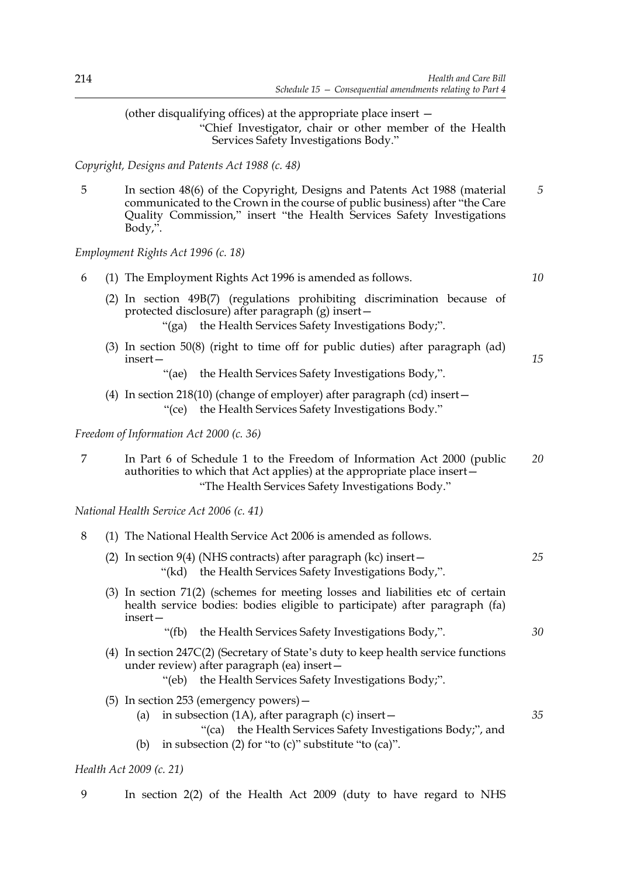(other disqualifying offices) at the appropriate place insert — "Chief Investigator, chair or other member of the Health Services Safety Investigations Body."

*Copyright, Designs and Patents Act 1988 (c. 48)*

5 In section 48(6) of the Copyright, Designs and Patents Act 1988 (material communicated to the Crown in the course of public business) after "the Care Quality Commission," insert "the Health Services Safety Investigations Body,". *5*

*Employment Rights Act 1996 (c. 18)*

| 6 | (1) The Employment Rights Act 1996 is amended as follows.                                                                                                                                              | 10 |
|---|--------------------------------------------------------------------------------------------------------------------------------------------------------------------------------------------------------|----|
|   | (2) In section 49B(7) (regulations prohibiting discrimination because of<br>protected disclosure) after paragraph (g) insert-<br>"(ga) the Health Services Safety Investigations Body;".               |    |
|   | $(3)$ In section 50 $(8)$ (right to time off for public duties) after paragraph (ad)<br>insert –                                                                                                       | 15 |
|   | "(ae) the Health Services Safety Investigations Body,".                                                                                                                                                |    |
|   | (4) In section 218(10) (change of employer) after paragraph (cd) insert-<br>"(ce) the Health Services Safety Investigations Body."                                                                     |    |
|   | Freedom of Information Act 2000 (c. 36)                                                                                                                                                                |    |
| 7 | In Part 6 of Schedule 1 to the Freedom of Information Act 2000 (public<br>authorities to which that Act applies) at the appropriate place insert-<br>"The Health Services Safety Investigations Body." | 20 |
|   | National Health Service Act 2006 (c. 41)                                                                                                                                                               |    |
| 8 | (1) The National Health Service Act 2006 is amended as follows.                                                                                                                                        |    |
|   | (2) In section $9(4)$ (NHS contracts) after paragraph (kc) insert $-$<br>"(kd) the Health Services Safety Investigations Body,".                                                                       | 25 |
|   | (3) In section 71(2) (schemes for meeting losses and liabilities etc of certain<br>health service bodies: bodies eligible to participate) after paragraph (fa)<br>insert-                              |    |
|   | "(fb) the Health Services Safety Investigations Body,".                                                                                                                                                | 30 |
|   | (4) In section 247C(2) (Secretary of State's duty to keep health service functions<br>under review) after paragraph (ea) insert-<br>"(eb) the Health Services Safety Investigations Body;".            |    |
|   | (5) In section 253 (emergency powers) -                                                                                                                                                                |    |
|   | in subsection (1A), after paragraph (c) insert-<br>(a)                                                                                                                                                 | 35 |
|   | the Health Services Safety Investigations Body;", and<br>"(ca)<br>in subsection (2) for "to (c)" substitute "to (ca)".<br>(b)                                                                          |    |
|   | Health Act 2009 (c. 21)                                                                                                                                                                                |    |

9 In section 2(2) of the Health Act 2009 (duty to have regard to NHS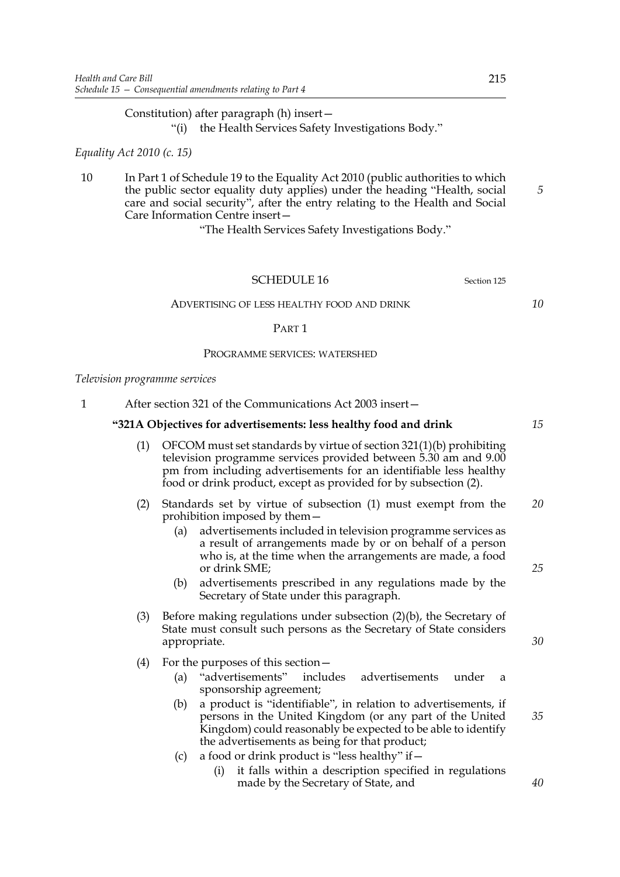Constitution) after paragraph (h) insert—

"(i) the Health Services Safety Investigations Body."

# *Equality Act 2010 (c. 15)*

10 In Part 1 of Schedule 19 to the Equality Act 2010 (public authorities to which the public sector equality duty applies) under the heading "Health, social care and social security", after the entry relating to the Health and Social Care Information Centre insert—

"The Health Services Safety Investigations Body."

#### SCHEDULE 16 Section 125

ADVERTISING OF LESS HEALTHY FOOD AND DRINK

#### PART 1

#### PROGRAMME SERVICES: WATERSHED

#### *Television programme services*

1 After section 321 of the Communications Act 2003 insert—

#### **"321A Objectives for advertisements: less healthy food and drink**

- (1) OFCOM must set standards by virtue of section 321(1)(b) prohibiting television programme services provided between 5.30 am and 9.00 pm from including advertisements for an identifiable less healthy food or drink product, except as provided for by subsection (2).
- (2) Standards set by virtue of subsection (1) must exempt from the prohibition imposed by them— *20*
	- (a) advertisements included in television programme services as a result of arrangements made by or on behalf of a person who is, at the time when the arrangements are made, a food or drink SME;
	- (b) advertisements prescribed in any regulations made by the Secretary of State under this paragraph.
- (3) Before making regulations under subsection (2)(b), the Secretary of State must consult such persons as the Secretary of State considers appropriate.
- (4) For the purposes of this section—
	- (a) "advertisements" includes advertisements under a sponsorship agreement;
	- (b) a product is "identifiable", in relation to advertisements, if persons in the United Kingdom (or any part of the United Kingdom) could reasonably be expected to be able to identify the advertisements as being for that product;
	- (c) a food or drink product is "less healthy" if  $-$ 
		- (i) it falls within a description specified in regulations made by the Secretary of State, and

*5*

*10*

*30*

*25*

*35*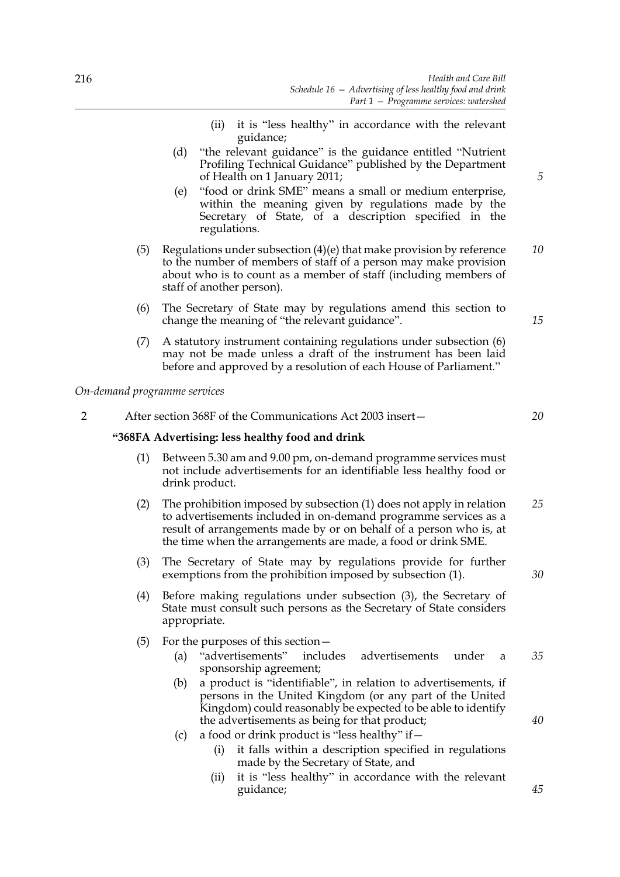- (ii) it is "less healthy" in accordance with the relevant guidance;
- (d) "the relevant guidance" is the guidance entitled "Nutrient Profiling Technical Guidance" published by the Department of Health on 1 January 2011;
- (e) "food or drink SME" means a small or medium enterprise, within the meaning given by regulations made by the Secretary of State, of a description specified in the regulations.
- (5) Regulations under subsection (4)(e) that make provision by reference to the number of members of staff of a person may make provision about who is to count as a member of staff (including members of staff of another person). *10*
- (6) The Secretary of State may by regulations amend this section to change the meaning of "the relevant guidance".
- (7) A statutory instrument containing regulations under subsection (6) may not be made unless a draft of the instrument has been laid before and approved by a resolution of each House of Parliament."

*On-demand programme services*

2 After section 368F of the Communications Act 2003 insert—

#### **"368FA Advertising: less healthy food and drink**

- (1) Between 5.30 am and 9.00 pm, on-demand programme services must not include advertisements for an identifiable less healthy food or drink product.
- (2) The prohibition imposed by subsection (1) does not apply in relation to advertisements included in on-demand programme services as a result of arrangements made by or on behalf of a person who is, at the time when the arrangements are made, a food or drink SME. *25*
- (3) The Secretary of State may by regulations provide for further exemptions from the prohibition imposed by subsection (1).
- (4) Before making regulations under subsection (3), the Secretary of State must consult such persons as the Secretary of State considers appropriate.
- (5) For the purposes of this section—
	- (a) "advertisements" includes advertisements under a sponsorship agreement; *35*
	- (b) a product is "identifiable", in relation to advertisements, if persons in the United Kingdom (or any part of the United Kingdom) could reasonably be expected to be able to identify the advertisements as being for that product;
	- (c) a food or drink product is "less healthy" if  $-$ 
		- (i) it falls within a description specified in regulations made by the Secretary of State, and
		- (ii) it is "less healthy" in accordance with the relevant guidance;

*5*

*15*

*20*

*30*

*40*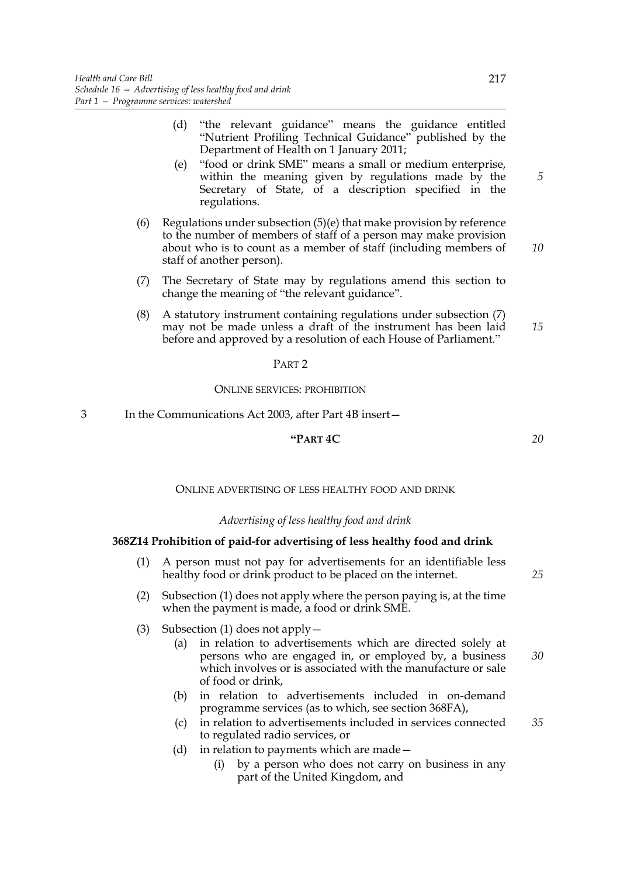- (d) "the relevant guidance" means the guidance entitled "Nutrient Profiling Technical Guidance" published by the Department of Health on 1 January 2011;
- (e) "food or drink SME" means a small or medium enterprise, within the meaning given by regulations made by the Secretary of State, of a description specified in the regulations.
- (6) Regulations under subsection (5)(e) that make provision by reference to the number of members of staff of a person may make provision about who is to count as a member of staff (including members of staff of another person).
- (7) The Secretary of State may by regulations amend this section to change the meaning of "the relevant guidance".
- (8) A statutory instrument containing regulations under subsection (7) may not be made unless a draft of the instrument has been laid before and approved by a resolution of each House of Parliament." *15*

#### PART 2

#### ONLINE SERVICES: PROHIBITION

3 In the Communications Act 2003, after Part 4B insert—

# **"PART 4C**

ONLINE ADVERTISING OF LESS HEALTHY FOOD AND DRINK

#### *Advertising of less healthy food and drink*

#### **368Z14 Prohibition of paid-for advertising of less healthy food and drink**

- (1) A person must not pay for advertisements for an identifiable less healthy food or drink product to be placed on the internet.
- (2) Subsection (1) does not apply where the person paying is, at the time when the payment is made, a food or drink SME.
- (3) Subsection (1) does not apply  $-$ 
	- (a) in relation to advertisements which are directed solely at persons who are engaged in, or employed by, a business which involves or is associated with the manufacture or sale of food or drink,
	- (b) in relation to advertisements included in on-demand programme services (as to which, see section 368FA),
	- (c) in relation to advertisements included in services connected to regulated radio services, or *35*
	- (d) in relation to payments which are made—
		- (i) by a person who does not carry on business in any part of the United Kingdom, and

*25*

# *30*

*10*

*5*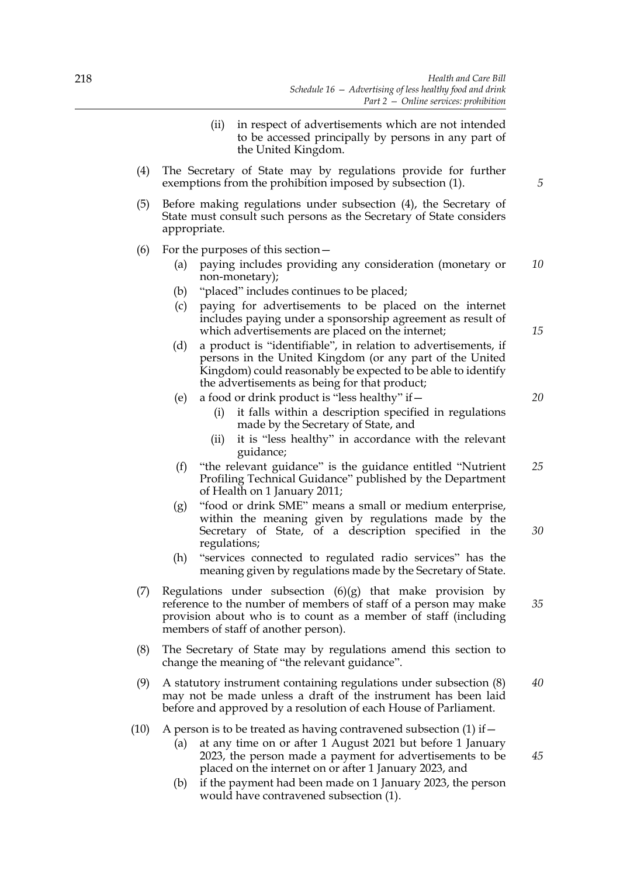- (ii) in respect of advertisements which are not intended to be accessed principally by persons in any part of the United Kingdom.
- (4) The Secretary of State may by regulations provide for further exemptions from the prohibition imposed by subsection (1).
- (5) Before making regulations under subsection (4), the Secretary of State must consult such persons as the Secretary of State considers appropriate.
- (6) For the purposes of this section—
	- (a) paying includes providing any consideration (monetary or non-monetary); *10*
	- (b) "placed" includes continues to be placed;
	- (c) paying for advertisements to be placed on the internet includes paying under a sponsorship agreement as result of which advertisements are placed on the internet;
	- (d) a product is "identifiable", in relation to advertisements, if persons in the United Kingdom (or any part of the United Kingdom) could reasonably be expected to be able to identify the advertisements as being for that product;
	- (e) a food or drink product is "less healthy" if—
		- (i) it falls within a description specified in regulations made by the Secretary of State, and
		- (ii) it is "less healthy" in accordance with the relevant guidance;
	- (f) "the relevant guidance" is the guidance entitled "Nutrient Profiling Technical Guidance" published by the Department of Health on 1 January 2011; *25*
	- (g) "food or drink SME" means a small or medium enterprise, within the meaning given by regulations made by the Secretary of State, of a description specified in the regulations; *30*
	- (h) "services connected to regulated radio services" has the meaning given by regulations made by the Secretary of State.
- (7) Regulations under subsection  $(6)(g)$  that make provision by reference to the number of members of staff of a person may make provision about who is to count as a member of staff (including members of staff of another person).
- (8) The Secretary of State may by regulations amend this section to change the meaning of "the relevant guidance".
- (9) A statutory instrument containing regulations under subsection (8) may not be made unless a draft of the instrument has been laid before and approved by a resolution of each House of Parliament. *40*
- (10) A person is to be treated as having contravened subsection (1) if  $-$ 
	- (a) at any time on or after 1 August 2021 but before 1 January 2023, the person made a payment for advertisements to be placed on the internet on or after 1 January 2023, and
	- (b) if the payment had been made on 1 January 2023, the person would have contravened subsection (1).

*20*

*35*

*45*

*15*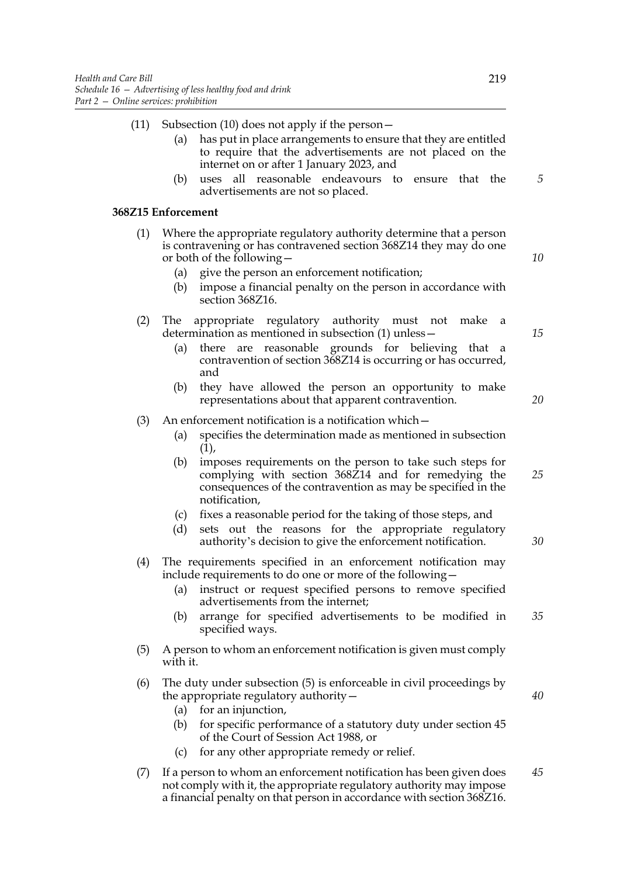|    | Subsection (10) does not apply if the person-<br>has put in place arrangements to ensure that they are entitled<br>(a)<br>to require that the advertisements are not placed on the<br>internet on or after 1 January 2023, and                                                                                          | (11) |
|----|-------------------------------------------------------------------------------------------------------------------------------------------------------------------------------------------------------------------------------------------------------------------------------------------------------------------------|------|
| 5  | uses all reasonable endeavours to ensure<br>(b)<br>that the<br>advertisements are not so placed.                                                                                                                                                                                                                        |      |
|    | 368Z15 Enforcement                                                                                                                                                                                                                                                                                                      |      |
| 10 | Where the appropriate regulatory authority determine that a person<br>is contravening or has contravened section 368Z14 they may do one<br>or both of the following $-$<br>give the person an enforcement notification;<br>(a)<br>impose a financial penalty on the person in accordance with<br>(b)<br>section 368Z16. | (1)  |
| 15 | appropriate regulatory authority must not<br>The<br>make<br>a<br>determination as mentioned in subsection (1) unless -<br>are reasonable grounds for believing that<br>(a)<br>there<br>a a<br>contravention of section 368Z14 is occurring or has occurred,<br>and                                                      | (2)  |
| 20 | they have allowed the person an opportunity to make<br>(b)<br>representations about that apparent contravention.                                                                                                                                                                                                        |      |
|    | An enforcement notification is a notification which –<br>specifies the determination made as mentioned in subsection<br>(a)<br>(1),                                                                                                                                                                                     | (3)  |
| 25 | imposes requirements on the person to take such steps for<br>(b)<br>complying with section 368Z14 and for remedying the<br>consequences of the contravention as may be specified in the<br>notification,                                                                                                                |      |
| 30 | fixes a reasonable period for the taking of those steps, and<br>(c)<br>sets out the reasons for the appropriate regulatory<br>(d)<br>authority's decision to give the enforcement notification.                                                                                                                         |      |
|    | The requirements specified in an enforcement notification may<br>include requirements to do one or more of the following.                                                                                                                                                                                               | (4)  |
| 35 | instruct or request specified persons to remove specified<br>(a)<br>advertisements from the internet;<br>arrange for specified advertisements to be modified in<br>(b)<br>specified ways.                                                                                                                               |      |
|    | A person to whom an enforcement notification is given must comply<br>with it.                                                                                                                                                                                                                                           | (5)  |
| 40 | The duty under subsection (5) is enforceable in civil proceedings by<br>the appropriate regulatory authority $-$<br>for an injunction,<br>(a)<br>for specific performance of a statutory duty under section 45<br>(b)<br>of the Court of Session Act 1988, or<br>for any other appropriate remedy or relief.<br>(c)     | (6)  |
| 45 | If a person to whom an enforcement notification has been given does                                                                                                                                                                                                                                                     | (7)  |
|    |                                                                                                                                                                                                                                                                                                                         |      |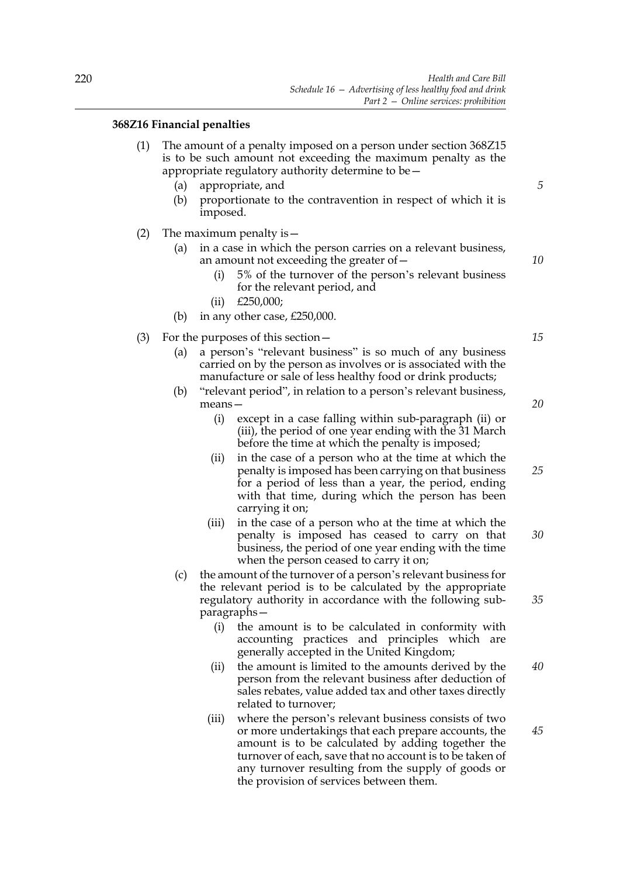# **368Z16 Financial penalties**

- (1) The amount of a penalty imposed on a person under section 368Z15 is to be such amount not exceeding the maximum penalty as the appropriate regulatory authority determine to be—
	- (a) appropriate, and
	- (b) proportionate to the contravention in respect of which it is imposed.
- (2) The maximum penalty is—
	- (a) in a case in which the person carries on a relevant business, an amount not exceeding the greater of—
		- (i) 5% of the turnover of the person's relevant business for the relevant period, and
		- (ii) £250,000;
	- (b) in any other case, £250,000.
- (3) For the purposes of this section—
	- (a) a person's "relevant business" is so much of any business carried on by the person as involves or is associated with the manufacture or sale of less healthy food or drink products;
	- (b) "relevant period", in relation to a person's relevant business, means—
		- (i) except in a case falling within sub-paragraph (ii) or (iii), the period of one year ending with the 31 March before the time at which the penalty is imposed;
		- (ii) in the case of a person who at the time at which the penalty is imposed has been carrying on that business for a period of less than a year, the period, ending with that time, during which the person has been carrying it on;
		- (iii) in the case of a person who at the time at which the penalty is imposed has ceased to carry on that business, the period of one year ending with the time when the person ceased to carry it on; *30*
	- (c) the amount of the turnover of a person's relevant business for the relevant period is to be calculated by the appropriate regulatory authority in accordance with the following subparagraphs—
		- (i) the amount is to be calculated in conformity with accounting practices and principles which are generally accepted in the United Kingdom;
		- (ii) the amount is limited to the amounts derived by the person from the relevant business after deduction of sales rebates, value added tax and other taxes directly related to turnover; *40*
		- (iii) where the person's relevant business consists of two or more undertakings that each prepare accounts, the amount is to be calculated by adding together the turnover of each, save that no account is to be taken of any turnover resulting from the supply of goods or the provision of services between them. *45*

*15*

*20*

*25*

*35*

*10*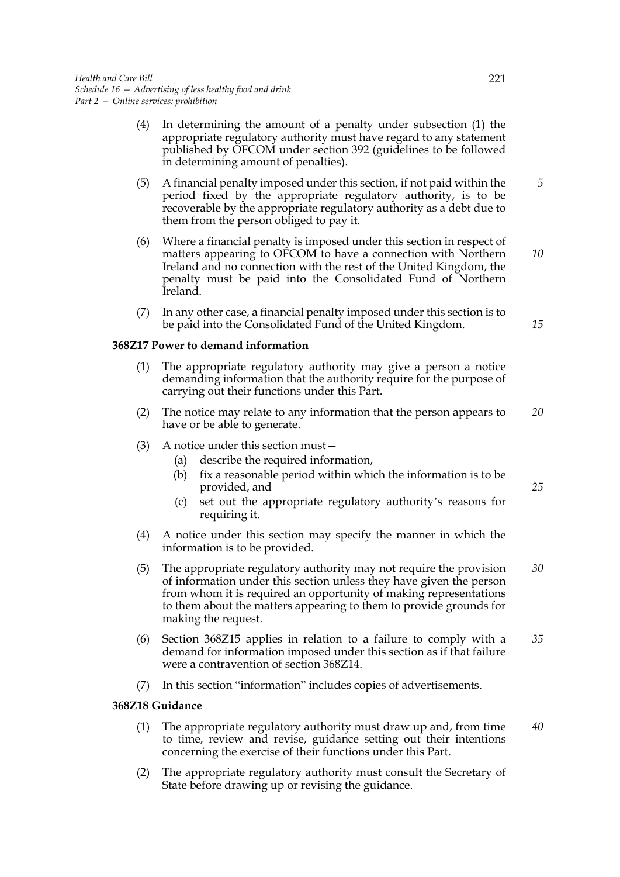- (4) In determining the amount of a penalty under subsection (1) the appropriate regulatory authority must have regard to any statement published by OFCOM under section 392 (guidelines to be followed in determining amount of penalties).
- (5) A financial penalty imposed under this section, if not paid within the period fixed by the appropriate regulatory authority, is to be recoverable by the appropriate regulatory authority as a debt due to them from the person obliged to pay it.
- (6) Where a financial penalty is imposed under this section in respect of matters appearing to OFCOM to have a connection with Northern Ireland and no connection with the rest of the United Kingdom, the penalty must be paid into the Consolidated Fund of Northern Ireland.
- (7) In any other case, a financial penalty imposed under this section is to be paid into the Consolidated Fund of the United Kingdom.

## **368Z17 Power to demand information**

- (1) The appropriate regulatory authority may give a person a notice demanding information that the authority require for the purpose of carrying out their functions under this Part.
- (2) The notice may relate to any information that the person appears to have or be able to generate. *20*
- (3) A notice under this section must—
	- (a) describe the required information,
	- (b) fix a reasonable period within which the information is to be provided, and
	- (c) set out the appropriate regulatory authority's reasons for requiring it.
- (4) A notice under this section may specify the manner in which the information is to be provided.
- (5) The appropriate regulatory authority may not require the provision of information under this section unless they have given the person from whom it is required an opportunity of making representations to them about the matters appearing to them to provide grounds for making the request. *30*
- (6) Section 368Z15 applies in relation to a failure to comply with a demand for information imposed under this section as if that failure were a contravention of section 368Z14. *35*
- (7) In this section "information" includes copies of advertisements.

# **368Z18 Guidance**

- (1) The appropriate regulatory authority must draw up and, from time to time, review and revise, guidance setting out their intentions concerning the exercise of their functions under this Part. *40*
- (2) The appropriate regulatory authority must consult the Secretary of State before drawing up or revising the guidance.

*10*

*5*

*15*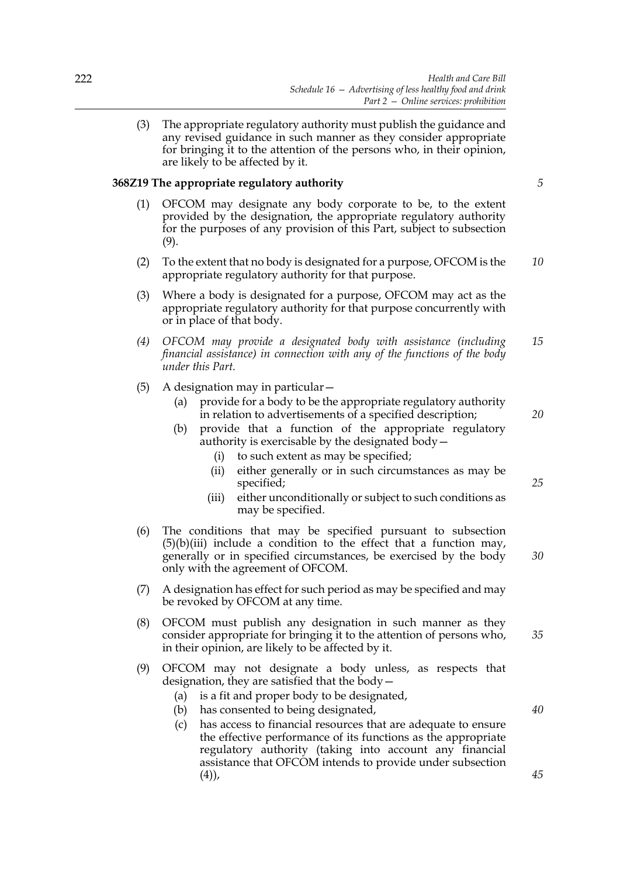(3) The appropriate regulatory authority must publish the guidance and any revised guidance in such manner as they consider appropriate for bringing it to the attention of the persons who, in their opinion, are likely to be affected by it.

## **368Z19 The appropriate regulatory authority**

- (1) OFCOM may designate any body corporate to be, to the extent provided by the designation, the appropriate regulatory authority for the purposes of any provision of this Part, subject to subsection (9).
- (2) To the extent that no body is designated for a purpose, OFCOM is the appropriate regulatory authority for that purpose. *10*
- (3) Where a body is designated for a purpose, OFCOM may act as the appropriate regulatory authority for that purpose concurrently with or in place of that body.
- *(4) OFCOM may provide a designated body with assistance (including financial assistance) in connection with any of the functions of the body under this Part. 15*
- (5) A designation may in particular—
	- (a) provide for a body to be the appropriate regulatory authority in relation to advertisements of a specified description;
	- (b) provide that a function of the appropriate regulatory authority is exercisable by the designated body—
		- (i) to such extent as may be specified;
		- (ii) either generally or in such circumstances as may be specified;
		- (iii) either unconditionally or subject to such conditions as may be specified.
- (6) The conditions that may be specified pursuant to subsection  $(5)(b)(iii)$  include a condition to the effect that a function may, generally or in specified circumstances, be exercised by the body only with the agreement of OFCOM.
- (7) A designation has effect for such period as may be specified and may be revoked by OFCOM at any time.
- (8) OFCOM must publish any designation in such manner as they consider appropriate for bringing it to the attention of persons who, in their opinion, are likely to be affected by it.
- (9) OFCOM may not designate a body unless, as respects that designation, they are satisfied that the body—
	- (a) is a fit and proper body to be designated,
	- (b) has consented to being designated,
	- (c) has access to financial resources that are adequate to ensure the effective performance of its functions as the appropriate regulatory authority (taking into account any financial assistance that OFCOM intends to provide under subsection (4)),

*5*

*20*

*25*

*35*

*30*

*40*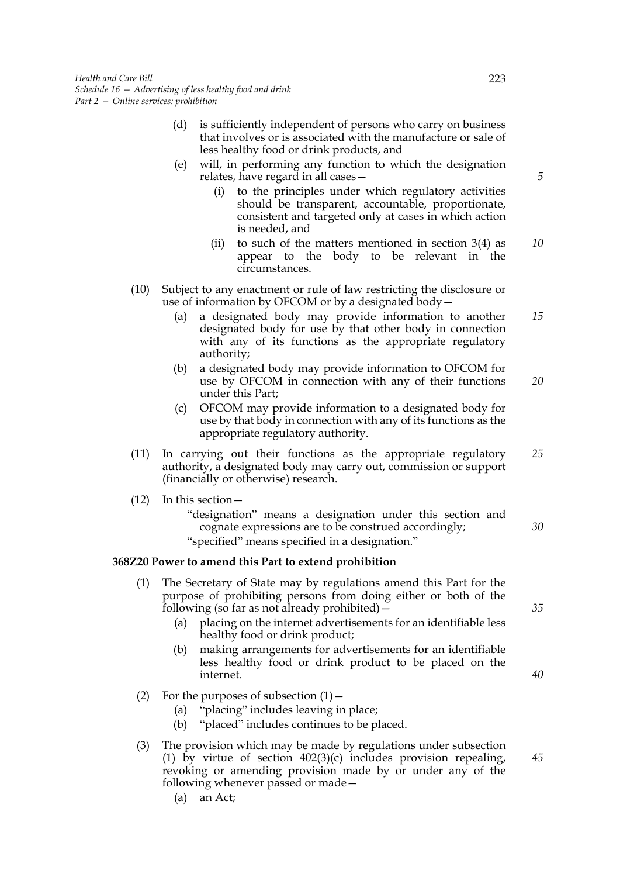- (d) is sufficiently independent of persons who carry on business that involves or is associated with the manufacture or sale of less healthy food or drink products, and
- (e) will, in performing any function to which the designation relates, have regard in all cases
	- to the principles under which regulatory activities should be transparent, accountable, proportionate, consistent and targeted only at cases in which action is needed, and
	- (ii) to such of the matters mentioned in section  $3(4)$  as appear to the body to be relevant in the circumstances. *10*
- (10) Subject to any enactment or rule of law restricting the disclosure or use of information by OFCOM or by a designated body—
	- (a) a designated body may provide information to another designated body for use by that other body in connection with any of its functions as the appropriate regulatory authority; *15*
	- (b) a designated body may provide information to OFCOM for use by OFCOM in connection with any of their functions under this Part; *20*
	- (c) OFCOM may provide information to a designated body for use by that body in connection with any of its functions as the appropriate regulatory authority.
- (11) In carrying out their functions as the appropriate regulatory authority, a designated body may carry out, commission or support (financially or otherwise) research. *25*
- (12) In this section—
	- "designation" means a designation under this section and cognate expressions are to be construed accordingly; "specified" means specified in a designation."

# **368Z20 Power to amend this Part to extend prohibition**

- (1) The Secretary of State may by regulations amend this Part for the purpose of prohibiting persons from doing either or both of the following (so far as not already prohibited) $-$ 
	- (a) placing on the internet advertisements for an identifiable less healthy food or drink product;
	- (b) making arrangements for advertisements for an identifiable less healthy food or drink product to be placed on the internet.
- (2) For the purposes of subsection  $(1)$  –

(a) an Act;

- (a) "placing" includes leaving in place;
	- (b) "placed" includes continues to be placed.
- (3) The provision which may be made by regulations under subsection (1) by virtue of section  $402(3)(c)$  includes provision repealing, revoking or amending provision made by or under any of the following whenever passed or made—

*5*

*35*

*30*

*40*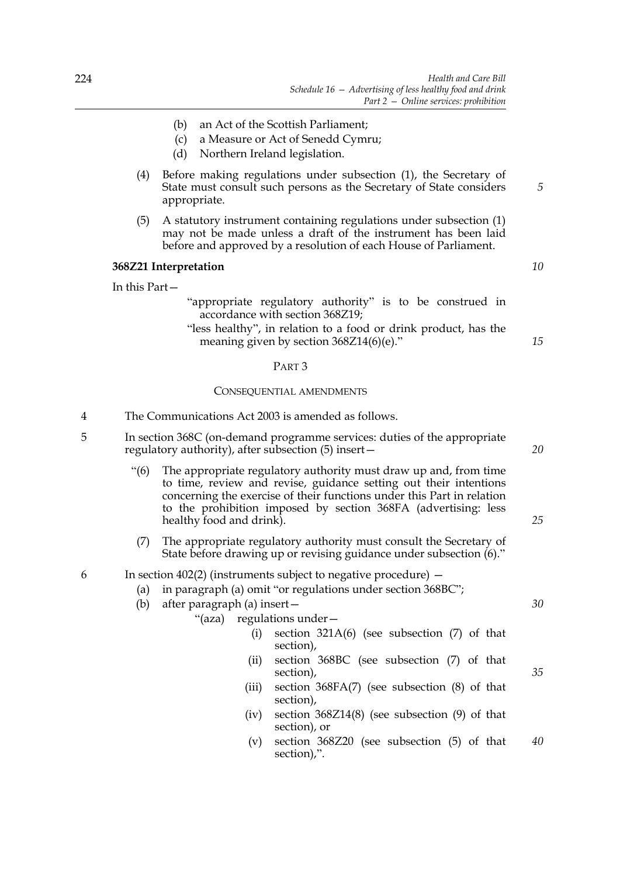- (b) an Act of the Scottish Parliament;
- (c) a Measure or Act of Senedd Cymru;
- (d) Northern Ireland legislation.
- (4) Before making regulations under subsection (1), the Secretary of State must consult such persons as the Secretary of State considers appropriate.
- (5) A statutory instrument containing regulations under subsection (1) may not be made unless a draft of the instrument has been laid before and approved by a resolution of each House of Parliament.

#### **368Z21 Interpretation**

In this Part—

- "appropriate regulatory authority" is to be construed in accordance with section 368Z19;
- "less healthy", in relation to a food or drink product, has the meaning given by section 368Z14(6)(e)."

#### PART 3

#### CONSEQUENTIAL AMENDMENTS

- 4 The Communications Act 2003 is amended as follows.
- 5 In section 368C (on-demand programme services: duties of the appropriate regulatory authority), after subsection (5) insert—
	- "(6) The appropriate regulatory authority must draw up and, from time to time, review and revise, guidance setting out their intentions concerning the exercise of their functions under this Part in relation to the prohibition imposed by section 368FA (advertising: less healthy food and drink).
	- (7) The appropriate regulatory authority must consult the Secretary of State before drawing up or revising guidance under subsection (6)."

# 6 In section 402(2) (instruments subject to negative procedure) —

- (a) in paragraph (a) omit "or regulations under section 368BC";
- (b) after paragraph (a) insert—
	- "(aza) regulations under—
- - (i) section 321A(6) (see subsection (7) of that section),
	- (ii) section 368BC (see subsection (7) of that section),
	- (iii) section 368FA(7) (see subsection (8) of that section),
	- (iv) section 368Z14(8) (see subsection (9) of that section), or
	- (v) section 368Z20 (see subsection (5) of that section),". *40*

*10*

*15*

*5*

*20*

*25*

*30*